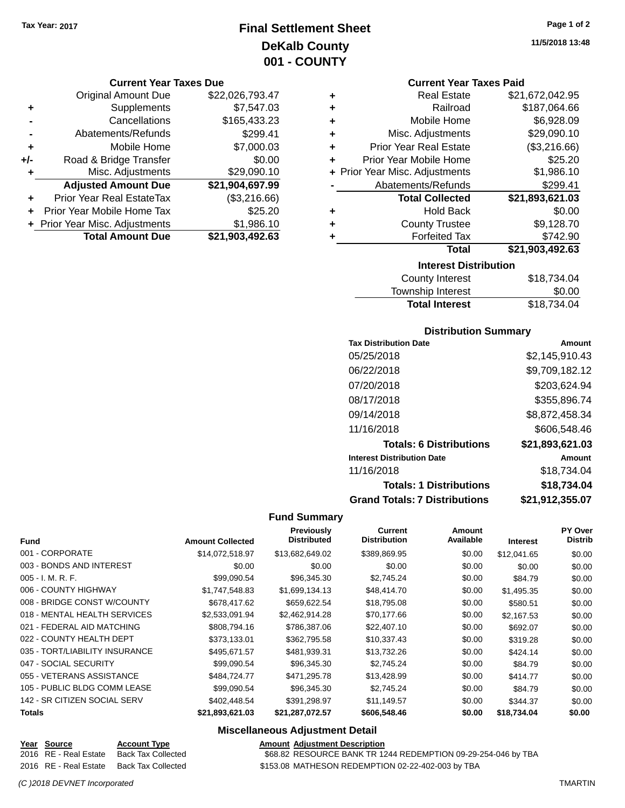# **Final Settlement Sheet Tax Year: 2017 Page 1 of 2 DeKalb County 001 - COUNTY**

#### **Current Year Taxes Due**

|     | <b>Original Amount Due</b>     | \$22,026,793.47 |
|-----|--------------------------------|-----------------|
| ٠   | Supplements                    | \$7,547.03      |
|     | Cancellations                  | \$165,433.23    |
|     | Abatements/Refunds             | \$299.41        |
| ٠   | Mobile Home                    | \$7,000.03      |
| +/- | Road & Bridge Transfer         | \$0.00          |
| ٠   | Misc. Adjustments              | \$29,090.10     |
|     | <b>Adjusted Amount Due</b>     | \$21,904,697.99 |
|     | Prior Year Real EstateTax      | (\$3,216.66)    |
|     | Prior Year Mobile Home Tax     | \$25.20         |
|     | + Prior Year Misc. Adjustments | \$1,986.10      |
|     | <b>Total Amount Due</b>        | \$21,903,492.63 |

### **Current Year Taxes Paid**

| ٠ | <b>Real Estate</b>             | \$21,672,042.95 |  |  |
|---|--------------------------------|-----------------|--|--|
| ÷ | Railroad                       | \$187,064.66    |  |  |
| ٠ | Mobile Home                    | \$6,928.09      |  |  |
| ٠ | Misc. Adjustments              | \$29,090.10     |  |  |
| ٠ | <b>Prior Year Real Estate</b>  | (\$3,216.66)    |  |  |
| ÷ | Prior Year Mobile Home         | \$25.20         |  |  |
|   | + Prior Year Misc. Adjustments | \$1,986.10      |  |  |
|   | Abatements/Refunds             | \$299.41        |  |  |
|   | <b>Total Collected</b>         | \$21,893,621.03 |  |  |
| ٠ | <b>Hold Back</b>               | \$0.00          |  |  |
| ٠ | <b>County Trustee</b>          | \$9,128.70      |  |  |
| ٠ | <b>Forfeited Tax</b>           | \$742.90        |  |  |
|   | Total                          | \$21,903,492.63 |  |  |
|   | <b>Interest Distribution</b>   |                 |  |  |

| County Interest       | \$18,734,04 |  |
|-----------------------|-------------|--|
| Township Interest     | \$0.00      |  |
| <b>Total Interest</b> | \$18,734.04 |  |
|                       |             |  |

# **Distribution Summary**

| <b>Tax Distribution Date</b>         | Amount          |
|--------------------------------------|-----------------|
| 05/25/2018                           | \$2,145,910.43  |
| 06/22/2018                           | \$9,709,182.12  |
| 07/20/2018                           | \$203,624.94    |
| 08/17/2018                           | \$355,896.74    |
| 09/14/2018                           | \$8,872,458.34  |
| 11/16/2018                           | \$606,548.46    |
| <b>Totals: 6 Distributions</b>       | \$21,893,621.03 |
| <b>Interest Distribution Date</b>    | Amount          |
| 11/16/2018                           | \$18,734.04     |
| <b>Totals: 1 Distributions</b>       | \$18,734.04     |
| <b>Grand Totals: 7 Distributions</b> | \$21,912,355.07 |

## **Fund Summary**

|                                |                         | <b>Previously</b><br><b>Distributed</b> | Current<br><b>Distribution</b> | Amount<br>Available |                 | <b>PY Over</b><br>Distrib |
|--------------------------------|-------------------------|-----------------------------------------|--------------------------------|---------------------|-----------------|---------------------------|
| <b>Fund</b>                    | <b>Amount Collected</b> |                                         |                                |                     | <b>Interest</b> |                           |
| 001 - CORPORATE                | \$14,072,518.97         | \$13,682,649.02                         | \$389,869.95                   | \$0.00              | \$12,041.65     | \$0.00                    |
| 003 - BONDS AND INTEREST       | \$0.00                  | \$0.00                                  | \$0.00                         | \$0.00              | \$0.00          | \$0.00                    |
| $005 - I. M. R. F.$            | \$99,090.54             | \$96,345.30                             | \$2,745.24                     | \$0.00              | \$84.79         | \$0.00                    |
| 006 - COUNTY HIGHWAY           | \$1,747,548.83          | \$1,699,134.13                          | \$48,414.70                    | \$0.00              | \$1,495.35      | \$0.00                    |
| 008 - BRIDGE CONST W/COUNTY    | \$678,417.62            | \$659,622.54                            | \$18,795.08                    | \$0.00              | \$580.51        | \$0.00                    |
| 018 - MENTAL HEALTH SERVICES   | \$2,533,091.94          | \$2,462,914.28                          | \$70,177.66                    | \$0.00              | \$2,167.53      | \$0.00                    |
| 021 - FEDERAL AID MATCHING     | \$808,794.16            | \$786,387.06                            | \$22,407.10                    | \$0.00              | \$692.07        | \$0.00                    |
| 022 - COUNTY HEALTH DEPT       | \$373.133.01            | \$362,795.58                            | \$10,337.43                    | \$0.00              | \$319.28        | \$0.00                    |
| 035 - TORT/LIABILITY INSURANCE | \$495,671.57            | \$481,939.31                            | \$13,732.26                    | \$0.00              | \$424.14        | \$0.00                    |
| 047 - SOCIAL SECURITY          | \$99,090.54             | \$96,345.30                             | \$2.745.24                     | \$0.00              | \$84.79         | \$0.00                    |
| 055 - VETERANS ASSISTANCE      | \$484.724.77            | \$471,295.78                            | \$13,428.99                    | \$0.00              | \$414.77        | \$0.00                    |
| 105 - PUBLIC BLDG COMM LEASE   | \$99,090.54             | \$96,345.30                             | \$2,745.24                     | \$0.00              | \$84.79         | \$0.00                    |
| 142 - SR CITIZEN SOCIAL SERV   | \$402,448.54            | \$391,298.97                            | \$11.149.57                    | \$0.00              | \$344.37        | \$0.00                    |
| <b>Totals</b>                  | \$21,893,621.03         | \$21,287,072.57                         | \$606,548.46                   | \$0.00              | \$18,734.04     | \$0.00                    |

| <u>Year Source</u>    | <b>Account Type</b> | <b>Amount Adiustment Description</b>                          |
|-----------------------|---------------------|---------------------------------------------------------------|
| 2016 RE - Real Estate | Back Tax Collected  | \$68.82 RESOURCE BANK TR 1244 REDEMPTION 09-29-254-046 by TBA |
| 2016 RE - Real Estate | Back Tax Collected  | \$153.08 MATHESON REDEMPTION 02-22-402-003 by TBA             |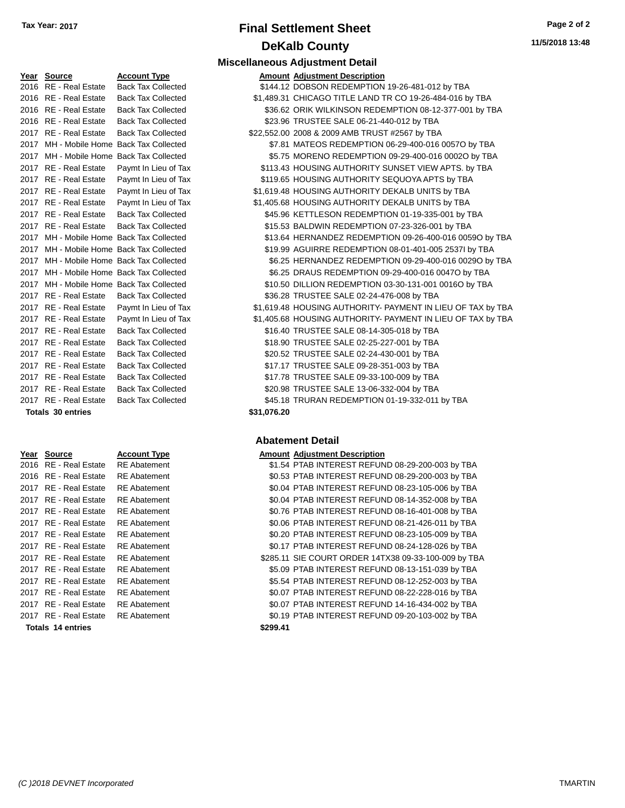# **Final Settlement Sheet Tax Year: 2017 Page 2 of 2 DeKalb County**

**Miscellaneous Adjustment Detail**

| Year Source                              | <b>Account Type</b>                      | <b>Amount Adjustment Description</b>                        |
|------------------------------------------|------------------------------------------|-------------------------------------------------------------|
| 2016 RE - Real Estate                    | <b>Back Tax Collected</b>                | \$144.12 DOBSON REDEMPTION 19-26-481-012 by TBA             |
| 2016 RE - Real Estate                    | <b>Back Tax Collected</b>                | \$1,489.31 CHICAGO TITLE LAND TR CO 19-26-484-016 by TBA    |
| 2016 RE - Real Estate                    | <b>Back Tax Collected</b>                | \$36.62 ORIK WILKINSON REDEMPTION 08-12-377-001 by TBA      |
| 2016 RE - Real Estate                    | <b>Back Tax Collected</b>                | \$23.96 TRUSTEE SALE 06-21-440-012 by TBA                   |
| 2017 RE - Real Estate                    | <b>Back Tax Collected</b>                | \$22,552.00 2008 & 2009 AMB TRUST #2567 by TBA              |
|                                          | 2017 MH - Mobile Home Back Tax Collected | \$7.81 MATEOS REDEMPTION 06-29-400-016 0057O by TBA         |
|                                          | 2017 MH - Mobile Home Back Tax Collected | \$5.75 MORENO REDEMPTION 09-29-400-016 0002O by TBA         |
| 2017 RE - Real Estate                    | Paymt In Lieu of Tax                     | \$113.43 HOUSING AUTHORITY SUNSET VIEW APTS. by TBA         |
| 2017 RE - Real Estate                    | Paymt In Lieu of Tax                     | \$119.65 HOUSING AUTHORITY SEQUOYA APTS by TBA              |
| 2017 RE - Real Estate                    | Paymt In Lieu of Tax                     | \$1,619.48 HOUSING AUTHORITY DEKALB UNITS by TBA            |
| 2017 RE - Real Estate                    | Paymt In Lieu of Tax                     | \$1,405.68 HOUSING AUTHORITY DEKALB UNITS by TBA            |
| 2017 RE - Real Estate                    | <b>Back Tax Collected</b>                | \$45.96 KETTLESON REDEMPTION 01-19-335-001 by TBA           |
| 2017 RE - Real Estate                    | <b>Back Tax Collected</b>                | \$15.53 BALDWIN REDEMPTION 07-23-326-001 by TBA             |
|                                          | 2017 MH - Mobile Home Back Tax Collected | \$13.64 HERNANDEZ REDEMPTION 09-26-400-016 0059O by TBA     |
|                                          | 2017 MH - Mobile Home Back Tax Collected | \$19.99 AGUIRRE REDEMPTION 08-01-401-005 2537I by TBA       |
| 2017 MH - Mobile Home Back Tax Collected |                                          | \$6.25 HERNANDEZ REDEMPTION 09-29-400-016 0029O by TBA      |
|                                          | 2017 MH - Mobile Home Back Tax Collected | \$6.25 DRAUS REDEMPTION 09-29-400-016 0047O by TBA          |
|                                          | 2017 MH - Mobile Home Back Tax Collected | \$10.50 DILLION REDEMPTION 03-30-131-001 0016O by TBA       |
| 2017 RE - Real Estate                    | <b>Back Tax Collected</b>                | \$36.28 TRUSTEE SALE 02-24-476-008 by TBA                   |
| 2017 RE - Real Estate                    | Paymt In Lieu of Tax                     | \$1,619.48 HOUSING AUTHORITY- PAYMENT IN LIEU OF TAX by TBA |
| 2017 RE - Real Estate                    | Paymt In Lieu of Tax                     | \$1,405.68 HOUSING AUTHORITY- PAYMENT IN LIEU OF TAX by TBA |
| 2017 RE - Real Estate                    | <b>Back Tax Collected</b>                | \$16.40 TRUSTEE SALE 08-14-305-018 by TBA                   |
| 2017 RE - Real Estate                    | <b>Back Tax Collected</b>                | \$18.90 TRUSTEE SALE 02-25-227-001 by TBA                   |
| 2017 RE - Real Estate                    | <b>Back Tax Collected</b>                | \$20.52 TRUSTEE SALE 02-24-430-001 by TBA                   |
| 2017 RE - Real Estate                    | <b>Back Tax Collected</b>                | \$17.17 TRUSTEE SALE 09-28-351-003 by TBA                   |
| 2017 RE - Real Estate                    | <b>Back Tax Collected</b>                | \$17.78 TRUSTEE SALE 09-33-100-009 by TBA                   |
| 2017 RE - Real Estate                    | <b>Back Tax Collected</b>                | \$20.98 TRUSTEE SALE 13-06-332-004 by TBA                   |
| 2017 RE - Real Estate                    | <b>Back Tax Collected</b>                | \$45.18 TRURAN REDEMPTION 01-19-332-011 by TBA              |

| Year Source           | <b>Account Type</b> |          | <b>Amount Adjustment Description</b> |
|-----------------------|---------------------|----------|--------------------------------------|
| 2016 RE - Real Estate | <b>RE</b> Abatement |          | \$1.54 PTAB INTEREST REFUN           |
| 2016 RE - Real Estate | <b>RE</b> Abatement |          | \$0.53 PTAB INTEREST REFUN           |
| 2017 RE - Real Estate | <b>RE</b> Abatement |          | \$0.04 PTAB INTEREST REFUN           |
| 2017 RE - Real Estate | <b>RE</b> Abatement |          | \$0.04 PTAB INTEREST REFUN           |
| 2017 RE - Real Estate | <b>RE</b> Abatement |          | \$0.76 PTAB INTEREST REFUN           |
| 2017 RE - Real Estate | <b>RE</b> Abatement |          | \$0.06 PTAB INTEREST REFUN           |
| 2017 RE - Real Estate | <b>RE</b> Abatement |          | \$0.20 PTAB INTEREST REFUN           |
| 2017 RE - Real Estate | <b>RE</b> Abatement |          | \$0.17 PTAB INTEREST REFUN           |
| 2017 RE - Real Estate | <b>RE</b> Abatement |          | \$285.11 SIE COURT ORDER 14T         |
| 2017 RE - Real Estate | <b>RE</b> Abatement |          | \$5.09 PTAB INTEREST REFUN           |
| 2017 RE - Real Estate | <b>RE</b> Abatement |          | \$5.54 PTAB INTEREST REFUN           |
| 2017 RE - Real Estate | <b>RE</b> Abatement |          | \$0.07 PTAB INTEREST REFUN           |
| 2017 RE - Real Estate | <b>RE</b> Abatement |          | \$0.07 PTAB INTEREST REFUN           |
| 2017 RE - Real Estate | <b>RE</b> Abatement |          | \$0.19 PTAB INTEREST REFUN           |
| Totals 14 entries     |                     | \$299.41 |                                      |

#### 2011 and 2017 Collected S36.28 TRUSTEE SALE 02-24-476-008 by TBA eu of Tax  $$1,619.48$  HOUSING AUTHORITY- PAYMENT IN LIEU OF TAX by TBA ieu of Tax  $$1,405.68$  HOUSING AUTHORITY- PAYMENT IN LIEU OF TAX by TBA

20.52 TRUSTEE SALE 02-24-430-001 by TBA 0llected **2018 STRUSTEE SALE 09-28-351-003 by TBA** 0llected **2017 8 S17.78 TRUSTEE SALE 09-33-100-009 by TBA** 0llected **\$20.98 TRUSTEE SALE 13-06-332-004 by TBA** ollected **2017 S45.18 TRURAN REDEMPTION 01-19-332-011 by TBA Totals \$31,076.20 30 entries**

| rear source           | Account Type        | Alliount Adjustment Description                      |
|-----------------------|---------------------|------------------------------------------------------|
| 2016 RE - Real Estate | <b>RE</b> Abatement | \$1.54 PTAB INTEREST REFUND 08-29-200-003 by TBA     |
| 2016 RE - Real Estate | <b>RE</b> Abatement | \$0.53 PTAB INTEREST REFUND 08-29-200-003 by TBA     |
| 2017 RE - Real Estate | <b>RE</b> Abatement | \$0.04 PTAB INTEREST REFUND 08-23-105-006 by TBA     |
| 2017 RE - Real Estate | <b>RE</b> Abatement | \$0.04 PTAB INTEREST REFUND 08-14-352-008 by TBA     |
| 2017 RE - Real Estate | <b>RE</b> Abatement | \$0.76 PTAB INTEREST REFUND 08-16-401-008 by TBA     |
| 2017 RE - Real Estate | <b>RE</b> Abatement | \$0.06 PTAB INTEREST REFUND 08-21-426-011 by TBA     |
| 2017 RE - Real Estate | <b>RE</b> Abatement | \$0.20 PTAB INTEREST REFUND 08-23-105-009 by TBA     |
| 2017 RE - Real Estate | <b>RE</b> Abatement | \$0.17 PTAB INTEREST REFUND 08-24-128-026 by TBA     |
| 2017 RE - Real Estate | <b>RE</b> Abatement | \$285.11 SIE COURT ORDER 14TX38 09-33-100-009 by TBA |
| 2017 RE - Real Estate | <b>RE</b> Abatement | \$5.09 PTAB INTEREST REFUND 08-13-151-039 by TBA     |
| 2017 RE - Real Estate | <b>RE</b> Abatement | \$5.54 PTAB INTEREST REFUND 08-12-252-003 by TBA     |
| 2017 RE - Real Estate | <b>RE</b> Abatement | \$0.07 PTAB INTEREST REFUND 08-22-228-016 by TBA     |
| 2017 RE - Real Estate | <b>RE</b> Abatement | \$0.07 PTAB INTEREST REFUND 14-16-434-002 by TBA     |
| 2017 RE - Real Estate | <b>RE</b> Abatement | \$0.19 PTAB INTEREST REFUND 09-20-103-002 by TBA     |
| Totale 11 optries     |                     | <b>COOO 11</b>                                       |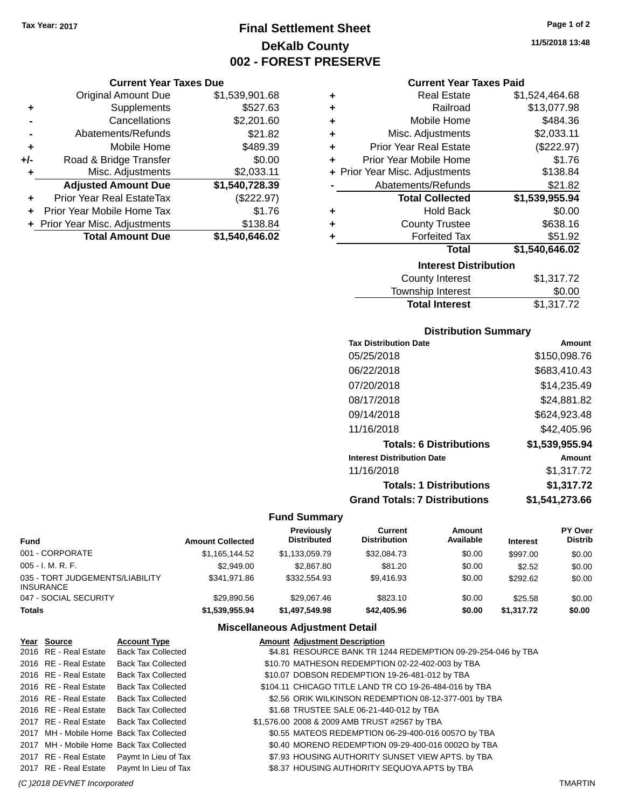# **Final Settlement Sheet Tax Year: 2017 Page 1 of 2 DeKalb County 002 - FOREST PRESERVE**

## **Current Year Taxes Due**

|     | <b>Original Amount Due</b>     | \$1,539,901.68 |
|-----|--------------------------------|----------------|
| ٠   | Supplements                    | \$527.63       |
|     | Cancellations                  | \$2,201.60     |
|     | Abatements/Refunds             | \$21.82        |
| ٠   | Mobile Home                    | \$489.39       |
| +/- | Road & Bridge Transfer         | \$0.00         |
| ٠   | Misc. Adjustments              | \$2,033.11     |
|     | <b>Adjusted Amount Due</b>     | \$1,540,728.39 |
|     | Prior Year Real EstateTax      | (\$222.97)     |
|     | Prior Year Mobile Home Tax     | \$1.76         |
|     | + Prior Year Misc. Adjustments | \$138.84       |
|     | <b>Total Amount Due</b>        | \$1,540,646.02 |

|   | <b>Interest Distribution</b><br>. |                |  |  |  |
|---|-----------------------------------|----------------|--|--|--|
|   | <b>Total</b>                      | \$1,540,646.02 |  |  |  |
| ٠ | <b>Forfeited Tax</b>              | \$51.92        |  |  |  |
| ٠ | <b>County Trustee</b>             | \$638.16       |  |  |  |
| ٠ | <b>Hold Back</b>                  | \$0.00         |  |  |  |
|   | <b>Total Collected</b>            | \$1,539,955.94 |  |  |  |
|   | Abatements/Refunds                | \$21.82        |  |  |  |
|   | + Prior Year Misc. Adjustments    | \$138.84       |  |  |  |
| ٠ | Prior Year Mobile Home            | \$1.76         |  |  |  |
| ٠ | <b>Prior Year Real Estate</b>     | (\$222.97)     |  |  |  |
| ÷ | Misc. Adjustments                 | \$2,033.11     |  |  |  |
| ÷ | Mobile Home                       | \$484.36       |  |  |  |
| ٠ | Railroad                          | \$13,077.98    |  |  |  |
| ٠ | <b>Real Estate</b>                | \$1,524,464.68 |  |  |  |

| <b>Total Interest</b> | \$1,317.72 |
|-----------------------|------------|
| Township Interest     | \$0.00     |
| County Interest       | \$1,317.72 |

# **Distribution Summary**

| Amount         |
|----------------|
| \$150,098.76   |
| \$683,410.43   |
| \$14.235.49    |
| \$24,881.82    |
| \$624,923.48   |
| \$42,405.96    |
| \$1,539,955.94 |
| Amount         |
| \$1,317.72     |
| \$1.317.72     |
| \$1.541.273.66 |
|                |

# **Fund Summary**

| Fund                                         | <b>Amount Collected</b> | Previously<br><b>Distributed</b> | Current<br><b>Distribution</b> | Amount<br>Available | <b>Interest</b> | PY Over<br><b>Distrib</b> |
|----------------------------------------------|-------------------------|----------------------------------|--------------------------------|---------------------|-----------------|---------------------------|
| 001 - CORPORATE                              | \$1.165.144.52          | \$1.133.059.79                   | \$32,084.73                    | \$0.00              | \$997.00        | \$0.00                    |
| 005 - I. M. R. F.                            | \$2.949.00              | \$2,867.80                       | \$81.20                        | \$0.00              | \$2.52          | \$0.00                    |
| 035 - TORT JUDGEMENTS/LIABILITY<br>INSURANCE | \$341.971.86            | \$332.554.93                     | \$9,416.93                     | \$0.00              | \$292.62        | \$0.00                    |
| 047 - SOCIAL SECURITY                        | \$29.890.56             | \$29.067.46                      | \$823.10                       | \$0.00              | \$25.58         | \$0.00                    |
| Totals                                       | \$1,539,955,94          | \$1,497,549,98                   | \$42,405.96                    | \$0.00              | \$1,317.72      | \$0.00                    |

## **Miscellaneous Adjustment Detail**

| Year Source           | <b>Account Type</b>                        | <b>Amount Adjustment Description</b>                         |
|-----------------------|--------------------------------------------|--------------------------------------------------------------|
| 2016 RE - Real Estate | <b>Back Tax Collected</b>                  | \$4.81 RESOURCE BANK TR 1244 REDEMPTION 09-29-254-046 by TBA |
| 2016 RE - Real Estate | <b>Back Tax Collected</b>                  | \$10.70 MATHESON REDEMPTION 02-22-402-003 by TBA             |
| 2016 RE - Real Estate | <b>Back Tax Collected</b>                  | \$10.07 DOBSON REDEMPTION 19-26-481-012 by TBA               |
| 2016 RE - Real Estate | <b>Back Tax Collected</b>                  | \$104.11 CHICAGO TITLE LAND TR CO 19-26-484-016 by TBA       |
| 2016 RE - Real Estate | <b>Back Tax Collected</b>                  | \$2.56 ORIK WILKINSON REDEMPTION 08-12-377-001 by TBA        |
| 2016 RE - Real Estate | <b>Back Tax Collected</b>                  | \$1.68 TRUSTEE SALE 06-21-440-012 by TBA                     |
|                       | 2017 RE - Real Estate Back Tax Collected   | \$1,576.00 2008 & 2009 AMB TRUST #2567 by TBA                |
|                       | 2017 MH - Mobile Home Back Tax Collected   | \$0.55 MATEOS REDEMPTION 06-29-400-016 0057O by TBA          |
|                       | 2017 MH - Mobile Home Back Tax Collected   | \$0.40 MORENO REDEMPTION 09-29-400-016 0002O by TBA          |
|                       | 2017 RE - Real Estate Paymt In Lieu of Tax | \$7.93 HOUSING AUTHORITY SUNSET VIEW APTS. by TBA            |
|                       | 2017 RE - Real Estate Paymt In Lieu of Tax | \$8.37 HOUSING AUTHORITY SEQUOYA APTS by TBA                 |
|                       |                                            |                                                              |

**11/5/2018 13:48**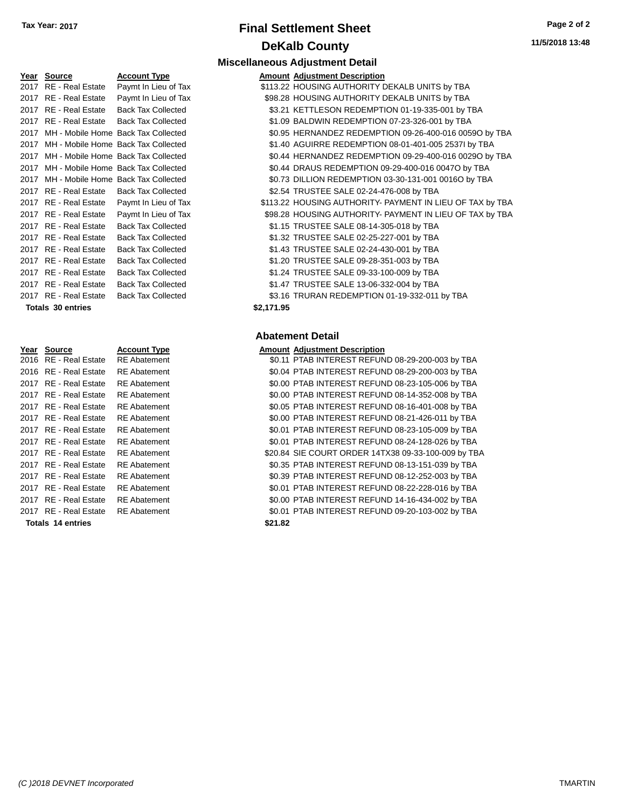# **Final Settlement Sheet Tax Year: 2017 Page 2 of 2 DeKalb County**

| Year | Source                  | Account Typ          |
|------|-------------------------|----------------------|
| 2017 | RE - Real Estate        | Paymt In Lieu        |
| 2017 | RE - Real Estate        | Paymt In Lieu        |
| 2017 | <b>RE</b> - Real Estate | Back Tax Coll        |
| 2017 | RE - Real Estate        | Back Tax Coll        |
| 2017 | MH - Mobile Home        | <b>Back Tax Coll</b> |
| 2017 | MH - Mobile Home        | Back Tax Coll        |
| 2017 | MH - Mobile Home        | <b>Back Tax Coll</b> |
| 2017 | MH - Mobile Home        | <b>Back Tax Coll</b> |
| 2017 | MH - Mobile Home        | <b>Back Tax Coll</b> |
| 2017 | RE - Real Estate        | Back Tax Coll        |
| 2017 | RE - Real Estate        | Paymt In Lieu        |
| 2017 | RE - Real Estate        | Paymt In Lieu        |
| 2017 | RE - Real Estate        | Back Tax Coll        |
| 2017 | RE - Real Estate        | Back Tax Coll        |
| 2017 | RE - Real Estate        | Back Tax Coll        |
| 2017 | RE - Real Estate        | Back Tax Coll        |
| 2017 | RE - Real Estate        | Back Tax Coll        |
| 2017 | RE - Real Estate        | Back Tax Coll        |
| 2017 | RE - Real Estate        | Back Tax Coll        |

#### **Totals \$2,171.95 30 entries**

| Year | Source                | <b>Account Type</b> |         | <b>Amount Adjustment Description</b> |
|------|-----------------------|---------------------|---------|--------------------------------------|
|      | 2016 RE - Real Estate | <b>RE</b> Abatement |         | \$0.11 PTAB INTEREST REFUN           |
|      | 2016 RE - Real Estate | <b>RE</b> Abatement |         | \$0.04 PTAB INTEREST REFUN           |
|      | 2017 RE - Real Estate | <b>RE</b> Abatement |         | \$0.00 PTAB INTEREST REFUN           |
|      | 2017 RE - Real Estate | <b>RE</b> Abatement |         | \$0.00 PTAB INTEREST REFUN           |
|      | 2017 RE - Real Estate | <b>RE</b> Abatement |         | \$0.05 PTAB INTEREST REFUN           |
|      | 2017 RE - Real Estate | <b>RE</b> Abatement |         | \$0.00 PTAB INTEREST REFUN           |
|      | 2017 RE - Real Estate | <b>RE</b> Abatement |         | \$0.01 PTAB INTEREST REFUN           |
|      | 2017 RE - Real Estate | <b>RE</b> Abatement |         | \$0.01 PTAB INTEREST REFUN           |
|      | 2017 RE - Real Estate | <b>RE</b> Abatement |         | \$20.84 SIE COURT ORDER 14T          |
|      | 2017 RE - Real Estate | <b>RE</b> Abatement |         | \$0.35 PTAB INTEREST REFUN           |
|      | 2017 RE - Real Estate | <b>RE</b> Abatement |         | \$0.39 PTAB INTEREST REFUN           |
|      | 2017 RE - Real Estate | <b>RE</b> Abatement |         | \$0.01 PTAB INTEREST REFUN           |
|      | 2017 RE - Real Estate | <b>RE</b> Abatement |         | \$0.00 PTAB INTEREST REFUN           |
|      | 2017 RE - Real Estate | <b>RE</b> Abatement |         | \$0.01 PTAB INTEREST REFUN           |
|      | Totals 14 entries     |                     | \$21.82 |                                      |

## **Miscellaneous Adjustment Detail Peart Source Account Adjustment Description** of Tax 6113.22 HOUSING AUTHORITY DEKALB UNITS by TBA of Tax 698.28 HOUSING AUTHORITY DEKALB UNITS by TBA 2017 Real Estate Ass.21 KETTLESON REDEMPTION 01-19-335-001 by TBA ected **2017 SM - REALDWIN REDEMPTION 07-23-326-001 by TBA** 20.95 HERNANDEZ REDEMPTION 09-26-400-016 00590 by TBA lected **2017 12017 ST.40 AGUIRRE REDEMPTION 08-01-401-005 2537I by TBA** 2017 MH - Mobile Home S0.44 HERNANDEZ REDEMPTION 09-29-400-016 00290 by TBA 2017 MH - Mobile Home Tax - Mobile Home Tax Collected State State State Tax Collected State Tax Collected State Tax Collected State Tax Collected State Tax Collected State Tax Collected State Tax Collected State Tax Collec 20.73 DILLION REDEMPTION 03-30-131-001 0016O by TBA

ected **\$2.54 TRUSTEE SALE 02-24-476-008 by TBA** of Tax 6113.22 HOUSING AUTHORITY- PAYMENT IN LIEU OF TAX by TBA of Tax 698.28 HOUSING AUTHORITY- PAYMENT IN LIEU OF TAX by TBA ected **2017 81.15 TRUSTEE SALE 08-14-305-018 by TBA** ected **\$1.32 TRUSTEE SALE 02-25-227-001 by TBA** 2017 RUSTEE SALE 02-24-430-001 by TBA ected **2018 STATE SALE 09-28-351-003 by TBA** ected **2017 81.24 TRUSTEE SALE 09-33-100-009 by TBA** 2017 Bected 2017 Back ALE 55 SALE 13-06-332-004 by TBA ected **2017 83.16 TRURAN REDEMPTION 01-19-332-011 by TBA** 

| Amount Adjustment Description |  |
|-------------------------------|--|
|                               |  |

| 2016 RE - Real Estate    | <b>RE</b> Abatement | \$0.11 PTAB INTEREST REFUND 08-29-200-003 by TBA    |
|--------------------------|---------------------|-----------------------------------------------------|
| 2016 RE - Real Estate    | <b>RE</b> Abatement | \$0.04 PTAB INTEREST REFUND 08-29-200-003 by TBA    |
| 2017 RE - Real Estate    | <b>RE</b> Abatement | \$0.00 PTAB INTEREST REFUND 08-23-105-006 by TBA    |
| 2017 RE - Real Estate    | <b>RE</b> Abatement | \$0.00 PTAB INTEREST REFUND 08-14-352-008 by TBA    |
| 2017 RE - Real Estate    | <b>RE</b> Abatement | \$0.05 PTAB INTEREST REFUND 08-16-401-008 by TBA    |
| 2017 RE - Real Estate    | <b>RE</b> Abatement | \$0.00 PTAB INTEREST REFUND 08-21-426-011 by TBA    |
| 2017 RE - Real Estate    | <b>RE</b> Abatement | \$0.01 PTAB INTEREST REFUND 08-23-105-009 by TBA    |
| 2017 RE - Real Estate    | <b>RE</b> Abatement | \$0.01 PTAB INTEREST REFUND 08-24-128-026 by TBA    |
| 2017 RE - Real Estate    | <b>RE</b> Abatement | \$20.84 SIE COURT ORDER 14TX38 09-33-100-009 by TBA |
| 2017 RE - Real Estate    | <b>RE</b> Abatement | \$0.35 PTAB INTEREST REFUND 08-13-151-039 by TBA    |
| 2017 RE - Real Estate    | <b>RE</b> Abatement | \$0.39 PTAB INTEREST REFUND 08-12-252-003 by TBA    |
| 2017 RE - Real Estate    | <b>RE</b> Abatement | \$0.01 PTAB INTEREST REFUND 08-22-228-016 by TBA    |
| 2017 RE - Real Estate    | <b>RE</b> Abatement | \$0.00 PTAB INTEREST REFUND 14-16-434-002 by TBA    |
| 2017 RE - Real Estate    | <b>RE</b> Abatement | \$0.01 PTAB INTEREST REFUND 09-20-103-002 by TBA    |
| <b>Totals 14 entries</b> |                     | \$21.82                                             |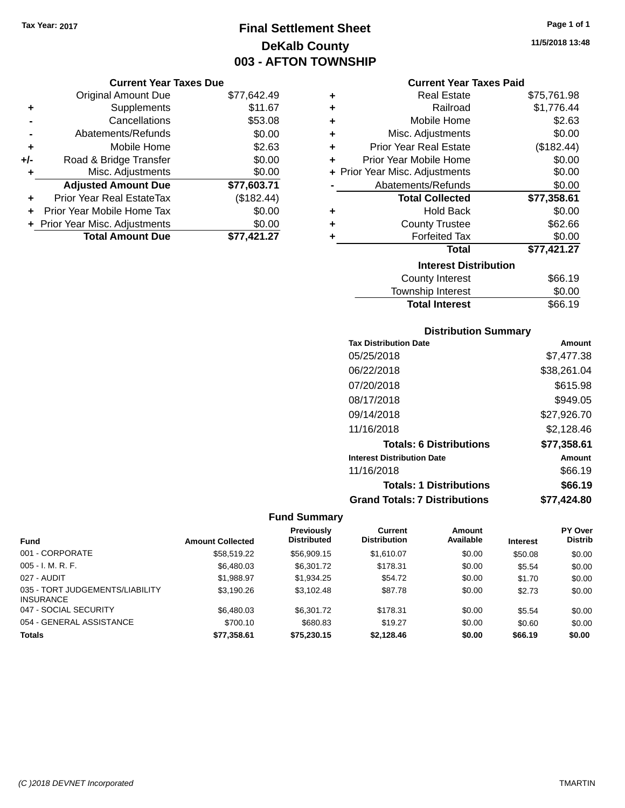# **Final Settlement Sheet Tax Year: 2017 Page 1 of 1 DeKalb County 003 - AFTON TOWNSHIP**

**11/5/2018 13:48**

## **Current Year Taxes Due**

|     | <b>Original Amount Due</b>     | \$77,642.49 |
|-----|--------------------------------|-------------|
| ٠   | Supplements                    | \$11.67     |
|     | Cancellations                  | \$53.08     |
|     | Abatements/Refunds             | \$0.00      |
| ÷   | Mobile Home                    | \$2.63      |
| +/- | Road & Bridge Transfer         | \$0.00      |
| ٠   | Misc. Adjustments              | \$0.00      |
|     | <b>Adjusted Amount Due</b>     | \$77,603.71 |
| ٠   | Prior Year Real EstateTax      | (\$182.44)  |
|     | Prior Year Mobile Home Tax     | \$0.00      |
|     | + Prior Year Misc. Adjustments | \$0.00      |
|     | <b>Total Amount Due</b>        | \$77,421.27 |

|   | <b>Current Year Taxes Paid</b> |             |  |  |  |
|---|--------------------------------|-------------|--|--|--|
| ٠ | <b>Real Estate</b>             | \$75,761.98 |  |  |  |
| ٠ | Railroad                       | \$1,776.44  |  |  |  |
| ٠ | Mobile Home                    | \$2.63      |  |  |  |
| ٠ | Misc. Adjustments              | \$0.00      |  |  |  |
| ٠ | <b>Prior Year Real Estate</b>  | (\$182.44)  |  |  |  |
| ٠ | Prior Year Mobile Home         | \$0.00      |  |  |  |
|   | + Prior Year Misc. Adjustments | \$0.00      |  |  |  |
|   | Abatements/Refunds             | \$0.00      |  |  |  |
|   | <b>Total Collected</b>         | \$77,358.61 |  |  |  |
| ٠ | <b>Hold Back</b>               | \$0.00      |  |  |  |
| ÷ | <b>County Trustee</b>          | \$62.66     |  |  |  |
| ÷ | <b>Forfeited Tax</b>           | \$0.00      |  |  |  |
|   | <b>Total</b>                   | \$77,421.27 |  |  |  |
|   | <b>Interest Distribution</b>   |             |  |  |  |
|   | <b>County Interest</b>         | \$66.19     |  |  |  |
|   | <b>Township Interest</b>       | \$0.00      |  |  |  |
|   | <b>Total Interest</b>          | \$66.19     |  |  |  |

# **Distribution Summary**

| <b>Tax Distribution Date</b>         | Amount      |
|--------------------------------------|-------------|
| 05/25/2018                           | \$7,477.38  |
| 06/22/2018                           | \$38,261.04 |
| 07/20/2018                           | \$615.98    |
| 08/17/2018                           | \$949.05    |
| 09/14/2018                           | \$27,926.70 |
| 11/16/2018                           | \$2,128.46  |
| <b>Totals: 6 Distributions</b>       | \$77,358.61 |
| <b>Interest Distribution Date</b>    | Amount      |
| 11/16/2018                           | \$66.19     |
| <b>Totals: 1 Distributions</b>       | \$66.19     |
| <b>Grand Totals: 7 Distributions</b> | \$77,424.80 |

|                                                     |                         | <b>Previously</b>  | <b>Current</b>      | <b>Amount</b> |                 | <b>PY Over</b> |
|-----------------------------------------------------|-------------------------|--------------------|---------------------|---------------|-----------------|----------------|
| <b>Fund</b>                                         | <b>Amount Collected</b> | <b>Distributed</b> | <b>Distribution</b> | Available     | <b>Interest</b> | <b>Distrib</b> |
| 001 - CORPORATE                                     | \$58,519.22             | \$56,909.15        | \$1,610.07          | \$0.00        | \$50.08         | \$0.00         |
| $005 - I. M. R. F.$                                 | \$6,480.03              | \$6.301.72         | \$178.31            | \$0.00        | \$5.54          | \$0.00         |
| 027 - AUDIT                                         | \$1,988.97              | \$1,934.25         | \$54.72             | \$0.00        | \$1.70          | \$0.00         |
| 035 - TORT JUDGEMENTS/LIABILITY<br><b>INSURANCE</b> | \$3,190.26              | \$3.102.48         | \$87.78             | \$0.00        | \$2.73          | \$0.00         |
| 047 - SOCIAL SECURITY                               | \$6,480.03              | \$6,301.72         | \$178.31            | \$0.00        | \$5.54          | \$0.00         |
| 054 - GENERAL ASSISTANCE                            | \$700.10                | \$680.83           | \$19.27             | \$0.00        | \$0.60          | \$0.00         |
| <b>Totals</b>                                       | \$77,358.61             | \$75,230.15        | \$2,128.46          | \$0.00        | \$66.19         | \$0.00         |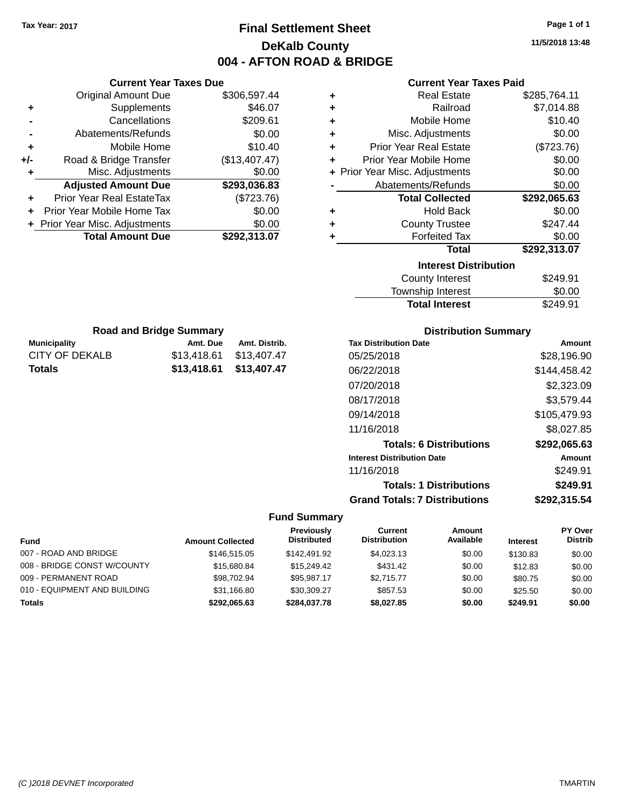# **Final Settlement Sheet Tax Year: 2017 Page 1 of 1 DeKalb County 004 - AFTON ROAD**

**11/5/2018 13:48**

| OAD & BRIDGE                   |                                |              |
|--------------------------------|--------------------------------|--------------|
|                                | <b>Current Year Taxes Paid</b> |              |
| ٠                              | <b>Real Estate</b>             | \$285,764.11 |
| ٠                              | Railroad                       | \$7,014.88   |
| ÷                              | Mobile Home                    | \$10.40      |
| ٠                              | Misc. Adjustments              | \$0.00       |
| ÷                              | <b>Prior Year Real Estate</b>  | (\$723.76)   |
| ÷                              | Prior Year Mobile Home         | \$0.00       |
| + Prior Year Misc. Adjustments | \$0.00                         |              |
|                                | \$0.00                         |              |
|                                | <b>Total Collected</b>         | \$292,065.63 |
| ٠                              | <b>Hold Back</b>               | \$0.00       |
| ٠                              | <b>County Trustee</b>          | \$247.44     |
| ٠                              | <b>Forfeited Tax</b>           | \$0.00       |
|                                | Total                          | \$292,313.07 |
|                                | <b>Interest Distribution</b>   |              |
|                                | <b>County Interest</b>         | \$249.91     |
|                                | <b>Township Interest</b>       | \$0.00       |
|                                | <b>Total Interest</b>          | \$249.91     |

|                     | <b>Road and Bridge Summary</b> |               |
|---------------------|--------------------------------|---------------|
| <b>Municipality</b> | Amt. Due                       | Amt. Distrib. |
| CITY OF DEKALB      | \$13,418.61                    | \$13,407.47   |

**Totals \$13,418.61 \$13,407.47**

**Current Year Taxes Due** Original Amount Due \$306,597.44

**Adjusted Amount Due \$293,036.83**

**Total Amount Due \$292,313.07**

**+** Supplements \$46.07 **-** Cancellations \$209.61 **-** Abatements/Refunds \$0.00 **+** Mobile Home \$10.40 **+/-** Road & Bridge Transfer (\$13,407.47) **+** Misc. Adjustments \$0.00

**+** Prior Year Real EstateTax (\$723.76) **+** Prior Year Mobile Home Tax \$0.00 **+ Prior Year Misc. Adjustments**  $$0.00$ 

|  | <b>Distribution Summary</b> |  |
|--|-----------------------------|--|
|  |                             |  |

| <b>Tax Distribution Date</b>         | Amount       |
|--------------------------------------|--------------|
| 05/25/2018                           | \$28,196.90  |
| 06/22/2018                           | \$144,458.42 |
| 07/20/2018                           | \$2,323,09   |
| 08/17/2018                           | \$3,579.44   |
| 09/14/2018                           | \$105,479.93 |
| 11/16/2018                           | \$8,027.85   |
| <b>Totals: 6 Distributions</b>       | \$292,065.63 |
| <b>Interest Distribution Date</b>    | Amount       |
| 11/16/2018                           | \$249.91     |
| <b>Totals: 1 Distributions</b>       | \$249.91     |
| <b>Grand Totals: 7 Distributions</b> | \$292,315.54 |

| <b>Fund</b>                  | <b>Amount Collected</b> | <b>Previously</b><br><b>Distributed</b> | Current<br><b>Distribution</b> | Amount<br>Available | <b>Interest</b> | PY Over<br><b>Distrib</b> |
|------------------------------|-------------------------|-----------------------------------------|--------------------------------|---------------------|-----------------|---------------------------|
| 007 - ROAD AND BRIDGE        | \$146,515,05            | \$142,491.92                            | \$4.023.13                     | \$0.00              | \$130.83        | \$0.00                    |
| 008 - BRIDGE CONST W/COUNTY  | \$15,680.84             | \$15,249.42                             | \$431.42                       | \$0.00              | \$12.83         | \$0.00                    |
| 009 - PERMANENT ROAD         | \$98.702.94             | \$95.987.17                             | \$2.715.77                     | \$0.00              | \$80.75         | \$0.00                    |
| 010 - EQUIPMENT AND BUILDING | \$31,166.80             | \$30,309.27                             | \$857.53                       | \$0.00              | \$25.50         | \$0.00                    |
| <b>Totals</b>                | \$292,065.63            | \$284,037.78                            | \$8,027.85                     | \$0.00              | \$249.91        | \$0.00                    |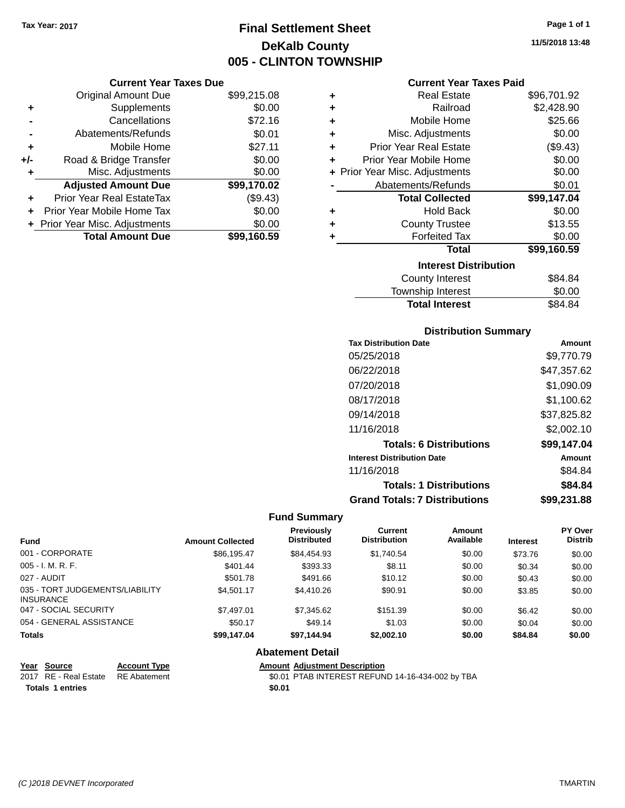# **Final Settlement Sheet Tax Year: 2017 Page 1 of 1 DeKalb County 005 - CLINTON TOWNSHIP**

**11/5/2018 13:48**

### **Current Year Taxes Paid**

|     | <b>Current Year Taxes Due</b>  |             |
|-----|--------------------------------|-------------|
|     | <b>Original Amount Due</b>     | \$99,215.08 |
| ٠   | Supplements                    | \$0.00      |
|     | Cancellations                  | \$72.16     |
|     | Abatements/Refunds             | \$0.01      |
| ٠   | Mobile Home                    | \$27.11     |
| +/- | Road & Bridge Transfer         | \$0.00      |
| ٠   | Misc. Adjustments              | \$0.00      |
|     | <b>Adjusted Amount Due</b>     | \$99,170.02 |
| ٠   | Prior Year Real EstateTax      | (\$9.43)    |
| ÷   | Prior Year Mobile Home Tax     | \$0.00      |
|     | + Prior Year Misc. Adjustments | \$0.00      |
|     | <b>Total Amount Due</b>        | \$99,160.59 |

| ٠ | Real Estate                    | \$96,701.92 |
|---|--------------------------------|-------------|
| ٠ | Railroad                       | \$2,428.90  |
| ٠ | Mobile Home                    | \$25.66     |
| ٠ | Misc. Adjustments              | \$0.00      |
| ٠ | Prior Year Real Estate         | (\$9.43)    |
| ٠ | Prior Year Mobile Home         | \$0.00      |
|   | + Prior Year Misc. Adjustments | \$0.00      |
|   | Abatements/Refunds             | \$0.01      |
|   | <b>Total Collected</b>         | \$99,147.04 |
| ٠ | <b>Hold Back</b>               | \$0.00      |
| ٠ | <b>County Trustee</b>          | \$13.55     |
| ٠ | <b>Forfeited Tax</b>           | \$0.00      |
|   | <b>Total</b>                   | \$99,160.59 |
|   | <b>Interest Distribution</b>   |             |
|   | <b>County Interest</b>         | \$84.84     |
|   | <b>Township Interest</b>       | \$0.00      |
|   | <b>Total Interest</b>          | \$84.84     |

## **Distribution Summary**

| <b>Tax Distribution Date</b>         | Amount      |
|--------------------------------------|-------------|
| 05/25/2018                           | \$9,770.79  |
| 06/22/2018                           | \$47,357.62 |
| 07/20/2018                           | \$1,090.09  |
| 08/17/2018                           | \$1,100.62  |
| 09/14/2018                           | \$37,825.82 |
| 11/16/2018                           | \$2,002.10  |
| <b>Totals: 6 Distributions</b>       | \$99,147.04 |
| <b>Interest Distribution Date</b>    | Amount      |
| 11/16/2018                           | \$84.84     |
| <b>Totals: 1 Distributions</b>       | \$84.84     |
| <b>Grand Totals: 7 Distributions</b> | \$99.231.88 |

# **Fund Summary**

| <b>Fund</b>                                         | <b>Amount Collected</b> | Previously<br><b>Distributed</b> | Current<br><b>Distribution</b> | Amount<br>Available | <b>Interest</b> | PY Over<br><b>Distrib</b> |
|-----------------------------------------------------|-------------------------|----------------------------------|--------------------------------|---------------------|-----------------|---------------------------|
| 001 - CORPORATE                                     | \$86,195.47             | \$84,454.93                      | \$1,740.54                     | \$0.00              | \$73.76         | \$0.00                    |
| $005 - I. M. R. F.$                                 | \$401.44                | \$393.33                         | \$8.11                         | \$0.00              | \$0.34          | \$0.00                    |
| 027 - AUDIT                                         | \$501.78                | \$491.66                         | \$10.12                        | \$0.00              | \$0.43          | \$0.00                    |
| 035 - TORT JUDGEMENTS/LIABILITY<br><b>INSURANCE</b> | \$4,501.17              | \$4,410.26                       | \$90.91                        | \$0.00              | \$3.85          | \$0.00                    |
| 047 - SOCIAL SECURITY                               | \$7.497.01              | \$7,345.62                       | \$151.39                       | \$0.00              | \$6.42          | \$0.00                    |
| 054 - GENERAL ASSISTANCE                            | \$50.17                 | \$49.14                          | \$1.03                         | \$0.00              | \$0.04          | \$0.00                    |
| <b>Totals</b>                                       | \$99,147.04             | \$97,144.94                      | \$2,002.10                     | \$0.00              | \$84.84         | \$0.00                    |

| Year Source                        | <b>Account Type</b> | <b>Amount Adiustment Description</b>             |
|------------------------------------|---------------------|--------------------------------------------------|
| 2017 RE - Real Estate RE Abatement |                     | \$0.01 PTAB INTEREST REFUND 14-16-434-002 by TBA |
| <b>Totals 1 entries</b>            |                     | \$0.01                                           |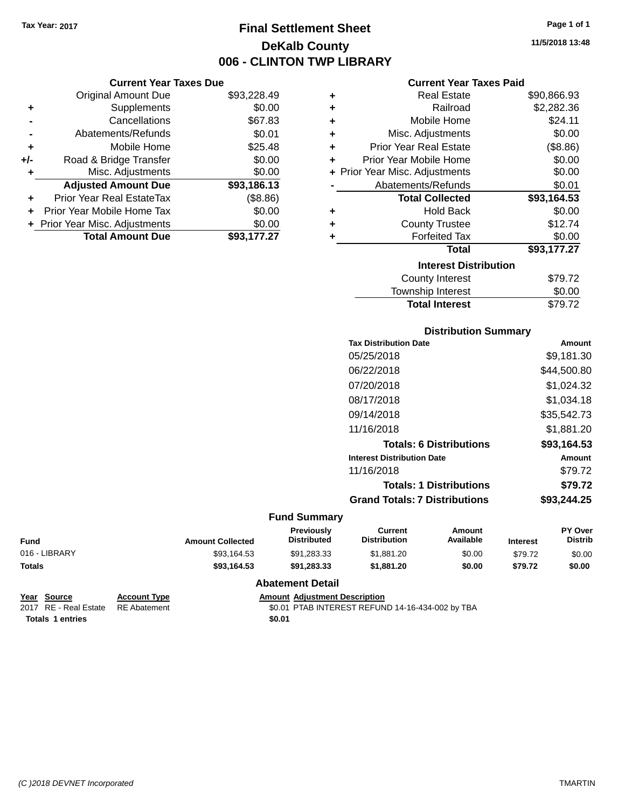# **Final Settlement Sheet Tax Year: 2017 Page 1 of 1 DeKalb County 006 - CLINTON TWP LIBRARY**

**11/5/2018 13:48**

|  | <b>Current Year Taxes Paid</b> |  |  |  |
|--|--------------------------------|--|--|--|
|--|--------------------------------|--|--|--|

|     | <b>Current Year Taxes Due</b>  |             |
|-----|--------------------------------|-------------|
|     | <b>Original Amount Due</b>     | \$93,228.49 |
| ٠   | Supplements                    | \$0.00      |
|     | Cancellations                  | \$67.83     |
|     | Abatements/Refunds             | \$0.01      |
| ٠   | Mobile Home                    | \$25.48     |
| +/- | Road & Bridge Transfer         | \$0.00      |
| ٠   | Misc. Adjustments              | \$0.00      |
|     | <b>Adjusted Amount Due</b>     | \$93,186.13 |
| ٠   | Prior Year Real EstateTax      | (\$8.86)    |
| ٠   | Prior Year Mobile Home Tax     | \$0.00      |
|     | + Prior Year Misc. Adjustments | \$0.00      |
|     | <b>Total Amount Due</b>        | \$93.177.27 |
|     |                                |             |

| ٠ | Real Estate                    | \$90,866.93 |
|---|--------------------------------|-------------|
| ÷ | Railroad                       | \$2,282.36  |
| ÷ | Mobile Home                    | \$24.11     |
| ÷ | Misc. Adjustments              | \$0.00      |
| ٠ | <b>Prior Year Real Estate</b>  | (\$8.86)    |
| ٠ | Prior Year Mobile Home         | \$0.00      |
|   | + Prior Year Misc. Adjustments | \$0.00      |
|   | Abatements/Refunds             | \$0.01      |
|   | <b>Total Collected</b>         | \$93,164.53 |
| ٠ | Hold Back                      | \$0.00      |
| ٠ | <b>County Trustee</b>          | \$12.74     |
| ٠ | <b>Forfeited Tax</b>           | \$0.00      |
|   | <b>Total</b>                   | \$93,177.27 |
|   | <b>Interest Distribution</b>   |             |
|   | <b>County Interest</b>         | \$79.72     |
|   | <b>Township Interest</b>       | \$0.00      |
|   | <b>Total Interest</b>          | \$79.72     |

# **Distribution Summary**

| <b>Tax Distribution Date</b>         | Amount      |
|--------------------------------------|-------------|
| 05/25/2018                           | \$9,181.30  |
| 06/22/2018                           | \$44,500.80 |
| 07/20/2018                           | \$1,024.32  |
| 08/17/2018                           | \$1,034.18  |
| 09/14/2018                           | \$35,542.73 |
| 11/16/2018                           | \$1.881.20  |
| <b>Totals: 6 Distributions</b>       | \$93.164.53 |
| <b>Interest Distribution Date</b>    | Amount      |
| 11/16/2018                           | \$79.72     |
| <b>Totals: 1 Distributions</b>       | \$79.72     |
| <b>Grand Totals: 7 Distributions</b> | \$93,244.25 |
|                                      |             |

# **Fund Summary**

| <b>Fund</b>   | <b>Amount Collected</b> | <b>Previously</b><br><b>Distributed</b> | Current<br><b>Distribution</b> | Amount<br>Available | <b>Interest</b> | PY Over<br><b>Distrib</b> |
|---------------|-------------------------|-----------------------------------------|--------------------------------|---------------------|-----------------|---------------------------|
| 016 - LIBRARY | \$93.164.53             | \$91.283.33                             | \$1,881.20                     | \$0.00              | \$79.72         | \$0.00                    |
| <b>Totals</b> | \$93.164.53             | \$91.283.33                             | \$1,881.20                     | \$0.00              | \$79.72         | \$0.00                    |

| Year Source                        | <b>Account Type</b> | <b>Amount Adiustment Description</b>             |
|------------------------------------|---------------------|--------------------------------------------------|
| 2017 RE - Real Estate RE Abatement |                     | \$0.01 PTAB INTEREST REFUND 14-16-434-002 by TBA |
| Totals 1 entries                   |                     | \$0.01                                           |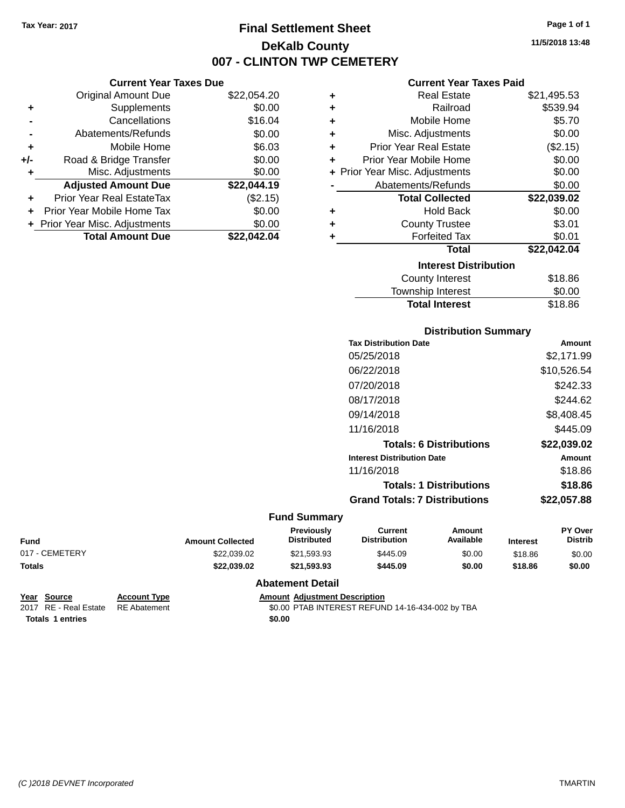# **Final Settlement Sheet Tax Year: 2017 Page 1 of 1 DeKalb County 007 - CLINTON TWP CEMETERY**

**11/5/2018 13:48**

#### **Current Year Taxes Paid**

|     | <b>Current Year Taxes Due</b>  |             |
|-----|--------------------------------|-------------|
|     | <b>Original Amount Due</b>     | \$22,054.20 |
| ٠   | Supplements                    | \$0.00      |
|     | Cancellations                  | \$16.04     |
|     | Abatements/Refunds             | \$0.00      |
| ٠   | Mobile Home                    | \$6.03      |
| +/- | Road & Bridge Transfer         | \$0.00      |
| ٠   | Misc. Adjustments              | \$0.00      |
|     | <b>Adjusted Amount Due</b>     | \$22,044.19 |
| ٠   | Prior Year Real EstateTax      | (\$2.15)    |
| ÷   | Prior Year Mobile Home Tax     | \$0.00      |
|     | + Prior Year Misc. Adjustments | \$0.00      |
|     | <b>Total Amount Due</b>        | \$22.042.04 |

| ٠ | <b>Real Estate</b>             | \$21,495.53 |
|---|--------------------------------|-------------|
| ٠ | Railroad                       | \$539.94    |
| ٠ | Mobile Home                    | \$5.70      |
| ٠ | Misc. Adjustments              | \$0.00      |
| ٠ | <b>Prior Year Real Estate</b>  | (\$2.15)    |
| ٠ | Prior Year Mobile Home         | \$0.00      |
|   | + Prior Year Misc. Adjustments | \$0.00      |
|   | Abatements/Refunds             | \$0.00      |
|   | <b>Total Collected</b>         | \$22,039.02 |
| ٠ | <b>Hold Back</b>               | \$0.00      |
| ٠ | <b>County Trustee</b>          | \$3.01      |
| ٠ | <b>Forfeited Tax</b>           | \$0.01      |
|   | <b>Total</b>                   | \$22,042.04 |
|   | <b>Interest Distribution</b>   |             |
|   | County Interest                | \$18.86     |
|   | <b>Township Interest</b>       | \$0.00      |
|   | <b>Total Interest</b>          | \$18.86     |

# **Distribution Summary Tax Distribution Date Amount** 05/25/2018 \$2,171.99 06/22/2018 \$10,526.54 07/20/2018 \$242.33 08/17/2018 \$244.62 09/14/2018 \$8,408.45 11/16/2018 **\$445.09 Totals: 6 Distributions \$22,039.02 Interest Distribution Date Amount** 11/16/2018 \$18.86 **Totals: 1 Distributions \$18.86 Grand Totals: 7 Distributions \$22,057.88**

#### **Fund Summary**

| <b>Amount Collected</b> | <b>Distributed</b> | <b>Distribution</b> | Available | <b>Interest</b>                        | <b>PY Over</b><br><b>Distrib</b> |
|-------------------------|--------------------|---------------------|-----------|----------------------------------------|----------------------------------|
| \$22,039.02             | \$21.593.93        | \$445.09            | \$0.00    | \$18.86                                | \$0.00                           |
| \$22.039.02             | \$21.593.93        | \$445.09            | \$0.00    | \$18.86                                | \$0.00                           |
|                         |                    |                     |           | <b>Previously</b><br>Current<br>Amount |                                  |

| Year Source                        | <b>Account Type</b> | <b>Amount Adiustment Description</b>             |
|------------------------------------|---------------------|--------------------------------------------------|
| 2017 RE - Real Estate RE Abatement |                     | \$0.00 PTAB INTEREST REFUND 14-16-434-002 by TBA |
| <b>Totals 1 entries</b>            |                     | \$0.00                                           |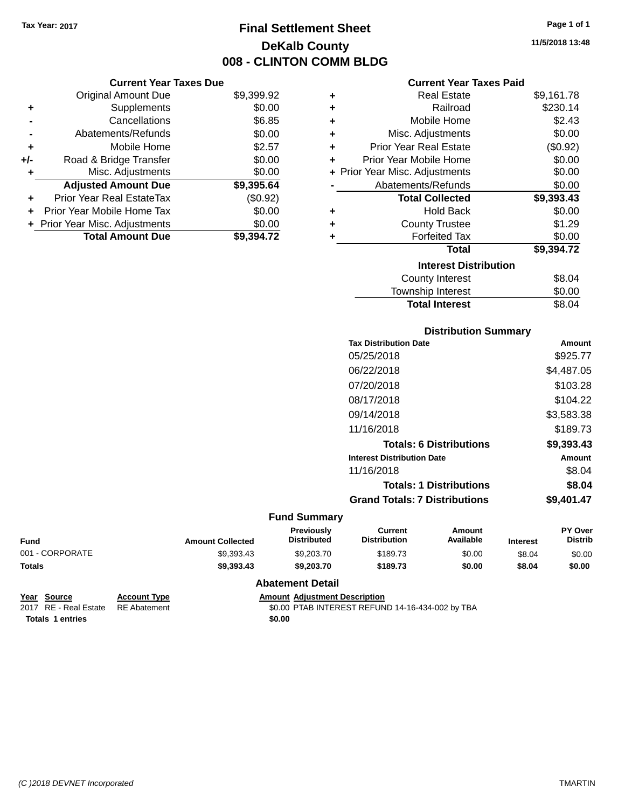**Current Year Taxes Due** Original Amount Due \$9,399.92

**Adjusted Amount Due \$9,395.64**

**Total Amount Due \$9,394.72**

**+** Supplements \$0.00 **-** Cancellations \$6.85 **-** Abatements/Refunds \$0.00 **+** Mobile Home \$2.57 **+/-** Road & Bridge Transfer \$0.00 **+** Misc. Adjustments \$0.00

**+** Prior Year Real EstateTax (\$0.92) **+** Prior Year Mobile Home Tax \$0.00 **+ Prior Year Misc. Adjustments**  $$0.00$ 

# **Final Settlement Sheet Tax Year: 2017 Page 1 of 1 DeKalb County 008 - CLINTON COMM BLDG**

#### **Current Year Taxes Paid**

| ÷ | <b>Real Estate</b>             | \$9,161.78 |
|---|--------------------------------|------------|
| ٠ | Railroad                       | \$230.14   |
| ٠ | Mobile Home                    | \$2.43     |
| ٠ | Misc. Adjustments              | \$0.00     |
| ٠ | <b>Prior Year Real Estate</b>  | (\$0.92)   |
| ÷ | Prior Year Mobile Home         | \$0.00     |
|   | + Prior Year Misc. Adjustments | \$0.00     |
|   | Abatements/Refunds             | \$0.00     |
|   | <b>Total Collected</b>         | \$9,393.43 |
| ٠ | <b>Hold Back</b>               | \$0.00     |
| ٠ | <b>County Trustee</b>          | \$1.29     |
| ٠ | <b>Forfeited Tax</b>           | \$0.00     |
|   |                                |            |
|   | <b>Total</b>                   | \$9,394.72 |
|   | <b>Interest Distribution</b>   |            |
|   | <b>County Interest</b>         | \$8.04     |

## **Distribution Summary**

**Total Interest** \$8.04

| <b>Tax Distribution Date</b>         | Amount     |
|--------------------------------------|------------|
| 05/25/2018                           | \$925.77   |
| 06/22/2018                           | \$4,487.05 |
| 07/20/2018                           | \$103.28   |
| 08/17/2018                           | \$104.22   |
| 09/14/2018                           | \$3,583.38 |
| 11/16/2018                           | \$189.73   |
| <b>Totals: 6 Distributions</b>       | \$9,393.43 |
| <b>Interest Distribution Date</b>    | Amount     |
| 11/16/2018                           | \$8.04     |
| <b>Totals: 1 Distributions</b>       | \$8.04     |
| <b>Grand Totals: 7 Distributions</b> | \$9,401.47 |
|                                      |            |

#### **Fund Summary**

| <b>Fund</b>     | <b>Amount Collected</b> | <b>Previously</b><br><b>Distributed</b> | Current<br><b>Distribution</b> | Amount<br>Available | <b>Interest</b> | <b>PY Over</b><br><b>Distrib</b> |
|-----------------|-------------------------|-----------------------------------------|--------------------------------|---------------------|-----------------|----------------------------------|
| 001 - CORPORATE | \$9.393.43              | \$9,203.70                              | \$189.73                       | \$0.00              | \$8.04          | \$0.00                           |
| <b>Totals</b>   | \$9,393,43              | \$9,203,70                              | \$189.73                       | \$0.00              | \$8.04          | \$0.00                           |

| Year Source                        | <b>Account Type</b> | <b>Amount Adiustment Description</b>             |
|------------------------------------|---------------------|--------------------------------------------------|
| 2017 RE - Real Estate RE Abatement |                     | \$0.00 PTAB INTEREST REFUND 14-16-434-002 by TBA |
| <b>Totals 1 entries</b>            |                     | \$0.00                                           |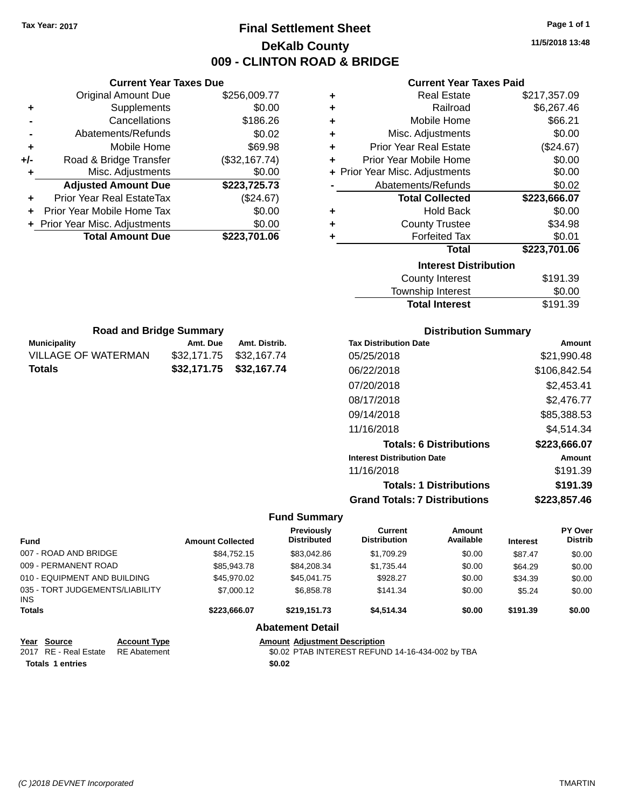# **Final Settlement Sheet Tax Year: 2017 Page 1 of 1 DeKalb County 009 - CLINTON ROAD & BRIDGE**

**11/5/2018 13:48**

### **Current Year Taxes Paid**

|     | <b>Current Year Taxes Due</b>  |               |
|-----|--------------------------------|---------------|
|     | <b>Original Amount Due</b>     | \$256,009.77  |
| ٠   | Supplements                    | \$0.00        |
|     | Cancellations                  | \$186.26      |
|     | Abatements/Refunds             | \$0.02        |
| ٠   | Mobile Home                    | \$69.98       |
| +/- | Road & Bridge Transfer         | (\$32,167.74) |
| ٠   | Misc. Adjustments              | \$0.00        |
|     | <b>Adjusted Amount Due</b>     | \$223,725.73  |
| ٠   | Prior Year Real EstateTax      | (\$24.67)     |
|     | Prior Year Mobile Home Tax     | \$0.00        |
|     | + Prior Year Misc. Adjustments | \$0.00        |
|     | <b>Total Amount Due</b>        | \$223,701.06  |
|     |                                |               |

**Municipality Municipality** Amt. Due Amt. Distrib. **Road and Bridge Summary**

VILLAGE OF WATERMAN \$32,171.75 \$32,167.74 **Totals \$32,171.75 \$32,167.74**

| ٠ | Real Estate                    | \$217,357.09 |
|---|--------------------------------|--------------|
| ٠ | Railroad                       | \$6,267.46   |
| ٠ | Mobile Home                    | \$66.21      |
| ٠ | Misc. Adjustments              | \$0.00       |
| ٠ | <b>Prior Year Real Estate</b>  | (\$24.67)    |
| ٠ | Prior Year Mobile Home         | \$0.00       |
|   | + Prior Year Misc. Adjustments | \$0.00       |
|   | Abatements/Refunds             | \$0.02       |
|   | <b>Total Collected</b>         | \$223,666.07 |
| ٠ | <b>Hold Back</b>               | \$0.00       |
| ٠ | <b>County Trustee</b>          | \$34.98      |
| ٠ | <b>Forfeited Tax</b>           | \$0.01       |
|   | <b>Total</b>                   | \$223,701.06 |
|   | <b>Interest Distribution</b>   |              |
|   | County Interest                | \$191.39     |
|   | <b>Township Interest</b>       | \$0.00       |
|   | <b>Total Interest</b>          | \$191.39     |

|                                   | <b>Distribution Summary</b> |
|-----------------------------------|-----------------------------|
| <b>Tax Distribution Date</b>      | Amount                      |
| 05/25/2018                        | \$21,990.48                 |
| 06/22/2018                        | \$106,842.54                |
| 07/20/2018                        | \$2,453.41                  |
| 08/17/2018                        | \$2,476.77                  |
| 09/14/2018                        | \$85,388.53                 |
| 11/16/2018                        | \$4,514.34                  |
| <b>Totals: 6 Distributions</b>    | \$223,666.07                |
| <b>Interest Distribution Date</b> | Amount                      |
| 11/16/2018                        | \$191.39                    |
| <b>Totals: 1 Distributions</b>    | \$191.39                    |

# **Grand Totals: 7 Distributions \$223,857.46**

| <b>Fund</b>                             |                     | <b>Amount Collected</b>              | Previously<br><b>Distributed</b>                 | <b>Current</b><br><b>Distribution</b> | Amount<br>Available | <b>Interest</b> | PY Over<br><b>Distrib</b> |
|-----------------------------------------|---------------------|--------------------------------------|--------------------------------------------------|---------------------------------------|---------------------|-----------------|---------------------------|
| 007 - ROAD AND BRIDGE                   |                     | \$84.752.15                          | \$83.042.86                                      | \$1.709.29                            | \$0.00              | \$87.47         | \$0.00                    |
| 009 - PERMANENT ROAD                    |                     | \$85,943.78                          | \$84,208.34                                      | \$1,735.44                            | \$0.00              | \$64.29         | \$0.00                    |
| 010 - EQUIPMENT AND BUILDING            |                     | \$45,970.02                          | \$45.041.75                                      | \$928.27                              | \$0.00              | \$34.39         | \$0.00                    |
| 035 - TORT JUDGEMENTS/LIABILITY<br>INS. |                     | \$7,000.12                           | \$6,858,78                                       | \$141.34                              | \$0.00              | \$5.24          | \$0.00                    |
| <b>Totals</b>                           |                     | \$223.666.07                         | \$219.151.73                                     | \$4.514.34                            | \$0.00              | \$191.39        | \$0.00                    |
|                                         |                     |                                      | <b>Abatement Detail</b>                          |                                       |                     |                 |                           |
| Source<br>Year                          | <b>Account Type</b> | <b>Amount Adiustment Description</b> |                                                  |                                       |                     |                 |                           |
| 2017 RE - Real Estate                   | <b>RE</b> Abatement |                                      | \$0.02 PTAB INTEREST REFUND 14-16-434-002 by TBA |                                       |                     |                 |                           |
| <b>Totals 1 entries</b>                 |                     |                                      | \$0.02                                           |                                       |                     |                 |                           |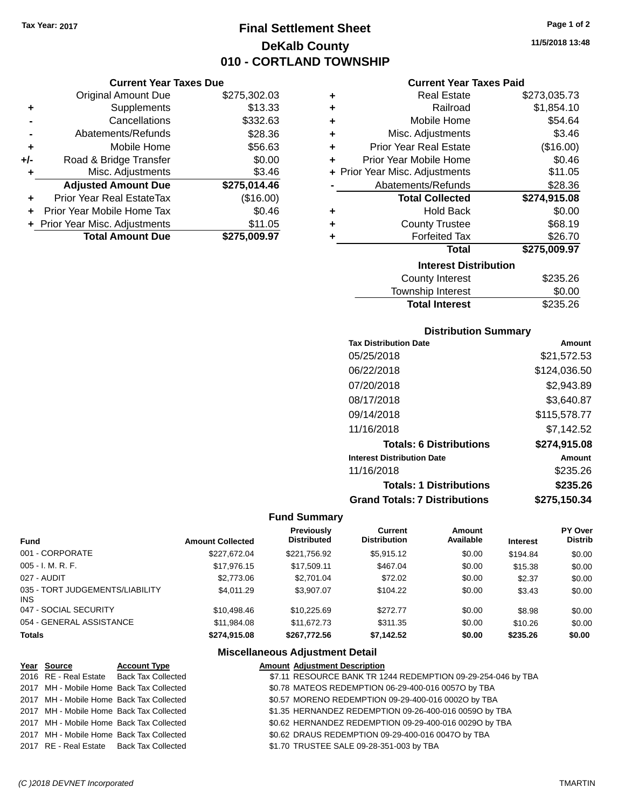# **Final Settlement Sheet Tax Year: 2017 Page 1 of 2 DeKalb County 010 - CORTLAND TOWNSHIP**

## **Current Year Taxes Due**

|       | <b>Original Amount Due</b>       | \$275,302.03 |
|-------|----------------------------------|--------------|
| ٠     | Supplements                      | \$13.33      |
|       | Cancellations                    | \$332.63     |
|       | Abatements/Refunds               | \$28.36      |
| ÷     | Mobile Home                      | \$56.63      |
| $+/-$ | Road & Bridge Transfer           | \$0.00       |
| ٠     | Misc. Adjustments                | \$3.46       |
|       | <b>Adjusted Amount Due</b>       | \$275,014.46 |
|       | <b>Prior Year Real EstateTax</b> | (\$16.00)    |
|       | Prior Year Mobile Home Tax       | \$0.46       |
|       | + Prior Year Misc. Adjustments   | \$11.05      |
|       | <b>Total Amount Due</b>          | \$275.009.97 |

### **Current Year Taxes Paid**

| ٠ | <b>Real Estate</b>             | \$273,035.73 |
|---|--------------------------------|--------------|
| ÷ | Railroad                       | \$1,854.10   |
| ٠ | Mobile Home                    | \$54.64      |
| ٠ | Misc. Adjustments              | \$3.46       |
| ٠ | <b>Prior Year Real Estate</b>  | (\$16.00)    |
| ٠ | Prior Year Mobile Home         | \$0.46       |
|   | + Prior Year Misc. Adjustments | \$11.05      |
|   | Abatements/Refunds             | \$28.36      |
|   |                                |              |
|   | <b>Total Collected</b>         | \$274,915.08 |
| ٠ | <b>Hold Back</b>               | \$0.00       |
| ٠ | <b>County Trustee</b>          | \$68.19      |
| ٠ | <b>Forfeited Tax</b>           | \$26.70      |
|   | <b>Total</b>                   | \$275,009.97 |
|   | <b>Interest Distribution</b>   |              |
|   | <b>County Interest</b>         | \$235.26     |

| <b>Total Interest</b> | \$235.26 |
|-----------------------|----------|
| Township Interest     | \$0.00   |
| County Interest       | \$235.26 |

# **Distribution Summary**

| <b>Tax Distribution Date</b>         | Amount       |
|--------------------------------------|--------------|
| 05/25/2018                           | \$21,572.53  |
| 06/22/2018                           | \$124,036.50 |
| 07/20/2018                           | \$2,943.89   |
| 08/17/2018                           | \$3,640.87   |
| 09/14/2018                           | \$115,578.77 |
| 11/16/2018                           | \$7,142.52   |
| <b>Totals: 6 Distributions</b>       | \$274,915.08 |
| <b>Interest Distribution Date</b>    | Amount       |
| 11/16/2018                           | \$235.26     |
| <b>Totals: 1 Distributions</b>       | \$235.26     |
| <b>Grand Totals: 7 Distributions</b> | \$275,150.34 |

# **Fund Summary**

| <b>Fund</b>                             | <b>Amount Collected</b> | Previously<br><b>Distributed</b> | Current<br><b>Distribution</b> | Amount<br>Available | <b>Interest</b> | PY Over<br><b>Distrib</b> |
|-----------------------------------------|-------------------------|----------------------------------|--------------------------------|---------------------|-----------------|---------------------------|
| 001 - CORPORATE                         | \$227,672.04            | \$221,756.92                     | \$5,915.12                     | \$0.00              | \$194.84        | \$0.00                    |
| 005 - I. M. R. F.                       | \$17.976.15             | \$17,509.11                      | \$467.04                       | \$0.00              | \$15.38         | \$0.00                    |
| 027 - AUDIT                             | \$2,773.06              | \$2,701.04                       | \$72.02                        | \$0.00              | \$2.37          | \$0.00                    |
| 035 - TORT JUDGEMENTS/LIABILITY<br>INS. | \$4.011.29              | \$3.907.07                       | \$104.22                       | \$0.00              | \$3.43          | \$0.00                    |
| 047 - SOCIAL SECURITY                   | \$10.498.46             | \$10.225.69                      | \$272.77                       | \$0.00              | \$8.98          | \$0.00                    |
| 054 - GENERAL ASSISTANCE                | \$11,984.08             | \$11,672.73                      | \$311.35                       | \$0.00              | \$10.26         | \$0.00                    |
| Totals                                  | \$274,915.08            | \$267,772.56                     | \$7,142.52                     | \$0.00              | \$235.26        | \$0.00                    |

# **Miscellaneous Adjustment Detail**

| <u>Year Source</u>                       | <b>Account Type</b>                      | <b>Amount Adjustment Description</b>                         |
|------------------------------------------|------------------------------------------|--------------------------------------------------------------|
|                                          | 2016 RE - Real Estate Back Tax Collected | \$7.11 RESOURCE BANK TR 1244 REDEMPTION 09-29-254-046 by TBA |
|                                          | 2017 MH - Mobile Home Back Tax Collected | \$0.78 MATEOS REDEMPTION 06-29-400-016 0057O by TBA          |
|                                          | 2017 MH - Mobile Home Back Tax Collected | \$0.57 MORENO REDEMPTION 09-29-400-016 0002O by TBA          |
| 2017 MH - Mobile Home Back Tax Collected |                                          | \$1.35 HERNANDEZ REDEMPTION 09-26-400-016 00590 by TBA       |
|                                          | 2017 MH - Mobile Home Back Tax Collected | \$0.62 HERNANDEZ REDEMPTION 09-29-400-016 00290 by TBA       |
| 2017 MH - Mobile Home Back Tax Collected |                                          | \$0.62 DRAUS REDEMPTION 09-29-400-016 0047O by TBA           |
|                                          | 2017 RE - Real Estate Back Tax Collected | \$1.70 TRUSTEE SALE 09-28-351-003 by TBA                     |

**11/5/2018 13:48**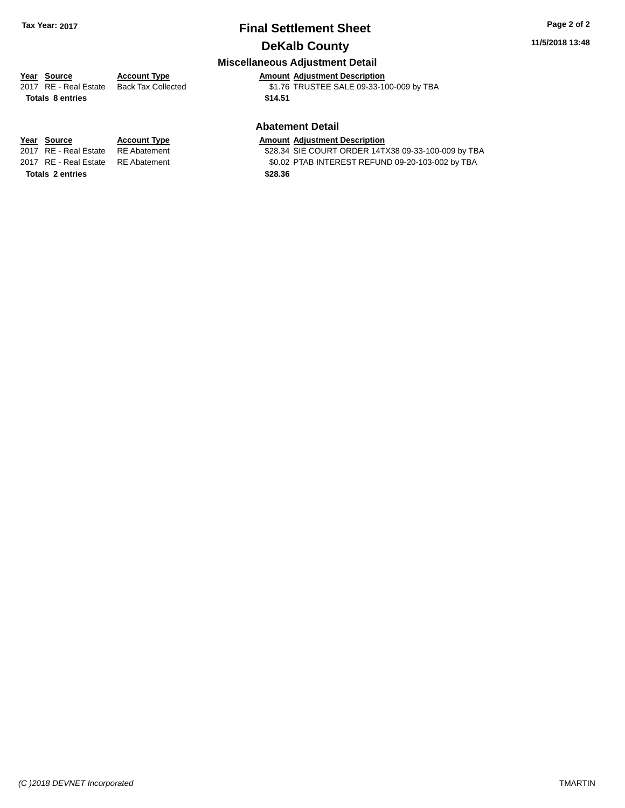# **Final Settlement Sheet Tax Year: 2017 Page 2 of 2 DeKalb County**

## **11/5/2018 13:48**

# **Miscellaneous Adjustment Detail**

# **Year** Source **Account Type Account Adjustment Description**

**Totals \$14.51 8 entries**

2017 RE - Real Estate Back Tax Collected \$1.76 TRUSTEE SALE 09-33-100-009 by TBA

### **Abatement Detail**

\$28.34 SIE COURT ORDER 14TX38 09-33-100-009 by TBA 2017 RE - Real Estate RE Abatement \$0.02 PTAB INTEREST REFUND 09-20-103-002 by TBA

**Year Source Account Type Amount Adjustment Description**<br>2017 RE - Real Estate RE Abatement \$28.34 SIE COURT ORDER 14T. **Totals \$28.36 2 entries**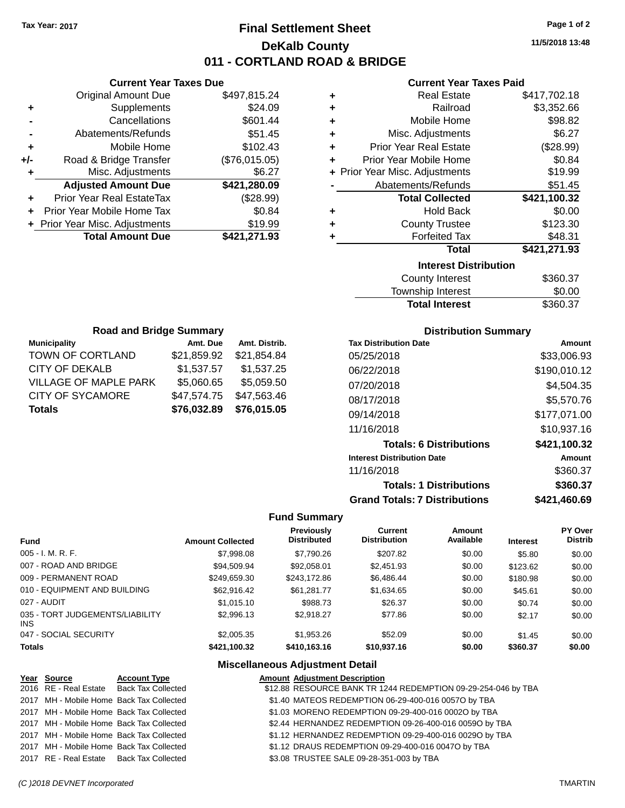# **Final Settlement Sheet Tax Year: 2017 Page 1 of 2 DeKalb County 011 - CORTLAND ROAD & BRIDGE**

**11/5/2018 13:48**

#### **Current Year Taxes Paid**

|     | <b>Original Amount Due</b>       | \$497,815.24  |
|-----|----------------------------------|---------------|
| ٠   | Supplements                      | \$24.09       |
|     | Cancellations                    | \$601.44      |
|     | Abatements/Refunds               | \$51.45       |
| ٠   | Mobile Home                      | \$102.43      |
| +/- | Road & Bridge Transfer           | (\$76,015.05) |
| ٠   | Misc. Adjustments                | \$6.27        |
|     | <b>Adjusted Amount Due</b>       | \$421,280.09  |
| ٠   | <b>Prior Year Real EstateTax</b> | (\$28.99)     |
| ٠   | Prior Year Mobile Home Tax       | \$0.84        |
|     | + Prior Year Misc. Adjustments   | \$19.99       |
|     | <b>Total Amount Due</b>          | \$421,271.93  |
|     |                                  |               |

**Municipality Municipality** Amt. Due Amt. Distrib. **Road and Bridge Summary**

TOWN OF CORTLAND \$21,859.92 \$21,854.84 CITY OF DEKALB \$1,537.57 \$1,537.25 VILLAGE OF MAPLE PARK \$5,060.65 \$5,059.50 CITY OF SYCAMORE \$47,574.75 \$47,563.46 **Totals \$76,032.89 \$76,015.05**

**Current Year Taxes Due**

| ٠ | <b>Real Estate</b>             | \$417,702.18 |
|---|--------------------------------|--------------|
| ÷ | Railroad                       | \$3,352.66   |
| ÷ | Mobile Home                    | \$98.82      |
| ٠ | Misc. Adjustments              | \$6.27       |
| ÷ | <b>Prior Year Real Estate</b>  | (\$28.99)    |
| ٠ | Prior Year Mobile Home         | \$0.84       |
|   | + Prior Year Misc. Adjustments | \$19.99      |
|   | Abatements/Refunds             | \$51.45      |
|   |                                |              |
|   | <b>Total Collected</b>         | \$421,100.32 |
| ٠ | <b>Hold Back</b>               | \$0.00       |
| ÷ | <b>County Trustee</b>          | \$123.30     |
| ٠ | <b>Forfeited Tax</b>           | \$48.31      |
|   | Total                          | \$421,271.93 |
|   | <b>Interest Distribution</b>   |              |
|   | <b>County Interest</b>         | \$360.37     |

# **Distribution Summary**

Total Interest \$360.37

| PIJUINUUVII VUIIIIIIAI Y             |              |  |  |  |  |
|--------------------------------------|--------------|--|--|--|--|
| <b>Tax Distribution Date</b>         | Amount       |  |  |  |  |
| 05/25/2018                           | \$33,006.93  |  |  |  |  |
| 06/22/2018                           | \$190,010.12 |  |  |  |  |
| 07/20/2018                           | \$4,504.35   |  |  |  |  |
| 08/17/2018                           | \$5,570.76   |  |  |  |  |
| 09/14/2018                           | \$177,071.00 |  |  |  |  |
| 11/16/2018                           | \$10,937.16  |  |  |  |  |
| <b>Totals: 6 Distributions</b>       | \$421,100.32 |  |  |  |  |
| <b>Interest Distribution Date</b>    | Amount       |  |  |  |  |
| 11/16/2018                           | \$360.37     |  |  |  |  |
| <b>Totals: 1 Distributions</b>       | \$360.37     |  |  |  |  |
| <b>Grand Totals: 7 Distributions</b> | \$421,460.69 |  |  |  |  |

#### **Fund Summary**

| <b>Fund</b>                             | <b>Amount Collected</b> | Previously<br><b>Distributed</b> | Current<br><b>Distribution</b> | Amount<br>Available | <b>Interest</b> | <b>PY Over</b><br><b>Distrib</b> |
|-----------------------------------------|-------------------------|----------------------------------|--------------------------------|---------------------|-----------------|----------------------------------|
| 005 - I. M. R. F.                       | \$7,998.08              | \$7.790.26                       | \$207.82                       | \$0.00              | \$5.80          | \$0.00                           |
| 007 - ROAD AND BRIDGE                   | \$94.509.94             | \$92,058,01                      | \$2,451.93                     | \$0.00              | \$123.62        | \$0.00                           |
| 009 - PERMANENT ROAD                    | \$249,659.30            | \$243.172.86                     | \$6,486.44                     | \$0.00              | \$180.98        | \$0.00                           |
| 010 - EQUIPMENT AND BUILDING            | \$62,916.42             | \$61.281.77                      | \$1,634.65                     | \$0.00              | \$45.61         | \$0.00                           |
| 027 - AUDIT                             | \$1,015.10              | \$988.73                         | \$26.37                        | \$0.00              | \$0.74          | \$0.00                           |
| 035 - TORT JUDGEMENTS/LIABILITY<br>INS. | \$2,996.13              | \$2.918.27                       | \$77.86                        | \$0.00              | \$2.17          | \$0.00                           |
| 047 - SOCIAL SECURITY                   | \$2,005.35              | \$1,953.26                       | \$52.09                        | \$0.00              | \$1.45          | \$0.00                           |
| <b>Totals</b>                           | \$421,100.32            | \$410,163.16                     | \$10,937.16                    | \$0.00              | \$360.37        | \$0.00                           |

| Year Source                              | <b>Account Type</b>                      | <b>Amount Adjustment Description</b>                          |
|------------------------------------------|------------------------------------------|---------------------------------------------------------------|
|                                          | 2016 RE - Real Estate Back Tax Collected | \$12.88 RESOURCE BANK TR 1244 REDEMPTION 09-29-254-046 by TBA |
|                                          | 2017 MH - Mobile Home Back Tax Collected | \$1.40 MATEOS REDEMPTION 06-29-400-016 0057O by TBA           |
| 2017 MH - Mobile Home Back Tax Collected |                                          | \$1.03 MORENO REDEMPTION 09-29-400-016 0002O by TBA           |
| 2017 MH - Mobile Home Back Tax Collected |                                          | \$2.44 HERNANDEZ REDEMPTION 09-26-400-016 00590 by TBA        |
| 2017 MH - Mobile Home Back Tax Collected |                                          | \$1.12 HERNANDEZ REDEMPTION 09-29-400-016 0029O by TBA        |
|                                          | 2017 MH - Mobile Home Back Tax Collected | \$1.12 DRAUS REDEMPTION 09-29-400-016 0047O by TBA            |
| 2017 RE - Real Estate Back Tax Collected |                                          | \$3.08 TRUSTEE SALE 09-28-351-003 by TBA                      |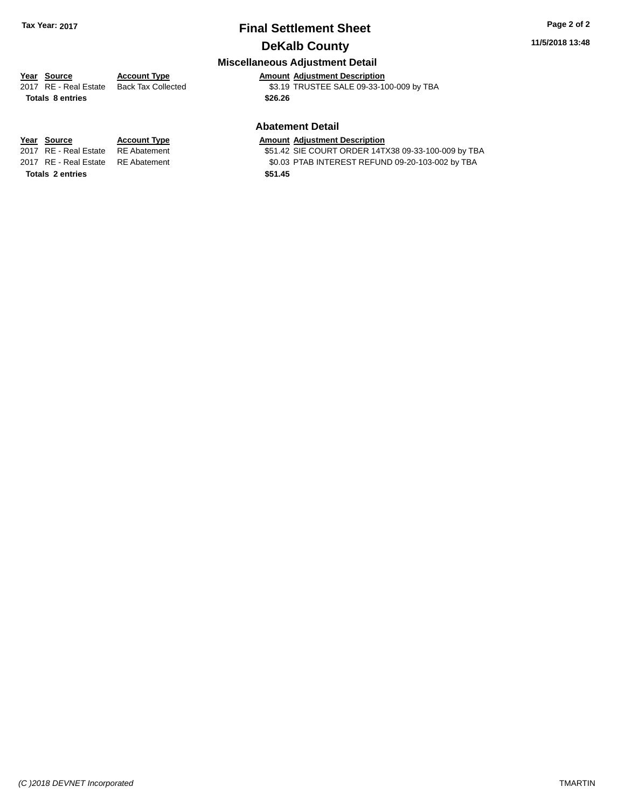# **Final Settlement Sheet Tax Year: 2017 Page 2 of 2 DeKalb County**

## **11/5/2018 13:48**

# **Miscellaneous Adjustment Detail**

**Year** Source **Account Type Account Adjustment Description** 2017 RE - Real Estate Back Tax Collected \$3.19 TRUSTEE SALE 09-33-100-009 by TBA **Totals \$26.26 8 entries**

#### **Abatement Detail**

\$51.42 SIE COURT ORDER 14TX38 09-33-100-009 by TBA 2017 RE - Real Estate RE Abatement \$0.03 PTAB INTEREST REFUND 09-20-103-002 by TBA

**Year Source Account Type Amount Adjustment Description**<br>2017 RE - Real Estate RE Abatement **Amount Adjustment Description Totals \$51.45 2 entries**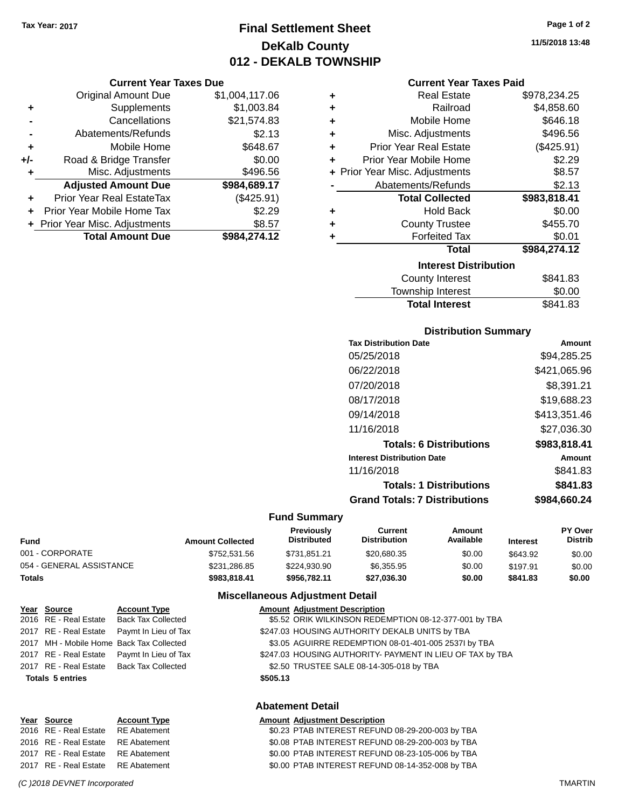**Current Year Taxes Due** Original Amount Due \$1,004,117.06

**Adjusted Amount Due \$984,689.17**

**Total Amount Due \$984,274.12**

**+** Supplements \$1,003.84 **-** Cancellations \$21,574.83 **-** Abatements/Refunds \$2.13 **+** Mobile Home \$648.67 **+/-** Road & Bridge Transfer \$0.00 **+** Misc. Adjustments \$496.56

**+** Prior Year Real EstateTax (\$425.91) **+** Prior Year Mobile Home Tax \$2.29 **+** Prior Year Misc. Adjustments  $$8.57$ 

# **Final Settlement Sheet Tax Year: 2017 Page 1 of 2 DeKalb County 012 - DEKALB TOWNSHIP**

**11/5/2018 13:48**

#### **Current Year Taxes Paid**

| ٠ | <b>Real Estate</b>             | \$978,234.25 |  |  |  |  |
|---|--------------------------------|--------------|--|--|--|--|
| ٠ | Railroad                       | \$4,858.60   |  |  |  |  |
| ÷ | Mobile Home                    | \$646.18     |  |  |  |  |
| ÷ | Misc. Adjustments              | \$496.56     |  |  |  |  |
| ÷ | <b>Prior Year Real Estate</b>  | (\$425.91)   |  |  |  |  |
| ÷ | Prior Year Mobile Home         | \$2.29       |  |  |  |  |
|   | + Prior Year Misc. Adjustments | \$8.57       |  |  |  |  |
|   | Abatements/Refunds             | \$2.13       |  |  |  |  |
|   | <b>Total Collected</b>         | \$983,818.41 |  |  |  |  |
| ٠ | <b>Hold Back</b>               | \$0.00       |  |  |  |  |
| ٠ | <b>County Trustee</b>          | \$455.70     |  |  |  |  |
| ٠ | <b>Forfeited Tax</b>           | \$0.01       |  |  |  |  |
|   | <b>Total</b>                   | \$984,274.12 |  |  |  |  |
|   | <b>Interest Distribution</b>   |              |  |  |  |  |
|   | <b>County Interest</b>         | \$841.83     |  |  |  |  |
|   | Townehin Interest              | ደስ ሰስ        |  |  |  |  |

# Township Interest  $$0.00$ Total Interest \$841.83

| <b>Distribution Summary</b>          |              |
|--------------------------------------|--------------|
| <b>Tax Distribution Date</b>         | Amount       |
| 05/25/2018                           | \$94,285.25  |
| 06/22/2018                           | \$421,065.96 |
| 07/20/2018                           | \$8,391.21   |
| 08/17/2018                           | \$19,688.23  |
| 09/14/2018                           | \$413,351.46 |
| 11/16/2018                           | \$27.036.30  |
| <b>Totals: 6 Distributions</b>       | \$983,818.41 |
| <b>Interest Distribution Date</b>    | Amount       |
| 11/16/2018                           | \$841.83     |
| <b>Totals: 1 Distributions</b>       | \$841.83     |
| <b>Grand Totals: 7 Distributions</b> | \$984.660.24 |

#### **Fund Summary**

| Fund                     | <b>Amount Collected</b> | <b>Previously</b><br><b>Distributed</b> | Current<br><b>Distribution</b> | Amount<br>Available | <b>Interest</b> | <b>PY Over</b><br><b>Distrib</b> |
|--------------------------|-------------------------|-----------------------------------------|--------------------------------|---------------------|-----------------|----------------------------------|
| 001 - CORPORATE          | \$752,531.56            | \$731.851.21                            | \$20,680.35                    | \$0.00              | \$643.92        | \$0.00                           |
| 054 - GENERAL ASSISTANCE | \$231,286.85            | \$224,930.90                            | \$6,355.95                     | \$0.00              | \$197.91        | \$0.00                           |
| Totals                   | \$983,818,41            | \$956.782.11                            | \$27,036.30                    | \$0.00              | \$841.83        | \$0.00                           |

#### **Miscellaneous Adjustment Detail**

| Year Source             | <b>Account Type</b>                        | <b>Amount Adjustment Description</b>                      |
|-------------------------|--------------------------------------------|-----------------------------------------------------------|
|                         | 2016 RE - Real Estate Back Tax Collected   | \$5.52 ORIK WILKINSON REDEMPTION 08-12-377-001 by TBA     |
|                         | 2017 RE - Real Estate Paymt In Lieu of Tax | \$247.03 HOUSING AUTHORITY DEKALB UNITS by TBA            |
|                         | 2017 MH - Mobile Home Back Tax Collected   | \$3.05 AGUIRRE REDEMPTION 08-01-401-005 2537I by TBA      |
|                         | 2017 RE - Real Estate Paymt In Lieu of Tax | \$247.03 HOUSING AUTHORITY- PAYMENT IN LIEU OF TAX by TBA |
|                         | 2017 RE - Real Estate Back Tax Collected   | \$2.50 TRUSTEE SALE 08-14-305-018 by TBA                  |
| <b>Totals 5 entries</b> |                                            | \$505.13                                                  |
|                         |                                            |                                                           |
|                         |                                            |                                                           |

| 2017 RE - Real Estate RE Abateme<br>2017 RE - Real Estate RE Abateme |  |  |
|----------------------------------------------------------------------|--|--|
|                                                                      |  |  |
|                                                                      |  |  |

# **Abatement Detail**

# **Year Source Account Type Account Account Adjustment Description**

2016 RE - Real Estate RE Abatement \$0.23 PTAB INTEREST REFUND 08-29-200-003 by TBA 2016 RE - Real Estate RE Abatement \$0.08 PTAB INTEREST REFUND 08-29-200-003 by TBA 2017 Phit 30.00 PTAB INTEREST REFUND 08-23-105-006 by TBA 20.00 PTAB INTEREST REFUND 08-14-352-008 by TBA

#### *(C )2018 DEVNET Incorporated* TMARTIN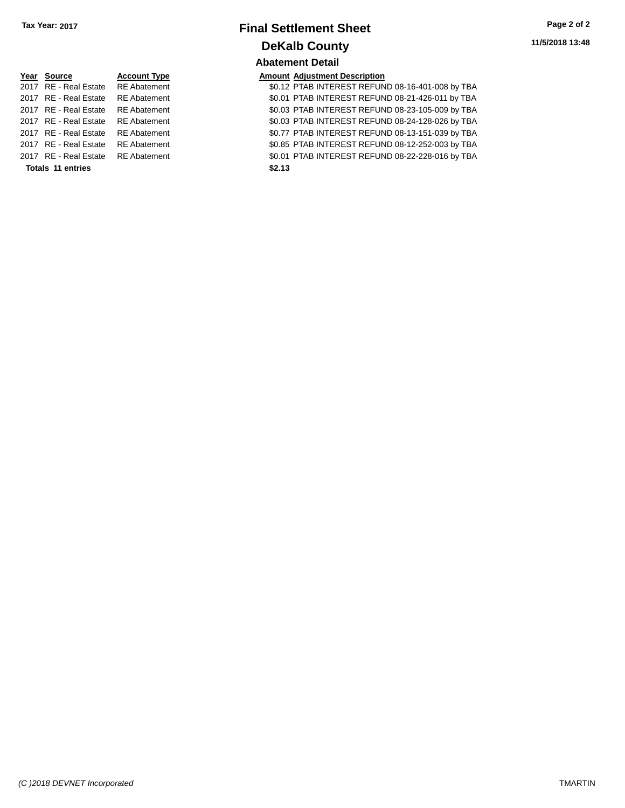# **Final Settlement Sheet Tax Year: 2017 Page 2 of 2 DeKalb County Abatement Detail**

ent 2017 80.12 PTAB INTEREST REFUND 08-16-401-008 by TBA 2017 RE - Real Estate RE Abatement \$0.01 PTAB INTEREST REFUND 08-21-426-011 by TBA 2017 RE - Real Estate RE Abatement \$0.03 PTAB INTEREST REFUND 08-23-105-009 by TBA 2017 RE - Real Estate RE Abatement \$0.03 PTAB INTEREST REFUND 08-24-128-026 by TBA 2017 RE - Real Estate RE Abatement \$0.77 PTAB INTEREST REFUND 08-13-151-039 by TBA 2017 RE - Real Estate RE Abatement \$0.85 PTAB INTEREST REFUND 08-12-252-003 by TBA 2017 RE - Real Estate RE Abatement \$0.01 PTAB INTEREST REFUND 08-22-228-016 by TBA

| Year Source                        | <b>Account Type</b> |        | <b>Amount Adjustment Description</b> |
|------------------------------------|---------------------|--------|--------------------------------------|
| 2017 RE - Real Estate              | <b>RE</b> Abatement |        | \$0.12 PTAB INTEREST REFUN           |
| 2017 RE - Real Estate              | <b>RE</b> Abatement |        | \$0.01 PTAB INTEREST REFUN           |
| 2017 RE - Real Estate              | <b>RE</b> Abatement |        | \$0.03 PTAB INTEREST REFUN           |
| 2017 RE - Real Estate RE Abatement |                     |        | \$0.03 PTAB INTEREST REFUN           |
| 2017 RE - Real Estate              | <b>RE</b> Abatement |        | \$0.77 PTAB INTEREST REFUN           |
| 2017 RE - Real Estate              | <b>RE</b> Abatement |        | \$0.85 PTAB INTEREST REFUN           |
| 2017 RE - Real Estate RE Abatement |                     |        | \$0.01 PTAB INTEREST REFUN           |
| <b>Totals 11 entries</b>           |                     | \$2.13 |                                      |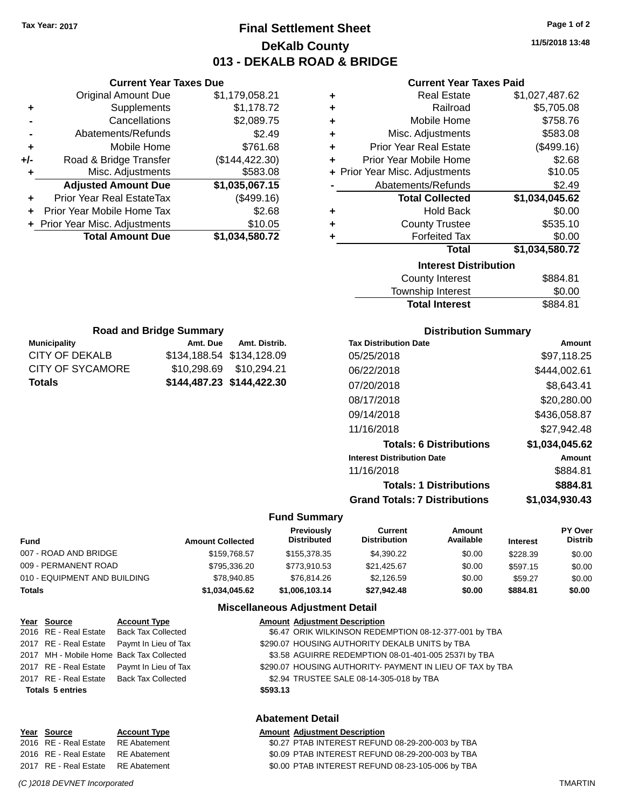**Current Year Taxes Due** Original Amount Due \$1,179,058.21

**Adjusted Amount Due \$1,035,067.15**

**Total Amount Due \$1,034,580.72**

**+** Supplements \$1,178.72 **-** Cancellations \$2,089.75 **-** Abatements/Refunds \$2.49 **+** Mobile Home \$761.68 **+/-** Road & Bridge Transfer (\$144,422.30) **+** Misc. Adjustments \$583.08

**+** Prior Year Real EstateTax (\$499.16) **+** Prior Year Mobile Home Tax \$2.68 **+** Prior Year Misc. Adjustments \$10.05

**Municipality Municipality** Amt. Due Amt. Distrib. **Road and Bridge Summary**

CITY OF DEKALB \$134,188.54 \$134,128.09 CITY OF SYCAMORE \$10,298.69 \$10,294.21 **Totals \$144,487.23 \$144,422.30**

# **Final Settlement Sheet Tax Year: 2017 Page 1 of 2 DeKalb County 013 - DEKALB ROAD & BRIDGE**

**11/5/2018 13:48**

#### **Current Year Taxes Paid**

| ٠ | <b>Real Estate</b>             | \$1,027,487.62 |  |  |  |  |
|---|--------------------------------|----------------|--|--|--|--|
| ٠ | Railroad                       | \$5,705.08     |  |  |  |  |
| ٠ | Mobile Home                    | \$758.76       |  |  |  |  |
| ÷ | Misc. Adjustments              | \$583.08       |  |  |  |  |
| ٠ | <b>Prior Year Real Estate</b>  | (\$499.16)     |  |  |  |  |
| ÷ | Prior Year Mobile Home         | \$2.68         |  |  |  |  |
|   | + Prior Year Misc. Adjustments | \$10.05        |  |  |  |  |
|   | Abatements/Refunds             | \$2.49         |  |  |  |  |
|   | <b>Total Collected</b>         | \$1,034,045.62 |  |  |  |  |
| ٠ | <b>Hold Back</b>               | \$0.00         |  |  |  |  |
| ٠ | <b>County Trustee</b>          | \$535.10       |  |  |  |  |
|   | <b>Forfeited Tax</b>           | \$0.00         |  |  |  |  |
|   | Total                          | \$1,034,580.72 |  |  |  |  |
|   | <b>Interest Distribution</b>   |                |  |  |  |  |
|   | <b>County Interest</b>         | \$884.81       |  |  |  |  |

# Township Interest \$0.00 Total Interest \$884.81

| <b>Distribution Summary</b>          |                |  |  |  |  |
|--------------------------------------|----------------|--|--|--|--|
| <b>Tax Distribution Date</b>         | Amount         |  |  |  |  |
| 05/25/2018                           | \$97,118.25    |  |  |  |  |
| 06/22/2018                           | \$444,002.61   |  |  |  |  |
| 07/20/2018                           | \$8,643.41     |  |  |  |  |
| 08/17/2018                           | \$20,280.00    |  |  |  |  |
| 09/14/2018                           | \$436,058.87   |  |  |  |  |
| 11/16/2018                           | \$27,942.48    |  |  |  |  |
| <b>Totals: 6 Distributions</b>       | \$1,034,045.62 |  |  |  |  |
| <b>Interest Distribution Date</b>    | Amount         |  |  |  |  |
| 11/16/2018                           | \$884.81       |  |  |  |  |
| <b>Totals: 1 Distributions</b>       | \$884.81       |  |  |  |  |
| <b>Grand Totals: 7 Distributions</b> | \$1,034,930.43 |  |  |  |  |
|                                      |                |  |  |  |  |

### **Fund Summary**

| <b>Fund</b>                  | <b>Amount Collected</b> | <b>Previously</b><br><b>Distributed</b> | Current<br><b>Distribution</b> | Amount<br>Available | <b>Interest</b> | <b>PY Over</b><br><b>Distrib</b> |
|------------------------------|-------------------------|-----------------------------------------|--------------------------------|---------------------|-----------------|----------------------------------|
| 007 - ROAD AND BRIDGE        | \$159,768.57            | \$155,378,35                            | \$4.390.22                     | \$0.00              | \$228.39        | \$0.00                           |
| 009 - PERMANENT ROAD         | \$795,336,20            | \$773.910.53                            | \$21.425.67                    | \$0.00              | \$597.15        | \$0.00                           |
| 010 - EQUIPMENT AND BUILDING | \$78,940.85             | \$76.814.26                             | \$2,126.59                     | \$0.00              | \$59.27         | \$0.00                           |
| <b>Totals</b>                | \$1,034,045.62          | \$1,006,103.14                          | \$27,942.48                    | \$0.00              | \$884.81        | \$0.00                           |

### **Miscellaneous Adjustment Detail**

| Year Source             | <b>Account Type</b>                        |          | <b>Amount Adjustment Description</b>                      |
|-------------------------|--------------------------------------------|----------|-----------------------------------------------------------|
|                         | 2016 RE - Real Estate Back Tax Collected   |          | \$6.47 ORIK WILKINSON REDEMPTION 08-12-377-001 by TBA     |
|                         | 2017 RE - Real Estate Paymt In Lieu of Tax |          | \$290.07 HOUSING AUTHORITY DEKALB UNITS by TBA            |
|                         | 2017 MH - Mobile Home Back Tax Collected   |          | \$3.58 AGUIRRE REDEMPTION 08-01-401-005 2537I by TBA      |
|                         | 2017 RE - Real Estate Paymt In Lieu of Tax |          | \$290.07 HOUSING AUTHORITY- PAYMENT IN LIEU OF TAX by TBA |
|                         | 2017 RE - Real Estate Back Tax Collected   |          | \$2.94 TRUSTEE SALE 08-14-305-018 by TBA                  |
| <b>Totals 5 entries</b> |                                            | \$593.13 |                                                           |
|                         |                                            |          |                                                           |

| Year Source                        | <b>Account Type</b> | <b>Amount Adjustment Description</b>             |
|------------------------------------|---------------------|--------------------------------------------------|
| 2016 RE - Real Estate RE Abatement |                     | \$0.27 PTAB INTEREST REFUND 08-29-200-003 by TBA |
| 2016 RE - Real Estate RE Abatement |                     | \$0.09 PTAB INTEREST REFUND 08-29-200-003 by TBA |
| 2017 RE - Real Estate RE Abatement |                     | \$0.00 PTAB INTEREST REFUND 08-23-105-006 by TBA |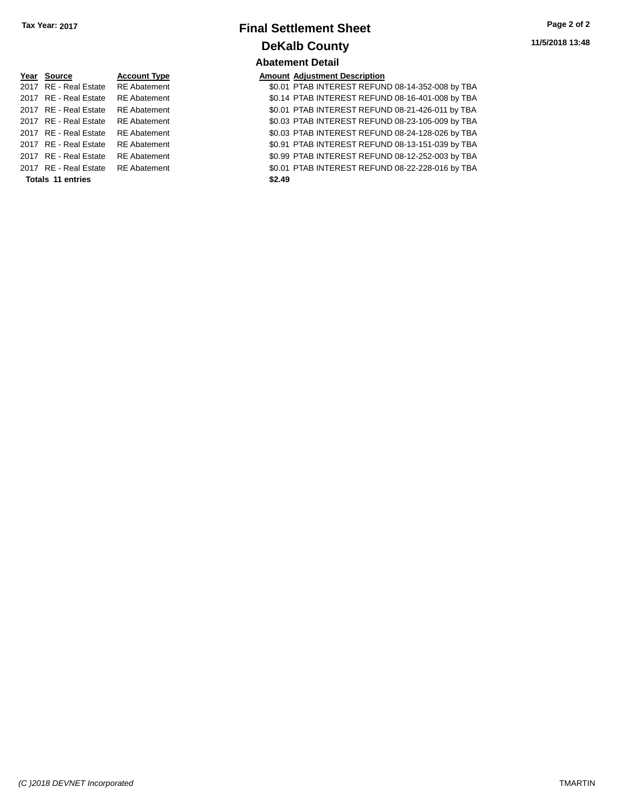| Year Source                                                                                                     | <b>Account Type</b> |
|-----------------------------------------------------------------------------------------------------------------|---------------------|
| 2017 RE - Real Estate                                                                                           | <b>RE</b> Abatement |
| 2017 RE - Real Estate                                                                                           | <b>RE</b> Abatement |
| 2017 RE - Real Estate                                                                                           | <b>RE</b> Abatement |
| 2017 RE - Real Estate                                                                                           | <b>RE</b> Abatement |
| 2017 RE - Real Estate                                                                                           | <b>RE</b> Abatement |
| 2017 RE - Real Estate                                                                                           | <b>RE</b> Abatement |
| 2017 RE - Real Estate                                                                                           | <b>RE</b> Abatement |
| 2017 RE - Real Estate                                                                                           | <b>RE</b> Abatement |
| The second and considered a second considered and considered and considered and considered and considered and a |                     |

#### **Totals \$2.49 11 entries**

# **Final Settlement Sheet Tax Year: 2017 Page 2 of 2 DeKalb County Abatement Detail**

## **Amount Adjustment Description**

\$0.01 PTAB INTEREST REFUND 08-14-352-008 by TBA \$0.14 PTAB INTEREST REFUND 08-16-401-008 by TBA \$0.01 PTAB INTEREST REFUND 08-21-426-011 by TBA \$0.03 PTAB INTEREST REFUND 08-23-105-009 by TBA \$0.03 PTAB INTEREST REFUND 08-24-128-026 by TBA \$0.91 PTAB INTEREST REFUND 08-13-151-039 by TBA \$0.99 PTAB INTEREST REFUND 08-12-252-003 by TBA \$0.01 PTAB INTEREST REFUND 08-22-228-016 by TBA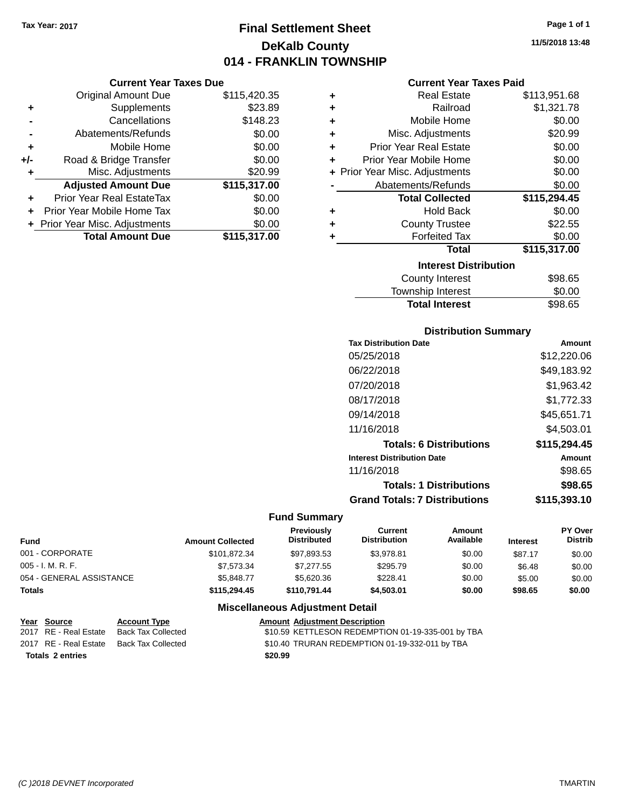# **Final Settlement Sheet Tax Year: 2017 Page 1 of 1 DeKalb County 014 - FRANKLIN TOWNSHIP**

**11/5/2018 13:48**

#### **Current Year Taxes Paid**

|                                  |                                |                               | Curro                   |
|----------------------------------|--------------------------------|-------------------------------|-------------------------|
| <b>Original Amount Due</b>       | \$115,420.35                   | ٠                             | Re                      |
| Supplements                      | \$23.89                        | ٠                             |                         |
| Cancellations                    | \$148.23                       | ٠                             | Mobi                    |
| Abatements/Refunds               | \$0.00                         | ٠                             | Misc. Adju              |
| Mobile Home                      | \$0.00                         | ÷                             | Prior Year Re           |
| Road & Bridge Transfer           | \$0.00                         | ÷                             | Prior Year Mobi         |
| Misc. Adjustments                | \$20.99                        |                               | + Prior Year Misc. Adju |
| <b>Adjusted Amount Due</b>       | \$115,317.00                   |                               | Abatements/             |
| <b>Prior Year Real EstateTax</b> | \$0.00                         |                               | <b>Total C</b>          |
| Prior Year Mobile Home Tax       | \$0.00                         | ٠                             | н                       |
|                                  | \$0.00                         | ٠                             | County                  |
| <b>Total Amount Due</b>          | \$115,317.00                   |                               | Forf                    |
|                                  |                                |                               |                         |
|                                  | + Prior Year Misc. Adjustments | <b>Current Year Taxes Due</b> |                         |

| ٠ | <b>Real Estate</b>             | \$113,951.68 |
|---|--------------------------------|--------------|
| ÷ | Railroad                       | \$1,321.78   |
| ٠ | Mobile Home                    | \$0.00       |
| ٠ | Misc. Adjustments              | \$20.99      |
| ÷ | <b>Prior Year Real Estate</b>  | \$0.00       |
| ÷ | Prior Year Mobile Home         | \$0.00       |
|   | + Prior Year Misc. Adjustments | \$0.00       |
|   | Abatements/Refunds             | \$0.00       |
|   |                                |              |
|   | <b>Total Collected</b>         | \$115,294.45 |
| ٠ | <b>Hold Back</b>               | \$0.00       |
| ÷ | <b>County Trustee</b>          | \$22.55      |
| ٠ | <b>Forfeited Tax</b>           | \$0.00       |
|   | <b>Total</b>                   | \$115,317.00 |
|   | <b>Interest Distribution</b>   |              |
|   | <b>County Interest</b>         | \$98.65      |

# Total Interest \$98.65

| <b>Distribution Summary</b>          |              |
|--------------------------------------|--------------|
| <b>Tax Distribution Date</b>         | Amount       |
| 05/25/2018                           | \$12,220.06  |
| 06/22/2018                           | \$49.183.92  |
| 07/20/2018                           | \$1,963.42   |
| 08/17/2018                           | \$1.772.33   |
| 09/14/2018                           | \$45,651.71  |
| 11/16/2018                           | \$4,503.01   |
| <b>Totals: 6 Distributions</b>       | \$115,294.45 |
| <b>Interest Distribution Date</b>    | Amount       |
| 11/16/2018                           | \$98.65      |
| <b>Totals: 1 Distributions</b>       | \$98.65      |
| <b>Grand Totals: 7 Distributions</b> | \$115,393.10 |

#### **Fund Summary**

| <b>Fund</b>              | <b>Amount Collected</b> | <b>Previously</b><br><b>Distributed</b> | Current<br><b>Distribution</b> | Amount<br>Available | <b>Interest</b> | PY Over<br><b>Distrib</b> |
|--------------------------|-------------------------|-----------------------------------------|--------------------------------|---------------------|-----------------|---------------------------|
| 001 - CORPORATE          | \$101.872.34            | \$97,893.53                             | \$3.978.81                     | \$0.00              | \$87.17         | \$0.00                    |
| $005 - I. M. R. F.$      | \$7.573.34              | \$7.277.55                              | \$295.79                       | \$0.00              | \$6.48          | \$0.00                    |
| 054 - GENERAL ASSISTANCE | \$5.848.77              | \$5,620,36                              | \$228.41                       | \$0.00              | \$5.00          | \$0.00                    |
| <b>Totals</b>            | \$115,294.45            | \$110,791.44                            | \$4,503,01                     | \$0.00              | \$98.65         | \$0.00                    |

| Year Source             | <b>Account Type</b> | <b>Amount Adiustment Description</b>              |
|-------------------------|---------------------|---------------------------------------------------|
| 2017 RE - Real Estate   | Back Tax Collected  | \$10.59 KETTLESON REDEMPTION 01-19-335-001 by TBA |
| 2017 RE - Real Estate   | Back Tax Collected  | \$10.40 TRURAN REDEMPTION 01-19-332-011 by TBA    |
| <b>Totals 2 entries</b> |                     | \$20.99                                           |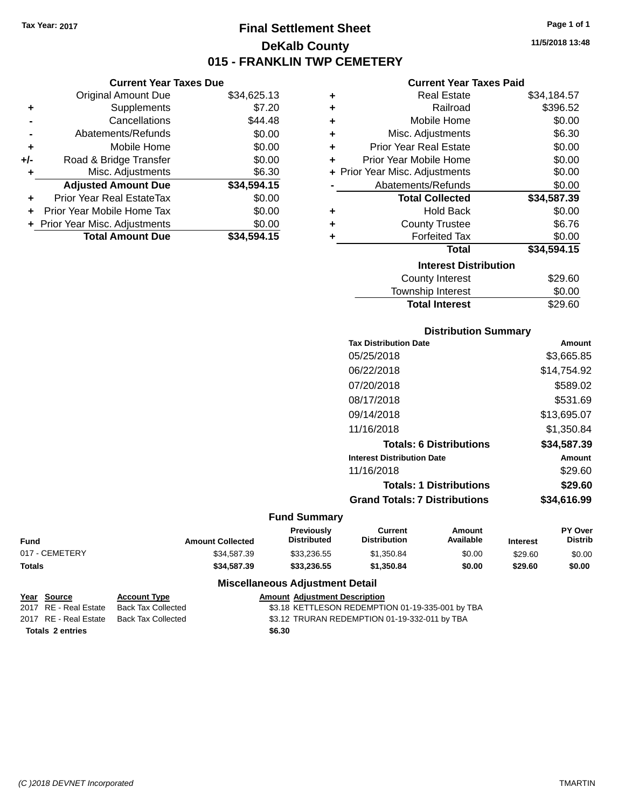# **Final Settlement Sheet Tax Year: 2017 Page 1 of 1 DeKalb County 015 - FRANKLIN TWP CEMETERY**

**11/5/2018 13:48**

## **Current Year Taxes Paid**

| ٠ | <b>Real Estate</b>             | \$34,184.57 |  |  |  |  |
|---|--------------------------------|-------------|--|--|--|--|
| ٠ | Railroad                       | \$396.52    |  |  |  |  |
| ٠ | Mobile Home                    | \$0.00      |  |  |  |  |
| ٠ | Misc. Adjustments              | \$6.30      |  |  |  |  |
| ٠ | <b>Prior Year Real Estate</b>  | \$0.00      |  |  |  |  |
| ÷ | Prior Year Mobile Home         | \$0.00      |  |  |  |  |
|   | + Prior Year Misc. Adjustments | \$0.00      |  |  |  |  |
|   | Abatements/Refunds             | \$0.00      |  |  |  |  |
|   | <b>Total Collected</b>         | \$34,587.39 |  |  |  |  |
| ٠ | <b>Hold Back</b>               | \$0.00      |  |  |  |  |
| ٠ | <b>County Trustee</b>          | \$6.76      |  |  |  |  |
| ٠ | <b>Forfeited Tax</b>           | \$0.00      |  |  |  |  |
|   | Total                          | \$34,594.15 |  |  |  |  |
|   | <b>Interest Distribution</b>   |             |  |  |  |  |
|   | <b>County Interest</b>         | \$29.60     |  |  |  |  |
|   | Township Interest              | \$0.00      |  |  |  |  |
|   | <b>Total Interest</b>          | \$29.60     |  |  |  |  |

# **Distribution Summary**

| <b>Tax Distribution Date</b>         | Amount      |
|--------------------------------------|-------------|
| 05/25/2018                           | \$3,665.85  |
| 06/22/2018                           | \$14,754.92 |
| 07/20/2018                           | \$589.02    |
| 08/17/2018                           | \$531.69    |
| 09/14/2018                           | \$13,695.07 |
| 11/16/2018                           | \$1,350.84  |
| <b>Totals: 6 Distributions</b>       | \$34,587.39 |
| <b>Interest Distribution Date</b>    | Amount      |
| 11/16/2018                           | \$29.60     |
| <b>Totals: 1 Distributions</b>       | \$29.60     |
| <b>Grand Totals: 7 Distributions</b> | \$34,616.99 |
|                                      |             |

# **Fund Summary**

| Fund           | <b>Amount Collected</b> | <b>Previously</b><br><b>Distributed</b> | Current<br><b>Distribution</b> | Amount<br>Available | <b>Interest</b> | <b>PY Over</b><br>Distrib |
|----------------|-------------------------|-----------------------------------------|--------------------------------|---------------------|-----------------|---------------------------|
| 017 - CEMETERY | \$34.587.39             | \$33,236.55                             | \$1,350.84                     | \$0.00              | \$29.60         | \$0.00                    |
| <b>Totals</b>  | \$34.587.39             | \$33,236,55                             | \$1,350.84                     | \$0.00              | \$29.60         | \$0.00                    |

## **Miscellaneous Adjustment Detail**

|                         | Year Source           | <b>Account Type</b> |  | <b>Amount Adiustment Description</b>             |
|-------------------------|-----------------------|---------------------|--|--------------------------------------------------|
|                         | 2017 RE - Real Estate | Back Tax Collected  |  | \$3.18 KETTLESON REDEMPTION 01-19-335-001 by TBA |
|                         | 2017 RE - Real Estate | Back Tax Collected  |  | \$3.12 TRURAN REDEMPTION 01-19-332-011 by TBA    |
| <b>Totals 2 entries</b> |                       | \$6.30              |  |                                                  |

# **Current Year Taxes Due**

|     | <b>Original Amount Due</b>     | \$34,625.13 |
|-----|--------------------------------|-------------|
| ٠   | Supplements                    | \$7.20      |
|     | Cancellations                  | \$44.48     |
|     | Abatements/Refunds             | \$0.00      |
| ٠   | Mobile Home                    | \$0.00      |
| +/- | Road & Bridge Transfer         | \$0.00      |
| ٠   | Misc. Adjustments              | \$6.30      |
|     | <b>Adjusted Amount Due</b>     | \$34,594.15 |
|     | Prior Year Real EstateTax      | \$0.00      |
|     | Prior Year Mobile Home Tax     | \$0.00      |
|     | + Prior Year Misc. Adjustments | \$0.00      |
|     | <b>Total Amount Due</b>        | \$34,594.15 |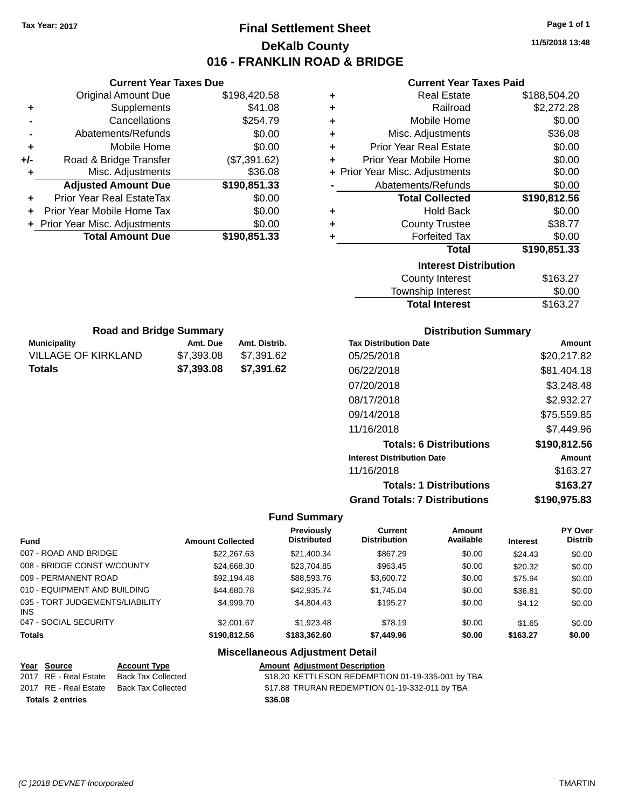# **Final Settlement Sheet Tax Year: 2017 Page 1 of 1 DeKalb County 016 - FRANKLIN ROAD & BRIDGE**

**11/5/2018 13:48**

## **Current Year Taxes Paid**

|   | oan chi toan taxoo na d        |              |
|---|--------------------------------|--------------|
| ÷ | <b>Real Estate</b>             | \$188,504.20 |
| ٠ | Railroad                       | \$2,272.28   |
| ÷ | Mobile Home                    | \$0.00       |
| ٠ | Misc. Adjustments              | \$36.08      |
| ÷ | <b>Prior Year Real Estate</b>  | \$0.00       |
| ٠ | Prior Year Mobile Home         | \$0.00       |
|   | + Prior Year Misc. Adjustments | \$0.00       |
|   | Abatements/Refunds             | \$0.00       |
|   | <b>Total Collected</b>         | \$190,812.56 |
| ٠ | <b>Hold Back</b>               | \$0.00       |
| ٠ | <b>County Trustee</b>          | \$38.77      |
| ٠ | <b>Forfeited Tax</b>           | \$0.00       |
|   | <b>Total</b>                   | \$190,851.33 |
|   | <b>Interest Distribution</b>   |              |
|   | <b>County Interest</b>         | \$163.27     |
|   | <b>Township Interest</b>       | \$0.00       |
|   | <b>Total Interest</b>          | \$163.27     |

|     | <b>Current Year Taxes Due</b>    |              |
|-----|----------------------------------|--------------|
|     | <b>Original Amount Due</b>       | \$198,420.58 |
| ٠   | Supplements                      | \$41.08      |
|     | Cancellations                    | \$254.79     |
|     | Abatements/Refunds               | \$0.00       |
| ٠   | Mobile Home                      | \$0.00       |
| +/- | Road & Bridge Transfer           | (\$7,391.62) |
| ٠   | Misc. Adjustments                | \$36.08      |
|     | <b>Adjusted Amount Due</b>       | \$190,851.33 |
|     | <b>Prior Year Real EstateTax</b> | \$0.00       |
| ÷   | Prior Year Mobile Home Tax       | \$0.00       |
|     | + Prior Year Misc. Adjustments   | \$0.00       |
|     | <b>Total Amount Due</b>          | \$190,851.33 |
|     |                                  |              |

**Municipality Municipality** Amt. Due Amt. Distrib. **Road and Bridge Summary**

VILLAGE OF KIRKLAND \$7,393.08 \$7,391.62 **Totals \$7,393.08 \$7,391.62**

# **Distribution Summary**

| <b>Tax Distribution Date</b>         | Amount       |
|--------------------------------------|--------------|
| 05/25/2018                           | \$20,217.82  |
| 06/22/2018                           | \$81,404.18  |
| 07/20/2018                           | \$3,248.48   |
| 08/17/2018                           | \$2,932.27   |
| 09/14/2018                           | \$75,559.85  |
| 11/16/2018                           | \$7.449.96   |
| <b>Totals: 6 Distributions</b>       | \$190,812.56 |
| <b>Interest Distribution Date</b>    | Amount       |
| 11/16/2018                           | \$163.27     |
| <b>Totals: 1 Distributions</b>       | \$163.27     |
| <b>Grand Totals: 7 Distributions</b> | \$190.975.83 |

#### **Fund Summary**

| <b>Fund</b>                                   | <b>Amount Collected</b> | <b>Previously</b><br><b>Distributed</b> | Current<br><b>Distribution</b> | Amount<br>Available | <b>Interest</b> | PY Over<br><b>Distrib</b> |
|-----------------------------------------------|-------------------------|-----------------------------------------|--------------------------------|---------------------|-----------------|---------------------------|
| 007 - ROAD AND BRIDGE                         | \$22,267.63             | \$21,400.34                             | \$867.29                       | \$0.00              | \$24.43         | \$0.00                    |
| 008 - BRIDGE CONST W/COUNTY                   | \$24,668.30             | \$23,704.85                             | \$963.45                       | \$0.00              | \$20.32         | \$0.00                    |
| 009 - PERMANENT ROAD                          | \$92.194.48             | \$88,593.76                             | \$3,600.72                     | \$0.00              | \$75.94         | \$0.00                    |
| 010 - EQUIPMENT AND BUILDING                  | \$44,680.78             | \$42,935,74                             | \$1,745.04                     | \$0.00              | \$36.81         | \$0.00                    |
| 035 - TORT JUDGEMENTS/LIABILITY<br><b>INS</b> | \$4,999.70              | \$4,804.43                              | \$195.27                       | \$0.00              | \$4.12          | \$0.00                    |
| 047 - SOCIAL SECURITY                         | \$2,001.67              | \$1,923.48                              | \$78.19                        | \$0.00              | \$1.65          | \$0.00                    |
| <b>Totals</b>                                 | \$190,812.56            | \$183,362,60                            | \$7,449.96                     | \$0.00              | \$163.27        | \$0.00                    |

| Year Source             | <b>Account Type</b> |         | <b>Amount Adjustment Description</b>              |
|-------------------------|---------------------|---------|---------------------------------------------------|
| 2017 RE - Real Estate   | Back Tax Collected  |         | \$18.20 KETTLESON REDEMPTION 01-19-335-001 by TBA |
| 2017 RE - Real Estate   | Back Tax Collected  |         | \$17.88 TRURAN REDEMPTION 01-19-332-011 by TBA    |
| <b>Totals 2 entries</b> |                     | \$36.08 |                                                   |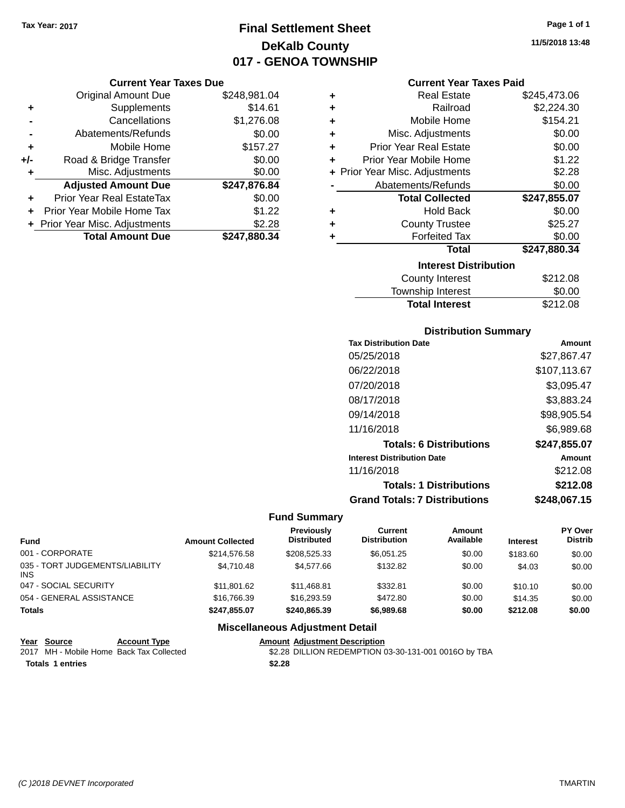# **Final Settlement Sheet Tax Year: 2017 Page 1 of 1 DeKalb County 017 - GENOA TOWNSHIP**

### **Current Year Taxes Due**

|       | <b>Original Amount Due</b>       | \$248,981.04 |
|-------|----------------------------------|--------------|
| ٠     | Supplements                      | \$14.61      |
|       | Cancellations                    | \$1,276.08   |
|       | Abatements/Refunds               | \$0.00       |
| ٠     | Mobile Home                      | \$157.27     |
| $+/-$ | Road & Bridge Transfer           | \$0.00       |
| ٠     | Misc. Adjustments                | \$0.00       |
|       | <b>Adjusted Amount Due</b>       | \$247,876.84 |
| ÷     | <b>Prior Year Real EstateTax</b> | \$0.00       |
|       | Prior Year Mobile Home Tax       | \$1.22       |
|       | + Prior Year Misc. Adjustments   | \$2.28       |
|       | <b>Total Amount Due</b>          | \$247,880.34 |

#### **Current Year Taxes Paid**

| ٠ | <b>Real Estate</b>             | \$245,473.06 |
|---|--------------------------------|--------------|
| ÷ | Railroad                       | \$2,224.30   |
| ÷ | Mobile Home                    | \$154.21     |
| ÷ | Misc. Adjustments              | \$0.00       |
| ÷ | <b>Prior Year Real Estate</b>  | \$0.00       |
| ٠ | Prior Year Mobile Home         | \$1.22       |
|   | + Prior Year Misc. Adjustments | \$2.28       |
|   | Abatements/Refunds             | \$0.00       |
|   | <b>Total Collected</b>         | \$247,855.07 |
| ٠ | Hold Back                      | \$0.00       |
| ٠ | <b>County Trustee</b>          | \$25.27      |
| ٠ | <b>Forfeited Tax</b>           | \$0.00       |
|   | <b>Total</b>                   | \$247,880.34 |
|   | <b>Interest Distribution</b>   |              |
|   | <b>County Interest</b>         | \$212.08     |
|   | <b>Township Interest</b>       | \$0.00       |
|   | <b>Total Interest</b>          | \$212.08     |

## **Distribution Summary**

| <b>Tax Distribution Date</b>         | Amount       |
|--------------------------------------|--------------|
| 05/25/2018                           | \$27.867.47  |
| 06/22/2018                           | \$107,113.67 |
| 07/20/2018                           | \$3,095.47   |
| 08/17/2018                           | \$3,883.24   |
| 09/14/2018                           | \$98,905.54  |
| 11/16/2018                           | \$6,989.68   |
| <b>Totals: 6 Distributions</b>       | \$247,855.07 |
| <b>Interest Distribution Date</b>    | Amount       |
| 11/16/2018                           | \$212.08     |
| <b>Totals: 1 Distributions</b>       | \$212.08     |
| <b>Grand Totals: 7 Distributions</b> | \$248,067.15 |

#### **Fund Summary**

| <b>Fund</b>                             | <b>Amount Collected</b> | Previously<br><b>Distributed</b> | Current<br><b>Distribution</b> | Amount<br>Available | <b>Interest</b> | PY Over<br><b>Distrib</b> |
|-----------------------------------------|-------------------------|----------------------------------|--------------------------------|---------------------|-----------------|---------------------------|
| 001 - CORPORATE                         | \$214.576.58            | \$208,525,33                     | \$6.051.25                     | \$0.00              | \$183.60        | \$0.00                    |
| 035 - TORT JUDGEMENTS/LIABILITY<br>INS. | \$4.710.48              | \$4.577.66                       | \$132.82                       | \$0.00              | \$4.03          | \$0.00                    |
| 047 - SOCIAL SECURITY                   | \$11,801.62             | \$11,468.81                      | \$332.81                       | \$0.00              | \$10.10         | \$0.00                    |
| 054 - GENERAL ASSISTANCE                | \$16,766,39             | \$16,293.59                      | \$472.80                       | \$0.00              | \$14.35         | \$0.00                    |
| <b>Totals</b>                           | \$247.855.07            | \$240,865,39                     | \$6,989,68                     | \$0.00              | \$212.08        | \$0.00                    |

## **Miscellaneous Adjustment Detail**

#### Year Source **Account Type**<br>
2017 MH - Mobile Home Back Tax Collected Amount Adjustment Description<br>\$2.28 DILLION REDEMPTION 03-30-131-001 0016O by TBA

**Totals \$2.28 1 entries**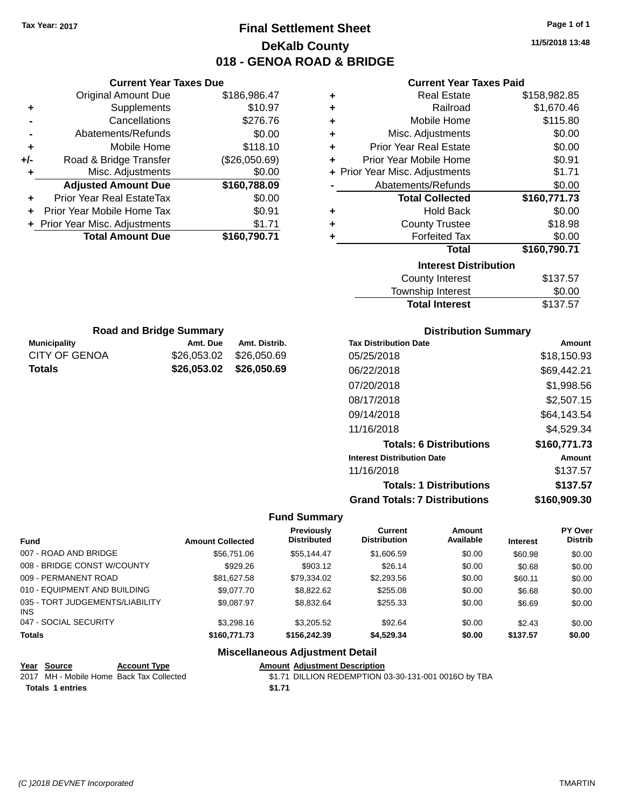# **Final Settlement Sheet Tax Year: 2017 Page 1 of 1 DeKalb County 018 - GENOA ROAD & BRIDGE**

**11/5/2018 13:48**

| <b>Current Year Taxes Paid</b> |  |  |  |
|--------------------------------|--|--|--|
|--------------------------------|--|--|--|

| ٠ | <b>Real Estate</b>             | \$158,982.85 |
|---|--------------------------------|--------------|
| ٠ | Railroad                       | \$1,670.46   |
| ٠ | Mobile Home                    | \$115.80     |
| ٠ | Misc. Adjustments              | \$0.00       |
| ٠ | <b>Prior Year Real Estate</b>  | \$0.00       |
| ÷ | Prior Year Mobile Home         | \$0.91       |
|   | + Prior Year Misc. Adjustments | \$1.71       |
|   | Abatements/Refunds             | \$0.00       |
|   | <b>Total Collected</b>         | \$160,771.73 |
| ٠ | <b>Hold Back</b>               | \$0.00       |
| ٠ | <b>County Trustee</b>          | \$18.98      |
| ٠ | <b>Forfeited Tax</b>           | \$0.00       |
|   | Total                          | \$160,790.71 |
|   | <b>Interest Distribution</b>   |              |
|   | <b>County Interest</b>         | \$137.57     |
|   | <b>Township Interest</b>       | \$0.00       |
|   | <b>Total Interest</b>          | \$137.57     |

|     | <b>Original Amount Due</b>       | \$186,986.47  |
|-----|----------------------------------|---------------|
| ٠   | Supplements                      | \$10.97       |
|     | Cancellations                    | \$276.76      |
| -   | Abatements/Refunds               | \$0.00        |
| ٠   | Mobile Home                      | \$118.10      |
| +/- | Road & Bridge Transfer           | (\$26,050.69) |
| ٠   | Misc. Adjustments                | \$0.00        |
|     | <b>Adjusted Amount Due</b>       | \$160,788.09  |
|     | <b>Prior Year Real EstateTax</b> | \$0.00        |
|     | Prior Year Mobile Home Tax       | \$0.91        |
|     | + Prior Year Misc. Adjustments   | \$1.71        |
|     | <b>Total Amount Due</b>          | \$160,790.71  |

**Current Year Taxes Due**

|                      | <b>Road and Bridge Summary</b> |                         |                   |
|----------------------|--------------------------------|-------------------------|-------------------|
| <b>Municipality</b>  | Amt. Due                       | Amt. Distrib.           | <b>Tax Distri</b> |
| <b>CITY OF GENOA</b> |                                | \$26,053,02 \$26,050,69 | 05/25/2           |
| <b>Totals</b>        |                                | \$26,053.02 \$26,050.69 | 06/22/2           |
|                      |                                |                         | 07/20/20          |

## **Distribution Summary**

| <b>Tax Distribution Date</b>         | Amount       |
|--------------------------------------|--------------|
| 05/25/2018                           | \$18,150.93  |
| 06/22/2018                           | \$69,442.21  |
| 07/20/2018                           | \$1,998.56   |
| 08/17/2018                           | \$2,507.15   |
| 09/14/2018                           | \$64,143.54  |
| 11/16/2018                           | \$4.529.34   |
| <b>Totals: 6 Distributions</b>       | \$160,771.73 |
| <b>Interest Distribution Date</b>    | Amount       |
| 11/16/2018                           | \$137.57     |
| <b>Totals: 1 Distributions</b>       | \$137.57     |
| <b>Grand Totals: 7 Distributions</b> | \$160,909.30 |

## **Fund Summary**

| Fund                                    | <b>Amount Collected</b> | Previously<br><b>Distributed</b> | <b>Current</b><br><b>Distribution</b> | Amount<br>Available | <b>Interest</b> | PY Over<br><b>Distrib</b> |
|-----------------------------------------|-------------------------|----------------------------------|---------------------------------------|---------------------|-----------------|---------------------------|
| 007 - ROAD AND BRIDGE                   | \$56,751.06             | \$55.144.47                      | \$1,606.59                            | \$0.00              | \$60.98         | \$0.00                    |
| 008 - BRIDGE CONST W/COUNTY             | \$929.26                | \$903.12                         | \$26.14                               | \$0.00              | \$0.68          | \$0.00                    |
| 009 - PERMANENT ROAD                    | \$81.627.58             | \$79,334.02                      | \$2,293.56                            | \$0.00              | \$60.11         | \$0.00                    |
| 010 - EQUIPMENT AND BUILDING            | \$9.077.70              | \$8,822.62                       | \$255.08                              | \$0.00              | \$6.68          | \$0.00                    |
| 035 - TORT JUDGEMENTS/LIABILITY<br>INS. | \$9.087.97              | \$8,832.64                       | \$255.33                              | \$0.00              | \$6.69          | \$0.00                    |
| 047 - SOCIAL SECURITY                   | \$3,298.16              | \$3,205.52                       | \$92.64                               | \$0.00              | \$2.43          | \$0.00                    |
| <b>Totals</b>                           | \$160,771.73            | \$156,242,39                     | \$4,529.34                            | \$0.00              | \$137.57        | \$0.00                    |

| Year Source             | <b>Account Type</b>                      |        | <b>Amount Adiustment Description</b>                 |
|-------------------------|------------------------------------------|--------|------------------------------------------------------|
|                         | 2017 MH - Mobile Home Back Tax Collected |        | \$1.71 DILLION REDEMPTION 03-30-131-001 0016O by TBA |
| <b>Totals 1 entries</b> |                                          | \$1.71 |                                                      |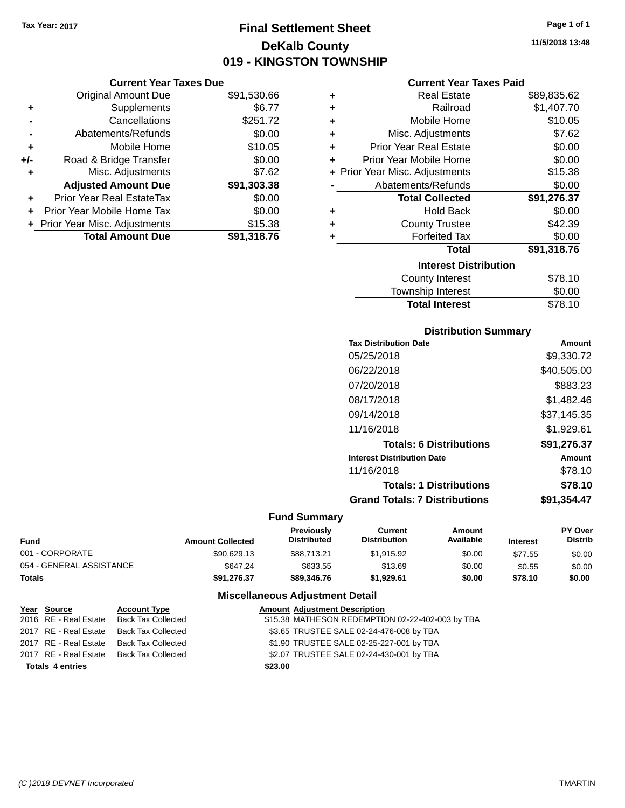# **Final Settlement Sheet Tax Year: 2017 Page 1 of 1 DeKalb County 019 - KINGSTON TOWNSHIP**

#### **Current Year Taxes Due**

|       | <b>Original Amount Due</b>     | \$91,530.66 |
|-------|--------------------------------|-------------|
| ٠     | Supplements                    | \$6.77      |
|       | Cancellations                  | \$251.72    |
|       | Abatements/Refunds             | \$0.00      |
| ٠     | Mobile Home                    | \$10.05     |
| $+/-$ | Road & Bridge Transfer         | \$0.00      |
| ٠     | Misc. Adjustments              | \$7.62      |
|       | <b>Adjusted Amount Due</b>     | \$91,303.38 |
| ÷     | Prior Year Real EstateTax      | \$0.00      |
|       | Prior Year Mobile Home Tax     | \$0.00      |
|       | + Prior Year Misc. Adjustments | \$15.38     |
|       | <b>Total Amount Due</b>        | \$91,318.76 |

|           | <b>Current Year Taxes Paid</b> |             |
|-----------|--------------------------------|-------------|
| ÷         | <b>Real Estate</b>             | \$89,835.62 |
| $\ddot{}$ | Railroad                       | \$1,407.70  |
| $\ddot{}$ | Mobile Home                    | \$10.05     |
| $\ddot{}$ | Misc. Adjustments              | \$7.62      |
| ÷         | <b>Prior Year Real Estate</b>  | \$0.00      |
|           | Prior Year Mobile Home         | \$0.00      |
|           | + Prior Year Misc. Adjustments | \$15.38     |
|           | Abatements/Refunds             | \$0.00      |
|           | <b>Total Collected</b>         | \$91,276.37 |
|           | Hold Back                      | \$0.00      |

| ٠ | <b>County Trustee</b>        | \$42.39     |
|---|------------------------------|-------------|
| ٠ | <b>Forfeited Tax</b>         | \$0.00      |
|   | Total                        | \$91,318.76 |
|   | <b>Interest Distribution</b> |             |
|   | <b>County Interest</b>       | \$78.10     |
|   | Township Interest            | \$0.00      |

## **Distribution Summary**

**Total Interest** \$78.10

| <b>Tax Distribution Date</b>         | Amount      |
|--------------------------------------|-------------|
| 05/25/2018                           | \$9,330.72  |
| 06/22/2018                           | \$40,505.00 |
| 07/20/2018                           | \$883.23    |
| 08/17/2018                           | \$1,482.46  |
| 09/14/2018                           | \$37,145.35 |
| 11/16/2018                           | \$1,929.61  |
| <b>Totals: 6 Distributions</b>       | \$91,276.37 |
| <b>Interest Distribution Date</b>    | Amount      |
| 11/16/2018                           | \$78.10     |
| <b>Totals: 1 Distributions</b>       | \$78.10     |
| <b>Grand Totals: 7 Distributions</b> | \$91,354.47 |

# **Fund Summary**

| Fund                     | <b>Amount Collected</b> | <b>Previously</b><br><b>Distributed</b> | Current<br><b>Distribution</b> | Amount<br>Available | <b>Interest</b> | <b>PY Over</b><br><b>Distrib</b> |
|--------------------------|-------------------------|-----------------------------------------|--------------------------------|---------------------|-----------------|----------------------------------|
| 001 - CORPORATE          | \$90,629.13             | \$88.713.21                             | \$1.915.92                     | \$0.00              | \$77.55         | \$0.00                           |
| 054 - GENERAL ASSISTANCE | \$647.24                | \$633.55                                | \$13.69                        | \$0.00              | \$0.55          | \$0.00                           |
| Totals                   | \$91.276.37             | \$89,346,76                             | \$1.929.61                     | \$0.00              | \$78.10         | \$0.00                           |

| Year Source             | <b>Account Type</b>       | <b>Amount Adjustment Description</b>             |
|-------------------------|---------------------------|--------------------------------------------------|
| 2016 RE - Real Estate   | Back Tax Collected        | \$15.38 MATHESON REDEMPTION 02-22-402-003 by TBA |
| 2017 RE - Real Estate   | <b>Back Tax Collected</b> | \$3.65 TRUSTEE SALE 02-24-476-008 by TBA         |
| 2017 RE - Real Estate   | Back Tax Collected        | \$1.90 TRUSTEE SALE 02-25-227-001 by TBA         |
| 2017 RE - Real Estate   | Back Tax Collected        | \$2.07 TRUSTEE SALE 02-24-430-001 by TBA         |
| <b>Totals 4 entries</b> |                           | \$23.00                                          |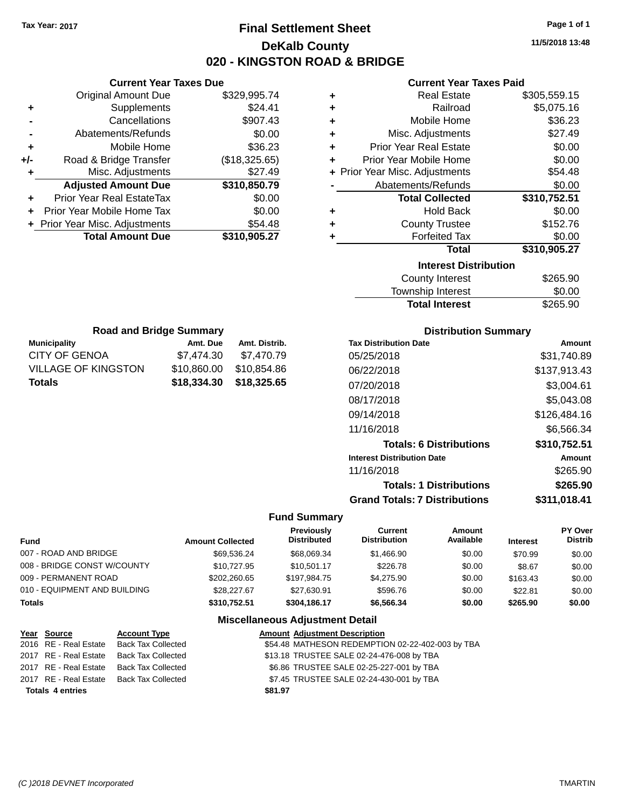**Current Year Taxes Due** Original Amount Due \$329,995.74

**Adjusted Amount Due \$310,850.79**

**Total Amount Due \$310,905.27**

**+** Supplements \$24.41 **-** Cancellations **\$907.43 -** Abatements/Refunds \$0.00 **+** Mobile Home \$36.23 **+/-** Road & Bridge Transfer (\$18,325.65) **+** Misc. Adjustments \$27.49

**+** Prior Year Real EstateTax \$0.00 **+** Prior Year Mobile Home Tax \$0.00 **+** Prior Year Misc. Adjustments \$54.48

**Municipality Municipality** Amt. Due Amt. Distrib. **Road and Bridge Summary**

CITY OF GENOA \$7,474.30 \$7,470.79 VILLAGE OF KINGSTON \$10,860.00 \$10,854.86 **Totals \$18,334.30 \$18,325.65**

# **Final Settlement Sheet Tax Year: 2017 Page 1 of 1 DeKalb County 020 - KINGSTON ROAD & BRIDGE**

**11/5/2018 13:48**

## **Current Year Taxes Paid**

| ٠ | <b>Real Estate</b>             | \$305,559.15 |
|---|--------------------------------|--------------|
| ÷ | Railroad                       | \$5,075.16   |
| ÷ | Mobile Home                    | \$36.23      |
| ÷ | Misc. Adjustments              | \$27.49      |
| ٠ | <b>Prior Year Real Estate</b>  | \$0.00       |
| ÷ | Prior Year Mobile Home         | \$0.00       |
|   | + Prior Year Misc. Adjustments | \$54.48      |
|   | Abatements/Refunds             | \$0.00       |
|   | <b>Total Collected</b>         | \$310,752.51 |
| ÷ | <b>Hold Back</b>               | \$0.00       |
| ٠ | <b>County Trustee</b>          | \$152.76     |
| ٠ | <b>Forfeited Tax</b>           | \$0.00       |
|   | <b>Total</b>                   | \$310,905.27 |
|   | <b>Interest Distribution</b>   |              |
|   | <b>County Interest</b>         | \$265.90     |
|   |                                |              |

# Township Interest \$0.00 Total Interest \$265.90

| <b>Distribution Summary</b>          |              |
|--------------------------------------|--------------|
| <b>Tax Distribution Date</b>         | Amount       |
| 05/25/2018                           | \$31,740.89  |
| 06/22/2018                           | \$137,913.43 |
| 07/20/2018                           | \$3,004.61   |
| 08/17/2018                           | \$5,043.08   |
| 09/14/2018                           | \$126,484.16 |
| 11/16/2018                           | \$6,566.34   |
| <b>Totals: 6 Distributions</b>       | \$310,752.51 |
| <b>Interest Distribution Date</b>    | Amount       |
| 11/16/2018                           | \$265.90     |
| <b>Totals: 1 Distributions</b>       | \$265.90     |
| <b>Grand Totals: 7 Distributions</b> | \$311,018.41 |

#### **Fund Summary**

| Fund                         | <b>Amount Collected</b> | Previously<br><b>Distributed</b> | Current<br><b>Distribution</b> | Amount<br>Available | <b>Interest</b> | PY Over<br><b>Distrib</b> |
|------------------------------|-------------------------|----------------------------------|--------------------------------|---------------------|-----------------|---------------------------|
| 007 - ROAD AND BRIDGE        | \$69.536.24             | \$68,069.34                      | \$1,466.90                     | \$0.00              | \$70.99         | \$0.00                    |
| 008 - BRIDGE CONST W/COUNTY  | \$10.727.95             | \$10.501.17                      | \$226.78                       | \$0.00              | \$8.67          | \$0.00                    |
| 009 - PERMANENT ROAD         | \$202.260.65            | \$197.984.75                     | \$4,275.90                     | \$0.00              | \$163.43        | \$0.00                    |
| 010 - EQUIPMENT AND BUILDING | \$28,227.67             | \$27.630.91                      | \$596.76                       | \$0.00              | \$22.81         | \$0.00                    |
| Totals                       | \$310,752.51            | \$304.186.17                     | \$6,566,34                     | \$0.00              | \$265.90        | \$0.00                    |
|                              |                         |                                  |                                |                     |                 |                           |

| Year Source             | <b>Account Type</b>                      |         | <b>Amount Adjustment Description</b>             |
|-------------------------|------------------------------------------|---------|--------------------------------------------------|
| 2016 RE - Real Estate   | <b>Back Tax Collected</b>                |         | \$54.48 MATHESON REDEMPTION 02-22-402-003 by TBA |
| 2017 RE - Real Estate   | Back Tax Collected                       |         | \$13.18 TRUSTEE SALE 02-24-476-008 by TBA        |
| 2017 RE - Real Estate   | Back Tax Collected                       |         | \$6.86 TRUSTEE SALE 02-25-227-001 by TBA         |
|                         | 2017 RE - Real Estate Back Tax Collected |         | \$7.45 TRUSTEE SALE 02-24-430-001 by TBA         |
| <b>Totals 4 entries</b> |                                          | \$81.97 |                                                  |
|                         |                                          |         |                                                  |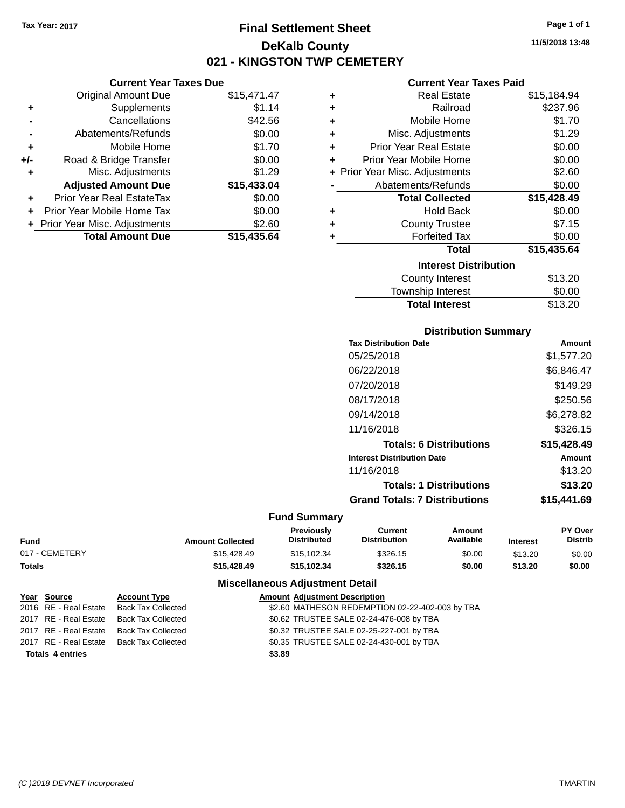**Current Year Taxes Due** Original Amount Due \$15,471.47

**Adjusted Amount Due \$15,433.04**

**Total Amount Due \$15,435.64**

**+** Supplements \$1.14 **-** Cancellations \$42.56 **-** Abatements/Refunds \$0.00 **+** Mobile Home \$1.70 **+/-** Road & Bridge Transfer \$0.00 **+** Misc. Adjustments \$1.29

**+** Prior Year Real EstateTax \$0.00 **+** Prior Year Mobile Home Tax \$0.00 **+** Prior Year Misc. Adjustments \$2.60

# **Final Settlement Sheet Tax Year: 2017 Page 1 of 1 DeKalb County 021 - KINGSTON TWP CEMETERY**

**11/5/2018 13:48**

### **Current Year Taxes Paid**

| ٠ | <b>Real Estate</b>             | \$15,184.94 |
|---|--------------------------------|-------------|
| ÷ | Railroad                       | \$237.96    |
| ÷ | Mobile Home                    | \$1.70      |
| ÷ | Misc. Adjustments              | \$1.29      |
| ÷ | <b>Prior Year Real Estate</b>  | \$0.00      |
| ÷ | Prior Year Mobile Home         | \$0.00      |
|   | + Prior Year Misc. Adjustments | \$2.60      |
|   | Abatements/Refunds             | \$0.00      |
|   | <b>Total Collected</b>         | \$15,428.49 |
| ÷ | <b>Hold Back</b>               | \$0.00      |
| ÷ | <b>County Trustee</b>          | \$7.15      |
| ÷ | <b>Forfeited Tax</b>           | \$0.00      |
|   | <b>Total</b>                   | \$15,435.64 |
|   | <b>Interest Distribution</b>   |             |
|   | County Interest                | \$13.20     |
|   | <b>Township Interest</b>       | \$0.00      |

# **Distribution Summary Tax Distribution Date Amount** 05/25/2018 \$1,577.20 06/22/2018 \$6,846.47

Total Interest \$13.20

| 07/20/2018                           | \$149.29    |
|--------------------------------------|-------------|
| 08/17/2018                           | \$250.56    |
| 09/14/2018                           | \$6,278.82  |
| 11/16/2018                           | \$326.15    |
| <b>Totals: 6 Distributions</b>       | \$15,428.49 |
| <b>Interest Distribution Date</b>    | Amount      |
| 11/16/2018                           | \$13.20     |
| <b>Totals: 1 Distributions</b>       | \$13.20     |
| <b>Grand Totals: 7 Distributions</b> | \$15,441.69 |

#### **Fund Summary**

|                |                         | <b>Previously</b>  | Current             | Amount    |                 | <b>PY Over</b> |
|----------------|-------------------------|--------------------|---------------------|-----------|-----------------|----------------|
| Fund           | <b>Amount Collected</b> | <b>Distributed</b> | <b>Distribution</b> | Available | <b>Interest</b> | Distrib        |
| 017 - CEMETERY | \$15.428.49             | \$15.102.34        | \$326.15            | \$0.00    | \$13.20         | \$0.00         |
| Totals         | \$15.428.49             | \$15.102.34        | \$326.15            | \$0.00    | \$13.20         | \$0.00         |

| Year Source             | <b>Account Type</b> | <b>Amount Adjustment Description</b>            |
|-------------------------|---------------------|-------------------------------------------------|
| 2016 RE - Real Estate   | Back Tax Collected  | \$2.60 MATHESON REDEMPTION 02-22-402-003 by TBA |
| 2017 RE - Real Estate   | Back Tax Collected  | \$0.62 TRUSTEE SALE 02-24-476-008 by TBA        |
| 2017 RE - Real Estate   | Back Tax Collected  | \$0.32 TRUSTEE SALE 02-25-227-001 by TBA        |
| 2017 RE - Real Estate   | Back Tax Collected  | \$0.35 TRUSTEE SALE 02-24-430-001 by TBA        |
| <b>Totals 4 entries</b> |                     | \$3.89                                          |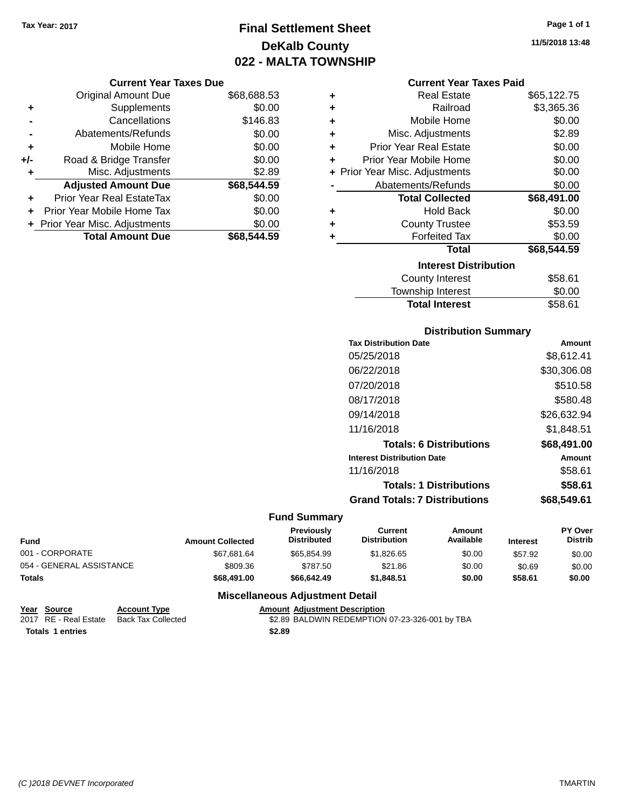# **Final Settlement Sheet Tax Year: 2017 Page 1 of 1 DeKalb County 022 - MALTA TOWNSHIP**

#### **Current Year Taxes Due**

|     | <b>Original Amount Due</b>       | \$68,688.53 |
|-----|----------------------------------|-------------|
| ٠   | Supplements                      | \$0.00      |
|     | Cancellations                    | \$146.83    |
|     | Abatements/Refunds               | \$0.00      |
| ٠   | Mobile Home                      | \$0.00      |
| +/- | Road & Bridge Transfer           | \$0.00      |
| ۰   | Misc. Adjustments                | \$2.89      |
|     | <b>Adjusted Amount Due</b>       | \$68,544.59 |
| ÷   | <b>Prior Year Real EstateTax</b> | \$0.00      |
|     | Prior Year Mobile Home Tax       | \$0.00      |
|     | + Prior Year Misc. Adjustments   | \$0.00      |
|     | <b>Total Amount Due</b>          | \$68,544.59 |

|    | <b>Current Year Taxes Paid</b> |             |
|----|--------------------------------|-------------|
| ÷  | <b>Real Estate</b>             | \$65,122.75 |
| ÷. | Railroad                       | \$3,365.36  |
| ÷. | Mobile Home                    | \$0.00      |
| ÷. | Misc. Adjustments              | \$2.89      |
| ÷. | <b>Prior Year Real Estate</b>  | \$0.00      |
| ÷  | Prior Year Mobile Home         | \$0.00      |
|    | + Prior Year Misc. Adjustments | \$0.00      |
|    | Abatements/Refunds             | \$0.00      |
|    | <b>Total Collected</b>         | \$68,491.00 |
| ÷  | <b>Hold Back</b>               | \$0.00      |

#### **+** County Trustee **+** Forfeited Tax \$0.00 **Total \$68,544.59 Interest Distribution** \$53.59

| <b>Total Interest</b>  | \$58.61 |
|------------------------|---------|
| Township Interest      | \$0.00  |
| <b>County Interest</b> | \$58.61 |

## **Distribution Summary**

| \$8,612.41  |
|-------------|
| \$30,306.08 |
| \$510.58    |
| \$580.48    |
| \$26,632.94 |
| \$1,848.51  |
| \$68,491.00 |
| Amount      |
| \$58.61     |
| \$58.61     |
| \$68.549.61 |
|             |

# **Fund Summary**

 $\overline{a}$ 

| <b>Fund</b>              | <b>Amount Collected</b> | <b>Previously</b><br><b>Distributed</b> | Current<br><b>Distribution</b> | Amount<br>Available | <b>Interest</b> | <b>PY Over</b><br><b>Distrib</b> |
|--------------------------|-------------------------|-----------------------------------------|--------------------------------|---------------------|-----------------|----------------------------------|
| 001 - CORPORATE          | \$67,681.64             | \$65.854.99                             | \$1,826,65                     | \$0.00              | \$57.92         | \$0.00                           |
| 054 - GENERAL ASSISTANCE | \$809.36                | \$787.50                                | \$21.86                        | \$0.00              | \$0.69          | \$0.00                           |
| <b>Totals</b>            | \$68,491,00             | \$66,642.49                             | \$1.848.51                     | \$0.00              | \$58.61         | \$0.00                           |

## **Miscellaneous Adjustment Detail**

| Year Source      | <b>Account Type</b>                      |        | <b>Amount Adiustment Description</b>           |  |
|------------------|------------------------------------------|--------|------------------------------------------------|--|
|                  | 2017 RE - Real Estate Back Tax Collected |        | \$2.89 BALDWIN REDEMPTION 07-23-326-001 by TBA |  |
| Totals 1 entries |                                          | \$2.89 |                                                |  |

**11/5/2018 13:48**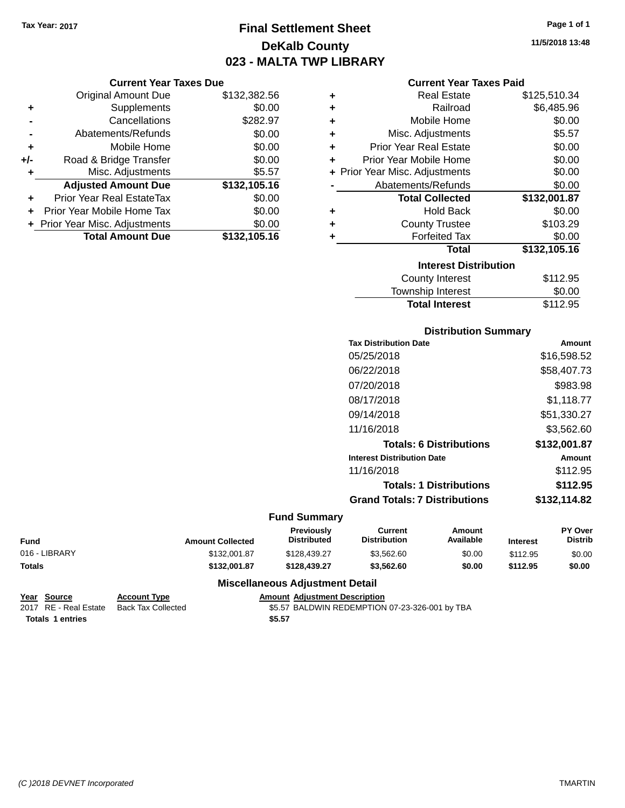# **Final Settlement Sheet Tax Year: 2017 Page 1 of 1 DeKalb County 023 - MALTA TWP LIBRARY**

**11/5/2018 13:48**

|  | ar Taxes Due |  |  |
|--|--------------|--|--|
|--|--------------|--|--|

|     | <b>Current Year Taxes Due</b>  |              |  |  |
|-----|--------------------------------|--------------|--|--|
|     | <b>Original Amount Due</b>     | \$132,382.56 |  |  |
| ٠   | Supplements                    | \$0.00       |  |  |
|     | Cancellations                  | \$282.97     |  |  |
|     | Abatements/Refunds             | \$0.00       |  |  |
| ٠   | Mobile Home                    | \$0.00       |  |  |
| +/- | Road & Bridge Transfer         | \$0.00       |  |  |
|     | Misc. Adjustments              | \$5.57       |  |  |
|     | <b>Adjusted Amount Due</b>     | \$132,105.16 |  |  |
| ÷   | Prior Year Real EstateTax      | \$0.00       |  |  |
|     | Prior Year Mobile Home Tax     | \$0.00       |  |  |
|     | + Prior Year Misc. Adjustments | \$0.00       |  |  |
|     | <b>Total Amount Due</b>        | \$132,105.16 |  |  |

| <b>Current Year Taxes Paid</b> |  |  |  |
|--------------------------------|--|--|--|
|--------------------------------|--|--|--|

| ٠ | <b>Real Estate</b>             | \$125,510.34 |
|---|--------------------------------|--------------|
| ÷ | Railroad                       | \$6,485.96   |
| ٠ | Mobile Home                    | \$0.00       |
| ٠ | Misc. Adjustments              | \$5.57       |
| ÷ | <b>Prior Year Real Estate</b>  | \$0.00       |
| ÷ | Prior Year Mobile Home         | \$0.00       |
|   | + Prior Year Misc. Adjustments | \$0.00       |
|   | Abatements/Refunds             | \$0.00       |
|   |                                |              |
|   | <b>Total Collected</b>         | \$132,001.87 |
| ٠ | <b>Hold Back</b>               | \$0.00       |
| ÷ | <b>County Trustee</b>          | \$103.29     |
| ٠ | <b>Forfeited Tax</b>           | \$0.00       |
|   | Total                          | \$132,105.16 |
|   | <b>Interest Distribution</b>   |              |
|   | <b>County Interest</b>         | \$112.95     |

| <b>Total Interest</b> | \$112.95 |
|-----------------------|----------|
| Township Interest     | \$0.00   |
| County Interest       | \$112.95 |

## **Distribution Summary**

| <b>Tax Distribution Date</b>         | Amount        |
|--------------------------------------|---------------|
| 05/25/2018                           | \$16,598.52   |
| 06/22/2018                           | \$58,407.73   |
| 07/20/2018                           | \$983.98      |
| 08/17/2018                           | \$1,118.77    |
| 09/14/2018                           | \$51,330.27   |
| 11/16/2018                           | \$3,562.60    |
| <b>Totals: 6 Distributions</b>       | \$132,001.87  |
| <b>Interest Distribution Date</b>    | <b>Amount</b> |
| 11/16/2018                           | \$112.95      |
| <b>Totals: 1 Distributions</b>       | \$112.95      |
| <b>Grand Totals: 7 Distributions</b> | \$132,114.82  |
|                                      |               |

## **Fund Summary**

÷,

| <b>Fund</b>   | <b>Amount Collected</b> | Previously<br><b>Distributed</b> | Current<br><b>Distribution</b> | Amount<br>Available | <b>Interest</b> | <b>PY Over</b><br>Distrib |
|---------------|-------------------------|----------------------------------|--------------------------------|---------------------|-----------------|---------------------------|
| 016 - LIBRARY | \$132.001.87            | \$128.439.27                     | \$3.562.60                     | \$0.00              | \$112.95        | \$0.00                    |
| <b>Totals</b> | \$132.001.87            | \$128,439.27                     | \$3,562.60                     | \$0.00              | \$112.95        | \$0.00                    |

```
Year Source Account Type Anneunt Adjustment Description<br>
2017 RE - Real Estate Back Tax Collected $5.57 BALDWIN REDEMPTION
                                                         $5.57 BALDWIN REDEMPTION 07-23-326-001 by TBA
 Totals $5.57 1 entries
```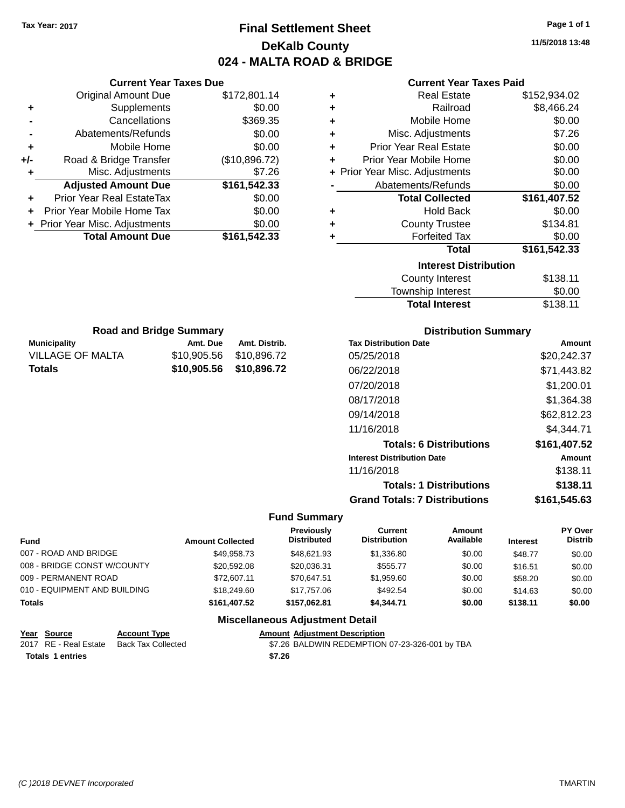# **Final Settlement Sheet Tax Year: 2017 Page 1 of 1 DeKalb County 024 - MALTA ROAD & BRIDGE**

**11/5/2018 13:48**

| <b>Current Year Taxes Paid</b> |  |  |  |
|--------------------------------|--|--|--|
|--------------------------------|--|--|--|

| ٠ | <b>Real Estate</b>             | \$152,934.02 |
|---|--------------------------------|--------------|
| ٠ | Railroad                       | \$8,466.24   |
| ٠ | Mobile Home                    | \$0.00       |
| ٠ | Misc. Adjustments              | \$7.26       |
| ٠ | <b>Prior Year Real Estate</b>  | \$0.00       |
| ÷ | Prior Year Mobile Home         | \$0.00       |
|   | + Prior Year Misc. Adjustments | \$0.00       |
|   | Abatements/Refunds             | \$0.00       |
|   | <b>Total Collected</b>         | \$161,407.52 |
| ٠ | <b>Hold Back</b>               | \$0.00       |
| ٠ | <b>County Trustee</b>          | \$134.81     |
| ٠ | <b>Forfeited Tax</b>           | \$0.00       |
|   | Total                          | \$161,542.33 |
|   | <b>Interest Distribution</b>   |              |
|   | <b>County Interest</b>         | \$138.11     |
|   | <b>Township Interest</b>       | \$0.00       |
|   | <b>Total Interest</b>          | \$138.11     |

|     | <b>Current Year Taxes Due</b>    |               |
|-----|----------------------------------|---------------|
|     | <b>Original Amount Due</b>       | \$172,801.14  |
| ٠   | Supplements                      | \$0.00        |
|     | Cancellations                    | \$369.35      |
|     | Abatements/Refunds               | \$0.00        |
| ٠   | Mobile Home                      | \$0.00        |
| +/- | Road & Bridge Transfer           | (\$10,896.72) |
| ٠   | Misc. Adjustments                | \$7.26        |
|     | <b>Adjusted Amount Due</b>       | \$161,542.33  |
| ٠   | <b>Prior Year Real EstateTax</b> | \$0.00        |
| ÷   | Prior Year Mobile Home Tax       | \$0.00        |
|     | + Prior Year Misc. Adjustments   | \$0.00        |
|     | <b>Total Amount Due</b>          | \$161,542.33  |
|     |                                  |               |

| <b>Road and Bridge Summary</b>           |          |                         |  |  |
|------------------------------------------|----------|-------------------------|--|--|
| <b>Municipality</b>                      | Amt. Due | Amt. Distrib.           |  |  |
| <b>VILLAGE OF MALTA</b>                  |          | \$10,905.56 \$10,896.72 |  |  |
| \$10,905.56 \$10,896.72<br><b>Totals</b> |          |                         |  |  |

# **Distribution Summary**

| <b>Tax Distribution Date</b>         | Amount       |
|--------------------------------------|--------------|
| 05/25/2018                           | \$20,242,37  |
| 06/22/2018                           | \$71,443.82  |
| 07/20/2018                           | \$1.200.01   |
| 08/17/2018                           | \$1,364.38   |
| 09/14/2018                           | \$62,812.23  |
| 11/16/2018                           | \$4.344.71   |
| <b>Totals: 6 Distributions</b>       | \$161,407.52 |
| <b>Interest Distribution Date</b>    | Amount       |
| 11/16/2018                           | \$138.11     |
| <b>Totals: 1 Distributions</b>       | \$138.11     |
| <b>Grand Totals: 7 Distributions</b> | \$161.545.63 |

# **Fund Summary**

| Fund                         | <b>Amount Collected</b> | Previously<br><b>Distributed</b> | Current<br><b>Distribution</b> | Amount<br>Available | <b>Interest</b> | PY Over<br><b>Distrib</b> |
|------------------------------|-------------------------|----------------------------------|--------------------------------|---------------------|-----------------|---------------------------|
| 007 - ROAD AND BRIDGE        | \$49.958.73             | \$48.621.93                      | \$1,336.80                     | \$0.00              | \$48.77         | \$0.00                    |
| 008 - BRIDGE CONST W/COUNTY  | \$20,592.08             | \$20,036.31                      | \$555.77                       | \$0.00              | \$16.51         | \$0.00                    |
| 009 - PERMANENT ROAD         | \$72,607.11             | \$70.647.51                      | \$1.959.60                     | \$0.00              | \$58.20         | \$0.00                    |
| 010 - EQUIPMENT AND BUILDING | \$18,249.60             | \$17,757.06                      | \$492.54                       | \$0.00              | \$14.63         | \$0.00                    |
| <b>Totals</b>                | \$161.407.52            | \$157.062.81                     | \$4.344.71                     | \$0.00              | \$138.11        | \$0.00                    |
|                              |                         |                                  |                                |                     |                 |                           |

| Year Source             | <b>Account Type</b>                      |        | <b>Amount Adiustment Description</b>           |
|-------------------------|------------------------------------------|--------|------------------------------------------------|
|                         | 2017 RE - Real Estate Back Tax Collected |        | \$7.26 BALDWIN REDEMPTION 07-23-326-001 by TBA |
| <b>Totals 1 entries</b> |                                          | \$7.26 |                                                |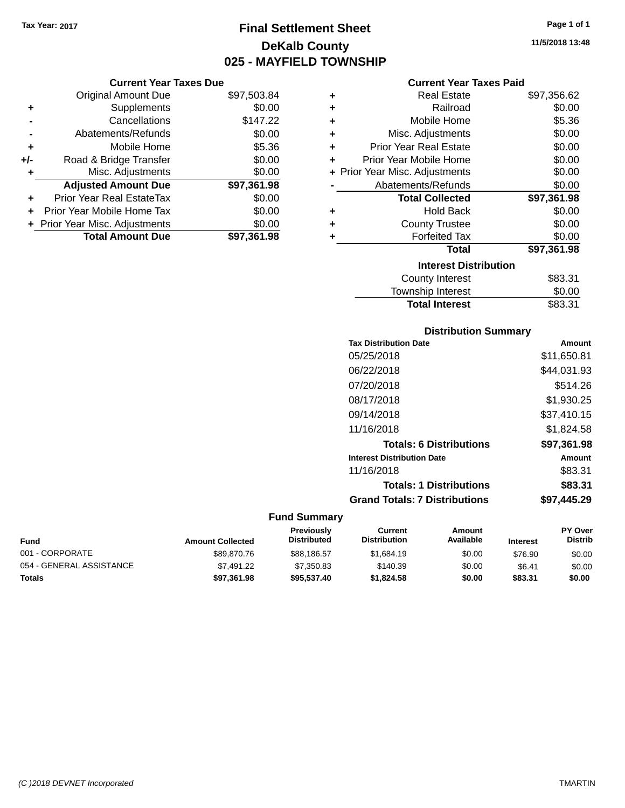# **Final Settlement Sheet Tax Year: 2017 Page 1 of 1 DeKalb County 025 - MAYFIELD TOWNSHIP**

### **Current Year Taxes Due**

|       | <b>Original Amount Due</b>     | \$97,503.84 |
|-------|--------------------------------|-------------|
| ٠     | Supplements                    | \$0.00      |
|       | Cancellations                  | \$147.22    |
|       | Abatements/Refunds             | \$0.00      |
| ٠     | Mobile Home                    | \$5.36      |
| $+/-$ | Road & Bridge Transfer         | \$0.00      |
| ٠     | Misc. Adjustments              | \$0.00      |
|       | <b>Adjusted Amount Due</b>     | \$97,361.98 |
| ٠     | Prior Year Real EstateTax      | \$0.00      |
|       | Prior Year Mobile Home Tax     | \$0.00      |
|       | + Prior Year Misc. Adjustments | \$0.00      |
|       | <b>Total Amount Due</b>        | \$97,361.98 |

### **Current Year Taxes Paid**

| ٠ | Real Estate                    | \$97,356.62 |
|---|--------------------------------|-------------|
| ٠ | Railroad                       | \$0.00      |
| ٠ | Mobile Home                    | \$5.36      |
| ٠ | Misc. Adjustments              | \$0.00      |
| ٠ | <b>Prior Year Real Estate</b>  | \$0.00      |
| ٠ | Prior Year Mobile Home         | \$0.00      |
|   | + Prior Year Misc. Adjustments | \$0.00      |
|   | Abatements/Refunds             | \$0.00      |
|   | <b>Total Collected</b>         | \$97,361.98 |
| ٠ | <b>Hold Back</b>               | \$0.00      |
| ٠ | <b>County Trustee</b>          | \$0.00      |
| ٠ | <b>Forfeited Tax</b>           | \$0.00      |
|   | <b>Total</b>                   | \$97,361.98 |
|   | <b>Interest Distribution</b>   |             |
|   | <b>County Interest</b>         | \$83.31     |
|   | <b>Township Interest</b>       | \$0.00      |
|   | <b>Total Interest</b>          | \$83.31     |

# **Distribution Summary**

| <b>Tax Distribution Date</b>         | Amount      |
|--------------------------------------|-------------|
| 05/25/2018                           | \$11,650.81 |
| 06/22/2018                           | \$44,031.93 |
| 07/20/2018                           | \$514.26    |
| 08/17/2018                           | \$1.930.25  |
| 09/14/2018                           | \$37,410.15 |
| 11/16/2018                           | \$1,824.58  |
| <b>Totals: 6 Distributions</b>       | \$97,361.98 |
| <b>Interest Distribution Date</b>    | Amount      |
| 11/16/2018                           | \$83.31     |
| <b>Totals: 1 Distributions</b>       | \$83.31     |
| <b>Grand Totals: 7 Distributions</b> | \$97,445.29 |
|                                      |             |

| Fund                     | <b>Amount Collected</b> | <b>Previously</b><br><b>Distributed</b> | Current<br><b>Distribution</b> | Amount<br>Available | <b>Interest</b> | <b>PY Over</b><br><b>Distrib</b> |
|--------------------------|-------------------------|-----------------------------------------|--------------------------------|---------------------|-----------------|----------------------------------|
| 001 - CORPORATE          | \$89,870.76             | \$88,186.57                             | \$1,684.19                     | \$0.00              | \$76.90         | \$0.00                           |
| 054 - GENERAL ASSISTANCE | \$7.491.22              | \$7.350.83                              | \$140.39                       | \$0.00              | \$6.41          | \$0.00                           |
| <b>Totals</b>            | \$97.361.98             | \$95,537.40                             | \$1,824.58                     | \$0.00              | \$83.31         | \$0.00                           |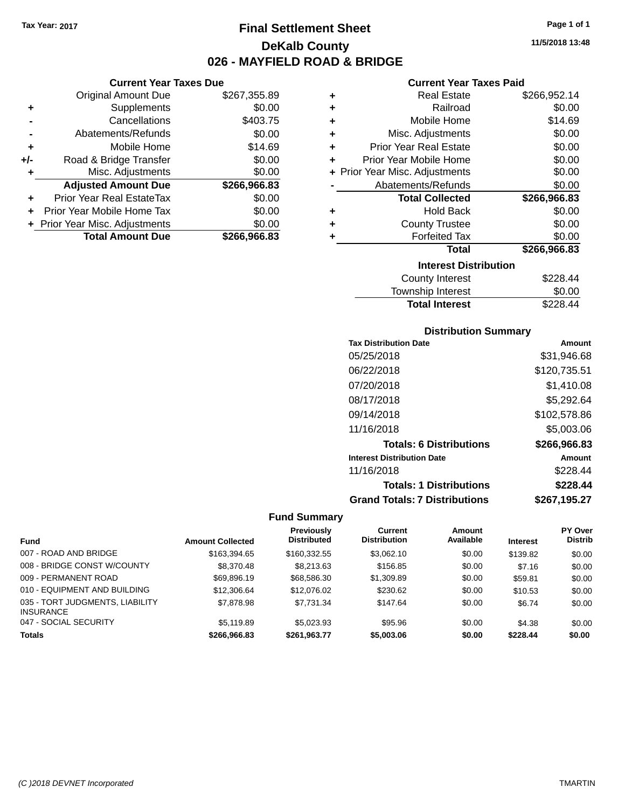**Current Year Taxes Due** Original Amount Due \$267,355.89

**Adjusted Amount Due \$266,966.83**

**Total Amount Due \$266,966.83**

**+** Supplements \$0.00 **-** Cancellations \$403.75 **-** Abatements/Refunds \$0.00 **+** Mobile Home \$14.69 **+/-** Road & Bridge Transfer \$0.00<br> **+** Misc. Adjustments \$0.00

**+** Prior Year Real EstateTax \$0.00 **+** Prior Year Mobile Home Tax \$0.00 **+ Prior Year Misc. Adjustments**  $$0.00$ 

**+** Misc. Adjustments

# **Final Settlement Sheet Tax Year: 2017 Page 1 of 1 DeKalb County 026 - MAYFIELD ROAD & BRIDGE**

**11/5/2018 13:48**

# **Current Year Taxes Paid**

| ٠ | <b>Real Estate</b>             | \$266,952.14 |
|---|--------------------------------|--------------|
| ٠ | Railroad                       | \$0.00       |
| ÷ | Mobile Home                    | \$14.69      |
| ÷ | Misc. Adjustments              | \$0.00       |
| ÷ | <b>Prior Year Real Estate</b>  | \$0.00       |
| ٠ | Prior Year Mobile Home         | \$0.00       |
|   | + Prior Year Misc. Adjustments | \$0.00       |
|   | Abatements/Refunds             | \$0.00       |
|   | <b>Total Collected</b>         | \$266,966.83 |
| ٠ | <b>Hold Back</b>               | \$0.00       |
| ٠ | <b>County Trustee</b>          | \$0.00       |
|   | <b>Forfeited Tax</b>           | \$0.00       |
|   | Total                          | \$266,966.83 |
|   | <b>Interest Distribution</b>   |              |
|   | <b>County Interest</b>         | \$228.44     |
|   | -                              | ^^ ^         |

| <b>Total Interest</b> | \$228.44 |
|-----------------------|----------|
| Township Interest     | \$0.00   |
| County Interest       | \$228.44 |

## **Distribution Summary**

| <b>Tax Distribution Date</b>         | Amount       |
|--------------------------------------|--------------|
| 05/25/2018                           | \$31,946.68  |
| 06/22/2018                           | \$120,735.51 |
| 07/20/2018                           | \$1,410.08   |
| 08/17/2018                           | \$5,292.64   |
| 09/14/2018                           | \$102,578.86 |
| 11/16/2018                           | \$5,003.06   |
| <b>Totals: 6 Distributions</b>       | \$266,966.83 |
| <b>Interest Distribution Date</b>    | Amount       |
| 11/16/2018                           | \$228.44     |
| <b>Totals: 1 Distributions</b>       | \$228.44     |
| <b>Grand Totals: 7 Distributions</b> | \$267,195.27 |

|                                                     |                         | Previously         | Current             | Amount    |                 | PY Over        |
|-----------------------------------------------------|-------------------------|--------------------|---------------------|-----------|-----------------|----------------|
| <b>Fund</b>                                         | <b>Amount Collected</b> | <b>Distributed</b> | <b>Distribution</b> | Available | <b>Interest</b> | <b>Distrib</b> |
| 007 - ROAD AND BRIDGE                               | \$163,394.65            | \$160,332.55       | \$3.062.10          | \$0.00    | \$139.82        | \$0.00         |
| 008 - BRIDGE CONST W/COUNTY                         | \$8,370.48              | \$8,213,63         | \$156.85            | \$0.00    | \$7.16          | \$0.00         |
| 009 - PERMANENT ROAD                                | \$69.896.19             | \$68,586.30        | \$1,309.89          | \$0.00    | \$59.81         | \$0.00         |
| 010 - EQUIPMENT AND BUILDING                        | \$12,306.64             | \$12,076.02        | \$230.62            | \$0.00    | \$10.53         | \$0.00         |
| 035 - TORT JUDGMENTS, LIABILITY<br><b>INSURANCE</b> | \$7,878.98              | \$7.731.34         | \$147.64            | \$0.00    | \$6.74          | \$0.00         |
| 047 - SOCIAL SECURITY                               | \$5,119.89              | \$5.023.93         | \$95.96             | \$0.00    | \$4.38          | \$0.00         |
| <b>Totals</b>                                       | \$266,966,83            | \$261.963.77       | \$5,003,06          | \$0.00    | \$228.44        | \$0.00         |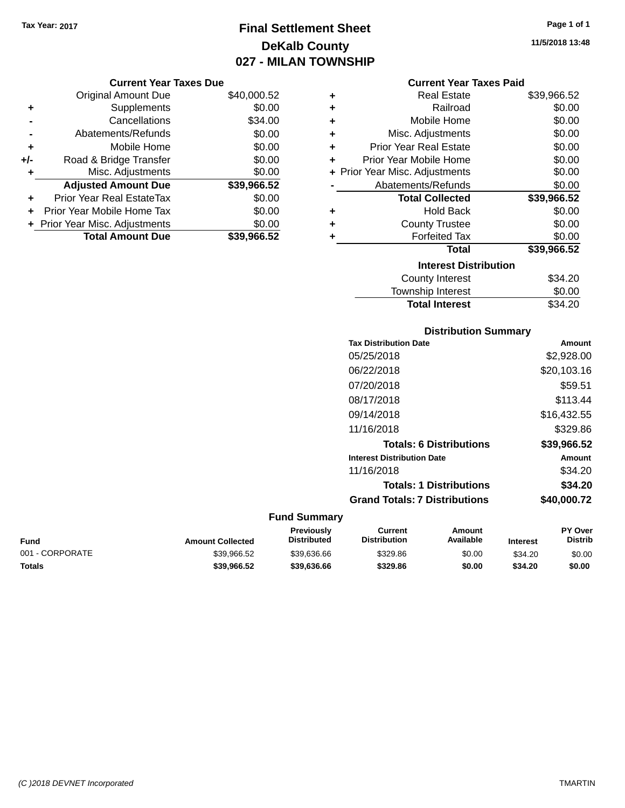# **Final Settlement Sheet Tax Year: 2017 Page 1 of 1 DeKalb County 027 - MILAN TOWNSHIP**

|     | <b>Original Amount Due</b>       | \$40,000.52 |
|-----|----------------------------------|-------------|
| ٠   | Supplements                      | \$0.00      |
|     | Cancellations                    | \$34.00     |
|     | Abatements/Refunds               | \$0.00      |
| ٠   | Mobile Home                      | \$0.00      |
| +/- | Road & Bridge Transfer           | \$0.00      |
| ٠   | Misc. Adjustments                | \$0.00      |
|     | <b>Adjusted Amount Due</b>       | \$39,966.52 |
| ÷   | <b>Prior Year Real EstateTax</b> | \$0.00      |
|     | Prior Year Mobile Home Tax       | \$0.00      |
|     | + Prior Year Misc. Adjustments   | \$0.00      |
|     | <b>Total Amount Due</b>          | \$39.966.52 |

| ٠ | Real Estate                    | \$39,966.52 |
|---|--------------------------------|-------------|
| ÷ | Railroad                       | \$0.00      |
| ÷ | Mobile Home                    | \$0.00      |
| ٠ | Misc. Adjustments              | \$0.00      |
| ٠ | <b>Prior Year Real Estate</b>  | \$0.00      |
| ÷ | Prior Year Mobile Home         | \$0.00      |
|   | + Prior Year Misc. Adjustments | \$0.00      |
|   | Abatements/Refunds             | \$0.00      |
|   | <b>Total Collected</b>         | \$39,966.52 |
| ٠ | Hold Back                      | \$0.00      |
| ٠ | <b>County Trustee</b>          | \$0.00      |
|   | <b>Forfeited Tax</b>           | \$0.00      |
|   | <b>Total</b>                   | \$39,966.52 |
|   | <b>Interest Distribution</b>   |             |
|   | <b>County Interest</b>         | \$34.20     |
|   | <b>Township Interest</b>       | \$0.00      |
|   | <b>Total Interest</b>          | \$34.20     |

# **Distribution Summary Tax Distribution Date Amount** 05/25/2018 \$2,928.00 06/22/2018 \$20,103.16 07/20/2018 \$59.51 08/17/2018 \$113.44 09/14/2018 \$16,432.55 11/16/2018 \$329.86 **Totals: 6 Distributions \$39,966.52 Interest Distribution Date Amount** 11/16/2018 \$34.20 **Totals: 1 Distributions \$34.20 Grand Totals: 7 Distributions \$40,000.72**

#### **Fund Summary**

| <b>Amount Collected</b> | <b>Previously</b><br><b>Distributed</b> | Current<br><b>Distribution</b> | Amount<br>Available | <b>Interest</b> | <b>PY Over</b><br>Distrib |
|-------------------------|-----------------------------------------|--------------------------------|---------------------|-----------------|---------------------------|
| \$39.966.52             | \$39,636,66                             | \$329.86                       | \$0.00              | \$34.20         | \$0.00                    |
| \$39,966.52             | \$39,636,66                             | \$329.86                       | \$0.00              | \$34.20         | \$0.00                    |
|                         |                                         |                                |                     |                 |                           |

**11/5/2018 13:48**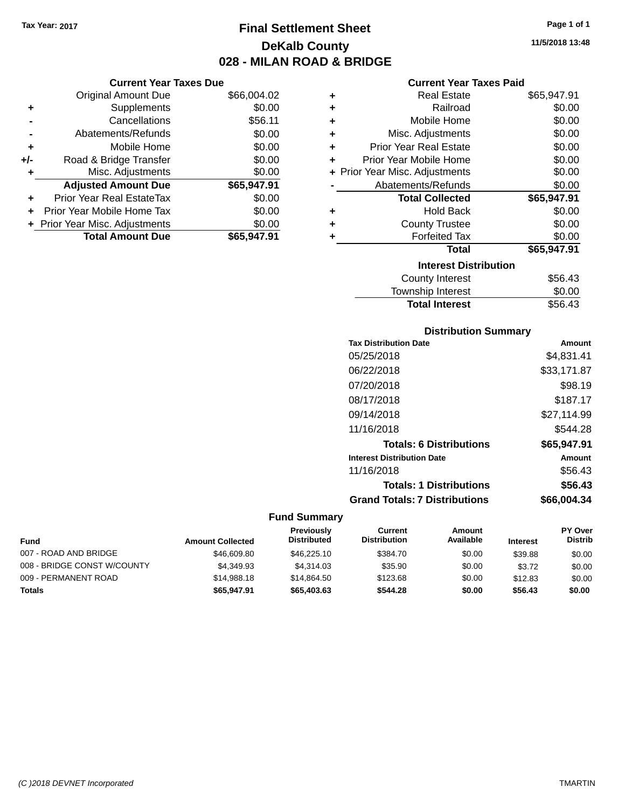# **Final Settlement Sheet Tax Year: 2017 Page 1 of 1 DeKalb County 028 - MILAN ROAD & BRIDGE**

## **Current Year Taxes Due**

|     | <b>Original Amount Due</b>       | \$66,004.02 |
|-----|----------------------------------|-------------|
| ٠   | Supplements                      | \$0.00      |
|     | Cancellations                    | \$56.11     |
|     | Abatements/Refunds               | \$0.00      |
| ٠   | Mobile Home                      | \$0.00      |
| +/- | Road & Bridge Transfer           | \$0.00      |
| ۰   | Misc. Adjustments                | \$0.00      |
|     | <b>Adjusted Amount Due</b>       | \$65,947.91 |
| ÷   | <b>Prior Year Real EstateTax</b> | \$0.00      |
|     | Prior Year Mobile Home Tax       | \$0.00      |
|     | + Prior Year Misc. Adjustments   | \$0.00      |
|     | <b>Total Amount Due</b>          | \$65,947.91 |

## **Current Year Taxes Paid**

| ٠ | <b>Real Estate</b>             | \$65,947.91 |
|---|--------------------------------|-------------|
| ÷ | Railroad                       | \$0.00      |
| ٠ | Mobile Home                    | \$0.00      |
| ÷ | Misc. Adjustments              | \$0.00      |
| ÷ | <b>Prior Year Real Estate</b>  | \$0.00      |
| ٠ | Prior Year Mobile Home         | \$0.00      |
|   | + Prior Year Misc. Adjustments | \$0.00      |
|   | Abatements/Refunds             | \$0.00      |
|   | <b>Total Collected</b>         | \$65,947.91 |
| ٠ | <b>Hold Back</b>               | \$0.00      |
| ٠ | <b>County Trustee</b>          | \$0.00      |
| ٠ | <b>Forfeited Tax</b>           | \$0.00      |
|   | Total                          | \$65,947.91 |
|   | <b>Interest Distribution</b>   |             |
|   | <b>County Interest</b>         | \$56.43     |
|   | <b>Township Interest</b>       | \$0.00      |
|   | <b>Total Interest</b>          | \$56.43     |

# **Distribution Summary**

| <b>Tax Distribution Date</b>         | Amount      |
|--------------------------------------|-------------|
| 05/25/2018                           | \$4,831.41  |
| 06/22/2018                           | \$33,171.87 |
| 07/20/2018                           | \$98.19     |
| 08/17/2018                           | \$187.17    |
| 09/14/2018                           | \$27,114.99 |
| 11/16/2018                           | \$544.28    |
| <b>Totals: 6 Distributions</b>       | \$65,947.91 |
| <b>Interest Distribution Date</b>    | Amount      |
| 11/16/2018                           | \$56.43     |
| <b>Totals: 1 Distributions</b>       | \$56.43     |
| <b>Grand Totals: 7 Distributions</b> | \$66.004.34 |

| Fund                        | <b>Amount Collected</b> | <b>Previously</b><br><b>Distributed</b> | Current<br><b>Distribution</b> | Amount<br>Available | <b>Interest</b> | <b>PY Over</b><br><b>Distrib</b> |
|-----------------------------|-------------------------|-----------------------------------------|--------------------------------|---------------------|-----------------|----------------------------------|
| 007 - ROAD AND BRIDGE       | \$46,609.80             | \$46,225.10                             | \$384.70                       | \$0.00              | \$39.88         | \$0.00                           |
| 008 - BRIDGE CONST W/COUNTY | \$4.349.93              | \$4.314.03                              | \$35.90                        | \$0.00              | \$3.72          | \$0.00                           |
| 009 - PERMANENT ROAD        | \$14,988,18             | \$14.864.50                             | \$123.68                       | \$0.00              | \$12.83         | \$0.00                           |
| Totals                      | \$65,947.91             | \$65,403.63                             | \$544.28                       | \$0.00              | \$56.43         | \$0.00                           |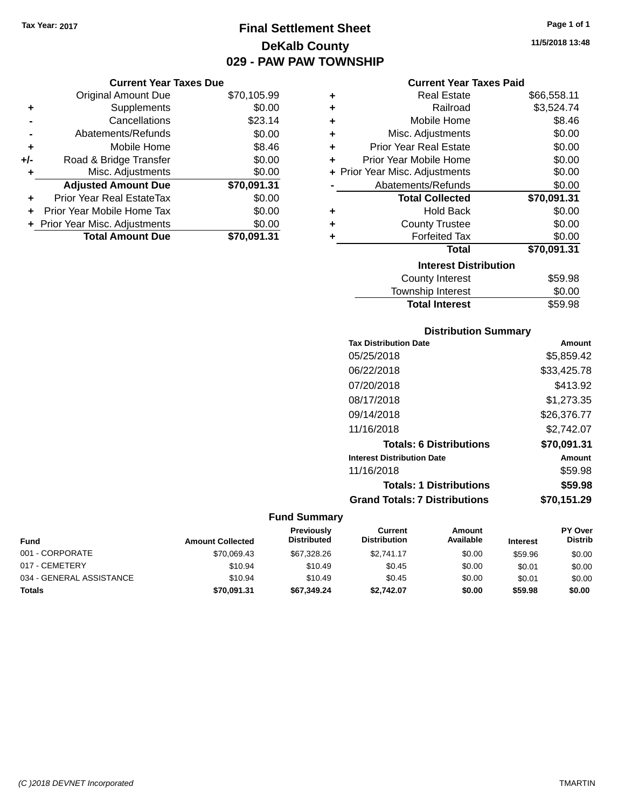# **Final Settlement Sheet Tax Year: 2017 Page 1 of 1 DeKalb County 029 - PAW PAW TOWNSHIP**

## **Current Year Taxes Due**

|       | <b>Original Amount Due</b>     | \$70,105.99 |
|-------|--------------------------------|-------------|
| ٠     | Supplements                    | \$0.00      |
|       | Cancellations                  | \$23.14     |
|       | Abatements/Refunds             | \$0.00      |
| ÷     | Mobile Home                    | \$8.46      |
| $+/-$ | Road & Bridge Transfer         | \$0.00      |
|       | Misc. Adjustments              | \$0.00      |
|       | <b>Adjusted Amount Due</b>     | \$70,091.31 |
| ٠     | Prior Year Real EstateTax      | \$0.00      |
|       | Prior Year Mobile Home Tax     | \$0.00      |
|       | + Prior Year Misc. Adjustments | \$0.00      |
|       | <b>Total Amount Due</b>        | \$70,091.31 |

## **Current Year Taxes Paid**

| ٠ | <b>Real Estate</b>             | \$66,558.11 |
|---|--------------------------------|-------------|
| ٠ | Railroad                       | \$3,524.74  |
| ٠ | Mobile Home                    | \$8.46      |
| ٠ | Misc. Adjustments              | \$0.00      |
| ٠ | <b>Prior Year Real Estate</b>  | \$0.00      |
| ÷ | Prior Year Mobile Home         | \$0.00      |
|   | + Prior Year Misc. Adjustments | \$0.00      |
|   | Abatements/Refunds             | \$0.00      |
|   | <b>Total Collected</b>         | \$70,091.31 |
| ٠ | Hold Back                      | \$0.00      |
| ٠ | <b>County Trustee</b>          | \$0.00      |
| ٠ | <b>Forfeited Tax</b>           | \$0.00      |
|   | <b>Total</b>                   | \$70,091.31 |
|   | <b>Interest Distribution</b>   |             |
|   | <b>County Interest</b>         | \$59.98     |
|   | <b>Township Interest</b>       | \$0.00      |
|   | <b>Total Interest</b>          | \$59.98     |

# **Distribution Summary**

| <b>Tax Distribution Date</b>         | Amount      |
|--------------------------------------|-------------|
| 05/25/2018                           | \$5,859.42  |
| 06/22/2018                           | \$33,425.78 |
| 07/20/2018                           | \$413.92    |
| 08/17/2018                           | \$1.273.35  |
| 09/14/2018                           | \$26,376,77 |
| 11/16/2018                           | \$2.742.07  |
| <b>Totals: 6 Distributions</b>       | \$70,091.31 |
| <b>Interest Distribution Date</b>    | Amount      |
| 11/16/2018                           | \$59.98     |
| <b>Totals: 1 Distributions</b>       | \$59.98     |
| <b>Grand Totals: 7 Distributions</b> | \$70.151.29 |

| <b>Fund</b>              | <b>Amount Collected</b> | Previously<br><b>Distributed</b> | Current<br><b>Distribution</b> | Amount<br>Available | <b>Interest</b> | <b>PY Over</b><br><b>Distrib</b> |
|--------------------------|-------------------------|----------------------------------|--------------------------------|---------------------|-----------------|----------------------------------|
| 001 - CORPORATE          | \$70,069.43             | \$67,328,26                      | \$2.741.17                     | \$0.00              | \$59.96         | \$0.00                           |
| 017 - CEMETERY           | \$10.94                 | \$10.49                          | \$0.45                         | \$0.00              | \$0.01          | \$0.00                           |
| 034 - GENERAL ASSISTANCE | \$10.94                 | \$10.49                          | \$0.45                         | \$0.00              | \$0.01          | \$0.00                           |
| <b>Totals</b>            | \$70,091.31             | \$67,349.24                      | \$2.742.07                     | \$0.00              | \$59.98         | \$0.00                           |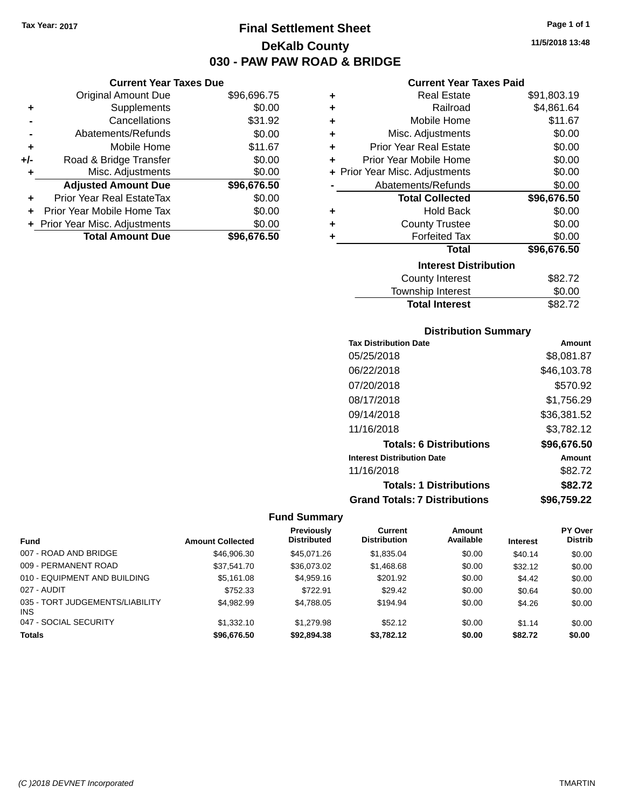**Current Year Taxes Due** Original Amount Due \$96,696.75

**Adjusted Amount Due \$96,676.50**

**Total Amount Due \$96,676.50**

**+** Supplements \$0.00 **-** Cancellations \$31.92 **-** Abatements/Refunds \$0.00 **+** Mobile Home \$11.67 **+/-** Road & Bridge Transfer \$0.00<br> **+** Misc. Adjustments \$0.00

**+** Prior Year Real EstateTax \$0.00 **+** Prior Year Mobile Home Tax \$0.00 **+ Prior Year Misc. Adjustments**  $$0.00$ 

**+** Misc. Adjustments

# **Final Settlement Sheet Tax Year: 2017 Page 1 of 1 DeKalb County 030 - PAW PAW ROAD & BRIDGE**

**11/5/2018 13:48**

### **Current Year Taxes Paid**

| ٠ | <b>Real Estate</b>             | \$91,803.19 |
|---|--------------------------------|-------------|
| ٠ | Railroad                       | \$4,861.64  |
| ٠ | Mobile Home                    | \$11.67     |
| ٠ | Misc. Adjustments              | \$0.00      |
| ٠ | <b>Prior Year Real Estate</b>  | \$0.00      |
| ٠ | Prior Year Mobile Home         | \$0.00      |
|   | + Prior Year Misc. Adjustments | \$0.00      |
|   | Abatements/Refunds             | \$0.00      |
|   | <b>Total Collected</b>         | \$96,676.50 |
| ٠ | <b>Hold Back</b>               | \$0.00      |
| ٠ | <b>County Trustee</b>          | \$0.00      |
| ٠ | <b>Forfeited Tax</b>           | \$0.00      |
|   | <b>Total</b>                   | \$96,676.50 |
|   | <b>Interest Distribution</b>   |             |
|   | County Interest                | \$82.72     |
|   | Townshin Interest              | ደ0 00       |

# Township Interest  $$0.00$ Total Interest \$82.72

## **Distribution Summary**

| <b>Tax Distribution Date</b>         | Amount      |
|--------------------------------------|-------------|
| 05/25/2018                           | \$8,081.87  |
| 06/22/2018                           | \$46,103.78 |
| 07/20/2018                           | \$570.92    |
| 08/17/2018                           | \$1,756.29  |
| 09/14/2018                           | \$36,381.52 |
| 11/16/2018                           | \$3,782.12  |
| <b>Totals: 6 Distributions</b>       | \$96,676.50 |
| <b>Interest Distribution Date</b>    | Amount      |
| 11/16/2018                           | \$82.72     |
| <b>Totals: 1 Distributions</b>       | \$82.72     |
| <b>Grand Totals: 7 Distributions</b> | \$96,759.22 |

|                                         |                         | Previously         | Current             | Amount    |                 | <b>PY Over</b> |
|-----------------------------------------|-------------------------|--------------------|---------------------|-----------|-----------------|----------------|
| <b>Fund</b>                             | <b>Amount Collected</b> | <b>Distributed</b> | <b>Distribution</b> | Available | <b>Interest</b> | <b>Distrib</b> |
| 007 - ROAD AND BRIDGE                   | \$46,906.30             | \$45.071.26        | \$1,835.04          | \$0.00    | \$40.14         | \$0.00         |
| 009 - PERMANENT ROAD                    | \$37,541.70             | \$36,073.02        | \$1,468.68          | \$0.00    | \$32.12         | \$0.00         |
| 010 - EQUIPMENT AND BUILDING            | \$5.161.08              | \$4,959.16         | \$201.92            | \$0.00    | \$4.42          | \$0.00         |
| 027 - AUDIT                             | \$752.33                | \$722.91           | \$29.42             | \$0.00    | \$0.64          | \$0.00         |
| 035 - TORT JUDGEMENTS/LIABILITY<br>INS. | \$4.982.99              | \$4,788.05         | \$194.94            | \$0.00    | \$4.26          | \$0.00         |
| 047 - SOCIAL SECURITY                   | \$1,332.10              | \$1,279.98         | \$52.12             | \$0.00    | \$1.14          | \$0.00         |
| <b>Totals</b>                           | \$96,676.50             | \$92,894.38        | \$3.782.12          | \$0.00    | \$82.72         | \$0.00         |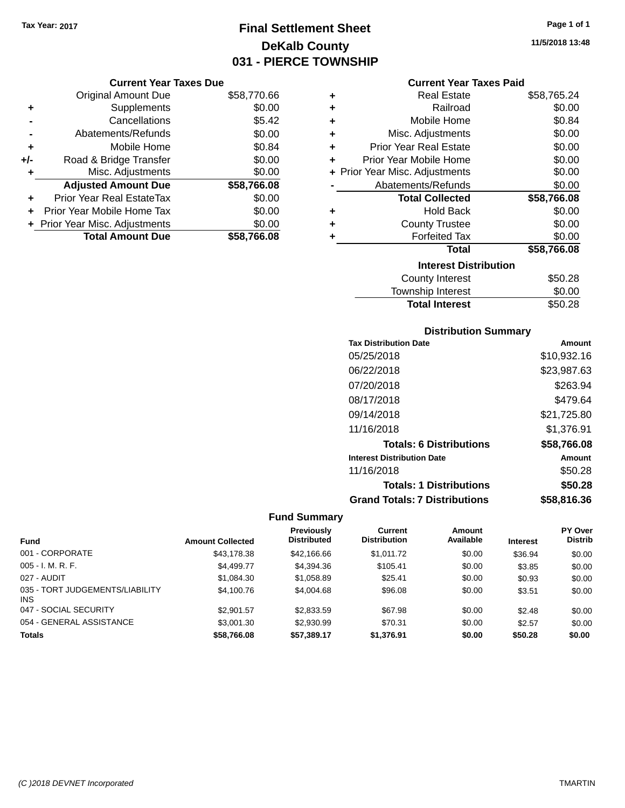## **Final Settlement Sheet Tax Year: 2017 Page 1 of 1 DeKalb County 031 - PIERCE TOWNSHIP**

### **Current Year Taxes Due**

|       | <b>Original Amount Due</b>     | \$58,770.66 |
|-------|--------------------------------|-------------|
| ٠     | Supplements                    | \$0.00      |
|       | Cancellations                  | \$5.42      |
|       | Abatements/Refunds             | \$0.00      |
| ٠     | Mobile Home                    | \$0.84      |
| $+/-$ | Road & Bridge Transfer         | \$0.00      |
| ٠     | Misc. Adjustments              | \$0.00      |
|       | <b>Adjusted Amount Due</b>     | \$58,766.08 |
| ÷     | Prior Year Real EstateTax      | \$0.00      |
|       | Prior Year Mobile Home Tax     | \$0.00      |
|       | + Prior Year Misc. Adjustments | \$0.00      |
|       | <b>Total Amount Due</b>        | \$58.766.08 |

### **Current Year Taxes Paid**

| ٠ | Real Estate                    | \$58,765.24 |
|---|--------------------------------|-------------|
| ÷ | Railroad                       | \$0.00      |
| ÷ | Mobile Home                    | \$0.84      |
| ٠ | Misc. Adjustments              | \$0.00      |
| ٠ | <b>Prior Year Real Estate</b>  | \$0.00      |
| ÷ | Prior Year Mobile Home         | \$0.00      |
|   | + Prior Year Misc. Adjustments | \$0.00      |
|   | Abatements/Refunds             | \$0.00      |
|   | <b>Total Collected</b>         | \$58,766.08 |
| ٠ | <b>Hold Back</b>               | \$0.00      |
| ٠ | <b>County Trustee</b>          | \$0.00      |
|   | <b>Forfeited Tax</b>           | \$0.00      |
|   | <b>Total</b>                   | \$58,766.08 |
|   | <b>Interest Distribution</b>   |             |
|   | <b>County Interest</b>         | \$50.28     |
|   | <b>Township Interest</b>       | \$0.00      |
|   | <b>Total Interest</b>          | \$50.28     |

### **Distribution Summary**

| <b>Tax Distribution Date</b>         | Amount      |
|--------------------------------------|-------------|
| 05/25/2018                           | \$10,932.16 |
| 06/22/2018                           | \$23,987.63 |
| 07/20/2018                           | \$263.94    |
| 08/17/2018                           | \$479.64    |
| 09/14/2018                           | \$21,725.80 |
| 11/16/2018                           | \$1,376.91  |
| <b>Totals: 6 Distributions</b>       | \$58,766.08 |
| <b>Interest Distribution Date</b>    | Amount      |
| 11/16/2018                           | \$50.28     |
| <b>Totals: 1 Distributions</b>       | \$50.28     |
| <b>Grand Totals: 7 Distributions</b> | \$58.816.36 |

|                                               |                         | <b>Previously</b>  | Current             | <b>Amount</b> |                 | <b>PY Over</b> |
|-----------------------------------------------|-------------------------|--------------------|---------------------|---------------|-----------------|----------------|
| <b>Fund</b>                                   | <b>Amount Collected</b> | <b>Distributed</b> | <b>Distribution</b> | Available     | <b>Interest</b> | <b>Distrib</b> |
| 001 - CORPORATE                               | \$43,178.38             | \$42,166.66        | \$1,011.72          | \$0.00        | \$36.94         | \$0.00         |
| $005 - I. M. R. F.$                           | \$4,499.77              | \$4,394.36         | \$105.41            | \$0.00        | \$3.85          | \$0.00         |
| 027 - AUDIT                                   | \$1,084.30              | \$1,058.89         | \$25.41             | \$0.00        | \$0.93          | \$0.00         |
| 035 - TORT JUDGEMENTS/LIABILITY<br><b>INS</b> | \$4,100.76              | \$4,004.68         | \$96.08             | \$0.00        | \$3.51          | \$0.00         |
| 047 - SOCIAL SECURITY                         | \$2,901.57              | \$2,833.59         | \$67.98             | \$0.00        | \$2.48          | \$0.00         |
| 054 - GENERAL ASSISTANCE                      | \$3,001.30              | \$2,930.99         | \$70.31             | \$0.00        | \$2.57          | \$0.00         |
| <b>Totals</b>                                 | \$58,766.08             | \$57.389.17        | \$1,376.91          | \$0.00        | \$50.28         | \$0.00         |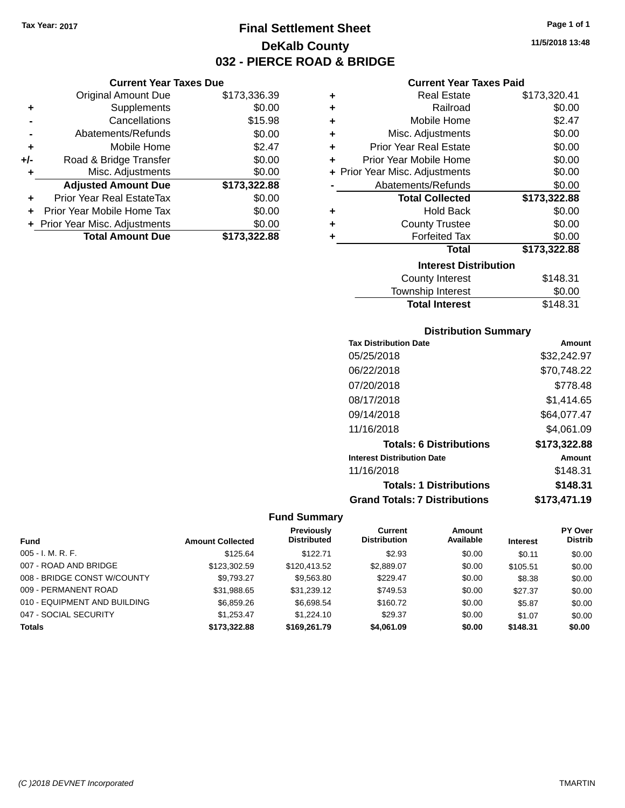**Current Year Taxes Due** Original Amount Due \$173,336.39

**Adjusted Amount Due \$173,322.88**

**Total Amount Due \$173,322.88**

**+** Supplements \$0.00 **-** Cancellations \$15.98 **-** Abatements/Refunds \$0.00 **+** Mobile Home \$2.47 **+/-** Road & Bridge Transfer \$0.00<br> **+** Misc. Adjustments \$0.00

**+** Prior Year Real EstateTax \$0.00 **+** Prior Year Mobile Home Tax \$0.00 **+ Prior Year Misc. Adjustments**  $$0.00$ 

**+** Misc. Adjustments

## **Final Settlement Sheet Tax Year: 2017 Page 1 of 1 DeKalb County 032 - PIERCE ROAD & BRIDGE**

### **Current Year Taxes Paid**

| ÷ | <b>Real Estate</b>             | \$173,320.41 |
|---|--------------------------------|--------------|
| ٠ | Railroad                       | \$0.00       |
| ٠ | Mobile Home                    | \$2.47       |
| ÷ | Misc. Adjustments              | \$0.00       |
| ٠ | <b>Prior Year Real Estate</b>  | \$0.00       |
| ÷ | Prior Year Mobile Home         | \$0.00       |
|   | + Prior Year Misc. Adjustments | \$0.00       |
|   | Abatements/Refunds             | \$0.00       |
|   |                                |              |
|   | <b>Total Collected</b>         | \$173,322.88 |
| ٠ | <b>Hold Back</b>               | \$0.00       |
| ٠ | <b>County Trustee</b>          | \$0.00       |
| ٠ | <b>Forfeited Tax</b>           | \$0.00       |
|   | <b>Total</b>                   | \$173,322.88 |
|   | <b>Interest Distribution</b>   |              |
|   | <b>County Interest</b>         | \$148.31     |

## **Distribution Summary**

Total Interest \$148.31

| PIJUINUUVII VUIIIIIIAI Y             |              |
|--------------------------------------|--------------|
| <b>Tax Distribution Date</b>         | Amount       |
| 05/25/2018                           | \$32,242.97  |
| 06/22/2018                           | \$70.748.22  |
| 07/20/2018                           | \$778.48     |
| 08/17/2018                           | \$1.414.65   |
| 09/14/2018                           | \$64,077.47  |
| 11/16/2018                           | \$4,061.09   |
| <b>Totals: 6 Distributions</b>       | \$173,322.88 |
| <b>Interest Distribution Date</b>    | Amount       |
| 11/16/2018                           | \$148.31     |
| <b>Totals: 1 Distributions</b>       | \$148.31     |
| <b>Grand Totals: 7 Distributions</b> | \$173.471.19 |

|                              |                         | Previously         | Current             | <b>Amount</b> |                 | <b>PY Over</b> |
|------------------------------|-------------------------|--------------------|---------------------|---------------|-----------------|----------------|
| <b>Fund</b>                  | <b>Amount Collected</b> | <b>Distributed</b> | <b>Distribution</b> | Available     | <b>Interest</b> | <b>Distrib</b> |
| $005 - I. M. R. F.$          | \$125.64                | \$122.71           | \$2.93              | \$0.00        | \$0.11          | \$0.00         |
| 007 - ROAD AND BRIDGE        | \$123,302.59            | \$120.413.52       | \$2,889.07          | \$0.00        | \$105.51        | \$0.00         |
| 008 - BRIDGE CONST W/COUNTY  | \$9.793.27              | \$9,563.80         | \$229.47            | \$0.00        | \$8.38          | \$0.00         |
| 009 - PERMANENT ROAD         | \$31,988.65             | \$31,239.12        | \$749.53            | \$0.00        | \$27.37         | \$0.00         |
| 010 - EQUIPMENT AND BUILDING | \$6,859.26              | \$6,698.54         | \$160.72            | \$0.00        | \$5.87          | \$0.00         |
| 047 - SOCIAL SECURITY        | \$1.253.47              | \$1,224.10         | \$29.37             | \$0.00        | \$1.07          | \$0.00         |
| <b>Totals</b>                | \$173.322.88            | \$169,261.79       | \$4,061,09          | \$0.00        | \$148.31        | \$0.00         |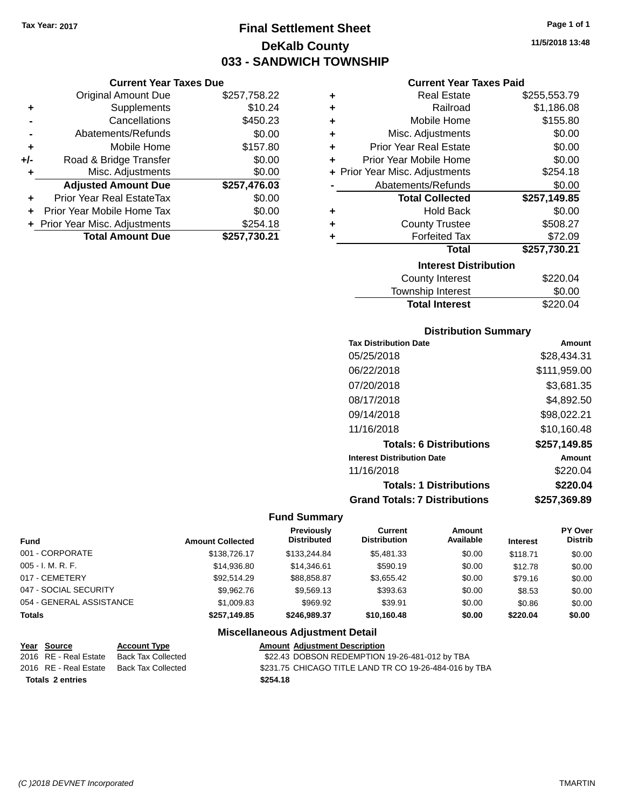## **Final Settlement Sheet Tax Year: 2017 Page 1 of 1 DeKalb County 033 - SANDWICH TOWNSHIP**

**11/5/2018 13:48**

#### **Current Year Taxes Paid**

|     | <b>Current Year Taxes Due</b> |              |  |
|-----|-------------------------------|--------------|--|
|     | <b>Original Amount Due</b>    | \$257,758.22 |  |
| ٠   | Supplements                   | \$10.24      |  |
|     | Cancellations                 | \$450.23     |  |
|     | Abatements/Refunds            | \$0.00       |  |
| ٠   | Mobile Home                   | \$157.80     |  |
| +/- | Road & Bridge Transfer        | \$0.00       |  |
| ٠   | Misc. Adjustments             | \$0.00       |  |
|     | <b>Adjusted Amount Due</b>    | \$257,476.03 |  |
| ÷   | Prior Year Real EstateTax     | \$0.00       |  |
|     | Prior Year Mobile Home Tax    | \$0.00       |  |
|     | Prior Year Misc. Adjustments  | \$254.18     |  |
|     | <b>Total Amount Due</b>       | \$257,730.21 |  |
|     |                               |              |  |

| ٠ | Real Estate                    | \$255,553.79 |
|---|--------------------------------|--------------|
| ÷ | Railroad                       | \$1,186.08   |
| ÷ | Mobile Home                    | \$155.80     |
| ÷ | Misc. Adjustments              | \$0.00       |
| ٠ | <b>Prior Year Real Estate</b>  | \$0.00       |
| ٠ | Prior Year Mobile Home         | \$0.00       |
|   | + Prior Year Misc. Adjustments | \$254.18     |
|   | Abatements/Refunds             | \$0.00       |
|   | <b>Total Collected</b>         | \$257,149.85 |
| ٠ | <b>Hold Back</b>               | \$0.00       |
| ٠ | <b>County Trustee</b>          | \$508.27     |
| ٠ | <b>Forfeited Tax</b>           | \$72.09      |
|   | <b>Total</b>                   | \$257,730.21 |
|   | <b>Interest Distribution</b>   |              |
|   | County Interest                | \$220.04     |
|   | <b>Township Interest</b>       | \$0.00       |
|   | <b>Total Interest</b>          | \$220.04     |

### **Distribution Summary**

| <b>Tax Distribution Date</b>         | Amount       |
|--------------------------------------|--------------|
| 05/25/2018                           | \$28,434.31  |
| 06/22/2018                           | \$111,959.00 |
| 07/20/2018                           | \$3,681.35   |
| 08/17/2018                           | \$4,892.50   |
| 09/14/2018                           | \$98,022.21  |
| 11/16/2018                           | \$10.160.48  |
| <b>Totals: 6 Distributions</b>       | \$257,149.85 |
| <b>Interest Distribution Date</b>    | Amount       |
| 11/16/2018                           | \$220.04     |
| <b>Totals: 1 Distributions</b>       | \$220.04     |
| <b>Grand Totals: 7 Distributions</b> | \$257,369.89 |

### **Fund Summary**

| <b>Fund</b>              | <b>Amount Collected</b> | <b>Previously</b><br><b>Distributed</b> | Current<br><b>Distribution</b> | Amount<br>Available | <b>Interest</b> | PY Over<br>Distrib |
|--------------------------|-------------------------|-----------------------------------------|--------------------------------|---------------------|-----------------|--------------------|
| 001 - CORPORATE          | \$138,726.17            | \$133,244.84                            | \$5,481,33                     | \$0.00              | \$118.71        | \$0.00             |
| $005 - I. M. R. F.$      | \$14,936.80             | \$14.346.61                             | \$590.19                       | \$0.00              | \$12.78         | \$0.00             |
| 017 - CEMETERY           | \$92.514.29             | \$88,858,87                             | \$3.655.42                     | \$0.00              | \$79.16         | \$0.00             |
| 047 - SOCIAL SECURITY    | \$9.962.76              | \$9.569.13                              | \$393.63                       | \$0.00              | \$8.53          | \$0.00             |
| 054 - GENERAL ASSISTANCE | \$1,009.83              | \$969.92                                | \$39.91                        | \$0.00              | \$0.86          | \$0.00             |
| <b>Totals</b>            | \$257.149.85            | \$246.989.37                            | \$10,160.48                    | \$0.00              | \$220.04        | \$0.00             |

| Year Source             | <b>Account Type</b> | <b>Amount Adiustment Description</b>                   |
|-------------------------|---------------------|--------------------------------------------------------|
| 2016 RE - Real Estate   | Back Tax Collected  | \$22.43 DOBSON REDEMPTION 19-26-481-012 by TBA         |
| 2016   RE - Real Estate | Back Tax Collected  | \$231.75 CHICAGO TITLE LAND TR CO 19-26-484-016 by TBA |
| <b>Totals 2 entries</b> |                     | \$254.18                                               |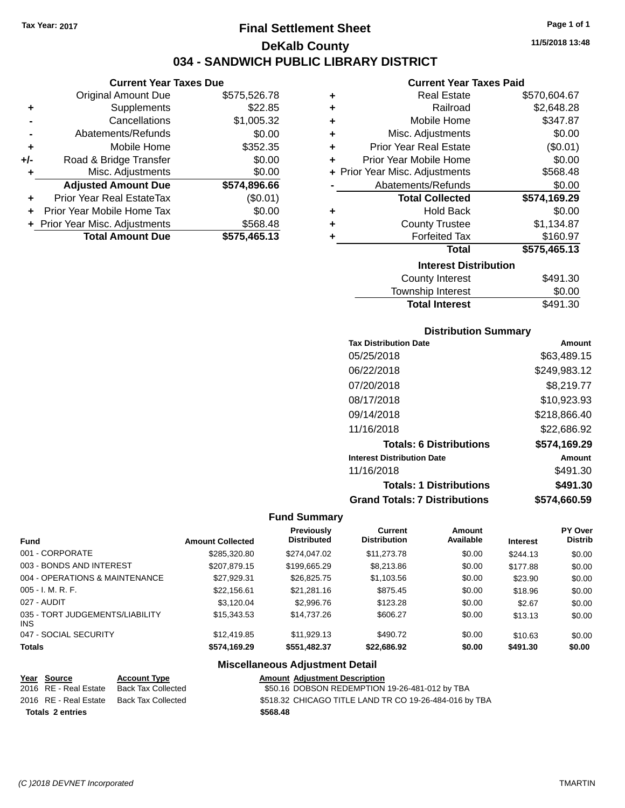**Current Year Taxes Due** Original Amount Due \$575,526.78

**Adjusted Amount Due \$574,896.66**

**Total Amount Due \$575,465.13**

**+** Supplements \$22.85 **-** Cancellations \$1,005.32 **-** Abatements/Refunds \$0.00 **+** Mobile Home \$352.35 **+/-** Road & Bridge Transfer \$0.00 **+** Misc. Adjustments \$0.00

**+** Prior Year Real EstateTax (\$0.01) **+** Prior Year Mobile Home Tax \$0.00 **+** Prior Year Misc. Adjustments \$568.48

## **Final Settlement Sheet Tax Year: 2017 Page 1 of 1 DeKalb County 034 - SANDWICH PUBLIC LIBRARY DISTRICT**

**11/5/2018 13:48**

#### **Current Year Taxes Paid**

| ٠ | <b>Real Estate</b>             | \$570,604.67 |
|---|--------------------------------|--------------|
| ÷ | Railroad                       | \$2,648.28   |
| ÷ | Mobile Home                    | \$347.87     |
| ÷ | Misc. Adjustments              | \$0.00       |
| ÷ | <b>Prior Year Real Estate</b>  | (\$0.01)     |
| ÷ | Prior Year Mobile Home         | \$0.00       |
|   | + Prior Year Misc. Adjustments | \$568.48     |
|   | Abatements/Refunds             | \$0.00       |
|   | <b>Total Collected</b>         | \$574,169.29 |
| ٠ | <b>Hold Back</b>               | \$0.00       |
| ÷ | <b>County Trustee</b>          | \$1,134.87   |
| ٠ | <b>Forfeited Tax</b>           | \$160.97     |
|   | <b>Total</b>                   | \$575,465.13 |
|   | <b>Interest Distribution</b>   |              |
|   | <b>County Interest</b>         | \$491.30     |
|   |                                | ີ ລ          |

| County Interest       | \$491.30 |
|-----------------------|----------|
| Township Interest     | \$0.00   |
| <b>Total Interest</b> | \$491.30 |

### **Distribution Summary**

| <b>Tax Distribution Date</b>         | Amount       |
|--------------------------------------|--------------|
| 05/25/2018                           | \$63,489.15  |
| 06/22/2018                           | \$249,983.12 |
| 07/20/2018                           | \$8,219.77   |
| 08/17/2018                           | \$10,923.93  |
| 09/14/2018                           | \$218,866.40 |
| 11/16/2018                           | \$22,686.92  |
| <b>Totals: 6 Distributions</b>       | \$574,169.29 |
| <b>Interest Distribution Date</b>    | Amount       |
| 11/16/2018                           | \$491.30     |
| <b>Totals: 1 Distributions</b>       | \$491.30     |
| <b>Grand Totals: 7 Distributions</b> | \$574.660.59 |

#### **Fund Summary**

| <b>Fund</b>                             | <b>Amount Collected</b> | Previously<br><b>Distributed</b> | <b>Current</b><br><b>Distribution</b> | Amount<br>Available | <b>Interest</b> | <b>PY Over</b><br><b>Distrib</b> |
|-----------------------------------------|-------------------------|----------------------------------|---------------------------------------|---------------------|-----------------|----------------------------------|
| 001 - CORPORATE                         | \$285,320.80            | \$274,047.02                     | \$11,273.78                           | \$0.00              | \$244.13        | \$0.00                           |
| 003 - BONDS AND INTEREST                | \$207,879.15            | \$199,665.29                     | \$8,213.86                            | \$0.00              | \$177.88        | \$0.00                           |
| 004 - OPERATIONS & MAINTENANCE          | \$27.929.31             | \$26,825.75                      | \$1,103.56                            | \$0.00              | \$23.90         | \$0.00                           |
| $005 - I. M. R. F.$                     | \$22,156.61             | \$21.281.16                      | \$875.45                              | \$0.00              | \$18.96         | \$0.00                           |
| 027 - AUDIT                             | \$3,120.04              | \$2,996.76                       | \$123.28                              | \$0.00              | \$2.67          | \$0.00                           |
| 035 - TORT JUDGEMENTS/LIABILITY<br>INS. | \$15,343.53             | \$14,737.26                      | \$606.27                              | \$0.00              | \$13.13         | \$0.00                           |
| 047 - SOCIAL SECURITY                   | \$12,419.85             | \$11.929.13                      | \$490.72                              | \$0.00              | \$10.63         | \$0.00                           |
| <b>Totals</b>                           | \$574,169.29            | \$551,482.37                     | \$22,686.92                           | \$0.00              | \$491.30        | \$0.00                           |

#### **Miscellaneous Adjustment Detail**

#### **Year Source Account Type Amount Adjustment Description** 2016 RE - Real Estate Back Tax Collected \$50.16 DOBSON REDEMPTION 19-26-481-012 by TBA 2016 RE - Real Estate Back Tax Collected \$518.32 CHICAGO TITLE LAND TR CO 19-26-484-016 by TBA **Totals \$568.48 2 entries**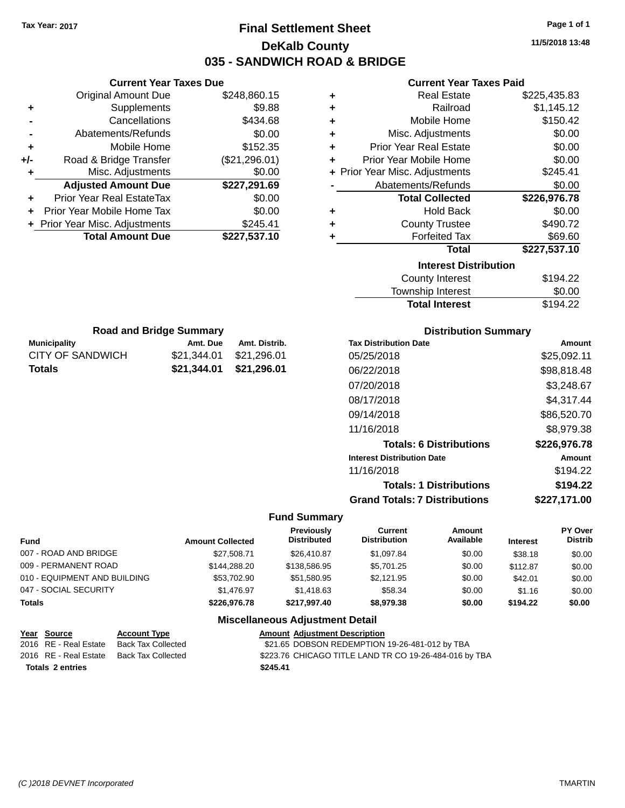**Totals \$21,344.01 \$21,296.01**

## **Final Settlement Sheet Tax Year: 2017 Page 1 of 1 DeKalb County 035 - SANDWICH ROAD & BRIDGE**

**11/5/2018 13:48**

### **Current Year Taxes Paid**

| Current \                  |   |               | <b>Current Year Taxes Due</b>    |     |
|----------------------------|---|---------------|----------------------------------|-----|
| Real Es                    | ٠ | \$248,860.15  | <b>Original Amount Due</b>       |     |
| Rail                       | ٠ | \$9.88        | <b>Supplements</b>               | ٠   |
| Mobile H                   | ٠ | \$434.68      | Cancellations                    |     |
| Misc. Adjustm              | ٠ | \$0.00        | Abatements/Refunds               |     |
| Prior Year Real Es         | ٠ | \$152.35      | Mobile Home                      | ٠   |
| Prior Year Mobile H        | ٠ | (\$21,296.01) | Road & Bridge Transfer           | +/- |
| + Prior Year Misc. Adjustm |   | \$0.00        | Misc. Adjustments                | ٠   |
| Abatements/Refu            |   | \$227,291.69  | <b>Adjusted Amount Due</b>       |     |
| <b>Total Colle</b>         |   | \$0.00        | <b>Prior Year Real EstateTax</b> |     |
| Hold I                     | ٠ | \$0.00        | Prior Year Mobile Home Tax       |     |
| <b>County Tru</b>          | ٠ | \$245.41      | + Prior Year Misc. Adjustments   |     |
| Forfeitec                  |   | \$227,537.10  | <b>Total Amount Due</b>          |     |
|                            |   |               |                                  |     |
| <b>Interes</b>             |   |               |                                  |     |

| ÷ | <b>Real Estate</b>             | \$225,435.83 |
|---|--------------------------------|--------------|
| ÷ | Railroad                       | \$1,145.12   |
| ÷ | Mobile Home                    | \$150.42     |
| ٠ | Misc. Adjustments              | \$0.00       |
| ÷ | <b>Prior Year Real Estate</b>  | \$0.00       |
| ÷ | Prior Year Mobile Home         | \$0.00       |
|   | + Prior Year Misc. Adjustments | \$245.41     |
|   | Abatements/Refunds             | \$0.00       |
|   |                                |              |
|   | <b>Total Collected</b>         | \$226,976.78 |
| ٠ | <b>Hold Back</b>               | \$0.00       |
| ÷ | <b>County Trustee</b>          | \$490.72     |
|   | <b>Forfeited Tax</b>           | \$69.60      |
|   | <b>Total</b>                   | \$227,537.10 |
|   | <b>Interest Distribution</b>   |              |
|   | <b>County Interest</b>         | \$194.22     |

|                         |                                |                             | <b>Total Interest</b>        | \$194.22 |
|-------------------------|--------------------------------|-----------------------------|------------------------------|----------|
|                         | <b>Road and Bridge Summary</b> | <b>Distribution Summary</b> |                              |          |
| <b>Municipality</b>     | Amt. Due                       | Amt. Distrib.               | <b>Tax Distribution Date</b> | Amo      |
| <b>CITY OF SANDWICH</b> | \$21,344.01                    | \$21,296.01                 | 05/25/2018                   | \$25.092 |

| <b>Distribution Summary</b> |  |
|-----------------------------|--|
|-----------------------------|--|

| <b>Tax Distribution Date</b>         | Amount       |
|--------------------------------------|--------------|
| 05/25/2018                           | \$25,092.11  |
| 06/22/2018                           | \$98,818.48  |
| 07/20/2018                           | \$3,248.67   |
| 08/17/2018                           | \$4,317.44   |
| 09/14/2018                           | \$86,520.70  |
| 11/16/2018                           | \$8.979.38   |
| <b>Totals: 6 Distributions</b>       | \$226,976.78 |
| <b>Interest Distribution Date</b>    | Amount       |
| 11/16/2018                           | \$194.22     |
| <b>Totals: 1 Distributions</b>       | \$194.22     |
| <b>Grand Totals: 7 Distributions</b> | \$227.171.00 |
|                                      |              |

#### **Fund Summary**

| Fund                         | <b>Amount Collected</b> | Previously<br><b>Distributed</b>                                                                                                                                                                                               | Current<br><b>Distribution</b> | Amount<br>Available | <b>Interest</b> | PY Over<br><b>Distrib</b> |
|------------------------------|-------------------------|--------------------------------------------------------------------------------------------------------------------------------------------------------------------------------------------------------------------------------|--------------------------------|---------------------|-----------------|---------------------------|
| 007 - ROAD AND BRIDGE        | \$27.508.71             | \$26,410.87                                                                                                                                                                                                                    | \$1.097.84                     | \$0.00              | \$38.18         | \$0.00                    |
| 009 - PERMANENT ROAD         | \$144.288.20            | \$138,586.95                                                                                                                                                                                                                   | \$5.701.25                     | \$0.00              | \$112.87        | \$0.00                    |
| 010 - EQUIPMENT AND BUILDING | \$53,702.90             | \$51.580.95                                                                                                                                                                                                                    | \$2,121.95                     | \$0.00              | \$42.01         | \$0.00                    |
| 047 - SOCIAL SECURITY        | \$1.476.97              | \$1,418.63                                                                                                                                                                                                                     | \$58.34                        | \$0.00              | \$1.16          | \$0.00                    |
| Totals                       | \$226,976.78            | \$217.997.40                                                                                                                                                                                                                   | \$8,979.38                     | \$0.00              | \$194.22        | \$0.00                    |
|                              |                         | Additional Higher and an article of the control Property of the Manual Manual Manual Manual Manual Manual Manual Manual Manual Manual Manual Manual Manual Manual Manual Manual Manual Manual Manual Manual Manual Manual Manu |                                |                     |                 |                           |

| Year Source           | <b>Account Type</b> | <b>Amount Adiustment Description</b>                   |
|-----------------------|---------------------|--------------------------------------------------------|
| 2016 RE - Real Estate | Back Tax Collected  | \$21.65 DOBSON REDEMPTION 19-26-481-012 by TBA         |
| 2016 RE - Real Estate | Back Tax Collected  | \$223.76 CHICAGO TITLE LAND TR CO 19-26-484-016 by TBA |
| Totals 2 entries      |                     | \$245.41                                               |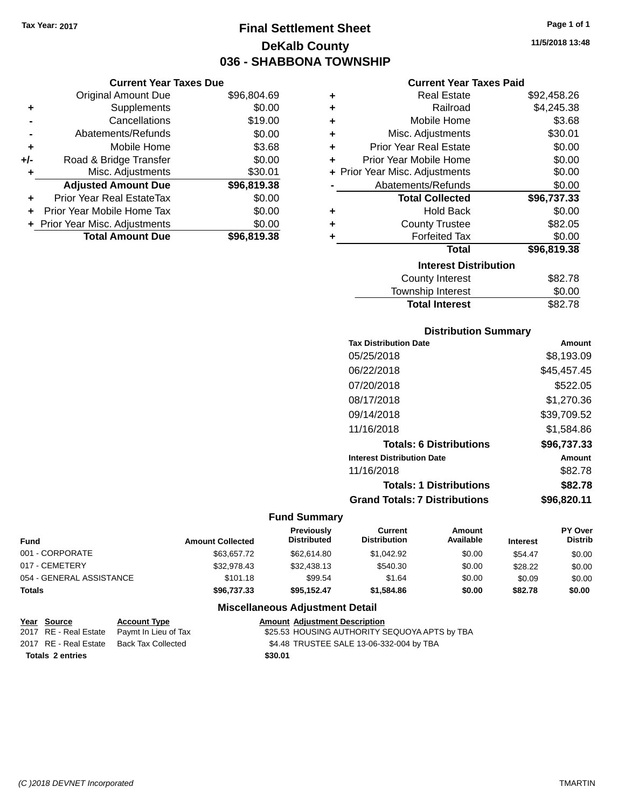## **Final Settlement Sheet Tax Year: 2017 Page 1 of 1 DeKalb County 036 - SHABBONA TOWNSHIP**

**11/5/2018 13:48**

### **Current Year Taxes Paid**

|       | <b>Current Year Taxes Due</b>  |             |                                    | <b>Current Year Taxes Paid</b> |             |
|-------|--------------------------------|-------------|------------------------------------|--------------------------------|-------------|
|       | <b>Original Amount Due</b>     | \$96,804.69 | <b>Real Estate</b><br>٠            |                                | \$92,458.26 |
| ٠     | Supplements                    | \$0.00      | ٠                                  | Railroad                       | \$4,245.38  |
|       | Cancellations                  | \$19.00     | ٠                                  | Mobile Home                    | \$3.68      |
|       | Abatements/Refunds             | \$0.00      | ٠                                  | Misc. Adjustments              | \$30.01     |
| ٠     | Mobile Home                    | \$3.68      | <b>Prior Year Real Estate</b><br>٠ |                                | \$0.00      |
| $+/-$ | Road & Bridge Transfer         | \$0.00      | Prior Year Mobile Home<br>٠        |                                | \$0.00      |
|       | Misc. Adjustments              | \$30.01     |                                    | + Prior Year Misc. Adjustments | \$0.00      |
|       | <b>Adjusted Amount Due</b>     | \$96,819.38 |                                    | Abatements/Refunds             | \$0.00      |
| ٠     | Prior Year Real EstateTax      | \$0.00      |                                    | <b>Total Collected</b>         | \$96,737.33 |
| ٠     | Prior Year Mobile Home Tax     | \$0.00      | ٠                                  | <b>Hold Back</b>               | \$0.00      |
|       | + Prior Year Misc. Adjustments | \$0.00      | ٠                                  | <b>County Trustee</b>          | \$82.05     |
|       | <b>Total Amount Due</b>        | \$96,819.38 |                                    | <b>Forfeited Tax</b>           | \$0.00      |
|       |                                |             |                                    | <b>Total</b>                   | \$96,819.38 |
|       |                                |             |                                    |                                |             |

|   | <b>Total Collected</b>       | \$96,737.33 |
|---|------------------------------|-------------|
| ÷ | <b>Hold Back</b>             | \$0.00      |
| ÷ | <b>County Trustee</b>        | \$82.05     |
| ÷ | <b>Forfeited Tax</b>         | \$0.00      |
|   | Total                        | \$96,819.38 |
|   | <b>Interest Distribution</b> |             |
|   | <b>County Interest</b>       | \$82.78     |
|   | Township Interest            | \$0.00      |
|   | <b>Total Interest</b>        | \$82.78     |

#### **Distribution Summary**

| <b>Tax Distribution Date</b>         | Amount      |
|--------------------------------------|-------------|
| 05/25/2018                           | \$8,193.09  |
| 06/22/2018                           | \$45,457.45 |
| 07/20/2018                           | \$522.05    |
| 08/17/2018                           | \$1,270.36  |
| 09/14/2018                           | \$39,709.52 |
| 11/16/2018                           | \$1.584.86  |
| <b>Totals: 6 Distributions</b>       | \$96,737.33 |
| <b>Interest Distribution Date</b>    | Amount      |
| 11/16/2018                           | \$82.78     |
| <b>Totals: 1 Distributions</b>       | \$82.78     |
| <b>Grand Totals: 7 Distributions</b> | \$96.820.11 |

#### **Fund Summary**

| <b>Fund</b>              | <b>Amount Collected</b> | <b>Previously</b><br><b>Distributed</b> | Current<br><b>Distribution</b> | Amount<br>Available | <b>Interest</b> | <b>PY Over</b><br><b>Distrib</b> |
|--------------------------|-------------------------|-----------------------------------------|--------------------------------|---------------------|-----------------|----------------------------------|
| 001 - CORPORATE          | \$63.657.72             | \$62,614.80                             | \$1.042.92                     | \$0.00              | \$54.47         | \$0.00                           |
| 017 - CEMETERY           | \$32.978.43             | \$32,438.13                             | \$540.30                       | \$0.00              | \$28.22         | \$0.00                           |
| 054 - GENERAL ASSISTANCE | \$101.18                | \$99.54                                 | \$1.64                         | \$0.00              | \$0.09          | \$0.00                           |
| <b>Totals</b>            | \$96,737.33             | \$95.152.47                             | \$1,584.86                     | \$0.00              | \$82.78         | \$0.00                           |

|                         | Year Source | <b>Account Type</b>                        | <b>Amount Adjustment Description</b>          |
|-------------------------|-------------|--------------------------------------------|-----------------------------------------------|
|                         |             | 2017 RE - Real Estate Paymt In Lieu of Tax | \$25.53 HOUSING AUTHORITY SEQUOYA APTS by TBA |
|                         |             | 2017 RE - Real Estate Back Tax Collected   | \$4.48 TRUSTEE SALE 13-06-332-004 by TBA      |
| <b>Totals 2 entries</b> |             |                                            | \$30.01                                       |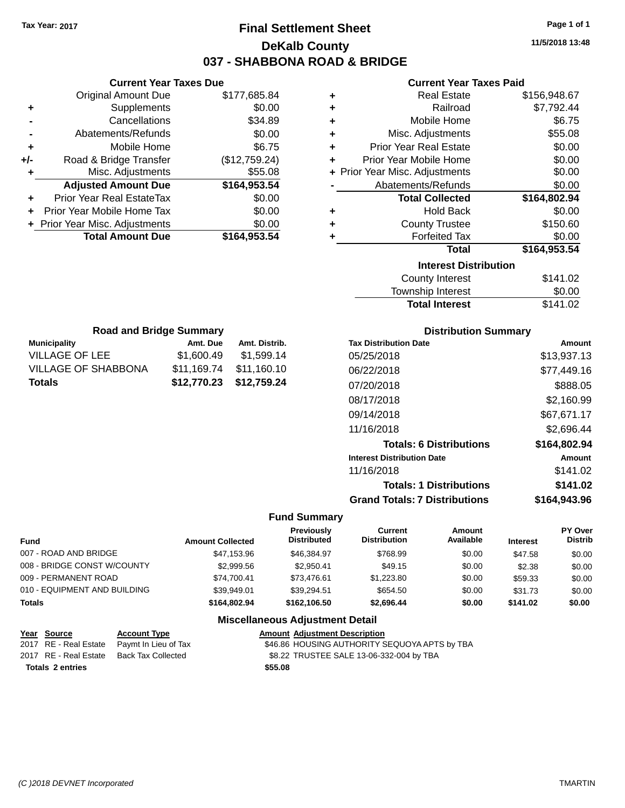## **Final Settlement Sheet Tax Year: 2017 Page 1 of 1 DeKalb County 037 - SHABBONA ROAD & BRIDGE**

**11/5/2018 13:48**

### **Current Year Taxes Paid**

|     | <b>Current Year Taxes Due</b>              |               |  |  |  |  |
|-----|--------------------------------------------|---------------|--|--|--|--|
|     | <b>Original Amount Due</b><br>\$177,685.84 |               |  |  |  |  |
| ٠   | Supplements                                | \$0.00        |  |  |  |  |
|     | Cancellations                              | \$34.89       |  |  |  |  |
|     | Abatements/Refunds                         | \$0.00        |  |  |  |  |
| ٠   | Mobile Home                                | \$6.75        |  |  |  |  |
| +/- | Road & Bridge Transfer                     | (\$12,759.24) |  |  |  |  |
|     | Misc. Adjustments                          | \$55.08       |  |  |  |  |
|     | <b>Adjusted Amount Due</b>                 | \$164,953.54  |  |  |  |  |
| ٠   | Prior Year Real EstateTax                  | \$0.00        |  |  |  |  |
|     | Prior Year Mobile Home Tax                 | \$0.00        |  |  |  |  |
|     | + Prior Year Misc. Adjustments             | \$0.00        |  |  |  |  |
|     | <b>Total Amount Due</b>                    | \$164,953.54  |  |  |  |  |
|     |                                            |               |  |  |  |  |

| ٠ | <b>Real Estate</b>             | \$156,948.67 |
|---|--------------------------------|--------------|
| ٠ | Railroad                       | \$7,792.44   |
| ٠ | Mobile Home                    | \$6.75       |
| ٠ | Misc. Adjustments              | \$55.08      |
| ٠ | <b>Prior Year Real Estate</b>  | \$0.00       |
| ٠ | Prior Year Mobile Home         | \$0.00       |
|   | + Prior Year Misc. Adjustments | \$0.00       |
|   | Abatements/Refunds             | \$0.00       |
|   | <b>Total Collected</b>         | \$164,802.94 |
|   |                                |              |
| ٠ | <b>Hold Back</b>               | \$0.00       |
| ٠ | <b>County Trustee</b>          | \$150.60     |
| ٠ | <b>Forfeited Tax</b>           | \$0.00       |
|   | <b>Total</b>                   | \$164,953.54 |
|   | <b>Interest Distribution</b>   |              |
|   | <b>County Interest</b>         | \$141.02     |
|   | <b>Township Interest</b>       | \$0.00       |

| <b>Total Interest</b> | \$141.02 |
|-----------------------|----------|
| Township Interest     | \$0.00   |
| County Interest       | \$141.02 |

| <b>Road and Bridge Summary</b>                   |             |             |  |  |  |  |
|--------------------------------------------------|-------------|-------------|--|--|--|--|
| <b>Municipality</b><br>Amt. Distrib.<br>Amt. Due |             |             |  |  |  |  |
| VILLAGE OF LEE                                   | \$1,600.49  | \$1,599.14  |  |  |  |  |
| <b>VILLAGE OF SHABBONA</b>                       | \$11,169.74 | \$11,160.10 |  |  |  |  |
| Totals                                           | \$12,770.23 | \$12,759.24 |  |  |  |  |

### **Distribution Summary**

| <b>Tax Distribution Date</b>         | Amount       |
|--------------------------------------|--------------|
| 05/25/2018                           | \$13,937.13  |
| 06/22/2018                           | \$77,449.16  |
| 07/20/2018                           | \$888.05     |
| 08/17/2018                           | \$2,160.99   |
| 09/14/2018                           | \$67,671.17  |
| 11/16/2018                           | \$2,696.44   |
| <b>Totals: 6 Distributions</b>       | \$164,802.94 |
| <b>Interest Distribution Date</b>    | Amount       |
| 11/16/2018                           | \$141.02     |
| <b>Totals: 1 Distributions</b>       | \$141.02     |
| <b>Grand Totals: 7 Distributions</b> | \$164,943.96 |

### **Fund Summary**

| Fund                         | <b>Amount Collected</b> | Previously<br><b>Distributed</b> | Current<br><b>Distribution</b> | Amount<br>Available | <b>Interest</b> | PY Over<br><b>Distrib</b> |
|------------------------------|-------------------------|----------------------------------|--------------------------------|---------------------|-----------------|---------------------------|
| 007 - ROAD AND BRIDGE        | \$47,153.96             | \$46,384.97                      | \$768.99                       | \$0.00              | \$47.58         | \$0.00                    |
| 008 - BRIDGE CONST W/COUNTY  | \$2,999.56              | \$2.950.41                       | \$49.15                        | \$0.00              | \$2.38          | \$0.00                    |
| 009 - PERMANENT ROAD         | \$74.700.41             | \$73.476.61                      | \$1,223.80                     | \$0.00              | \$59.33         | \$0.00                    |
| 010 - EQUIPMENT AND BUILDING | \$39.949.01             | \$39.294.51                      | \$654.50                       | \$0.00              | \$31.73         | \$0.00                    |
| Totals                       | \$164,802,94            | \$162,106,50                     | \$2.696.44                     | \$0.00              | \$141.02        | \$0.00                    |

| <u>Year Source</u>      | <b>Account Type</b>                        | <b>Amount Adiustment Description</b>          |
|-------------------------|--------------------------------------------|-----------------------------------------------|
|                         | 2017 RE - Real Estate Paymt In Lieu of Tax | \$46.86 HOUSING AUTHORITY SEQUOYA APTS by TBA |
| 2017 RE - Real Estate   | Back Tax Collected                         | \$8.22 TRUSTEE SALE 13-06-332-004 by TBA      |
| <b>Totals 2 entries</b> |                                            | \$55.08                                       |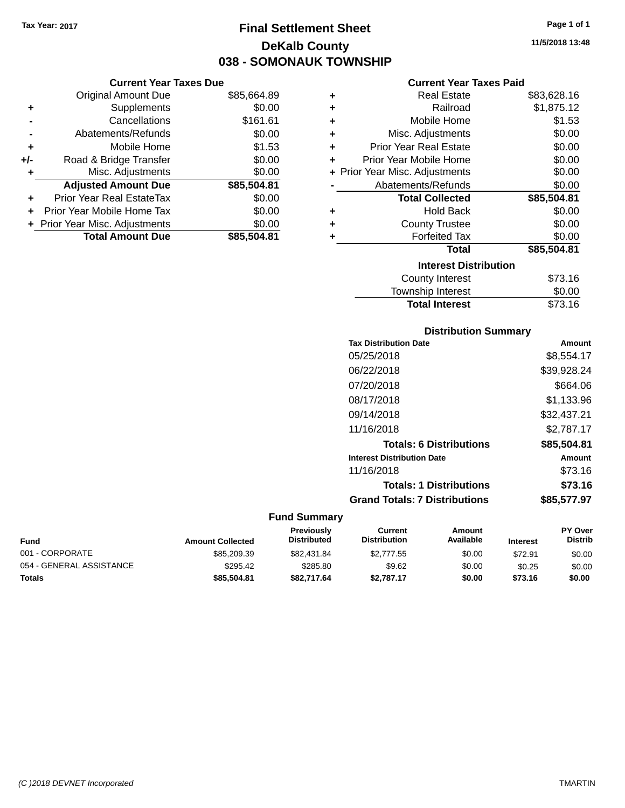**Current Year Taxes Due**

## **Final Settlement Sheet Tax Year: 2017 Page 1 of 1 DeKalb County 038 - SOMONAUK TOWNSHIP**

**11/5/2018 13:48**

### **Current Year Taxes Paid**

|     | <b>Original Amount Due</b>       | \$85,664.89 | ٠ | <b>Real Estate</b>             | \$83,628.16 |
|-----|----------------------------------|-------------|---|--------------------------------|-------------|
| ٠   | Supplements                      | \$0.00      | ٠ | Railroad                       | \$1,875.12  |
|     | Cancellations                    | \$161.61    | ٠ | Mobile Home                    | \$1.53      |
|     | Abatements/Refunds               | \$0.00      | ÷ | Misc. Adjustments              | \$0.00      |
| ٠   | Mobile Home                      | \$1.53      | ٠ | <b>Prior Year Real Estate</b>  | \$0.00      |
| +/- | Road & Bridge Transfer           | \$0.00      | ٠ | Prior Year Mobile Home         | \$0.00      |
|     | Misc. Adjustments                | \$0.00      |   | + Prior Year Misc. Adjustments | \$0.00      |
|     | <b>Adjusted Amount Due</b>       | \$85,504.81 |   | Abatements/Refunds             | \$0.00      |
| ÷.  | <b>Prior Year Real EstateTax</b> | \$0.00      |   | <b>Total Collected</b>         | \$85,504.81 |
|     | Prior Year Mobile Home Tax       | \$0.00      | ÷ | <b>Hold Back</b>               | \$0.00      |
|     | + Prior Year Misc. Adjustments   | \$0.00      | ٠ | <b>County Trustee</b>          | \$0.00      |
|     | <b>Total Amount Due</b>          | \$85,504.81 |   | <b>Forfeited Tax</b>           | \$0.00      |
|     |                                  |             |   | <b>Total</b>                   | \$85,504.81 |
|     |                                  |             |   | <b>Interest Distribution</b>   |             |
|     |                                  |             |   | County Interest                | \$73.16     |
|     |                                  |             |   |                                |             |

### $$73.16$ Township Interest \$0.00 Total Interest \$73.16

| <b>Distribution Summary</b>          |               |
|--------------------------------------|---------------|
| <b>Tax Distribution Date</b>         | <b>Amount</b> |
| 05/25/2018                           | \$8,554.17    |
| 06/22/2018                           | \$39,928.24   |
| 07/20/2018                           | \$664.06      |
| 08/17/2018                           | \$1.133.96    |
| 09/14/2018                           | \$32,437.21   |
| 11/16/2018                           | \$2.787.17    |
| <b>Totals: 6 Distributions</b>       | \$85,504.81   |
| <b>Interest Distribution Date</b>    | Amount        |
| 11/16/2018                           | \$73.16       |
| <b>Totals: 1 Distributions</b>       | \$73.16       |
| <b>Grand Totals: 7 Distributions</b> | \$85.577.97   |

| <b>Fund</b>              | <b>Amount Collected</b> | <b>Previously</b><br><b>Distributed</b> | Current<br><b>Distribution</b> | Amount<br>Available | <b>Interest</b> | <b>PY Over</b><br><b>Distrib</b> |
|--------------------------|-------------------------|-----------------------------------------|--------------------------------|---------------------|-----------------|----------------------------------|
| 001 - CORPORATE          | \$85,209.39             | \$82,431.84                             | \$2,777.55                     | \$0.00              | \$72.91         | \$0.00                           |
| 054 - GENERAL ASSISTANCE | \$295.42                | \$285.80                                | \$9.62                         | \$0.00              | \$0.25          | \$0.00                           |
| <b>Totals</b>            | \$85,504.81             | \$82,717.64                             | \$2.787.17                     | \$0.00              | \$73.16         | \$0.00                           |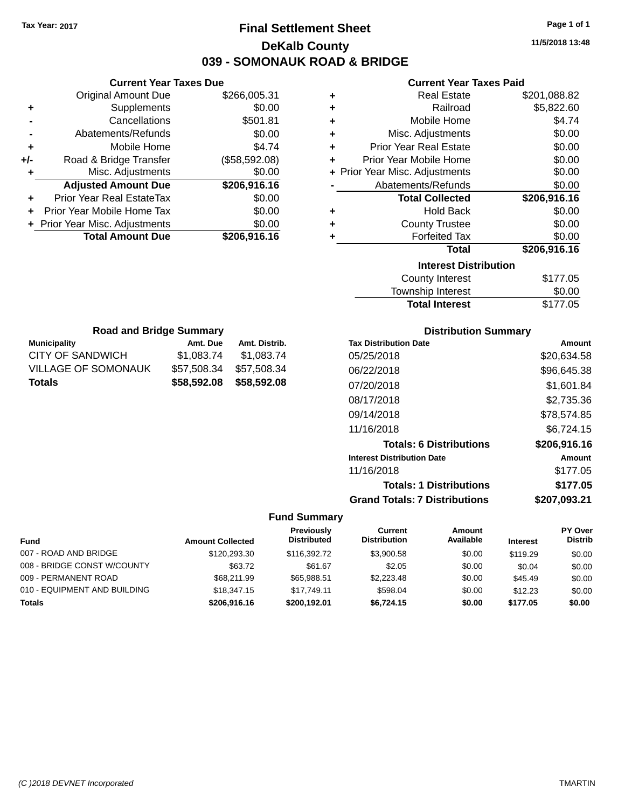## **Final Settlement Sheet Tax Year: 2017 Page 1 of 1 DeKalb County 039 - SOMONAUK ROAD & BRIDGE**

**11/5/2018 13:48**

### **Current Year Taxes Paid**

|     | <b>Current Year Taxes Due</b>  |               |       |
|-----|--------------------------------|---------------|-------|
|     | <b>Original Amount Due</b>     | \$266,005.31  | ٠     |
|     | Supplements                    | \$0.00        | ٠     |
|     | Cancellations                  | \$501.81      | ٠     |
|     | Abatements/Refunds             | \$0.00        |       |
|     | Mobile Home                    | \$4.74        |       |
| +/- | Road & Bridge Transfer         | (\$58,592.08) | ٠     |
|     | Misc. Adjustments              | \$0.00        | + Pri |
|     | <b>Adjusted Amount Due</b>     | \$206,916.16  |       |
|     | Prior Year Real EstateTax      | \$0.00        |       |
|     | Prior Year Mobile Home Tax     | \$0.00        |       |
|     | + Prior Year Misc. Adjustments | \$0.00        | ٠     |
|     | <b>Total Amount Due</b>        | \$206,916.16  |       |
|     |                                |               |       |

**Municipality Municipality** Amt. Due Amt. Distrib. **Road and Bridge Summary**

CITY OF SANDWICH \$1,083.74 \$1,083.74 VILLAGE OF SOMONAUK \$57,508.34 \$57,508.34 **Totals \$58,592.08 \$58,592.08**

| ٠ | <b>Real Estate</b>             | \$201,088.82 |
|---|--------------------------------|--------------|
| ٠ | Railroad                       | \$5,822.60   |
| ٠ | Mobile Home                    | \$4.74       |
| ٠ | Misc. Adjustments              | \$0.00       |
| ÷ | <b>Prior Year Real Estate</b>  | \$0.00       |
| ٠ | Prior Year Mobile Home         | \$0.00       |
|   | + Prior Year Misc. Adjustments | \$0.00       |
|   | Abatements/Refunds             | \$0.00       |
|   |                                |              |
|   | <b>Total Collected</b>         | \$206,916.16 |
| ٠ | <b>Hold Back</b>               | \$0.00       |
| ٠ | <b>County Trustee</b>          | \$0.00       |
| ٠ | <b>Forfeited Tax</b>           | \$0.00       |
|   | <b>Total</b>                   | \$206,916.16 |
|   | <b>Interest Distribution</b>   |              |
|   | <b>County Interest</b>         | \$177.05     |

| Township Interest     | \$0.00   |
|-----------------------|----------|
| <b>Total Interest</b> | \$177.05 |

| <b>Distribution Summary</b>          |              |
|--------------------------------------|--------------|
| <b>Tax Distribution Date</b>         | Amount       |
| 05/25/2018                           | \$20,634.58  |
| 06/22/2018                           | \$96,645.38  |
| 07/20/2018                           | \$1,601.84   |
| 08/17/2018                           | \$2,735.36   |
| 09/14/2018                           | \$78,574.85  |
| 11/16/2018                           | \$6,724.15   |
| <b>Totals: 6 Distributions</b>       | \$206,916.16 |
| <b>Interest Distribution Date</b>    | Amount       |
| 11/16/2018                           | \$177.05     |
| <b>Totals: 1 Distributions</b>       | \$177.05     |
| <b>Grand Totals: 7 Distributions</b> | \$207,093.21 |

|                              |                         | Previously         | Current             | Amount    |                 | <b>PY Over</b> |
|------------------------------|-------------------------|--------------------|---------------------|-----------|-----------------|----------------|
| <b>Fund</b>                  | <b>Amount Collected</b> | <b>Distributed</b> | <b>Distribution</b> | Available | <b>Interest</b> | <b>Distrib</b> |
| 007 - ROAD AND BRIDGE        | \$120,293,30            | \$116,392.72       | \$3.900.58          | \$0.00    | \$119.29        | \$0.00         |
| 008 - BRIDGE CONST W/COUNTY  | \$63.72                 | \$61.67            | \$2.05              | \$0.00    | \$0.04          | \$0.00         |
| 009 - PERMANENT ROAD         | \$68,211.99             | \$65,988.51        | \$2.223.48          | \$0.00    | \$45.49         | \$0.00         |
| 010 - EQUIPMENT AND BUILDING | \$18,347.15             | \$17.749.11        | \$598.04            | \$0.00    | \$12.23         | \$0.00         |
| <b>Totals</b>                | \$206,916.16            | \$200.192.01       | \$6.724.15          | \$0.00    | \$177.05        | \$0.00         |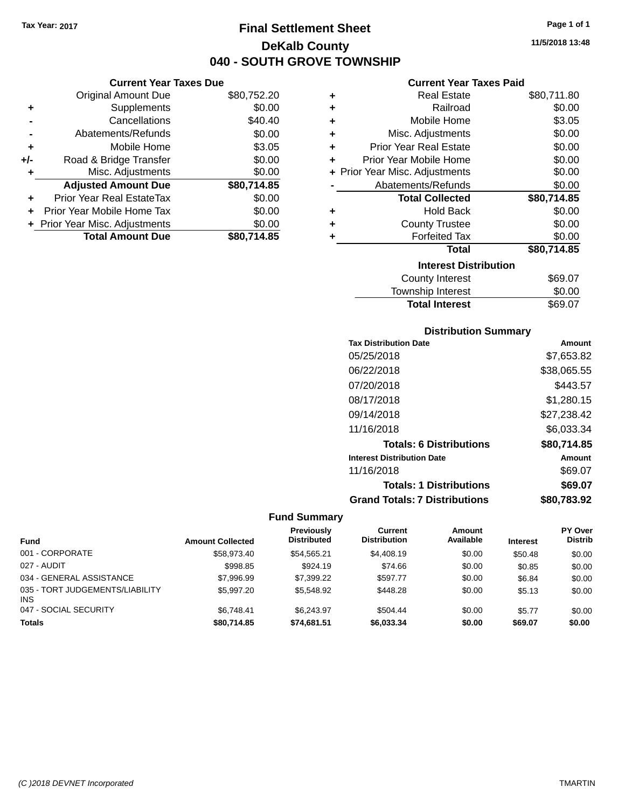**Current Year Taxes Due** Original Amount Due \$80,752.20

**Adjusted Amount Due \$80,714.85**

Total Amount Due \$80,714.85

**+** Supplements \$0.00 **-** Cancellations \$40.40 **-** Abatements/Refunds \$0.00 **+** Mobile Home \$3.05 **+/-** Road & Bridge Transfer \$0.00 **+** Misc. Adjustments \$0.00

**+** Prior Year Real EstateTax \$0.00 **+** Prior Year Mobile Home Tax \$0.00 **+ Prior Year Misc. Adjustments**  $$0.00$ 

## **Final Settlement Sheet Tax Year: 2017 Page 1 of 1 DeKalb County 040 - SOUTH GROVE TOWNSHIP**

**11/5/2018 13:48**

### **Current Year Taxes Paid**

| ٠ | <b>Real Estate</b>             | \$80,711.80 |
|---|--------------------------------|-------------|
| ٠ | Railroad                       | \$0.00      |
| ÷ | Mobile Home                    | \$3.05      |
| ÷ | Misc. Adjustments              | \$0.00      |
| ÷ | <b>Prior Year Real Estate</b>  | \$0.00      |
| ٠ | Prior Year Mobile Home         | \$0.00      |
|   | + Prior Year Misc. Adjustments | \$0.00      |
|   | Abatements/Refunds             | \$0.00      |
|   |                                |             |
|   | <b>Total Collected</b>         | \$80,714.85 |
| ٠ | <b>Hold Back</b>               | \$0.00      |
| ÷ | <b>County Trustee</b>          | \$0.00      |
| ٠ | <b>Forfeited Tax</b>           | \$0.00      |
|   | <b>Total</b>                   | \$80,714.85 |
|   | <b>Interest Distribution</b>   |             |
|   | County Interest                | \$69.07     |

## **Distribution Summary** Total Interest \$69.07

| <b>Tax Distribution Date</b>         | Amount      |
|--------------------------------------|-------------|
| 05/25/2018                           | \$7,653.82  |
| 06/22/2018                           | \$38,065.55 |
| 07/20/2018                           | \$443.57    |
| 08/17/2018                           | \$1,280.15  |
| 09/14/2018                           | \$27,238.42 |
| 11/16/2018                           | \$6,033.34  |
| <b>Totals: 6 Distributions</b>       | \$80.714.85 |
| <b>Interest Distribution Date</b>    | Amount      |
| 11/16/2018                           | \$69.07     |
| <b>Totals: 1 Distributions</b>       | \$69.07     |
| <b>Grand Totals: 7 Distributions</b> | \$80.783.92 |

| <b>Fund</b>                                   | <b>Amount Collected</b> | Previously<br><b>Distributed</b> | Current<br><b>Distribution</b> | <b>Amount</b><br>Available | <b>Interest</b> | <b>PY Over</b><br><b>Distrib</b> |
|-----------------------------------------------|-------------------------|----------------------------------|--------------------------------|----------------------------|-----------------|----------------------------------|
| 001 - CORPORATE                               | \$58,973.40             | \$54.565.21                      | \$4,408.19                     | \$0.00                     | \$50.48         | \$0.00                           |
| 027 - AUDIT                                   | \$998.85                | \$924.19                         | \$74.66                        | \$0.00                     | \$0.85          | \$0.00                           |
| 034 - GENERAL ASSISTANCE                      | \$7,996.99              | \$7,399.22                       | \$597.77                       | \$0.00                     | \$6.84          | \$0.00                           |
| 035 - TORT JUDGEMENTS/LIABILITY<br><b>INS</b> | \$5,997.20              | \$5,548.92                       | \$448.28                       | \$0.00                     | \$5.13          | \$0.00                           |
| 047 - SOCIAL SECURITY                         | \$6.748.41              | \$6.243.97                       | \$504.44                       | \$0.00                     | \$5.77          | \$0.00                           |
| <b>Totals</b>                                 | \$80,714.85             | \$74,681.51                      | \$6,033.34                     | \$0.00                     | \$69.07         | \$0.00                           |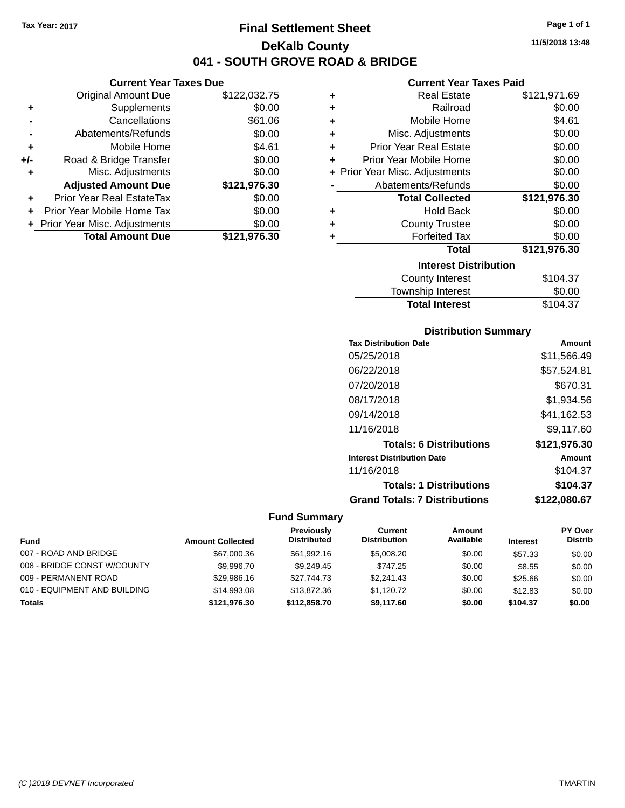## **Final Settlement Sheet Tax Year: 2017 Page 1 of 1 DeKalb County 041 - SOUTH GROVE ROAD & BRIDGE**

### **Current Year Taxes Due**

|       | <b>Original Amount Due</b>       | \$122,032.75 |
|-------|----------------------------------|--------------|
| ٠     | Supplements                      | \$0.00       |
|       | Cancellations                    | \$61.06      |
|       | Abatements/Refunds               | \$0.00       |
| ٠     | Mobile Home                      | \$4.61       |
| $+/-$ | Road & Bridge Transfer           | \$0.00       |
| ٠     | Misc. Adjustments                | \$0.00       |
|       | <b>Adjusted Amount Due</b>       | \$121,976.30 |
|       | <b>Prior Year Real EstateTax</b> | \$0.00       |
|       | Prior Year Mobile Home Tax       | \$0.00       |
|       | + Prior Year Misc. Adjustments   | \$0.00       |
|       | <b>Total Amount Due</b>          | \$121,976.30 |

### **Current Year Taxes Paid**

| ٠ | <b>Real Estate</b>             | \$121,971.69 |
|---|--------------------------------|--------------|
| ÷ | Railroad                       | \$0.00       |
| ٠ | Mobile Home                    | \$4.61       |
| ٠ | Misc. Adjustments              | \$0.00       |
| ٠ | <b>Prior Year Real Estate</b>  | \$0.00       |
| ٠ | Prior Year Mobile Home         | \$0.00       |
|   | + Prior Year Misc. Adjustments | \$0.00       |
|   | Abatements/Refunds             | \$0.00       |
|   |                                |              |
|   | <b>Total Collected</b>         | \$121,976.30 |
| ٠ | <b>Hold Back</b>               | \$0.00       |
| ٠ | <b>County Trustee</b>          | \$0.00       |
| ٠ | <b>Forfeited Tax</b>           | \$0.00       |
|   | <b>Total</b>                   | \$121,976.30 |
|   | <b>Interest Distribution</b>   |              |
|   | <b>County Interest</b>         | \$104.37     |

| <b>Total Interest</b> | \$104.37     |
|-----------------------|--------------|
| Township Interest     | \$0.00       |
| County interest       | <b>JU4.3</b> |

### **Distribution Summary**

| <b>Tax Distribution Date</b>         | Amount       |
|--------------------------------------|--------------|
| 05/25/2018                           | \$11,566.49  |
| 06/22/2018                           | \$57,524.81  |
| 07/20/2018                           | \$670.31     |
| 08/17/2018                           | \$1,934.56   |
| 09/14/2018                           | \$41.162.53  |
| 11/16/2018                           | \$9.117.60   |
| <b>Totals: 6 Distributions</b>       | \$121,976.30 |
| <b>Interest Distribution Date</b>    | Amount       |
| 11/16/2018                           | \$104.37     |
| <b>Totals: 1 Distributions</b>       | \$104.37     |
| <b>Grand Totals: 7 Distributions</b> | \$122,080.67 |

| <b>Fund</b>                  | <b>Amount Collected</b> | Previously<br><b>Distributed</b> | Current<br><b>Distribution</b> | <b>Amount</b><br>Available | <b>Interest</b> | <b>PY Over</b><br><b>Distrib</b> |
|------------------------------|-------------------------|----------------------------------|--------------------------------|----------------------------|-----------------|----------------------------------|
| 007 - ROAD AND BRIDGE        | \$67,000.36             | \$61,992.16                      | \$5,008,20                     | \$0.00                     | \$57.33         | \$0.00                           |
| 008 - BRIDGE CONST W/COUNTY  | \$9,996.70              | \$9.249.45                       | \$747.25                       | \$0.00                     | \$8.55          | \$0.00                           |
| 009 - PERMANENT ROAD         | \$29,986.16             | \$27.744.73                      | \$2,241.43                     | \$0.00                     | \$25.66         | \$0.00                           |
| 010 - EQUIPMENT AND BUILDING | \$14,993.08             | \$13,872.36                      | \$1.120.72                     | \$0.00                     | \$12.83         | \$0.00                           |
| <b>Totals</b>                | \$121.976.30            | \$112,858,70                     | \$9.117.60                     | \$0.00                     | \$104.37        | \$0.00                           |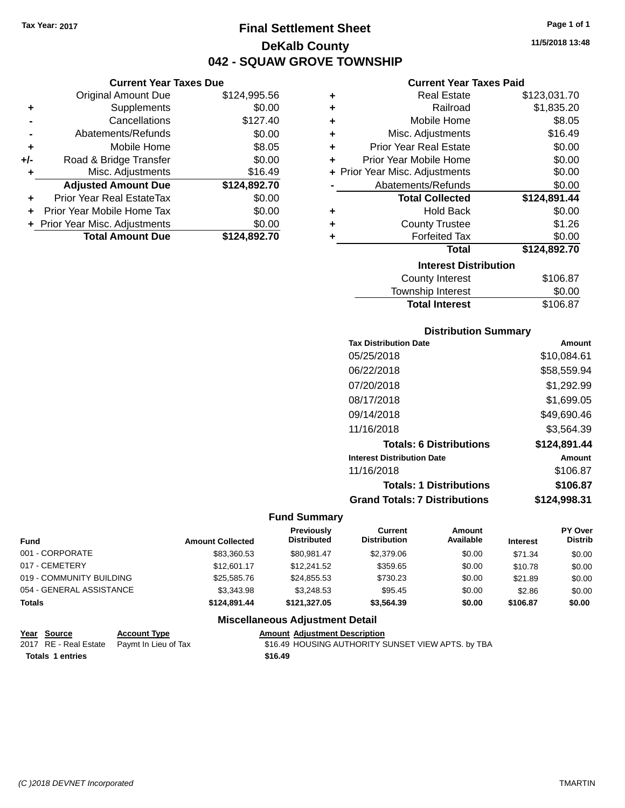**Current Year Taxes Due** Original Amount Due \$124,995.56

**Adjusted Amount Due \$124,892.70**

**Total Amount Due \$124,892.70**

**+** Supplements \$0.00 **-** Cancellations \$127.40 **-** Abatements/Refunds \$0.00 **+** Mobile Home \$8.05 **+/-** Road & Bridge Transfer \$0.00 **+** Misc. Adjustments \$16.49

**+** Prior Year Real EstateTax \$0.00 **+** Prior Year Mobile Home Tax \$0.00 **+ Prior Year Misc. Adjustments**  $$0.00$ 

## **Final Settlement Sheet Tax Year: 2017 Page 1 of 1 DeKalb County 042 - SQUAW GROVE TOWNSHIP**

**11/5/2018 13:48**

### **Current Year Taxes Paid**

| ٠ | <b>Real Estate</b>                 | \$123,031.70 |  |  |  |  |
|---|------------------------------------|--------------|--|--|--|--|
| ÷ | Railroad                           | \$1,835.20   |  |  |  |  |
| ÷ | Mobile Home                        | \$8.05       |  |  |  |  |
| ÷ | Misc. Adjustments                  | \$16.49      |  |  |  |  |
| ÷ | <b>Prior Year Real Estate</b>      | \$0.00       |  |  |  |  |
| ÷ | Prior Year Mobile Home             | \$0.00       |  |  |  |  |
|   | + Prior Year Misc. Adjustments     | \$0.00       |  |  |  |  |
|   | Abatements/Refunds                 | \$0.00       |  |  |  |  |
|   | <b>Total Collected</b>             | \$124,891.44 |  |  |  |  |
| ٠ | <b>Hold Back</b>                   | \$0.00       |  |  |  |  |
| ٠ | <b>County Trustee</b>              | \$1.26       |  |  |  |  |
| ÷ | <b>Forfeited Tax</b>               | \$0.00       |  |  |  |  |
|   | <b>Total</b>                       | \$124,892.70 |  |  |  |  |
|   | <b>Interest Distribution</b>       |              |  |  |  |  |
|   | \$106.87<br><b>County Interest</b> |              |  |  |  |  |
|   |                                    | ີ ລ          |  |  |  |  |

## Township Interest \$0.00 Total Interest \$106.87

### **Distribution Summary**

| <b>Tax Distribution Date</b>         | Amount       |
|--------------------------------------|--------------|
| 05/25/2018                           | \$10,084.61  |
| 06/22/2018                           | \$58,559.94  |
| 07/20/2018                           | \$1,292.99   |
| 08/17/2018                           | \$1,699.05   |
| 09/14/2018                           | \$49,690.46  |
| 11/16/2018                           | \$3,564.39   |
| <b>Totals: 6 Distributions</b>       | \$124,891.44 |
| <b>Interest Distribution Date</b>    | Amount       |
| 11/16/2018                           | \$106.87     |
| <b>Totals: 1 Distributions</b>       | \$106.87     |
| <b>Grand Totals: 7 Distributions</b> | \$124,998.31 |

#### **Fund Summary**

| <b>Fund</b>              | <b>Amount Collected</b> | Previously<br><b>Distributed</b> | Current<br><b>Distribution</b> | Amount<br>Available | <b>Interest</b> | PY Over<br><b>Distrib</b> |
|--------------------------|-------------------------|----------------------------------|--------------------------------|---------------------|-----------------|---------------------------|
| 001 - CORPORATE          | \$83.360.53             | \$80.981.47                      | \$2,379.06                     | \$0.00              | \$71.34         | \$0.00                    |
| 017 - CEMETERY           | \$12,601.17             | \$12,241.52                      | \$359.65                       | \$0.00              | \$10.78         | \$0.00                    |
| 019 - COMMUNITY BUILDING | \$25,585,76             | \$24.855.53                      | \$730.23                       | \$0.00              | \$21.89         | \$0.00                    |
| 054 - GENERAL ASSISTANCE | \$3,343.98              | \$3.248.53                       | \$95.45                        | \$0.00              | \$2.86          | \$0.00                    |
| <b>Totals</b>            | \$124.891.44            | \$121.327.05                     | \$3,564.39                     | \$0.00              | \$106.87        | \$0.00                    |
|                          |                         |                                  |                                |                     |                 |                           |

| <u>Year Source</u> | <b>Account Type</b>                        | <b>Amount Adjustment Description</b>               |
|--------------------|--------------------------------------------|----------------------------------------------------|
|                    | 2017 RE - Real Estate Paymt In Lieu of Tax | \$16.49 HOUSING AUTHORITY SUNSET VIEW APTS. by TBA |
| Totals 1 entries   |                                            | \$16.49                                            |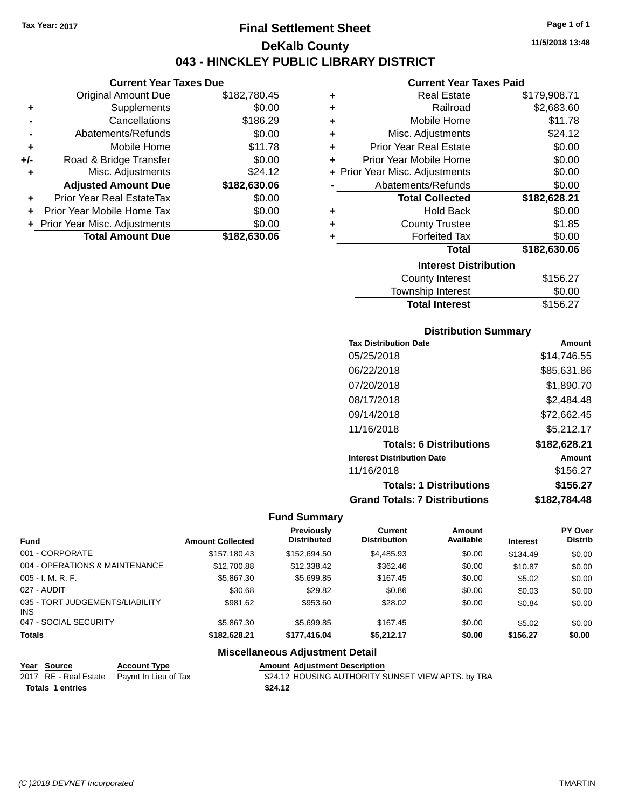**+** Supplements

**Current Year Taxes Due**

**-** Cancellations \$186.29 **-** Abatements/Refunds \$0.00 **+** Mobile Home \$11.78 **+/-** Road & Bridge Transfer \$0.00 **+** Misc. Adjustments \$24.12

**+** Prior Year Real EstateTax \$0.00 **+** Prior Year Mobile Home Tax \$0.00 **+** Prior Year Misc. Adjustments \$0.00<br> **Total Amount Due** \$182,630.06

**Total Amount Due** 

Original Amount Due \$182,780.45<br>Supplements \$0.00

**Adjusted Amount Due \$182,630.06**

## **Final Settlement Sheet Tax Year: 2017 Page 1 of 1 DeKalb County 043 - HINCKLEY PUBLIC LIBRARY DISTRICT**

**11/5/2018 13:48**

#### **Current Year Taxes Paid**

| ٠ | <b>Real Estate</b>             | \$179,908.71 |
|---|--------------------------------|--------------|
| ٠ | Railroad                       | \$2,683.60   |
| ٠ | Mobile Home                    | \$11.78      |
| ٠ | Misc. Adjustments              | \$24.12      |
| ÷ | <b>Prior Year Real Estate</b>  | \$0.00       |
| ٠ | Prior Year Mobile Home         | \$0.00       |
|   | + Prior Year Misc. Adjustments | \$0.00       |
|   | Abatements/Refunds             | \$0.00       |
|   | <b>Total Collected</b>         | \$182,628.21 |
| ٠ | <b>Hold Back</b>               | \$0.00       |
| ٠ | <b>County Trustee</b>          | \$1.85       |
| ٠ | <b>Forfeited Tax</b>           | \$0.00       |
|   | <b>Total</b>                   | \$182,630.06 |
|   | <b>Interest Distribution</b>   |              |
|   | <b>County Interest</b>         | \$156.27     |
|   |                                |              |

| <b>Total Interest</b> | \$156.27 |
|-----------------------|----------|
| Township Interest     | \$0.00   |
| County Interest       | \$156.27 |

### **Distribution Summary**

| <b>Tax Distribution Date</b>         | Amount       |
|--------------------------------------|--------------|
| 05/25/2018                           | \$14.746.55  |
| 06/22/2018                           | \$85,631.86  |
| 07/20/2018                           | \$1,890.70   |
| 08/17/2018                           | \$2,484.48   |
| 09/14/2018                           | \$72,662.45  |
| 11/16/2018                           | \$5,212.17   |
| <b>Totals: 6 Distributions</b>       | \$182,628.21 |
| <b>Interest Distribution Date</b>    | Amount       |
| 11/16/2018                           | \$156.27     |
| <b>Totals: 1 Distributions</b>       | \$156.27     |
| <b>Grand Totals: 7 Distributions</b> | \$182,784.48 |

#### **Fund Summary**

| <b>Fund</b>                             | <b>Amount Collected</b> | <b>Previously</b><br><b>Distributed</b> | Current<br><b>Distribution</b> | Amount<br>Available | <b>Interest</b> | <b>PY Over</b><br><b>Distrib</b> |
|-----------------------------------------|-------------------------|-----------------------------------------|--------------------------------|---------------------|-----------------|----------------------------------|
| 001 - CORPORATE                         | \$157.180.43            | \$152,694.50                            | \$4,485.93                     | \$0.00              | \$134.49        | \$0.00                           |
| 004 - OPERATIONS & MAINTENANCE          | \$12,700.88             | \$12,338.42                             | \$362.46                       | \$0.00              | \$10.87         | \$0.00                           |
| $005 - I. M. R. F.$                     | \$5,867.30              | \$5,699.85                              | \$167.45                       | \$0.00              | \$5.02          | \$0.00                           |
| 027 - AUDIT                             | \$30.68                 | \$29.82                                 | \$0.86                         | \$0.00              | \$0.03          | \$0.00                           |
| 035 - TORT JUDGEMENTS/LIABILITY<br>INS. | \$981.62                | \$953.60                                | \$28.02                        | \$0.00              | \$0.84          | \$0.00                           |
| 047 - SOCIAL SECURITY                   | \$5,867,30              | \$5.699.85                              | \$167.45                       | \$0.00              | \$5.02          | \$0.00                           |
| <b>Totals</b>                           | \$182.628.21            | \$177.416.04                            | \$5.212.17                     | \$0.00              | \$156.27        | \$0.00                           |

| Year Source      | <b>Account Type</b>                        | <b>Amount Adiustment Description</b>               |
|------------------|--------------------------------------------|----------------------------------------------------|
|                  | 2017 RE - Real Estate Paymt In Lieu of Tax | \$24.12 HOUSING AUTHORITY SUNSET VIEW APTS. by TBA |
| Totals 1 entries |                                            | \$24.12                                            |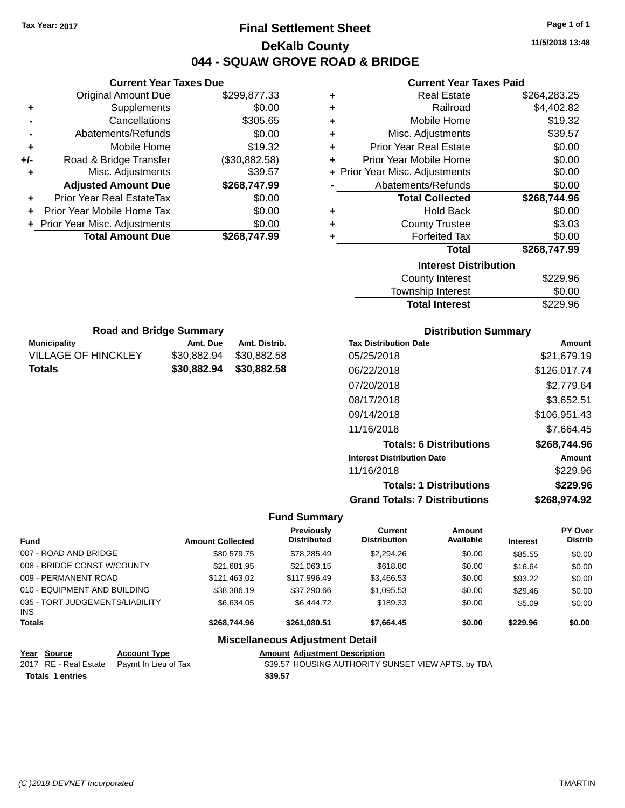## **Final Settlement Sheet Tax Year: 2017 Page 1 of 1 DeKalb County 044 - SQUAW GROVE ROAD & BRIDGE**

**11/5/2018 13:48**

|     | <b>Current Year Taxes Due</b>  |               |              |
|-----|--------------------------------|---------------|--------------|
|     | Original Amount Due            | \$299,877.33  |              |
|     | <b>Supplements</b>             | \$0.00        |              |
|     | Cancellations                  | \$305.65      |              |
|     | Abatements/Refunds             | \$0.00        |              |
|     | Mobile Home                    | \$19.32       | Prio         |
| +/- | Road & Bridge Transfer         | (\$30,882.58) | Prior        |
| ٠   | Misc. Adjustments              | \$39.57       | + Prior Year |
|     | <b>Adjusted Amount Due</b>     | \$268,747.99  | Ał           |
|     | Prior Year Real EstateTax      | \$0.00        |              |
|     | Prior Year Mobile Home Tax     | \$0.00        |              |
|     | + Prior Year Misc. Adjustments | \$0.00        |              |
|     | <b>Total Amount Due</b>        | \$268,747.99  |              |
|     |                                |               |              |

**Municipality Municipality** Amt. Due Amt. Distrib. **Road and Bridge Summary**

VILLAGE OF HINCKLEY \$30,882.94 \$30,882.58 **Totals \$30,882.94 \$30,882.58**

#### **Current Year Taxes Paid**

| ÷         | <b>Real Estate</b>             | \$264,283.25 |
|-----------|--------------------------------|--------------|
| $\ddot{}$ | Railroad                       | \$4,402.82   |
| ÷         | Mobile Home                    | \$19.32      |
| ÷         | Misc. Adjustments              | \$39.57      |
| ÷         | <b>Prior Year Real Estate</b>  | \$0.00       |
| ÷         | Prior Year Mobile Home         | \$0.00       |
|           | + Prior Year Misc. Adjustments | \$0.00       |
|           | Abatements/Refunds             | \$0.00       |
|           | <b>Total Collected</b>         | \$268,744.96 |
| ÷         | <b>Hold Back</b>               | \$0.00       |
| ÷         | <b>County Trustee</b>          | \$3.03       |
| ٠         | <b>Forfeited Tax</b>           | \$0.00       |
|           | <b>Total</b>                   | \$268,747.99 |
|           | <b>Interest Distribution</b>   |              |
|           | <b>County Interest</b>         | \$229.96     |

# Township Interest \$0.00 **Total Interest** \$229.96

| <b>Distribution Summary</b>          |              |  |  |  |
|--------------------------------------|--------------|--|--|--|
| <b>Tax Distribution Date</b>         | Amount       |  |  |  |
| 05/25/2018                           | \$21,679.19  |  |  |  |
| 06/22/2018                           | \$126,017.74 |  |  |  |
| 07/20/2018                           | \$2,779.64   |  |  |  |
| 08/17/2018                           | \$3,652.51   |  |  |  |
| 09/14/2018                           | \$106,951.43 |  |  |  |
| 11/16/2018                           | \$7.664.45   |  |  |  |
| <b>Totals: 6 Distributions</b>       | \$268,744.96 |  |  |  |
| <b>Interest Distribution Date</b>    | Amount       |  |  |  |
| 11/16/2018                           | \$229.96     |  |  |  |
| <b>Totals: 1 Distributions</b>       | \$229.96     |  |  |  |
| <b>Grand Totals: 7 Distributions</b> | \$268.974.92 |  |  |  |

#### **Fund Summary**

| <b>Fund</b>                                   | <b>Amount Collected</b> | <b>Previously</b><br><b>Distributed</b> | Current<br><b>Distribution</b> | Amount<br>Available | <b>Interest</b> | <b>PY Over</b><br><b>Distrib</b> |
|-----------------------------------------------|-------------------------|-----------------------------------------|--------------------------------|---------------------|-----------------|----------------------------------|
| 007 - ROAD AND BRIDGE                         | \$80,579.75             | \$78,285.49                             | \$2,294.26                     | \$0.00              | \$85.55         | \$0.00                           |
| 008 - BRIDGE CONST W/COUNTY                   | \$21.681.95             | \$21,063.15                             | \$618.80                       | \$0.00              | \$16.64         | \$0.00                           |
| 009 - PERMANENT ROAD                          | \$121.463.02            | \$117,996.49                            | \$3,466.53                     | \$0.00              | \$93.22         | \$0.00                           |
| 010 - EQUIPMENT AND BUILDING                  | \$38,386.19             | \$37,290.66                             | \$1,095.53                     | \$0.00              | \$29.46         | \$0.00                           |
| 035 - TORT JUDGEMENTS/LIABILITY<br><b>INS</b> | \$6.634.05              | \$6,444.72                              | \$189.33                       | \$0.00              | \$5.09          | \$0.00                           |
| <b>Totals</b>                                 | \$268,744.96            | \$261.080.51                            | \$7,664.45                     | \$0.00              | \$229.96        | \$0.00                           |
|                                               |                         | Miscellaneous Adjustment Detail         |                                |                     |                 |                                  |

### **Miscellaneous Adjustment Detail**

**Year Source Account Type Amount Adjustment Description**<br>2017 RE - Real Estate Paymt In Lieu of Tax \$39.57 HOUSING AUTHORITY S **Totals 1 entries** \$39.57

\$39.57 HOUSING AUTHORITY SUNSET VIEW APTS. by TBA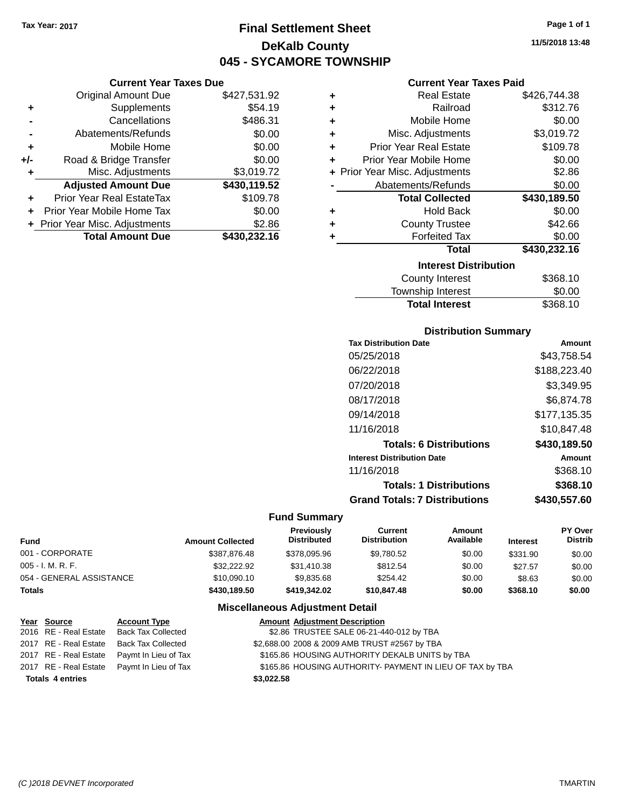## **Final Settlement Sheet Tax Year: 2017 Page 1 of 1 DeKalb County 045 - SYCAMORE TOWNSHIP**

### **Current Year Taxes Due**

|       | <b>Original Amount Due</b>       | \$427,531.92 |
|-------|----------------------------------|--------------|
| ٠     | Supplements                      | \$54.19      |
|       | Cancellations                    | \$486.31     |
|       | Abatements/Refunds               | \$0.00       |
| ٠     | Mobile Home                      | \$0.00       |
| $+/-$ | Road & Bridge Transfer           | \$0.00       |
| ٠     | Misc. Adjustments                | \$3,019.72   |
|       | <b>Adjusted Amount Due</b>       | \$430,119.52 |
|       | <b>Prior Year Real EstateTax</b> | \$109.78     |
|       | Prior Year Mobile Home Tax       | \$0.00       |
|       | + Prior Year Misc. Adjustments   | \$2.86       |
|       | <b>Total Amount Due</b>          | \$430,232.16 |

### **Current Year Taxes Paid**

| ٠ | <b>Real Estate</b>             | \$426,744.38 |
|---|--------------------------------|--------------|
| ٠ | Railroad                       | \$312.76     |
| ٠ | Mobile Home                    | \$0.00       |
| ٠ | Misc. Adjustments              | \$3,019.72   |
| ٠ | <b>Prior Year Real Estate</b>  | \$109.78     |
| ٠ | Prior Year Mobile Home         | \$0.00       |
|   | + Prior Year Misc. Adjustments | \$2.86       |
|   | Abatements/Refunds             | \$0.00       |
|   | <b>Total Collected</b>         | \$430,189.50 |
| ٠ | <b>Hold Back</b>               | \$0.00       |
| ÷ | <b>County Trustee</b>          | \$42.66      |
| ٠ | <b>Forfeited Tax</b>           | \$0.00       |
|   | <b>Total</b>                   | \$430,232.16 |
|   | <b>Interest Distribution</b>   |              |
|   | <b>County Interest</b>         | \$368.10     |
|   | Township Interast              | ደስ ሰስ        |

| <b>Total Interest</b> | \$368.10 |
|-----------------------|----------|
| Township Interest     | \$0.00   |
| County Interest       | \$368.10 |

### **Distribution Summary**

| <b>Tax Distribution Date</b>         | Amount       |
|--------------------------------------|--------------|
| 05/25/2018                           | \$43.758.54  |
| 06/22/2018                           | \$188,223.40 |
| 07/20/2018                           | \$3,349.95   |
| 08/17/2018                           | \$6,874.78   |
| 09/14/2018                           | \$177.135.35 |
| 11/16/2018                           | \$10,847.48  |
| <b>Totals: 6 Distributions</b>       | \$430,189.50 |
| <b>Interest Distribution Date</b>    | Amount       |
| 11/16/2018                           | \$368.10     |
| <b>Totals: 1 Distributions</b>       | \$368.10     |
| <b>Grand Totals: 7 Distributions</b> | \$430,557.60 |

### **Fund Summary**

| Fund                     | <b>Amount Collected</b> | <b>Previously</b><br><b>Distributed</b> | Current<br><b>Distribution</b> | Amount<br>Available | <b>Interest</b> | PY Over<br><b>Distrib</b> |
|--------------------------|-------------------------|-----------------------------------------|--------------------------------|---------------------|-----------------|---------------------------|
| 001 - CORPORATE          | \$387.876.48            | \$378,095.96                            | \$9.780.52                     | \$0.00              | \$331.90        | \$0.00                    |
| $005 - I. M. R. F.$      | \$32,222.92             | \$31,410.38                             | \$812.54                       | \$0.00              | \$27.57         | \$0.00                    |
| 054 - GENERAL ASSISTANCE | \$10,090.10             | \$9,835,68                              | \$254.42                       | \$0.00              | \$8.63          | \$0.00                    |
| <b>Totals</b>            | \$430,189.50            | \$419,342.02                            | \$10,847.48                    | \$0.00              | \$368.10        | \$0.00                    |

| Year Source             | <b>Account Type</b>                        | <b>Amount Adjustment Description</b>                      |
|-------------------------|--------------------------------------------|-----------------------------------------------------------|
| 2016 RE - Real Estate   | <b>Back Tax Collected</b>                  | \$2.86 TRUSTEE SALE 06-21-440-012 by TBA                  |
| 2017 RE - Real Estate   | <b>Back Tax Collected</b>                  | \$2,688.00 2008 & 2009 AMB TRUST #2567 by TBA             |
| 2017 RE - Real Estate   | Paymt In Lieu of Tax                       | \$165.86 HOUSING AUTHORITY DEKALB UNITS by TBA            |
|                         | 2017 RE - Real Estate Paymt In Lieu of Tax | \$165.86 HOUSING AUTHORITY- PAYMENT IN LIEU OF TAX by TBA |
| <b>Totals 4 entries</b> |                                            | \$3,022.58                                                |
|                         |                                            |                                                           |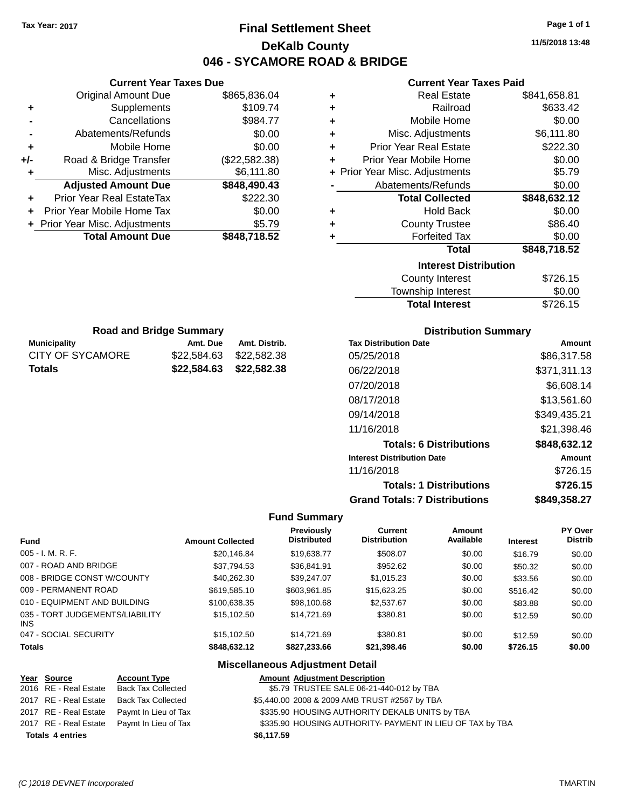## **Final Settlement Sheet Tax Year: 2017 Page 1 of 1 DeKalb County 046 - SYCAMORE ROAD & BRIDGE**

**11/5/2018 13:48**

### **Current Year Taxes Paid**

| <b>Original Amount Due</b>     | \$865,836.04                  |
|--------------------------------|-------------------------------|
| Supplements                    | \$109.74                      |
| Cancellations                  | \$984.77                      |
| Abatements/Refunds             | \$0.00                        |
| Mobile Home                    | \$0.00                        |
| Road & Bridge Transfer         | (\$22,582.38)                 |
| Misc. Adjustments              | \$6,111.80                    |
| <b>Adjusted Amount Due</b>     | \$848,490.43                  |
| Prior Year Real EstateTax      | \$222.30                      |
| Prior Year Mobile Home Tax     | \$0.00                        |
| + Prior Year Misc. Adjustments | \$5.79                        |
|                                |                               |
|                                | <b>Current Year Taxes Due</b> |

Municipality **Amt. Due Amt. Distrib.**<br>CITY OF SYCAMORE \$22,584.63 \$22,582.38 **Road and Bridge Summary**

**Totals \$22,584.63 \$22,582.38**

\$22,584.63 \$22,582.38

| ٠ | <b>Real Estate</b>             | \$841,658.81 |
|---|--------------------------------|--------------|
| ٠ | Railroad                       | \$633.42     |
| ٠ | Mobile Home                    | \$0.00       |
| ÷ | Misc. Adjustments              | \$6,111.80   |
| ٠ | <b>Prior Year Real Estate</b>  | \$222.30     |
| ÷ | Prior Year Mobile Home         | \$0.00       |
|   | + Prior Year Misc. Adjustments | \$5.79       |
|   | Abatements/Refunds             | \$0.00       |
|   | <b>Total Collected</b>         | \$848,632.12 |
| ٠ | <b>Hold Back</b>               | \$0.00       |
| ٠ | <b>County Trustee</b>          | \$86.40      |
| ٠ | <b>Forfeited Tax</b>           | \$0.00       |
|   | <b>Total</b>                   | \$848,718.52 |
|   | <b>Interest Distribution</b>   |              |
|   |                                |              |
|   | <b>County Interest</b>         | \$726.15     |

| <b>Total Interest</b> | \$726.15 |
|-----------------------|----------|
| Township Interest     | \$0.00   |
| County Interest       | \$126.15 |

| <b>Distribution Summary</b>          |              |
|--------------------------------------|--------------|
| <b>Tax Distribution Date</b>         | Amount       |
| 05/25/2018                           | \$86,317.58  |
| 06/22/2018                           | \$371,311.13 |
| 07/20/2018                           | \$6,608.14   |
| 08/17/2018                           | \$13,561.60  |
| 09/14/2018                           | \$349,435.21 |
| 11/16/2018                           | \$21,398.46  |
| <b>Totals: 6 Distributions</b>       | \$848,632.12 |
| <b>Interest Distribution Date</b>    | Amount       |
| 11/16/2018                           | \$726.15     |
| <b>Totals: 1 Distributions</b>       | \$726.15     |
| <b>Grand Totals: 7 Distributions</b> | \$849.358.27 |

### **Fund Summary**

| <b>Fund</b>                             | <b>Amount Collected</b> | <b>Previously</b><br><b>Distributed</b> | <b>Current</b><br><b>Distribution</b> | Amount<br>Available | <b>Interest</b> | <b>PY Over</b><br><b>Distrib</b> |
|-----------------------------------------|-------------------------|-----------------------------------------|---------------------------------------|---------------------|-----------------|----------------------------------|
| $005 - I. M. R. F.$                     | \$20,146.84             | \$19,638.77                             | \$508.07                              | \$0.00              | \$16.79         | \$0.00                           |
| 007 - ROAD AND BRIDGE                   | \$37,794.53             | \$36,841.91                             | \$952.62                              | \$0.00              | \$50.32         | \$0.00                           |
| 008 - BRIDGE CONST W/COUNTY             | \$40.262.30             | \$39,247.07                             | \$1,015.23                            | \$0.00              | \$33.56         | \$0.00                           |
| 009 - PERMANENT ROAD                    | \$619,585.10            | \$603,961.85                            | \$15,623.25                           | \$0.00              | \$516.42        | \$0.00                           |
| 010 - EQUIPMENT AND BUILDING            | \$100.638.35            | \$98,100.68                             | \$2,537.67                            | \$0.00              | \$83.88         | \$0.00                           |
| 035 - TORT JUDGEMENTS/LIABILITY<br>INS. | \$15,102.50             | \$14.721.69                             | \$380.81                              | \$0.00              | \$12.59         | \$0.00                           |
| 047 - SOCIAL SECURITY                   | \$15,102.50             | \$14.721.69                             | \$380.81                              | \$0.00              | \$12.59         | \$0.00                           |
| <b>Totals</b>                           | \$848.632.12            | \$827.233.66                            | \$21,398.46                           | \$0.00              | \$726.15        | \$0.00                           |

| Year Source             | <b>Account Type</b>                        | <b>Amount Adjustment Description</b>                      |
|-------------------------|--------------------------------------------|-----------------------------------------------------------|
| 2016 RE - Real Estate   | Back Tax Collected                         | \$5.79 TRUSTEE SALE 06-21-440-012 by TBA                  |
| 2017 RE - Real Estate   | Back Tax Collected                         | \$5,440.00 2008 & 2009 AMB TRUST #2567 by TBA             |
|                         | 2017 RE - Real Estate Paymt In Lieu of Tax | \$335.90 HOUSING AUTHORITY DEKALB UNITS by TBA            |
|                         | 2017 RE - Real Estate Paymt In Lieu of Tax | \$335.90 HOUSING AUTHORITY- PAYMENT IN LIEU OF TAX by TBA |
| <b>Totals 4 entries</b> |                                            | \$6,117.59                                                |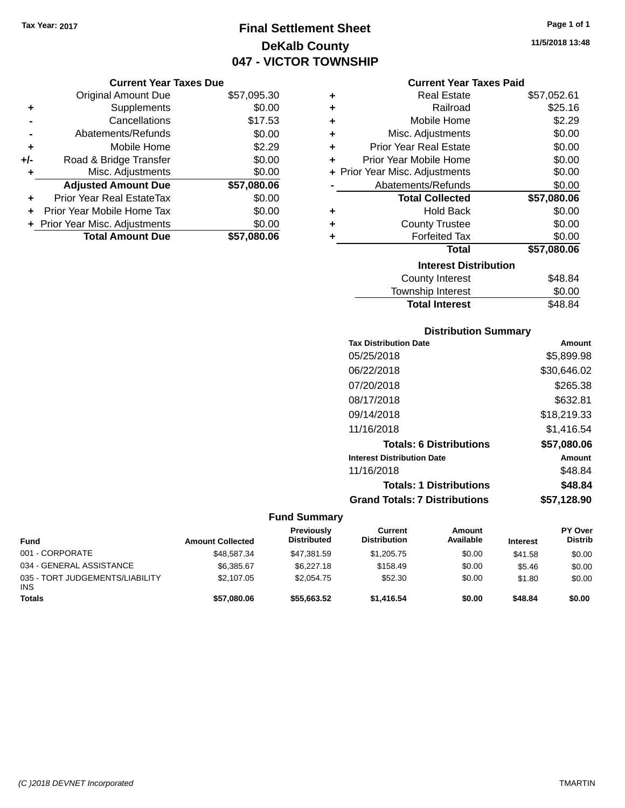## **Final Settlement Sheet Tax Year: 2017 Page 1 of 1 DeKalb County 047 - VICTOR TOWNSHIP**

### **Current Year Taxes Due**

|     | <b>Original Amount Due</b>       | \$57,095.30 |
|-----|----------------------------------|-------------|
| ٠   | Supplements                      | \$0.00      |
|     | Cancellations                    | \$17.53     |
|     | Abatements/Refunds               | \$0.00      |
| ٠   | Mobile Home                      | \$2.29      |
| +/- | Road & Bridge Transfer           | \$0.00      |
| ۰   | Misc. Adjustments                | \$0.00      |
|     | <b>Adjusted Amount Due</b>       | \$57,080.06 |
|     | <b>Prior Year Real EstateTax</b> | \$0.00      |
|     | Prior Year Mobile Home Tax       | \$0.00      |
|     | + Prior Year Misc. Adjustments   | \$0.00      |
|     | <b>Total Amount Due</b>          | \$57.080.06 |

|   | <b>Current Year Taxes Paid</b> |             |
|---|--------------------------------|-------------|
| ÷ | Real Estate                    | \$57,052.61 |
| ÷ | Railroad                       | \$25.16     |
| ÷ | Mobile Home                    | \$2.29      |
| ÷ | Misc. Adjustments              | \$0.00      |
| ÷ | <b>Prior Year Real Estate</b>  | \$0.00      |
| ÷ | Prior Year Mobile Home         | \$0.00      |
|   | + Prior Year Misc. Adjustments | \$0.00      |
|   | Abatements/Refunds             | \$0.00      |
|   | <b>Total Collected</b>         | \$57,080.06 |
| ÷ | <b>Hold Back</b>               | \$0.00      |
| ÷ | <b>County Trustee</b>          | \$0.00      |
| ٠ | <b>Forfeited Tax</b>           | \$0.00      |
|   | Total                          | \$57,080.06 |

### **Interest Distribution**

| ,,,,,,,,,,,,,,,,,,,,,,,,, |         |
|---------------------------|---------|
| County Interest           | \$48.84 |
| Township Interest         | \$0.00  |
| <b>Total Interest</b>     | \$48.84 |
|                           |         |

### **Distribution Summary**

| <b>Tax Distribution Date</b>         | Amount      |
|--------------------------------------|-------------|
| 05/25/2018                           | \$5,899.98  |
| 06/22/2018                           | \$30,646.02 |
| 07/20/2018                           | \$265.38    |
| 08/17/2018                           | \$632.81    |
| 09/14/2018                           | \$18,219.33 |
| 11/16/2018                           | \$1,416.54  |
| <b>Totals: 6 Distributions</b>       | \$57,080.06 |
| <b>Interest Distribution Date</b>    | Amount      |
| 11/16/2018                           | \$48.84     |
| <b>Totals: 1 Distributions</b>       | \$48.84     |
| <b>Grand Totals: 7 Distributions</b> | \$57,128.90 |

| <b>Fund</b>                            | <b>Amount Collected</b> | Previously<br><b>Distributed</b> | Current<br><b>Distribution</b> | Amount<br>Available | <b>Interest</b> | PY Over<br><b>Distrib</b> |
|----------------------------------------|-------------------------|----------------------------------|--------------------------------|---------------------|-----------------|---------------------------|
| 001 - CORPORATE                        | \$48,587,34             | \$47.381.59                      | \$1,205.75                     | \$0.00              | \$41.58         | \$0.00                    |
| 034 - GENERAL ASSISTANCE               | \$6.385.67              | \$6,227.18                       | \$158.49                       | \$0.00              | \$5.46          | \$0.00                    |
| 035 - TORT JUDGEMENTS/LIABILITY<br>INS | \$2,107.05              | \$2,054.75                       | \$52.30                        | \$0.00              | \$1.80          | \$0.00                    |
| <b>Totals</b>                          | \$57,080.06             | \$55,663,52                      | \$1.416.54                     | \$0.00              | \$48.84         | \$0.00                    |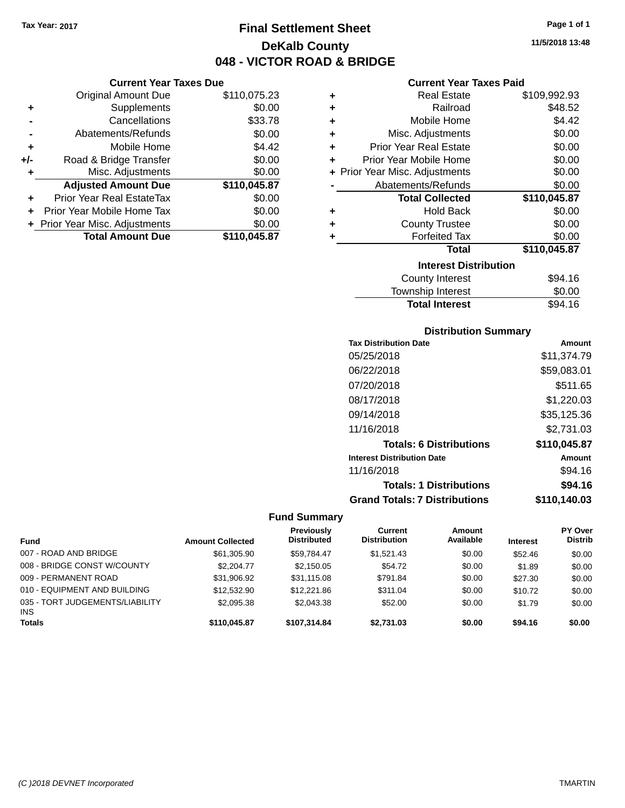## **Final Settlement Sheet Tax Year: 2017 Page 1 of 1 DeKalb County 048 - VICTOR ROAD & BRIDGE**

**11/5/2018 13:48**

#### **Current Year Taxes Paid**

|     | <b>Current Year Taxes Due</b>  |              |        |
|-----|--------------------------------|--------------|--------|
|     | <b>Original Amount Due</b>     | \$110,075.23 |        |
|     | Supplements                    | \$0.00       | ۰      |
|     | Cancellations                  | \$33.78      | ۰      |
|     | Abatements/Refunds             | \$0.00       |        |
|     | Mobile Home                    | \$4.42       | ۰      |
| +/- | Road & Bridge Transfer         | \$0.00       |        |
|     | Misc. Adjustments              | \$0.00       | + Prio |
|     | <b>Adjusted Amount Due</b>     | \$110,045.87 |        |
|     | Prior Year Real EstateTax      | \$0.00       |        |
|     | Prior Year Mobile Home Tax     | \$0.00       |        |
|     | + Prior Year Misc. Adjustments | \$0.00       |        |
|     | <b>Total Amount Due</b>        | \$110,045.87 |        |
|     |                                |              |        |

| ٠ | <b>Real Estate</b>             | \$109,992.93 |
|---|--------------------------------|--------------|
| ٠ | Railroad                       | \$48.52      |
| ÷ | Mobile Home                    | \$4.42       |
| ÷ | Misc. Adjustments              | \$0.00       |
| ٠ | <b>Prior Year Real Estate</b>  | \$0.00       |
| ٠ | Prior Year Mobile Home         | \$0.00       |
|   | + Prior Year Misc. Adjustments | \$0.00       |
|   | Abatements/Refunds             | \$0.00       |
|   |                                |              |
|   | <b>Total Collected</b>         | \$110,045.87 |
| ٠ | <b>Hold Back</b>               | \$0.00       |
| ÷ | <b>County Trustee</b>          | \$0.00       |
| ٠ | <b>Forfeited Tax</b>           | \$0.00       |
|   | <b>Total</b>                   | \$110,045.87 |
|   | <b>Interest Distribution</b>   |              |
|   | <b>County Interest</b>         | \$94.16      |

### **Distribution Summary Tax Distribution Date Amount** 05/25/2018 \$11,374.79 06/22/2018 \$59,083.01 07/20/2018 \$511.65 08/17/2018 \$1,220.03 09/14/2018 \$35,125.36 11/16/2018 \$2,731.03 **Totals: 6 Distributions \$110,045.87 Interest Distribution Date Amount** 11/16/2018 \$94.16 **Totals: 1 Distributions \$94.16**

Total Interest \$94.16

## **Grand Totals: 7 Distributions \$110,140.03**

#### **Fund Summary Fund Interest Amount Collected Distributed PY Over Distrib Amount Available Current Distribution Previously** 007 - ROAD AND BRIDGE 60.00 \$61,305.90 \$59,784.47 \$1,521.43 \$0.00 \$52.46 \$0.00 008 - BRIDGE CONST W/COUNTY  $$2,204.77$   $$2,150.05$   $$54.72$   $$0.00$  \$1.89 \$0.00 009 - PERMANENT ROAD \$31,906.92 \$31,115.08 \$791.84 \$0.00 \$27.30 \$0.00 010 - EQUIPMENT AND BUILDING \$12,532.90 \$12,221.86 \$311.04 \$0.00 \$10.72 \$0.00 035 - TORT JUDGEMENTS/LIABILITY INS \$2,095.38 \$2,043.38 \$52.00 \$0.00 \$1.79 \$0.00 **Totals \$110,045.87 \$107,314.84 \$2,731.03 \$0.00 \$94.16 \$0.00**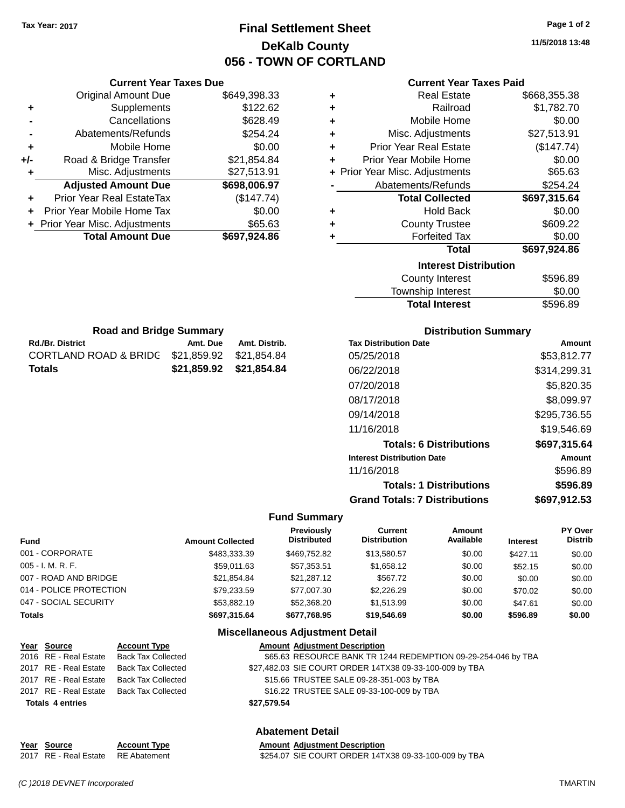**Current Year Taxes Due** Original Amount Due \$649,398.33

**Adjusted Amount Due \$698,006.97**

**Total Amount Due \$697,924.86**

**+** Supplements \$122.62 **-** Cancellations \$628.49 **-** Abatements/Refunds \$254.24 **+** Mobile Home \$0.00 **+/-** Road & Bridge Transfer \$21,854.84 **+** Misc. Adjustments \$27,513.91

**+** Prior Year Real EstateTax (\$147.74) **+** Prior Year Mobile Home Tax \$0.00 **+ Prior Year Misc. Adjustments \$65.63** 

**Rd./Br. District Community Community Amt. Due Amt. Distrib. Road and Bridge Summary**

CORTLAND ROAD & BRIDG \$21,859.92 \$21,854.84 **Totals \$21,859.92 \$21,854.84**

## **Final Settlement Sheet Tax Year: 2017 Page 1 of 2 DeKalb County 056 - TOWN OF CORTLAND**

**11/5/2018 13:48**

| ٠ | <b>Real Estate</b>             | \$668,355.38 |
|---|--------------------------------|--------------|
| ٠ | Railroad                       | \$1,782.70   |
| ÷ | Mobile Home                    | \$0.00       |
| ÷ | Misc. Adjustments              | \$27,513.91  |
| ÷ | <b>Prior Year Real Estate</b>  | (\$147.74)   |
| ÷ | Prior Year Mobile Home         | \$0.00       |
|   | + Prior Year Misc. Adjustments | \$65.63      |
|   | Abatements/Refunds             | \$254.24     |
|   | <b>Total Collected</b>         | \$697,315.64 |
| ٠ | <b>Hold Back</b>               | \$0.00       |
| ٠ | <b>County Trustee</b>          | \$609.22     |
| ÷ | <b>Forfeited Tax</b>           | \$0.00       |
|   | <b>Total</b>                   | \$697,924.86 |
|   | <b>Interest Distribution</b>   |              |
|   | <b>County Interest</b>         | \$596.89     |
|   | <b>Township Interest</b>       | \$0.00       |

| <b>County Interest</b> | \$596.89 |
|------------------------|----------|
| Township Interest      | \$0.00   |
| <b>Total Interest</b>  | \$596.89 |
|                        |          |

| <b>Distribution Summary</b>          |              |
|--------------------------------------|--------------|
| <b>Tax Distribution Date</b>         | Amount       |
| 05/25/2018                           | \$53,812.77  |
| 06/22/2018                           | \$314,299.31 |
| 07/20/2018                           | \$5,820.35   |
| 08/17/2018                           | \$8,099.97   |
| 09/14/2018                           | \$295,736.55 |
| 11/16/2018                           | \$19,546.69  |
| <b>Totals: 6 Distributions</b>       | \$697,315.64 |
| <b>Interest Distribution Date</b>    | Amount       |
| 11/16/2018                           | \$596.89     |
| <b>Totals: 1 Distributions</b>       | \$596.89     |
| <b>Grand Totals: 7 Distributions</b> | \$697.912.53 |

#### **Fund Summary**

| Fund                    | <b>Amount Collected</b> | <b>Previously</b><br><b>Distributed</b> | Current<br><b>Distribution</b> | Amount<br>Available | <b>Interest</b> | <b>PY Over</b><br><b>Distrib</b> |
|-------------------------|-------------------------|-----------------------------------------|--------------------------------|---------------------|-----------------|----------------------------------|
| 001 - CORPORATE         | \$483,333,39            | \$469,752.82                            | \$13,580.57                    | \$0.00              | \$427.11        | \$0.00                           |
| $005 - I. M. R. F.$     | \$59,011.63             | \$57.353.51                             | \$1,658.12                     | \$0.00              | \$52.15         | \$0.00                           |
| 007 - ROAD AND BRIDGE   | \$21,854.84             | \$21.287.12                             | \$567.72                       | \$0.00              | \$0.00          | \$0.00                           |
| 014 - POLICE PROTECTION | \$79,233.59             | \$77.007.30                             | \$2,226,29                     | \$0.00              | \$70.02         | \$0.00                           |
| 047 - SOCIAL SECURITY   | \$53,882.19             | \$52,368,20                             | \$1,513.99                     | \$0.00              | \$47.61         | \$0.00                           |
| <b>Totals</b>           | \$697,315.64            | \$677.768.95                            | \$19,546.69                    | \$0.00              | \$596.89        | \$0.00                           |

#### **Miscellaneous Adjustment Detail**

| Year Source             | <b>Account Type</b>                      |             | <b>Amount Adjustment Description</b>                          |
|-------------------------|------------------------------------------|-------------|---------------------------------------------------------------|
|                         | 2016 RE - Real Estate Back Tax Collected |             | \$65.63 RESOURCE BANK TR 1244 REDEMPTION 09-29-254-046 by TBA |
|                         | 2017 RE - Real Estate Back Tax Collected |             | \$27,482.03 SIE COURT ORDER 14TX38 09-33-100-009 by TBA       |
|                         | 2017 RE - Real Estate Back Tax Collected |             | \$15.66 TRUSTEE SALE 09-28-351-003 by TBA                     |
|                         | 2017 RE - Real Estate Back Tax Collected |             | \$16.22 TRUSTEE SALE 09-33-100-009 by TBA                     |
| <b>Totals 4 entries</b> |                                          | \$27,579.54 |                                                               |
|                         |                                          |             |                                                               |

### **Abatement Detail**

| <u>Year Source</u>                 | <b>Account Type</b> | <b>Amount Adjustment Description</b>                 |
|------------------------------------|---------------------|------------------------------------------------------|
| 2017 RE - Real Estate RE Abatement |                     | \$254.07 SIE COURT ORDER 14TX38 09-33-100-009 by TBA |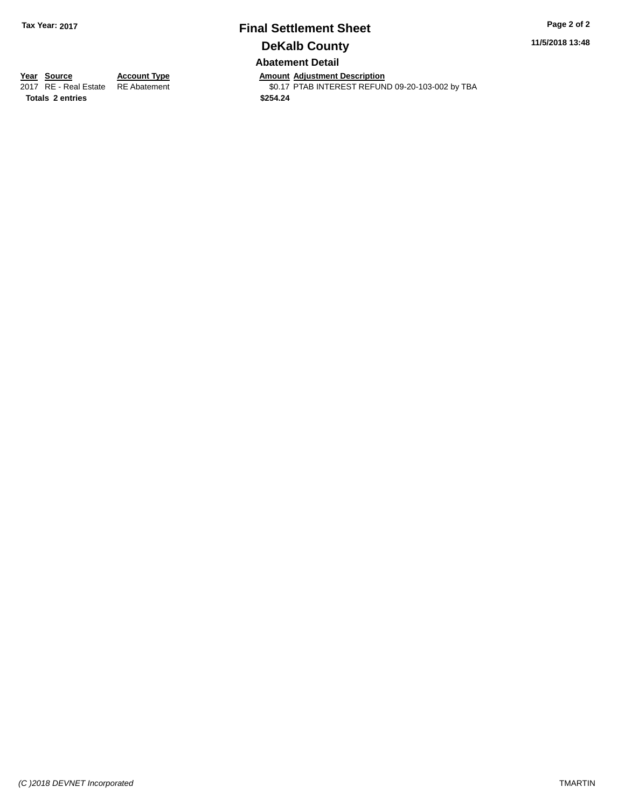## **Final Settlement Sheet Tax Year: 2017 Page 2 of 2 DeKalb County Abatement Detail**

**11/5/2018 13:48**

**Totals \$254.24 2 entries**

**Year Source Account Type Anneunt Adjustment Description**<br>
2017 RE - Real Estate RE Abatement **Amount Adjustment Description** \$0.17 PTAB INTEREST REFUND 09-20-103-002 by TBA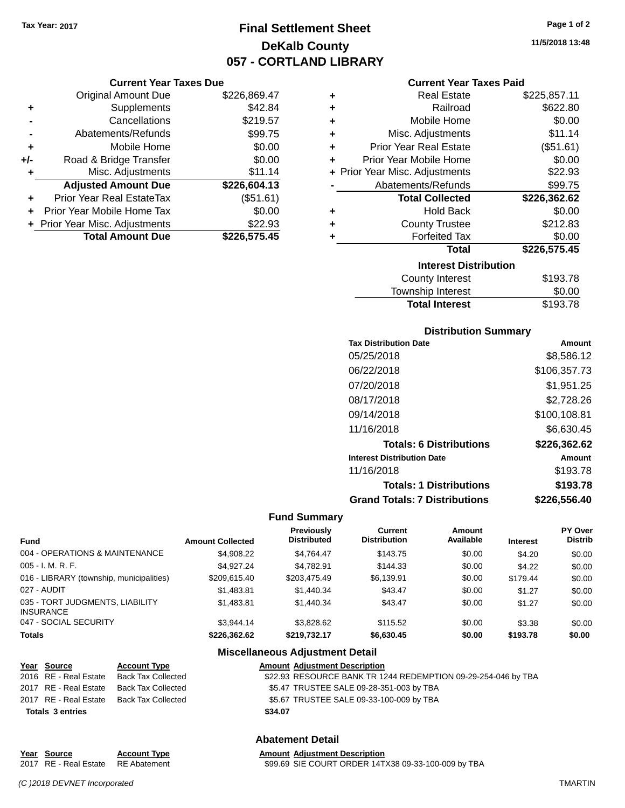**Current Year Taxes Due**

## **Final Settlement Sheet Tax Year: 2017 Page 1 of 2 DeKalb County 057 - CORTLAND LIBRARY**

**11/5/2018 13:48**

### **Current Year Taxes Paid**

|                      | YUN YIK TYUL TUAYY PUV         |              |   | odhoni Todh Taxoo Fala         |              |
|----------------------|--------------------------------|--------------|---|--------------------------------|--------------|
|                      | <b>Original Amount Due</b>     | \$226,869.47 | ٠ | <b>Real Estate</b>             | \$225,857.11 |
| ٠                    | Supplements                    | \$42.84      | ٠ | Railroad                       | \$622.80     |
|                      | Cancellations                  | \$219.57     | ٠ | Mobile Home                    | \$0.00       |
|                      | Abatements/Refunds             | \$99.75      | ٠ | Misc. Adjustments              | \$11.14      |
| ÷                    | Mobile Home                    | \$0.00       | ٠ | <b>Prior Year Real Estate</b>  | (\$51.61)    |
| I-                   | Road & Bridge Transfer         | \$0.00       |   | Prior Year Mobile Home         | \$0.00       |
| ٠                    | Misc. Adjustments              | \$11.14      |   | + Prior Year Misc. Adjustments | \$22.93      |
|                      | <b>Adjusted Amount Due</b>     | \$226,604.13 |   | Abatements/Refunds             | \$99.75      |
| $\ddot{\phantom{1}}$ | Prior Year Real EstateTax      | (\$51.61)    |   | <b>Total Collected</b>         | \$226,362.62 |
|                      | + Prior Year Mobile Home Tax   | \$0.00       | ٠ | <b>Hold Back</b>               | \$0.00       |
|                      | + Prior Year Misc. Adjustments | \$22.93      | ٠ | <b>County Trustee</b>          | \$212.83     |
|                      | <b>Total Amount Due</b>        | \$226,575.45 |   | <b>Forfeited Tax</b>           | \$0.00       |
|                      |                                |              |   | Total                          | \$226,575.45 |
|                      |                                |              |   | <b>Interest Distribution</b>   |              |
|                      |                                |              |   | County Interact                | 403.78       |

| iliturga bisti ibution   |          |
|--------------------------|----------|
| County Interest          | \$193.78 |
| <b>Township Interest</b> | \$0.00   |
| <b>Total Interest</b>    | \$193.78 |
|                          |          |

#### **Distribution Summary**

| <b>Tax Distribution Date</b>         | Amount       |
|--------------------------------------|--------------|
| 05/25/2018                           | \$8,586.12   |
| 06/22/2018                           | \$106,357.73 |
| 07/20/2018                           | \$1,951.25   |
| 08/17/2018                           | \$2,728.26   |
| 09/14/2018                           | \$100,108.81 |
| 11/16/2018                           | \$6.630.45   |
| <b>Totals: 6 Distributions</b>       | \$226,362.62 |
| <b>Interest Distribution Date</b>    | Amount       |
| 11/16/2018                           | \$193.78     |
| <b>Totals: 1 Distributions</b>       | \$193.78     |
| <b>Grand Totals: 7 Distributions</b> | \$226,556.40 |

#### **Fund Summary**

| <b>Fund</b>                                         | <b>Amount Collected</b> | <b>Previously</b><br><b>Distributed</b> | Current<br><b>Distribution</b> | Amount<br>Available | <b>Interest</b> | <b>PY Over</b><br><b>Distrib</b> |
|-----------------------------------------------------|-------------------------|-----------------------------------------|--------------------------------|---------------------|-----------------|----------------------------------|
| 004 - OPERATIONS & MAINTENANCE                      | \$4,908.22              | \$4.764.47                              | \$143.75                       | \$0.00              | \$4.20          | \$0.00                           |
| 005 - I. M. R. F.                                   | \$4.927.24              | \$4.782.91                              | \$144.33                       | \$0.00              | \$4.22          | \$0.00                           |
| 016 - LIBRARY (township, municipalities)            | \$209.615.40            | \$203.475.49                            | \$6,139.91                     | \$0.00              | \$179.44        | \$0.00                           |
| 027 - AUDIT                                         | \$1.483.81              | \$1,440.34                              | \$43.47                        | \$0.00              | \$1.27          | \$0.00                           |
| 035 - TORT JUDGMENTS, LIABILITY<br><b>INSURANCE</b> | \$1.483.81              | \$1,440.34                              | \$43.47                        | \$0.00              | \$1.27          | \$0.00                           |
| 047 - SOCIAL SECURITY                               | \$3.944.14              | \$3,828,62                              | \$115.52                       | \$0.00              | \$3.38          | \$0.00                           |
| <b>Totals</b>                                       | \$226.362.62            | \$219,732.17                            | \$6,630.45                     | \$0.00              | \$193.78        | \$0.00                           |

### **Miscellaneous Adjustment Detail**

| Year Source             | <b>Account Type</b>                      | <b>Amount Adjustment Description</b>                          |
|-------------------------|------------------------------------------|---------------------------------------------------------------|
|                         | 2016 RE - Real Estate Back Tax Collected | \$22.93 RESOURCE BANK TR 1244 REDEMPTION 09-29-254-046 by TBA |
|                         | 2017 RE - Real Estate Back Tax Collected | \$5.47 TRUSTEE SALE 09-28-351-003 by TBA                      |
|                         | 2017 RE - Real Estate Back Tax Collected | \$5.67 TRUSTEE SALE 09-33-100-009 by TBA                      |
| <b>Totals 3 entries</b> |                                          | \$34.07                                                       |
|                         |                                          |                                                               |

| Year Source           | <b>Account Type</b> |
|-----------------------|---------------------|
| 2017 RE - Real Estate | <b>RE</b> Abatement |

**Abatement Detail Amount Adjustment Description** 

\$99.69 SIE COURT ORDER 14TX38 09-33-100-009 by TBA

*(C )2018 DEVNET Incorporated* TMARTIN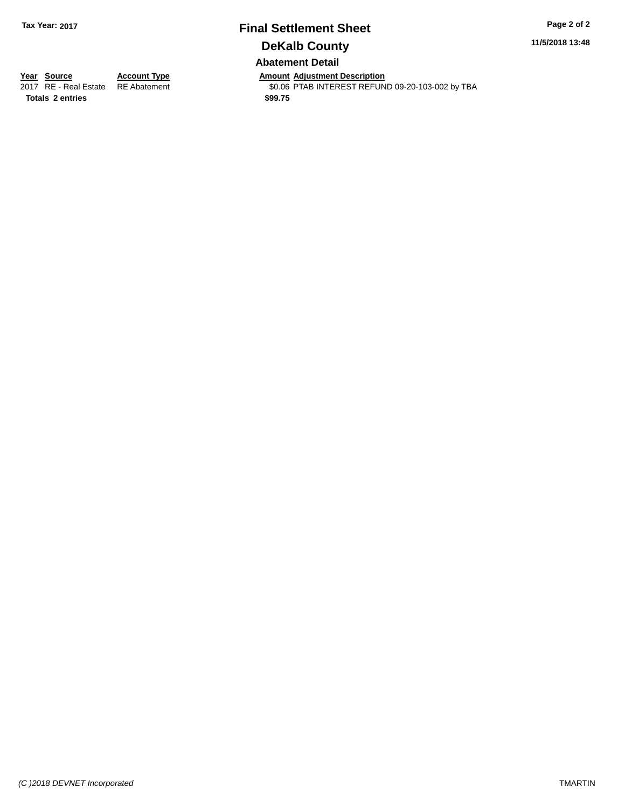## **Final Settlement Sheet Tax Year: 2017 Page 2 of 2 DeKalb County Abatement Detail**

**11/5/2018 13:48**

**Totals \$99.75 2 entries**

**Year Source Account Type Anneurs Amount Adjustment Description**<br>2017 RE - Real Estate RE Abatement **Account 1998 AMOU ACCOUNTEREST REFUN** \$0.06 PTAB INTEREST REFUND 09-20-103-002 by TBA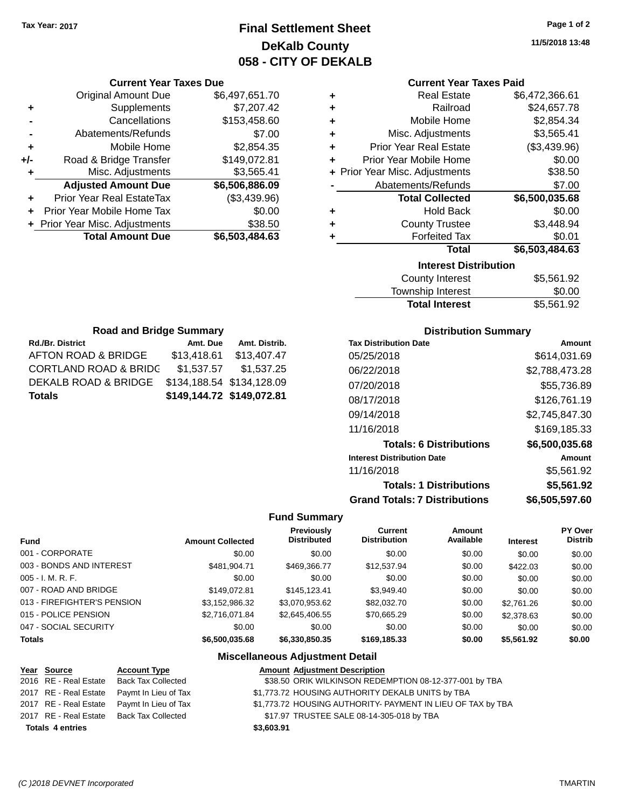## **Final Settlement Sheet Tax Year: 2017 Page 1 of 2 DeKalb County 058 - CITY OF DEKALB**

**11/5/2018 13:48**

#### **Current Year Taxes Paid**

|   | <b>Interest Distribution</b>   |                |
|---|--------------------------------|----------------|
|   | Total                          | \$6,503,484.63 |
| ٠ | <b>Forfeited Tax</b>           | \$0.01         |
| ٠ | <b>County Trustee</b>          | \$3,448.94     |
| ٠ | <b>Hold Back</b>               | \$0.00         |
|   | <b>Total Collected</b>         | \$6,500,035.68 |
|   | Abatements/Refunds             | \$7.00         |
|   | + Prior Year Misc. Adjustments | \$38.50        |
| ÷ | Prior Year Mobile Home         | \$0.00         |
| ٠ | <b>Prior Year Real Estate</b>  | (\$3,439.96)   |
| ÷ | Misc. Adjustments              | \$3,565.41     |
| ÷ | Mobile Home                    | \$2,854.34     |
| ٠ | Railroad                       | \$24,657.78    |
| ٠ | <b>Real Estate</b>             | \$6,472,366.61 |

| <b>County Interest</b> | \$5,561.92 |
|------------------------|------------|
| Township Interest      | \$0.00     |
| <b>Total Interest</b>  | \$5,561.92 |

| <b>Road and Bridge Summary</b>   |                           |               |  |  |  |
|----------------------------------|---------------------------|---------------|--|--|--|
| <b>Rd./Br. District</b>          | Amt. Due                  | Amt. Distrib. |  |  |  |
| AFTON ROAD & BRIDGE              | \$13,418.61               | \$13,407.47   |  |  |  |
| <b>CORTLAND ROAD &amp; BRIDG</b> | \$1,537.57                | \$1,537.25    |  |  |  |
| DEKALB ROAD & BRIDGE             | \$134,188.54 \$134,128.09 |               |  |  |  |
| <b>Totals</b>                    | \$149,144.72 \$149,072.81 |               |  |  |  |

**Current Year Taxes Due** Original Amount Due \$6,497,651.70

**Adjusted Amount Due \$6,506,886.09**

**Total Amount Due \$6,503,484.63**

**+** Supplements \$7,207.42 **-** Cancellations \$153,458.60 **-** Abatements/Refunds \$7.00 **+** Mobile Home \$2,854.35 **+/-** Road & Bridge Transfer \$149,072.81 **+** Misc. Adjustments \$3,565.41

**+** Prior Year Real EstateTax (\$3,439.96) **+** Prior Year Mobile Home Tax \$0.00 **+ Prior Year Misc. Adjustments \$38.50** 

### **Distribution Summary**

| <b>Tax Distribution Date</b>         | Amount         |
|--------------------------------------|----------------|
| 05/25/2018                           | \$614,031.69   |
| 06/22/2018                           | \$2,788,473.28 |
| 07/20/2018                           | \$55,736.89    |
| 08/17/2018                           | \$126,761.19   |
| 09/14/2018                           | \$2,745,847.30 |
| 11/16/2018                           | \$169,185.33   |
| <b>Totals: 6 Distributions</b>       | \$6,500,035.68 |
| <b>Interest Distribution Date</b>    | Amount         |
| 11/16/2018                           | \$5,561.92     |
| <b>Totals: 1 Distributions</b>       | \$5,561.92     |
| <b>Grand Totals: 7 Distributions</b> | \$6,505,597.60 |

### **Fund Summary**

| <b>Fund</b>                 | <b>Amount Collected</b> | Previously<br><b>Distributed</b> | <b>Current</b><br><b>Distribution</b> | Amount<br>Available | <b>Interest</b> | <b>PY Over</b><br><b>Distrib</b> |
|-----------------------------|-------------------------|----------------------------------|---------------------------------------|---------------------|-----------------|----------------------------------|
| 001 - CORPORATE             | \$0.00                  | \$0.00                           | \$0.00                                | \$0.00              | \$0.00          | \$0.00                           |
| 003 - BONDS AND INTEREST    | \$481,904.71            | \$469,366.77                     | \$12,537.94                           | \$0.00              | \$422.03        | \$0.00                           |
| $005 - I. M. R. F.$         | \$0.00                  | \$0.00                           | \$0.00                                | \$0.00              | \$0.00          | \$0.00                           |
| 007 - ROAD AND BRIDGE       | \$149.072.81            | \$145.123.41                     | \$3,949.40                            | \$0.00              | \$0.00          | \$0.00                           |
| 013 - FIREFIGHTER'S PENSION | \$3,152,986.32          | \$3,070,953.62                   | \$82,032,70                           | \$0.00              | \$2,761.26      | \$0.00                           |
| 015 - POLICE PENSION        | \$2,716,071.84          | \$2,645,406.55                   | \$70,665.29                           | \$0.00              | \$2,378.63      | \$0.00                           |
| 047 - SOCIAL SECURITY       | \$0.00                  | \$0.00                           | \$0.00                                | \$0.00              | \$0.00          | \$0.00                           |
| <b>Totals</b>               | \$6,500,035,68          | \$6,330,850,35                   | \$169,185.33                          | \$0.00              | \$5,561.92      | \$0.00                           |

| Year Source             | <b>Account Type</b>                        | <b>Amount Adjustment Description</b>                        |
|-------------------------|--------------------------------------------|-------------------------------------------------------------|
|                         | 2016 RE - Real Estate Back Tax Collected   | \$38.50 ORIK WILKINSON REDEMPTION 08-12-377-001 by TBA      |
|                         | 2017 RE - Real Estate Paymt In Lieu of Tax | \$1,773.72 HOUSING AUTHORITY DEKALB UNITS by TBA            |
|                         | 2017 RE - Real Estate Paymt In Lieu of Tax | \$1,773.72 HOUSING AUTHORITY- PAYMENT IN LIEU OF TAX by TBA |
|                         | 2017 RE - Real Estate Back Tax Collected   | \$17.97 TRUSTEE SALE 08-14-305-018 by TBA                   |
| <b>Totals 4 entries</b> |                                            | \$3,603.91                                                  |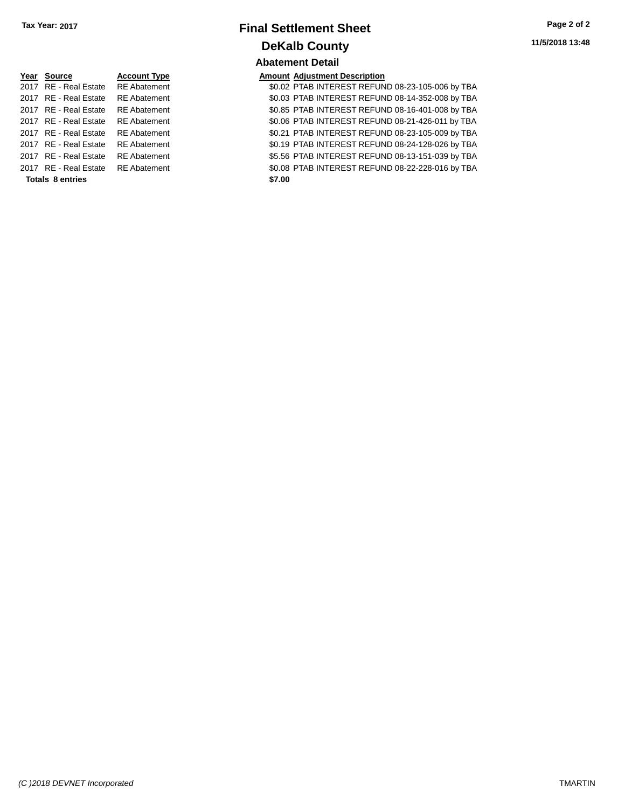| Year Source           | <b>Account Type</b> |
|-----------------------|---------------------|
| 2017 RE - Real Estate | <b>RE</b> Abatement |
| 2017 RE - Real Estate | <b>RE</b> Abatement |
| 2017 RE - Real Estate | <b>RE</b> Abatement |
| 2017 RE - Real Estate | <b>RE</b> Abatement |
| 2017 RE - Real Estate | <b>RE</b> Abatement |
| 2017 RE - Real Estate | <b>RE</b> Abatement |
| 2017 RE - Real Estate | <b>RE</b> Abatement |
| 2017 RE - Real Estate | <b>RE</b> Abatement |
|                       |                     |

#### **Totals 8 entries** \$7.00

## **Final Settlement Sheet Tax Year: 2017 Page 2 of 2 DeKalb County Abatement Detail**

### **Amount Adjustment Description**

\$0.02 PTAB INTEREST REFUND 08-23-105-006 by TBA \$0.03 PTAB INTEREST REFUND 08-14-352-008 by TBA \$0.85 PTAB INTEREST REFUND 08-16-401-008 by TBA \$0.06 PTAB INTEREST REFUND 08-21-426-011 by TBA \$0.21 PTAB INTEREST REFUND 08-23-105-009 by TBA \$0.19 PTAB INTEREST REFUND 08-24-128-026 by TBA \$5.56 PTAB INTEREST REFUND 08-13-151-039 by TBA \$0.08 PTAB INTEREST REFUND 08-22-228-016 by TBA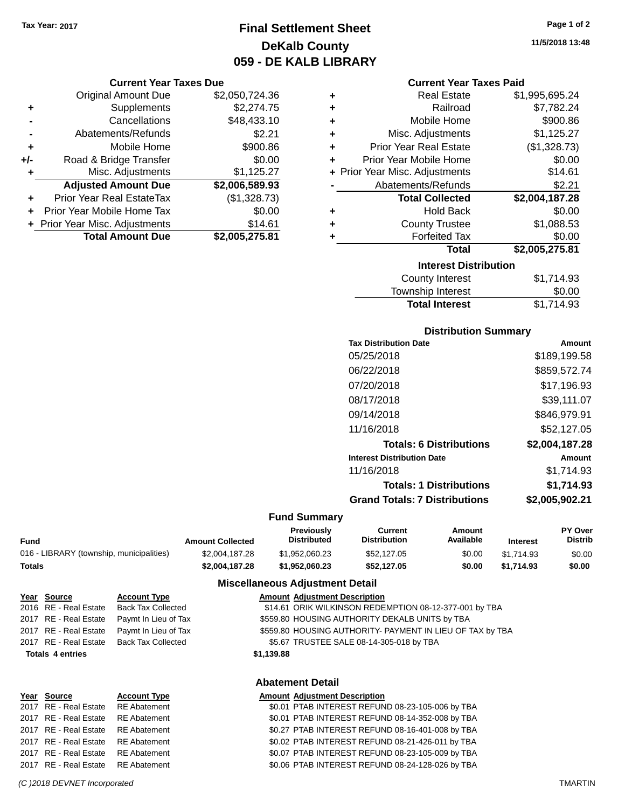**Current Year Taxes Due** Original Amount Due \$2,050,724.36

**Adjusted Amount Due \$2,006,589.93**

**Total Amount Due \$2,005,275.81**

**+** Supplements \$2,274.75 **-** Cancellations \$48,433.10 **-** Abatements/Refunds \$2.21 **+** Mobile Home \$900.86 **+/-** Road & Bridge Transfer \$0.00 **+** Misc. Adjustments \$1,125.27

**+** Prior Year Real EstateTax (\$1,328.73) **+** Prior Year Mobile Home Tax \$0.00 **+** Prior Year Misc. Adjustments \$14.61

## **Final Settlement Sheet Tax Year: 2017 Page 1 of 2 DeKalb County 059 - DE KALB LIBRARY**

**11/5/2018 13:48**

#### **Current Year Taxes Paid**

| ٠ | <b>Real Estate</b>             | \$1,995,695.24 |
|---|--------------------------------|----------------|
| ٠ | Railroad                       | \$7,782.24     |
| ٠ | Mobile Home                    | \$900.86       |
| ٠ | Misc. Adjustments              | \$1,125.27     |
| ٠ | <b>Prior Year Real Estate</b>  | (\$1,328.73)   |
| ٠ | Prior Year Mobile Home         | \$0.00         |
|   | + Prior Year Misc. Adjustments | \$14.61        |
|   | Abatements/Refunds             | \$2.21         |
|   | <b>Total Collected</b>         | \$2,004,187.28 |
| ٠ | <b>Hold Back</b>               | \$0.00         |
| ٠ | <b>County Trustee</b>          | \$1,088.53     |
| ٠ | <b>Forfeited Tax</b>           | \$0.00         |
|   | <b>Total</b>                   | \$2,005,275.81 |
|   | <b>Interest Distribution</b>   |                |
|   | County Interest                | \$1.714.93     |

| <b>Total Interest</b> | \$1,714.93 |
|-----------------------|------------|
| Township Interest     | \$0.00     |
| County Interest       | \$1,714.93 |

### **Distribution Summary**

| <b>Tax Distribution Date</b>         | Amount         |
|--------------------------------------|----------------|
| 05/25/2018                           | \$189.199.58   |
| 06/22/2018                           | \$859,572.74   |
| 07/20/2018                           | \$17,196.93    |
| 08/17/2018                           | \$39,111.07    |
| 09/14/2018                           | \$846,979.91   |
| 11/16/2018                           | \$52.127.05    |
| <b>Totals: 6 Distributions</b>       | \$2,004,187.28 |
| <b>Interest Distribution Date</b>    | Amount         |
| 11/16/2018                           | \$1.714.93     |
| <b>Totals: 1 Distributions</b>       | \$1,714.93     |
| <b>Grand Totals: 7 Distributions</b> | \$2,005,902.21 |
|                                      |                |

#### **Fund Summary**

|                                          |                         | <b>Previously</b>  | Current             | Amount    |                 | <b>PY Over</b> |
|------------------------------------------|-------------------------|--------------------|---------------------|-----------|-----------------|----------------|
| Fund                                     | <b>Amount Collected</b> | <b>Distributed</b> | <b>Distribution</b> | Available | <b>Interest</b> | <b>Distrib</b> |
| 016 - LIBRARY (township, municipalities) | \$2,004.187.28          | \$1.952.060.23     | \$52,127,05         | \$0.00    | \$1.714.93      | \$0.00         |
| Totals                                   | \$2.004.187.28          | \$1.952.060.23     | \$52,127.05         | \$0.00    | \$1.714.93      | \$0.00         |

#### **Miscellaneous Adjustment Detail**

| Year Source             | <b>Account Type</b>       |            | <b>Amount Adjustment Description</b>                      |
|-------------------------|---------------------------|------------|-----------------------------------------------------------|
| 2016 RE - Real Estate   | <b>Back Tax Collected</b> |            | \$14.61 ORIK WILKINSON REDEMPTION 08-12-377-001 by TBA    |
| 2017 RE - Real Estate   | Paymt In Lieu of Tax      |            | \$559.80 HOUSING AUTHORITY DEKALB UNITS by TBA            |
| 2017 RE - Real Estate   | Paymt In Lieu of Tax      |            | \$559.80 HOUSING AUTHORITY- PAYMENT IN LIEU OF TAX by TBA |
| 2017 RE - Real Estate   | <b>Back Tax Collected</b> |            | \$5.67 TRUSTEE SALE 08-14-305-018 by TBA                  |
| <b>Totals 4 entries</b> |                           | \$1,139.88 |                                                           |
|                         |                           |            | <b>Abatement Detail</b>                                   |
| Year Source             | <b>Account Type</b>       |            | <b>Amount Adjustment Description</b>                      |
| 2017 RE - Real Estate   | <b>RE</b> Abatement       |            | \$0.01 PTAB INTEREST REFUND 08-23-105-006 by TBA          |

| 2017 RE - Real Estate RE ADAMENTE  |                                                  |
|------------------------------------|--------------------------------------------------|
| 2017 RE - Real Estate RE Abatement | \$0.01 PTAB INTEREST REFUND 08-14-352-008 by TBA |
| 2017 RE - Real Estate RE Abatement | \$0.27 PTAB INTEREST REFUND 08-16-401-008 by TBA |
| 2017 RE - Real Estate RE Abatement | \$0.02 PTAB INTEREST REFUND 08-21-426-011 by TBA |
| 2017 RE - Real Estate RE Abatement | \$0.07 PTAB INTEREST REFUND 08-23-105-009 by TBA |
| 2017 RE - Real Estate RE Abatement | \$0.06 PTAB INTEREST REFUND 08-24-128-026 by TBA |
|                                    |                                                  |

#### *(C )2018 DEVNET Incorporated* TMARTIN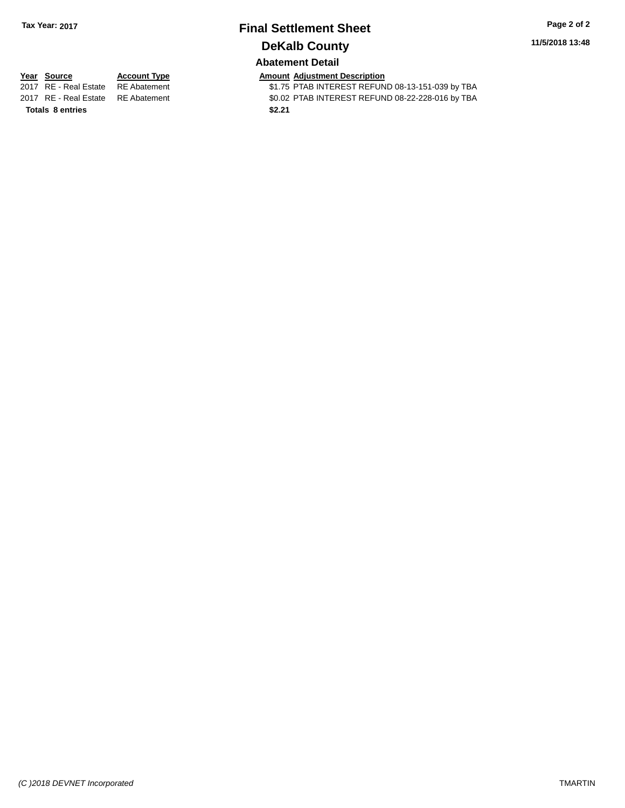# **Final Settlement Sheet Tax Year: 2017 Page 2 of 2 DeKalb County**

**11/5/2018 13:48**

### **Abatement Detail**

**Totals \$2.21 8 entries**

**Year Source Account Type Account Type Amount Adjustment Description**<br>2017 RE - Real Estate RE Abatement **Account 1** S1.75 PTAB INTEREST REFUN \$1.75 PTAB INTEREST REFUND 08-13-151-039 by TBA 2017 RE - Real Estate RE Abatement \$0.02 PTAB INTEREST REFUND 08-22-228-016 by TBA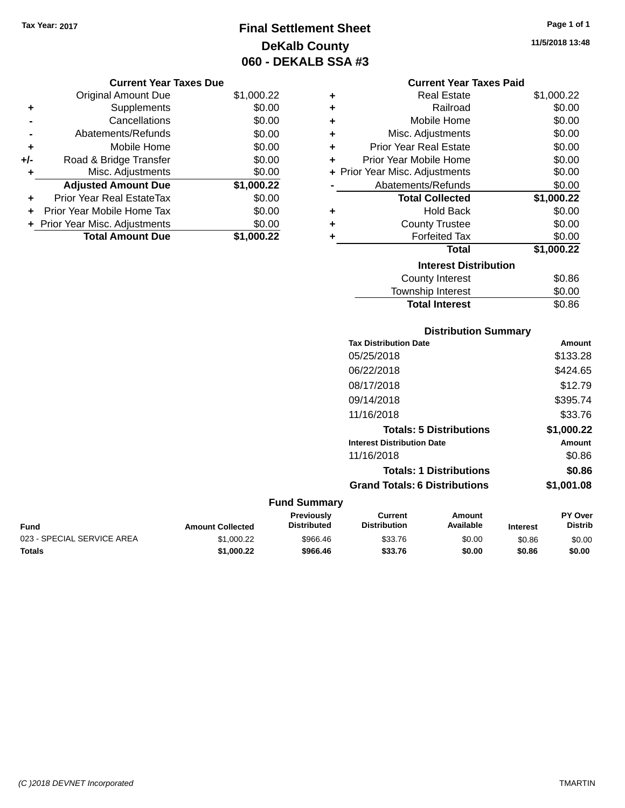**Original Amount Due** 

**Adjusted Amount Due** 

**Total Amount Due** 

**+** Supplements **-** Cancellations **-** Abatements/Refunds **+** Mobile Home **+/-** Road & Bridge Transfer **+** Misc. Adjustments

**+** Prior Year Real EstateTax \$0.00 **+** Prior Year Mobile Home Tax **+** Prior Year Misc. Adjustments

## **Final Settlement Sheet Tax Year: 2017 Page 1 of 1 DeKalb County 060 - DEKALB SSA #3**

#### **11/5/2018 13:48**

| <b>Current Year Taxes Due</b> |            |   | <b>Current Year Taxes Paid</b> |            |
|-------------------------------|------------|---|--------------------------------|------------|
| ่<br>เl Amount Due            | \$1,000.22 | ٠ | <b>Real Estate</b>             | \$1,000.22 |
| Supplements                   | \$0.00     | ٠ | Railroad                       | \$0.00     |
| Cancellations                 | \$0.00     | ٠ | Mobile Home                    | \$0.00     |
| าents/Refunds                 | \$0.00     | ÷ | Misc. Adjustments              | \$0.00     |
| Mobile Home                   | \$0.00     | ÷ | <b>Prior Year Real Estate</b>  | \$0.00     |
| ridge Transfer                | \$0.00     | ÷ | Prior Year Mobile Home         | \$0.00     |
| . Adjustments                 | \$0.00     |   | + Prior Year Misc. Adjustments | \$0.00     |
| <b>Amount Due</b>             | \$1,000.22 |   | Abatements/Refunds             | \$0.00     |
| leal EstateTax≀               | \$0.00     |   | <b>Total Collected</b>         | \$1,000.22 |
| bile Home Tax                 | \$0.00     | ٠ | <b>Hold Back</b>               | \$0.00     |
| . Adjustments                 | \$0.00     | ٠ | <b>County Trustee</b>          | \$0.00     |
| <b>Amount Due</b>             | \$1,000.22 |   | <b>Forfeited Tax</b>           | \$0.00     |
|                               |            |   | <b>Tatal</b>                   | 0.40000    |

### **+** Forfeited Tax \$0.00 **Total \$1,000.22 Interest Distribution** County Interest \$0.86 Township Interest \$0.00 Total Interest \$0.86 \$0.00<br>\$0.00

|                            |                         |                                  |                                       | <b>Distribution Summary</b>    |                 |                           |
|----------------------------|-------------------------|----------------------------------|---------------------------------------|--------------------------------|-----------------|---------------------------|
|                            |                         |                                  | <b>Tax Distribution Date</b>          |                                |                 | <b>Amount</b>             |
|                            |                         |                                  | 05/25/2018                            |                                |                 | \$133.28                  |
|                            |                         |                                  | 06/22/2018                            |                                |                 | \$424.65                  |
|                            |                         |                                  | 08/17/2018                            |                                |                 | \$12.79                   |
|                            |                         |                                  | 09/14/2018                            |                                |                 | \$395.74                  |
|                            |                         |                                  | 11/16/2018                            |                                |                 | \$33.76                   |
|                            |                         |                                  |                                       | <b>Totals: 5 Distributions</b> |                 | \$1,000.22                |
|                            |                         |                                  | <b>Interest Distribution Date</b>     |                                |                 | <b>Amount</b>             |
|                            |                         |                                  | 11/16/2018                            |                                |                 | \$0.86                    |
|                            |                         |                                  |                                       | <b>Totals: 1 Distributions</b> |                 | \$0.86                    |
|                            |                         |                                  | <b>Grand Totals: 6 Distributions</b>  |                                |                 | \$1,001.08                |
|                            |                         | <b>Fund Summary</b>              |                                       |                                |                 |                           |
| Fund                       | <b>Amount Collected</b> | Previously<br><b>Distributed</b> | <b>Current</b><br><b>Distribution</b> | <b>Amount</b><br>Available     | <b>Interest</b> | PY Over<br><b>Distrib</b> |
| 023 - SPECIAL SERVICE AREA | \$1,000.22              | \$966.46                         | \$33.76                               | \$0.00                         | \$0.86          | \$0.00                    |
|                            |                         |                                  |                                       |                                |                 |                           |

**Totals \$1,000.22 \$966.46 \$33.76 \$0.00 \$0.86 \$0.00**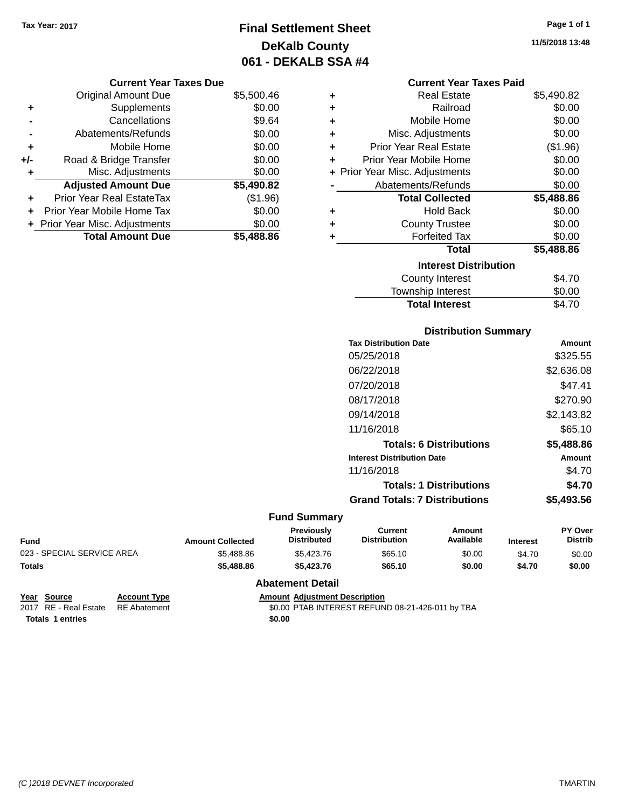## **Final Settlement Sheet Tax Year: 2017 Page 1 of 1 DeKalb County 061 - DEKALB SSA #4**

**11/5/2018 13:48**

### **Current Year Taxes Due**

|       | <b>Original Amount Due</b>     | \$5,500.46 |
|-------|--------------------------------|------------|
| ٠     | Supplements                    | \$0.00     |
|       | Cancellations                  | \$9.64     |
|       | Abatements/Refunds             | \$0.00     |
| ÷     | Mobile Home                    | \$0.00     |
| $+/-$ | Road & Bridge Transfer         | \$0.00     |
| ٠     | Misc. Adjustments              | \$0.00     |
|       | <b>Adjusted Amount Due</b>     | \$5,490.82 |
| ÷     | Prior Year Real EstateTax      | (\$1.96)   |
|       | Prior Year Mobile Home Tax     | \$0.00     |
|       | + Prior Year Misc. Adjustments | \$0.00     |
|       | <b>Total Amount Due</b>        | \$5,488.86 |

|   | <b>Current Year Taxes Paid</b> |            |
|---|--------------------------------|------------|
| ٠ | <b>Real Estate</b>             | \$5,490.82 |
| ٠ | Railroad                       | \$0.00     |
| ٠ | Mobile Home                    | \$0.00     |
| ٠ | Misc. Adjustments              | \$0.00     |
| ٠ | Prior Year Real Estate         | (\$1.96)   |
| ÷ | Prior Year Mobile Home         | \$0.00     |
|   | + Prior Year Misc. Adjustments | \$0.00     |
|   | Abatements/Refunds             | \$0.00     |
|   |                                |            |
|   | <b>Total Collected</b>         | \$5,488.86 |
| ٠ | <b>Hold Back</b>               | \$0.00     |
| ٠ | <b>County Trustee</b>          | \$0.00     |
| ٠ | <b>Forfeited Tax</b>           | \$0.00     |
|   | Total                          | \$5,488.86 |
|   | <b>Interest Distribution</b>   |            |
|   | County Interest                | \$4.70     |
|   | <b>Township Interest</b>       | \$0.00     |

| <b>Distribution Summary</b>          |            |
|--------------------------------------|------------|
| <b>Tax Distribution Date</b>         | Amount     |
| 05/25/2018                           | \$325.55   |
| 06/22/2018                           | \$2,636.08 |
| 07/20/2018                           | \$47.41    |
| 08/17/2018                           | \$270.90   |
| 09/14/2018                           | \$2,143.82 |
| 11/16/2018                           | \$65.10    |
| <b>Totals: 6 Distributions</b>       | \$5,488.86 |
| <b>Interest Distribution Date</b>    | Amount     |
| 11/16/2018                           | \$4.70     |
| <b>Totals: 1 Distributions</b>       | \$4.70     |
| <b>Grand Totals: 7 Distributions</b> | \$5,493.56 |

### **Fund Summary**

| <b>Fund</b>                | <b>Amount Collected</b> | Previouslv<br><b>Distributed</b> | Current<br><b>Distribution</b> | Amount<br>Available | <b>Interest</b> | <b>PY Over</b><br><b>Distrib</b> |
|----------------------------|-------------------------|----------------------------------|--------------------------------|---------------------|-----------------|----------------------------------|
| 023 - SPECIAL SERVICE AREA | \$5,488.86              | \$5,423.76                       | \$65.10                        | \$0.00              | \$4.70          | \$0.00                           |
| <b>Totals</b>              | \$5,488.86              | \$5,423.76                       | \$65.10                        | \$0.00              | \$4.70          | \$0.00                           |

### **Abatement Detail**

| Year Source                        | <b>Account Type</b> | <b>Amount Adiustment Description</b>             |
|------------------------------------|---------------------|--------------------------------------------------|
| 2017 RE - Real Estate RE Abatement |                     | \$0.00 PTAB INTEREST REFUND 08-21-426-011 by TBA |
| <b>Totals 1 entries</b>            |                     | \$0.00                                           |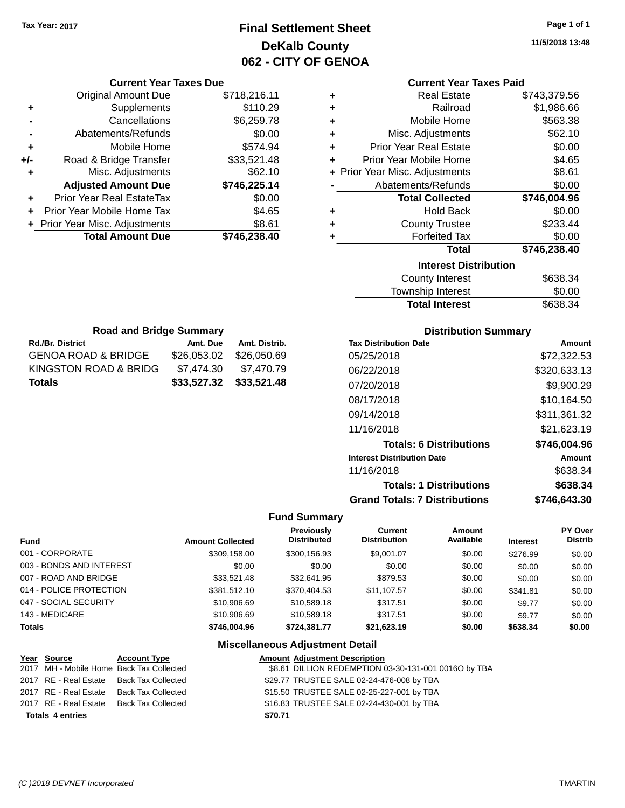## **Final Settlement Sheet Tax Year: 2017 Page 1 of 1 DeKalb County 062 - CITY OF GENOA**

**11/5/2018 13:48**

|     | <b>Current Year Taxes Due</b>  |              |
|-----|--------------------------------|--------------|
|     | <b>Original Amount Due</b>     | \$718,216.11 |
| ٠   | Supplements                    | \$110.29     |
|     | Cancellations                  | \$6,259.78   |
|     | Abatements/Refunds             | \$0.00       |
| ٠   | Mobile Home                    | \$574.94     |
| +/- | Road & Bridge Transfer         | \$33,521.48  |
| ٠   | Misc. Adjustments              | \$62.10      |
|     | <b>Adjusted Amount Due</b>     | \$746,225.14 |
|     | Prior Year Real EstateTax      | \$0.00       |
| ÷   | Prior Year Mobile Home Tax     | \$4.65       |
|     | + Prior Year Misc. Adjustments | \$8.61       |
|     | <b>Total Amount Due</b>        | \$746,238.40 |
|     |                                |              |

### **Current Year Taxes Paid**

| ٠ | <b>Real Estate</b>             | \$743,379.56 |
|---|--------------------------------|--------------|
| ٠ | Railroad                       | \$1,986.66   |
| ٠ | Mobile Home                    | \$563.38     |
| ٠ | Misc. Adjustments              | \$62.10      |
| ٠ | <b>Prior Year Real Estate</b>  | \$0.00       |
| ٠ | Prior Year Mobile Home         | \$4.65       |
|   | + Prior Year Misc. Adjustments | \$8.61       |
|   | Abatements/Refunds             | \$0.00       |
|   |                                |              |
|   | <b>Total Collected</b>         | \$746,004.96 |
| ٠ | <b>Hold Back</b>               | \$0.00       |
| ٠ | <b>County Trustee</b>          | \$233.44     |
| ٠ | <b>Forfeited Tax</b>           | \$0.00       |
|   | <b>Total</b>                   | \$746,238.40 |
|   | <b>Interest Distribution</b>   |              |
|   | <b>County Interest</b>         | \$638.34     |

| <b>Total Interest</b>  | \$638.34 |
|------------------------|----------|
| Township Interest      | \$0.00   |
| <b>COUTTLY IFTERST</b> | ასაბ.ა4  |

| <b>Road and Bridge Summary</b> |                         |  |  |  |
|--------------------------------|-------------------------|--|--|--|
| Amt. Due                       | Amt. Distrib.           |  |  |  |
| \$26,053,02                    | \$26,050.69             |  |  |  |
| \$7,474.30                     | \$7,470.79              |  |  |  |
|                                | \$33,527.32 \$33,521.48 |  |  |  |
|                                |                         |  |  |  |

### **Distribution Summary**

| <b>Tax Distribution Date</b>         | Amount       |
|--------------------------------------|--------------|
| 05/25/2018                           | \$72.322.53  |
| 06/22/2018                           | \$320,633.13 |
| 07/20/2018                           | \$9,900.29   |
| 08/17/2018                           | \$10.164.50  |
| 09/14/2018                           | \$311,361.32 |
| 11/16/2018                           | \$21,623.19  |
| <b>Totals: 6 Distributions</b>       | \$746,004.96 |
| <b>Interest Distribution Date</b>    | Amount       |
| 11/16/2018                           | \$638.34     |
| <b>Totals: 1 Distributions</b>       | \$638.34     |
| <b>Grand Totals: 7 Distributions</b> | \$746.643.30 |

### **Fund Summary**

|                          |                         | <b>Previously</b>  | Current             | Amount    |                 | PY Over        |
|--------------------------|-------------------------|--------------------|---------------------|-----------|-----------------|----------------|
| <b>Fund</b>              | <b>Amount Collected</b> | <b>Distributed</b> | <b>Distribution</b> | Available | <b>Interest</b> | <b>Distrib</b> |
| 001 - CORPORATE          | \$309,158.00            | \$300,156.93       | \$9,001.07          | \$0.00    | \$276.99        | \$0.00         |
| 003 - BONDS AND INTEREST | \$0.00                  | \$0.00             | \$0.00              | \$0.00    | \$0.00          | \$0.00         |
| 007 - ROAD AND BRIDGE    | \$33.521.48             | \$32.641.95        | \$879.53            | \$0.00    | \$0.00          | \$0.00         |
| 014 - POLICE PROTECTION  | \$381.512.10            | \$370,404.53       | \$11,107.57         | \$0.00    | \$341.81        | \$0.00         |
| 047 - SOCIAL SECURITY    | \$10,906.69             | \$10,589.18        | \$317.51            | \$0.00    | \$9.77          | \$0.00         |
| 143 - MEDICARE           | \$10,906.69             | \$10,589.18        | \$317.51            | \$0.00    | \$9.77          | \$0.00         |
| <b>Totals</b>            | \$746,004.96            | \$724.381.77       | \$21,623.19         | \$0.00    | \$638.34        | \$0.00         |

| <u>Year Source</u>      | <b>Account Type</b>                      |         | <b>Amount Adjustment Description</b>                 |
|-------------------------|------------------------------------------|---------|------------------------------------------------------|
|                         | 2017 MH - Mobile Home Back Tax Collected |         | \$8.61 DILLION REDEMPTION 03-30-131-001 0016O by TBA |
|                         | 2017 RE - Real Estate Back Tax Collected |         | \$29.77 TRUSTEE SALE 02-24-476-008 by TBA            |
|                         | 2017 RE - Real Estate Back Tax Collected |         | \$15.50 TRUSTEE SALE 02-25-227-001 by TBA            |
|                         | 2017 RE - Real Estate Back Tax Collected |         | \$16.83 TRUSTEE SALE 02-24-430-001 by TBA            |
| <b>Totals 4 entries</b> |                                          | \$70.71 |                                                      |
|                         |                                          |         |                                                      |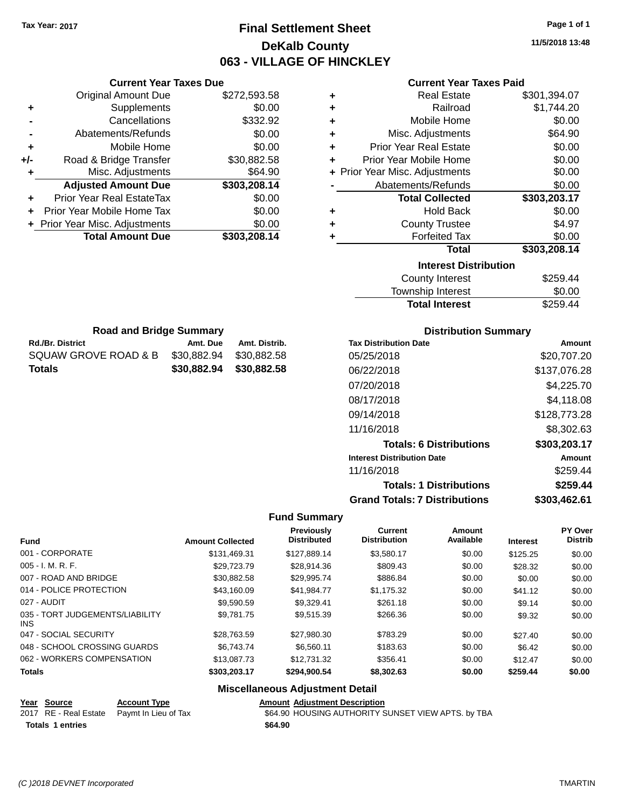## **Final Settlement Sheet Tax Year: 2017 Page 1 of 1 DeKalb County 063 - VILLAGE OF HINCKLEY**

**11/5/2018 13:48**

### **Current Year Taxes Paid**

|     | <b>Current Year Taxes Due</b>  |              |  |  |  |  |
|-----|--------------------------------|--------------|--|--|--|--|
|     | <b>Original Amount Due</b>     | \$272,593.58 |  |  |  |  |
| ٠   | Supplements                    | \$0.00       |  |  |  |  |
|     | Cancellations                  | \$332.92     |  |  |  |  |
|     | Abatements/Refunds             | \$0.00       |  |  |  |  |
| ٠   | Mobile Home                    | \$0.00       |  |  |  |  |
| +/- | Road & Bridge Transfer         | \$30,882.58  |  |  |  |  |
| ٠   | \$64.90<br>Misc. Adjustments   |              |  |  |  |  |
|     | <b>Adjusted Amount Due</b>     | \$303,208.14 |  |  |  |  |
| ٠   | Prior Year Real EstateTax      | \$0.00       |  |  |  |  |
|     | Prior Year Mobile Home Tax     | \$0.00       |  |  |  |  |
|     | + Prior Year Misc. Adjustments | \$0.00       |  |  |  |  |
|     | <b>Total Amount Due</b>        | \$303,208.14 |  |  |  |  |

**Rd./Br. District Co. Amt. Due Amt. Distrib. Road and Bridge Summary**

SQUAW GROVE ROAD & B \$30,882.94 \$30,882.58 **Totals \$30,882.94 \$30,882.58**

| ٠ | <b>Real Estate</b>             | \$301,394.07 |
|---|--------------------------------|--------------|
| ٠ | Railroad                       | \$1,744.20   |
| ٠ | Mobile Home                    | \$0.00       |
| ٠ | Misc. Adjustments              | \$64.90      |
| ÷ | <b>Prior Year Real Estate</b>  | \$0.00       |
| ٠ | Prior Year Mobile Home         | \$0.00       |
|   | + Prior Year Misc. Adjustments | \$0.00       |
|   | Abatements/Refunds             | \$0.00       |
|   |                                |              |
|   | <b>Total Collected</b>         | \$303,203.17 |
| ٠ | <b>Hold Back</b>               | \$0.00       |
| ٠ | <b>County Trustee</b>          | \$4.97       |
| ٠ | <b>Forfeited Tax</b>           | \$0.00       |
|   | Total                          | \$303,208.14 |
|   | <b>Interest Distribution</b>   |              |
|   | <b>County Interest</b>         | \$259.44     |

| \$0.00   |
|----------|
| \$259.44 |
|          |

| <b>Distribution Summary</b>          |              |
|--------------------------------------|--------------|
| <b>Tax Distribution Date</b>         | Amount       |
| 05/25/2018                           | \$20,707.20  |
| 06/22/2018                           | \$137,076.28 |
| 07/20/2018                           | \$4,225.70   |
| 08/17/2018                           | \$4,118.08   |
| 09/14/2018                           | \$128,773.28 |
| 11/16/2018                           | \$8,302.63   |
| <b>Totals: 6 Distributions</b>       | \$303,203.17 |
| <b>Interest Distribution Date</b>    | Amount       |
| 11/16/2018                           | \$259.44     |
| <b>Totals: 1 Distributions</b>       | \$259.44     |
| <b>Grand Totals: 7 Distributions</b> | \$303.462.61 |

### **Fund Summary**

| <b>Fund</b>                             | <b>Amount Collected</b> | <b>Previously</b><br><b>Distributed</b> | <b>Current</b><br><b>Distribution</b> | Amount<br>Available | <b>Interest</b> | PY Over<br><b>Distrib</b> |
|-----------------------------------------|-------------------------|-----------------------------------------|---------------------------------------|---------------------|-----------------|---------------------------|
| 001 - CORPORATE                         | \$131.469.31            | \$127.889.14                            | \$3,580.17                            | \$0.00              | \$125.25        | \$0.00                    |
| $005 - I. M. R. F.$                     | \$29.723.79             | \$28,914.36                             | \$809.43                              | \$0.00              | \$28.32         | \$0.00                    |
| 007 - ROAD AND BRIDGE                   | \$30.882.58             | \$29,995.74                             | \$886.84                              | \$0.00              | \$0.00          | \$0.00                    |
| 014 - POLICE PROTECTION                 | \$43.160.09             | \$41,984.77                             | \$1,175.32                            | \$0.00              | \$41.12         | \$0.00                    |
| 027 - AUDIT                             | \$9.590.59              | \$9.329.41                              | \$261.18                              | \$0.00              | \$9.14          | \$0.00                    |
| 035 - TORT JUDGEMENTS/LIABILITY<br>INS. | \$9.781.75              | \$9.515.39                              | \$266.36                              | \$0.00              | \$9.32          | \$0.00                    |
| 047 - SOCIAL SECURITY                   | \$28.763.59             | \$27,980.30                             | \$783.29                              | \$0.00              | \$27.40         | \$0.00                    |
| 048 - SCHOOL CROSSING GUARDS            | \$6.743.74              | \$6.560.11                              | \$183.63                              | \$0.00              | \$6.42          | \$0.00                    |
| 062 - WORKERS COMPENSATION              | \$13,087.73             | \$12.731.32                             | \$356.41                              | \$0.00              | \$12.47         | \$0.00                    |
| <b>Totals</b>                           | \$303,203.17            | \$294,900.54                            | \$8,302.63                            | \$0.00              | \$259.44        | \$0.00                    |
|                                         |                         |                                         |                                       |                     |                 |                           |

| <u>Year Source</u>      | <b>Account Type</b>                        | <b>Amount Adjustment Description</b>               |
|-------------------------|--------------------------------------------|----------------------------------------------------|
|                         | 2017 RE - Real Estate Paymt In Lieu of Tax | \$64.90 HOUSING AUTHORITY SUNSET VIEW APTS. by TBA |
| <b>Totals 1 entries</b> |                                            | \$64.90                                            |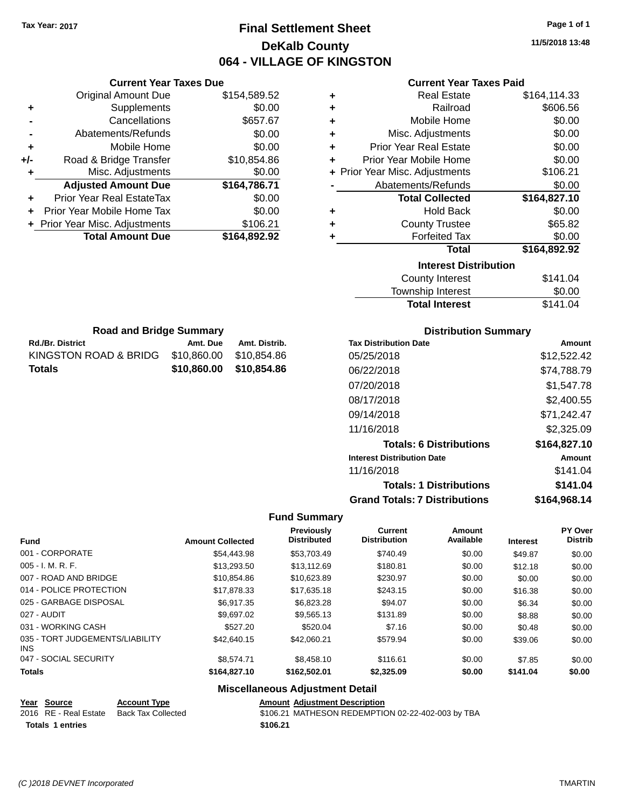**Current Year Taxes Due** Original Amount Due \$154,589.52

**Adjusted Amount Due \$164,786.71**

**Total Amount Due \$164,892.92**

**+** Supplements \$0.00 **-** Cancellations **\$657.67 -** Abatements/Refunds \$0.00 **+** Mobile Home \$0.00 **+/-** Road & Bridge Transfer \$10,854.86 **+** Misc. Adjustments \$0.00

**+** Prior Year Real EstateTax \$0.00 **+** Prior Year Mobile Home Tax \$0.00 **+** Prior Year Misc. Adjustments \$106.21

## **Final Settlement Sheet Tax Year: 2017 Page 1 of 1 DeKalb County 064 - VILLAGE OF KINGSTON**

**11/5/2018 13:48**

| <b>Current Year Taxes Paid</b> |
|--------------------------------|
|                                |

| ٠ | <b>Real Estate</b>             | \$164,114.33 |
|---|--------------------------------|--------------|
| ٠ | Railroad                       | \$606.56     |
| ٠ | Mobile Home                    | \$0.00       |
| ÷ | Misc. Adjustments              | \$0.00       |
| ٠ | <b>Prior Year Real Estate</b>  | \$0.00       |
| ÷ | Prior Year Mobile Home         | \$0.00       |
|   | + Prior Year Misc. Adjustments | \$106.21     |
|   | Abatements/Refunds             | \$0.00       |
|   | <b>Total Collected</b>         | \$164,827.10 |
| ٠ | <b>Hold Back</b>               | \$0.00       |
| ٠ | <b>County Trustee</b>          | \$65.82      |
| ٠ | <b>Forfeited Tax</b>           | \$0.00       |
|   | <b>Total</b>                   | \$164,892.92 |
|   | <b>Interest Distribution</b>   |              |
|   | <b>County Interest</b>         | \$141.04     |
|   | Township Interact              | ድስ ሰስ        |

| ,,,,,,,,,,,,,,,,,,,,,,,,,,, |          |
|-----------------------------|----------|
| County Interest             | \$141.04 |
| Township Interest           | \$0.00   |
| <b>Total Interest</b>       | \$141.04 |
|                             |          |

| <b>Road and Bridge Summary</b> |             |               | <b>Distribution Summary</b>       |              |
|--------------------------------|-------------|---------------|-----------------------------------|--------------|
| <b>Rd./Br. District</b>        | Amt. Due    | Amt. Distrib. | <b>Tax Distribution Date</b>      | Amount       |
| KINGSTON ROAD & BRIDG          | \$10,860.00 | \$10,854.86   | 05/25/2018                        | \$12,522.42  |
| <b>Totals</b>                  | \$10,860.00 | \$10,854.86   | 06/22/2018                        | \$74,788.79  |
|                                |             |               | 07/20/2018                        | \$1,547.78   |
|                                |             |               | 08/17/2018                        | \$2,400.55   |
|                                |             |               | 09/14/2018                        | \$71,242.47  |
|                                |             |               | 11/16/2018                        | \$2,325.09   |
|                                |             |               | <b>Totals: 6 Distributions</b>    | \$164,827.10 |
|                                |             |               | <b>Interest Distribution Date</b> | Amount       |

#### **Distribution Summary**

11/16/2018 \$141.04

|                                               |                         |                                        |                                       | <b>Totals: 1 Distributions</b>       |                 |                                  |  |
|-----------------------------------------------|-------------------------|----------------------------------------|---------------------------------------|--------------------------------------|-----------------|----------------------------------|--|
|                                               |                         |                                        |                                       | <b>Grand Totals: 7 Distributions</b> |                 | \$164,968.14                     |  |
|                                               |                         | <b>Fund Summary</b>                    |                                       |                                      |                 |                                  |  |
| <b>Fund</b>                                   | <b>Amount Collected</b> | Previously<br><b>Distributed</b>       | <b>Current</b><br><b>Distribution</b> | Amount<br>Available                  | <b>Interest</b> | <b>PY Over</b><br><b>Distrib</b> |  |
| 001 - CORPORATE                               | \$54,443.98             | \$53,703.49                            | \$740.49                              | \$0.00                               | \$49.87         | \$0.00                           |  |
| 005 - I. M. R. F.                             | \$13,293.50             | \$13,112.69                            | \$180.81                              | \$0.00                               | \$12.18         | \$0.00                           |  |
| 007 - ROAD AND BRIDGE                         | \$10,854.86             | \$10,623.89                            | \$230.97                              | \$0.00                               | \$0.00          | \$0.00                           |  |
| 014 - POLICE PROTECTION                       | \$17,878.33             | \$17,635.18                            | \$243.15                              | \$0.00                               | \$16.38         | \$0.00                           |  |
| 025 - GARBAGE DISPOSAL                        | \$6,917.35              | \$6,823.28                             | \$94.07                               | \$0.00                               | \$6.34          | \$0.00                           |  |
| 027 - AUDIT                                   | \$9,697.02              | \$9,565.13                             | \$131.89                              | \$0.00                               | \$8.88          | \$0.00                           |  |
| 031 - WORKING CASH                            | \$527.20                | \$520.04                               | \$7.16                                | \$0.00                               | \$0.48          | \$0.00                           |  |
| 035 - TORT JUDGEMENTS/LIABILITY<br><b>INS</b> | \$42,640.15             | \$42,060.21                            | \$579.94                              | \$0.00                               | \$39.06         | \$0.00                           |  |
| 047 - SOCIAL SECURITY                         | \$8,574.71              | \$8,458.10                             | \$116.61                              | \$0.00                               | \$7.85          | \$0.00                           |  |
| <b>Totals</b>                                 | \$164,827.10            | \$162,502.01                           | \$2,325.09                            | \$0.00                               | \$141.04        | \$0.00                           |  |
|                                               |                         | <b>Miscellaneous Adjustment Detail</b> |                                       |                                      |                 |                                  |  |

| Year Source             | <b>Account Type</b> | <b>Amount Adjustment Description</b>              |
|-------------------------|---------------------|---------------------------------------------------|
| 2016 RE - Real Estate   | Back Tax Collected  | \$106.21 MATHESON REDEMPTION 02-22-402-003 by TBA |
| <b>Totals 1 entries</b> |                     | \$106.21                                          |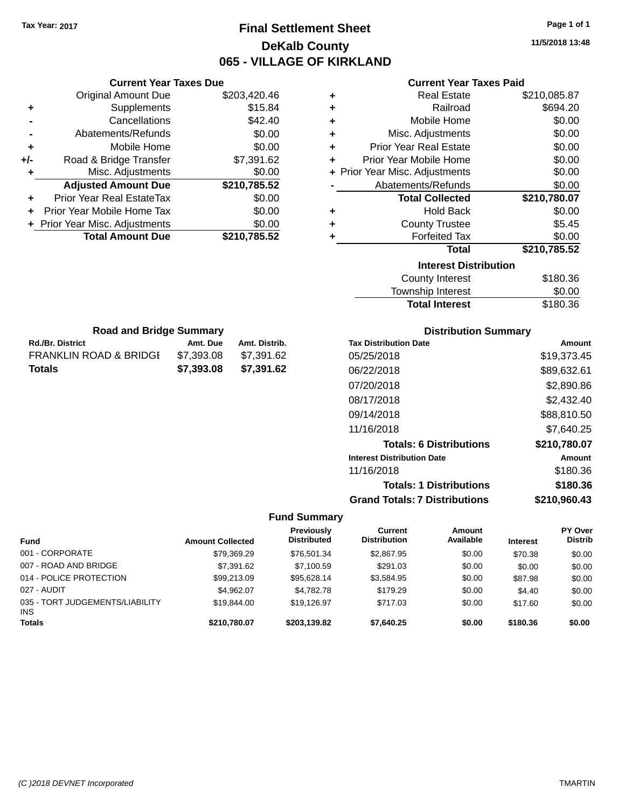## **Final Settlement Sheet Tax Year: 2017 Page 1 of 1 DeKalb County 065 - VILLAGE OF KIRKLAND**

**11/5/2018 13:48**

### **Current Year Taxes Paid**

|     | <b>Current Year Taxes Due</b>  |              |
|-----|--------------------------------|--------------|
|     | <b>Original Amount Due</b>     | \$203,420.46 |
| ٠   | Supplements                    | \$15.84      |
|     | Cancellations                  | \$42.40      |
|     | Abatements/Refunds             | \$0.00       |
| ٠   | Mobile Home                    | \$0.00       |
| +/- | Road & Bridge Transfer         | \$7,391.62   |
| ٠   | Misc. Adjustments              | \$0.00       |
|     | <b>Adjusted Amount Due</b>     | \$210,785.52 |
| ÷   | Prior Year Real EstateTax      | \$0.00       |
|     | Prior Year Mobile Home Tax     | \$0.00       |
|     | + Prior Year Misc. Adjustments | \$0.00       |
|     | <b>Total Amount Due</b>        | \$210.785.52 |

**Rd./Br. District Co. Amt. Due Amt. Distrib. Road and Bridge Summary**

FRANKLIN ROAD & BRIDGE \$7,393.08 \$7,391.62 **Totals \$7,393.08 \$7,391.62**

| ٠ | <b>Real Estate</b>             | \$210,085.87 |
|---|--------------------------------|--------------|
| ÷ | Railroad                       | \$694.20     |
| ٠ | Mobile Home                    | \$0.00       |
| ٠ | Misc. Adjustments              | \$0.00       |
| ٠ | <b>Prior Year Real Estate</b>  | \$0.00       |
| ٠ | Prior Year Mobile Home         | \$0.00       |
|   | + Prior Year Misc. Adjustments | \$0.00       |
|   | Abatements/Refunds             | \$0.00       |
|   |                                |              |
|   | <b>Total Collected</b>         | \$210,780.07 |
| ٠ | <b>Hold Back</b>               | \$0.00       |
| ٠ | <b>County Trustee</b>          | \$5.45       |
| ٠ | <b>Forfeited Tax</b>           | \$0.00       |
|   | <b>Total</b>                   | \$210,785.52 |
|   | <b>Interest Distribution</b>   |              |
|   | <b>County Interest</b>         | \$180.36     |

| Township Interest     | \$0.00   |
|-----------------------|----------|
| <b>Total Interest</b> | \$180.36 |
|                       |          |

| <b>Distribution Summary</b>          |              |
|--------------------------------------|--------------|
| <b>Tax Distribution Date</b>         | Amount       |
| 05/25/2018                           | \$19,373.45  |
| 06/22/2018                           | \$89,632.61  |
| 07/20/2018                           | \$2,890.86   |
| 08/17/2018                           | \$2,432.40   |
| 09/14/2018                           | \$88.810.50  |
| 11/16/2018                           | \$7.640.25   |
| <b>Totals: 6 Distributions</b>       | \$210,780.07 |
| <b>Interest Distribution Date</b>    | Amount       |
| 11/16/2018                           | \$180.36     |
| <b>Totals: 1 Distributions</b>       | \$180.36     |
| <b>Grand Totals: 7 Distributions</b> | \$210,960.43 |

| <b>Fund</b>                            | <b>Amount Collected</b> | <b>Previously</b><br><b>Distributed</b> | Current<br><b>Distribution</b> | <b>Amount</b><br>Available | <b>Interest</b> | <b>PY Over</b><br><b>Distrib</b> |
|----------------------------------------|-------------------------|-----------------------------------------|--------------------------------|----------------------------|-----------------|----------------------------------|
| 001 - CORPORATE                        | \$79.369.29             | \$76.501.34                             | \$2,867.95                     | \$0.00                     | \$70.38         | \$0.00                           |
| 007 - ROAD AND BRIDGE                  | \$7,391.62              | \$7.100.59                              | \$291.03                       | \$0.00                     | \$0.00          | \$0.00                           |
| 014 - POLICE PROTECTION                | \$99,213.09             | \$95.628.14                             | \$3,584.95                     | \$0.00                     | \$87.98         | \$0.00                           |
| 027 - AUDIT                            | \$4.962.07              | \$4.782.78                              | \$179.29                       | \$0.00                     | \$4.40          | \$0.00                           |
| 035 - TORT JUDGEMENTS/LIABILITY<br>INS | \$19,844.00             | \$19.126.97                             | \$717.03                       | \$0.00                     | \$17.60         | \$0.00                           |
| <b>Totals</b>                          | \$210,780.07            | \$203,139.82                            | \$7,640.25                     | \$0.00                     | \$180.36        | \$0.00                           |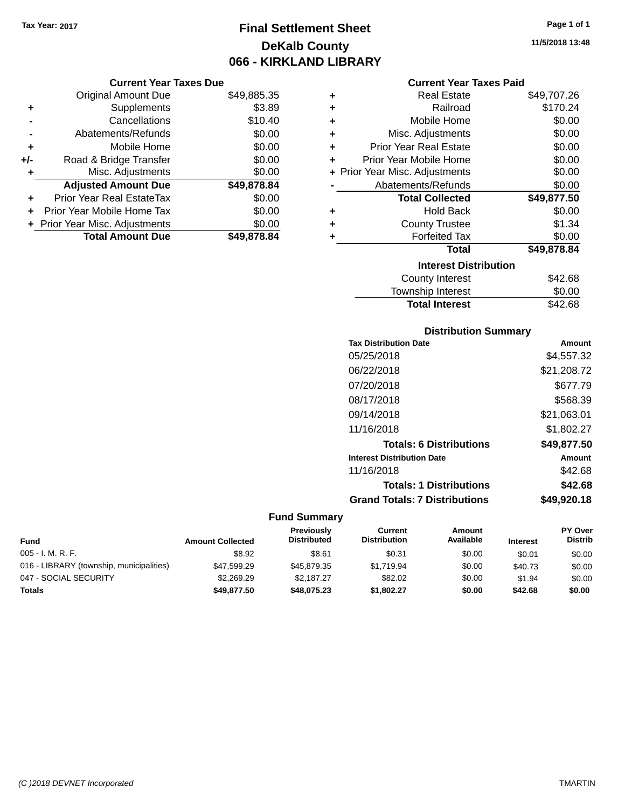**Current Year Taxes Due**

## **Final Settlement Sheet Tax Year: 2017 Page 1 of 1 DeKalb County 066 - KIRKLAND LIBRARY**

**11/5/2018 13:48**

### **Current Year Taxes Paid**

|     | <b>Original Amount Due</b>       | \$49,885.35 | ÷ | <b>Real Estate</b>             | \$49,707.26 |
|-----|----------------------------------|-------------|---|--------------------------------|-------------|
| ٠   | Supplements                      | \$3.89      | ٠ | Railroad                       | \$170.24    |
|     | Cancellations                    | \$10.40     | ÷ | Mobile Home                    | \$0.00      |
|     | Abatements/Refunds               | \$0.00      | ٠ | Misc. Adjustments              | \$0.00      |
| ٠   | Mobile Home                      | \$0.00      | ٠ | <b>Prior Year Real Estate</b>  | \$0.00      |
| +/- | Road & Bridge Transfer           | \$0.00      | ٠ | Prior Year Mobile Home         | \$0.00      |
|     | Misc. Adjustments                | \$0.00      |   | + Prior Year Misc. Adjustments | \$0.00      |
|     | <b>Adjusted Amount Due</b>       | \$49,878.84 |   | Abatements/Refunds             | \$0.00      |
| ÷.  | <b>Prior Year Real EstateTax</b> | \$0.00      |   | <b>Total Collected</b>         | \$49,877.50 |
|     | Prior Year Mobile Home Tax       | \$0.00      | ÷ | <b>Hold Back</b>               | \$0.00      |
|     | + Prior Year Misc. Adjustments   | \$0.00      | ٠ | <b>County Trustee</b>          | \$1.34      |
|     | <b>Total Amount Due</b>          | \$49,878.84 |   | <b>Forfeited Tax</b>           | \$0.00      |
|     |                                  |             |   | <b>Total</b>                   | \$49,878.84 |
|     |                                  |             |   | <b>Interest Distribution</b>   |             |
|     |                                  |             |   | County Interest                | \$42.68     |
|     |                                  |             |   | Township Interest              | \$0.00      |

## **Total Interest** \$42.68

| <b>Distribution Summary</b>          |             |
|--------------------------------------|-------------|
| <b>Tax Distribution Date</b>         | Amount      |
| 05/25/2018                           | \$4,557.32  |
| 06/22/2018                           | \$21,208.72 |
| 07/20/2018                           | \$677.79    |
| 08/17/2018                           | \$568.39    |
| 09/14/2018                           | \$21,063.01 |
| 11/16/2018                           | \$1,802.27  |
| <b>Totals: 6 Distributions</b>       | \$49,877.50 |
| <b>Interest Distribution Date</b>    | Amount      |
| 11/16/2018                           | \$42.68     |
| <b>Totals: 1 Distributions</b>       | \$42.68     |
| <b>Grand Totals: 7 Distributions</b> | \$49.920.18 |

| <b>Fund</b>                              | <b>Amount Collected</b> | <b>Previously</b><br><b>Distributed</b> | Current<br><b>Distribution</b> | Amount<br>Available | <b>Interest</b> | PY Over<br><b>Distrib</b> |
|------------------------------------------|-------------------------|-----------------------------------------|--------------------------------|---------------------|-----------------|---------------------------|
| $005 - I. M. R. F.$                      | \$8.92                  | \$8.61                                  | \$0.31                         | \$0.00              | \$0.01          | \$0.00                    |
| 016 - LIBRARY (township, municipalities) | \$47,599.29             | \$45,879.35                             | \$1.719.94                     | \$0.00              | \$40.73         | \$0.00                    |
| 047 - SOCIAL SECURITY                    | \$2,269.29              | \$2.187.27                              | \$82.02                        | \$0.00              | \$1.94          | \$0.00                    |
| <b>Totals</b>                            | \$49,877.50             | \$48,075.23                             | \$1.802.27                     | \$0.00              | \$42.68         | \$0.00                    |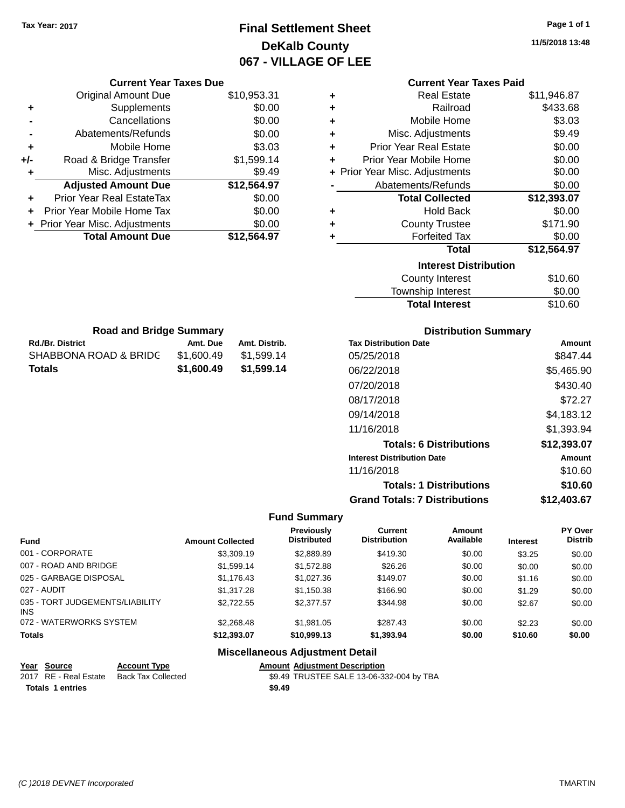## **Final Settlement Sheet Tax Year: 2017 Page 1 of 1 DeKalb County 067 - VILLAGE OF LEE**

**11/5/2018 13:48**

|                                                      | <b>Current Year Taxes Due</b>                      |                         |                                        |                                         |                                          | <b>Current Year Taxes Paid</b> |                 |                    |
|------------------------------------------------------|----------------------------------------------------|-------------------------|----------------------------------------|-----------------------------------------|------------------------------------------|--------------------------------|-----------------|--------------------|
|                                                      | <b>Original Amount Due</b>                         |                         | \$10,953.31                            | ٠                                       |                                          | <b>Real Estate</b>             |                 | \$11,946.87        |
| ٠                                                    | Supplements                                        |                         | \$0.00                                 | ٠                                       |                                          | Railroad                       |                 | \$433.68           |
|                                                      | Cancellations                                      |                         | \$0.00                                 | ٠                                       |                                          | Mobile Home                    |                 | \$3.03             |
|                                                      | Abatements/Refunds                                 |                         | \$0.00                                 | ٠                                       |                                          | Misc. Adjustments              |                 | \$9.49             |
| ٠                                                    | Mobile Home                                        |                         | \$3.03                                 | ٠                                       | <b>Prior Year Real Estate</b>            |                                |                 | \$0.00             |
| +/-                                                  | Road & Bridge Transfer                             |                         | \$1,599.14                             | ٠                                       | Prior Year Mobile Home                   |                                |                 | \$0.00             |
| ٠                                                    | Misc. Adjustments                                  |                         | \$9.49                                 |                                         | + Prior Year Misc. Adjustments           |                                |                 | \$0.00             |
|                                                      | <b>Adjusted Amount Due</b>                         |                         | \$12,564.97                            |                                         | Abatements/Refunds                       |                                |                 | \$0.00             |
|                                                      | Prior Year Real EstateTax                          |                         | \$0.00                                 |                                         |                                          | <b>Total Collected</b>         |                 | \$12,393.07        |
|                                                      | Prior Year Mobile Home Tax                         |                         | \$0.00                                 | ٠                                       |                                          | <b>Hold Back</b>               |                 | \$0.00             |
|                                                      | Prior Year Misc. Adjustments                       |                         | \$0.00                                 | ٠                                       |                                          | <b>County Trustee</b>          |                 | \$171.90           |
|                                                      | <b>Total Amount Due</b>                            |                         | \$12,564.97                            | ٠                                       |                                          | <b>Forfeited Tax</b>           |                 | \$0.00             |
|                                                      |                                                    |                         |                                        |                                         |                                          | <b>Total</b>                   |                 | \$12,564.97        |
|                                                      |                                                    |                         |                                        |                                         |                                          | <b>Interest Distribution</b>   |                 |                    |
|                                                      |                                                    |                         |                                        |                                         |                                          | <b>County Interest</b>         |                 | \$10.60            |
|                                                      |                                                    |                         |                                        |                                         |                                          | Township Interest              |                 | \$0.00             |
|                                                      |                                                    |                         |                                        |                                         |                                          | <b>Total Interest</b>          |                 | \$10.60            |
|                                                      | <b>Road and Bridge Summary</b>                     |                         |                                        |                                         |                                          | <b>Distribution Summary</b>    |                 |                    |
| Amt. Distrib.<br><b>Rd./Br. District</b><br>Amt. Due |                                                    |                         |                                        | <b>Tax Distribution Date</b><br>Amount  |                                          |                                |                 |                    |
| SHABBONA ROAD & BRIDC<br>\$1,600.49<br>\$1,599.14    |                                                    |                         | 05/25/2018                             |                                         |                                          | \$847.44                       |                 |                    |
| <b>Totals</b><br>\$1,600.49                          |                                                    | \$1,599.14              |                                        | 06/22/2018                              |                                          |                                | \$5,465.90      |                    |
|                                                      |                                                    |                         |                                        |                                         | 07/20/2018                               |                                |                 | \$430.40           |
|                                                      |                                                    |                         |                                        |                                         | 08/17/2018                               |                                |                 | \$72.27            |
|                                                      |                                                    |                         |                                        |                                         | 09/14/2018                               |                                |                 |                    |
|                                                      |                                                    |                         |                                        |                                         |                                          |                                |                 | \$4,183.12         |
|                                                      |                                                    |                         |                                        |                                         | 11/16/2018                               |                                |                 | \$1,393.94         |
|                                                      |                                                    |                         |                                        |                                         |                                          | <b>Totals: 6 Distributions</b> |                 | \$12,393.07        |
|                                                      |                                                    |                         |                                        |                                         | <b>Interest Distribution Date</b>        |                                |                 | <b>Amount</b>      |
|                                                      |                                                    |                         |                                        |                                         | 11/16/2018                               |                                |                 | \$10.60            |
|                                                      |                                                    |                         |                                        |                                         |                                          | <b>Totals: 1 Distributions</b> |                 | \$10.60            |
|                                                      |                                                    |                         |                                        |                                         | <b>Grand Totals: 7 Distributions</b>     |                                |                 | \$12,403.67        |
|                                                      |                                                    |                         |                                        | <b>Fund Summary</b>                     |                                          |                                |                 |                    |
| Fund                                                 |                                                    | <b>Amount Collected</b> |                                        | <b>Previously</b><br><b>Distributed</b> | <b>Current</b><br><b>Distribution</b>    | Amount<br>Available            | <b>Interest</b> | PY Over<br>Distrib |
|                                                      | 001 - CORPORATE                                    |                         | \$3,309.19                             | \$2,889.89                              | \$419.30                                 | \$0.00                         | \$3.25          | \$0.00             |
|                                                      | 007 - ROAD AND BRIDGE                              |                         | \$1,599.14                             | \$1,572.88                              | \$26.26                                  | \$0.00                         | \$0.00          | \$0.00             |
|                                                      | 025 - GARBAGE DISPOSAL                             |                         | \$1,176.43                             | \$1,027.36                              | \$149.07                                 | \$0.00                         | \$1.16          | \$0.00             |
|                                                      | 027 - AUDIT                                        |                         | \$1,317.28                             | \$1,150.38                              | \$166.90                                 | \$0.00                         | \$1.29          | \$0.00             |
| INS                                                  | 035 - TORT JUDGEMENTS/LIABILITY                    |                         | \$2,722.55                             | \$2,377.57                              | \$344.98                                 | \$0.00                         | \$2.67          | \$0.00             |
|                                                      | 072 - WATERWORKS SYSTEM                            |                         | \$2,268.48                             | \$1,981.05                              | \$287.43                                 | \$0.00                         | \$2.23          | \$0.00             |
| Totals                                               |                                                    |                         | \$12,393.07                            | \$10,999.13                             | \$1,393.94                               | \$0.00                         | \$10.60         | \$0.00             |
|                                                      |                                                    |                         | <b>Miscellaneous Adjustment Detail</b> |                                         |                                          |                                |                 |                    |
|                                                      | <b>Account Type</b><br>Year Source                 |                         |                                        | <b>Amount Adjustment Description</b>    |                                          |                                |                 |                    |
|                                                      | 2017 RE - Real Estate<br><b>Back Tax Collected</b> |                         |                                        |                                         | \$9.49 TRUSTEE SALE 13-06-332-004 by TBA |                                |                 |                    |
|                                                      | <b>Totals 1 entries</b>                            |                         | \$9.49                                 |                                         |                                          |                                |                 |                    |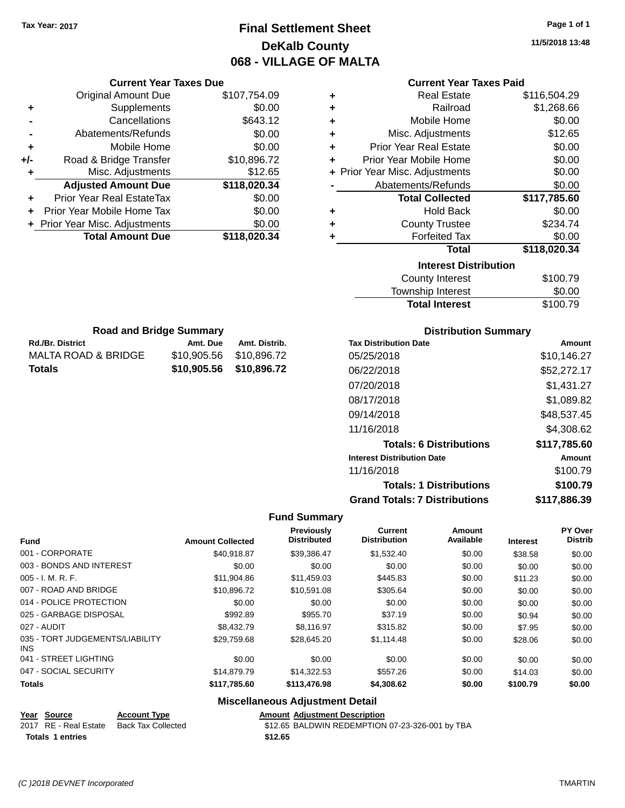**Current Year Taxes Due** Original Amount Due \$107,754.09

**Adjusted Amount Due \$118,020.34**

**Total Amount Due \$118,020.34**

**+** Supplements \$0.00 **-** Cancellations \$643.12 **-** Abatements/Refunds \$0.00 **+** Mobile Home \$0.00 **+/-** Road & Bridge Transfer \$10,896.72 **+** Misc. Adjustments \$12.65

**+** Prior Year Real EstateTax \$0.00 **+** Prior Year Mobile Home Tax \$0.00 **+ Prior Year Misc. Adjustments**  $$0.00$ 

**Rd./Br. District Community Community Amt. Due Amt. Distrib. Road and Bridge Summary**

MALTA ROAD & BRIDGE \$10,905.56 \$10,896.72 **Totals \$10,905.56 \$10,896.72**

## **Final Settlement Sheet Tax Year: 2017 Page 1 of 1 DeKalb County 068 - VILLAGE OF MALTA**

**11/5/2018 13:48**

|  |  | <b>Current Year Taxes Paid</b> |  |
|--|--|--------------------------------|--|
|  |  |                                |  |

| ÷ | <b>Real Estate</b>             | \$116,504.29 |
|---|--------------------------------|--------------|
| ٠ | Railroad                       | \$1,268.66   |
| ÷ | Mobile Home                    | \$0.00       |
| ÷ | Misc. Adjustments              | \$12.65      |
| ÷ | <b>Prior Year Real Estate</b>  | \$0.00       |
| ٠ | Prior Year Mobile Home         | \$0.00       |
|   | + Prior Year Misc. Adjustments | \$0.00       |
|   | Abatements/Refunds             | \$0.00       |
|   | <b>Total Collected</b>         | \$117,785.60 |
| ٠ | <b>Hold Back</b>               | \$0.00       |
| ٠ | <b>County Trustee</b>          | \$234.74     |
| ٠ | <b>Forfeited Tax</b>           | \$0.00       |
|   | Total                          | \$118,020.34 |
|   | <b>Interest Distribution</b>   |              |
|   | <b>County Interest</b>         | \$100.79     |
|   | <b>Township Interest</b>       | \$0.00       |

| County Interest       | \$100.79 |
|-----------------------|----------|
| Township Interest     | \$0.00   |
| <b>Total Interest</b> | \$100.79 |

| <b>Distribution Summary</b>          |              |
|--------------------------------------|--------------|
| <b>Tax Distribution Date</b>         | Amount       |
| 05/25/2018                           | \$10.146.27  |
| 06/22/2018                           | \$52,272.17  |
| 07/20/2018                           | \$1,431.27   |
| 08/17/2018                           | \$1.089.82   |
| 09/14/2018                           | \$48,537.45  |
| 11/16/2018                           | \$4.308.62   |
| <b>Totals: 6 Distributions</b>       | \$117.785.60 |
| <b>Interest Distribution Date</b>    | Amount       |
| 11/16/2018                           | \$100.79     |
| <b>Totals: 1 Distributions</b>       | \$100.79     |
| <b>Grand Totals: 7 Distributions</b> | \$117,886.39 |

### **Fund Summary**

| <b>Fund</b>                             | <b>Amount Collected</b> | <b>Previously</b><br><b>Distributed</b> | Current<br><b>Distribution</b> | Amount<br>Available | Interest | PY Over<br><b>Distrib</b> |
|-----------------------------------------|-------------------------|-----------------------------------------|--------------------------------|---------------------|----------|---------------------------|
| 001 - CORPORATE                         | \$40.918.87             | \$39,386.47                             | \$1,532.40                     | \$0.00              | \$38.58  | \$0.00                    |
| 003 - BONDS AND INTEREST                | \$0.00                  | \$0.00                                  | \$0.00                         | \$0.00              | \$0.00   | \$0.00                    |
| $005 - I. M. R. F.$                     | \$11.904.86             | \$11,459.03                             | \$445.83                       | \$0.00              | \$11.23  | \$0.00                    |
| 007 - ROAD AND BRIDGE                   | \$10.896.72             | \$10,591.08                             | \$305.64                       | \$0.00              | \$0.00   | \$0.00                    |
| 014 - POLICE PROTECTION                 | \$0.00                  | \$0.00                                  | \$0.00                         | \$0.00              | \$0.00   | \$0.00                    |
| 025 - GARBAGE DISPOSAL                  | \$992.89                | \$955.70                                | \$37.19                        | \$0.00              | \$0.94   | \$0.00                    |
| 027 - AUDIT                             | \$8,432.79              | \$8.116.97                              | \$315.82                       | \$0.00              | \$7.95   | \$0.00                    |
| 035 - TORT JUDGEMENTS/LIABILITY<br>INS. | \$29,759.68             | \$28,645.20                             | \$1,114.48                     | \$0.00              | \$28.06  | \$0.00                    |
| 041 - STREET LIGHTING                   | \$0.00                  | \$0.00                                  | \$0.00                         | \$0.00              | \$0.00   | \$0.00                    |
| 047 - SOCIAL SECURITY                   | \$14,879.79             | \$14.322.53                             | \$557.26                       | \$0.00              | \$14.03  | \$0.00                    |
| <b>Totals</b>                           | \$117,785.60            | \$113,476.98                            | \$4,308.62                     | \$0.00              | \$100.79 | \$0.00                    |

| Year Source             | <b>Account Type</b>                      |         | <b>Amount Adiustment Description</b>            |
|-------------------------|------------------------------------------|---------|-------------------------------------------------|
|                         | 2017 RE - Real Estate Back Tax Collected |         | \$12.65 BALDWIN REDEMPTION 07-23-326-001 by TBA |
| <b>Totals 1 entries</b> |                                          | \$12.65 |                                                 |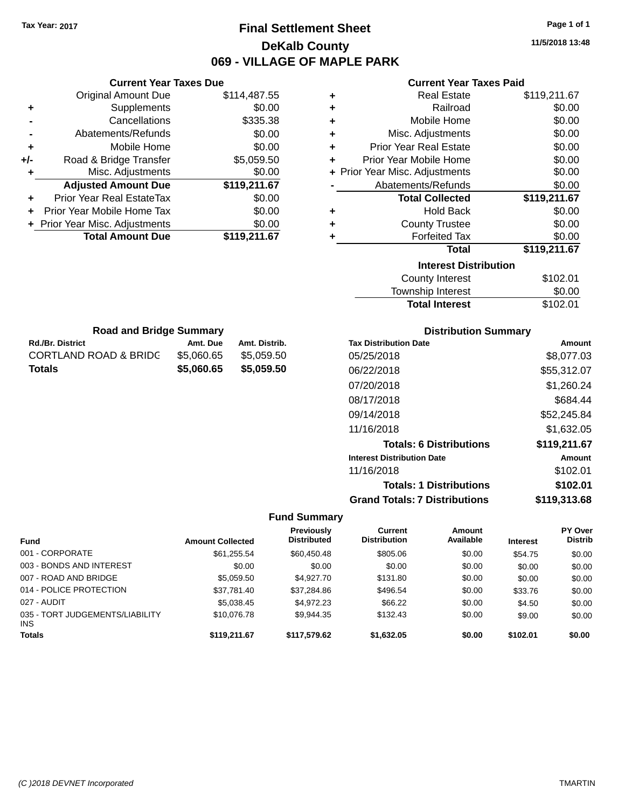## **Final Settlement Sheet Tax Year: 2017 Page 1 of 1 DeKalb County 069 - VILLAGE OF MAPLE PARK**

**11/5/2018 13:48**

### **Current Year Taxes Paid**

|     | <b>Original Amount Due</b>       | \$114,487.55 | ٠ | <b>Real Estate</b>             | \$119,211.67 |
|-----|----------------------------------|--------------|---|--------------------------------|--------------|
| ٠   | Supplements                      | \$0.00       |   | Railroad                       | \$0.00       |
|     | Cancellations                    | \$335.38     | ٠ | Mobile Home                    | \$0.00       |
|     | Abatements/Refunds               | \$0.00       | ٠ | Misc. Adjustments              | \$0.00       |
| ٠   | Mobile Home                      | \$0.00       | ٠ | <b>Prior Year Real Estate</b>  | \$0.00       |
| +/- | Road & Bridge Transfer           | \$5,059.50   | ٠ | Prior Year Mobile Home         | \$0.00       |
|     | Misc. Adjustments                | \$0.00       |   | + Prior Year Misc. Adjustments | \$0.00       |
|     | <b>Adjusted Amount Due</b>       | \$119,211.67 |   | Abatements/Refunds             | \$0.00       |
| ÷.  | <b>Prior Year Real EstateTax</b> | \$0.00       |   | <b>Total Collected</b>         | \$119,211.67 |
| ÷.  | Prior Year Mobile Home Tax       | \$0.00       | ٠ | <b>Hold Back</b>               | \$0.00       |
|     | + Prior Year Misc. Adjustments   | \$0.00       | ٠ | <b>County Trustee</b>          | \$0.00       |
|     | <b>Total Amount Due</b>          | \$119,211.67 |   | <b>Forfeited Tax</b>           | \$0.00       |
|     |                                  |              |   | <b>Total</b>                   | \$119,211.67 |
|     |                                  |              |   | <b>Interest Distribution</b>   |              |
|     |                                  |              |   | <b>County Interest</b>         | \$102.01     |
|     |                                  |              |   |                                | $\cdots$     |

| \$102.01 |
|----------|
| \$0.00   |
| \$102.01 |
|          |

| <b>Road and Bridge Summary</b> |            |               |  |  |  |
|--------------------------------|------------|---------------|--|--|--|
| <b>Rd./Br. District</b>        | Amt. Due   | Amt. Distrib. |  |  |  |
| CORTLAND ROAD & BRIDG          | \$5,060,65 | \$5,059.50    |  |  |  |
| Totals                         | \$5,060.65 | \$5,059.50    |  |  |  |

**Current Year Taxes Due**

### **Distribution Summary**

| <b>Tax Distribution Date</b>         | Amount       |
|--------------------------------------|--------------|
| 05/25/2018                           | \$8,077.03   |
| 06/22/2018                           | \$55,312.07  |
| 07/20/2018                           | \$1,260.24   |
| 08/17/2018                           | \$684.44     |
| 09/14/2018                           | \$52,245.84  |
| 11/16/2018                           | \$1,632.05   |
| <b>Totals: 6 Distributions</b>       | \$119,211.67 |
| <b>Interest Distribution Date</b>    | Amount       |
| 11/16/2018                           | \$102.01     |
| <b>Totals: 1 Distributions</b>       | \$102.01     |
| <b>Grand Totals: 7 Distributions</b> | \$119,313.68 |

| <b>Fund</b>                                   | <b>Amount Collected</b> | Previously<br><b>Distributed</b> | Current<br><b>Distribution</b> | Amount<br>Available | <b>Interest</b> | <b>PY Over</b><br><b>Distrib</b> |
|-----------------------------------------------|-------------------------|----------------------------------|--------------------------------|---------------------|-----------------|----------------------------------|
| 001 - CORPORATE                               | \$61.255.54             | \$60.450.48                      | \$805.06                       | \$0.00              | \$54.75         | \$0.00                           |
| 003 - BONDS AND INTEREST                      | \$0.00                  | \$0.00                           | \$0.00                         | \$0.00              | \$0.00          | \$0.00                           |
| 007 - ROAD AND BRIDGE                         | \$5.059.50              | \$4.927.70                       | \$131.80                       | \$0.00              | \$0.00          | \$0.00                           |
| 014 - POLICE PROTECTION                       | \$37,781.40             | \$37,284.86                      | \$496.54                       | \$0.00              | \$33.76         | \$0.00                           |
| 027 - AUDIT                                   | \$5.038.45              | \$4.972.23                       | \$66.22                        | \$0.00              | \$4.50          | \$0.00                           |
| 035 - TORT JUDGEMENTS/LIABILITY<br><b>INS</b> | \$10,076.78             | \$9.944.35                       | \$132.43                       | \$0.00              | \$9.00          | \$0.00                           |
| <b>Totals</b>                                 | \$119,211.67            | \$117,579.62                     | \$1,632.05                     | \$0.00              | \$102.01        | \$0.00                           |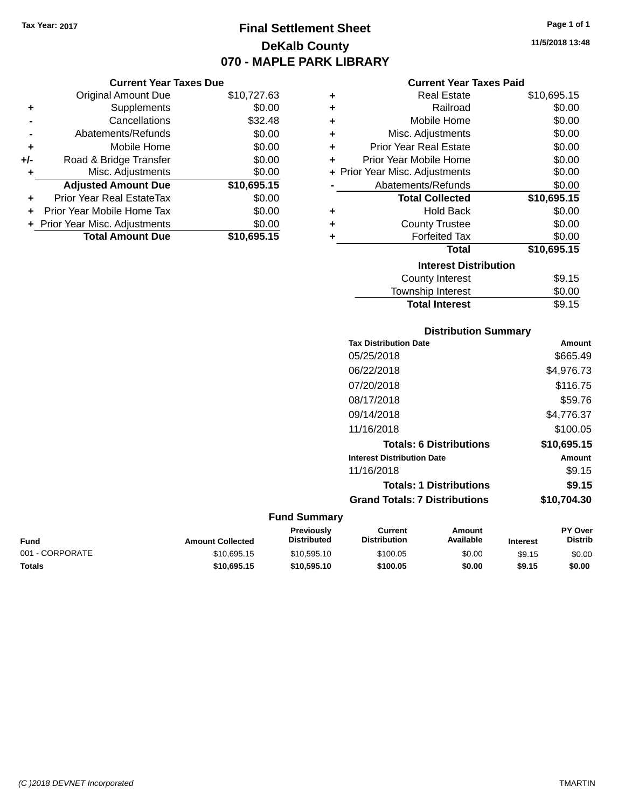### **Final Settlement Sheet Tax Year: 2017 Page 1 of 1 DeKalb County 070 - MAPLE PARK LIBRARY**

**11/5/2018 13:48**

#### **Current Year Taxes Paid**

| ٠ | <b>Real Estate</b>             | \$10,695.15 |
|---|--------------------------------|-------------|
| ٠ | Railroad                       | \$0.00      |
| ٠ | Mobile Home                    | \$0.00      |
| ٠ | Misc. Adjustments              | \$0.00      |
| ٠ | <b>Prior Year Real Estate</b>  | \$0.00      |
| ٠ | Prior Year Mobile Home         | \$0.00      |
|   | + Prior Year Misc. Adjustments | \$0.00      |
|   | Abatements/Refunds             | \$0.00      |
|   | <b>Total Collected</b>         | \$10,695.15 |
| ٠ | <b>Hold Back</b>               | \$0.00      |
| ٠ | <b>County Trustee</b>          | \$0.00      |
| ٠ | <b>Forfeited Tax</b>           | \$0.00      |
|   | <b>Total</b>                   | \$10,695.15 |
|   | <b>Interest Distribution</b>   |             |
|   | County Interest                | \$9.15      |
|   | <b>Township Interest</b>       | \$0.00      |

| <b>Distribution Summary</b>          |             |
|--------------------------------------|-------------|
| <b>Tax Distribution Date</b>         | Amount      |
| 05/25/2018                           | \$665.49    |
| 06/22/2018                           | \$4,976.73  |
| 07/20/2018                           | \$116.75    |
| 08/17/2018                           | \$59.76     |
| 09/14/2018                           | \$4,776.37  |
| 11/16/2018                           | \$100.05    |
| <b>Totals: 6 Distributions</b>       | \$10,695.15 |
| <b>Interest Distribution Date</b>    | Amount      |
| 11/16/2018                           | \$9.15      |
| <b>Totals: 1 Distributions</b>       | \$9.15      |
| <b>Grand Totals: 7 Distributions</b> | \$10,704.30 |

**Total Interest** \$9.15

| Fund            | <b>Amount Collected</b> | <b>Previously</b><br><b>Distributed</b> | Current<br><b>Distribution</b> | Amount<br>Available | <b>Interest</b> | <b>PY Over</b><br><b>Distrib</b> |
|-----------------|-------------------------|-----------------------------------------|--------------------------------|---------------------|-----------------|----------------------------------|
| 001 - CORPORATE | \$10.695.15             | \$10.595.10                             | \$100.05                       | \$0.00              | \$9.15          | \$0.00                           |
| Totals          | \$10.695.15             | \$10.595.10                             | \$100.05                       | \$0.00              | \$9.15          | \$0.00                           |

| <b>Current Year Taxes Due</b> |  |
|-------------------------------|--|
| Original Amount Due           |  |
| Cusalamanta                   |  |

|     | <b>Original Amount Due</b>     | \$10,727.63 |
|-----|--------------------------------|-------------|
| ٠   | Supplements                    | \$0.00      |
|     | Cancellations                  | \$32.48     |
| -   | Abatements/Refunds             | \$0.00      |
| ÷   | Mobile Home                    | \$0.00      |
| +/- | Road & Bridge Transfer         | \$0.00      |
| ٠   | Misc. Adjustments              | \$0.00      |
|     | <b>Adjusted Amount Due</b>     | \$10,695.15 |
| ٠   | Prior Year Real EstateTax      | \$0.00      |
| ٠   | Prior Year Mobile Home Tax     | \$0.00      |
|     | + Prior Year Misc. Adjustments | \$0.00      |
|     | <b>Total Amount Due</b>        | \$10,695.15 |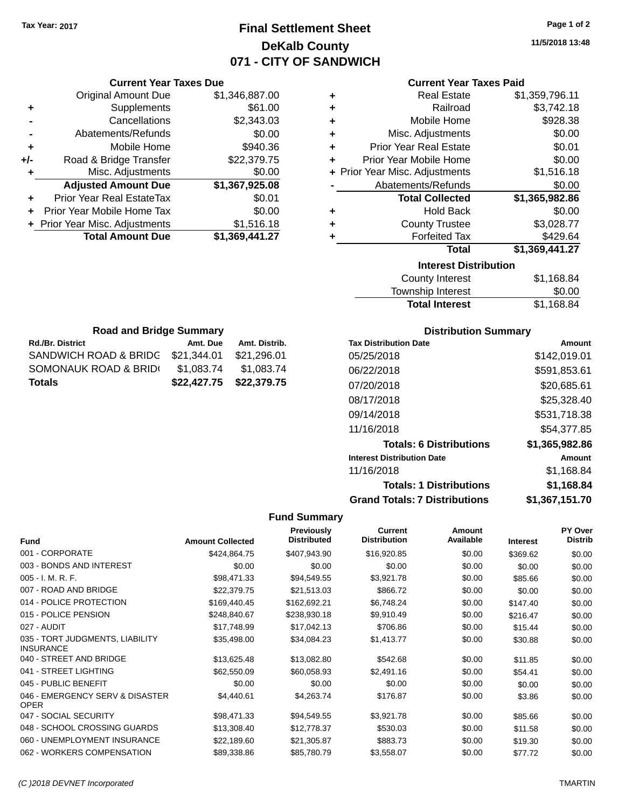### **Final Settlement Sheet Tax Year: 2017 Page 1 of 2 DeKalb County 071 - CITY OF SANDWICH**

**11/5/2018 13:48**

#### **Current Year Taxes Paid**

|     | <b>Original Amount Due</b>       | \$1,346,887.00 | ٠ | <b>Real Estate</b>             | \$1,359,796.11 |
|-----|----------------------------------|----------------|---|--------------------------------|----------------|
| ٠   | Supplements                      | \$61.00        | ٠ | Railroad                       | \$3,742.18     |
|     | Cancellations                    | \$2,343.03     |   | Mobile Home                    | \$928.38       |
|     | Abatements/Refunds               | \$0.00         | ٠ | Misc. Adjustments              | \$0.00         |
| ÷   | Mobile Home                      | \$940.36       | ٠ | <b>Prior Year Real Estate</b>  | \$0.01         |
| +/- | Road & Bridge Transfer           | \$22,379.75    |   | Prior Year Mobile Home         | \$0.00         |
|     | Misc. Adjustments                | \$0.00         |   | + Prior Year Misc. Adjustments | \$1,516.18     |
|     | <b>Adjusted Amount Due</b>       | \$1,367,925.08 |   | Abatements/Refunds             | \$0.00         |
| ٠   | <b>Prior Year Real EstateTax</b> | \$0.01         |   | <b>Total Collected</b>         | \$1,365,982.86 |
| ٠   | Prior Year Mobile Home Tax       | \$0.00         | ٠ | <b>Hold Back</b>               | \$0.00         |
|     | + Prior Year Misc. Adjustments   | \$1,516.18     | ٠ | <b>County Trustee</b>          | \$3,028.77     |
|     | <b>Total Amount Due</b>          | \$1,369,441.27 |   | <b>Forfeited Tax</b>           | \$429.64       |
|     |                                  |                |   | <b>Total</b>                   | \$1,369,441.27 |
|     |                                  |                |   | <b>Interest Distribution</b>   |                |
|     |                                  |                |   |                                | .              |

| iliterest Distribution |            |
|------------------------|------------|
| County Interest        | \$1,168.84 |
| Township Interest      | \$0.00     |
| <b>Total Interest</b>  | \$1,168.84 |
|                        |            |

| <b>Road and Bridge Summary</b>    |             |               |  |  |  |
|-----------------------------------|-------------|---------------|--|--|--|
| <b>Rd./Br. District</b>           | Amt. Due    | Amt. Distrib. |  |  |  |
| SANDWICH ROAD & BRIDG \$21,344.01 |             | \$21,296.01   |  |  |  |
| SOMONAUK ROAD & BRID(             | \$1,083.74  | \$1,083.74    |  |  |  |
| <b>Totals</b>                     | \$22,427.75 | \$22,379.75   |  |  |  |

**Current Year Taxes Due**

#### **Distribution Summary**

| <b>Tax Distribution Date</b>         | Amount         |
|--------------------------------------|----------------|
| 05/25/2018                           | \$142,019.01   |
| 06/22/2018                           | \$591,853.61   |
| 07/20/2018                           | \$20,685.61    |
| 08/17/2018                           | \$25,328.40    |
| 09/14/2018                           | \$531,718.38   |
| 11/16/2018                           | \$54.377.85    |
| <b>Totals: 6 Distributions</b>       | \$1,365,982.86 |
| <b>Interest Distribution Date</b>    | Amount         |
| 11/16/2018                           | \$1,168.84     |
| <b>Totals: 1 Distributions</b>       | \$1.168.84     |
| <b>Grand Totals: 7 Distributions</b> | \$1,367,151.70 |

| <b>Fund</b>                                         | <b>Amount Collected</b> | Previously<br><b>Distributed</b> | <b>Current</b><br><b>Distribution</b> | Amount<br>Available | <b>Interest</b> | <b>PY Over</b><br><b>Distrib</b> |
|-----------------------------------------------------|-------------------------|----------------------------------|---------------------------------------|---------------------|-----------------|----------------------------------|
| 001 - CORPORATE                                     | \$424,864.75            | \$407,943.90                     | \$16,920.85                           | \$0.00              | \$369.62        | \$0.00                           |
| 003 - BONDS AND INTEREST                            | \$0.00                  | \$0.00                           | \$0.00                                | \$0.00              | \$0.00          | \$0.00                           |
| $005 - I. M. R. F.$                                 | \$98,471.33             | \$94,549.55                      | \$3,921.78                            | \$0.00              | \$85.66         | \$0.00                           |
| 007 - ROAD AND BRIDGE                               | \$22,379.75             | \$21,513.03                      | \$866.72                              | \$0.00              | \$0.00          | \$0.00                           |
| 014 - POLICE PROTECTION                             | \$169,440.45            | \$162,692.21                     | \$6,748.24                            | \$0.00              | \$147.40        | \$0.00                           |
| 015 - POLICE PENSION                                | \$248,840.67            | \$238,930.18                     | \$9,910.49                            | \$0.00              | \$216.47        | \$0.00                           |
| 027 - AUDIT                                         | \$17,748.99             | \$17,042.13                      | \$706.86                              | \$0.00              | \$15.44         | \$0.00                           |
| 035 - TORT JUDGMENTS, LIABILITY<br><b>INSURANCE</b> | \$35,498.00             | \$34,084.23                      | \$1,413.77                            | \$0.00              | \$30.88         | \$0.00                           |
| 040 - STREET AND BRIDGE                             | \$13,625.48             | \$13,082.80                      | \$542.68                              | \$0.00              | \$11.85         | \$0.00                           |
| 041 - STREET LIGHTING                               | \$62,550.09             | \$60,058.93                      | \$2,491.16                            | \$0.00              | \$54.41         | \$0.00                           |
| 045 - PUBLIC BENEFIT                                | \$0.00                  | \$0.00                           | \$0.00                                | \$0.00              | \$0.00          | \$0.00                           |
| 046 - EMERGENCY SERV & DISASTER<br><b>OPER</b>      | \$4,440.61              | \$4,263.74                       | \$176.87                              | \$0.00              | \$3.86          | \$0.00                           |
| 047 - SOCIAL SECURITY                               | \$98,471.33             | \$94,549.55                      | \$3,921.78                            | \$0.00              | \$85.66         | \$0.00                           |
| 048 - SCHOOL CROSSING GUARDS                        | \$13,308.40             | \$12,778.37                      | \$530.03                              | \$0.00              | \$11.58         | \$0.00                           |
| 060 - UNEMPLOYMENT INSURANCE                        | \$22,189.60             | \$21,305.87                      | \$883.73                              | \$0.00              | \$19.30         | \$0.00                           |
| 062 - WORKERS COMPENSATION                          | \$89,338.86             | \$85,780.79                      | \$3,558.07                            | \$0.00              | \$77.72         | \$0.00                           |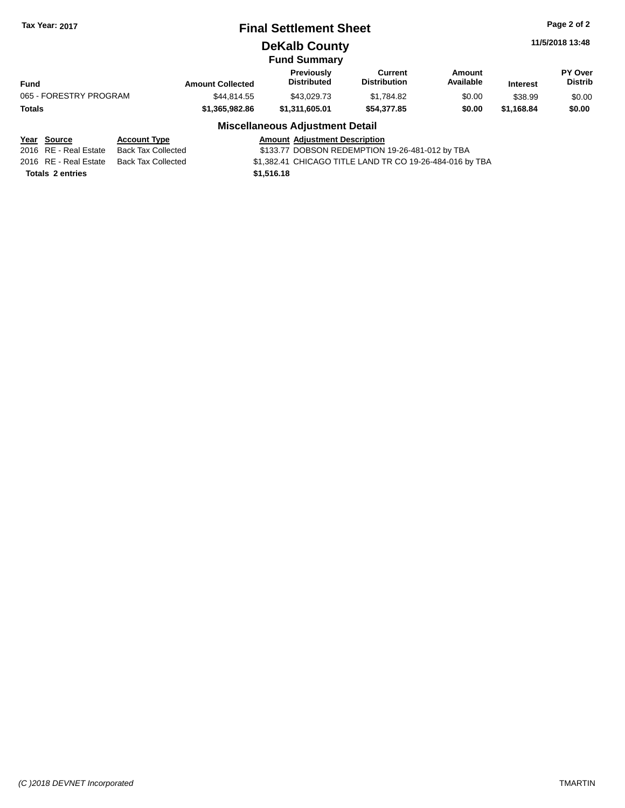### **Final Settlement Sheet Tax Year: 2017 Page 2 of 2**

### **DeKalb County**

**PY Over**

|                         | <b>Fund Summary</b> |                     |           |
|-------------------------|---------------------|---------------------|-----------|
|                         | <b>Previously</b>   | Current             | Amount    |
| <b>Amount Collected</b> | <b>Distributed</b>  | <b>Distribution</b> | Available |

| Fund                   |                     | <b>Amount Collected</b> | <b>Distributed</b>                     | <b>Distribution</b> | Available | <b>Interest</b> | <b>Distrib</b> |
|------------------------|---------------------|-------------------------|----------------------------------------|---------------------|-----------|-----------------|----------------|
| 065 - FORESTRY PROGRAM |                     | \$44.814.55             | \$43.029.73                            | \$1.784.82          | \$0.00    | \$38.99         | \$0.00         |
| Totals                 |                     | \$1,365,982.86          | \$1.311.605.01                         | \$54.377.85         | \$0.00    | \$1.168.84      | \$0.00         |
|                        |                     |                         | <b>Miscellaneous Adjustment Detail</b> |                     |           |                 |                |
| Year Source            | <b>Account Type</b> |                         | <b>Amount Adjustment Description</b>   |                     |           |                 |                |

|                         | <u>rua bouruc</u>     | <b>ACCOUNT TYPE</b> | Allivant Agjustment Description                          |
|-------------------------|-----------------------|---------------------|----------------------------------------------------------|
|                         | 2016 RE - Real Estate | Back Tax Collected  | \$133.77 DOBSON REDEMPTION 19-26-481-012 by TBA          |
|                         | 2016 RE - Real Estate | Back Tax Collected  | \$1,382.41 CHICAGO TITLE LAND TR CO 19-26-484-016 by TBA |
| <b>Totals 2 entries</b> |                       |                     | \$1.516.18                                               |
|                         |                       |                     |                                                          |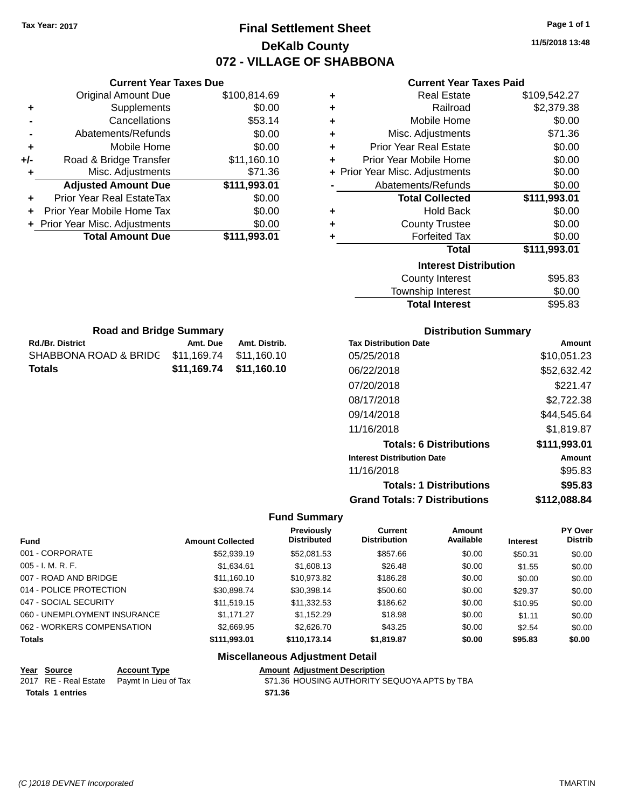### **Final Settlement Sheet Tax Year: 2017 Page 1 of 1 DeKalb County 072 - VILLAGE OF SHABBONA**

**11/5/2018 13:48**

# **Current Year Taxes Paid**

|     | <b>Current Year Taxes Due</b>  |              |  |  |
|-----|--------------------------------|--------------|--|--|
|     | Original Amount Due            | \$100,814.69 |  |  |
| ٠   | Supplements                    | \$0.00       |  |  |
|     | Cancellations                  | \$53.14      |  |  |
|     | Abatements/Refunds             | \$0.00       |  |  |
| ÷   | Mobile Home                    | \$0.00       |  |  |
| +/- | Road & Bridge Transfer         | \$11,160.10  |  |  |
| ٠   | Misc. Adjustments              | \$71.36      |  |  |
|     | <b>Adjusted Amount Due</b>     | \$111,993.01 |  |  |
| ÷   | Prior Year Real EstateTax      | \$0.00       |  |  |
|     | Prior Year Mobile Home Tax     | \$0.00       |  |  |
|     | + Prior Year Misc. Adjustments | \$0.00       |  |  |
|     | <b>Total Amount Due</b>        | \$111,993.01 |  |  |
|     |                                |              |  |  |

|   | Gullelil Ital Taxts Falu       |              |
|---|--------------------------------|--------------|
| ٠ | <b>Real Estate</b>             | \$109,542.27 |
| ٠ | Railroad                       | \$2,379.38   |
| ÷ | Mobile Home                    | \$0.00       |
| ÷ | Misc. Adjustments              | \$71.36      |
| ÷ | <b>Prior Year Real Estate</b>  | \$0.00       |
| ٠ | Prior Year Mobile Home         | \$0.00       |
|   | + Prior Year Misc. Adjustments | \$0.00       |
|   | Abatements/Refunds             | \$0.00       |
|   | <b>Total Collected</b>         | \$111,993.01 |
| ٠ | <b>Hold Back</b>               | \$0.00       |
| ÷ | <b>County Trustee</b>          | \$0.00       |
| ٠ | <b>Forfeited Tax</b>           | \$0.00       |
|   | <b>Total</b>                   | \$111,993.01 |
|   | <b>Interest Distribution</b>   |              |
|   | <b>County Interest</b>         | \$95.83      |
|   | <b>Township Interest</b>       | \$0.00       |
|   | <b>Total Interest</b>          | \$95.83      |

| <b>Road and Bridge Summary</b>    |                         |               |  |  |
|-----------------------------------|-------------------------|---------------|--|--|
| <b>Rd./Br. District</b>           | Amt. Due                | Amt. Distrib. |  |  |
| SHABBONA ROAD & BRIDC \$11,169.74 |                         | \$11.160.10   |  |  |
| Totals                            | \$11,169.74 \$11,160.10 |               |  |  |

#### **Distribution Summary**

| Amount        |
|---------------|
| \$10.051.23   |
| \$52,632.42   |
| \$221.47      |
| \$2,722.38    |
| \$44.545.64   |
| \$1,819.87    |
| \$111,993.01  |
| <b>Amount</b> |
| \$95.83       |
| \$95.83       |
| \$112.088.84  |
|               |

### **Fund Summary**

| <b>Fund</b>                  | <b>Amount Collected</b> | <b>Previously</b><br><b>Distributed</b> | <b>Current</b><br><b>Distribution</b> | Amount<br>Available | <b>Interest</b> | PY Over<br><b>Distrib</b> |
|------------------------------|-------------------------|-----------------------------------------|---------------------------------------|---------------------|-----------------|---------------------------|
| 001 - CORPORATE              | \$52,939.19             | \$52,081.53                             | \$857.66                              | \$0.00              | \$50.31         | \$0.00                    |
| $005 - I. M. R. F.$          | \$1.634.61              | \$1,608.13                              | \$26.48                               | \$0.00              | \$1.55          | \$0.00                    |
| 007 - ROAD AND BRIDGE        | \$11,160.10             | \$10,973.82                             | \$186.28                              | \$0.00              | \$0.00          | \$0.00                    |
| 014 - POLICE PROTECTION      | \$30,898.74             | \$30,398.14                             | \$500.60                              | \$0.00              | \$29.37         | \$0.00                    |
| 047 - SOCIAL SECURITY        | \$11,519.15             | \$11,332.53                             | \$186.62                              | \$0.00              | \$10.95         | \$0.00                    |
| 060 - UNEMPLOYMENT INSURANCE | \$1.171.27              | \$1.152.29                              | \$18.98                               | \$0.00              | \$1.11          | \$0.00                    |
| 062 - WORKERS COMPENSATION   | \$2.669.95              | \$2,626,70                              | \$43.25                               | \$0.00              | \$2.54          | \$0.00                    |
| <b>Totals</b>                | \$111,993.01            | \$110.173.14                            | \$1,819.87                            | \$0.00              | \$95.83         | \$0.00                    |

|                         | Year Source | <b>Account Type</b>                        |         | <b>Amount Adjustment Description</b>          |
|-------------------------|-------------|--------------------------------------------|---------|-----------------------------------------------|
|                         |             | 2017 RE - Real Estate Paymt In Lieu of Tax |         | \$71.36 HOUSING AUTHORITY SEQUOYA APTS by TBA |
| <b>Totals 1 entries</b> |             |                                            | \$71.36 |                                               |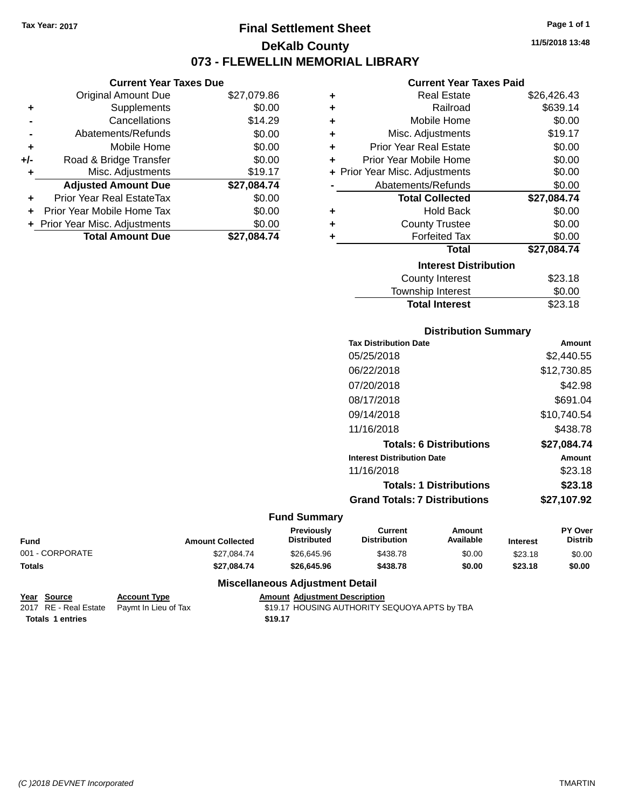### **Final Settlement Sheet Tax Year: 2017 Page 1 of 1 DeKalb County 073 - FLEWELLIN MEMORIAL LIBRARY**

**Current Year Taxes Due**

|       | <b>Original Amount Due</b>       | \$27,079.86 |
|-------|----------------------------------|-------------|
| ٠     | Supplements                      | \$0.00      |
|       | Cancellations                    | \$14.29     |
|       | Abatements/Refunds               | \$0.00      |
| ÷     | Mobile Home                      | \$0.00      |
| $+/-$ | Road & Bridge Transfer           | \$0.00      |
| ٠     | Misc. Adjustments                | \$19.17     |
|       | <b>Adjusted Amount Due</b>       | \$27,084.74 |
|       | <b>Prior Year Real EstateTax</b> | \$0.00      |
|       | Prior Year Mobile Home Tax       | \$0.00      |
|       | + Prior Year Misc. Adjustments   | \$0.00      |
|       | <b>Total Amount Due</b>          | \$27.084.74 |

| ٠ | Real Estate                    | \$26,426.43 |
|---|--------------------------------|-------------|
| ÷ | Railroad                       | \$639.14    |
| ٠ | Mobile Home                    | \$0.00      |
| ÷ | Misc. Adjustments              | \$19.17     |
| ٠ | <b>Prior Year Real Estate</b>  | \$0.00      |
| ٠ | Prior Year Mobile Home         | \$0.00      |
|   | + Prior Year Misc. Adjustments | \$0.00      |
|   | Abatements/Refunds             | \$0.00      |
|   | <b>Total Collected</b>         | \$27,084.74 |
| ٠ | Hold Back                      | \$0.00      |
| ٠ | <b>County Trustee</b>          | \$0.00      |
| ٠ | <b>Forfeited Tax</b>           | \$0.00      |
|   | Total                          | \$27,084.74 |
|   | <b>Interest Distribution</b>   |             |
|   | County Interest                | \$23.18     |
|   | <b>Township Interest</b>       | \$0.00      |
|   | <b>Total Interest</b>          | \$23.18     |

| <b>Distribution Summary</b>          |             |  |  |  |
|--------------------------------------|-------------|--|--|--|
| <b>Tax Distribution Date</b>         | Amount      |  |  |  |
| 05/25/2018                           | \$2,440.55  |  |  |  |
| 06/22/2018                           | \$12,730.85 |  |  |  |
| 07/20/2018                           | \$42.98     |  |  |  |
| 08/17/2018                           | \$691.04    |  |  |  |
| 09/14/2018                           | \$10,740.54 |  |  |  |
| 11/16/2018                           | \$438.78    |  |  |  |
| <b>Totals: 6 Distributions</b>       | \$27,084.74 |  |  |  |
| <b>Interest Distribution Date</b>    | Amount      |  |  |  |
| 11/16/2018                           | \$23.18     |  |  |  |
| <b>Totals: 1 Distributions</b>       | \$23.18     |  |  |  |
| <b>Grand Totals: 7 Distributions</b> | \$27,107.92 |  |  |  |

#### **Fund Summary**

| <b>Fund</b>     | <b>Amount Collected</b> | <b>Previously</b><br><b>Distributed</b> | Current<br><b>Distribution</b> | Amount<br>Available | <b>Interest</b> | PY Over<br>Distrib |
|-----------------|-------------------------|-----------------------------------------|--------------------------------|---------------------|-----------------|--------------------|
| 001 - CORPORATE | \$27.084.74             | \$26,645.96                             | \$438.78                       | \$0.00              | \$23.18         | \$0.00             |
| <b>Totals</b>   | \$27.084.74             | \$26,645.96                             | \$438.78                       | \$0.00              | \$23.18         | \$0.00             |

#### **Miscellaneous Adjustment Detail**

**Year Source Account Type Account Type Amount Adjustment Description**<br>2017 RE - Real Estate Paymt In Lieu of Tax \$19.17 HOUSING AUTHORITY S **Totals 1 entries** \$19.17

\$19.17 HOUSING AUTHORITY SEQUOYA APTS by TBA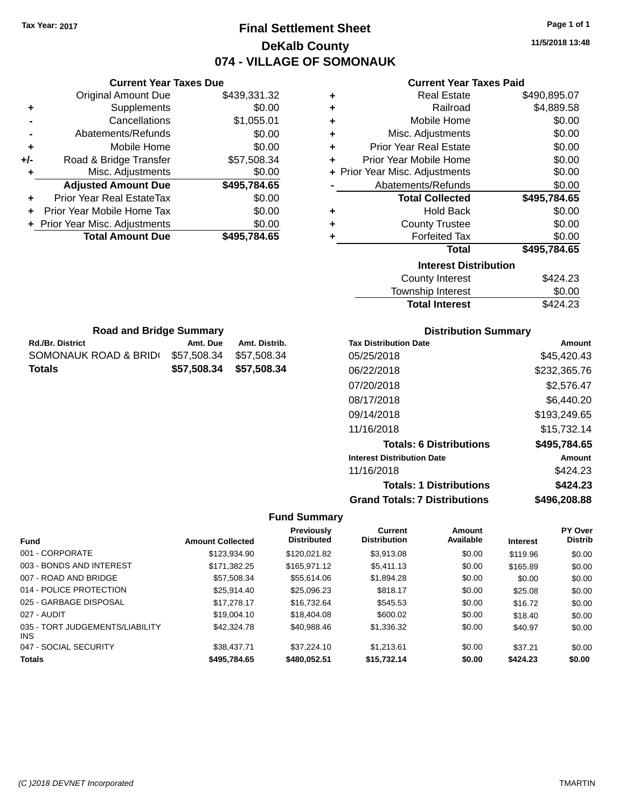### **Final Settlement Sheet Tax Year: 2017 Page 1 of 1 DeKalb County 074 - VILLAGE OF SOMONAUK**

**11/5/2018 13:48**

|     | <b>Current Year Taxes Due</b>    |              |  |  |  |
|-----|----------------------------------|--------------|--|--|--|
|     | Original Amount Due              | \$439,331.32 |  |  |  |
| ٠   | Supplements                      | \$0.00       |  |  |  |
|     | Cancellations                    | \$1,055.01   |  |  |  |
|     | Abatements/Refunds               | \$0.00       |  |  |  |
| ÷   | Mobile Home                      | \$0.00       |  |  |  |
| +/- | Road & Bridge Transfer           | \$57,508.34  |  |  |  |
|     | Misc. Adjustments                | \$0.00       |  |  |  |
|     | <b>Adjusted Amount Due</b>       | \$495,784.65 |  |  |  |
| ٠   | <b>Prior Year Real EstateTax</b> | \$0.00       |  |  |  |
|     | Prior Year Mobile Home Tax       | \$0.00       |  |  |  |
|     | + Prior Year Misc. Adjustments   | \$0.00       |  |  |  |
|     | <b>Total Amount Due</b>          | \$495,784.65 |  |  |  |
|     |                                  |              |  |  |  |

#### **Current Year Taxes Paid**

| ٠ | <b>Real Estate</b>             | \$490,895.07 |
|---|--------------------------------|--------------|
| ÷ | Railroad                       | \$4,889.58   |
| ÷ | Mobile Home                    | \$0.00       |
| ٠ | Misc. Adjustments              | \$0.00       |
| ٠ | <b>Prior Year Real Estate</b>  | \$0.00       |
| ÷ | Prior Year Mobile Home         | \$0.00       |
|   | + Prior Year Misc. Adjustments | \$0.00       |
|   | Abatements/Refunds             | \$0.00       |
|   | <b>Total Collected</b>         | \$495,784.65 |
| ٠ | <b>Hold Back</b>               | \$0.00       |
| ٠ | <b>County Trustee</b>          | \$0.00       |
| ٠ | <b>Forfeited Tax</b>           | \$0.00       |
|   | Total                          | \$495,784.65 |
|   | <b>Interest Distribution</b>   |              |
|   | County Interest                | \$424.23     |

| <b>Total Interest</b> | \$424.23 |
|-----------------------|----------|
| Township Interest     | \$0.00   |
| County Interest       | \$424.23 |

| <b>Road and Bridge Summary</b> |                         |               |  |  |
|--------------------------------|-------------------------|---------------|--|--|
| <b>Rd./Br. District</b>        | Amt. Due                | Amt. Distrib. |  |  |
| SOMONAUK ROAD & BRID(          | \$57.508.34             | \$57.508.34   |  |  |
| <b>Totals</b>                  | \$57,508.34 \$57,508.34 |               |  |  |

#### **Distribution Summary**

| <b>Tax Distribution Date</b>         | Amount       |
|--------------------------------------|--------------|
| 05/25/2018                           | \$45.420.43  |
| 06/22/2018                           | \$232,365.76 |
| 07/20/2018                           | \$2.576.47   |
| 08/17/2018                           | \$6,440.20   |
| 09/14/2018                           | \$193,249.65 |
| 11/16/2018                           | \$15,732.14  |
| <b>Totals: 6 Distributions</b>       | \$495,784.65 |
| <b>Interest Distribution Date</b>    | Amount       |
| 11/16/2018                           | \$424.23     |
| <b>Totals: 1 Distributions</b>       | \$424.23     |
| <b>Grand Totals: 7 Distributions</b> | \$496.208.88 |

| <b>Fund</b>                             | <b>Amount Collected</b> | Previously<br><b>Distributed</b> | <b>Current</b><br><b>Distribution</b> | Amount<br>Available | <b>Interest</b> | <b>PY Over</b><br><b>Distrib</b> |
|-----------------------------------------|-------------------------|----------------------------------|---------------------------------------|---------------------|-----------------|----------------------------------|
| 001 - CORPORATE                         | \$123,934.90            | \$120,021.82                     | \$3.913.08                            | \$0.00              | \$119.96        | \$0.00                           |
| 003 - BONDS AND INTEREST                | \$171.382.25            | \$165.971.12                     | \$5,411.13                            | \$0.00              | \$165.89        | \$0.00                           |
| 007 - ROAD AND BRIDGE                   | \$57.508.34             | \$55,614.06                      | \$1,894.28                            | \$0.00              | \$0.00          | \$0.00                           |
| 014 - POLICE PROTECTION                 | \$25.914.40             | \$25,096.23                      | \$818.17                              | \$0.00              | \$25.08         | \$0.00                           |
| 025 - GARBAGE DISPOSAL                  | \$17,278,17             | \$16.732.64                      | \$545.53                              | \$0.00              | \$16.72         | \$0.00                           |
| 027 - AUDIT                             | \$19,004.10             | \$18,404.08                      | \$600.02                              | \$0.00              | \$18.40         | \$0.00                           |
| 035 - TORT JUDGEMENTS/LIABILITY<br>INS. | \$42,324.78             | \$40.988.46                      | \$1,336,32                            | \$0.00              | \$40.97         | \$0.00                           |
| 047 - SOCIAL SECURITY                   | \$38,437.71             | \$37.224.10                      | \$1.213.61                            | \$0.00              | \$37.21         | \$0.00                           |
| <b>Totals</b>                           | \$495,784.65            | \$480,052.51                     | \$15,732.14                           | \$0.00              | \$424.23        | \$0.00                           |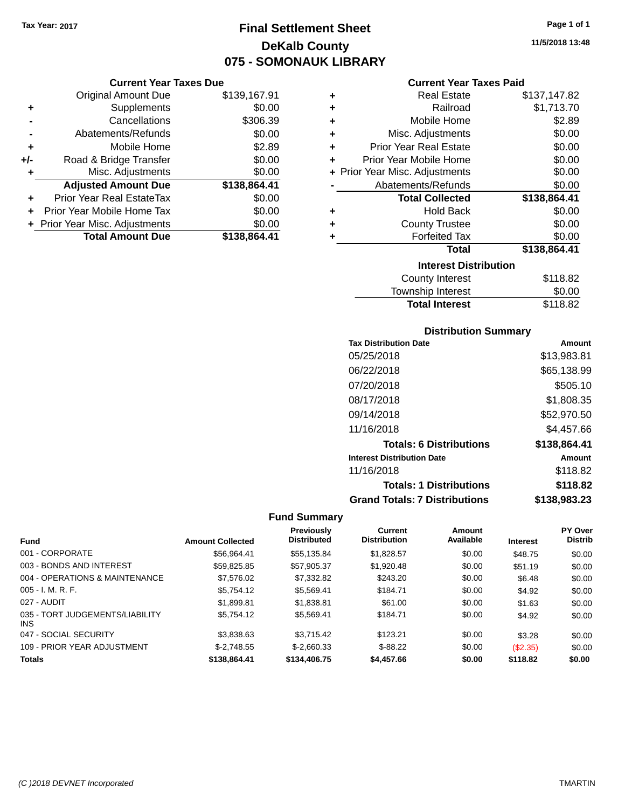### **Final Settlement Sheet Tax Year: 2017 Page 1 of 1 DeKalb County 075 - SOMONAUK LIBRARY**

#### **Current Year Taxes Due**

|       | <b>Original Amount Due</b>       | \$139,167.91 |
|-------|----------------------------------|--------------|
| ٠     | Supplements                      | \$0.00       |
|       | Cancellations                    | \$306.39     |
|       | Abatements/Refunds               | \$0.00       |
| ÷     | Mobile Home                      | \$2.89       |
| $+/-$ | Road & Bridge Transfer           | \$0.00       |
| ٠     | Misc. Adjustments                | \$0.00       |
|       | <b>Adjusted Amount Due</b>       | \$138,864.41 |
| ٠     | <b>Prior Year Real EstateTax</b> | \$0.00       |
|       | Prior Year Mobile Home Tax       | \$0.00       |
|       | + Prior Year Misc. Adjustments   | \$0.00       |
|       | <b>Total Amount Due</b>          | \$138,864.41 |

#### **Current Year Taxes Paid**

| ٠ | <b>Real Estate</b>             | \$137,147.82 |
|---|--------------------------------|--------------|
| ٠ | Railroad                       | \$1,713.70   |
| ÷ | Mobile Home                    | \$2.89       |
| ٠ | Misc. Adjustments              | \$0.00       |
| ٠ | <b>Prior Year Real Estate</b>  | \$0.00       |
| ٠ | Prior Year Mobile Home         | \$0.00       |
|   | + Prior Year Misc. Adjustments | \$0.00       |
|   | Abatements/Refunds             | \$0.00       |
|   | <b>Total Collected</b>         | \$138,864.41 |
| ٠ | <b>Hold Back</b>               | \$0.00       |
|   |                                |              |
| ٠ | <b>County Trustee</b>          | \$0.00       |
| ٠ | <b>Forfeited Tax</b>           | \$0.00       |
|   | <b>Total</b>                   | \$138,864.41 |
|   | <b>Interest Distribution</b>   |              |
|   | <b>County Interest</b>         | \$118.82     |

### Township Interest 50.00<br>Total Interest \$118.82 **Total Interest**

#### **Distribution Summary**

| <b>Tax Distribution Date</b>         | Amount       |
|--------------------------------------|--------------|
| 05/25/2018                           | \$13,983.81  |
| 06/22/2018                           | \$65,138.99  |
| 07/20/2018                           | \$505.10     |
| 08/17/2018                           | \$1,808.35   |
| 09/14/2018                           | \$52,970.50  |
| 11/16/2018                           | \$4.457.66   |
| <b>Totals: 6 Distributions</b>       | \$138,864.41 |
| <b>Interest Distribution Date</b>    | Amount       |
| 11/16/2018                           | \$118.82     |
| <b>Totals: 1 Distributions</b>       | \$118.82     |
| <b>Grand Totals: 7 Distributions</b> | \$138,983.23 |

|                                         |                         | Previously<br><b>Distributed</b> | <b>Current</b><br><b>Distribution</b> | <b>Amount</b><br>Available |                 | <b>PY Over</b><br><b>Distrib</b> |
|-----------------------------------------|-------------------------|----------------------------------|---------------------------------------|----------------------------|-----------------|----------------------------------|
| <b>Fund</b>                             | <b>Amount Collected</b> |                                  |                                       |                            | <b>Interest</b> |                                  |
| 001 - CORPORATE                         | \$56.964.41             | \$55.135.84                      | \$1.828.57                            | \$0.00                     | \$48.75         | \$0.00                           |
| 003 - BONDS AND INTEREST                | \$59,825.85             | \$57.905.37                      | \$1,920.48                            | \$0.00                     | \$51.19         | \$0.00                           |
| 004 - OPERATIONS & MAINTENANCE          | \$7,576.02              | \$7,332.82                       | \$243.20                              | \$0.00                     | \$6.48          | \$0.00                           |
| $005 - I. M. R. F.$                     | \$5.754.12              | \$5.569.41                       | \$184.71                              | \$0.00                     | \$4.92          | \$0.00                           |
| 027 - AUDIT                             | \$1,899.81              | \$1.838.81                       | \$61.00                               | \$0.00                     | \$1.63          | \$0.00                           |
| 035 - TORT JUDGEMENTS/LIABILITY<br>INS. | \$5.754.12              | \$5.569.41                       | \$184.71                              | \$0.00                     | \$4.92          | \$0.00                           |
| 047 - SOCIAL SECURITY                   | \$3,838.63              | \$3.715.42                       | \$123.21                              | \$0.00                     | \$3.28          | \$0.00                           |
| 109 - PRIOR YEAR ADJUSTMENT             | $$-2.748.55$            | $$-2.660.33$                     | $$ -88.22$                            | \$0.00                     | (\$2.35)        | \$0.00                           |
| <b>Totals</b>                           | \$138,864.41            | \$134,406.75                     | \$4,457.66                            | \$0.00                     | \$118.82        | \$0.00                           |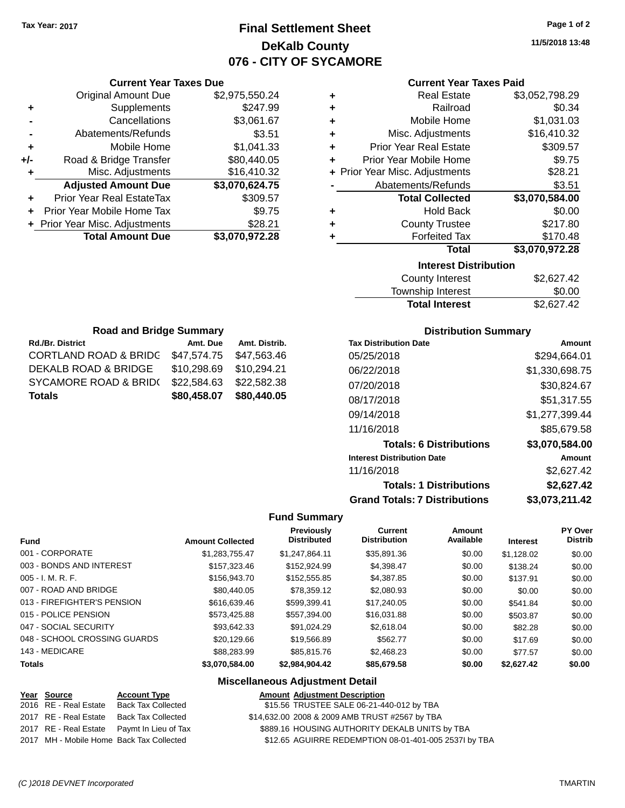### **Final Settlement Sheet Tax Year: 2017 Page 1 of 2 DeKalb County 076 - CITY OF SYCAMORE**

**11/5/2018 13:48**

| <b>Current Year Taxes Paid</b> |  |  |  |
|--------------------------------|--|--|--|
|--------------------------------|--|--|--|

|     | <b>Original Amount Due</b>       | \$2,975,550.24 | ٠ | <b>Real Estate</b>                 | \$3,052,798.29                                                                                                                                                                                                                                                                                                                                                                                                         |
|-----|----------------------------------|----------------|---|------------------------------------|------------------------------------------------------------------------------------------------------------------------------------------------------------------------------------------------------------------------------------------------------------------------------------------------------------------------------------------------------------------------------------------------------------------------|
| ٠   | Supplements                      | \$247.99       | ٠ | Railroad                           | \$0.34                                                                                                                                                                                                                                                                                                                                                                                                                 |
|     | Cancellations                    | \$3,061.67     | ٠ | Mobile Home                        | \$1,031.03                                                                                                                                                                                                                                                                                                                                                                                                             |
|     | Abatements/Refunds               | \$3.51         | ٠ | Misc. Adjustments                  | \$16,410.32                                                                                                                                                                                                                                                                                                                                                                                                            |
| ٠   | Mobile Home                      | \$1,041.33     | ٠ | <b>Prior Year Real Estate</b>      | \$309.57                                                                                                                                                                                                                                                                                                                                                                                                               |
| +/- | Road & Bridge Transfer           | \$80,440.05    | ٠ | Prior Year Mobile Home             | \$9.75                                                                                                                                                                                                                                                                                                                                                                                                                 |
|     | Misc. Adjustments                | \$16,410.32    |   | + Prior Year Misc. Adjustments     | \$28.21                                                                                                                                                                                                                                                                                                                                                                                                                |
|     | <b>Adjusted Amount Due</b>       | \$3,070,624.75 |   | Abatements/Refunds                 | \$3.51                                                                                                                                                                                                                                                                                                                                                                                                                 |
| ÷.  | <b>Prior Year Real EstateTax</b> | \$309.57       |   | <b>Total Collected</b>             | \$3,070,584.00                                                                                                                                                                                                                                                                                                                                                                                                         |
|     | Prior Year Mobile Home Tax       | \$9.75         | ٠ | <b>Hold Back</b>                   | \$0.00                                                                                                                                                                                                                                                                                                                                                                                                                 |
|     | + Prior Year Misc. Adjustments   | \$28.21        | ٠ | <b>County Trustee</b>              | \$217.80                                                                                                                                                                                                                                                                                                                                                                                                               |
|     | <b>Total Amount Due</b>          | \$3,070,972.28 |   | <b>Forfeited Tax</b>               | \$170.48                                                                                                                                                                                                                                                                                                                                                                                                               |
|     |                                  |                |   | Total                              | \$3,070,972.28                                                                                                                                                                                                                                                                                                                                                                                                         |
|     |                                  |                |   | <b>Interest Distribution</b>       |                                                                                                                                                                                                                                                                                                                                                                                                                        |
|     |                                  |                |   | $\sim$ $\sim$ $\sim$ $\sim$ $\sim$ | $\mathbf{A} \mathbf{A} \mathbf{A} \mathbf{A} \mathbf{A} \mathbf{A} \mathbf{A} \mathbf{A} \mathbf{A} \mathbf{A} \mathbf{A} \mathbf{A} \mathbf{A} \mathbf{A} \mathbf{A} \mathbf{A} \mathbf{A} \mathbf{A} \mathbf{A} \mathbf{A} \mathbf{A} \mathbf{A} \mathbf{A} \mathbf{A} \mathbf{A} \mathbf{A} \mathbf{A} \mathbf{A} \mathbf{A} \mathbf{A} \mathbf{A} \mathbf{A} \mathbf{A} \mathbf{A} \mathbf{A} \mathbf{A} \mathbf{$ |

| County Interest       | \$2,627.42 |
|-----------------------|------------|
| Township Interest     | \$0.00     |
| <b>Total Interest</b> | \$2,627.42 |

| <b>Road and Bridge Summary</b>              |             |               |  |  |  |
|---------------------------------------------|-------------|---------------|--|--|--|
| <b>Rd./Br. District</b>                     | Amt. Due    | Amt. Distrib. |  |  |  |
| <b>CORTLAND ROAD &amp; BRIDG</b>            | \$47,574.75 | \$47,563.46   |  |  |  |
| DEKALB ROAD & BRIDGE                        | \$10,298.69 | \$10,294.21   |  |  |  |
| <b>SYCAMORE ROAD &amp; BRID(</b>            | \$22,584.63 | \$22,582.38   |  |  |  |
| \$80,440.05<br>\$80,458.07<br><b>Totals</b> |             |               |  |  |  |

**Current Year Taxes Due**

#### **Distribution Summary**

| <b>Tax Distribution Date</b>         | Amount         |
|--------------------------------------|----------------|
| 05/25/2018                           | \$294.664.01   |
| 06/22/2018                           | \$1,330,698.75 |
| 07/20/2018                           | \$30,824.67    |
| 08/17/2018                           | \$51,317.55    |
| 09/14/2018                           | \$1,277,399.44 |
| 11/16/2018                           | \$85,679.58    |
| <b>Totals: 6 Distributions</b>       | \$3,070,584.00 |
| <b>Interest Distribution Date</b>    | Amount         |
| 11/16/2018                           | \$2,627.42     |
| <b>Totals: 1 Distributions</b>       | \$2,627.42     |
| <b>Grand Totals: 7 Distributions</b> | \$3,073,211.42 |

#### **Fund Summary**

| <b>Fund</b>                  | <b>Amount Collected</b> | <b>Previously</b><br><b>Distributed</b> | Current<br><b>Distribution</b> | Amount<br>Available | <b>Interest</b> | <b>PY Over</b><br><b>Distrib</b> |
|------------------------------|-------------------------|-----------------------------------------|--------------------------------|---------------------|-----------------|----------------------------------|
| 001 - CORPORATE              | \$1,283,755.47          | \$1.247.864.11                          | \$35,891.36                    | \$0.00              | \$1,128.02      | \$0.00                           |
| 003 - BONDS AND INTEREST     | \$157,323,46            | \$152,924.99                            | \$4,398.47                     | \$0.00              | \$138.24        | \$0.00                           |
| $005 - I. M. R. F.$          | \$156,943.70            | \$152,555.85                            | \$4,387.85                     | \$0.00              | \$137.91        | \$0.00                           |
| 007 - ROAD AND BRIDGE        | \$80,440.05             | \$78.359.12                             | \$2,080.93                     | \$0.00              | \$0.00          | \$0.00                           |
| 013 - FIREFIGHTER'S PENSION  | \$616,639.46            | \$599.399.41                            | \$17,240.05                    | \$0.00              | \$541.84        | \$0.00                           |
| 015 - POLICE PENSION         | \$573.425.88            | \$557.394.00                            | \$16,031.88                    | \$0.00              | \$503.87        | \$0.00                           |
| 047 - SOCIAL SECURITY        | \$93.642.33             | \$91.024.29                             | \$2,618,04                     | \$0.00              | \$82.28         | \$0.00                           |
| 048 - SCHOOL CROSSING GUARDS | \$20.129.66             | \$19.566.89                             | \$562.77                       | \$0.00              | \$17.69         | \$0.00                           |
| 143 - MEDICARE               | \$88,283.99             | \$85,815,76                             | \$2,468.23                     | \$0.00              | \$77.57         | \$0.00                           |
| <b>Totals</b>                | \$3,070,584.00          | \$2,984,904.42                          | \$85,679.58                    | \$0.00              | \$2,627.42      | \$0.00                           |

| <u>Year Source</u>    | <b>Account Type</b>                        | <b>Amount Adjustment Description</b>                  |
|-----------------------|--------------------------------------------|-------------------------------------------------------|
| 2016 RE - Real Estate | Back Tax Collected                         | \$15.56 TRUSTEE SALE 06-21-440-012 by TBA             |
| 2017 RE - Real Estate | <b>Back Tax Collected</b>                  | \$14,632.00 2008 & 2009 AMB TRUST #2567 by TBA        |
|                       | 2017 RE - Real Estate Paymt In Lieu of Tax | \$889.16 HOUSING AUTHORITY DEKALB UNITS by TBA        |
|                       | 2017 MH - Mobile Home Back Tax Collected   | \$12.65 AGUIRRE REDEMPTION 08-01-401-005 2537I by TBA |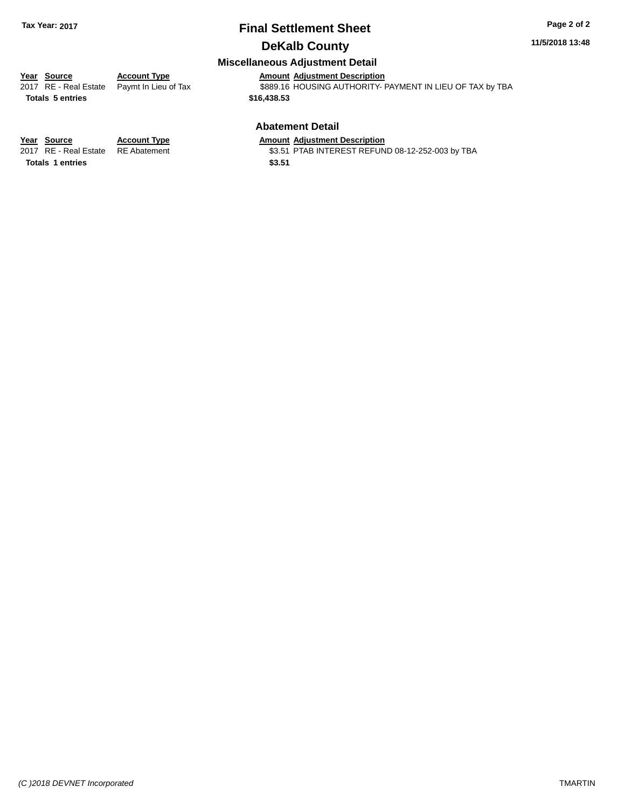## **Final Settlement Sheet Tax Year: 2017 Page 2 of 2**

### **DeKalb County**

### **Miscellaneous Adjustment Detail**

# **Year Source Account Type Account Type Amount Adjustment Description**<br>2017 RE - Real Estate Paymt In Lieu of Tax \$889.16 HOUSING AUTHORITY-

**Totals \$16,438.53 5 entries**

 $\overline{3889.16}$  HOUSING AUTHORITY- PAYMENT IN LIEU OF TAX by TBA

### **Abatement Detail**

RE Abatement **2017 8217 PTAB INTEREST REFUND 08-12-252-003 by TBA**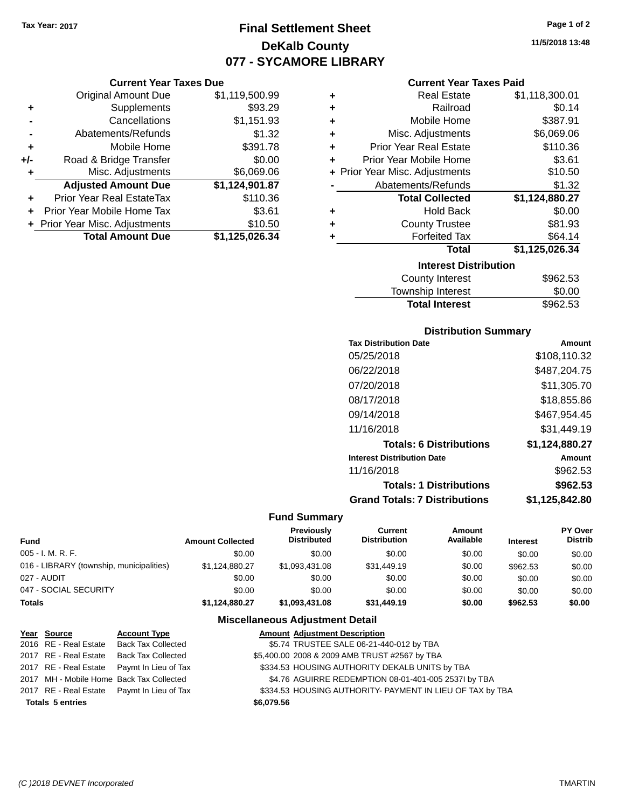**Current Year Taxes Due** Original Amount Due \$1,119,500.99

**Adjusted Amount Due \$1,124,901.87**

**Total Amount Due \$1,125,026.34**

**+** Supplements \$93.29 **-** Cancellations \$1,151.93 **-** Abatements/Refunds \$1.32 **+** Mobile Home \$391.78 **+/-** Road & Bridge Transfer \$0.00<br>**+** Misc. Adjustments \$6,069.06

**+** Prior Year Real EstateTax \$110.36 **+** Prior Year Mobile Home Tax \$3.61 **+ Prior Year Misc. Adjustments \$10.50** 

**+** Misc. Adjustments

### **Final Settlement Sheet Tax Year: 2017 Page 1 of 2 DeKalb County 077 - SYCAMORE LIBRARY**

**11/5/2018 13:48**

#### **Current Year Taxes Paid**

| ٠ | <b>Real Estate</b>             | \$1,118,300.01 |
|---|--------------------------------|----------------|
| ٠ | Railroad                       | \$0.14         |
| ٠ | Mobile Home                    | \$387.91       |
| ÷ | Misc. Adjustments              | \$6,069.06     |
| ٠ | <b>Prior Year Real Estate</b>  | \$110.36       |
| ٠ | Prior Year Mobile Home         | \$3.61         |
|   | + Prior Year Misc. Adjustments | \$10.50        |
|   | Abatements/Refunds             | \$1.32         |
|   | <b>Total Collected</b>         | \$1,124,880.27 |
| ٠ | <b>Hold Back</b>               | \$0.00         |
| ٠ | <b>County Trustee</b>          | \$81.93        |
|   | <b>Forfeited Tax</b>           | \$64.14        |
|   | <b>Total</b>                   | \$1,125,026.34 |
|   | <b>Interest Distribution</b>   |                |
|   | County Interest                | \$962.53       |
|   |                                |                |

| _ _ _ _ _             |          |
|-----------------------|----------|
| Township Interest     | \$0.00   |
| <b>Total Interest</b> | \$962.53 |
|                       |          |

#### **Distribution Summary**

| <b>Tax Distribution Date</b>         | Amount         |
|--------------------------------------|----------------|
| 05/25/2018                           | \$108,110.32   |
| 06/22/2018                           | \$487,204.75   |
| 07/20/2018                           | \$11,305.70    |
| 08/17/2018                           | \$18,855.86    |
| 09/14/2018                           | \$467,954.45   |
| 11/16/2018                           | \$31,449.19    |
| <b>Totals: 6 Distributions</b>       | \$1,124,880.27 |
| <b>Interest Distribution Date</b>    | Amount         |
| 11/16/2018                           | \$962.53       |
| <b>Totals: 1 Distributions</b>       | \$962.53       |
| <b>Grand Totals: 7 Distributions</b> | \$1,125,842.80 |

#### **Fund Summary**

| <b>Fund</b>                              | <b>Amount Collected</b> | <b>Previously</b><br><b>Distributed</b> | Current<br><b>Distribution</b> | Amount<br>Available | <b>Interest</b> | PY Over<br><b>Distrib</b> |
|------------------------------------------|-------------------------|-----------------------------------------|--------------------------------|---------------------|-----------------|---------------------------|
| 005 - I. M. R. F.                        | \$0.00                  | \$0.00                                  | \$0.00                         | \$0.00              | \$0.00          | \$0.00                    |
| 016 - LIBRARY (township, municipalities) | \$1.124.880.27          | \$1,093,431.08                          | \$31,449.19                    | \$0.00              | \$962.53        | \$0.00                    |
| 027 - AUDIT                              | \$0.00                  | \$0.00                                  | \$0.00                         | \$0.00              | \$0.00          | \$0.00                    |
| 047 - SOCIAL SECURITY                    | \$0.00                  | \$0.00                                  | \$0.00                         | \$0.00              | \$0.00          | \$0.00                    |
| <b>Totals</b>                            | \$1.124.880.27          | \$1,093,431.08                          | \$31.449.19                    | \$0.00              | \$962.53        | \$0.00                    |
|                                          |                         | Miccollangous Adjustment Detail         |                                |                     |                 |                           |

| Year Source             | <b>Account Type</b>                        | <b>Amount Adjustment Description</b>                      |
|-------------------------|--------------------------------------------|-----------------------------------------------------------|
|                         | 2016 RE - Real Estate Back Tax Collected   | \$5.74 TRUSTEE SALE 06-21-440-012 by TBA                  |
|                         | 2017 RE - Real Estate Back Tax Collected   | \$5,400.00 2008 & 2009 AMB TRUST #2567 by TBA             |
|                         | 2017 RE - Real Estate Paymt In Lieu of Tax | \$334.53 HOUSING AUTHORITY DEKALB UNITS by TBA            |
|                         | 2017 MH - Mobile Home Back Tax Collected   | \$4.76 AGUIRRE REDEMPTION 08-01-401-005 2537I by TBA      |
|                         | 2017 RE - Real Estate Paymt In Lieu of Tax | \$334.53 HOUSING AUTHORITY- PAYMENT IN LIEU OF TAX by TBA |
| <b>Totals 5 entries</b> |                                            | \$6,079.56                                                |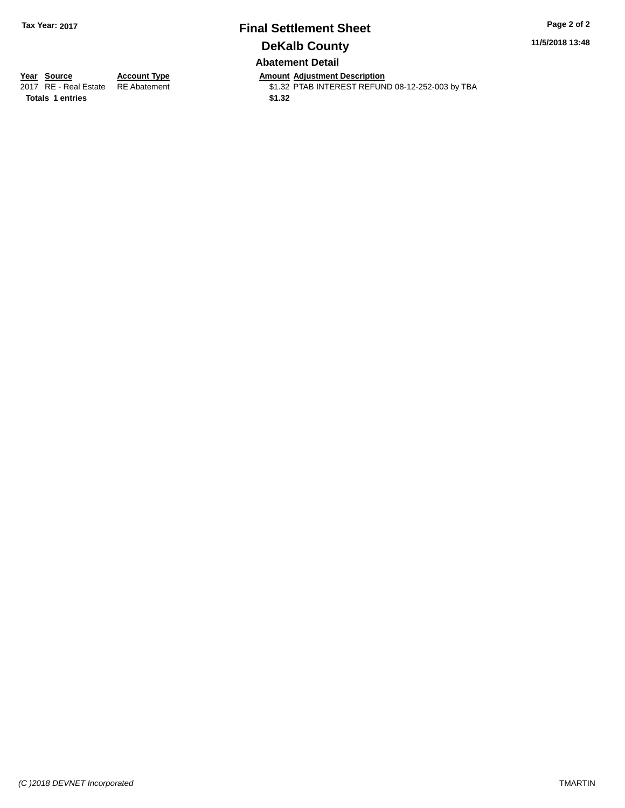### **Final Settlement Sheet Tax Year: 2017 Page 2 of 2 DeKalb County Abatement Detail**

**11/5/2018 13:48**

**Totals 1 entries** \$1.32

**Year Source Account Type Anneurs Amount Adjustment Description**<br>2017 RE - Real Estate RE Abatement **Alter St.32 PTAB INTEREST REFUN** \$1.32 PTAB INTEREST REFUND 08-12-252-003 by TBA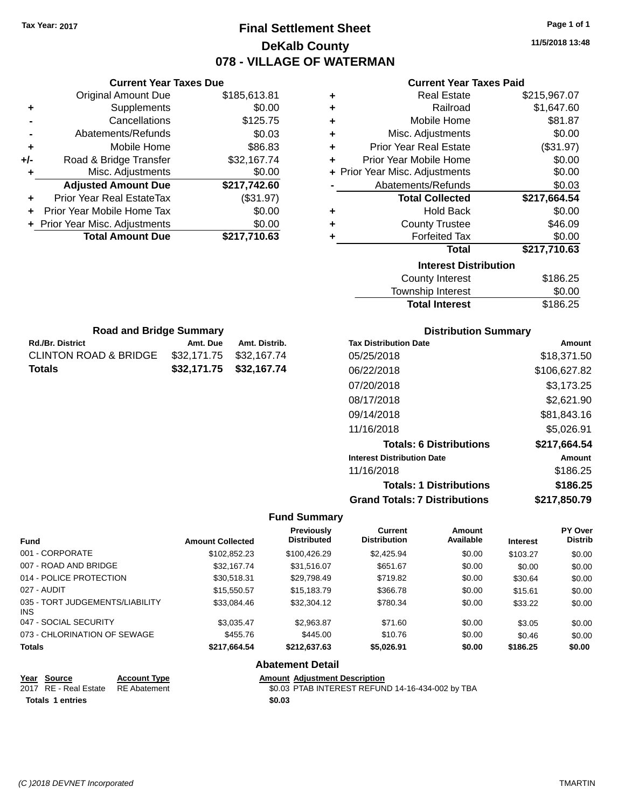### **Final Settlement Sheet Tax Year: 2017 Page 1 of 1 DeKalb County 078 - VILLAGE OF WATERMAN**

**11/5/2018 13:48**

# **Current Year Taxes Paid**

|       | <b>Current Year Taxes Due</b>  |              |   |                  |
|-------|--------------------------------|--------------|---|------------------|
|       | Original Amount Due            | \$185,613.81 | ٠ |                  |
|       | Supplements                    | \$0.00       | ٠ |                  |
|       | Cancellations                  | \$125.75     | ٠ |                  |
|       | Abatements/Refunds             | \$0.03       | ٠ | Mi:              |
|       | Mobile Home                    | \$86.83      | ٠ | Prior Y          |
| $+/-$ | Road & Bridge Transfer         | \$32,167.74  | ٠ | <b>Prior Yea</b> |
|       | Misc. Adjustments              | \$0.00       |   | + Prior Year Mis |
|       | <b>Adjusted Amount Due</b>     | \$217,742.60 |   | Abate            |
|       | Prior Year Real EstateTax      | (\$31.97)    |   |                  |
|       | Prior Year Mobile Home Tax     | \$0.00       | ٠ |                  |
|       | + Prior Year Misc. Adjustments | \$0.00       | ٠ |                  |
|       | <b>Total Amount Due</b>        | \$217,710.63 |   |                  |
|       |                                |              |   |                  |
|       |                                |              |   |                  |

Rd./Br. District **Amt. Due** Amt. Distrib. **Road and Bridge Summary**

CLINTON ROAD & BRIDGE \$32,171.75 \$32,167.74 **Totals \$32,171.75 \$32,167.74**

| ٠ | <b>Real Estate</b>             | \$215,967.07 |
|---|--------------------------------|--------------|
| ÷ | Railroad                       | \$1,647.60   |
| ÷ | Mobile Home                    | \$81.87      |
| ٠ | Misc. Adjustments              | \$0.00       |
| ٠ | <b>Prior Year Real Estate</b>  | (\$31.97)    |
| ÷ | Prior Year Mobile Home         | \$0.00       |
|   | + Prior Year Misc. Adjustments | \$0.00       |
|   | Abatements/Refunds             | \$0.03       |
|   |                                |              |
|   | <b>Total Collected</b>         | \$217,664.54 |
| ٠ | <b>Hold Back</b>               | \$0.00       |
| ٠ | <b>County Trustee</b>          | \$46.09      |
|   | <b>Forfeited Tax</b>           | \$0.00       |
|   | <b>Total</b>                   | \$217,710.63 |
|   | <b>Interest Distribution</b>   |              |
|   | <b>County Interest</b>         | \$186.25     |

| TOWITSHIP THEFEST     | JU.UU    |
|-----------------------|----------|
| <b>Total Interest</b> | \$186.25 |
|                       |          |

| <b>Distribution Summary</b>          |               |
|--------------------------------------|---------------|
| <b>Tax Distribution Date</b>         | Amount        |
| 05/25/2018                           | \$18,371.50   |
| 06/22/2018                           | \$106,627.82  |
| 07/20/2018                           | \$3,173.25    |
| 08/17/2018                           | \$2,621.90    |
| 09/14/2018                           | \$81,843.16   |
| 11/16/2018                           | \$5,026.91    |
| <b>Totals: 6 Distributions</b>       | \$217,664.54  |
| <b>Interest Distribution Date</b>    | <b>Amount</b> |
| 11/16/2018                           | \$186.25      |
| <b>Totals: 1 Distributions</b>       | \$186.25      |
| <b>Grand Totals: 7 Distributions</b> | \$217,850.79  |

#### **Fund Summary**

| <b>Fund</b>                             | <b>Amount Collected</b> | <b>Previously</b><br><b>Distributed</b> | Current<br><b>Distribution</b> | Amount<br>Available | <b>Interest</b> | <b>PY Over</b><br><b>Distrib</b> |
|-----------------------------------------|-------------------------|-----------------------------------------|--------------------------------|---------------------|-----------------|----------------------------------|
| 001 - CORPORATE                         | \$102,852.23            | \$100,426.29                            | \$2,425.94                     | \$0.00              | \$103.27        | \$0.00                           |
| 007 - ROAD AND BRIDGE                   | \$32,167.74             | \$31,516.07                             | \$651.67                       | \$0.00              | \$0.00          | \$0.00                           |
| 014 - POLICE PROTECTION                 | \$30,518.31             | \$29,798.49                             | \$719.82                       | \$0.00              | \$30.64         | \$0.00                           |
| 027 - AUDIT                             | \$15,550.57             | \$15,183,79                             | \$366.78                       | \$0.00              | \$15.61         | \$0.00                           |
| 035 - TORT JUDGEMENTS/LIABILITY<br>INS. | \$33,084.46             | \$32,304.12                             | \$780.34                       | \$0.00              | \$33.22         | \$0.00                           |
| 047 - SOCIAL SECURITY                   | \$3,035.47              | \$2,963.87                              | \$71.60                        | \$0.00              | \$3.05          | \$0.00                           |
| 073 - CHLORINATION OF SEWAGE            | \$455.76                | \$445.00                                | \$10.76                        | \$0.00              | \$0.46          | \$0.00                           |
| <b>Totals</b>                           | \$217,664.54            | \$212,637.63                            | \$5,026.91                     | \$0.00              | \$186.25        | \$0.00                           |

#### **Abatement Detail**

| Year Source                        | <b>Account Type</b> | <b>Amount Adiustment Description</b>             |
|------------------------------------|---------------------|--------------------------------------------------|
| 2017 RE - Real Estate RE Abatement |                     | \$0.03 PTAB INTEREST REFUND 14-16-434-002 by TBA |
| Totals 1 entries                   |                     | \$0.03                                           |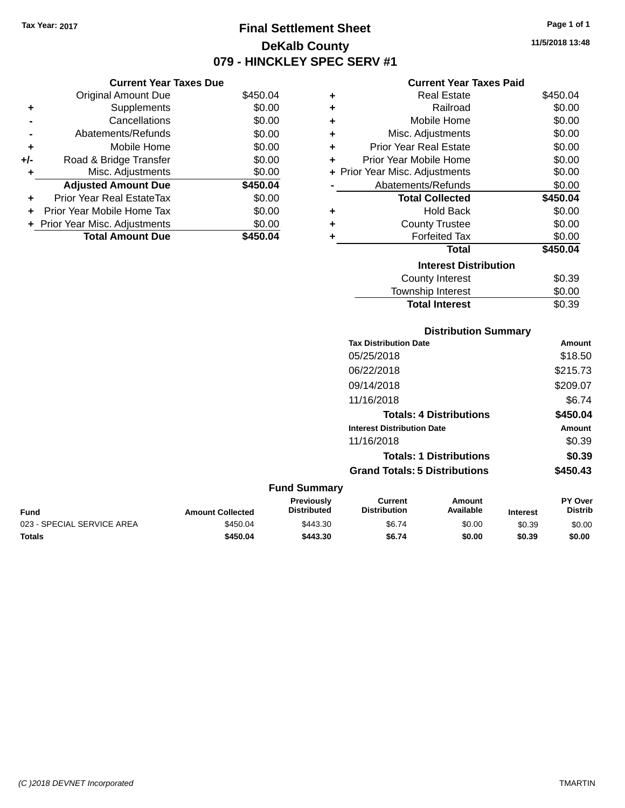### **Final Settlement Sheet Tax Year: 2017 Page 1 of 1 DeKalb County 079 - HINCKLEY SPEC SERV #1**

**11/5/2018 13:48**

|     |                                | ,,,,,,   |  |
|-----|--------------------------------|----------|--|
|     | <b>Current Year Taxes Due</b>  |          |  |
|     | Original Amount Due            | \$450.04 |  |
| ٠   | Supplements                    | \$0.00   |  |
|     | Cancellations                  | \$0.00   |  |
|     | Abatements/Refunds             | \$0.00   |  |
| ٠   | Mobile Home                    | \$0.00   |  |
| +/- | Road & Bridge Transfer         | \$0.00   |  |
| ٠   | Misc. Adjustments              | \$0.00   |  |
|     | <b>Adjusted Amount Due</b>     | \$450.04 |  |
|     | Prior Year Real EstateTax      | \$0.00   |  |
| ÷   | Prior Year Mobile Home Tax     | \$0.00   |  |
|     | + Prior Year Misc. Adjustments | \$0.00   |  |
|     | <b>Total Amount Due</b>        | \$450.04 |  |

#### **Current Year Taxes Paid**

|   | Real Estate                    | \$450.04 |
|---|--------------------------------|----------|
| ٠ | Railroad                       | \$0.00   |
| ٠ | Mobile Home                    | \$0.00   |
| ٠ | Misc. Adjustments              | \$0.00   |
| ٠ | <b>Prior Year Real Estate</b>  | \$0.00   |
| ٠ | Prior Year Mobile Home         | \$0.00   |
|   | + Prior Year Misc. Adjustments | \$0.00   |
|   | Abatements/Refunds             | \$0.00   |
|   | <b>Total Collected</b>         | \$450.04 |
| ٠ | Hold Back                      | \$0.00   |
| ÷ | <b>County Trustee</b>          | \$0.00   |
|   | <b>Forfeited Tax</b>           | \$0.00   |
|   | Total                          | \$450.04 |
|   | <b>Interest Distribution</b>   |          |
|   | County Interest                | \$0.39   |
|   | <b>Township Interest</b>       | \$0.00   |
|   | <b>Total Interest</b>          | \$0.39   |

#### **Distribution Summary Tax Distribution Date Amount** 05/25/2018 \$18.50 06/22/2018 \$215.73 09/14/2018 \$209.07 11/16/2018 \$6.74 **Totals: 4 Distributions \$450.04 Interest Distribution Date Amount** 11/16/2018 \$0.39 **Totals: 1 Distributions \$0.39 Grand Totals: 5 Distributions \$450.43 Fund Summary Fund Interest Amount Collected Distributed PY Over Distrib Amount Available Current Distribution Previously** 023 - SPECIAL SERVICE AREA  $$450.04$   $$443.30$   $$6.74$   $$0.00$   $$0.39$   $$0.00$ **Totals \$450.04 \$443.30 \$6.74 \$0.00 \$0.39 \$0.00**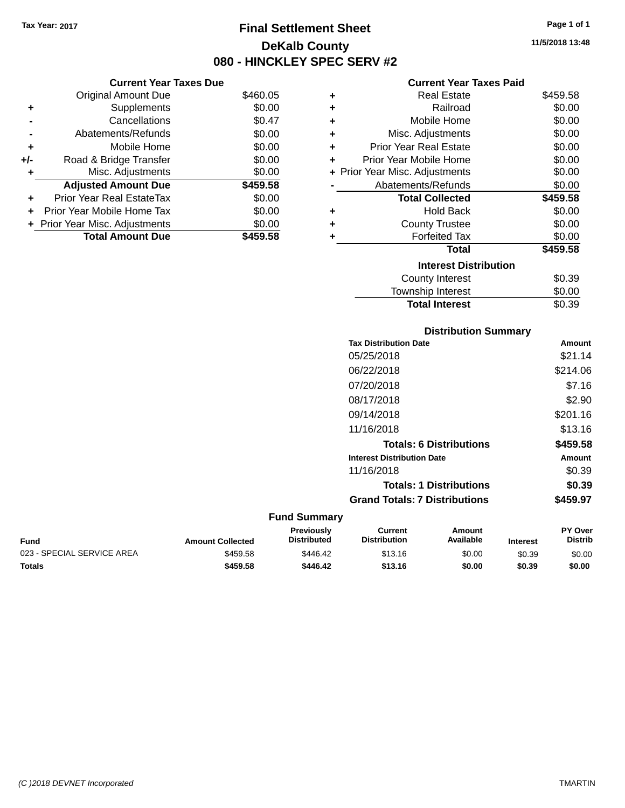### **Final Settlement Sheet Tax Year: 2017 Page 1 of 1 DeKalb County 080 - HINCKLEY SPEC SERV #2**

**11/5/2018 13:48**

#### **Current Year Taxes Paid**

|     | <b>Current Year Taxes Due</b>  |          |                    |
|-----|--------------------------------|----------|--------------------|
|     | Original Amount Due            | \$460.05 |                    |
|     | <b>Supplements</b>             | \$0.00   |                    |
|     | Cancellations                  | \$0.47   |                    |
|     | Abatements/Refunds             | \$0.00   | М                  |
|     | Mobile Home                    | \$0.00   | Prior <sup>1</sup> |
| +/- | Road & Bridge Transfer         | \$0.00   | Prior Ye           |
|     | Misc. Adjustments              | \$0.00   | + Prior Year M     |
|     | <b>Adjusted Amount Due</b>     | \$459.58 | Abat               |
|     | Prior Year Real EstateTax      | \$0.00   |                    |
|     | Prior Year Mobile Home Tax     | \$0.00   |                    |
|     | + Prior Year Misc. Adjustments | \$0.00   |                    |
|     | <b>Total Amount Due</b>        | \$459.58 |                    |
|     |                                |          |                    |

| ٠ | Real Estate                    | \$459.58 |
|---|--------------------------------|----------|
| ٠ | Railroad                       | \$0.00   |
| ٠ | <b>Mobile Home</b>             | \$0.00   |
| ٠ | Misc. Adjustments              | \$0.00   |
| ٠ | <b>Prior Year Real Estate</b>  | \$0.00   |
| ٠ | Prior Year Mobile Home         | \$0.00   |
|   | + Prior Year Misc. Adjustments | \$0.00   |
|   | Abatements/Refunds             | \$0.00   |
|   | <b>Total Collected</b>         | \$459.58 |
| ٠ | <b>Hold Back</b>               | \$0.00   |
| ٠ | <b>County Trustee</b>          | \$0.00   |
| ٠ | <b>Forfeited Tax</b>           | \$0.00   |
|   | Total                          | \$459.58 |
|   | <b>Interest Distribution</b>   |          |
|   | County Interest                | \$0.39   |
|   | <b>Township Interest</b>       | \$0.00   |
|   | <b>Total Interest</b>          | \$0.39   |

| <b>Distribution Summary</b>          |          |
|--------------------------------------|----------|
| <b>Tax Distribution Date</b>         | Amount   |
| 05/25/2018                           | \$21.14  |
| 06/22/2018                           | \$214.06 |
| 07/20/2018                           | \$7.16   |
| 08/17/2018                           | \$2.90   |
| 09/14/2018                           | \$201.16 |
| 11/16/2018                           | \$13.16  |
| <b>Totals: 6 Distributions</b>       | \$459.58 |
| <b>Interest Distribution Date</b>    | Amount   |
| 11/16/2018                           | \$0.39   |
| <b>Totals: 1 Distributions</b>       | \$0.39   |
| <b>Grand Totals: 7 Distributions</b> | \$459.97 |

| Fund                       | <b>Amount Collected</b> | <b>Previously</b><br><b>Distributed</b> | Current<br><b>Distribution</b> | Amount<br>Available | <b>Interest</b> | <b>PY Over</b><br>Distrib |
|----------------------------|-------------------------|-----------------------------------------|--------------------------------|---------------------|-----------------|---------------------------|
| 023 - SPECIAL SERVICE AREA | \$459.58                | \$446.42                                | \$13.16                        | \$0.00              | \$0.39          | \$0.00                    |
| Totals                     | \$459.58                | \$446.42                                | \$13.16                        | \$0.00              | \$0.39          | \$0.00                    |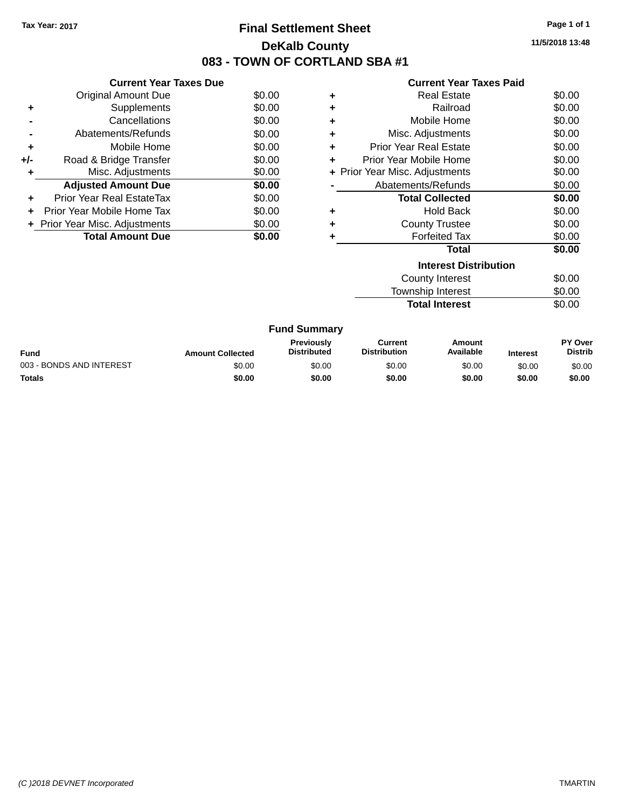### **Final Settlement Sheet Tax Year: 2017 Page 1 of 1 DeKalb County 083 - TOWN OF CORTLAND SBA #1**

**11/5/2018 13:48**

| <b>Current Year Taxes Paid</b> |  |  |  |
|--------------------------------|--|--|--|
|--------------------------------|--|--|--|

|     | <b>Current Year Taxes Due</b>     |        |
|-----|-----------------------------------|--------|
|     | <b>Original Amount Due</b>        | \$0.00 |
| ٠   | Supplements                       | \$0.00 |
|     | Cancellations                     | \$0.00 |
|     | Abatements/Refunds                | \$0.00 |
| ٠   | Mobile Home                       | \$0.00 |
| +/- | Road & Bridge Transfer            | \$0.00 |
| ٠   | Misc. Adjustments                 | \$0.00 |
|     | <b>Adjusted Amount Due</b>        | \$0.00 |
| ÷   | Prior Year Real EstateTax         | \$0.00 |
| ٠   | <b>Prior Year Mobile Home Tax</b> | \$0.00 |
|     | + Prior Year Misc. Adjustments    | \$0.00 |
|     | <b>Total Amount Due</b>           | \$0.00 |

| ٠ | <b>Real Estate</b>             | \$0.00 |
|---|--------------------------------|--------|
| ٠ | Railroad                       | \$0.00 |
| ٠ | Mobile Home                    | \$0.00 |
| ٠ | Misc. Adjustments              | \$0.00 |
| ٠ | <b>Prior Year Real Estate</b>  | \$0.00 |
| ٠ | Prior Year Mobile Home         | \$0.00 |
|   | + Prior Year Misc. Adjustments | \$0.00 |
|   | Abatements/Refunds             | \$0.00 |
|   | <b>Total Collected</b>         | \$0.00 |
| ٠ | Hold Back                      | \$0.00 |
| ٠ | <b>County Trustee</b>          | \$0.00 |
|   | <b>Forfeited Tax</b>           | \$0.00 |
|   | Total                          | \$0.00 |
|   | <b>Interest Distribution</b>   |        |
|   | <b>County Interest</b>         | \$0.00 |

Township Interest \$0.00 **Total Interest** \$0.00

|                          |                         | <b>Fund Summary</b>                     |                                |                     |                 |                                  |
|--------------------------|-------------------------|-----------------------------------------|--------------------------------|---------------------|-----------------|----------------------------------|
| Fund                     | <b>Amount Collected</b> | <b>Previously</b><br><b>Distributed</b> | Current<br><b>Distribution</b> | Amount<br>Available | <b>Interest</b> | <b>PY Over</b><br><b>Distrib</b> |
| 003 - BONDS AND INTEREST | \$0.00                  | \$0.00                                  | \$0.00                         | \$0.00              | \$0.00          | \$0.00                           |
| <b>Totals</b>            | \$0.00                  | \$0.00                                  | \$0.00                         | \$0.00              | \$0.00          | \$0.00                           |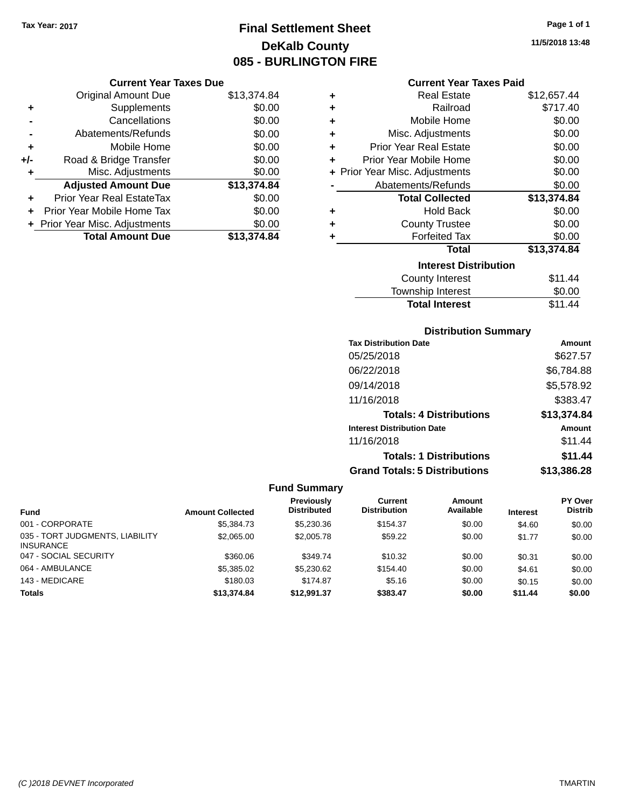### **Final Settlement Sheet Tax Year: 2017 Page 1 of 1 DeKalb County 085 - BURLINGTON FIRE**

#### **Current Year Taxes Due**

|       | <b>Original Amount Due</b>       | \$13,374.84 |
|-------|----------------------------------|-------------|
| ٠     | Supplements                      | \$0.00      |
|       | Cancellations                    | \$0.00      |
|       | Abatements/Refunds               | \$0.00      |
| ÷     | Mobile Home                      | \$0.00      |
| $+/-$ | Road & Bridge Transfer           | \$0.00      |
| ٠     | Misc. Adjustments                | \$0.00      |
|       | <b>Adjusted Amount Due</b>       | \$13,374.84 |
|       | <b>Prior Year Real EstateTax</b> | \$0.00      |
|       | Prior Year Mobile Home Tax       | \$0.00      |
|       | + Prior Year Misc. Adjustments   | \$0.00      |
|       | <b>Total Amount Due</b>          | \$13.374.84 |

|   | <b>Current Year Taxes Paid</b> |             |
|---|--------------------------------|-------------|
| ٠ | <b>Real Estate</b>             | \$12,657.44 |
| ÷ | Railroad                       | \$717.40    |
| ÷ | Mobile Home                    | \$0.00      |
| ÷ | Misc. Adjustments              | \$0.00      |
| ÷ | <b>Prior Year Real Estate</b>  | \$0.00      |
| ÷ | Prior Year Mobile Home         | \$0.00      |
|   | + Prior Year Misc. Adjustments | \$0.00      |
|   | Abatements/Refunds             | \$0.00      |
|   | <b>Total Collected</b>         | \$13,374.84 |
| ٠ | <b>Hold Back</b>               | \$0.00      |
| ÷ | <b>County Trustee</b>          | \$0.00      |
| ٠ | <b>Forfeited Tax</b>           | \$0.00      |
|   | Total                          | \$13,374.84 |
|   |                                |             |

#### **Interest Distribution** County Interest \$11.44<br>wwnship Interest \$0.00 Township Interest Total Interest \$11.44

#### **Distribution Summary**

| <b>Tax Distribution Date</b>         | Amount      |
|--------------------------------------|-------------|
| 05/25/2018                           | \$627.57    |
| 06/22/2018                           | \$6,784.88  |
| 09/14/2018                           | \$5,578.92  |
| 11/16/2018                           | \$383.47    |
| <b>Totals: 4 Distributions</b>       | \$13,374.84 |
| <b>Interest Distribution Date</b>    | Amount      |
| 11/16/2018                           | \$11.44     |
| <b>Totals: 1 Distributions</b>       | \$11.44     |
| <b>Grand Totals: 5 Distributions</b> | \$13,386.28 |

| <b>Fund</b>                                         | <b>Amount Collected</b> | Previously<br><b>Distributed</b> | <b>Current</b><br><b>Distribution</b> | Amount<br>Available | <b>Interest</b> | <b>PY Over</b><br><b>Distrib</b> |
|-----------------------------------------------------|-------------------------|----------------------------------|---------------------------------------|---------------------|-----------------|----------------------------------|
| 001 - CORPORATE                                     | \$5,384,73              | \$5,230,36                       | \$154.37                              | \$0.00              | \$4.60          | \$0.00                           |
| 035 - TORT JUDGMENTS, LIABILITY<br><b>INSURANCE</b> | \$2,065,00              | \$2,005.78                       | \$59.22                               | \$0.00              | \$1.77          | \$0.00                           |
| 047 - SOCIAL SECURITY                               | \$360.06                | \$349.74                         | \$10.32                               | \$0.00              | \$0.31          | \$0.00                           |
| 064 - AMBULANCE                                     | \$5,385.02              | \$5,230.62                       | \$154.40                              | \$0.00              | \$4.61          | \$0.00                           |
| 143 - MEDICARE                                      | \$180.03                | \$174.87                         | \$5.16                                | \$0.00              | \$0.15          | \$0.00                           |
| <b>Totals</b>                                       | \$13,374.84             | \$12.991.37                      | \$383.47                              | \$0.00              | \$11.44         | \$0.00                           |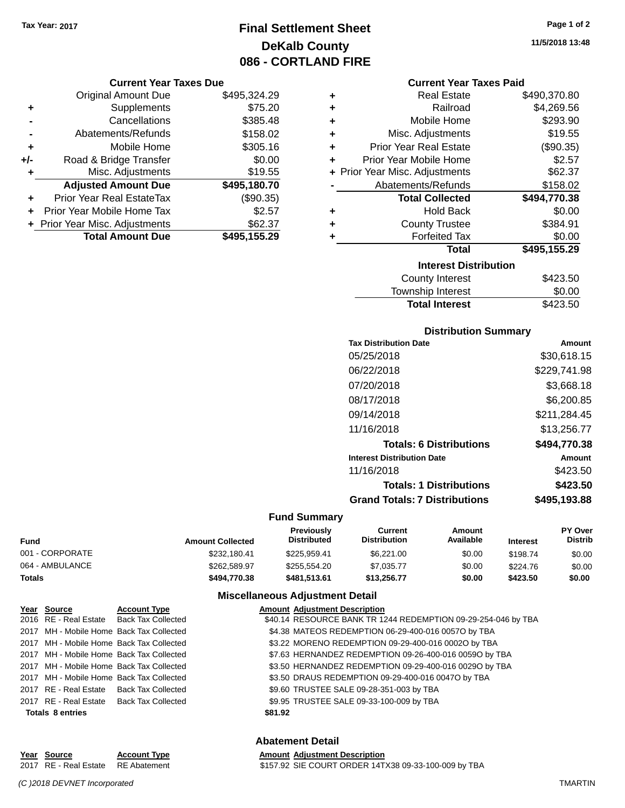### **Final Settlement Sheet Tax Year: 2017 Page 1 of 2 DeKalb County 086 - CORTLAND FIRE**

#### **Current Year Taxes Due**

|       | <b>Original Amount Due</b>       | \$495,324.29 |
|-------|----------------------------------|--------------|
| ٠     | Supplements                      | \$75.20      |
|       | Cancellations                    | \$385.48     |
|       | Abatements/Refunds               | \$158.02     |
| ٠     | Mobile Home                      | \$305.16     |
| $+/-$ | Road & Bridge Transfer           | \$0.00       |
| ٠     | Misc. Adjustments                | \$19.55      |
|       | <b>Adjusted Amount Due</b>       | \$495,180.70 |
|       | <b>Prior Year Real EstateTax</b> | (\$90.35)    |
|       | Prior Year Mobile Home Tax       | \$2.57       |
|       | + Prior Year Misc. Adjustments   | \$62.37      |
|       | <b>Total Amount Due</b>          | \$495,155.29 |

#### **Current Year Taxes Paid**

| ٠ | <b>Real Estate</b>             | \$490,370.80 |
|---|--------------------------------|--------------|
| ٠ | Railroad                       | \$4,269.56   |
| ÷ | Mobile Home                    | \$293.90     |
| ٠ | Misc. Adjustments              | \$19.55      |
| ٠ | <b>Prior Year Real Estate</b>  | (\$90.35)    |
| ٠ | Prior Year Mobile Home         | \$2.57       |
|   | + Prior Year Misc. Adjustments | \$62.37      |
|   | Abatements/Refunds             | \$158.02     |
|   | <b>Total Collected</b>         | \$494,770.38 |
| ٠ | Hold Back                      | \$0.00       |
| ٠ | <b>County Trustee</b>          | \$384.91     |
| ٠ | <b>Forfeited Tax</b>           | \$0.00       |
|   | <b>Total</b>                   | \$495,155.29 |
|   | <b>Interest Distribution</b>   |              |
|   | <b>County Interest</b>         | \$423.50     |
|   | <b>Township Interest</b>       | \$0.00       |
|   | <b>Total Interest</b>          | \$423.50     |

#### **Distribution Summary**

| Amount       |
|--------------|
| \$30,618.15  |
| \$229,741.98 |
| \$3.668.18   |
| \$6.200.85   |
| \$211,284.45 |
| \$13,256,77  |
| \$494.770.38 |
| Amount       |
| \$423.50     |
| \$423.50     |
| \$495.193.88 |
|              |

#### **Fund Summary**

| Fund            | <b>Amount Collected</b> | <b>Previously</b><br><b>Distributed</b> | Current<br><b>Distribution</b> | Amount<br>Available | <b>Interest</b> | <b>PY Over</b><br><b>Distrib</b> |
|-----------------|-------------------------|-----------------------------------------|--------------------------------|---------------------|-----------------|----------------------------------|
| 001 - CORPORATE | \$232.180.41            | \$225.959.41                            | \$6,221.00                     | \$0.00              | \$198.74        | \$0.00                           |
| 064 - AMBULANCE | \$262,589.97            | \$255,554.20                            | \$7.035.77                     | \$0.00              | \$224.76        | \$0.00                           |
| Totals          | \$494.770.38            | \$481.513.61                            | \$13,256,77                    | \$0.00              | \$423.50        | \$0.00                           |

#### **Miscellaneous Adjustment Detail**

| Year Source             | <b>Account Type</b>                      | <b>Amount Adjustment Description</b>                          |
|-------------------------|------------------------------------------|---------------------------------------------------------------|
|                         | 2016 RE - Real Estate Back Tax Collected | \$40.14 RESOURCE BANK TR 1244 REDEMPTION 09-29-254-046 by TBA |
|                         | 2017 MH - Mobile Home Back Tax Collected | \$4.38 MATEOS REDEMPTION 06-29-400-016 0057O by TBA           |
|                         | 2017 MH - Mobile Home Back Tax Collected | \$3.22 MORENO REDEMPTION 09-29-400-016 0002O by TBA           |
|                         | 2017 MH - Mobile Home Back Tax Collected | \$7.63 HERNANDEZ REDEMPTION 09-26-400-016 00590 by TBA        |
|                         | 2017 MH - Mobile Home Back Tax Collected | \$3.50 HERNANDEZ REDEMPTION 09-29-400-016 0029O by TBA        |
|                         | 2017 MH - Mobile Home Back Tax Collected | \$3.50 DRAUS REDEMPTION 09-29-400-016 0047O by TBA            |
|                         | 2017 RE - Real Estate Back Tax Collected | \$9.60 TRUSTEE SALE 09-28-351-003 by TBA                      |
|                         | 2017 RE - Real Estate Back Tax Collected | \$9.95 TRUSTEE SALE 09-33-100-009 by TBA                      |
| <b>Totals 8 entries</b> |                                          | \$81.92                                                       |

**Abatement Detail**

#### **Year** Source **Account Type A** Amount Adjustment Description 2017 RE - Real Estate RE Abatement \$157.92 SIE COURT ORDER 14TX38 09-33-100-009 by TBA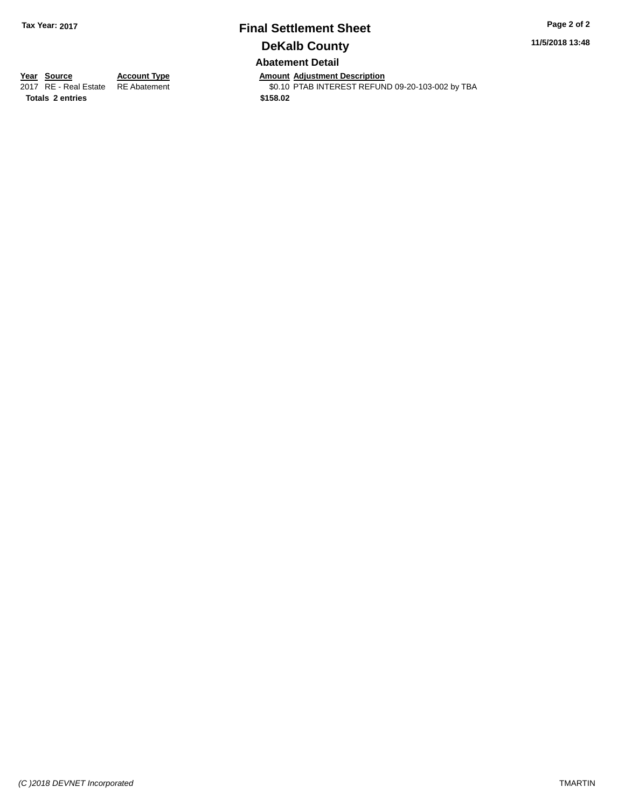### **Final Settlement Sheet Tax Year: 2017 Page 2 of 2 DeKalb County Abatement Detail**

**11/5/2018 13:48**

**Totals \$158.02 2 entries**

**Year Source Account Type Anneunt Adjustment Description**<br>
2017 RE - Real Estate RE Abatement **Amount Adjustment Description** \$0.10 PTAB INTEREST REFUND 09-20-103-002 by TBA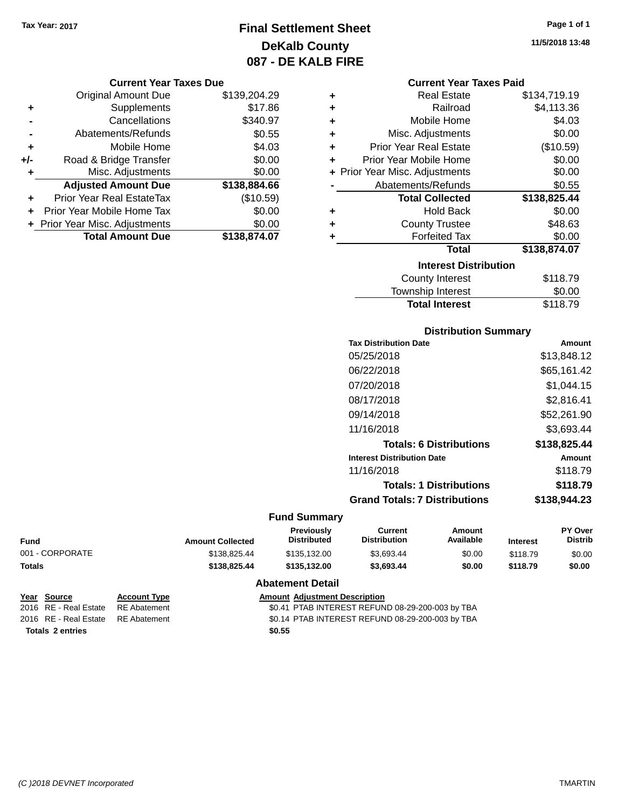### **Final Settlement Sheet Tax Year: 2017 Page 1 of 1 DeKalb County 087 - DE KALB FIRE**

#### **Current Year Taxes Due**

|       | <b>Original Amount Due</b>       | \$139,204.29 |
|-------|----------------------------------|--------------|
| ٠     | Supplements                      | \$17.86      |
|       | Cancellations                    | \$340.97     |
|       | Abatements/Refunds               | \$0.55       |
| ٠     | Mobile Home                      | \$4.03       |
| $+/-$ | Road & Bridge Transfer           | \$0.00       |
| ٠     | Misc. Adjustments                | \$0.00       |
|       | <b>Adjusted Amount Due</b>       | \$138,884.66 |
| ÷     | <b>Prior Year Real EstateTax</b> | (\$10.59)    |
|       | Prior Year Mobile Home Tax       | \$0.00       |
|       | + Prior Year Misc. Adjustments   | \$0.00       |
|       | <b>Total Amount Due</b>          | \$138,874.07 |

| ٠ | <b>Real Estate</b>             | \$134,719.19 |
|---|--------------------------------|--------------|
| ÷ | Railroad                       | \$4,113.36   |
| ÷ | Mobile Home                    | \$4.03       |
| ٠ | Misc. Adjustments              | \$0.00       |
| ÷ | <b>Prior Year Real Estate</b>  | (\$10.59)    |
| ÷ | Prior Year Mobile Home         | \$0.00       |
|   | + Prior Year Misc. Adjustments | \$0.00       |
|   | Abatements/Refunds             | \$0.55       |
|   | <b>Total Collected</b>         | \$138,825.44 |
| ٠ | <b>Hold Back</b>               | \$0.00       |
| ÷ | <b>County Trustee</b>          | \$48.63      |
| ٠ | <b>Forfeited Tax</b>           | \$0.00       |
|   | Total                          | \$138,874.07 |
|   | <b>Interest Distribution</b>   |              |
|   | <b>County Interest</b>         | \$118.79     |
|   | <b>Township Interest</b>       | \$0.00       |
|   | <b>Total Interest</b>          | \$118.79     |

# **Distribution Summary**

| <b>Tax Distribution Date</b>         | Amount       |
|--------------------------------------|--------------|
| 05/25/2018                           | \$13,848.12  |
| 06/22/2018                           | \$65,161.42  |
| 07/20/2018                           | \$1.044.15   |
| 08/17/2018                           | \$2.816.41   |
| 09/14/2018                           | \$52,261.90  |
| 11/16/2018                           | \$3.693.44   |
| <b>Totals: 6 Distributions</b>       | \$138,825.44 |
| <b>Interest Distribution Date</b>    | Amount       |
| 11/16/2018                           | \$118.79     |
| <b>Totals: 1 Distributions</b>       | \$118.79     |
| <b>Grand Totals: 7 Distributions</b> | \$138.944.23 |
|                                      |              |

### **Fund Summary**

| Fund            | <b>Amount Collected</b> | <b>Previously</b><br>Distributed | Current<br><b>Distribution</b> | Amount<br>Available | <b>Interest</b> | <b>PY Over</b><br><b>Distrib</b> |
|-----------------|-------------------------|----------------------------------|--------------------------------|---------------------|-----------------|----------------------------------|
| 001 - CORPORATE | \$138,825.44            | \$135,132,00                     | \$3.693.44                     | \$0.00              | \$118.79        | \$0.00                           |
| Totals          | \$138,825,44            | \$135,132,00                     | \$3.693.44                     | \$0.00              | \$118.79        | \$0.00                           |
|                 |                         |                                  |                                |                     |                 |                                  |

#### **Abatement Detail**

| Year Source             | <b>Account Type</b> | <b>Amount Adjustment Description</b>             |
|-------------------------|---------------------|--------------------------------------------------|
| 2016 RE - Real Estate   | RE Abatement        | \$0.41 PTAB INTEREST REFUND 08-29-200-003 by TBA |
| 2016 RE - Real Estate   | RE Abatement        | \$0.14 PTAB INTEREST REFUND 08-29-200-003 by TBA |
| <b>Totals 2 entries</b> |                     | \$0.55                                           |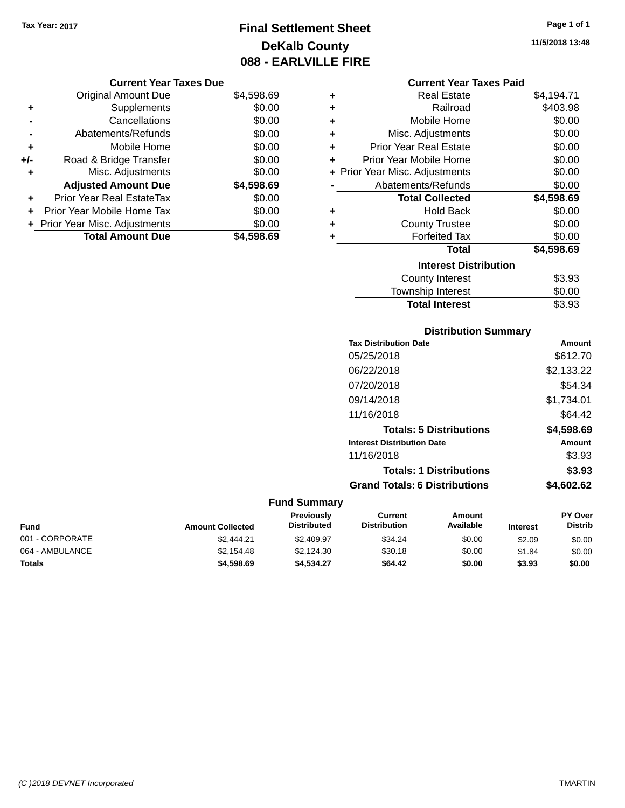### **Final Settlement Sheet Tax Year: 2017 Page 1 of 1 DeKalb County 088 - EARLVILLE FIRE**

**11/5/2018 13:48**

#### **Current Year Taxes Paid**

| ٠ | <b>Real Estate</b>             | \$4,194.71 |
|---|--------------------------------|------------|
| ٠ | Railroad                       | \$403.98   |
| ٠ | Mobile Home                    | \$0.00     |
| ٠ | Misc. Adjustments              | \$0.00     |
| ٠ | <b>Prior Year Real Estate</b>  | \$0.00     |
| ٠ | Prior Year Mobile Home         | \$0.00     |
|   | + Prior Year Misc. Adjustments | \$0.00     |
|   | Abatements/Refunds             | \$0.00     |
|   | <b>Total Collected</b>         | \$4,598.69 |
| ٠ | Hold Back                      | \$0.00     |
| ٠ | <b>County Trustee</b>          | \$0.00     |
| ٠ | <b>Forfeited Tax</b>           | \$0.00     |
|   | Total                          | \$4,598.69 |
|   | <b>Interest Distribution</b>   |            |
|   | <b>County Interest</b>         | \$3.93     |
|   | <b>Township Interest</b>       | \$0.00     |
|   | <b>Total Interest</b>          | \$3.93     |

| <b>Distribution Summary</b>          |            |
|--------------------------------------|------------|
| <b>Tax Distribution Date</b>         | Amount     |
| 05/25/2018                           | \$612.70   |
| 06/22/2018                           | \$2,133.22 |
| 07/20/2018                           | \$54.34    |
| 09/14/2018                           | \$1,734.01 |
| 11/16/2018                           | \$64.42    |
| <b>Totals: 5 Distributions</b>       | \$4,598.69 |
| <b>Interest Distribution Date</b>    | Amount     |
| 11/16/2018                           | \$3.93     |
| <b>Totals: 1 Distributions</b>       | \$3.93     |
| <b>Grand Totals: 6 Distributions</b> | \$4.602.62 |

| Fund            | <b>Amount Collected</b> | <b>Previously</b><br><b>Distributed</b> | Current<br><b>Distribution</b> | Amount<br>Available | <b>Interest</b> | <b>PY Over</b><br><b>Distrib</b> |
|-----------------|-------------------------|-----------------------------------------|--------------------------------|---------------------|-----------------|----------------------------------|
| 001 - CORPORATE | \$2,444.21              | \$2,409.97                              | \$34.24                        | \$0.00              | \$2.09          | \$0.00                           |
| 064 - AMBULANCE | \$2.154.48              | \$2.124.30                              | \$30.18                        | \$0.00              | \$1.84          | \$0.00                           |
| Totals          | \$4,598.69              | \$4.534.27                              | \$64.42                        | \$0.00              | \$3.93          | \$0.00                           |

|     | <b>Original Amount Due</b>     | \$4,598.69 |
|-----|--------------------------------|------------|
| ٠   | Supplements                    | \$0.00     |
|     | Cancellations                  | \$0.00     |
|     | Abatements/Refunds             | \$0.00     |
| ٠   | Mobile Home                    | \$0.00     |
| +/- | Road & Bridge Transfer         | \$0.00     |
| ٠   | Misc. Adjustments              | \$0.00     |
|     | <b>Adjusted Amount Due</b>     | \$4,598.69 |
|     | Prior Year Real EstateTax      | \$0.00     |
|     | Prior Year Mobile Home Tax     | \$0.00     |
|     | + Prior Year Misc. Adjustments | \$0.00     |
|     | <b>Total Amount Due</b>        | \$4,598.69 |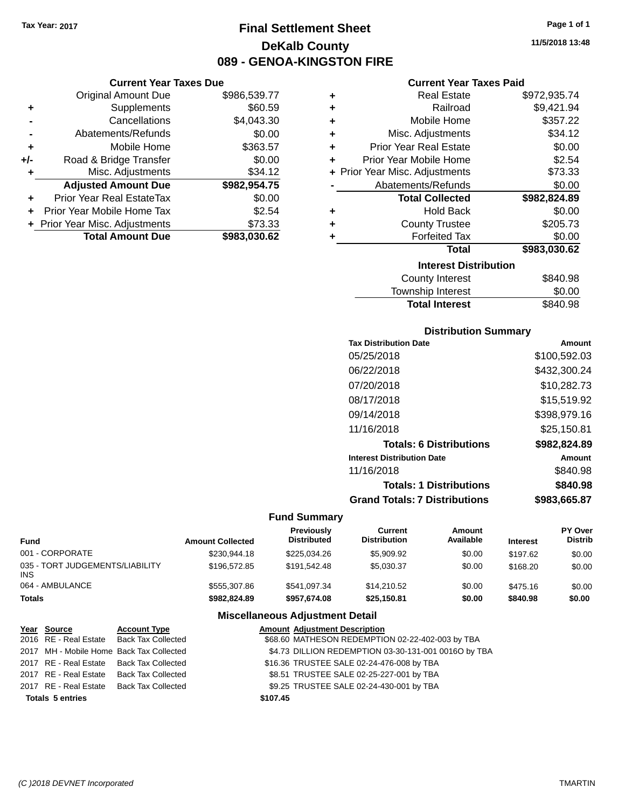**Current Year Taxes Due** Original Amount Due \$986,539.77

**Adjusted Amount Due \$982,954.75**

**Total Amount Due \$983,030.62**

**+** Supplements \$60.59 **-** Cancellations \$4,043.30 **-** Abatements/Refunds \$0.00 **+** Mobile Home \$363.57 **+/-** Road & Bridge Transfer \$0.00 **+** Misc. Adjustments \$34.12

**+** Prior Year Real EstateTax \$0.00 **+** Prior Year Mobile Home Tax \$2.54 **+** Prior Year Misc. Adjustments \$73.33

### **Final Settlement Sheet Tax Year: 2017 Page 1 of 1 DeKalb County 089 - GENOA-KINGSTON FIRE**

**11/5/2018 13:48**

#### **Current Year Taxes Paid**

| ٠ | <b>Real Estate</b>             | \$972,935.74 |
|---|--------------------------------|--------------|
| ٠ | Railroad                       | \$9,421.94   |
| ٠ | Mobile Home                    | \$357.22     |
| ٠ | Misc. Adjustments              | \$34.12      |
| ٠ | <b>Prior Year Real Estate</b>  | \$0.00       |
| ÷ | Prior Year Mobile Home         | \$2.54       |
|   | + Prior Year Misc. Adjustments | \$73.33      |
|   | Abatements/Refunds             | \$0.00       |
|   | <b>Total Collected</b>         | \$982,824.89 |
| ٠ | <b>Hold Back</b>               | \$0.00       |
| ÷ | <b>County Trustee</b>          | \$205.73     |
| ٠ | <b>Forfeited Tax</b>           | \$0.00       |
|   | <b>Total</b>                   | \$983,030.62 |
|   | <b>Interest Distribution</b>   |              |
|   | <b>County Interest</b>         | \$840.98     |
|   |                                | ີ ລ          |

## Township Interest \$0.00 Total Interest \$840.98

#### **Distribution Summary**

| <b>Tax Distribution Date</b>         | Amount       |
|--------------------------------------|--------------|
| 05/25/2018                           | \$100,592.03 |
| 06/22/2018                           | \$432,300.24 |
| 07/20/2018                           | \$10,282.73  |
| 08/17/2018                           | \$15,519.92  |
| 09/14/2018                           | \$398,979.16 |
| 11/16/2018                           | \$25,150.81  |
| <b>Totals: 6 Distributions</b>       | \$982,824.89 |
| <b>Interest Distribution Date</b>    | Amount       |
| 11/16/2018                           | \$840.98     |
| <b>Totals: 1 Distributions</b>       | \$840.98     |
| <b>Grand Totals: 7 Distributions</b> | \$983,665.87 |

#### **Fund Summary**

| Fund                                   | <b>Amount Collected</b> | Previously<br><b>Distributed</b> | Current<br><b>Distribution</b> | Amount<br>Available | <b>Interest</b> | PY Over<br><b>Distrib</b> |
|----------------------------------------|-------------------------|----------------------------------|--------------------------------|---------------------|-----------------|---------------------------|
| 001 - CORPORATE                        | \$230,944.18            | \$225,034.26                     | \$5,909.92                     | \$0.00              | \$197.62        | \$0.00                    |
| 035 - TORT JUDGEMENTS/LIABILITY<br>INS | \$196,572.85            | \$191.542.48                     | \$5.030.37                     | \$0.00              | \$168.20        | \$0.00                    |
| 064 - AMBULANCE                        | \$555,307.86            | \$541.097.34                     | \$14,210.52                    | \$0.00              | \$475.16        | \$0.00                    |
| Totals                                 | \$982,824.89            | \$957.674.08                     | \$25,150.81                    | \$0.00              | \$840.98        | \$0.00                    |

| Year Source             | <b>Account Type</b>                      |          | <b>Amount Adjustment Description</b>                 |
|-------------------------|------------------------------------------|----------|------------------------------------------------------|
|                         | 2016 RE - Real Estate Back Tax Collected |          | \$68.60 MATHESON REDEMPTION 02-22-402-003 by TBA     |
|                         | 2017 MH - Mobile Home Back Tax Collected |          | \$4.73 DILLION REDEMPTION 03-30-131-001 0016O by TBA |
|                         | 2017 RE - Real Estate Back Tax Collected |          | \$16.36 TRUSTEE SALE 02-24-476-008 by TBA            |
|                         | 2017 RE - Real Estate Back Tax Collected |          | \$8.51 TRUSTEE SALE 02-25-227-001 by TBA             |
|                         | 2017 RE - Real Estate Back Tax Collected |          | \$9.25 TRUSTEE SALE 02-24-430-001 by TBA             |
| <b>Totals 5 entries</b> |                                          | \$107.45 |                                                      |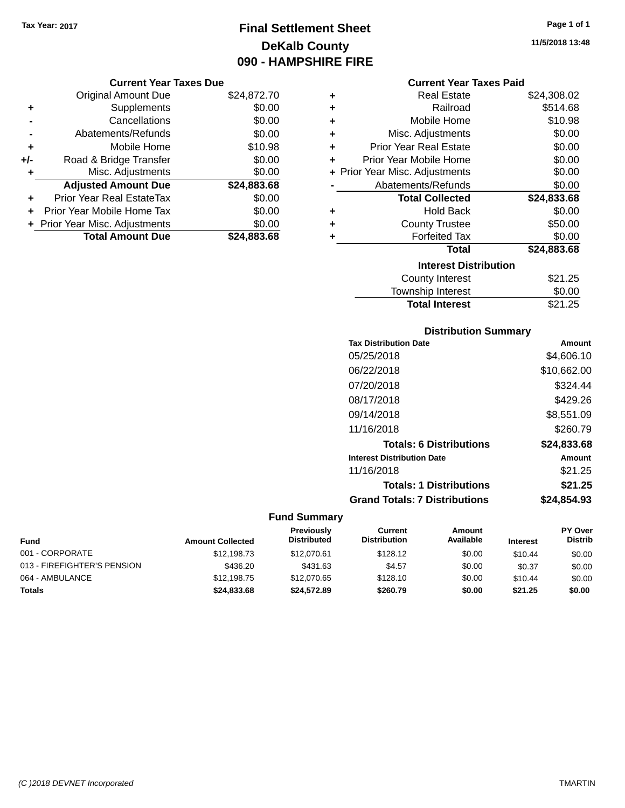**Current Year Taxes Due** Original Amount Due \$24,872.70

**Adjusted Amount Due \$24,883.68**

**Total Amount Due \$24,883.68**

**+** Supplements \$0.00 **-** Cancellations \$0.00 **-** Abatements/Refunds \$0.00 **+** Mobile Home \$10.98 **+/-** Road & Bridge Transfer \$0.00<br> **+** Misc. Adjustments \$0.00

**+** Prior Year Real EstateTax \$0.00 **+** Prior Year Mobile Home Tax \$0.00 **+ Prior Year Misc. Adjustments**  $$0.00$ 

**+** Misc. Adjustments

### **Final Settlement Sheet Tax Year: 2017 Page 1 of 1 DeKalb County 090 - HAMPSHIRE FIRE**

**11/5/2018 13:48**

#### **Current Year Taxes Paid**

| ٠ | <b>Real Estate</b>             | \$24,308.02 |
|---|--------------------------------|-------------|
| ٠ | Railroad                       | \$514.68    |
| ÷ | Mobile Home                    | \$10.98     |
| ÷ | Misc. Adjustments              | \$0.00      |
| ÷ | <b>Prior Year Real Estate</b>  | \$0.00      |
| ٠ | Prior Year Mobile Home         | \$0.00      |
|   | + Prior Year Misc. Adjustments | \$0.00      |
|   | Abatements/Refunds             | \$0.00      |
|   | <b>Total Collected</b>         | \$24,833.68 |
| ٠ | Hold Back                      | \$0.00      |
| ٠ | <b>County Trustee</b>          | \$50.00     |
| ٠ | <b>Forfeited Tax</b>           | \$0.00      |
|   | Total                          | \$24,883.68 |
|   | <b>Interest Distribution</b>   |             |
|   | County Interest                | \$21.25     |
|   | <b>Township Interest</b>       | \$0.00      |
|   | <b>Total Interest</b>          | \$21.25     |

#### **Distribution Summary**

| <b>Tax Distribution Date</b>         | Amount        |
|--------------------------------------|---------------|
| 05/25/2018                           | \$4,606.10    |
| 06/22/2018                           | \$10,662.00   |
| 07/20/2018                           | \$324.44      |
| 08/17/2018                           | \$429.26      |
| 09/14/2018                           | \$8,551.09    |
| 11/16/2018                           | \$260.79      |
| <b>Totals: 6 Distributions</b>       | \$24,833.68   |
| <b>Interest Distribution Date</b>    | <b>Amount</b> |
| 11/16/2018                           | \$21.25       |
| <b>Totals: 1 Distributions</b>       | \$21.25       |
| <b>Grand Totals: 7 Distributions</b> | \$24,854.93   |

| <b>Fund</b>                 | <b>Amount Collected</b> | <b>Previously</b><br><b>Distributed</b> | Current<br><b>Distribution</b> | Amount<br>Available | <b>Interest</b> | <b>PY Over</b><br><b>Distrib</b> |
|-----------------------------|-------------------------|-----------------------------------------|--------------------------------|---------------------|-----------------|----------------------------------|
| 001 - CORPORATE             | \$12,198.73             | \$12,070.61                             | \$128.12                       | \$0.00              | \$10.44         | \$0.00                           |
| 013 - FIREFIGHTER'S PENSION | \$436.20                | \$431.63                                | \$4.57                         | \$0.00              | \$0.37          | \$0.00                           |
| 064 - AMBULANCE             | \$12,198.75             | \$12,070.65                             | \$128.10                       | \$0.00              | \$10.44         | \$0.00                           |
| Totals                      | \$24,833.68             | \$24,572.89                             | \$260.79                       | \$0.00              | \$21.25         | \$0.00                           |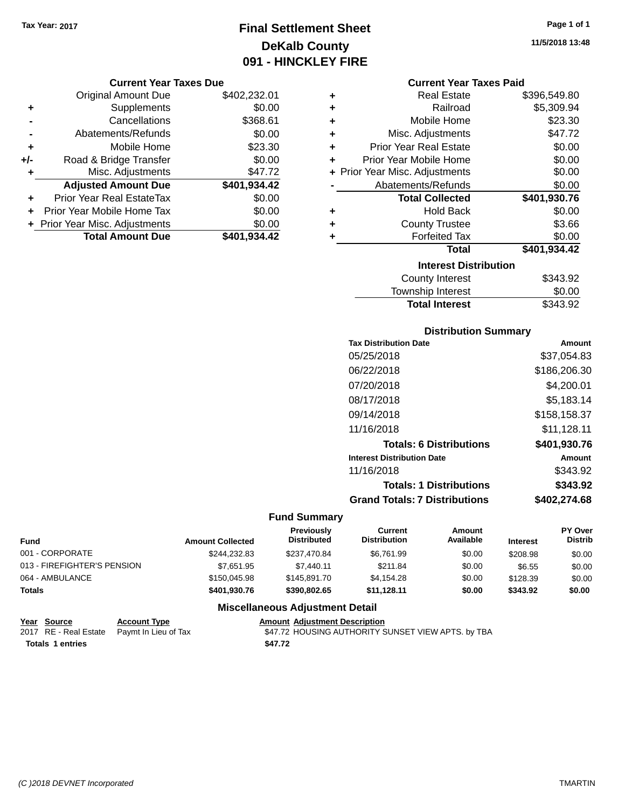### **Final Settlement Sheet Tax Year: 2017 Page 1 of 1 DeKalb County 091 - HINCKLEY FIRE**

#### **Current Year Taxes Due**

|       | <b>Original Amount Due</b>       | \$402,232.01 |
|-------|----------------------------------|--------------|
| ٠     | Supplements                      | \$0.00       |
|       | Cancellations                    | \$368.61     |
|       | Abatements/Refunds               | \$0.00       |
| ٠     | Mobile Home                      | \$23.30      |
| $+/-$ | Road & Bridge Transfer           | \$0.00       |
| ÷     | Misc. Adjustments                | \$47.72      |
|       | <b>Adjusted Amount Due</b>       | \$401,934.42 |
|       | <b>Prior Year Real EstateTax</b> | \$0.00       |
|       | Prior Year Mobile Home Tax       | \$0.00       |
|       | + Prior Year Misc. Adjustments   | \$0.00       |
|       | <b>Total Amount Due</b>          | \$401,934.42 |

#### **Current Year Taxes Paid**

| ٠ | <b>Real Estate</b>             | \$396,549.80 |
|---|--------------------------------|--------------|
| ٠ | Railroad                       | \$5,309.94   |
| ÷ | Mobile Home                    | \$23.30      |
| ٠ | Misc. Adjustments              | \$47.72      |
| ٠ | <b>Prior Year Real Estate</b>  | \$0.00       |
| ٠ | Prior Year Mobile Home         | \$0.00       |
|   | + Prior Year Misc. Adjustments | \$0.00       |
|   | Abatements/Refunds             | \$0.00       |
|   |                                |              |
|   | <b>Total Collected</b>         | \$401,930.76 |
| ٠ | Hold Back                      | \$0.00       |
| ÷ | <b>County Trustee</b>          | \$3.66       |
| ٠ | <b>Forfeited Tax</b>           | \$0.00       |
|   | <b>Total</b>                   | \$401,934.42 |
|   | <b>Interest Distribution</b>   |              |
|   | County Interest                | \$343.92     |

## **Distribution Summary**

Total Interest \$343.92

| Amount       |
|--------------|
| \$37.054.83  |
| \$186,206,30 |
| \$4,200.01   |
| \$5,183.14   |
| \$158.158.37 |
| \$11,128.11  |
| \$401,930.76 |
| Amount       |
| \$343.92     |
| \$343.92     |
| \$402.274.68 |
|              |

### **Fund Summary**

| <b>Fund</b>                 | <b>Amount Collected</b> | <b>Previously</b><br><b>Distributed</b> | Current<br><b>Distribution</b> | Amount<br>Available | <b>Interest</b> | <b>PY Over</b><br><b>Distrib</b> |
|-----------------------------|-------------------------|-----------------------------------------|--------------------------------|---------------------|-----------------|----------------------------------|
| 001 - CORPORATE             | \$244,232.83            | \$237.470.84                            | \$6.761.99                     | \$0.00              | \$208.98        | \$0.00                           |
| 013 - FIREFIGHTER'S PENSION | \$7,651.95              | \$7.440.11                              | \$211.84                       | \$0.00              | \$6.55          | \$0.00                           |
| 064 - AMBULANCE             | \$150,045.98            | \$145.891.70                            | \$4.154.28                     | \$0.00              | \$128.39        | \$0.00                           |
| <b>Totals</b>               | \$401,930.76            | \$390,802.65                            | \$11,128.11                    | \$0.00              | \$343.92        | \$0.00                           |

| Year Source      | <b>Account Type</b>                        | <b>Amount Adiustment Description</b>               |
|------------------|--------------------------------------------|----------------------------------------------------|
|                  | 2017 RE - Real Estate Paymt In Lieu of Tax | \$47.72 HOUSING AUTHORITY SUNSET VIEW APTS. by TBA |
| Totals 1 entries |                                            | \$47.72                                            |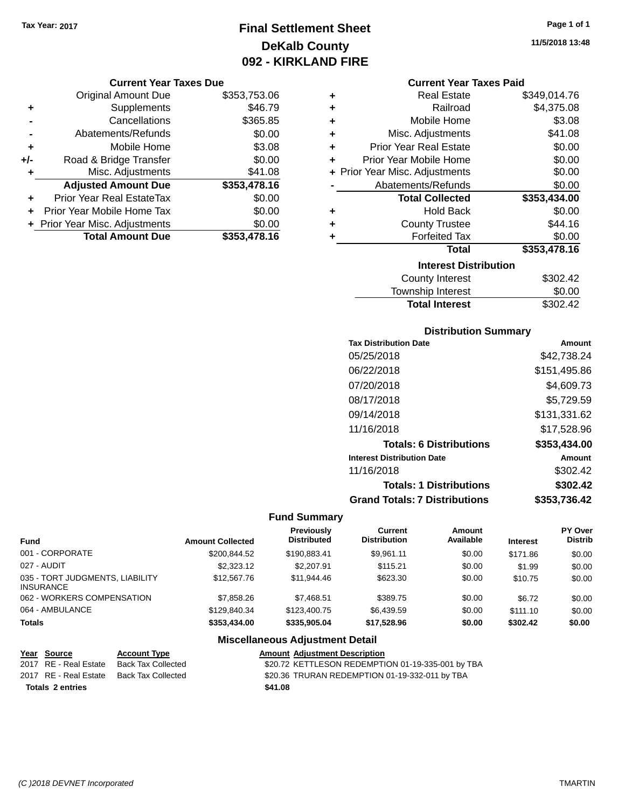### **Final Settlement Sheet Tax Year: 2017 Page 1 of 1 DeKalb County 092 - KIRKLAND FIRE**

#### **Current Year Taxes Due**

|       | <b>Original Amount Due</b>     | \$353,753.06 |
|-------|--------------------------------|--------------|
| ٠     | Supplements                    | \$46.79      |
|       | Cancellations                  | \$365.85     |
|       | Abatements/Refunds             | \$0.00       |
| ٠     | Mobile Home                    | \$3.08       |
| $+/-$ | Road & Bridge Transfer         | \$0.00       |
| ٠     | Misc. Adjustments              | \$41.08      |
|       | <b>Adjusted Amount Due</b>     | \$353,478.16 |
| ÷     | Prior Year Real EstateTax      | \$0.00       |
|       | Prior Year Mobile Home Tax     | \$0.00       |
|       | + Prior Year Misc. Adjustments | \$0.00       |
|       | <b>Total Amount Due</b>        | \$353,478.16 |

| ٠ | <b>Real Estate</b>             | \$349,014.76 |  |  |  |
|---|--------------------------------|--------------|--|--|--|
| ٠ | Railroad                       | \$4,375.08   |  |  |  |
| ٠ | Mobile Home                    | \$3.08       |  |  |  |
| ٠ | Misc. Adjustments              | \$41.08      |  |  |  |
| ٠ | <b>Prior Year Real Estate</b>  | \$0.00       |  |  |  |
| ٠ | Prior Year Mobile Home         | \$0.00       |  |  |  |
|   | + Prior Year Misc. Adjustments | \$0.00       |  |  |  |
|   | Abatements/Refunds             | \$0.00       |  |  |  |
|   | <b>Total Collected</b>         | \$353,434.00 |  |  |  |
| ٠ | <b>Hold Back</b>               | \$0.00       |  |  |  |
| ٠ | <b>County Trustee</b>          | \$44.16      |  |  |  |
| ٠ | <b>Forfeited Tax</b>           | \$0.00       |  |  |  |
|   | <b>Total</b>                   | \$353,478.16 |  |  |  |
|   | <b>Interest Distribution</b>   |              |  |  |  |
|   | <b>County Interest</b>         | \$302.42     |  |  |  |
|   | Townshin Interest              | ደበ በበ        |  |  |  |

| <b>Total Interest</b> | \$302.42 |
|-----------------------|----------|
| Township Interest     | \$0.00   |
| County Interest       | \$302.42 |

#### **Distribution Summary**

| <b>Tax Distribution Date</b>         | Amount       |
|--------------------------------------|--------------|
| 05/25/2018                           | \$42.738.24  |
| 06/22/2018                           | \$151,495.86 |
| 07/20/2018                           | \$4,609.73   |
| 08/17/2018                           | \$5,729.59   |
| 09/14/2018                           | \$131,331.62 |
| 11/16/2018                           | \$17,528.96  |
| <b>Totals: 6 Distributions</b>       | \$353,434.00 |
| <b>Interest Distribution Date</b>    | Amount       |
| 11/16/2018                           | \$302.42     |
| <b>Totals: 1 Distributions</b>       | \$302.42     |
| <b>Grand Totals: 7 Distributions</b> | \$353.736.42 |

#### **Fund Summary**

| <b>Fund</b>                                         | <b>Amount Collected</b> | Previously<br><b>Distributed</b> | Current<br><b>Distribution</b> | Amount<br>Available | <b>Interest</b> | <b>PY Over</b><br><b>Distrib</b> |
|-----------------------------------------------------|-------------------------|----------------------------------|--------------------------------|---------------------|-----------------|----------------------------------|
| 001 - CORPORATE                                     | \$200.844.52            | \$190.883.41                     | \$9.961.11                     | \$0.00              | \$171.86        | \$0.00                           |
| 027 - AUDIT                                         | \$2,323.12              | \$2,207.91                       | \$115.21                       | \$0.00              | \$1.99          | \$0.00                           |
| 035 - TORT JUDGMENTS, LIABILITY<br><b>INSURANCE</b> | \$12,567.76             | \$11,944.46                      | \$623.30                       | \$0.00              | \$10.75         | \$0.00                           |
| 062 - WORKERS COMPENSATION                          | \$7,858,26              | \$7.468.51                       | \$389.75                       | \$0.00              | \$6.72          | \$0.00                           |
| 064 - AMBULANCE                                     | \$129,840,34            | \$123,400.75                     | \$6.439.59                     | \$0.00              | \$111.10        | \$0.00                           |
| <b>Totals</b>                                       | \$353,434,00            | \$335,905.04                     | \$17,528.96                    | \$0.00              | \$302.42        | \$0.00                           |

#### **Miscellaneous Adjustment Detail**

|                         | Year Source           | <b>Account Type</b> | <b>Amount Adjustment Description</b>              |
|-------------------------|-----------------------|---------------------|---------------------------------------------------|
|                         | 2017 RE - Real Estate | Back Tax Collected  | \$20.72 KETTLESON REDEMPTION 01-19-335-001 by TBA |
|                         | 2017 RE - Real Estate | Back Tax Collected  | \$20.36 TRURAN REDEMPTION 01-19-332-011 by TBA    |
| <b>Totals 2 entries</b> |                       |                     | \$41.08                                           |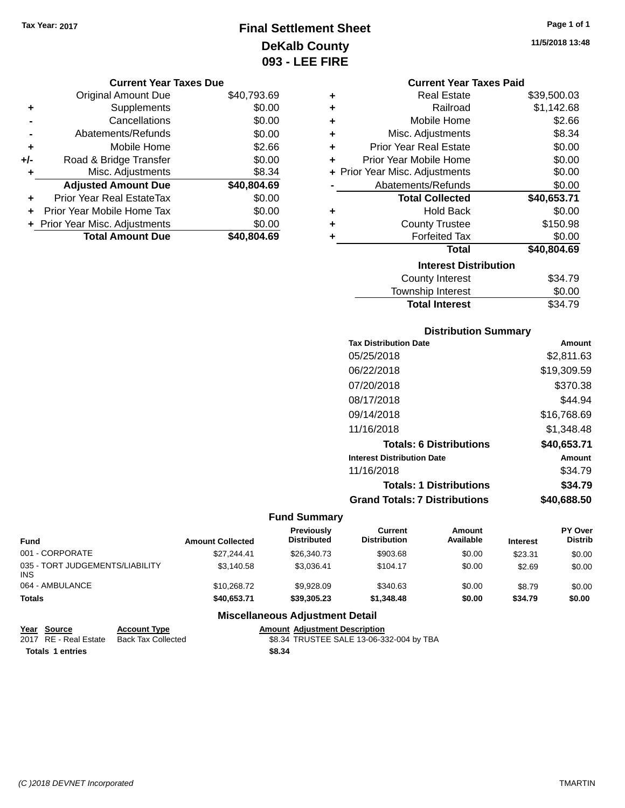### **Final Settlement Sheet Tax Year: 2017 Page 1 of 1 DeKalb County 093 - LEE FIRE**

**11/5/2018 13:48**

| Current Year Taxes Due |  |  |  |
|------------------------|--|--|--|
|------------------------|--|--|--|

|     | <b>Original Amount Due</b>       | \$40,793.69 |
|-----|----------------------------------|-------------|
| ٠   | Supplements                      | \$0.00      |
|     | Cancellations                    | \$0.00      |
|     | Abatements/Refunds               | \$0.00      |
| ٠   | Mobile Home                      | \$2.66      |
| +/- | Road & Bridge Transfer           | \$0.00      |
| ٠   | Misc. Adjustments                | \$8.34      |
|     | <b>Adjusted Amount Due</b>       | \$40,804.69 |
|     | <b>Prior Year Real EstateTax</b> | \$0.00      |
|     | Prior Year Mobile Home Tax       | \$0.00      |
|     | + Prior Year Misc. Adjustments   | \$0.00      |
|     | <b>Total Amount Due</b>          | \$40,804.69 |

|   | <b>Current Year Taxes Paid</b> |             |  |  |  |
|---|--------------------------------|-------------|--|--|--|
| ٠ | <b>Real Estate</b>             | \$39,500.03 |  |  |  |
| ÷ | Railroad                       | \$1,142.68  |  |  |  |
| ÷ | Mobile Home                    | \$2.66      |  |  |  |
| ÷ | Misc. Adjustments              | \$8.34      |  |  |  |
| ÷ | Prior Year Real Estate         | \$0.00      |  |  |  |
| ٠ | Prior Year Mobile Home         | \$0.00      |  |  |  |
|   | + Prior Year Misc. Adjustments | \$0.00      |  |  |  |
|   | Abatements/Refunds             | \$0.00      |  |  |  |
|   | <b>Total Collected</b>         | \$40,653.71 |  |  |  |
| ٠ | <b>Hold Back</b>               | \$0.00      |  |  |  |
| ٠ | <b>County Trustee</b>          | \$150.98    |  |  |  |
| ٠ | <b>Forfeited Tax</b>           | \$0.00      |  |  |  |
|   | Total                          | \$40,804.69 |  |  |  |
|   | <b>Interest Distribution</b>   |             |  |  |  |
|   | <b>County Interest</b>         | \$34.79     |  |  |  |
|   | <b>Township Interest</b>       | \$0.00      |  |  |  |

### **Distribution Summary**

Total Interest \$34.79

| <b>Tax Distribution Date</b>         | Amount      |
|--------------------------------------|-------------|
| 05/25/2018                           | \$2,811.63  |
| 06/22/2018                           | \$19,309.59 |
| 07/20/2018                           | \$370.38    |
| 08/17/2018                           | \$44.94     |
| 09/14/2018                           | \$16.768.69 |
| 11/16/2018                           | \$1.348.48  |
| <b>Totals: 6 Distributions</b>       | \$40,653.71 |
| <b>Interest Distribution Date</b>    | Amount      |
| 11/16/2018                           | \$34.79     |
| <b>Totals: 1 Distributions</b>       | \$34.79     |
| <b>Grand Totals: 7 Distributions</b> | \$40,688.50 |

### **Fund Summary**

| <b>Fund</b>                             | <b>Amount Collected</b> | <b>Previously</b><br><b>Distributed</b> | Current<br><b>Distribution</b> | Amount<br>Available | <b>Interest</b> | <b>PY Over</b><br><b>Distrib</b> |
|-----------------------------------------|-------------------------|-----------------------------------------|--------------------------------|---------------------|-----------------|----------------------------------|
| 001 - CORPORATE                         | \$27.244.41             | \$26,340.73                             | \$903.68                       | \$0.00              | \$23.31         | \$0.00                           |
| 035 - TORT JUDGEMENTS/LIABILITY<br>INS. | \$3,140.58              | \$3.036.41                              | \$104.17                       | \$0.00              | \$2.69          | \$0.00                           |
| 064 - AMBULANCE                         | \$10,268.72             | \$9,928,09                              | \$340.63                       | \$0.00              | \$8.79          | \$0.00                           |
| <b>Totals</b>                           | \$40,653,71             | \$39,305,23                             | \$1,348,48                     | \$0.00              | \$34.79         | \$0.00                           |

| Year Source             | <b>Account Type</b>                      |        | <b>Amount Adiustment Description</b>     |
|-------------------------|------------------------------------------|--------|------------------------------------------|
|                         | 2017 RE - Real Estate Back Tax Collected |        | \$8.34 TRUSTEE SALE 13-06-332-004 by TBA |
| <b>Totals 1 entries</b> |                                          | \$8.34 |                                          |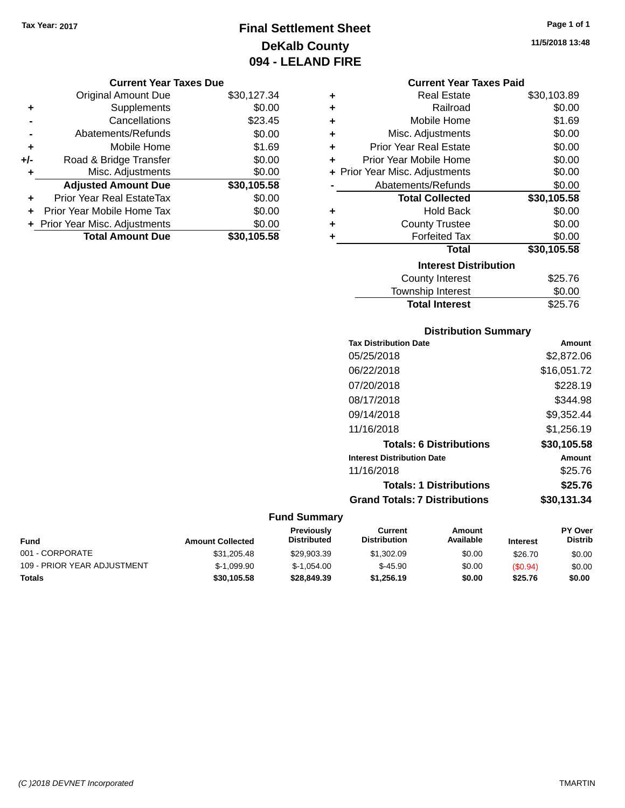### **Final Settlement Sheet Tax Year: 2017 Page 1 of 1 DeKalb County 094 - LELAND FIRE**

#### **Current Year Taxes Due**

|       | <b>Original Amount Due</b>       | \$30,127.34 |
|-------|----------------------------------|-------------|
| ٠     | Supplements                      | \$0.00      |
|       | Cancellations                    | \$23.45     |
|       | Abatements/Refunds               | \$0.00      |
| ٠     | Mobile Home                      | \$1.69      |
| $+/-$ | Road & Bridge Transfer           | \$0.00      |
| ٠     | Misc. Adjustments                | \$0.00      |
|       | <b>Adjusted Amount Due</b>       | \$30,105.58 |
|       | <b>Prior Year Real EstateTax</b> | \$0.00      |
|       | Prior Year Mobile Home Tax       | \$0.00      |
|       | + Prior Year Misc. Adjustments   | \$0.00      |
|       | <b>Total Amount Due</b>          | \$30.105.58 |

#### **Current Year Taxes Paid**

| ٠ | <b>Real Estate</b>             | \$30,103.89 |
|---|--------------------------------|-------------|
| ٠ | Railroad                       | \$0.00      |
| ٠ | Mobile Home                    | \$1.69      |
| ٠ | Misc. Adjustments              | \$0.00      |
| ٠ | <b>Prior Year Real Estate</b>  | \$0.00      |
| ٠ | Prior Year Mobile Home         | \$0.00      |
|   | + Prior Year Misc. Adjustments | \$0.00      |
|   | Abatements/Refunds             | \$0.00      |
|   | <b>Total Collected</b>         | \$30,105.58 |
| ٠ | Hold Back                      | \$0.00      |
| ٠ | <b>County Trustee</b>          | \$0.00      |
| ٠ | <b>Forfeited Tax</b>           | \$0.00      |
|   | Total                          | \$30,105.58 |
|   | <b>Interest Distribution</b>   |             |
|   | County Interest                | \$25.76     |
|   | <b>Township Interest</b>       | \$0.00      |
|   | <b>Total Interest</b>          | \$25.76     |

# **Distribution Summary**

| <b>Tax Distribution Date</b>         | Amount      |
|--------------------------------------|-------------|
| 05/25/2018                           | \$2,872.06  |
| 06/22/2018                           | \$16,051.72 |
| 07/20/2018                           | \$228.19    |
| 08/17/2018                           | \$344.98    |
| 09/14/2018                           | \$9,352.44  |
| 11/16/2018                           | \$1,256.19  |
| <b>Totals: 6 Distributions</b>       | \$30,105.58 |
| <b>Interest Distribution Date</b>    | Amount      |
| 11/16/2018                           | \$25.76     |
| <b>Totals: 1 Distributions</b>       | \$25.76     |
| <b>Grand Totals: 7 Distributions</b> | \$30.131.34 |
|                                      |             |

### **Fund Summary**

| <b>Fund</b>                 | <b>Amount Collected</b> | <b>Previously</b><br><b>Distributed</b> | Current<br><b>Distribution</b> | Amount<br>Available | <b>Interest</b> | <b>PY Over</b><br><b>Distrib</b> |
|-----------------------------|-------------------------|-----------------------------------------|--------------------------------|---------------------|-----------------|----------------------------------|
| 001 - CORPORATE             | \$31,205.48             | \$29.903.39                             | \$1,302.09                     | \$0.00              | \$26.70         | \$0.00                           |
| 109 - PRIOR YEAR ADJUSTMENT | $$-1.099.90$            | $$-1.054.00$                            | $$-45.90$                      | \$0.00              | (S0.94)         | \$0.00                           |
| <b>Totals</b>               | \$30.105.58             | \$28,849.39                             | \$1.256.19                     | \$0.00              | \$25.76         | \$0.00                           |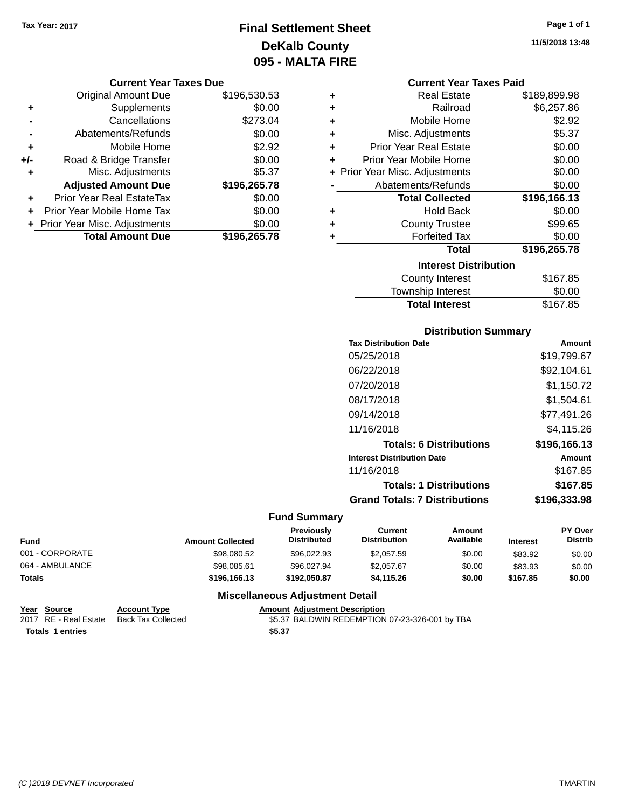### **Final Settlement Sheet Tax Year: 2017 Page 1 of 1 DeKalb County 095 - MALTA FIRE**

#### **Current Year Taxes Due**

|       | <b>Original Amount Due</b>       | \$196,530.53 |
|-------|----------------------------------|--------------|
| ٠     | Supplements                      | \$0.00       |
|       | Cancellations                    | \$273.04     |
|       | Abatements/Refunds               | \$0.00       |
| ٠     | Mobile Home                      | \$2.92       |
| $+/-$ | Road & Bridge Transfer           | \$0.00       |
| ٠     | Misc. Adjustments                | \$5.37       |
|       | <b>Adjusted Amount Due</b>       | \$196,265.78 |
|       | <b>Prior Year Real EstateTax</b> | \$0.00       |
|       | Prior Year Mobile Home Tax       | \$0.00       |
|       | + Prior Year Misc. Adjustments   | \$0.00       |
|       | <b>Total Amount Due</b>          | \$196,265.78 |

#### **Current Year Taxes Paid**

| ٠ | <b>Real Estate</b>             | \$189,899.98 |
|---|--------------------------------|--------------|
| ٠ | Railroad                       | \$6,257.86   |
| ٠ | Mobile Home                    | \$2.92       |
| ٠ | Misc. Adjustments              | \$5.37       |
| ٠ | <b>Prior Year Real Estate</b>  | \$0.00       |
| ٠ | Prior Year Mobile Home         | \$0.00       |
|   | + Prior Year Misc. Adjustments | \$0.00       |
|   | Abatements/Refunds             | \$0.00       |
|   | <b>Total Collected</b>         | \$196,166.13 |
| ٠ | Hold Back                      | \$0.00       |
| ٠ | <b>County Trustee</b>          | \$99.65      |
| ٠ | <b>Forfeited Tax</b>           | \$0.00       |
|   | <b>Total</b>                   | \$196,265.78 |
|   | <b>Interest Distribution</b>   |              |
|   | <b>County Interest</b>         | \$167.85     |
|   | Township Internet              | ድስ ሰስ        |

## Township Interest  $$0.00$ Total Interest \$167.85

#### **Distribution Summary**

| <b>Tax Distribution Date</b>         | Amount       |
|--------------------------------------|--------------|
| 05/25/2018                           | \$19,799.67  |
| 06/22/2018                           | \$92,104.61  |
| 07/20/2018                           | \$1.150.72   |
| 08/17/2018                           | \$1,504.61   |
| 09/14/2018                           | \$77,491.26  |
| 11/16/2018                           | \$4,115.26   |
| <b>Totals: 6 Distributions</b>       | \$196,166.13 |
| <b>Interest Distribution Date</b>    | Amount       |
| 11/16/2018                           | \$167.85     |
| <b>Totals: 1 Distributions</b>       | \$167.85     |
| <b>Grand Totals: 7 Distributions</b> | \$196,333.98 |
|                                      |              |

### **Fund Summary**

| Fund            | <b>Amount Collected</b> | Previously<br><b>Distributed</b> | Current<br><b>Distribution</b> | Amount<br>Available | <b>Interest</b> | <b>PY Over</b><br><b>Distrib</b> |
|-----------------|-------------------------|----------------------------------|--------------------------------|---------------------|-----------------|----------------------------------|
| 001 - CORPORATE | \$98,080.52             | \$96,022.93                      | \$2,057.59                     | \$0.00              | \$83.92         | \$0.00                           |
| 064 - AMBULANCE | \$98,085.61             | \$96,027.94                      | \$2,057.67                     | \$0.00              | \$83.93         | \$0.00                           |
| Totals          | \$196,166.13            | \$192.050.87                     | \$4,115.26                     | \$0.00              | \$167.85        | \$0.00                           |

#### **Miscellaneous Adjustment Detail**

| Year Source      | <b>Account Type</b>                      |        | <b>Amount Adiustment Description</b>           |
|------------------|------------------------------------------|--------|------------------------------------------------|
|                  | 2017 RE - Real Estate Back Tax Collected |        | \$5.37 BALDWIN REDEMPTION 07-23-326-001 by TBA |
| Totals 1 entries |                                          | \$5.37 |                                                |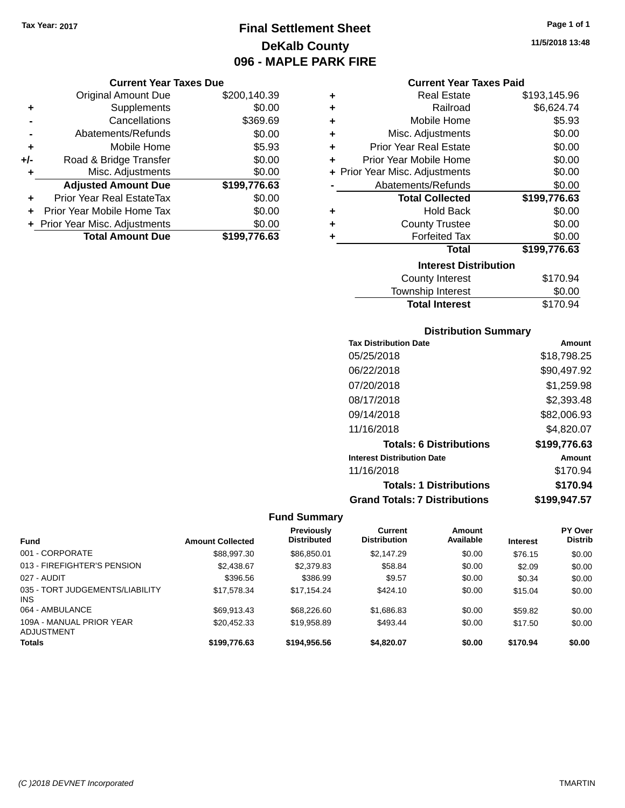### **Final Settlement Sheet Tax Year: 2017 Page 1 of 1 DeKalb County 096 - MAPLE PARK FIRE**

#### **Current Year Taxes Due**

|       | <b>Original Amount Due</b>       | \$200,140.39 |
|-------|----------------------------------|--------------|
| ٠     | Supplements                      | \$0.00       |
|       | Cancellations                    | \$369.69     |
|       | Abatements/Refunds               | \$0.00       |
| ٠     | Mobile Home                      | \$5.93       |
| $+/-$ | Road & Bridge Transfer           | \$0.00       |
| ٠     | Misc. Adjustments                | \$0.00       |
|       | <b>Adjusted Amount Due</b>       | \$199,776.63 |
| ٠     | <b>Prior Year Real EstateTax</b> | \$0.00       |
|       | Prior Year Mobile Home Tax       | \$0.00       |
|       | + Prior Year Misc. Adjustments   | \$0.00       |
|       | <b>Total Amount Due</b>          | \$199,776.63 |

| ٠ | <b>Real Estate</b>             | \$193,145.96 |
|---|--------------------------------|--------------|
| ÷ | Railroad                       | \$6,624.74   |
| ÷ | Mobile Home                    | \$5.93       |
| ٠ | Misc. Adjustments              | \$0.00       |
| ÷ | <b>Prior Year Real Estate</b>  | \$0.00       |
| ÷ | Prior Year Mobile Home         | \$0.00       |
|   | + Prior Year Misc. Adjustments | \$0.00       |
|   | Abatements/Refunds             | \$0.00       |
|   |                                |              |
|   | <b>Total Collected</b>         | \$199,776.63 |
| ٠ | <b>Hold Back</b>               | \$0.00       |
| ÷ | <b>County Trustee</b>          | \$0.00       |
| ٠ | <b>Forfeited Tax</b>           | \$0.00       |
|   | <b>Total</b>                   | \$199,776.63 |
|   | <b>Interest Distribution</b>   |              |
|   | County Interest                | \$170.94     |

Total Interest \$170.94

| <b>Distribution Summary</b>          |              |
|--------------------------------------|--------------|
| <b>Tax Distribution Date</b>         | Amount       |
| 05/25/2018                           | \$18,798.25  |
| 06/22/2018                           | \$90,497.92  |
| 07/20/2018                           | \$1,259.98   |
| 08/17/2018                           | \$2,393.48   |
| 09/14/2018                           | \$82,006.93  |
| 11/16/2018                           | \$4,820.07   |
| <b>Totals: 6 Distributions</b>       | \$199,776.63 |
| <b>Interest Distribution Date</b>    | Amount       |
| 11/16/2018                           | \$170.94     |
| <b>Totals: 1 Distributions</b>       | \$170.94     |
| <b>Grand Totals: 7 Distributions</b> | \$199,947.57 |

| <b>Fund</b>                                   | <b>Amount Collected</b> | Previously<br><b>Distributed</b> | Current<br><b>Distribution</b> | Amount<br>Available | <b>Interest</b> | <b>PY Over</b><br><b>Distrib</b> |
|-----------------------------------------------|-------------------------|----------------------------------|--------------------------------|---------------------|-----------------|----------------------------------|
| 001 - CORPORATE                               | \$88,997.30             | \$86,850.01                      | \$2,147.29                     | \$0.00              | \$76.15         | \$0.00                           |
| 013 - FIREFIGHTER'S PENSION                   | \$2,438.67              | \$2,379.83                       | \$58.84                        | \$0.00              | \$2.09          | \$0.00                           |
| 027 - AUDIT                                   | \$396.56                | \$386.99                         | \$9.57                         | \$0.00              | \$0.34          | \$0.00                           |
| 035 - TORT JUDGEMENTS/LIABILITY<br><b>INS</b> | \$17,578.34             | \$17.154.24                      | \$424.10                       | \$0.00              | \$15.04         | \$0.00                           |
| 064 - AMBULANCE                               | \$69,913.43             | \$68,226.60                      | \$1,686.83                     | \$0.00              | \$59.82         | \$0.00                           |
| 109A - MANUAL PRIOR YEAR<br>ADJUSTMENT        | \$20.452.33             | \$19.958.89                      | \$493.44                       | \$0.00              | \$17.50         | \$0.00                           |
| <b>Totals</b>                                 | \$199,776.63            | \$194,956,56                     | \$4.820.07                     | \$0.00              | \$170.94        | \$0.00                           |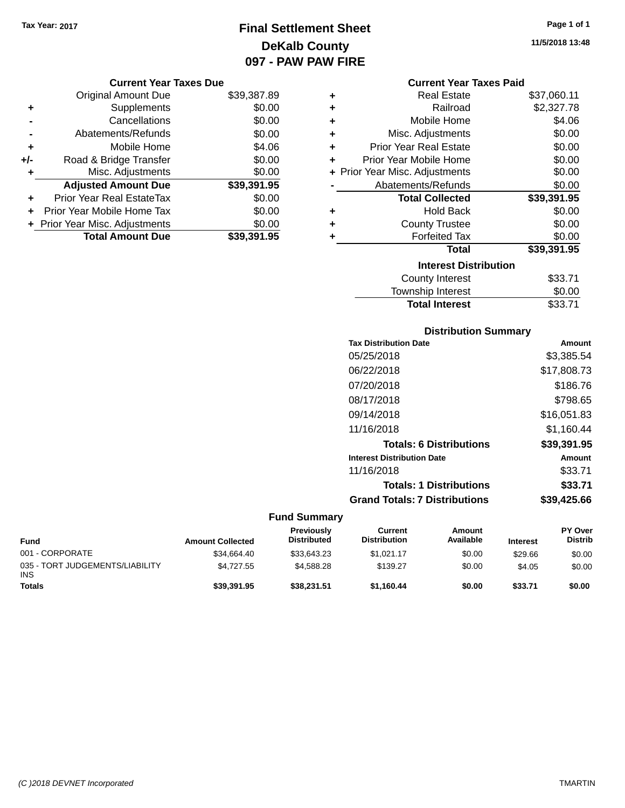### **Final Settlement Sheet Tax Year: 2017 Page 1 of 1 DeKalb County 097 - PAW PAW FIRE**

| Page 1 of 1 |  |  |
|-------------|--|--|
|             |  |  |

**11/5/2018 13:48**

|     | <b>Current Year Taxes Due</b>  |             |
|-----|--------------------------------|-------------|
|     | <b>Original Amount Due</b>     | \$39,387.89 |
| ٠   | Supplements                    | \$0.00      |
|     | Cancellations                  | \$0.00      |
|     | Abatements/Refunds             | \$0.00      |
| ٠   | Mobile Home                    | \$4.06      |
| +/- | Road & Bridge Transfer         | \$0.00      |
| ٠   | Misc. Adjustments              | \$0.00      |
|     | <b>Adjusted Amount Due</b>     | \$39,391.95 |
| ٠   | Prior Year Real EstateTax      | \$0.00      |
| ÷   | Prior Year Mobile Home Tax     | \$0.00      |
|     | + Prior Year Misc. Adjustments | \$0.00      |
|     | <b>Total Amount Due</b>        | \$39,391.95 |
|     |                                |             |

|   | <b>Current Year Taxes Paid</b> |             |
|---|--------------------------------|-------------|
| ÷ | <b>Real Estate</b>             | \$37,060.11 |
|   | Railroad                       | \$2,327.78  |
| ÷ | Mobile Home                    | \$4.06      |
| ÷ | Misc. Adjustments              | \$0.00      |
| ÷ | <b>Prior Year Real Estate</b>  | \$0.00      |
| ÷ | Prior Year Mobile Home         | \$0.00      |
|   | + Prior Year Misc. Adjustments | \$0.00      |
|   | Abatements/Refunds             | \$0.00      |
|   |                                |             |
|   | <b>Total Collected</b>         | \$39,391.95 |
|   | <b>Hold Back</b>               | \$0.00      |
|   | <b>County Trustee</b>          | \$0.00      |
|   | <b>Forfeited Tax</b>           | \$0.00      |
|   | <b>Total</b>                   | \$39,391.95 |
|   | <b>Interest Distribution</b>   |             |
|   | County Interest                | \$33.71     |
|   | <b>Township Interest</b>       | \$0.00      |

### **Distribution Summary**

| Amount      |
|-------------|
| \$3,385.54  |
| \$17,808.73 |
| \$186.76    |
| \$798.65    |
| \$16,051.83 |
| \$1,160.44  |
| \$39,391.95 |
| Amount      |
| \$33.71     |
| \$33.71     |
| \$39.425.66 |
|             |

| Fund                                          | <b>Amount Collected</b> | Previously<br><b>Distributed</b> | Current<br><b>Distribution</b> | Amount<br>Available | <b>Interest</b> | <b>PY Over</b><br><b>Distrib</b> |
|-----------------------------------------------|-------------------------|----------------------------------|--------------------------------|---------------------|-----------------|----------------------------------|
| 001 - CORPORATE                               | \$34.664.40             | \$33,643.23                      | \$1.021.17                     | \$0.00              | \$29.66         | \$0.00                           |
| 035 - TORT JUDGEMENTS/LIABILITY<br><b>INS</b> | \$4.727.55              | \$4,588,28                       | \$139.27                       | \$0.00              | \$4.05          | \$0.00                           |
| <b>Totals</b>                                 | \$39,391.95             | \$38,231.51                      | \$1.160.44                     | \$0.00              | \$33.71         | \$0.00                           |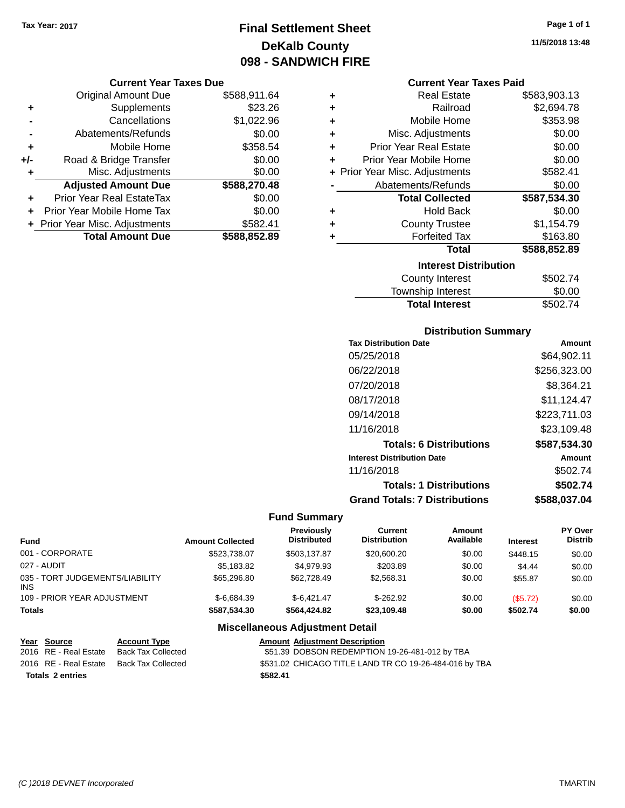### **Final Settlement Sheet Tax Year: 2017 Page 1 of 1 DeKalb County 098 - SANDWICH FIRE**

#### **Current Year Taxes Due**

|     | <b>Original Amount Due</b>       | \$588,911.64 |
|-----|----------------------------------|--------------|
| ٠   | Supplements                      | \$23.26      |
|     | Cancellations                    | \$1,022.96   |
|     | Abatements/Refunds               | \$0.00       |
| ٠   | Mobile Home                      | \$358.54     |
| +/- | Road & Bridge Transfer           | \$0.00       |
| ٠   | Misc. Adjustments                | \$0.00       |
|     | <b>Adjusted Amount Due</b>       | \$588,270.48 |
|     | <b>Prior Year Real EstateTax</b> | \$0.00       |
|     | Prior Year Mobile Home Tax       | \$0.00       |
|     | + Prior Year Misc. Adjustments   | \$582.41     |
|     | <b>Total Amount Due</b>          | \$588,852.89 |

| ٠ | <b>Real Estate</b>             | \$583,903.13 |
|---|--------------------------------|--------------|
| ٠ | Railroad                       | \$2,694.78   |
| ٠ | Mobile Home                    | \$353.98     |
| ٠ | Misc. Adjustments              | \$0.00       |
| ٠ | <b>Prior Year Real Estate</b>  | \$0.00       |
| ٠ | Prior Year Mobile Home         | \$0.00       |
|   | + Prior Year Misc. Adjustments | \$582.41     |
|   | Abatements/Refunds             | \$0.00       |
|   | <b>Total Collected</b>         | \$587,534.30 |
| ٠ | <b>Hold Back</b>               | \$0.00       |
| ٠ | <b>County Trustee</b>          | \$1,154.79   |
| ٠ | <b>Forfeited Tax</b>           | \$163.80     |
|   | Total                          | \$588,852.89 |
|   | <b>Interest Distribution</b>   |              |
|   | <b>County Interest</b>         | \$502.74     |
|   | The contract of the second     | mm nn        |

### Township Interest \$0.00 **Total Interest** \$502.74

#### **Distribution Summary**

| <b>Tax Distribution Date</b>         | Amount       |
|--------------------------------------|--------------|
| 05/25/2018                           | \$64,902.11  |
| 06/22/2018                           | \$256,323.00 |
| 07/20/2018                           | \$8,364.21   |
| 08/17/2018                           | \$11,124.47  |
| 09/14/2018                           | \$223.711.03 |
| 11/16/2018                           | \$23,109.48  |
| <b>Totals: 6 Distributions</b>       | \$587,534.30 |
| <b>Interest Distribution Date</b>    | Amount       |
| 11/16/2018                           | \$502.74     |
| <b>Totals: 1 Distributions</b>       | \$502.74     |
| <b>Grand Totals: 7 Distributions</b> | \$588,037.04 |

### **Fund Summary**

| <b>Fund</b>                                   | <b>Amount Collected</b> | Previously<br><b>Distributed</b> | Current<br><b>Distribution</b> | Amount<br>Available | <b>Interest</b> | PY Over<br><b>Distrib</b> |
|-----------------------------------------------|-------------------------|----------------------------------|--------------------------------|---------------------|-----------------|---------------------------|
| 001 - CORPORATE                               | \$523,738.07            | \$503.137.87                     | \$20,600.20                    | \$0.00              | \$448.15        | \$0.00                    |
| 027 - AUDIT                                   | \$5.183.82              | \$4.979.93                       | \$203.89                       | \$0.00              | \$4.44          | \$0.00                    |
| 035 - TORT JUDGEMENTS/LIABILITY<br><b>INS</b> | \$65,296.80             | \$62,728.49                      | \$2.568.31                     | \$0.00              | \$55.87         | \$0.00                    |
| 109 - PRIOR YEAR ADJUSTMENT                   | $$-6.684.39$            | $$-6.421.47$                     | $$-262.92$                     | \$0.00              | (\$5.72)        | \$0.00                    |
| <b>Totals</b>                                 | \$587,534.30            | \$564,424.82                     | \$23,109.48                    | \$0.00              | \$502.74        | \$0.00                    |

| Year Source             | <b>Account Type</b>                      | <b>Amount Adjustment Description</b>                   |
|-------------------------|------------------------------------------|--------------------------------------------------------|
| 2016 RE - Real Estate   | Back Tax Collected                       | \$51.39 DOBSON REDEMPTION 19-26-481-012 by TBA         |
|                         | 2016 RE - Real Estate Back Tax Collected | \$531.02 CHICAGO TITLE LAND TR CO 19-26-484-016 by TBA |
| <b>Totals 2 entries</b> |                                          | \$582.41                                               |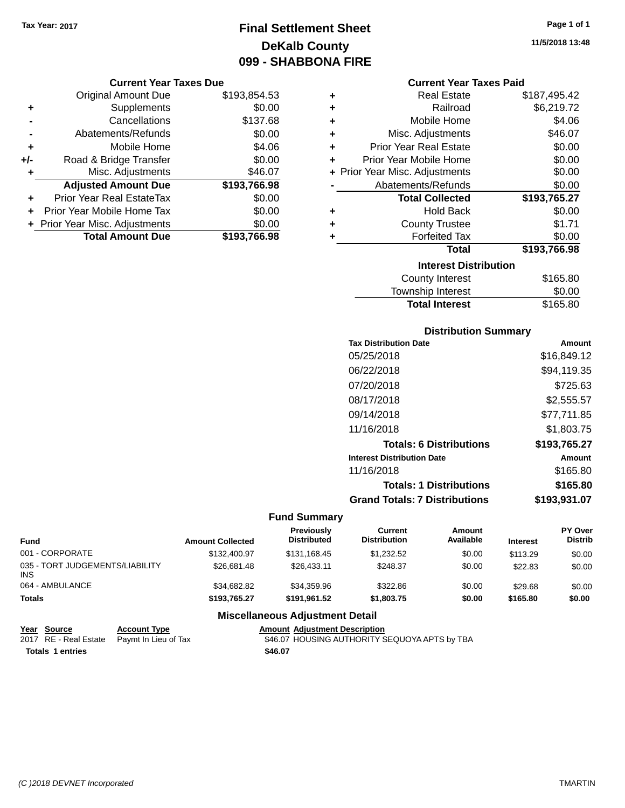### **Final Settlement Sheet Tax Year: 2017 Page 1 of 1 DeKalb County 099 - SHABBONA FIRE**

#### **Current Year Taxes Due**

|       | <b>Original Amount Due</b>       | \$193,854.53 |
|-------|----------------------------------|--------------|
| ٠     | Supplements                      | \$0.00       |
|       | Cancellations                    | \$137.68     |
|       | Abatements/Refunds               | \$0.00       |
| ٠     | Mobile Home                      | \$4.06       |
| $+/-$ | Road & Bridge Transfer           | \$0.00       |
| ٠     | Misc. Adjustments                | \$46.07      |
|       | <b>Adjusted Amount Due</b>       | \$193,766.98 |
|       | <b>Prior Year Real EstateTax</b> | \$0.00       |
|       | Prior Year Mobile Home Tax       | \$0.00       |
|       | + Prior Year Misc. Adjustments   | \$0.00       |
|       | <b>Total Amount Due</b>          | \$193.766.98 |

| ٠ | <b>Real Estate</b>             | \$187,495.42 |
|---|--------------------------------|--------------|
| ÷ | Railroad                       | \$6,219.72   |
| ٠ | Mobile Home                    | \$4.06       |
| ٠ | Misc. Adjustments              | \$46.07      |
| ٠ | <b>Prior Year Real Estate</b>  | \$0.00       |
| ٠ | Prior Year Mobile Home         | \$0.00       |
|   | + Prior Year Misc. Adjustments | \$0.00       |
|   | Abatements/Refunds             | \$0.00       |
|   | <b>Total Collected</b>         | \$193,765.27 |
| ٠ | <b>Hold Back</b>               | \$0.00       |
| ٠ | <b>County Trustee</b>          | \$1.71       |
|   |                                |              |
| ٠ | <b>Forfeited Tax</b>           | \$0.00       |
|   | <b>Total</b>                   | \$193,766.98 |
|   | <b>Interest Distribution</b>   |              |
|   | <b>County Interest</b>         | \$165.80     |

| <b>Total Interest</b> | \$165.80 |
|-----------------------|----------|
| Township Interest     | \$0.00   |
| County Interest       | \$165.80 |

#### **Distribution Summary**

| <b>Tax Distribution Date</b>         | Amount       |
|--------------------------------------|--------------|
| 05/25/2018                           | \$16,849.12  |
| 06/22/2018                           | \$94,119.35  |
| 07/20/2018                           | \$725.63     |
| 08/17/2018                           | \$2,555.57   |
| 09/14/2018                           | \$77,711.85  |
| 11/16/2018                           | \$1,803.75   |
| <b>Totals: 6 Distributions</b>       | \$193,765.27 |
| <b>Interest Distribution Date</b>    | Amount       |
| 11/16/2018                           | \$165.80     |
| <b>Totals: 1 Distributions</b>       | \$165.80     |
| <b>Grand Totals: 7 Distributions</b> | \$193,931.07 |

### **Fund Summary**

| Fund                                    | <b>Amount Collected</b> | Previously<br><b>Distributed</b> | Current<br><b>Distribution</b> | Amount<br>Available | <b>Interest</b> | PY Over<br><b>Distrib</b> |
|-----------------------------------------|-------------------------|----------------------------------|--------------------------------|---------------------|-----------------|---------------------------|
| 001 - CORPORATE                         | \$132,400.97            | \$131.168.45                     | \$1.232.52                     | \$0.00              | \$113.29        | \$0.00                    |
| 035 - TORT JUDGEMENTS/LIABILITY<br>INS. | \$26,681.48             | \$26.433.11                      | \$248.37                       | \$0.00              | \$22.83         | \$0.00                    |
| 064 - AMBULANCE                         | \$34.682.82             | \$34.359.96                      | \$322.86                       | \$0.00              | \$29.68         | \$0.00                    |
| <b>Totals</b>                           | \$193,765.27            | \$191.961.52                     | \$1,803.75                     | \$0.00              | \$165.80        | \$0.00                    |

### **Miscellaneous Adjustment Detail**

| Year Source      | <b>Account Type</b>                        | <b>Amount Adjustment Description</b>          |
|------------------|--------------------------------------------|-----------------------------------------------|
|                  | 2017 RE - Real Estate Paymt In Lieu of Tax | \$46.07 HOUSING AUTHORITY SEQUOYA APTS by TBA |
| Totals 1 entries |                                            | \$46.07                                       |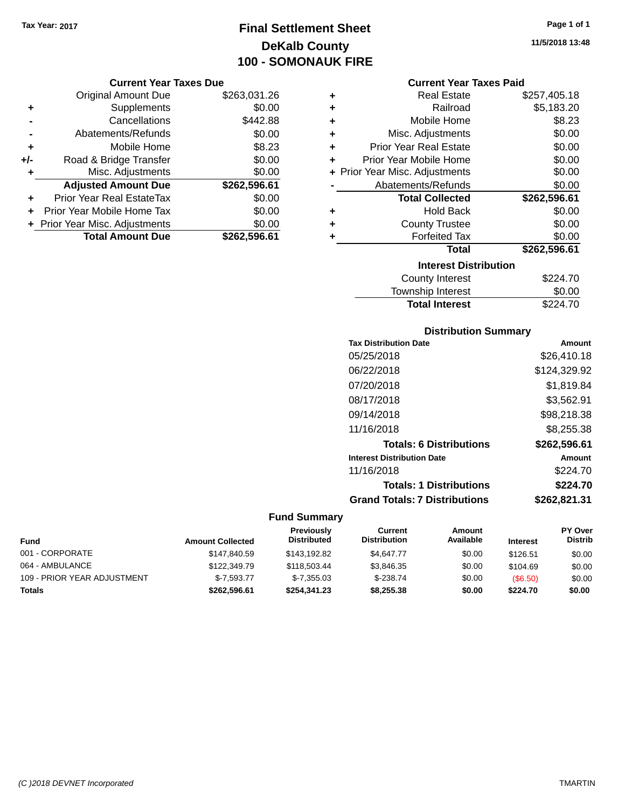### **Final Settlement Sheet Tax Year: 2017 Page 1 of 1 DeKalb County 100 - SOMONAUK FIRE**

#### **Current Year Taxes Due**

|       | <b>Original Amount Due</b>     | \$263,031.26 |
|-------|--------------------------------|--------------|
| ٠     | Supplements                    | \$0.00       |
|       | Cancellations                  | \$442.88     |
|       | Abatements/Refunds             | \$0.00       |
| ٠     | Mobile Home                    | \$8.23       |
| $+/-$ | Road & Bridge Transfer         | \$0.00       |
| ٠     | Misc. Adjustments              | \$0.00       |
|       | <b>Adjusted Amount Due</b>     | \$262,596.61 |
|       | Prior Year Real EstateTax      | \$0.00       |
|       | Prior Year Mobile Home Tax     | \$0.00       |
|       | + Prior Year Misc. Adjustments | \$0.00       |
|       | <b>Total Amount Due</b>        | \$262,596.61 |

| ٠ | <b>Real Estate</b>             | \$257,405.18 |
|---|--------------------------------|--------------|
| ÷ | Railroad                       | \$5,183.20   |
| ٠ | Mobile Home                    | \$8.23       |
| ٠ | Misc. Adjustments              | \$0.00       |
| ÷ | <b>Prior Year Real Estate</b>  | \$0.00       |
| ٠ | Prior Year Mobile Home         | \$0.00       |
|   | + Prior Year Misc. Adjustments | \$0.00       |
|   | Abatements/Refunds             | \$0.00       |
|   |                                |              |
|   | <b>Total Collected</b>         | \$262,596.61 |
| ٠ | <b>Hold Back</b>               | \$0.00       |
| ٠ | <b>County Trustee</b>          | \$0.00       |
| ٠ | <b>Forfeited Tax</b>           | \$0.00       |
|   | <b>Total</b>                   | \$262,596.61 |
|   | <b>Interest Distribution</b>   |              |
|   | County Interest                | \$224.70     |

#### **Distribution Summary**

Total Interest \$224.70

| <b>Tax Distribution Date</b>         | Amount       |
|--------------------------------------|--------------|
| 05/25/2018                           | \$26,410.18  |
| 06/22/2018                           | \$124,329.92 |
| 07/20/2018                           | \$1.819.84   |
| 08/17/2018                           | \$3,562.91   |
| 09/14/2018                           | \$98,218.38  |
| 11/16/2018                           | \$8,255,38   |
| <b>Totals: 6 Distributions</b>       | \$262,596.61 |
| <b>Interest Distribution Date</b>    | Amount       |
| 11/16/2018                           | \$224.70     |
| <b>Totals: 1 Distributions</b>       | \$224.70     |
| <b>Grand Totals: 7 Distributions</b> | \$262,821.31 |

### **Fund Summary**

| Fund                        | <b>Amount Collected</b> | <b>Previously</b><br><b>Distributed</b> | Current<br><b>Distribution</b> | Amount<br>Available | <b>Interest</b> | <b>PY Over</b><br><b>Distrib</b> |
|-----------------------------|-------------------------|-----------------------------------------|--------------------------------|---------------------|-----------------|----------------------------------|
| 001 - CORPORATE             | \$147,840.59            | \$143.192.82                            | \$4.647.77                     | \$0.00              | \$126.51        | \$0.00                           |
| 064 - AMBULANCE             | \$122,349.79            | \$118,503.44                            | \$3.846.35                     | \$0.00              | \$104.69        | \$0.00                           |
| 109 - PRIOR YEAR ADJUSTMENT | $$-7.593.77$            | $$-7,355.03$                            | $$-238.74$                     | \$0.00              | (\$6.50)        | \$0.00                           |
| Totals                      | \$262.596.61            | \$254.341.23                            | \$8,255,38                     | \$0.00              | \$224.70        | \$0.00                           |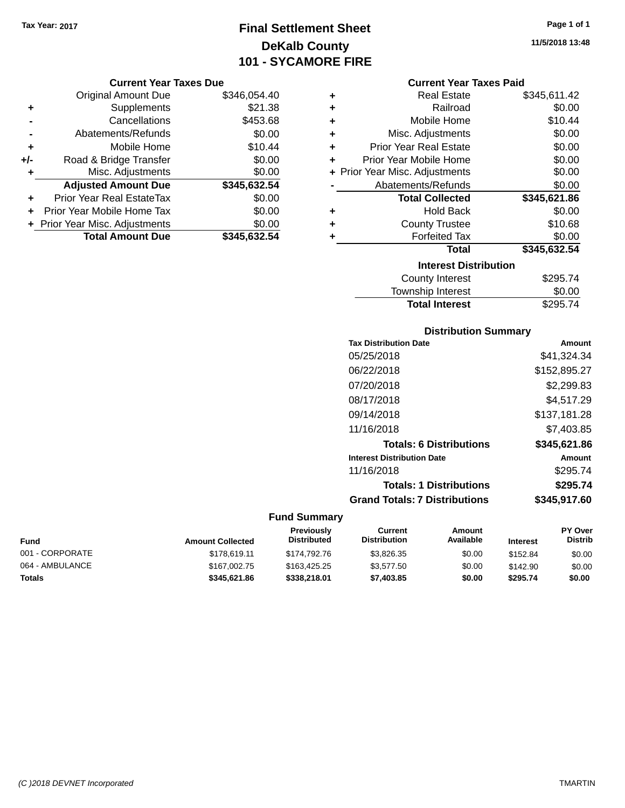### **Final Settlement Sheet Tax Year: 2017 Page 1 of 1 DeKalb County 101 - SYCAMORE FIRE**

#### **Current Year Taxes Due**

|       | <b>Original Amount Due</b>       | \$346,054.40 |
|-------|----------------------------------|--------------|
| ٠     | Supplements                      | \$21.38      |
|       | Cancellations                    | \$453.68     |
|       | Abatements/Refunds               | \$0.00       |
| ٠     | Mobile Home                      | \$10.44      |
| $+/-$ | Road & Bridge Transfer           | \$0.00       |
| ٠     | Misc. Adjustments                | \$0.00       |
|       | <b>Adjusted Amount Due</b>       | \$345,632.54 |
| ÷     | <b>Prior Year Real EstateTax</b> | \$0.00       |
|       | Prior Year Mobile Home Tax       | \$0.00       |
|       | + Prior Year Misc. Adjustments   | \$0.00       |
|       | <b>Total Amount Due</b>          | \$345,632.54 |

| ٠ | <b>Real Estate</b>             | \$345,611.42 |
|---|--------------------------------|--------------|
| ÷ | Railroad                       | \$0.00       |
| ÷ | Mobile Home                    | \$10.44      |
| ٠ | Misc. Adjustments              | \$0.00       |
| ÷ | <b>Prior Year Real Estate</b>  | \$0.00       |
| ÷ | Prior Year Mobile Home         | \$0.00       |
|   | + Prior Year Misc. Adjustments | \$0.00       |
|   | Abatements/Refunds             | \$0.00       |
|   |                                |              |
|   | <b>Total Collected</b>         | \$345,621.86 |
| ٠ | <b>Hold Back</b>               | \$0.00       |
| ÷ | <b>County Trustee</b>          | \$10.68      |
| ٠ | <b>Forfeited Tax</b>           | \$0.00       |
|   | <b>Total</b>                   | \$345,632.54 |
|   | <b>Interest Distribution</b>   |              |
|   | County Interest                | \$295.74     |

## Total Interest \$295.74

| <b>Distribution Summary</b>          |              |
|--------------------------------------|--------------|
| <b>Tax Distribution Date</b>         | Amount       |
| 05/25/2018                           | \$41.324.34  |
| 06/22/2018                           | \$152,895.27 |
| 07/20/2018                           | \$2,299.83   |
| 08/17/2018                           | \$4,517.29   |
| 09/14/2018                           | \$137,181.28 |
| 11/16/2018                           | \$7,403.85   |
| <b>Totals: 6 Distributions</b>       | \$345,621.86 |
| <b>Interest Distribution Date</b>    | Amount       |
| 11/16/2018                           | \$295.74     |
| <b>Totals: 1 Distributions</b>       | \$295.74     |
| <b>Grand Totals: 7 Distributions</b> | \$345,917.60 |

### **Fund Summary**

| <b>Fund</b>     | <b>Amount Collected</b> | <b>Previously</b><br><b>Distributed</b> | Current<br><b>Distribution</b> | Amount<br>Available | <b>Interest</b> | <b>PY Over</b><br><b>Distrib</b> |
|-----------------|-------------------------|-----------------------------------------|--------------------------------|---------------------|-----------------|----------------------------------|
| 001 - CORPORATE | \$178,619.11            | \$174,792,76                            | \$3.826.35                     | \$0.00              | \$152.84        | \$0.00                           |
| 064 - AMBULANCE | \$167,002.75            | \$163,425.25                            | \$3,577.50                     | \$0.00              | \$142.90        | \$0.00                           |
| <b>Totals</b>   | \$345.621.86            | \$338,218,01                            | \$7,403.85                     | \$0.00              | \$295.74        | \$0.00                           |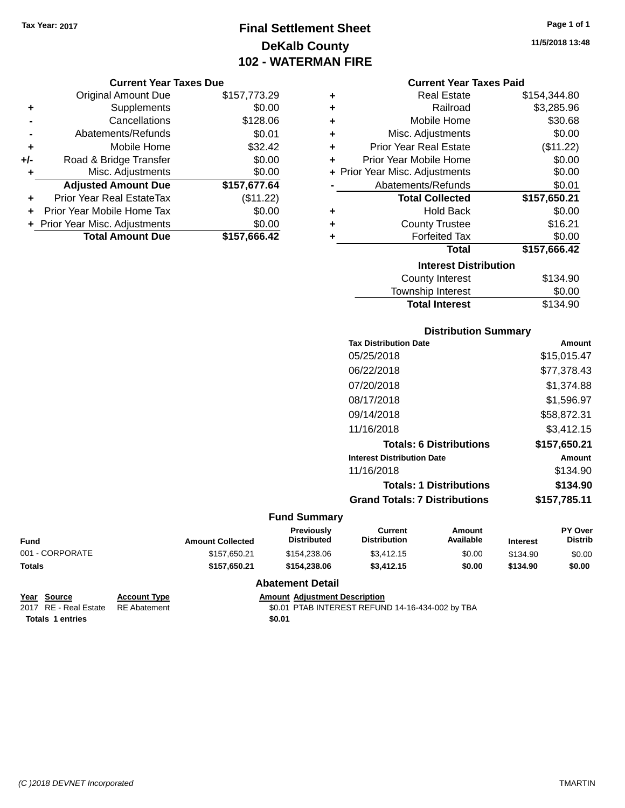### **Final Settlement Sheet Tax Year: 2017 Page 1 of 1 DeKalb County 102 - WATERMAN FIRE**

#### **Current Year Taxes Due**

|       | <b>Original Amount Due</b>       | \$157,773.29 |
|-------|----------------------------------|--------------|
| ٠     | Supplements                      | \$0.00       |
|       | Cancellations                    | \$128.06     |
|       | Abatements/Refunds               | \$0.01       |
| ٠     | Mobile Home                      | \$32.42      |
| $+/-$ | Road & Bridge Transfer           | \$0.00       |
| ٠     | Misc. Adjustments                | \$0.00       |
|       | <b>Adjusted Amount Due</b>       | \$157,677.64 |
|       | <b>Prior Year Real EstateTax</b> | (\$11.22)    |
|       | Prior Year Mobile Home Tax       | \$0.00       |
|       | + Prior Year Misc. Adjustments   | \$0.00       |
|       | <b>Total Amount Due</b>          | \$157,666.42 |

|   | <b>Current Year Taxes Paid</b> |              |
|---|--------------------------------|--------------|
| ÷ | <b>Real Estate</b>             | \$154,344.80 |
| ÷ | Railroad                       | \$3,285.96   |
| ÷ | Mobile Home                    | \$30.68      |
| ÷ | Misc. Adjustments              | \$0.00       |
| ÷ | <b>Prior Year Real Estate</b>  | (\$11.22)    |
| ÷ | Prior Year Mobile Home         | \$0.00       |
|   | + Prior Year Misc. Adjustments | \$0.00       |
|   | Abatements/Refunds             | \$0.01       |
|   | <b>Total Collected</b>         | \$157,650.21 |
| ÷ | <b>Hold Back</b>               | \$0.00       |
| ÷ | <b>County Trustee</b>          | \$16.21      |
| ٠ | <b>Forfeited Tax</b>           | \$0.00       |
|   | Total                          | \$157,666.42 |
|   |                                |              |

| <b>Interest Distribution</b> |          |
|------------------------------|----------|
| County Interest              | \$134.90 |
| Township Interest            | \$0.00   |
| <b>Total Interest</b>        | \$134.90 |

#### **Distribution Summary**

| <b>Tax Distribution Date</b>         | Amount       |
|--------------------------------------|--------------|
| 05/25/2018                           | \$15,015.47  |
| 06/22/2018                           | \$77,378.43  |
| 07/20/2018                           | \$1.374.88   |
| 08/17/2018                           | \$1.596.97   |
| 09/14/2018                           | \$58,872.31  |
| 11/16/2018                           | \$3.412.15   |
| <b>Totals: 6 Distributions</b>       | \$157.650.21 |
| <b>Interest Distribution Date</b>    | Amount       |
| 11/16/2018                           | \$134.90     |
| <b>Totals: 1 Distributions</b>       | \$134.90     |
| <b>Grand Totals: 7 Distributions</b> | \$157,785.11 |
|                                      |              |

### **Fund Summary**

| Fund            | <b>Amount Collected</b> | <b>Previously</b><br>Distributed | Current<br><b>Distribution</b> | Amount<br>Available | <b>Interest</b> | <b>PY Over</b><br><b>Distrib</b> |
|-----------------|-------------------------|----------------------------------|--------------------------------|---------------------|-----------------|----------------------------------|
| 001 - CORPORATE | \$157.650.21            | \$154,238,06                     | \$3,412.15                     | \$0.00              | \$134.90        | \$0.00                           |
| Totals          | \$157.650.21            | \$154,238,06                     | \$3,412.15                     | \$0.00              | \$134.90        | \$0.00                           |
|                 |                         |                                  |                                |                     |                 |                                  |

#### **Abatement Detail**

| Year Source                        | <b>Account Type</b> | <b>Amount Adiustment Description</b>             |
|------------------------------------|---------------------|--------------------------------------------------|
| 2017 RE - Real Estate RE Abatement |                     | \$0.01 PTAB INTEREST REFUND 14-16-434-002 by TBA |
| Totals 1 entries                   |                     | \$0.01                                           |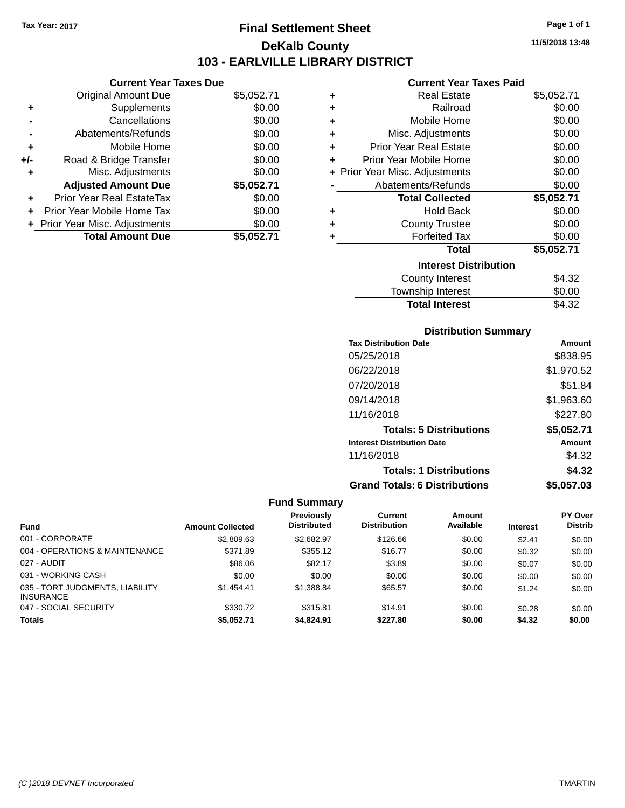### **Final Settlement Sheet Tax Year: 2017 Page 1 of 1 DeKalb County 103 - EARLVILLE LIBRARY DISTRICT**

**11/5/2018 13:48**

#### **Current Year Taxes Paid**

|     | <b>Current Year Taxes Due</b>  |            |   |              |
|-----|--------------------------------|------------|---|--------------|
|     | Original Amount Due            | \$5,052.71 | ٠ |              |
|     | Supplements                    | \$0.00     |   |              |
|     | Cancellations                  | \$0.00     |   |              |
|     | Abatements/Refunds             | \$0.00     | ٠ |              |
|     | Mobile Home                    | \$0.00     |   | Pri          |
| +/- | Road & Bridge Transfer         | \$0.00     |   | Prior        |
|     | Misc. Adjustments              | \$0.00     |   | + Prior Year |
|     | <b>Adjusted Amount Due</b>     | \$5,052.71 |   | Αł           |
|     | Prior Year Real EstateTax      | \$0.00     |   |              |
|     | Prior Year Mobile Home Tax     | \$0.00     | ٠ |              |
|     | + Prior Year Misc. Adjustments | \$0.00     | ٠ |              |
|     | <b>Total Amount Due</b>        | \$5,052.71 |   |              |
|     |                                |            |   |              |

| ٠ | <b>Real Estate</b>             | \$5,052.71 |
|---|--------------------------------|------------|
| ٠ | Railroad                       | \$0.00     |
| ٠ | Mobile Home                    | \$0.00     |
| ٠ | Misc. Adjustments              | \$0.00     |
| ٠ | <b>Prior Year Real Estate</b>  | \$0.00     |
| ٠ | Prior Year Mobile Home         | \$0.00     |
|   | + Prior Year Misc. Adjustments | \$0.00     |
|   | Abatements/Refunds             | \$0.00     |
|   | <b>Total Collected</b>         | \$5,052.71 |
| ٠ | Hold Back                      | \$0.00     |
| ÷ | <b>County Trustee</b>          | \$0.00     |
| ٠ | <b>Forfeited Tax</b>           | \$0.00     |
|   | Total                          | \$5,052.71 |
|   | <b>Interest Distribution</b>   |            |
|   | County Interest                | \$4.32     |
|   | <b>Township Interest</b>       | \$0.00     |
|   | <b>Total Interest</b>          | \$4.32     |

| <b>Distribution Summary</b> |  |
|-----------------------------|--|
|-----------------------------|--|

| <b>Tax Distribution Date</b>         | Amount     |
|--------------------------------------|------------|
| 05/25/2018                           | \$838.95   |
| 06/22/2018                           | \$1,970.52 |
| 07/20/2018                           | \$51.84    |
| 09/14/2018                           | \$1,963.60 |
| 11/16/2018                           | \$227.80   |
| <b>Totals: 5 Distributions</b>       | \$5,052.71 |
| <b>Interest Distribution Date</b>    | Amount     |
| 11/16/2018                           | \$4.32     |
| <b>Totals: 1 Distributions</b>       | \$4.32     |
| <b>Grand Totals: 6 Distributions</b> | \$5,057.03 |

|                                                     |                         | Previously         | Current             | Amount    |                 | <b>PY Over</b> |
|-----------------------------------------------------|-------------------------|--------------------|---------------------|-----------|-----------------|----------------|
| <b>Fund</b>                                         | <b>Amount Collected</b> | <b>Distributed</b> | <b>Distribution</b> | Available | <b>Interest</b> | <b>Distrib</b> |
| 001 - CORPORATE                                     | \$2,809.63              | \$2,682.97         | \$126.66            | \$0.00    | \$2.41          | \$0.00         |
| 004 - OPERATIONS & MAINTENANCE                      | \$371.89                | \$355.12           | \$16.77             | \$0.00    | \$0.32          | \$0.00         |
| 027 - AUDIT                                         | \$86.06                 | \$82.17            | \$3.89              | \$0.00    | \$0.07          | \$0.00         |
| 031 - WORKING CASH                                  | \$0.00                  | \$0.00             | \$0.00              | \$0.00    | \$0.00          | \$0.00         |
| 035 - TORT JUDGMENTS, LIABILITY<br><b>INSURANCE</b> | \$1.454.41              | \$1,388.84         | \$65.57             | \$0.00    | \$1.24          | \$0.00         |
| 047 - SOCIAL SECURITY                               | \$330.72                | \$315.81           | \$14.91             | \$0.00    | \$0.28          | \$0.00         |
| <b>Totals</b>                                       | \$5.052.71              | \$4,824.91         | \$227.80            | \$0.00    | \$4.32          | \$0.00         |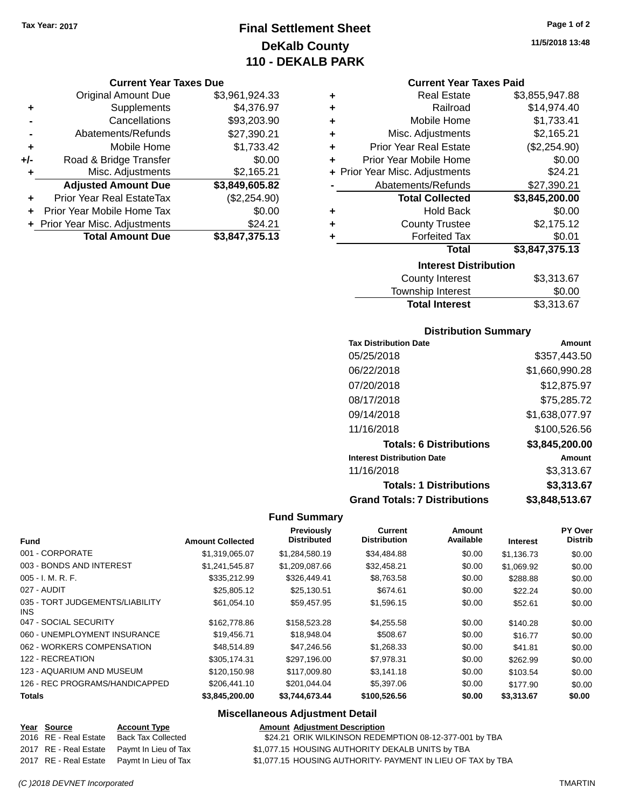### **Final Settlement Sheet Tax Year: 2017 Page 1 of 2 DeKalb County 110 - DEKALB PARK**

#### **Current Year Taxes Due**

|       | <b>Original Amount Due</b>       | \$3,961,924.33 |
|-------|----------------------------------|----------------|
| ٠     | Supplements                      | \$4,376.97     |
|       | Cancellations                    | \$93,203.90    |
|       | Abatements/Refunds               | \$27,390.21    |
| ÷     | Mobile Home                      | \$1,733.42     |
| $+/-$ | Road & Bridge Transfer           | \$0.00         |
| ٠     | Misc. Adjustments                | \$2,165.21     |
|       | <b>Adjusted Amount Due</b>       | \$3,849,605.82 |
| ÷     | <b>Prior Year Real EstateTax</b> | (\$2,254.90)   |
|       | Prior Year Mobile Home Tax       | \$0.00         |
|       | + Prior Year Misc. Adjustments   | \$24.21        |
|       | <b>Total Amount Due</b>          | \$3,847,375.13 |

#### **Current Year Taxes Paid**

| ٠ | <b>Real Estate</b>             | \$3,855,947.88 |
|---|--------------------------------|----------------|
| ٠ | Railroad                       | \$14,974.40    |
| ٠ | Mobile Home                    | \$1,733.41     |
| ٠ | Misc. Adjustments              | \$2,165.21     |
| ٠ | <b>Prior Year Real Estate</b>  | (\$2,254.90)   |
| ٠ | Prior Year Mobile Home         | \$0.00         |
|   | + Prior Year Misc. Adjustments | \$24.21        |
|   | Abatements/Refunds             | \$27,390.21    |
|   | <b>Total Collected</b>         | \$3,845,200.00 |
| ٠ | <b>Hold Back</b>               | \$0.00         |
| ٠ | <b>County Trustee</b>          | \$2,175.12     |
| ٠ | <b>Forfeited Tax</b>           | \$0.01         |
|   | <b>Total</b>                   | \$3,847,375.13 |
|   | <b>Interest Distribution</b>   |                |
|   | County Interest                | \$3.313.67     |

| <b>Total Interest</b> | \$3,313.67 |
|-----------------------|------------|
| Township Interest     | \$0.00     |
| County Interest       | \$3,313.67 |

#### **Distribution Summary**

| <b>Tax Distribution Date</b>         | Amount         |
|--------------------------------------|----------------|
| 05/25/2018                           | \$357,443.50   |
| 06/22/2018                           | \$1,660,990.28 |
| 07/20/2018                           | \$12,875.97    |
| 08/17/2018                           | \$75,285.72    |
| 09/14/2018                           | \$1,638,077.97 |
| 11/16/2018                           | \$100,526.56   |
| <b>Totals: 6 Distributions</b>       | \$3,845,200.00 |
| <b>Interest Distribution Date</b>    | Amount         |
| 11/16/2018                           | \$3,313.67     |
| <b>Totals: 1 Distributions</b>       | \$3,313.67     |
| <b>Grand Totals: 7 Distributions</b> | \$3,848,513.67 |

#### **Fund Summary**

| <b>Amount Collected</b> | Previously<br><b>Distributed</b> | Current<br><b>Distribution</b> | Amount<br>Available | <b>Interest</b> | <b>PY Over</b><br><b>Distrib</b> |
|-------------------------|----------------------------------|--------------------------------|---------------------|-----------------|----------------------------------|
| \$1,319,065.07          | \$1,284,580.19                   | \$34,484.88                    | \$0.00              | \$1,136.73      | \$0.00                           |
| \$1,241,545.87          | \$1,209,087.66                   | \$32,458.21                    | \$0.00              | \$1,069.92      | \$0.00                           |
| \$335,212.99            | \$326,449.41                     | \$8,763.58                     | \$0.00              | \$288.88        | \$0.00                           |
| \$25,805.12             | \$25,130.51                      | \$674.61                       | \$0.00              | \$22.24         | \$0.00                           |
| \$61,054.10             | \$59,457.95                      | \$1,596.15                     | \$0.00              | \$52.61         | \$0.00                           |
| \$162,778.86            | \$158,523.28                     | \$4,255.58                     | \$0.00              | \$140.28        | \$0.00                           |
| \$19,456.71             | \$18,948.04                      | \$508.67                       | \$0.00              | \$16.77         | \$0.00                           |
| \$48,514.89             | \$47,246.56                      | \$1,268.33                     | \$0.00              | \$41.81         | \$0.00                           |
| \$305,174.31            | \$297,196.00                     | \$7,978.31                     | \$0.00              | \$262.99        | \$0.00                           |
| \$120,150.98            | \$117,009.80                     | \$3.141.18                     | \$0.00              | \$103.54        | \$0.00                           |
| \$206,441.10            | \$201.044.04                     | \$5,397.06                     | \$0.00              | \$177.90        | \$0.00                           |
| \$3,845,200.00          | \$3,744,673.44                   | \$100,526.56                   | \$0.00              | \$3,313.67      | \$0.00                           |
|                         |                                  |                                |                     |                 |                                  |

| <u>Year Source</u>    | <b>Account Type</b>                        | <b>Amount Adjustment Description</b>                        |
|-----------------------|--------------------------------------------|-------------------------------------------------------------|
| 2016 RE - Real Estate | Back Tax Collected                         | \$24.21 ORIK WILKINSON REDEMPTION 08-12-377-001 by TBA      |
|                       | 2017 RE - Real Estate Paymt In Lieu of Tax | \$1,077.15 HOUSING AUTHORITY DEKALB UNITS by TBA            |
|                       | 2017 RE - Real Estate Paymt In Lieu of Tax | \$1,077.15 HOUSING AUTHORITY- PAYMENT IN LIEU OF TAX by TBA |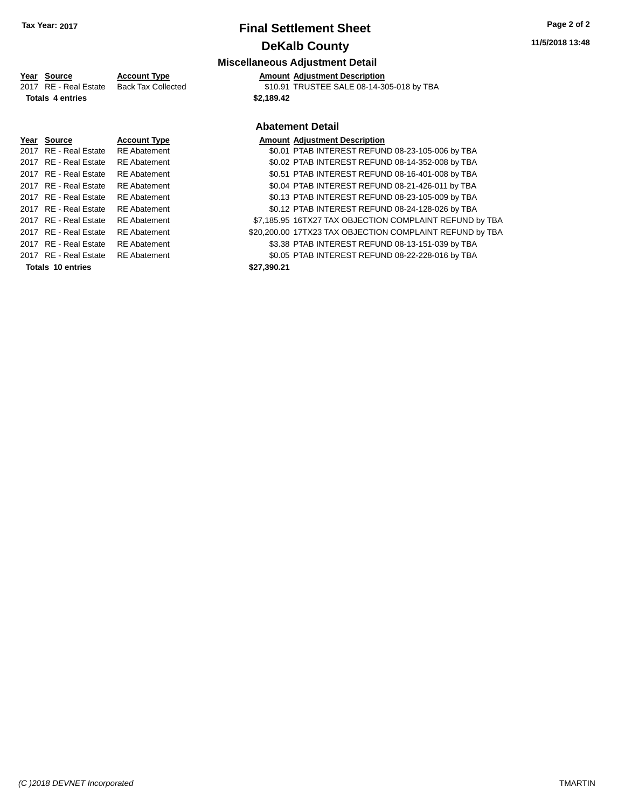## **Miscellaneous Adjustment Detail**

### **Year Source Account Type Amount Adjustment Description**

| Totale Appatrice                         | <b>CO 490 49</b>                          |
|------------------------------------------|-------------------------------------------|
| 2017 RE - Real Estate Back Tax Collected | \$10.91 TRUSTEE SALE 08-14-305-018 by TBA |
|                                          |                                           |

**Totals 4 entries 4 and 10 and 10 and 10 and 10 and 10 and 10 and 10 and 10 and 10 and 10 and 10 and 10 and 10 and 10 and 10 and 10 and 10 and 10 and 10 and 10 and 10 and 10 and 10 and 10 and 10 and 10 and 10 and 10 and** 

### **Abatement Detail**

| Year Source              | <b>Account Type</b> |             | <b>Amount Adjustment Description</b>                     |
|--------------------------|---------------------|-------------|----------------------------------------------------------|
| 2017 RE - Real Estate    | <b>RE</b> Abatement |             | \$0.01 PTAB INTEREST REFUND 08-23-105-006 by TBA         |
| 2017 RE - Real Estate    | <b>RE</b> Abatement |             | \$0.02 PTAB INTEREST REFUND 08-14-352-008 by TBA         |
| 2017 RE - Real Estate    | <b>RE</b> Abatement |             | \$0.51 PTAB INTEREST REFUND 08-16-401-008 by TBA         |
| 2017 RE - Real Estate    | <b>RE</b> Abatement |             | \$0.04 PTAB INTEREST REFUND 08-21-426-011 by TBA         |
| 2017 RE - Real Estate    | <b>RE</b> Abatement |             | \$0.13 PTAB INTEREST REFUND 08-23-105-009 by TBA         |
| 2017 RE - Real Estate    | <b>RE</b> Abatement |             | \$0.12 PTAB INTEREST REFUND 08-24-128-026 by TBA         |
| 2017 RE - Real Estate    | <b>RE</b> Abatement |             | \$7,185.95 16TX27 TAX OBJECTION COMPLAINT REFUND by TBA  |
| 2017 RE - Real Estate    | <b>RE</b> Abatement |             | \$20,200.00 17TX23 TAX OBJECTION COMPLAINT REFUND by TBA |
| 2017 RE - Real Estate    | <b>RE</b> Abatement |             | \$3.38 PTAB INTEREST REFUND 08-13-151-039 by TBA         |
| 2017 RE - Real Estate    | <b>RE</b> Abatement |             | \$0.05 PTAB INTEREST REFUND 08-22-228-016 by TBA         |
| <b>Totals 10 entries</b> |                     | \$27,390.21 |                                                          |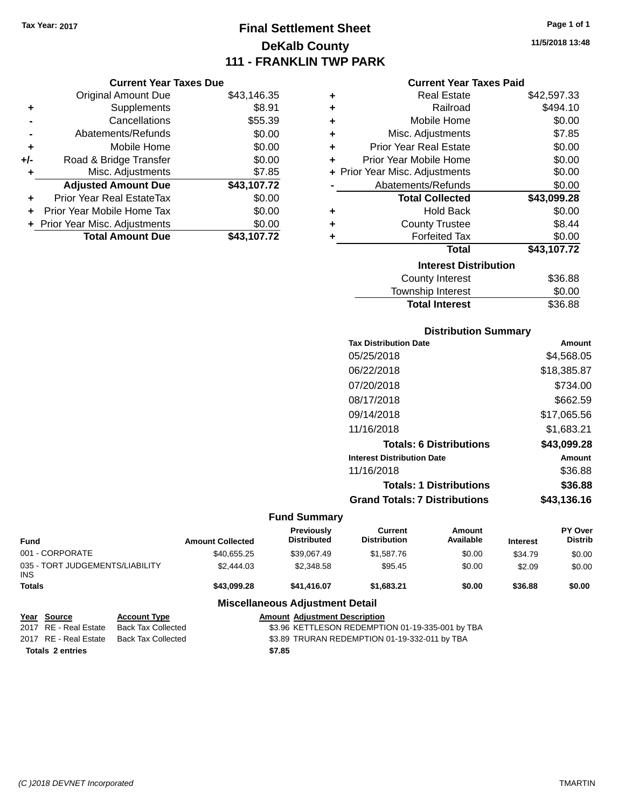## **Final Settlement Sheet Tax Year: 2017 Page 1 of 1 DeKalb County 111 - FRANKLIN TWP PARK**

**11/5/2018 13:48**

| <b>Year Taxes Due</b> |  |
|-----------------------|--|
|                       |  |

| <b>Original Amount Due</b>       | \$43,146.35 |
|----------------------------------|-------------|
| Supplements                      | \$8.91      |
| Cancellations                    | \$55.39     |
| Abatements/Refunds               | \$0.00      |
| Mobile Home                      | \$0.00      |
| Road & Bridge Transfer           | \$0.00      |
| Misc. Adjustments                | \$7.85      |
| <b>Adjusted Amount Due</b>       | \$43,107.72 |
| <b>Prior Year Real EstateTax</b> |             |
|                                  | \$0.00      |
| Prior Year Mobile Home Tax       | \$0.00      |
| + Prior Year Misc. Adjustments   | \$0.00      |
|                                  |             |

**Current** 

| <b>Current Year Taxes Paid</b> |  |  |  |
|--------------------------------|--|--|--|
|--------------------------------|--|--|--|

| ٠ | Real Estate                    | \$42,597.33 |
|---|--------------------------------|-------------|
| ÷ | Railroad                       | \$494.10    |
| ÷ | Mobile Home                    | \$0.00      |
| ÷ | Misc. Adjustments              | \$7.85      |
| ÷ | <b>Prior Year Real Estate</b>  | \$0.00      |
| ٠ | Prior Year Mobile Home         | \$0.00      |
|   | + Prior Year Misc. Adjustments | \$0.00      |
|   | Abatements/Refunds             | \$0.00      |
|   | <b>Total Collected</b>         | \$43,099.28 |
| ٠ | <b>Hold Back</b>               | \$0.00      |
| ٠ | <b>County Trustee</b>          | \$8.44      |
| ٠ | <b>Forfeited Tax</b>           | \$0.00      |
|   | <b>Total</b>                   | \$43,107.72 |
|   | <b>Interest Distribution</b>   |             |
|   | County Interest                | \$36.88     |
|   | <b>Township Interest</b>       | \$0.00      |
|   | <b>Total Interest</b>          | \$36.88     |

## **Distribution Summary**

| <b>Tax Distribution Date</b>         | Amount      |
|--------------------------------------|-------------|
| 05/25/2018                           | \$4,568.05  |
| 06/22/2018                           | \$18,385.87 |
| 07/20/2018                           | \$734.00    |
| 08/17/2018                           | \$662.59    |
| 09/14/2018                           | \$17,065.56 |
| 11/16/2018                           | \$1,683.21  |
| <b>Totals: 6 Distributions</b>       | \$43,099.28 |
| <b>Interest Distribution Date</b>    | Amount      |
| 11/16/2018                           | \$36.88     |
| <b>Totals: 1 Distributions</b>       | \$36.88     |
| <b>Grand Totals: 7 Distributions</b> | \$43.136.16 |

### **Fund Summary**

| <b>Fund</b>                                   |                                                                               | <b>Amount Collected</b>              | <b>Previously</b><br><b>Distributed</b> | Current<br><b>Distribution</b> | <b>Amount</b><br>Available | <b>Interest</b> | PY Over<br><b>Distrib</b> |
|-----------------------------------------------|-------------------------------------------------------------------------------|--------------------------------------|-----------------------------------------|--------------------------------|----------------------------|-----------------|---------------------------|
| 001 - CORPORATE                               |                                                                               | \$40,655.25                          | \$39.067.49                             | \$1,587.76                     | \$0.00                     | \$34.79         | \$0.00                    |
| 035 - TORT JUDGEMENTS/LIABILITY<br><b>INS</b> |                                                                               | \$2,444.03                           | \$2,348.58                              | \$95.45                        | \$0.00                     | \$2.09          | \$0.00                    |
| <b>Totals</b>                                 |                                                                               | \$43,099.28                          | \$41,416.07                             | \$1,683,21                     | \$0.00                     | \$36.88         | \$0.00                    |
|                                               |                                                                               |                                      | <b>Miscellaneous Adjustment Detail</b>  |                                |                            |                 |                           |
| Year<br>Source                                | <b>Account Type</b>                                                           | <b>Amount Adjustment Description</b> |                                         |                                |                            |                 |                           |
| 2017 RE - Real Estate                         | \$3.96 KETTLESON REDEMPTION 01-19-335-001 by TBA<br><b>Back Tax Collected</b> |                                      |                                         |                                |                            |                 |                           |

2017 RE - Real Estate Back Tax Collected \$3.96 KETTLESON REDEMPTION 01-19-335-001 by TBA 2017 RE - Real Estate Back Tax Collected \$3.89 TRURAN REDEMPTION 01-19-332-011 by TBA **Totals \$7.85 2 entries**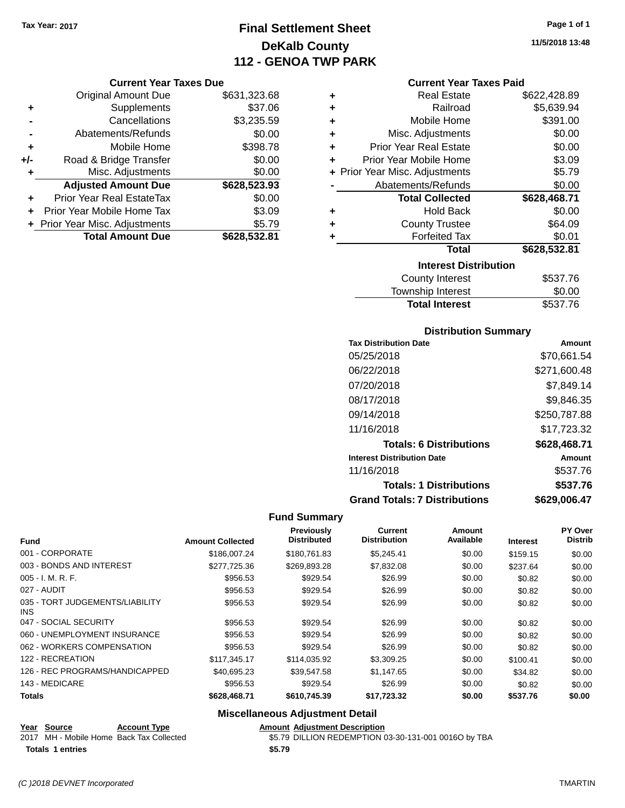## **Final Settlement Sheet Tax Year: 2017 Page 1 of 1 DeKalb County 112 - GENOA TWP PARK**

### **Current Year Taxes Due**

|       | <b>Original Amount Due</b>       | \$631,323.68 |
|-------|----------------------------------|--------------|
| ٠     | Supplements                      | \$37.06      |
|       | Cancellations                    | \$3,235.59   |
|       | Abatements/Refunds               | \$0.00       |
| ٠     | Mobile Home                      | \$398.78     |
| $+/-$ | Road & Bridge Transfer           | \$0.00       |
| ٠     | Misc. Adjustments                | \$0.00       |
|       | <b>Adjusted Amount Due</b>       | \$628,523.93 |
|       | <b>Prior Year Real EstateTax</b> | \$0.00       |
|       | Prior Year Mobile Home Tax       | \$3.09       |
|       | + Prior Year Misc. Adjustments   | \$5.79       |
|       | <b>Total Amount Due</b>          | \$628,532.81 |

### **Current Year Taxes Paid**

| ٠ | <b>Real Estate</b>             | \$622,428.89 |
|---|--------------------------------|--------------|
| ÷ | Railroad                       | \$5,639.94   |
| ٠ | Mobile Home                    | \$391.00     |
| ٠ | Misc. Adjustments              | \$0.00       |
| ٠ | <b>Prior Year Real Estate</b>  | \$0.00       |
| ٠ | Prior Year Mobile Home         | \$3.09       |
|   | + Prior Year Misc. Adjustments | \$5.79       |
|   | Abatements/Refunds             | \$0.00       |
|   |                                |              |
|   | <b>Total Collected</b>         | \$628,468.71 |
| ٠ | <b>Hold Back</b>               | \$0.00       |
| ٠ | <b>County Trustee</b>          | \$64.09      |
| ٠ | <b>Forfeited Tax</b>           | \$0.01       |
|   | Total                          | \$628,532.81 |
|   | <b>Interest Distribution</b>   |              |
|   | <b>County Interest</b>         | \$537.76     |

### **Distribution Summary**

Total Interest \$537.76

| <b>Tax Distribution Date</b>         | Amount       |
|--------------------------------------|--------------|
| 05/25/2018                           | \$70.661.54  |
| 06/22/2018                           | \$271,600.48 |
| 07/20/2018                           | \$7.849.14   |
| 08/17/2018                           | \$9,846.35   |
| 09/14/2018                           | \$250,787.88 |
| 11/16/2018                           | \$17.723.32  |
| <b>Totals: 6 Distributions</b>       | \$628,468.71 |
| <b>Interest Distribution Date</b>    | Amount       |
| 11/16/2018                           | \$537.76     |
| <b>Totals: 1 Distributions</b>       | \$537.76     |
| <b>Grand Totals: 7 Distributions</b> | \$629.006.47 |

### **Fund Summary**

| <b>Fund</b>                                   | <b>Amount Collected</b> | Previously<br><b>Distributed</b> | <b>Current</b><br><b>Distribution</b> | Amount<br>Available | <b>Interest</b> | <b>PY Over</b><br><b>Distrib</b> |
|-----------------------------------------------|-------------------------|----------------------------------|---------------------------------------|---------------------|-----------------|----------------------------------|
| 001 - CORPORATE                               | \$186,007.24            | \$180.761.83                     | \$5.245.41                            | \$0.00              | \$159.15        | \$0.00                           |
| 003 - BONDS AND INTEREST                      | \$277,725.36            | \$269,893.28                     | \$7,832.08                            | \$0.00              | \$237.64        | \$0.00                           |
| $005 - I. M. R. F.$                           | \$956.53                | \$929.54                         | \$26.99                               | \$0.00              | \$0.82          | \$0.00                           |
| 027 - AUDIT                                   | \$956.53                | \$929.54                         | \$26.99                               | \$0.00              | \$0.82          | \$0.00                           |
| 035 - TORT JUDGEMENTS/LIABILITY<br><b>INS</b> | \$956.53                | \$929.54                         | \$26.99                               | \$0.00              | \$0.82          | \$0.00                           |
| 047 - SOCIAL SECURITY                         | \$956.53                | \$929.54                         | \$26.99                               | \$0.00              | \$0.82          | \$0.00                           |
| 060 - UNEMPLOYMENT INSURANCE                  | \$956.53                | \$929.54                         | \$26.99                               | \$0.00              | \$0.82          | \$0.00                           |
| 062 - WORKERS COMPENSATION                    | \$956.53                | \$929.54                         | \$26.99                               | \$0.00              | \$0.82          | \$0.00                           |
| 122 - RECREATION                              | \$117.345.17            | \$114,035.92                     | \$3,309.25                            | \$0.00              | \$100.41        | \$0.00                           |
| 126 - REC PROGRAMS/HANDICAPPED                | \$40.695.23             | \$39.547.58                      | \$1.147.65                            | \$0.00              | \$34.82         | \$0.00                           |
| 143 - MEDICARE                                | \$956.53                | \$929.54                         | \$26.99                               | \$0.00              | \$0.82          | \$0.00                           |
| <b>Totals</b>                                 | \$628,468.71            | \$610,745.39                     | \$17,723.32                           | \$0.00              | \$537.76        | \$0.00                           |

### **Miscellaneous Adjustment Detail**

**Year Source Account Type Account Type Amount Adjustment Description**<br>2017 MH - Mobile Home Back Tax Collected \$5.79 DILLION REDEMPTION O

\$5.79 DILLION REDEMPTION 03-30-131-001 0016O by TBA

```
Totals $5.79 1 entries
```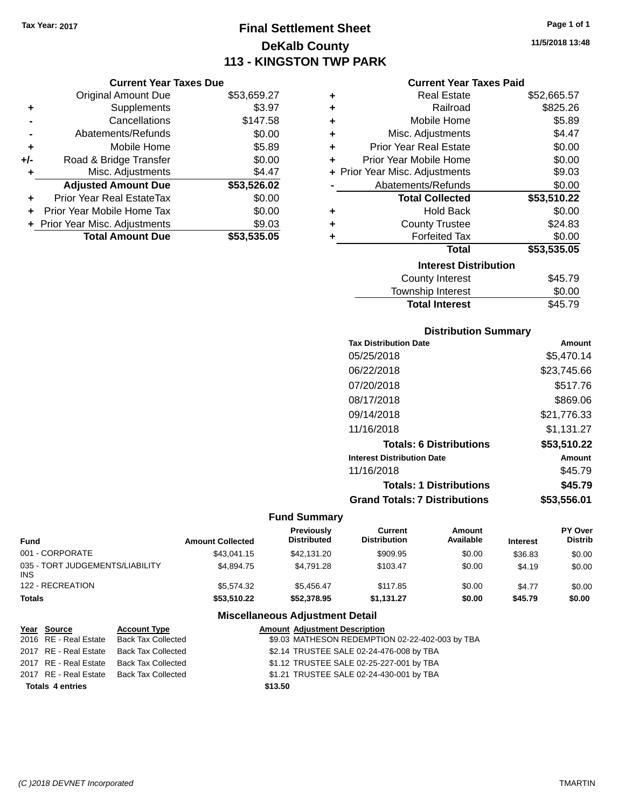## **Final Settlement Sheet Tax Year: 2017 Page 1 of 1 DeKalb County 113 - KINGSTON TWP PARK**

**11/5/2018 13:48**

### **Current Year Taxes Paid**

| <b>Original Amount Due</b> | \$53,659.27                    |                               |
|----------------------------|--------------------------------|-------------------------------|
| Supplements                | \$3.97                         |                               |
| Cancellations              | \$147.58                       |                               |
| Abatements/Refunds         | \$0.00                         |                               |
| Mobile Home                | \$5.89                         |                               |
| Road & Bridge Transfer     | \$0.00                         |                               |
| Misc. Adjustments          | \$4.47                         |                               |
| <b>Adjusted Amount Due</b> | \$53,526.02                    |                               |
| Prior Year Real EstateTax  | \$0.00                         |                               |
| Prior Year Mobile Home Tax | \$0.00                         |                               |
|                            | \$9.03                         |                               |
| <b>Total Amount Due</b>    | \$53,535.05                    |                               |
|                            | + Prior Year Misc. Adjustments | <b>Current Year Taxes Due</b> |

| ٠ | <b>Real Estate</b>             | \$52,665.57 |
|---|--------------------------------|-------------|
| ÷ | Railroad                       | \$825.26    |
| ÷ | Mobile Home                    | \$5.89      |
| ٠ | Misc. Adjustments              | \$4.47      |
| ٠ | <b>Prior Year Real Estate</b>  | \$0.00      |
| ٠ | Prior Year Mobile Home         | \$0.00      |
|   | + Prior Year Misc. Adjustments | \$9.03      |
|   | Abatements/Refunds             | \$0.00      |
|   | <b>Total Collected</b>         | \$53,510.22 |
| ٠ | <b>Hold Back</b>               | \$0.00      |
| ٠ | <b>County Trustee</b>          | \$24.83     |
| ٠ | <b>Forfeited Tax</b>           | \$0.00      |
|   | Total                          | \$53,535.05 |
|   | <b>Interest Distribution</b>   |             |
|   | <b>County Interest</b>         | \$45.79     |
|   | <b>Township Interest</b>       | \$0.00      |
|   | <b>Total Interest</b>          | \$45.79     |

### **Distribution Summary**

| <b>Tax Distribution Date</b>         | Amount      |
|--------------------------------------|-------------|
| 05/25/2018                           | \$5,470.14  |
| 06/22/2018                           | \$23,745.66 |
| 07/20/2018                           | \$517.76    |
| 08/17/2018                           | \$869.06    |
| 09/14/2018                           | \$21.776.33 |
| 11/16/2018                           | \$1,131.27  |
| <b>Totals: 6 Distributions</b>       | \$53,510.22 |
| <b>Interest Distribution Date</b>    | Amount      |
| 11/16/2018                           | \$45.79     |
| <b>Totals: 1 Distributions</b>       | \$45.79     |
| <b>Grand Totals: 7 Distributions</b> | \$53,556.01 |

### **Fund Summary**

| Fund                                   | <b>Amount Collected</b> | Previously<br><b>Distributed</b> | Current<br><b>Distribution</b> | Amount<br>Available | <b>Interest</b> | PY Over<br><b>Distrib</b> |
|----------------------------------------|-------------------------|----------------------------------|--------------------------------|---------------------|-----------------|---------------------------|
| 001 - CORPORATE                        | \$43.041.15             | \$42,131.20                      | \$909.95                       | \$0.00              | \$36.83         | \$0.00                    |
| 035 - TORT JUDGEMENTS/LIABILITY<br>INS | \$4,894.75              | \$4.791.28                       | \$103.47                       | \$0.00              | \$4.19          | \$0.00                    |
| 122 - RECREATION                       | \$5,574,32              | \$5.456.47                       | \$117.85                       | \$0.00              | \$4.77          | \$0.00                    |
| Totals                                 | \$53,510.22             | \$52,378.95                      | \$1,131.27                     | \$0.00              | \$45.79         | \$0.00                    |

### **Miscellaneous Adjustment Detail**

| Year Source             | <b>Account Type</b>       | <b>Amount Adjustment Description</b>            |
|-------------------------|---------------------------|-------------------------------------------------|
| 2016 RE - Real Estate   | <b>Back Tax Collected</b> | \$9.03 MATHESON REDEMPTION 02-22-402-003 by TBA |
| 2017 RE - Real Estate   | <b>Back Tax Collected</b> | \$2.14 TRUSTEE SALE 02-24-476-008 by TBA        |
| 2017 RE - Real Estate   | Back Tax Collected        | \$1.12 TRUSTEE SALE 02-25-227-001 by TBA        |
| 2017 RE - Real Estate   | Back Tax Collected        | \$1.21 TRUSTEE SALE 02-24-430-001 by TBA        |
| <b>Totals 4 entries</b> |                           | \$13.50                                         |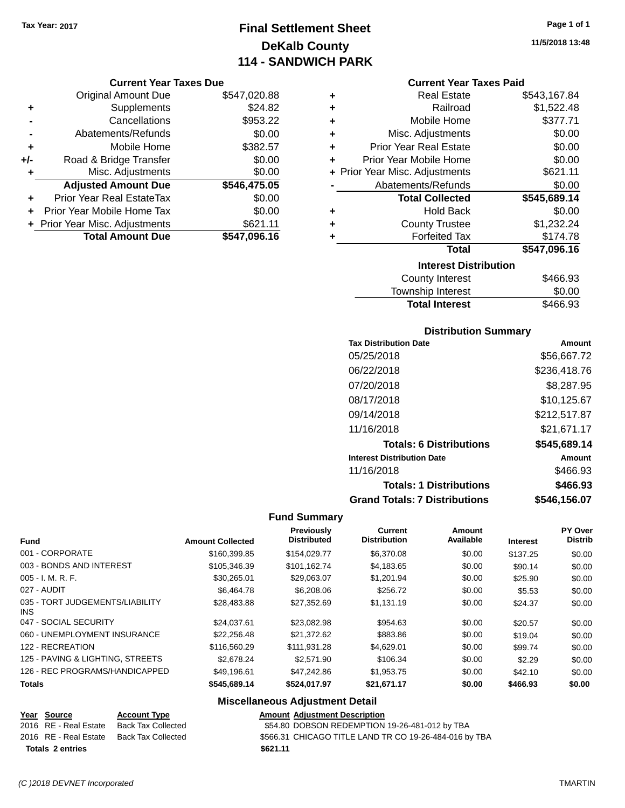## **Final Settlement Sheet Tax Year: 2017 Page 1 of 1 DeKalb County 114 - SANDWICH PARK**

### **Current Year Taxes Due**

|     | <b>Original Amount Due</b>       | \$547,020.88 |
|-----|----------------------------------|--------------|
| ٠   | Supplements                      | \$24.82      |
|     | Cancellations                    | \$953.22     |
|     | Abatements/Refunds               | \$0.00       |
| ٠   | Mobile Home                      | \$382.57     |
| +/- | Road & Bridge Transfer           | \$0.00       |
| ٠   | Misc. Adjustments                | \$0.00       |
|     | <b>Adjusted Amount Due</b>       | \$546,475.05 |
| ÷   | <b>Prior Year Real EstateTax</b> | \$0.00       |
|     | Prior Year Mobile Home Tax       | \$0.00       |
|     | + Prior Year Misc. Adjustments   | \$621.11     |
|     | <b>Total Amount Due</b>          | \$547,096.16 |

### **Current Year Taxes Paid**

| ٠ | <b>Real Estate</b>             | \$543,167.84 |
|---|--------------------------------|--------------|
| ٠ | Railroad                       | \$1,522.48   |
| ÷ | Mobile Home                    | \$377.71     |
| ٠ | Misc. Adjustments              | \$0.00       |
| ÷ | <b>Prior Year Real Estate</b>  | \$0.00       |
| ÷ | Prior Year Mobile Home         | \$0.00       |
|   | + Prior Year Misc. Adjustments | \$621.11     |
|   | Abatements/Refunds             | \$0.00       |
|   |                                |              |
|   | <b>Total Collected</b>         | \$545,689.14 |
| ٠ | <b>Hold Back</b>               | \$0.00       |
| ٠ | <b>County Trustee</b>          | \$1,232.24   |
| ٠ | <b>Forfeited Tax</b>           | \$174.78     |
|   | <b>Total</b>                   | \$547,096.16 |
|   | <b>Interest Distribution</b>   |              |
|   | <b>County Interest</b>         | \$466.93     |

### **Distribution Summary**

Total Interest \$466.93

| <b>Tax Distribution Date</b>         | Amount        |
|--------------------------------------|---------------|
| 05/25/2018                           | \$56,667.72   |
| 06/22/2018                           | \$236,418.76  |
| 07/20/2018                           | \$8,287.95    |
| 08/17/2018                           | \$10.125.67   |
| 09/14/2018                           | \$212,517.87  |
| 11/16/2018                           | \$21.671.17   |
| <b>Totals: 6 Distributions</b>       | \$545,689.14  |
| <b>Interest Distribution Date</b>    | <b>Amount</b> |
| 11/16/2018                           | \$466.93      |
| <b>Totals: 1 Distributions</b>       | \$466.93      |
| <b>Grand Totals: 7 Distributions</b> | \$546,156.07  |

### **Fund Summary**

| <b>Fund</b>                             | <b>Amount Collected</b> | <b>Previously</b><br><b>Distributed</b> | <b>Current</b><br><b>Distribution</b> | Amount<br>Available | <b>Interest</b> | PY Over<br><b>Distrib</b> |
|-----------------------------------------|-------------------------|-----------------------------------------|---------------------------------------|---------------------|-----------------|---------------------------|
| 001 - CORPORATE                         | \$160,399.85            | \$154,029.77                            | \$6,370.08                            | \$0.00              | \$137.25        | \$0.00                    |
| 003 - BONDS AND INTEREST                | \$105,346,39            | \$101.162.74                            | \$4.183.65                            | \$0.00              | \$90.14         | \$0.00                    |
| $005 - I. M. R. F.$                     | \$30.265.01             | \$29.063.07                             | \$1.201.94                            | \$0.00              | \$25.90         | \$0.00                    |
| 027 - AUDIT                             | \$6,464.78              | \$6,208,06                              | \$256.72                              | \$0.00              | \$5.53          | \$0.00                    |
| 035 - TORT JUDGEMENTS/LIABILITY<br>INS. | \$28,483.88             | \$27,352.69                             | \$1,131.19                            | \$0.00              | \$24.37         | \$0.00                    |
| 047 - SOCIAL SECURITY                   | \$24.037.61             | \$23,082.98                             | \$954.63                              | \$0.00              | \$20.57         | \$0.00                    |
| 060 - UNEMPLOYMENT INSURANCE            | \$22,256,48             | \$21.372.62                             | \$883.86                              | \$0.00              | \$19.04         | \$0.00                    |
| 122 - RECREATION                        | \$116,560.29            | \$111.931.28                            | \$4.629.01                            | \$0.00              | \$99.74         | \$0.00                    |
| 125 - PAVING & LIGHTING, STREETS        | \$2,678.24              | \$2,571.90                              | \$106.34                              | \$0.00              | \$2.29          | \$0.00                    |
| 126 - REC PROGRAMS/HANDICAPPED          | \$49.196.61             | \$47.242.86                             | \$1,953.75                            | \$0.00              | \$42.10         | \$0.00                    |
| <b>Totals</b>                           | \$545,689.14            | \$524,017.97                            | \$21,671.17                           | \$0.00              | \$466.93        | \$0.00                    |

### **Miscellaneous Adjustment Detail**

### **Year Source Account Type Amount Adjustment Description**  $\overline{$54.80}$  DOBSON REDEMPTION 19-26-481-012 by TBA 2016 RE - Real Estate Back Tax Collected \$566.31 CHICAGO TITLE LAND TR CO 19-26-484-016 by TBA **Totals \$621.11 2 entries**

**11/5/2018 13:48**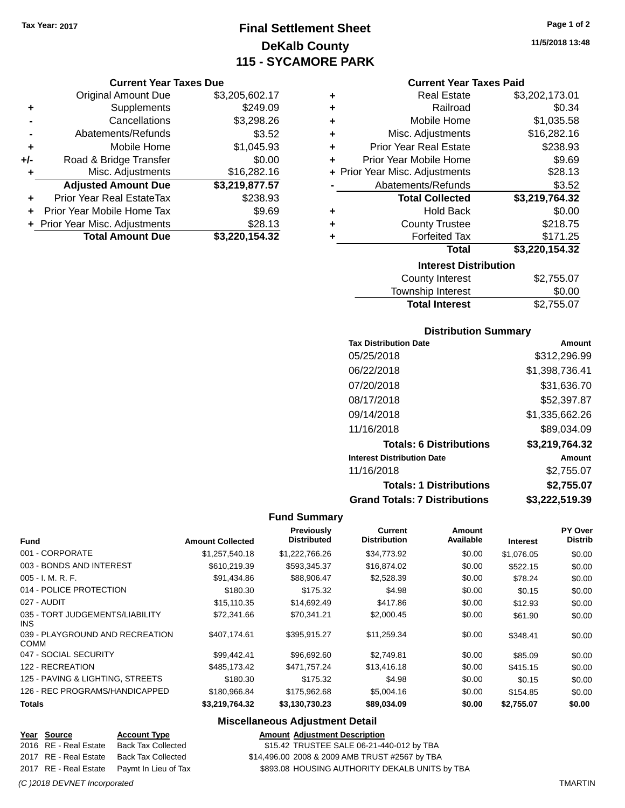**Current Year Taxes Due** Original Amount Due \$3,205,602.17

**Adjusted Amount Due \$3,219,877.57**

**Total Amount Due \$3,220,154.32**

**+** Supplements \$249.09 **-** Cancellations \$3,298.26 **-** Abatements/Refunds **\$3.52 +** Mobile Home \$1,045.93 **+/-** Road & Bridge Transfer \$0.00<br>**H** Misc. Adjustments \$16,282.16

**+** Prior Year Real EstateTax \$238.93 **+** Prior Year Mobile Home Tax \$9.69 **+** Prior Year Misc. Adjustments \$28.13

**+** Misc. Adjustments

## **Final Settlement Sheet Tax Year: 2017 Page 1 of 2 DeKalb County 115 - SYCAMORE PARK**

**11/5/2018 13:48**

### **Current Year Taxes Paid**

|   | <b>Interest Distribution</b><br>. |                |
|---|-----------------------------------|----------------|
|   | Total                             | \$3,220,154.32 |
| ٠ | <b>Forfeited Tax</b>              | \$171.25       |
| ٠ | <b>County Trustee</b>             | \$218.75       |
| ٠ | <b>Hold Back</b>                  | \$0.00         |
|   | <b>Total Collected</b>            | \$3,219,764.32 |
|   | Abatements/Refunds                | \$3.52         |
|   | + Prior Year Misc. Adjustments    | \$28.13        |
| ÷ | Prior Year Mobile Home            | \$9.69         |
| ÷ | <b>Prior Year Real Estate</b>     | \$238.93       |
| ٠ | Misc. Adjustments                 | \$16,282.16    |
| ٠ | Mobile Home                       | \$1,035.58     |
| ٠ | Railroad                          | \$0.34         |
| ٠ | <b>Real Estate</b>                | \$3,202,173.01 |
|   |                                   |                |

| County Interest       | \$2,755.07 |
|-----------------------|------------|
| Township Interest     | \$0.00     |
| <b>Total Interest</b> | \$2,755.07 |

### **Distribution Summary**

| <b>Tax Distribution Date</b>         | Amount         |
|--------------------------------------|----------------|
| 05/25/2018                           | \$312,296.99   |
| 06/22/2018                           | \$1,398,736.41 |
| 07/20/2018                           | \$31,636.70    |
| 08/17/2018                           | \$52,397.87    |
| 09/14/2018                           | \$1,335,662.26 |
| 11/16/2018                           | \$89,034.09    |
| <b>Totals: 6 Distributions</b>       | \$3,219,764.32 |
| <b>Interest Distribution Date</b>    | Amount         |
| 11/16/2018                           | \$2.755.07     |
| <b>Totals: 1 Distributions</b>       | \$2,755.07     |
| <b>Grand Totals: 7 Distributions</b> | \$3,222,519.39 |

### **Fund Summary**

| <b>Fund</b>                                   | <b>Amount Collected</b> | <b>Previously</b><br><b>Distributed</b> | Current<br><b>Distribution</b> | Amount<br>Available | <b>Interest</b> | PY Over<br><b>Distrib</b> |
|-----------------------------------------------|-------------------------|-----------------------------------------|--------------------------------|---------------------|-----------------|---------------------------|
| 001 - CORPORATE                               | \$1,257,540.18          | \$1,222,766.26                          | \$34,773.92                    | \$0.00              | \$1.076.05      | \$0.00                    |
| 003 - BONDS AND INTEREST                      | \$610,219.39            | \$593,345.37                            | \$16,874.02                    | \$0.00              | \$522.15        | \$0.00                    |
| $005 - I. M. R. F.$                           | \$91,434.86             | \$88,906.47                             | \$2,528.39                     | \$0.00              | \$78.24         | \$0.00                    |
| 014 - POLICE PROTECTION                       | \$180.30                | \$175.32                                | \$4.98                         | \$0.00              | \$0.15          | \$0.00                    |
| 027 - AUDIT                                   | \$15,110.35             | \$14,692.49                             | \$417.86                       | \$0.00              | \$12.93         | \$0.00                    |
| 035 - TORT JUDGEMENTS/LIABILITY<br><b>INS</b> | \$72,341.66             | \$70,341.21                             | \$2,000.45                     | \$0.00              | \$61.90         | \$0.00                    |
| 039 - PLAYGROUND AND RECREATION<br>COMM       | \$407.174.61            | \$395.915.27                            | \$11,259.34                    | \$0.00              | \$348.41        | \$0.00                    |
| 047 - SOCIAL SECURITY                         | \$99.442.41             | \$96,692,60                             | \$2.749.81                     | \$0.00              | \$85.09         | \$0.00                    |
| 122 - RECREATION                              | \$485.173.42            | \$471,757.24                            | \$13,416.18                    | \$0.00              | \$415.15        | \$0.00                    |
| 125 - PAVING & LIGHTING, STREETS              | \$180.30                | \$175.32                                | \$4.98                         | \$0.00              | \$0.15          | \$0.00                    |
| 126 - REC PROGRAMS/HANDICAPPED                | \$180,966.84            | \$175,962.68                            | \$5,004.16                     | \$0.00              | \$154.85        | \$0.00                    |
| <b>Totals</b>                                 | \$3,219,764.32          | \$3,130,730.23                          | \$89,034.09                    | \$0.00              | \$2,755.07      | \$0.00                    |

### **Miscellaneous Adjustment Detail**

**Year Source Account Type Amount Adjustment Description**

2016 RE - Real Estate Back Tax Collected \$15.42 TRUSTEE SALE 06-21-440-012 by TBA

2017 RE - Real Estate Back Tax Collected \$14,496.00 2008 & 2009 AMB TRUST #2567 by TBA 2017 RE - Real Estate Paymt In Lieu of Tax \$893.08 HOUSING AUTHORITY DEKALB UNITS by TBA

*(C )2018 DEVNET Incorporated* TMARTIN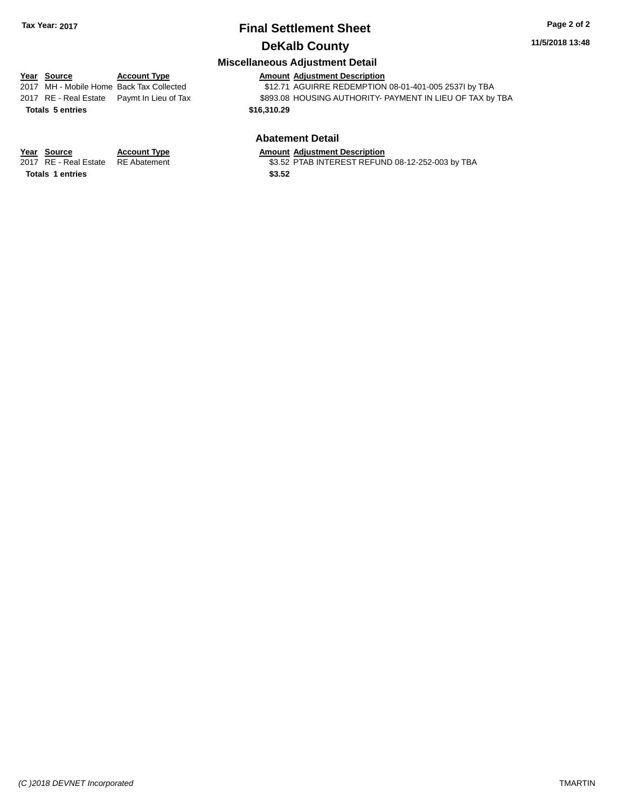### **Miscellaneous Adjustment Detail**

|                         | miscendricous Aujustinent Detail |                                            |                                                           |  |  |  |
|-------------------------|----------------------------------|--------------------------------------------|-----------------------------------------------------------|--|--|--|
|                         | Year Source                      | <b>Account Type</b>                        | <b>Amount Adjustment Description</b>                      |  |  |  |
|                         |                                  | 2017 MH - Mobile Home Back Tax Collected   | \$12.71 AGUIRRE REDEMPTION 08-01-401-005 2537I by TBA     |  |  |  |
|                         |                                  | 2017 RE - Real Estate Paymt In Lieu of Tax | \$893.08 HOUSING AUTHORITY- PAYMENT IN LIEU OF TAX by TBA |  |  |  |
|                         | <b>Totals 5 entries</b>          |                                            | \$16,310.29                                               |  |  |  |
| <b>Abatement Detail</b> |                                  |                                            |                                                           |  |  |  |
|                         | Year Source                      | <b>Account Type</b>                        | <b>Amount Adiustment Description</b>                      |  |  |  |

**Totals 1 entries** \$3.52

2017 RE - Real Estate RE Abatement **1988 SEAL 2017** \$3.52 PTAB INTEREST REFUND 08-12-252-003 by TBA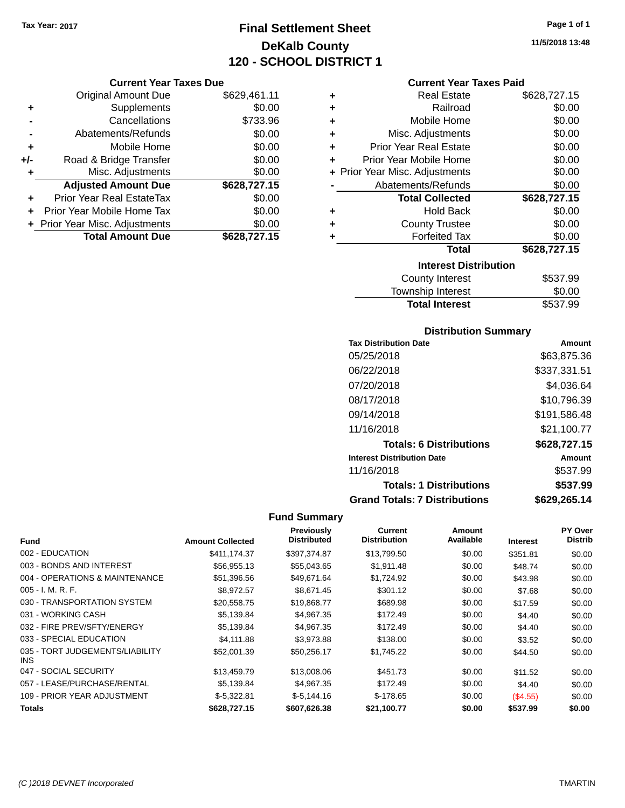## **Final Settlement Sheet Tax Year: 2017 Page 1 of 1 DeKalb County 120 - SCHOOL DISTRICT 1**

**Current Year Taxes Due**

|       | <b>Original Amount Due</b>     | \$629,461.11 |
|-------|--------------------------------|--------------|
| ٠     | Supplements                    | \$0.00       |
|       | Cancellations                  | \$733.96     |
|       | Abatements/Refunds             | \$0.00       |
| ٠     | Mobile Home                    | \$0.00       |
| $+/-$ | Road & Bridge Transfer         | \$0.00       |
|       | Misc. Adjustments              | \$0.00       |
|       | <b>Adjusted Amount Due</b>     | \$628,727.15 |
|       | Prior Year Real EstateTax      | \$0.00       |
|       | Prior Year Mobile Home Tax     | \$0.00       |
|       | + Prior Year Misc. Adjustments | \$0.00       |
|       | <b>Total Amount Due</b>        | \$628,727.15 |

| ٠ | <b>Real Estate</b>             | \$628,727.15 |
|---|--------------------------------|--------------|
| ÷ | Railroad                       | \$0.00       |
| ÷ | Mobile Home                    | \$0.00       |
| ٠ | Misc. Adjustments              | \$0.00       |
| ٠ | <b>Prior Year Real Estate</b>  | \$0.00       |
| ÷ | Prior Year Mobile Home         | \$0.00       |
|   | + Prior Year Misc. Adjustments | \$0.00       |
|   | Abatements/Refunds             | \$0.00       |
|   | <b>Total Collected</b>         | \$628,727.15 |
| ٠ | Hold Back                      | \$0.00       |
| ÷ | <b>County Trustee</b>          | \$0.00       |
| ٠ | <b>Forfeited Tax</b>           | \$0.00       |
|   | Total                          | \$628,727.15 |
|   | <b>Interest Distribution</b>   |              |
|   | County Interest                | \$537.99     |
|   | The contract of the second     | ີົ້          |

| <b>Total Interest</b> | \$537.99 |
|-----------------------|----------|
| Township Interest     | \$0.00   |
| County Interest       | ৯১১। এর  |

### **Distribution Summary**

| <b>Tax Distribution Date</b>         | Amount       |
|--------------------------------------|--------------|
| 05/25/2018                           | \$63.875.36  |
| 06/22/2018                           | \$337,331.51 |
| 07/20/2018                           | \$4.036.64   |
| 08/17/2018                           | \$10,796.39  |
| 09/14/2018                           | \$191,586.48 |
| 11/16/2018                           | \$21,100.77  |
| <b>Totals: 6 Distributions</b>       | \$628,727.15 |
| <b>Interest Distribution Date</b>    | Amount       |
| 11/16/2018                           | \$537.99     |
| <b>Totals: 1 Distributions</b>       | \$537.99     |
| <b>Grand Totals: 7 Distributions</b> | \$629.265.14 |

| <b>Fund</b>                             | <b>Amount Collected</b> | <b>Previously</b><br><b>Distributed</b> | Current<br><b>Distribution</b> | Amount<br>Available | <b>Interest</b> | PY Over<br><b>Distrib</b> |
|-----------------------------------------|-------------------------|-----------------------------------------|--------------------------------|---------------------|-----------------|---------------------------|
| 002 - EDUCATION                         | \$411.174.37            | \$397.374.87                            | \$13,799.50                    | \$0.00              | \$351.81        | \$0.00                    |
| 003 - BONDS AND INTEREST                | \$56,955.13             | \$55,043.65                             | \$1,911.48                     | \$0.00              | \$48.74         | \$0.00                    |
| 004 - OPERATIONS & MAINTENANCE          | \$51,396.56             | \$49,671.64                             | \$1,724.92                     | \$0.00              | \$43.98         | \$0.00                    |
| $005 - I. M. R. F.$                     | \$8.972.57              | \$8.671.45                              | \$301.12                       | \$0.00              | \$7.68          | \$0.00                    |
| 030 - TRANSPORTATION SYSTEM             | \$20,558.75             | \$19,868.77                             | \$689.98                       | \$0.00              | \$17.59         | \$0.00                    |
| 031 - WORKING CASH                      | \$5,139.84              | \$4,967.35                              | \$172.49                       | \$0.00              | \$4.40          | \$0.00                    |
| 032 - FIRE PREV/SFTY/ENERGY             | \$5,139.84              | \$4,967.35                              | \$172.49                       | \$0.00              | \$4.40          | \$0.00                    |
| 033 - SPECIAL EDUCATION                 | \$4,111.88              | \$3,973.88                              | \$138.00                       | \$0.00              | \$3.52          | \$0.00                    |
| 035 - TORT JUDGEMENTS/LIABILITY<br>INS. | \$52,001.39             | \$50,256.17                             | \$1,745.22                     | \$0.00              | \$44.50         | \$0.00                    |
| 047 - SOCIAL SECURITY                   | \$13,459.79             | \$13,008.06                             | \$451.73                       | \$0.00              | \$11.52         | \$0.00                    |
| 057 - LEASE/PURCHASE/RENTAL             | \$5,139.84              | \$4,967.35                              | \$172.49                       | \$0.00              | \$4.40          | \$0.00                    |
| 109 - PRIOR YEAR ADJUSTMENT             | $$-5,322.81$            | $$-5,144.16$                            | $$-178.65$                     | \$0.00              | (S4.55)         | \$0.00                    |
| Totals                                  | \$628,727.15            | \$607,626.38                            | \$21,100.77                    | \$0.00              | \$537.99        | \$0.00                    |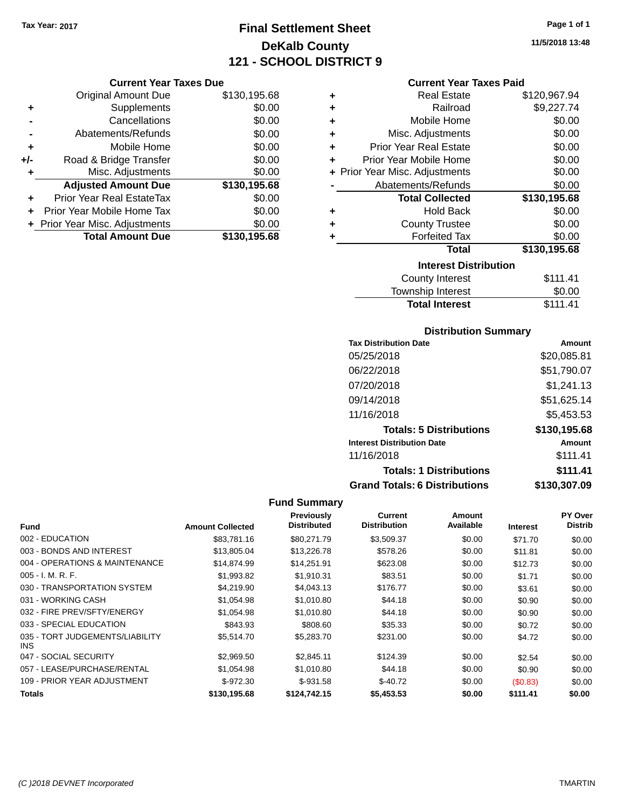## **Final Settlement Sheet Tax Year: 2017 Page 1 of 1 DeKalb County 121 - SCHOOL DISTRICT 9**

**11/5/2018 13:48**

| <b>Current Year Taxes Due</b> |  |  |
|-------------------------------|--|--|
|                               |  |  |

|     |                                                         | \$0.00                 |
|-----|---------------------------------------------------------|------------------------|
|     | <b>Adjusted Amount Due</b><br>Prior Year Real EstateTax | \$130,195.68           |
| ÷   | Misc. Adjustments                                       | \$0.00                 |
| +/- | Road & Bridge Transfer                                  | \$0.00                 |
| ٠   | Mobile Home                                             | \$0.00                 |
|     | Abatements/Refunds                                      | \$0.00                 |
|     | Cancellations                                           | \$0.00                 |
| ٠   | <b>Original Amount Due</b><br>Supplements               | \$130,195.68<br>\$0.00 |

### **Current Year Taxes Paid**

| ٠ | <b>Real Estate</b>             | \$120,967.94 |
|---|--------------------------------|--------------|
| ٠ | Railroad                       | \$9,227.74   |
| ٠ | Mobile Home                    | \$0.00       |
| ÷ | Misc. Adjustments              | \$0.00       |
| ٠ | <b>Prior Year Real Estate</b>  | \$0.00       |
| ÷ | Prior Year Mobile Home         | \$0.00       |
|   | + Prior Year Misc. Adjustments | \$0.00       |
|   | Abatements/Refunds             | \$0.00       |
|   |                                |              |
|   | <b>Total Collected</b>         | \$130,195.68 |
| ٠ | <b>Hold Back</b>               | \$0.00       |
| ÷ | <b>County Trustee</b>          | \$0.00       |
| ٠ | <b>Forfeited Tax</b>           | \$0.00       |
|   | Total                          | \$130,195.68 |
|   | <b>Interest Distribution</b>   |              |
|   | County Interest                | \$111.41     |

# Total Interest \$111.41

| <b>Distribution Summary</b>          |              |
|--------------------------------------|--------------|
| <b>Tax Distribution Date</b>         | Amount       |
| 05/25/2018                           | \$20,085.81  |
| 06/22/2018                           | \$51,790.07  |
| 07/20/2018                           | \$1,241.13   |
| 09/14/2018                           | \$51,625.14  |
| 11/16/2018                           | \$5.453.53   |
| <b>Totals: 5 Distributions</b>       | \$130,195.68 |
| <b>Interest Distribution Date</b>    | Amount       |
| 11/16/2018                           | \$111.41     |
| <b>Totals: 1 Distributions</b>       | \$111.41     |
| <b>Grand Totals: 6 Distributions</b> | \$130,307.09 |

|                                         |                         | Previously         | Current             | Amount    |                 | <b>PY Over</b> |
|-----------------------------------------|-------------------------|--------------------|---------------------|-----------|-----------------|----------------|
| Fund                                    | <b>Amount Collected</b> | <b>Distributed</b> | <b>Distribution</b> | Available | <b>Interest</b> | <b>Distrib</b> |
| 002 - EDUCATION                         | \$83,781.16             | \$80,271.79        | \$3,509.37          | \$0.00    | \$71.70         | \$0.00         |
| 003 - BONDS AND INTEREST                | \$13,805.04             | \$13,226.78        | \$578.26            | \$0.00    | \$11.81         | \$0.00         |
| 004 - OPERATIONS & MAINTENANCE          | \$14,874.99             | \$14,251.91        | \$623.08            | \$0.00    | \$12.73         | \$0.00         |
| $005 - I. M. R. F.$                     | \$1,993.82              | \$1,910.31         | \$83.51             | \$0.00    | \$1.71          | \$0.00         |
| 030 - TRANSPORTATION SYSTEM             | \$4,219.90              | \$4,043.13         | \$176.77            | \$0.00    | \$3.61          | \$0.00         |
| 031 - WORKING CASH                      | \$1,054.98              | \$1,010.80         | \$44.18             | \$0.00    | \$0.90          | \$0.00         |
| 032 - FIRE PREV/SFTY/ENERGY             | \$1,054.98              | \$1,010.80         | \$44.18             | \$0.00    | \$0.90          | \$0.00         |
| 033 - SPECIAL EDUCATION                 | \$843.93                | \$808.60           | \$35.33             | \$0.00    | \$0.72          | \$0.00         |
| 035 - TORT JUDGEMENTS/LIABILITY<br>INS. | \$5.514.70              | \$5,283.70         | \$231.00            | \$0.00    | \$4.72          | \$0.00         |
| 047 - SOCIAL SECURITY                   | \$2,969.50              | \$2.845.11         | \$124.39            | \$0.00    | \$2.54          | \$0.00         |
| 057 - LEASE/PURCHASE/RENTAL             | \$1,054.98              | \$1,010.80         | \$44.18             | \$0.00    | \$0.90          | \$0.00         |
| 109 - PRIOR YEAR ADJUSTMENT             | $$-972.30$              | $$-931.58$         | $$-40.72$           | \$0.00    | (\$0.83)        | \$0.00         |
| <b>Totals</b>                           | \$130,195.68            | \$124.742.15       | \$5,453.53          | \$0.00    | \$111.41        | \$0.00         |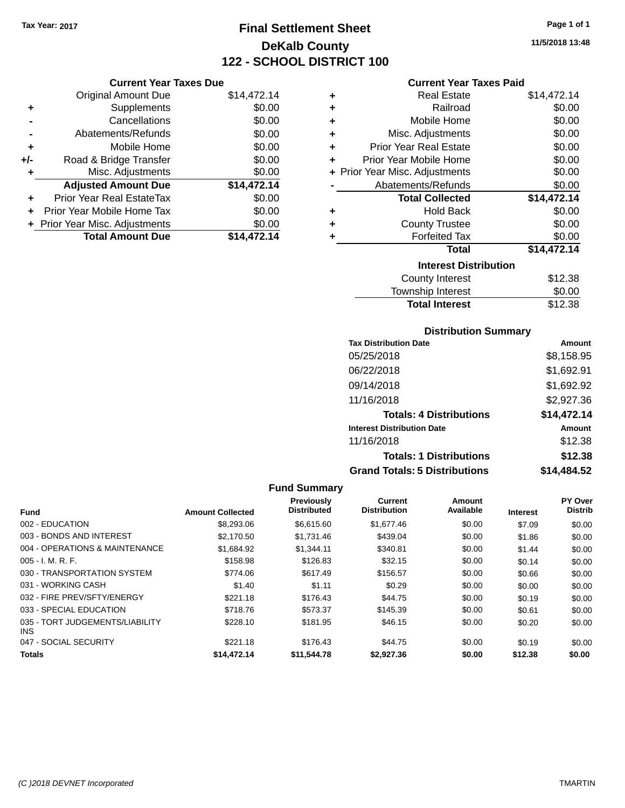## **Final Settlement Sheet Tax Year: 2017 Page 1 of 1 DeKalb County 122 - SCHOOL DISTRICT 100**

**11/5/2018 13:48**

| <b>Current Year Taxes Paid</b> |  |  |
|--------------------------------|--|--|
|                                |  |  |

|     | <b>Current Year Taxes Due</b>  |             |        |
|-----|--------------------------------|-------------|--------|
|     | Original Amount Due            | \$14,472.14 | ٠      |
|     | Supplements                    | \$0.00      | ٠      |
|     | Cancellations                  | \$0.00      | ٠      |
|     | Abatements/Refunds             | \$0.00      | ٠      |
|     | Mobile Home                    | \$0.00      | ٠      |
| +/- | Road & Bridge Transfer         | \$0.00      | ٠      |
|     | Misc. Adjustments              | \$0.00      | + Prio |
|     | <b>Adjusted Amount Due</b>     | \$14,472.14 |        |
|     | Prior Year Real EstateTax      | \$0.00      |        |
|     | Prior Year Mobile Home Tax     | \$0.00      |        |
|     | + Prior Year Misc. Adjustments | \$0.00      | ٠      |
|     | <b>Total Amount Due</b>        | \$14,472.14 |        |
|     |                                |             |        |

| ٠ | <b>Real Estate</b>             | \$14,472.14 |
|---|--------------------------------|-------------|
| ٠ | Railroad                       | \$0.00      |
| ٠ | Mobile Home                    | \$0.00      |
| ٠ | Misc. Adjustments              | \$0.00      |
| ÷ | <b>Prior Year Real Estate</b>  | \$0.00      |
| ÷ | Prior Year Mobile Home         | \$0.00      |
|   | + Prior Year Misc. Adjustments | \$0.00      |
|   | Abatements/Refunds             | \$0.00      |
|   | <b>Total Collected</b>         | \$14,472.14 |
| ٠ | <b>Hold Back</b>               | \$0.00      |
| ÷ | <b>County Trustee</b>          | \$0.00      |
| ٠ | <b>Forfeited Tax</b>           | \$0.00      |
|   | Total                          | \$14,472.14 |
|   | <b>Interest Distribution</b>   |             |
|   | <b>County Interest</b>         | \$12.38     |
|   | <b>Township Interest</b>       | \$0.00      |
|   | <b>Total Interest</b>          | \$12.38     |

### **Distribution Summary**

| <b>Tax Distribution Date</b>         | Amount      |
|--------------------------------------|-------------|
| 05/25/2018                           | \$8,158.95  |
| 06/22/2018                           | \$1,692.91  |
| 09/14/2018                           | \$1,692.92  |
| 11/16/2018                           | \$2,927.36  |
| <b>Totals: 4 Distributions</b>       | \$14,472.14 |
| <b>Interest Distribution Date</b>    | Amount      |
| 11/16/2018                           | \$12.38     |
| <b>Totals: 1 Distributions</b>       | \$12.38     |
| <b>Grand Totals: 5 Distributions</b> | \$14.484.52 |

| <b>Fund</b>                             | <b>Amount Collected</b> | <b>Previously</b><br><b>Distributed</b> | <b>Current</b><br><b>Distribution</b> | Amount<br>Available | <b>Interest</b> | <b>PY Over</b><br><b>Distrib</b> |
|-----------------------------------------|-------------------------|-----------------------------------------|---------------------------------------|---------------------|-----------------|----------------------------------|
| 002 - EDUCATION                         |                         |                                         | \$1,677.46                            |                     |                 |                                  |
|                                         | \$8,293.06              | \$6,615.60                              |                                       | \$0.00              | \$7.09          | \$0.00                           |
| 003 - BONDS AND INTEREST                | \$2,170.50              | \$1,731.46                              | \$439.04                              | \$0.00              | \$1.86          | \$0.00                           |
| 004 - OPERATIONS & MAINTENANCE          | \$1,684.92              | \$1,344.11                              | \$340.81                              | \$0.00              | \$1.44          | \$0.00                           |
| 005 - I. M. R. F.                       | \$158.98                | \$126.83                                | \$32.15                               | \$0.00              | \$0.14          | \$0.00                           |
| 030 - TRANSPORTATION SYSTEM             | \$774.06                | \$617.49                                | \$156.57                              | \$0.00              | \$0.66          | \$0.00                           |
| 031 - WORKING CASH                      | \$1.40                  | \$1.11                                  | \$0.29                                | \$0.00              | \$0.00          | \$0.00                           |
| 032 - FIRE PREV/SFTY/ENERGY             | \$221.18                | \$176.43                                | \$44.75                               | \$0.00              | \$0.19          | \$0.00                           |
| 033 - SPECIAL EDUCATION                 | \$718.76                | \$573.37                                | \$145.39                              | \$0.00              | \$0.61          | \$0.00                           |
| 035 - TORT JUDGEMENTS/LIABILITY<br>INS. | \$228.10                | \$181.95                                | \$46.15                               | \$0.00              | \$0.20          | \$0.00                           |
| 047 - SOCIAL SECURITY                   | \$221.18                | \$176.43                                | \$44.75                               | \$0.00              | \$0.19          | \$0.00                           |
| <b>Totals</b>                           | \$14,472.14             | \$11.544.78                             | \$2.927.36                            | \$0.00              | \$12.38         | \$0.00                           |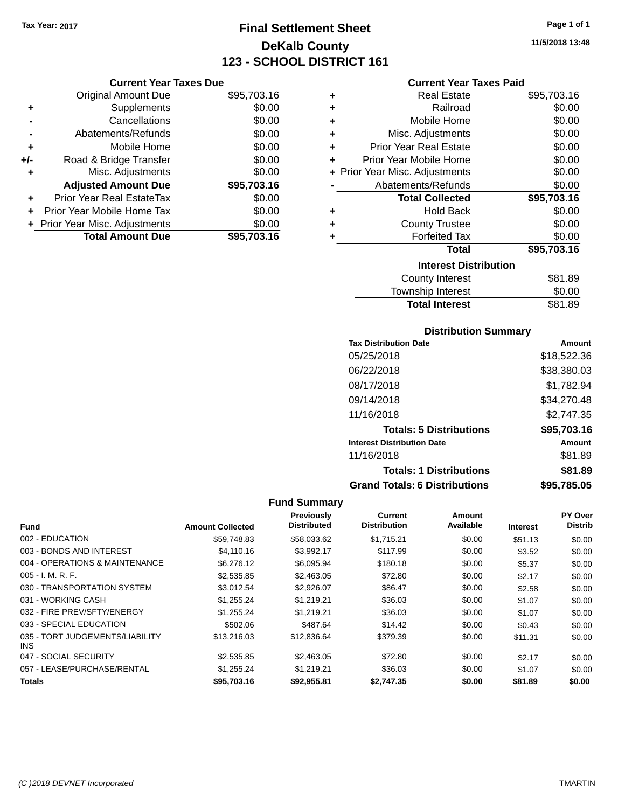## **Final Settlement Sheet Tax Year: 2017 Page 1 of 1 DeKalb County 123 - SCHOOL DISTRICT 161**

**11/5/2018 13:48**

### **Current Year Taxes Paid**

|     | <b>Current Year Taxes Due</b>  |             |     |
|-----|--------------------------------|-------------|-----|
|     | <b>Original Amount Due</b>     | \$95,703.16 |     |
|     | Supplements                    | \$0.00      |     |
|     | Cancellations                  | \$0.00      |     |
|     | Abatements/Refunds             | \$0.00      |     |
|     | Mobile Home                    | \$0.00      |     |
| +/- | Road & Bridge Transfer         | \$0.00      |     |
|     | Misc. Adjustments              | \$0.00      | + P |
|     | <b>Adjusted Amount Due</b>     | \$95,703.16 |     |
|     | Prior Year Real EstateTax      | \$0.00      |     |
|     | Prior Year Mobile Home Tax     | \$0.00      |     |
|     | + Prior Year Misc. Adjustments | \$0.00      |     |
|     | <b>Total Amount Due</b>        | \$95,703.16 |     |
|     |                                |             |     |

| ٠ | <b>Real Estate</b>             | \$95,703.16 |
|---|--------------------------------|-------------|
| ٠ | Railroad                       | \$0.00      |
| ٠ | Mobile Home                    | \$0.00      |
| ٠ | Misc. Adjustments              | \$0.00      |
| ٠ | <b>Prior Year Real Estate</b>  | \$0.00      |
| ÷ | Prior Year Mobile Home         | \$0.00      |
|   | + Prior Year Misc. Adjustments | \$0.00      |
|   | Abatements/Refunds             | \$0.00      |
|   | <b>Total Collected</b>         | \$95,703.16 |
| ٠ | <b>Hold Back</b>               | \$0.00      |
| ÷ | <b>County Trustee</b>          | \$0.00      |
| ٠ | <b>Forfeited Tax</b>           | \$0.00      |
|   | Total                          | \$95,703.16 |
|   | <b>Interest Distribution</b>   |             |
|   | <b>County Interest</b>         | \$81.89     |
|   | <b>Township Interest</b>       | \$0.00      |
|   | <b>Total Interest</b>          | \$81.89     |

### **Distribution Summary**

| <b>Tax Distribution Date</b>         | Amount      |
|--------------------------------------|-------------|
| 05/25/2018                           | \$18,522.36 |
| 06/22/2018                           | \$38,380.03 |
| 08/17/2018                           | \$1,782.94  |
| 09/14/2018                           | \$34,270.48 |
| 11/16/2018                           | \$2,747.35  |
| <b>Totals: 5 Distributions</b>       | \$95,703.16 |
| <b>Interest Distribution Date</b>    | Amount      |
| 11/16/2018                           | \$81.89     |
| <b>Totals: 1 Distributions</b>       | \$81.89     |
| <b>Grand Totals: 6 Distributions</b> | \$95.785.05 |

|                                               |                         | Previously         | Current             | Amount    |                 | <b>PY Over</b> |
|-----------------------------------------------|-------------------------|--------------------|---------------------|-----------|-----------------|----------------|
| <b>Fund</b>                                   | <b>Amount Collected</b> | <b>Distributed</b> | <b>Distribution</b> | Available | <b>Interest</b> | <b>Distrib</b> |
| 002 - EDUCATION                               | \$59,748.83             | \$58,033.62        | \$1,715.21          | \$0.00    | \$51.13         | \$0.00         |
| 003 - BONDS AND INTEREST                      | \$4,110.16              | \$3,992.17         | \$117.99            | \$0.00    | \$3.52          | \$0.00         |
| 004 - OPERATIONS & MAINTENANCE                | \$6,276.12              | \$6,095.94         | \$180.18            | \$0.00    | \$5.37          | \$0.00         |
| $005 - I. M. R. F.$                           | \$2,535.85              | \$2,463.05         | \$72.80             | \$0.00    | \$2.17          | \$0.00         |
| 030 - TRANSPORTATION SYSTEM                   | \$3.012.54              | \$2,926.07         | \$86.47             | \$0.00    | \$2.58          | \$0.00         |
| 031 - WORKING CASH                            | \$1.255.24              | \$1.219.21         | \$36.03             | \$0.00    | \$1.07          | \$0.00         |
| 032 - FIRE PREV/SFTY/ENERGY                   | \$1,255.24              | \$1.219.21         | \$36.03             | \$0.00    | \$1.07          | \$0.00         |
| 033 - SPECIAL EDUCATION                       | \$502.06                | \$487.64           | \$14.42             | \$0.00    | \$0.43          | \$0.00         |
| 035 - TORT JUDGEMENTS/LIABILITY<br><b>INS</b> | \$13,216.03             | \$12,836.64        | \$379.39            | \$0.00    | \$11.31         | \$0.00         |
| 047 - SOCIAL SECURITY                         | \$2,535.85              | \$2,463.05         | \$72.80             | \$0.00    | \$2.17          | \$0.00         |
| 057 - LEASE/PURCHASE/RENTAL                   | \$1,255.24              | \$1.219.21         | \$36.03             | \$0.00    | \$1.07          | \$0.00         |
| <b>Totals</b>                                 | \$95,703.16             | \$92.955.81        | \$2.747.35          | \$0.00    | \$81.89         | \$0.00         |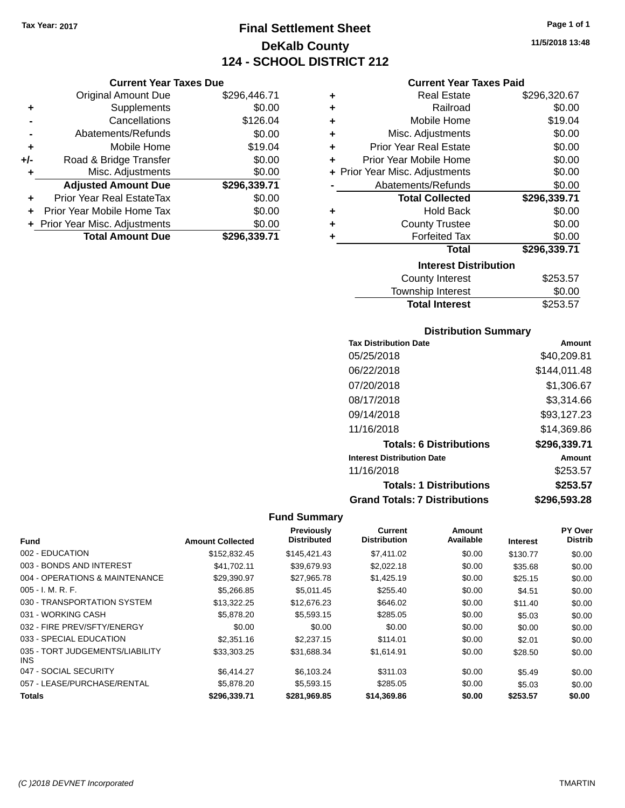## **Final Settlement Sheet Tax Year: 2017 Page 1 of 1 DeKalb County 124 - SCHOOL DISTRICT 212**

**Current Year Taxes Due**

|       | <b>Original Amount Due</b>     | \$296,446.71 |
|-------|--------------------------------|--------------|
| ٠     | Supplements                    | \$0.00       |
|       | Cancellations                  | \$126.04     |
|       | Abatements/Refunds             | \$0.00       |
| ÷     | Mobile Home                    | \$19.04      |
| $+/-$ | Road & Bridge Transfer         | \$0.00       |
|       | Misc. Adjustments              | \$0.00       |
|       | <b>Adjusted Amount Due</b>     | \$296,339.71 |
|       | Prior Year Real EstateTax      | \$0.00       |
|       | Prior Year Mobile Home Tax     | \$0.00       |
|       | + Prior Year Misc. Adjustments | \$0.00       |
|       | <b>Total Amount Due</b>        | \$296,339.71 |
|       |                                |              |

### **Current Year Taxes Paid**

| ٠ | <b>Real Estate</b>             | \$296,320.67 |
|---|--------------------------------|--------------|
| ÷ | Railroad                       | \$0.00       |
| ÷ | Mobile Home                    | \$19.04      |
| ٠ | Misc. Adjustments              | \$0.00       |
| ٠ | <b>Prior Year Real Estate</b>  | \$0.00       |
| ٠ | Prior Year Mobile Home         | \$0.00       |
|   | + Prior Year Misc. Adjustments | \$0.00       |
|   | Abatements/Refunds             | \$0.00       |
|   |                                |              |
|   | <b>Total Collected</b>         | \$296,339.71 |
| ٠ | <b>Hold Back</b>               | \$0.00       |
| ٠ | <b>County Trustee</b>          | \$0.00       |
| ٠ | <b>Forfeited Tax</b>           | \$0.00       |
|   | <b>Total</b>                   | \$296,339.71 |
|   | <b>Interest Distribution</b>   |              |
|   | <b>County Interest</b>         | \$253.57     |

### **Distribution Summary**

Total Interest \$253.57

| <b>Tax Distribution Date</b>         | Amount       |
|--------------------------------------|--------------|
| 05/25/2018                           | \$40.209.81  |
| 06/22/2018                           | \$144.011.48 |
| 07/20/2018                           | \$1,306.67   |
| 08/17/2018                           | \$3.314.66   |
| 09/14/2018                           | \$93,127.23  |
| 11/16/2018                           | \$14.369.86  |
| <b>Totals: 6 Distributions</b>       | \$296,339.71 |
| <b>Interest Distribution Date</b>    | Amount       |
| 11/16/2018                           | \$253.57     |
| <b>Totals: 1 Distributions</b>       | \$253.57     |
| <b>Grand Totals: 7 Distributions</b> | \$296.593.28 |

| <b>Fund</b>                             | <b>Amount Collected</b> | <b>Previously</b><br><b>Distributed</b> | Current<br><b>Distribution</b> | Amount<br>Available | <b>Interest</b> | PY Over<br><b>Distrib</b> |
|-----------------------------------------|-------------------------|-----------------------------------------|--------------------------------|---------------------|-----------------|---------------------------|
| 002 - EDUCATION                         | \$152,832.45            | \$145,421.43                            | \$7,411.02                     | \$0.00              | \$130.77        | \$0.00                    |
| 003 - BONDS AND INTEREST                | \$41,702.11             | \$39,679.93                             | \$2,022.18                     | \$0.00              | \$35.68         | \$0.00                    |
| 004 - OPERATIONS & MAINTENANCE          | \$29.390.97             | \$27.965.78                             | \$1,425.19                     | \$0.00              | \$25.15         | \$0.00                    |
| $005 - I. M. R. F.$                     | \$5,266.85              | \$5,011.45                              | \$255.40                       | \$0.00              | \$4.51          | \$0.00                    |
| 030 - TRANSPORTATION SYSTEM             | \$13,322.25             | \$12,676.23                             | \$646.02                       | \$0.00              | \$11.40         | \$0.00                    |
| 031 - WORKING CASH                      | \$5,878.20              | \$5,593.15                              | \$285.05                       | \$0.00              | \$5.03          | \$0.00                    |
| 032 - FIRE PREV/SFTY/ENERGY             | \$0.00                  | \$0.00                                  | \$0.00                         | \$0.00              | \$0.00          | \$0.00                    |
| 033 - SPECIAL EDUCATION                 | \$2,351.16              | \$2,237.15                              | \$114.01                       | \$0.00              | \$2.01          | \$0.00                    |
| 035 - TORT JUDGEMENTS/LIABILITY<br>INS. | \$33.303.25             | \$31,688.34                             | \$1,614.91                     | \$0.00              | \$28.50         | \$0.00                    |
| 047 - SOCIAL SECURITY                   | \$6,414.27              | \$6,103,24                              | \$311.03                       | \$0.00              | \$5.49          | \$0.00                    |
| 057 - LEASE/PURCHASE/RENTAL             | \$5,878,20              | \$5,593.15                              | \$285.05                       | \$0.00              | \$5.03          | \$0.00                    |
| Totals                                  | \$296,339.71            | \$281,969.85                            | \$14,369.86                    | \$0.00              | \$253.57        | \$0.00                    |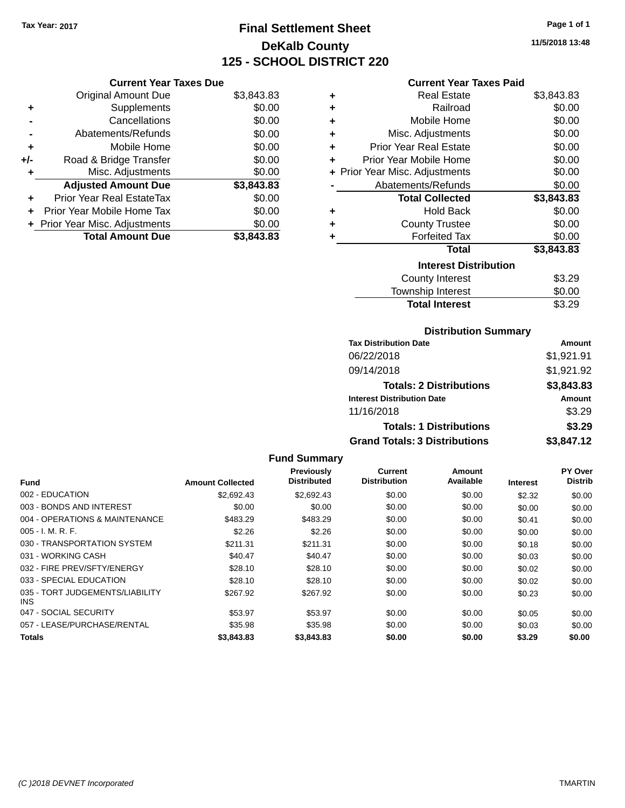## **Final Settlement Sheet Tax Year: 2017 Page 1 of 1 DeKalb County 125 - SCHOOL DISTRICT 220**

**11/5/2018 13:48**

### **Current Year Taxes Paid**

| <b>Original Amount Due</b>       | \$3,843.83                                                      |
|----------------------------------|-----------------------------------------------------------------|
| Supplements                      | \$0.00                                                          |
| Cancellations                    | \$0.00                                                          |
| Abatements/Refunds               | \$0.00                                                          |
| Mobile Home                      | \$0.00                                                          |
| Road & Bridge Transfer           | \$0.00                                                          |
| Misc. Adjustments                | \$0.00                                                          |
| <b>Adjusted Amount Due</b>       | \$3,843.83                                                      |
| <b>Prior Year Real EstateTax</b> | \$0.00                                                          |
| Prior Year Mobile Home Tax       | \$0.00                                                          |
|                                  | \$0.00                                                          |
| <b>Total Amount Due</b>          | \$3.843.83                                                      |
|                                  | <b>Current Year Taxes Due</b><br>+ Prior Year Misc. Adjustments |

| ٠ | Real Estate                    | \$3,843.83 |
|---|--------------------------------|------------|
| ٠ | Railroad                       | \$0.00     |
| ٠ | Mobile Home                    | \$0.00     |
| ٠ | Misc. Adjustments              | \$0.00     |
| ٠ | <b>Prior Year Real Estate</b>  | \$0.00     |
| ٠ | Prior Year Mobile Home         | \$0.00     |
|   | + Prior Year Misc. Adjustments | \$0.00     |
|   | Abatements/Refunds             | \$0.00     |
|   | <b>Total Collected</b>         | \$3,843.83 |
| ٠ | Hold Back                      | \$0.00     |
| ÷ | <b>County Trustee</b>          | \$0.00     |
| ٠ | <b>Forfeited Tax</b>           | \$0.00     |
|   | <b>Total</b>                   | \$3,843.83 |
|   | <b>Interest Distribution</b>   |            |
|   | <b>County Interest</b>         | \$3.29     |
|   | <b>Township Interest</b>       | \$0.00     |
|   | <b>Total Interest</b>          | \$3.29     |

### **Distribution Summary**

| <b>Tax Distribution Date</b>         | Amount     |
|--------------------------------------|------------|
| 06/22/2018                           | \$1,921.91 |
| 09/14/2018                           | \$1,921.92 |
| <b>Totals: 2 Distributions</b>       | \$3,843.83 |
| <b>Interest Distribution Date</b>    | Amount     |
| 11/16/2018                           | \$3.29     |
| <b>Totals: 1 Distributions</b>       | \$3.29     |
| <b>Grand Totals: 3 Distributions</b> | \$3,847.12 |

|                                         |                         | Previously<br><b>Distributed</b> | <b>Current</b><br><b>Distribution</b> | Amount<br>Available |          | PY Over<br><b>Distrib</b> |
|-----------------------------------------|-------------------------|----------------------------------|---------------------------------------|---------------------|----------|---------------------------|
| Fund                                    | <b>Amount Collected</b> |                                  |                                       |                     | Interest |                           |
| 002 - EDUCATION                         | \$2,692.43              | \$2,692.43                       | \$0.00                                | \$0.00              | \$2.32   | \$0.00                    |
| 003 - BONDS AND INTEREST                | \$0.00                  | \$0.00                           | \$0.00                                | \$0.00              | \$0.00   | \$0.00                    |
| 004 - OPERATIONS & MAINTENANCE          | \$483.29                | \$483.29                         | \$0.00                                | \$0.00              | \$0.41   | \$0.00                    |
| $005 - I. M. R. F.$                     | \$2.26                  | \$2.26                           | \$0.00                                | \$0.00              | \$0.00   | \$0.00                    |
| 030 - TRANSPORTATION SYSTEM             | \$211.31                | \$211.31                         | \$0.00                                | \$0.00              | \$0.18   | \$0.00                    |
| 031 - WORKING CASH                      | \$40.47                 | \$40.47                          | \$0.00                                | \$0.00              | \$0.03   | \$0.00                    |
| 032 - FIRE PREV/SFTY/ENERGY             | \$28.10                 | \$28.10                          | \$0.00                                | \$0.00              | \$0.02   | \$0.00                    |
| 033 - SPECIAL EDUCATION                 | \$28.10                 | \$28.10                          | \$0.00                                | \$0.00              | \$0.02   | \$0.00                    |
| 035 - TORT JUDGEMENTS/LIABILITY<br>INS. | \$267.92                | \$267.92                         | \$0.00                                | \$0.00              | \$0.23   | \$0.00                    |
| 047 - SOCIAL SECURITY                   | \$53.97                 | \$53.97                          | \$0.00                                | \$0.00              | \$0.05   | \$0.00                    |
| 057 - LEASE/PURCHASE/RENTAL             | \$35.98                 | \$35.98                          | \$0.00                                | \$0.00              | \$0.03   | \$0.00                    |
| Totals                                  | \$3,843.83              | \$3,843,83                       | \$0.00                                | \$0.00              | \$3.29   | \$0.00                    |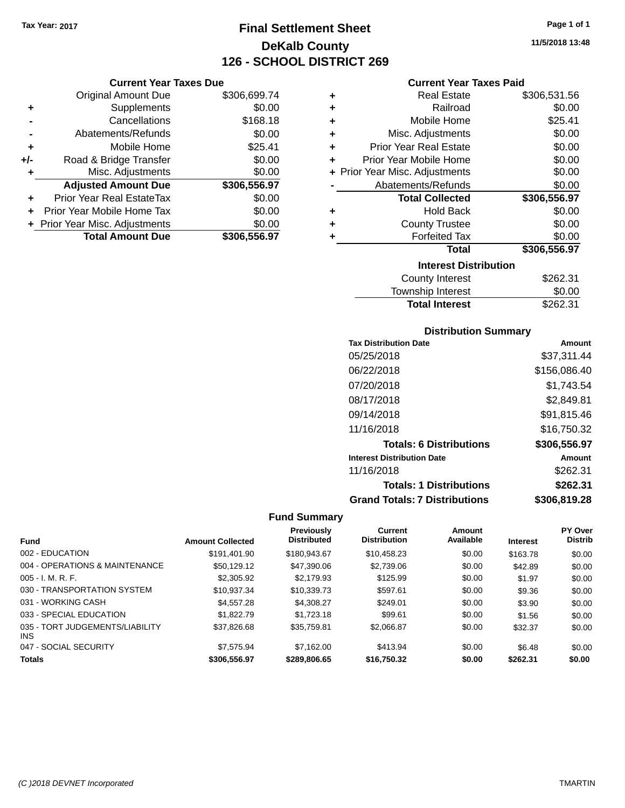## **Final Settlement Sheet Tax Year: 2017 Page 1 of 1 DeKalb County 126 - SCHOOL DISTRICT 269**

|       | <b>Current Year Taxes Due</b>    |              |  |  |
|-------|----------------------------------|--------------|--|--|
|       | <b>Original Amount Due</b>       | \$306,699.74 |  |  |
| ٠     | Supplements                      | \$0.00       |  |  |
|       | Cancellations                    | \$168.18     |  |  |
|       | Abatements/Refunds               | \$0.00       |  |  |
| ٠     | Mobile Home                      | \$25.41      |  |  |
| $+/-$ | Road & Bridge Transfer           | \$0.00       |  |  |
|       | Misc. Adjustments                | \$0.00       |  |  |
|       | <b>Adjusted Amount Due</b>       | \$306,556.97 |  |  |
| ÷     | <b>Prior Year Real EstateTax</b> | \$0.00       |  |  |
|       | Prior Year Mobile Home Tax       | \$0.00       |  |  |
|       | + Prior Year Misc. Adjustments   | \$0.00       |  |  |
|       | <b>Total Amount Due</b>          | \$306,556.97 |  |  |

### **Current Year Taxes Paid**

| ٠ | <b>Real Estate</b>             | \$306,531.56 |
|---|--------------------------------|--------------|
| ٠ | Railroad                       | \$0.00       |
| ٠ | Mobile Home                    | \$25.41      |
| ٠ | Misc. Adjustments              | \$0.00       |
| ٠ | <b>Prior Year Real Estate</b>  | \$0.00       |
| ٠ | Prior Year Mobile Home         | \$0.00       |
|   | + Prior Year Misc. Adjustments | \$0.00       |
|   | Abatements/Refunds             | \$0.00       |
|   | <b>Total Collected</b>         | \$306,556.97 |
| ٠ | <b>Hold Back</b>               | \$0.00       |
| ٠ | <b>County Trustee</b>          | \$0.00       |
| ٠ | <b>Forfeited Tax</b>           | \$0.00       |
|   | <b>Total</b>                   | \$306,556.97 |
|   | <b>Interest Distribution</b>   |              |
|   |                                |              |
|   | County Interest                | \$262.31     |

| <b>Total Interest</b> | \$262.31 |
|-----------------------|----------|
| Township Interest     | \$0.00   |
| County Interest       | \$262.31 |

### **Distribution Summary**

| <b>Tax Distribution Date</b>         | Amount       |
|--------------------------------------|--------------|
| 05/25/2018                           | \$37,311.44  |
| 06/22/2018                           | \$156,086.40 |
| 07/20/2018                           | \$1.743.54   |
| 08/17/2018                           | \$2,849.81   |
| 09/14/2018                           | \$91,815.46  |
| 11/16/2018                           | \$16.750.32  |
| <b>Totals: 6 Distributions</b>       | \$306,556.97 |
| <b>Interest Distribution Date</b>    | Amount       |
| 11/16/2018                           | \$262.31     |
| <b>Totals: 1 Distributions</b>       | \$262.31     |
| <b>Grand Totals: 7 Distributions</b> | \$306,819.28 |

| <b>Fund</b>                             | <b>Amount Collected</b> | Previously<br><b>Distributed</b> | <b>Current</b><br><b>Distribution</b> | Amount<br>Available | <b>Interest</b> | <b>PY Over</b><br><b>Distrib</b> |
|-----------------------------------------|-------------------------|----------------------------------|---------------------------------------|---------------------|-----------------|----------------------------------|
| 002 - EDUCATION                         | \$191.401.90            | \$180,943.67                     | \$10.458.23                           | \$0.00              | \$163.78        | \$0.00                           |
| 004 - OPERATIONS & MAINTENANCE          | \$50.129.12             | \$47,390.06                      | \$2,739.06                            | \$0.00              | \$42.89         | \$0.00                           |
| $005 - I. M. R. F.$                     | \$2,305.92              | \$2.179.93                       | \$125.99                              | \$0.00              | \$1.97          | \$0.00                           |
| 030 - TRANSPORTATION SYSTEM             | \$10.937.34             | \$10.339.73                      | \$597.61                              | \$0.00              | \$9.36          | \$0.00                           |
| 031 - WORKING CASH                      | \$4.557.28              | \$4.308.27                       | \$249.01                              | \$0.00              | \$3.90          | \$0.00                           |
| 033 - SPECIAL EDUCATION                 | \$1.822.79              | \$1.723.18                       | \$99.61                               | \$0.00              | \$1.56          | \$0.00                           |
| 035 - TORT JUDGEMENTS/LIABILITY<br>INS. | \$37.826.68             | \$35,759.81                      | \$2.066.87                            | \$0.00              | \$32.37         | \$0.00                           |
| 047 - SOCIAL SECURITY                   | \$7.575.94              | \$7.162.00                       | \$413.94                              | \$0.00              | \$6.48          | \$0.00                           |
| <b>Totals</b>                           | \$306,556.97            | \$289,806.65                     | \$16.750.32                           | \$0.00              | \$262.31        | \$0.00                           |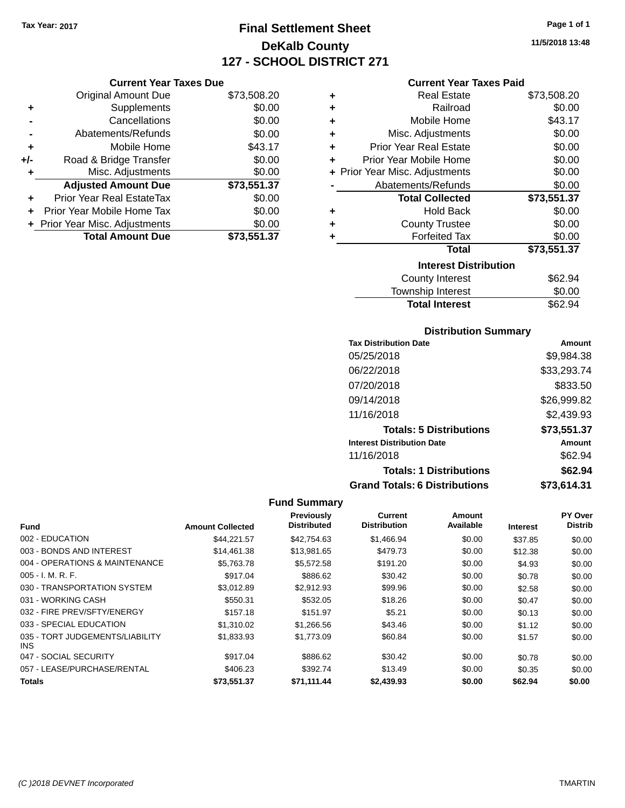## **Final Settlement Sheet Tax Year: 2017 Page 1 of 1 DeKalb County 127 - SCHOOL DISTRICT 271**

### **Current Year Taxes Paid**

|     | <b>Current Year Taxes Due</b>  |             |
|-----|--------------------------------|-------------|
|     | Original Amount Due            | \$73,508.20 |
| ٠   | Supplements                    | \$0.00      |
|     | Cancellations                  | \$0.00      |
|     | Abatements/Refunds             | \$0.00      |
| ٠   | Mobile Home                    | \$43.17     |
| +/- | Road & Bridge Transfer         | \$0.00      |
| ٠   | Misc. Adjustments              | \$0.00      |
|     | <b>Adjusted Amount Due</b>     | \$73,551.37 |
| ٠   | Prior Year Real EstateTax      | \$0.00      |
|     | Prior Year Mobile Home Tax     | \$0.00      |
|     | + Prior Year Misc. Adjustments | \$0.00      |
|     | <b>Total Amount Due</b>        | \$73.551.37 |

| ٠ | Real Estate                    | \$73,508.20 |
|---|--------------------------------|-------------|
| ٠ | Railroad                       | \$0.00      |
| ٠ | Mobile Home                    | \$43.17     |
| ٠ | Misc. Adjustments              | \$0.00      |
| ٠ | <b>Prior Year Real Estate</b>  | \$0.00      |
| ٠ | Prior Year Mobile Home         | \$0.00      |
|   | + Prior Year Misc. Adjustments | \$0.00      |
|   | Abatements/Refunds             | \$0.00      |
|   | <b>Total Collected</b>         | \$73,551.37 |
| ٠ | <b>Hold Back</b>               | \$0.00      |
| ٠ | <b>County Trustee</b>          | \$0.00      |
| ٠ | <b>Forfeited Tax</b>           | \$0.00      |
|   | <b>Total</b>                   | \$73,551.37 |
|   | <b>Interest Distribution</b>   |             |
|   | <b>County Interest</b>         | \$62.94     |
|   | <b>Township Interest</b>       | \$0.00      |
|   | <b>Total Interest</b>          | \$62.94     |

### **Distribution Summary**

| <b>Tax Distribution Date</b>         | Amount      |
|--------------------------------------|-------------|
| 05/25/2018                           | \$9,984.38  |
| 06/22/2018                           | \$33,293.74 |
| 07/20/2018                           | \$833.50    |
| 09/14/2018                           | \$26,999.82 |
| 11/16/2018                           | \$2,439.93  |
| <b>Totals: 5 Distributions</b>       | \$73,551.37 |
| <b>Interest Distribution Date</b>    | Amount      |
| 11/16/2018                           | \$62.94     |
| <b>Totals: 1 Distributions</b>       | \$62.94     |
| <b>Grand Totals: 6 Distributions</b> | \$73,614.31 |

|                                         |                         | Previously         | Current             | Amount    |                 | PY Over        |
|-----------------------------------------|-------------------------|--------------------|---------------------|-----------|-----------------|----------------|
| Fund                                    | <b>Amount Collected</b> | <b>Distributed</b> | <b>Distribution</b> | Available | <b>Interest</b> | <b>Distrib</b> |
| 002 - EDUCATION                         | \$44.221.57             | \$42,754.63        | \$1.466.94          | \$0.00    | \$37.85         | \$0.00         |
| 003 - BONDS AND INTEREST                | \$14,461.38             | \$13,981.65        | \$479.73            | \$0.00    | \$12.38         | \$0.00         |
| 004 - OPERATIONS & MAINTENANCE          | \$5,763.78              | \$5,572.58         | \$191.20            | \$0.00    | \$4.93          | \$0.00         |
| $005 - I. M. R. F.$                     | \$917.04                | \$886.62           | \$30.42             | \$0.00    | \$0.78          | \$0.00         |
| 030 - TRANSPORTATION SYSTEM             | \$3,012.89              | \$2,912.93         | \$99.96             | \$0.00    | \$2.58          | \$0.00         |
| 031 - WORKING CASH                      | \$550.31                | \$532.05           | \$18.26             | \$0.00    | \$0.47          | \$0.00         |
| 032 - FIRE PREV/SFTY/ENERGY             | \$157.18                | \$151.97           | \$5.21              | \$0.00    | \$0.13          | \$0.00         |
| 033 - SPECIAL EDUCATION                 | \$1,310.02              | \$1,266.56         | \$43.46             | \$0.00    | \$1.12          | \$0.00         |
| 035 - TORT JUDGEMENTS/LIABILITY<br>INS. | \$1,833.93              | \$1,773.09         | \$60.84             | \$0.00    | \$1.57          | \$0.00         |
| 047 - SOCIAL SECURITY                   | \$917.04                | \$886.62           | \$30.42             | \$0.00    | \$0.78          | \$0.00         |
| 057 - LEASE/PURCHASE/RENTAL             | \$406.23                | \$392.74           | \$13.49             | \$0.00    | \$0.35          | \$0.00         |
| <b>Totals</b>                           | \$73.551.37             | \$71,111.44        | \$2,439.93          | \$0.00    | \$62.94         | \$0.00         |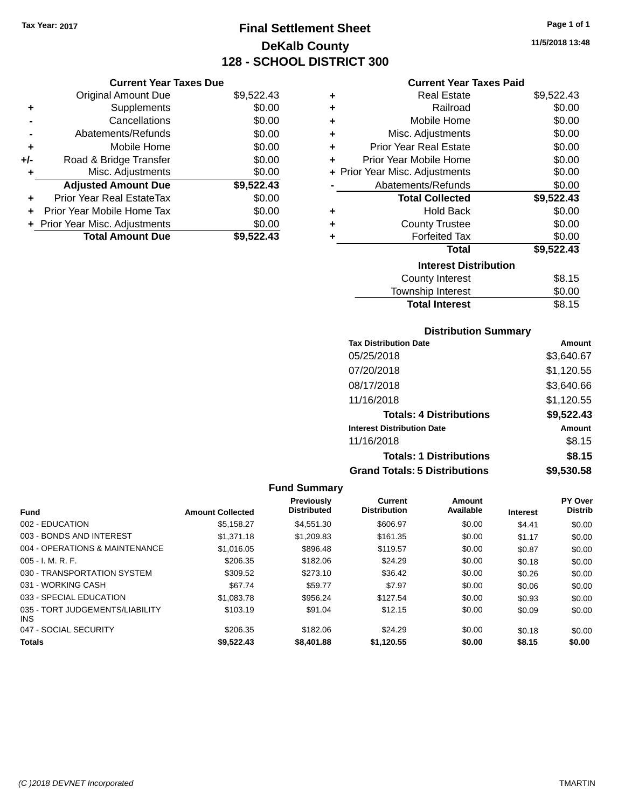## **Final Settlement Sheet Tax Year: 2017 Page 1 of 1 DeKalb County 128 - SCHOOL DISTRICT 300**

**11/5/2018 13:48**

### **Current Year Taxes Paid**

|       | <b>Current Year Taxes Due</b>  |            |   | Curi                  |
|-------|--------------------------------|------------|---|-----------------------|
|       | Original Amount Due            | \$9,522.43 | ٠ | R٥                    |
|       | Supplements                    | \$0.00     | ٠ |                       |
|       | Cancellations                  | \$0.00     | ٠ | Mot                   |
|       | Abatements/Refunds             | \$0.00     | ٠ | Misc. Ad              |
|       | Mobile Home                    | \$0.00     | ٠ | Prior Year Re         |
| $+/-$ | Road & Bridge Transfer         | \$0.00     | ٠ | <b>Prior Year Mot</b> |
|       | Misc. Adjustments              | \$0.00     |   | + Prior Year Misc. Ad |
|       | <b>Adjusted Amount Due</b>     | \$9,522.43 |   | Abatements            |
| ÷     | Prior Year Real EstateTax      | \$0.00     |   | Total (               |
|       | Prior Year Mobile Home Tax     | \$0.00     | ٠ |                       |
|       | + Prior Year Misc. Adjustments | \$0.00     | ٠ | Count                 |
|       | <b>Total Amount Due</b>        | \$9,522.43 |   | For                   |
|       |                                |            |   |                       |
|       |                                |            |   |                       |

| ٠ | <b>Real Estate</b>             | \$9,522.43 |
|---|--------------------------------|------------|
| ٠ | Railroad                       | \$0.00     |
| ٠ | Mobile Home                    | \$0.00     |
| ٠ | Misc. Adjustments              | \$0.00     |
| ÷ | Prior Year Real Estate         | \$0.00     |
| ÷ | Prior Year Mobile Home         | \$0.00     |
|   | + Prior Year Misc. Adjustments | \$0.00     |
|   | Abatements/Refunds             | \$0.00     |
|   | <b>Total Collected</b>         | \$9,522.43 |
| ٠ | <b>Hold Back</b>               | \$0.00     |
| ٠ | <b>County Trustee</b>          | \$0.00     |
| ٠ | <b>Forfeited Tax</b>           | \$0.00     |
|   | Total                          | \$9,522.43 |
|   | <b>Interest Distribution</b>   |            |
|   | County Interest                | \$8.15     |
|   | <b>Township Interest</b>       | \$0.00     |
|   | <b>Total Interest</b>          | \$8.15     |

### **Distribution Summary**

| <b>Tax Distribution Date</b>         | Amount     |
|--------------------------------------|------------|
| 05/25/2018                           | \$3,640.67 |
| 07/20/2018                           | \$1,120.55 |
| 08/17/2018                           | \$3,640.66 |
| 11/16/2018                           | \$1,120.55 |
| <b>Totals: 4 Distributions</b>       | \$9,522.43 |
| <b>Interest Distribution Date</b>    | Amount     |
| 11/16/2018                           | \$8.15     |
| <b>Totals: 1 Distributions</b>       | \$8.15     |
| <b>Grand Totals: 5 Distributions</b> | \$9,530.58 |

| <b>Fund</b>                             | <b>Amount Collected</b> | Previously<br><b>Distributed</b> | Current<br><b>Distribution</b> | Amount<br>Available | <b>Interest</b> | <b>PY Over</b><br><b>Distrib</b> |
|-----------------------------------------|-------------------------|----------------------------------|--------------------------------|---------------------|-----------------|----------------------------------|
| 002 - EDUCATION                         | \$5.158.27              | \$4,551,30                       | \$606.97                       | \$0.00              | \$4.41          | \$0.00                           |
| 003 - BONDS AND INTEREST                | \$1,371.18              | \$1,209.83                       | \$161.35                       | \$0.00              | \$1.17          | \$0.00                           |
| 004 - OPERATIONS & MAINTENANCE          | \$1,016.05              | \$896.48                         | \$119.57                       | \$0.00              | \$0.87          | \$0.00                           |
| $005 - I. M. R. F.$                     | \$206.35                | \$182.06                         | \$24.29                        | \$0.00              | \$0.18          | \$0.00                           |
| 030 - TRANSPORTATION SYSTEM             | \$309.52                | \$273.10                         | \$36.42                        | \$0.00              | \$0.26          | \$0.00                           |
| 031 - WORKING CASH                      | \$67.74                 | \$59.77                          | \$7.97                         | \$0.00              | \$0.06          | \$0.00                           |
| 033 - SPECIAL EDUCATION                 | \$1,083.78              | \$956.24                         | \$127.54                       | \$0.00              | \$0.93          | \$0.00                           |
| 035 - TORT JUDGEMENTS/LIABILITY<br>INS. | \$103.19                | \$91.04                          | \$12.15                        | \$0.00              | \$0.09          | \$0.00                           |
| 047 - SOCIAL SECURITY                   | \$206.35                | \$182.06                         | \$24.29                        | \$0.00              | \$0.18          | \$0.00                           |
| <b>Totals</b>                           | \$9.522.43              | \$8,401.88                       | \$1.120.55                     | \$0.00              | \$8.15          | \$0.00                           |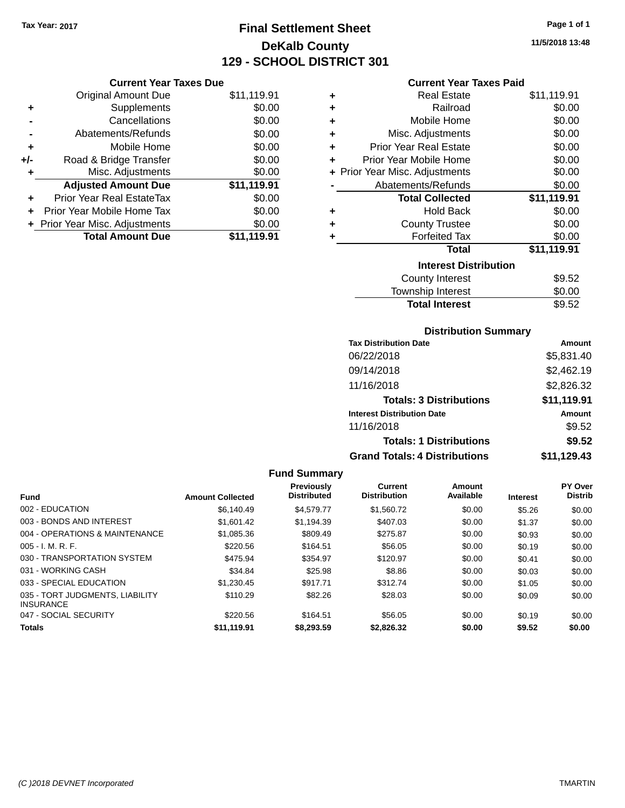## **Final Settlement Sheet Tax Year: 2017 Page 1 of 1 DeKalb County 129 - SCHOOL DISTRICT 301**

**11/5/2018 13:48**

### **Current Year Taxes Paid**

|     | <b>Current Year Taxes Due</b>    |             |
|-----|----------------------------------|-------------|
|     | <b>Original Amount Due</b>       | \$11,119.91 |
| ÷   | Supplements                      | \$0.00      |
|     | Cancellations                    | \$0.00      |
|     | Abatements/Refunds               | \$0.00      |
| ٠   | Mobile Home                      | \$0.00      |
| +/- | Road & Bridge Transfer           | \$0.00      |
|     | Misc. Adjustments                | \$0.00      |
|     | <b>Adjusted Amount Due</b>       | \$11,119.91 |
| ÷   | <b>Prior Year Real EstateTax</b> | \$0.00      |
| ÷   | Prior Year Mobile Home Tax       | \$0.00      |
|     | + Prior Year Misc. Adjustments   | \$0.00      |
|     | <b>Total Amount Due</b>          | \$11.119.91 |

| ٠ | Real Estate                    | \$11,119.91 |
|---|--------------------------------|-------------|
| ٠ | Railroad                       | \$0.00      |
| ٠ | Mobile Home                    | \$0.00      |
| ٠ | Misc. Adjustments              | \$0.00      |
| ٠ | Prior Year Real Estate         | \$0.00      |
| ٠ | Prior Year Mobile Home         | \$0.00      |
|   | + Prior Year Misc. Adjustments | \$0.00      |
|   | Abatements/Refunds             | \$0.00      |
|   | <b>Total Collected</b>         | \$11,119.91 |
| ٠ | <b>Hold Back</b>               | \$0.00      |
| ٠ | <b>County Trustee</b>          | \$0.00      |
| ٠ | <b>Forfeited Tax</b>           | \$0.00      |
|   | <b>Total</b>                   | \$11,119.91 |
|   | <b>Interest Distribution</b>   |             |
|   | <b>County Interest</b>         | \$9.52      |
|   | <b>Township Interest</b>       | \$0.00      |
|   | <b>Total Interest</b>          | \$9.52      |

### **Distribution Summary**

| <b>Tax Distribution Date</b>         | Amount      |
|--------------------------------------|-------------|
| 06/22/2018                           | \$5,831.40  |
| 09/14/2018                           | \$2,462.19  |
| 11/16/2018                           | \$2,826.32  |
| <b>Totals: 3 Distributions</b>       | \$11,119.91 |
| <b>Interest Distribution Date</b>    | Amount      |
| 11/16/2018                           | \$9.52      |
| <b>Totals: 1 Distributions</b>       | \$9.52      |
| <b>Grand Totals: 4 Distributions</b> | \$11,129.43 |

|                                                     |                         | <b>Fund Summary</b>                     |                                |                     |                 |                                  |
|-----------------------------------------------------|-------------------------|-----------------------------------------|--------------------------------|---------------------|-----------------|----------------------------------|
| <b>Fund</b>                                         | <b>Amount Collected</b> | <b>Previously</b><br><b>Distributed</b> | Current<br><b>Distribution</b> | Amount<br>Available | <b>Interest</b> | <b>PY Over</b><br><b>Distrib</b> |
| 002 - EDUCATION                                     | \$6,140.49              | \$4.579.77                              | \$1,560.72                     | \$0.00              | \$5.26          | \$0.00                           |
| 003 - BONDS AND INTEREST                            | \$1,601.42              | \$1,194.39                              | \$407.03                       | \$0.00              | \$1.37          | \$0.00                           |
| 004 - OPERATIONS & MAINTENANCE                      | \$1,085.36              | \$809.49                                | \$275.87                       | \$0.00              | \$0.93          | \$0.00                           |
| 005 - I. M. R. F.                                   | \$220.56                | \$164.51                                | \$56.05                        | \$0.00              | \$0.19          | \$0.00                           |
| 030 - TRANSPORTATION SYSTEM                         | \$475.94                | \$354.97                                | \$120.97                       | \$0.00              | \$0.41          | \$0.00                           |
| 031 - WORKING CASH                                  | \$34.84                 | \$25.98                                 | \$8.86                         | \$0.00              | \$0.03          | \$0.00                           |
| 033 - SPECIAL EDUCATION                             | \$1,230.45              | \$917.71                                | \$312.74                       | \$0.00              | \$1.05          | \$0.00                           |
| 035 - TORT JUDGMENTS, LIABILITY<br><b>INSURANCE</b> | \$110.29                | \$82.26                                 | \$28.03                        | \$0.00              | \$0.09          | \$0.00                           |
| 047 - SOCIAL SECURITY                               | \$220.56                | \$164.51                                | \$56.05                        | \$0.00              | \$0.19          | \$0.00                           |
| <b>Totals</b>                                       | \$11,119.91             | \$8.293.59                              | \$2,826,32                     | \$0.00              | \$9.52          | \$0.00                           |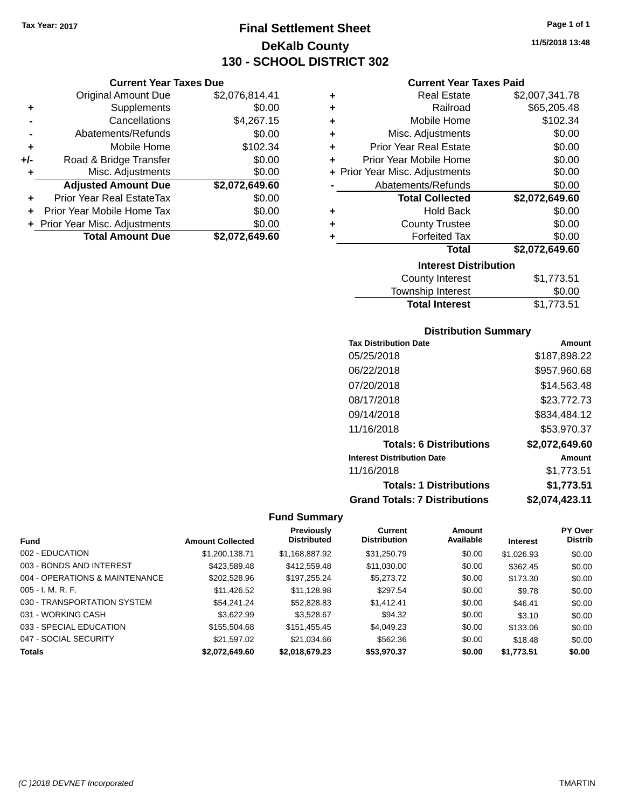## **Final Settlement Sheet Tax Year: 2017 Page 1 of 1 DeKalb County 130 - SCHOOL DISTRICT 302**

### **Current Year Taxes Due**

|     | <b>Original Amount Due</b>     | \$2,076,814.41 |
|-----|--------------------------------|----------------|
| ٠   | Supplements                    | \$0.00         |
|     | Cancellations                  | \$4,267.15     |
|     | Abatements/Refunds             | \$0.00         |
| ٠   | Mobile Home                    | \$102.34       |
| +/- | Road & Bridge Transfer         | \$0.00         |
| ٠   | Misc. Adjustments              | \$0.00         |
|     | <b>Adjusted Amount Due</b>     | \$2,072,649.60 |
| ٠   | Prior Year Real EstateTax      | \$0.00         |
|     | Prior Year Mobile Home Tax     | \$0.00         |
|     | + Prior Year Misc. Adjustments | \$0.00         |
|     | <b>Total Amount Due</b>        | \$2.072.649.60 |

### **Current Year Taxes Paid**

| ٠ | <b>Real Estate</b>             | \$2,007,341.78 |
|---|--------------------------------|----------------|
| ٠ | Railroad                       | \$65,205.48    |
| ٠ | Mobile Home                    | \$102.34       |
| ٠ | Misc. Adjustments              | \$0.00         |
| ٠ | <b>Prior Year Real Estate</b>  | \$0.00         |
| ٠ | Prior Year Mobile Home         | \$0.00         |
|   | + Prior Year Misc. Adjustments | \$0.00         |
|   | Abatements/Refunds             | \$0.00         |
|   | <b>Total Collected</b>         | \$2,072,649.60 |
| ٠ | <b>Hold Back</b>               | \$0.00         |
| ٠ | <b>County Trustee</b>          | \$0.00         |
| ٠ | <b>Forfeited Tax</b>           | \$0.00         |
|   | Total                          | \$2,072,649.60 |
|   | <b>Interest Distribution</b>   |                |
|   | County Interest                | \$1,773.51     |

| <b>Total Interest</b>  | \$1,773.51 |
|------------------------|------------|
| Township Interest      | \$0.00     |
| <b>County Interest</b> | \$1,773.51 |

### **Distribution Summary**

| <b>Tax Distribution Date</b>         | Amount         |
|--------------------------------------|----------------|
| 05/25/2018                           | \$187,898.22   |
| 06/22/2018                           | \$957,960.68   |
| 07/20/2018                           | \$14.563.48    |
| 08/17/2018                           | \$23,772.73    |
| 09/14/2018                           | \$834.484.12   |
| 11/16/2018                           | \$53,970.37    |
| <b>Totals: 6 Distributions</b>       | \$2,072,649.60 |
| <b>Interest Distribution Date</b>    | Amount         |
| 11/16/2018                           | \$1,773.51     |
| <b>Totals: 1 Distributions</b>       | \$1,773.51     |
| <b>Grand Totals: 7 Distributions</b> | \$2.074.423.11 |

|                                |                         | Previously         | Current             | <b>Amount</b> |                 | <b>PY Over</b> |
|--------------------------------|-------------------------|--------------------|---------------------|---------------|-----------------|----------------|
| <b>Fund</b>                    | <b>Amount Collected</b> | <b>Distributed</b> | <b>Distribution</b> | Available     | <b>Interest</b> | <b>Distrib</b> |
| 002 - EDUCATION                | \$1,200,138.71          | \$1,168,887.92     | \$31,250.79         | \$0.00        | \$1,026.93      | \$0.00         |
| 003 - BONDS AND INTEREST       | \$423,589.48            | \$412,559.48       | \$11,030.00         | \$0.00        | \$362.45        | \$0.00         |
| 004 - OPERATIONS & MAINTENANCE | \$202,528.96            | \$197,255.24       | \$5,273.72          | \$0.00        | \$173.30        | \$0.00         |
| $005 - I. M. R. F.$            | \$11,426.52             | \$11,128.98        | \$297.54            | \$0.00        | \$9.78          | \$0.00         |
| 030 - TRANSPORTATION SYSTEM    | \$54.241.24             | \$52,828.83        | \$1.412.41          | \$0.00        | \$46.41         | \$0.00         |
| 031 - WORKING CASH             | \$3.622.99              | \$3,528.67         | \$94.32             | \$0.00        | \$3.10          | \$0.00         |
| 033 - SPECIAL EDUCATION        | \$155,504.68            | \$151,455.45       | \$4,049.23          | \$0.00        | \$133.06        | \$0.00         |
| 047 - SOCIAL SECURITY          | \$21.597.02             | \$21.034.66        | \$562.36            | \$0.00        | \$18.48         | \$0.00         |
| <b>Totals</b>                  | \$2.072.649.60          | \$2.018.679.23     | \$53,970.37         | \$0.00        | \$1,773.51      | \$0.00         |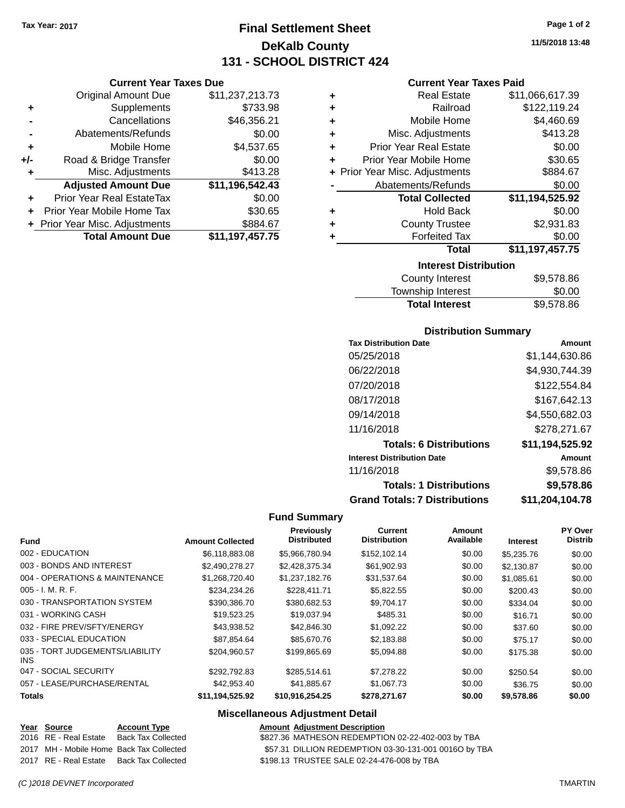**Current Year Taxes Due** Original Amount Due \$11,237,213.73

**Adjusted Amount Due \$11,196,542.43**

**Total Amount Due \$11,197,457.75**

**+** Supplements \$733.98 **-** Cancellations \$46,356.21 **-** Abatements/Refunds \$0.00 **+** Mobile Home \$4,537.65 **+/-** Road & Bridge Transfer \$0.00 **+** Misc. Adjustments \$413.28

**+** Prior Year Real EstateTax \$0.00 **+** Prior Year Mobile Home Tax \$30.65 **+ Prior Year Misc. Adjustments \$884.67** 

## **Final Settlement Sheet Tax Year: 2017 Page 1 of 2 DeKalb County 131 - SCHOOL DISTRICT 424**

**11/5/2018 13:48**

### **Current Year Taxes Paid**

| ٠ | <b>Real Estate</b>             | \$11,066,617.39 |
|---|--------------------------------|-----------------|
| ٠ | Railroad                       | \$122,119.24    |
| ٠ | Mobile Home                    | \$4,460.69      |
| ÷ | Misc. Adjustments              | \$413.28        |
| ٠ | <b>Prior Year Real Estate</b>  | \$0.00          |
| ٠ | Prior Year Mobile Home         | \$30.65         |
|   | + Prior Year Misc. Adjustments | \$884.67        |
|   | Abatements/Refunds             | \$0.00          |
|   | <b>Total Collected</b>         | \$11,194,525.92 |
| ٠ | <b>Hold Back</b>               | \$0.00          |
| ٠ | <b>County Trustee</b>          | \$2,931.83      |
| ٠ | <b>Forfeited Tax</b>           | \$0.00          |
|   | Total                          | \$11,197,457.75 |
|   | <b>Interest Distribution</b>   |                 |
|   | County Intornat                | 00 E70 OC       |

| <b>County Interest</b> | \$9,578.86 |
|------------------------|------------|
| Township Interest      | \$0.00     |
| <b>Total Interest</b>  | \$9,578.86 |

### **Distribution Summary**

| <b>Tax Distribution Date</b>         | Amount          |
|--------------------------------------|-----------------|
| 05/25/2018                           | \$1,144,630.86  |
| 06/22/2018                           | \$4,930,744.39  |
| 07/20/2018                           | \$122,554.84    |
| 08/17/2018                           | \$167,642.13    |
| 09/14/2018                           | \$4,550,682.03  |
| 11/16/2018                           | \$278,271.67    |
| <b>Totals: 6 Distributions</b>       | \$11,194,525.92 |
| <b>Interest Distribution Date</b>    | Amount          |
| 11/16/2018                           | \$9,578.86      |
| <b>Totals: 1 Distributions</b>       | \$9,578.86      |
| <b>Grand Totals: 7 Distributions</b> | \$11,204,104.78 |

### **Fund Summary**

| <b>Fund</b>                             | <b>Amount Collected</b> | Previously<br><b>Distributed</b> | Current<br><b>Distribution</b> | Amount<br>Available | <b>Interest</b> | PY Over<br><b>Distrib</b> |
|-----------------------------------------|-------------------------|----------------------------------|--------------------------------|---------------------|-----------------|---------------------------|
| 002 - EDUCATION                         | \$6,118,883,08          | \$5.966.780.94                   | \$152,102.14                   | \$0.00              | \$5,235.76      | \$0.00                    |
| 003 - BONDS AND INTEREST                | \$2,490,278.27          | \$2,428,375.34                   | \$61,902.93                    | \$0.00              | \$2.130.87      | \$0.00                    |
| 004 - OPERATIONS & MAINTENANCE          | \$1.268.720.40          | \$1,237,182,76                   | \$31,537.64                    | \$0.00              | \$1,085.61      | \$0.00                    |
| $005 - I. M. R. F.$                     | \$234,234.26            | \$228,411.71                     | \$5,822.55                     | \$0.00              | \$200.43        | \$0.00                    |
| 030 - TRANSPORTATION SYSTEM             | \$390,386,70            | \$380.682.53                     | \$9.704.17                     | \$0.00              | \$334.04        | \$0.00                    |
| 031 - WORKING CASH                      | \$19,523.25             | \$19,037.94                      | \$485.31                       | \$0.00              | \$16.71         | \$0.00                    |
| 032 - FIRE PREV/SFTY/ENERGY             | \$43.938.52             | \$42,846,30                      | \$1.092.22                     | \$0.00              | \$37.60         | \$0.00                    |
| 033 - SPECIAL EDUCATION                 | \$87.854.64             | \$85,670.76                      | \$2,183.88                     | \$0.00              | \$75.17         | \$0.00                    |
| 035 - TORT JUDGEMENTS/LIABILITY<br>INS. | \$204.960.57            | \$199.865.69                     | \$5.094.88                     | \$0.00              | \$175.38        | \$0.00                    |
| 047 - SOCIAL SECURITY                   | \$292.792.83            | \$285.514.61                     | \$7,278,22                     | \$0.00              | \$250.54        | \$0.00                    |
| 057 - LEASE/PURCHASE/RENTAL             | \$42,953.40             | \$41,885.67                      | \$1,067.73                     | \$0.00              | \$36.75         | \$0.00                    |
| <b>Totals</b>                           | \$11,194,525.92         | \$10,916,254.25                  | \$278,271.67                   | \$0.00              | \$9,578.86      | \$0.00                    |

### **Miscellaneous Adjustment Detail**

| Year Source           | <b>Account Type</b>                      | <b>Amount Adjustment Description</b>                  |
|-----------------------|------------------------------------------|-------------------------------------------------------|
| 2016 RE - Real Estate | Back Tax Collected                       | \$827.36 MATHESON REDEMPTION 02-22-402-003 by TBA     |
|                       | 2017 MH - Mobile Home Back Tax Collected | \$57.31 DILLION REDEMPTION 03-30-131-001 0016O by TBA |
|                       | 2017 RE - Real Estate Back Tax Collected | \$198.13 TRUSTEE SALE 02-24-476-008 by TBA            |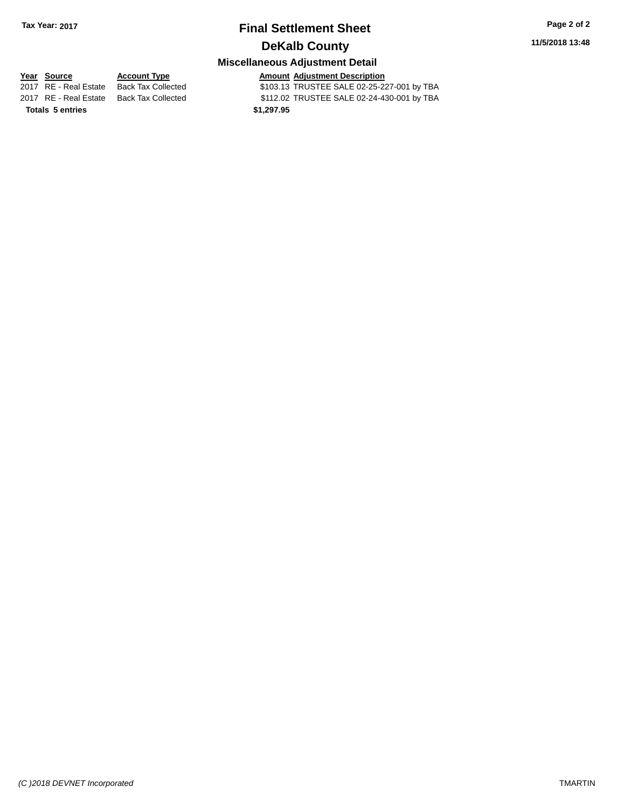### **Miscellaneous Adjustment Detail**

**Totals \$1,297.95 5 entries**

**Year Source Account Type Amount Adjustment Description**<br>2017 RE - Real Estate Back Tax Collected \$103.13 TRUSTEE SALE 02-25-22 \$103.13 TRUSTEE SALE 02-25-227-001 by TBA 2017 RE - Real Estate Back Tax Collected \$112.02 TRUSTEE SALE 02-24-430-001 by TBA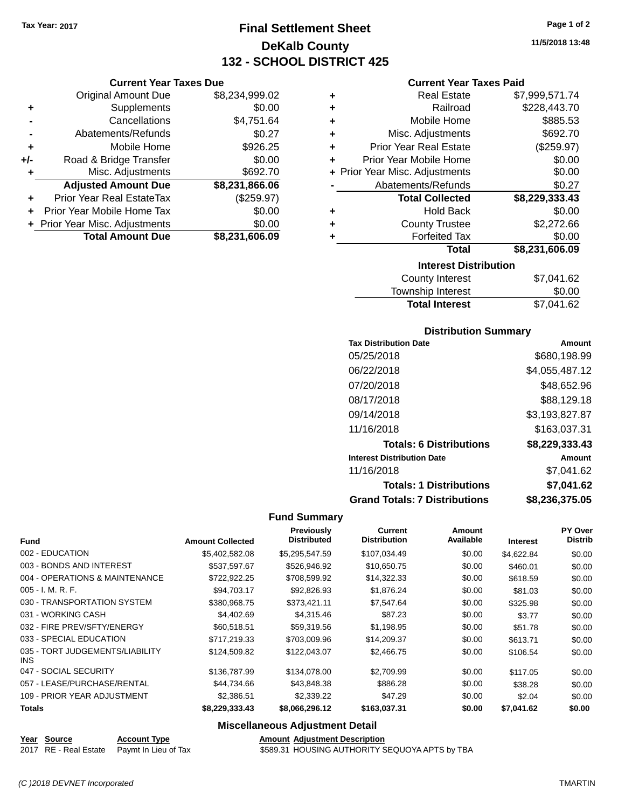**Current Year Taxes Due** Original Amount Due \$8,234,999.02

**Adjusted Amount Due \$8,231,866.06**

**Total Amount Due \$8,231,606.09**

**+** Supplements \$0.00 **-** Cancellations \$4,751.64 **-** Abatements/Refunds \$0.27 **+** Mobile Home \$926.25 **+/-** Road & Bridge Transfer \$0.00 **+** Misc. Adjustments \$692.70

**+** Prior Year Real EstateTax (\$259.97) **+** Prior Year Mobile Home Tax \$0.00 **+ Prior Year Misc. Adjustments**  $$0.00$ 

## **Final Settlement Sheet Tax Year: 2017 Page 1 of 2 DeKalb County 132 - SCHOOL DISTRICT 425**

**11/5/2018 13:48**

### **Current Year Taxes Paid**

| ٠ | <b>Real Estate</b>             | \$7,999,571.74 |
|---|--------------------------------|----------------|
| ÷ | Railroad                       | \$228,443.70   |
| ٠ | Mobile Home                    | \$885.53       |
| ÷ | Misc. Adjustments              | \$692.70       |
| ÷ | <b>Prior Year Real Estate</b>  | (\$259.97)     |
| ÷ | Prior Year Mobile Home         | \$0.00         |
|   | + Prior Year Misc. Adjustments | \$0.00         |
|   | Abatements/Refunds             | \$0.27         |
|   | <b>Total Collected</b>         | \$8,229,333.43 |
| ٠ | <b>Hold Back</b>               | \$0.00         |
| ٠ | <b>County Trustee</b>          | \$2,272.66     |
|   | <b>Forfeited Tax</b>           | \$0.00         |
|   | <b>Total</b>                   | \$8,231,606.09 |
|   | <b>Interest Distribution</b>   |                |
|   | County Intoract                |                |

| County Interest       | \$7,041.62 |
|-----------------------|------------|
| Township Interest     | \$0.00     |
| <b>Total Interest</b> | \$7,041.62 |

### **Distribution Summary**

| <b>Tax Distribution Date</b>         | Amount         |
|--------------------------------------|----------------|
| 05/25/2018                           | \$680,198.99   |
| 06/22/2018                           | \$4,055,487.12 |
| 07/20/2018                           | \$48,652.96    |
| 08/17/2018                           | \$88,129.18    |
| 09/14/2018                           | \$3,193,827.87 |
| 11/16/2018                           | \$163,037.31   |
| <b>Totals: 6 Distributions</b>       | \$8,229,333.43 |
| <b>Interest Distribution Date</b>    | Amount         |
| 11/16/2018                           | \$7,041.62     |
| <b>Totals: 1 Distributions</b>       | \$7,041.62     |
| <b>Grand Totals: 7 Distributions</b> | \$8,236,375.05 |

### **Fund Summary**

| <b>Fund</b>                                   | <b>Amount Collected</b> | <b>Previously</b><br><b>Distributed</b> | <b>Current</b><br><b>Distribution</b> | Amount<br>Available | <b>Interest</b> | <b>PY Over</b><br><b>Distrib</b> |
|-----------------------------------------------|-------------------------|-----------------------------------------|---------------------------------------|---------------------|-----------------|----------------------------------|
|                                               |                         |                                         |                                       |                     |                 |                                  |
| 002 - EDUCATION                               | \$5,402,582.08          | \$5,295,547.59                          | \$107,034.49                          | \$0.00              | \$4,622.84      | \$0.00                           |
| 003 - BONDS AND INTEREST                      | \$537.597.67            | \$526,946.92                            | \$10,650.75                           | \$0.00              | \$460.01        | \$0.00                           |
| 004 - OPERATIONS & MAINTENANCE                | \$722,922.25            | \$708,599.92                            | \$14,322.33                           | \$0.00              | \$618.59        | \$0.00                           |
| $005 - I. M. R. F.$                           | \$94,703.17             | \$92,826.93                             | \$1,876.24                            | \$0.00              | \$81.03         | \$0.00                           |
| 030 - TRANSPORTATION SYSTEM                   | \$380,968.75            | \$373,421.11                            | \$7,547.64                            | \$0.00              | \$325.98        | \$0.00                           |
| 031 - WORKING CASH                            | \$4,402.69              | \$4,315.46                              | \$87.23                               | \$0.00              | \$3.77          | \$0.00                           |
| 032 - FIRE PREV/SFTY/ENERGY                   | \$60,518.51             | \$59.319.56                             | \$1,198.95                            | \$0.00              | \$51.78         | \$0.00                           |
| 033 - SPECIAL EDUCATION                       | \$717.219.33            | \$703,009.96                            | \$14,209.37                           | \$0.00              | \$613.71        | \$0.00                           |
| 035 - TORT JUDGEMENTS/LIABILITY<br><b>INS</b> | \$124,509.82            | \$122,043.07                            | \$2,466.75                            | \$0.00              | \$106.54        | \$0.00                           |
| 047 - SOCIAL SECURITY                         | \$136,787.99            | \$134,078.00                            | \$2,709.99                            | \$0.00              | \$117.05        | \$0.00                           |
| 057 - LEASE/PURCHASE/RENTAL                   | \$44,734.66             | \$43,848.38                             | \$886.28                              | \$0.00              | \$38.28         | \$0.00                           |
| 109 - PRIOR YEAR ADJUSTMENT                   | \$2,386.51              | \$2,339.22                              | \$47.29                               | \$0.00              | \$2.04          | \$0.00                           |
| <b>Totals</b>                                 | \$8,229,333.43          | \$8,066,296.12                          | \$163,037.31                          | \$0.00              | \$7,041.62      | \$0.00                           |

### **Miscellaneous Adjustment Detail**

**Year** Source **Account Type Account Adjustment Description** 

2017 RE - Real Estate Paymt In Lieu of Tax \$589.31 HOUSING AUTHORITY SEQUOYA APTS by TBA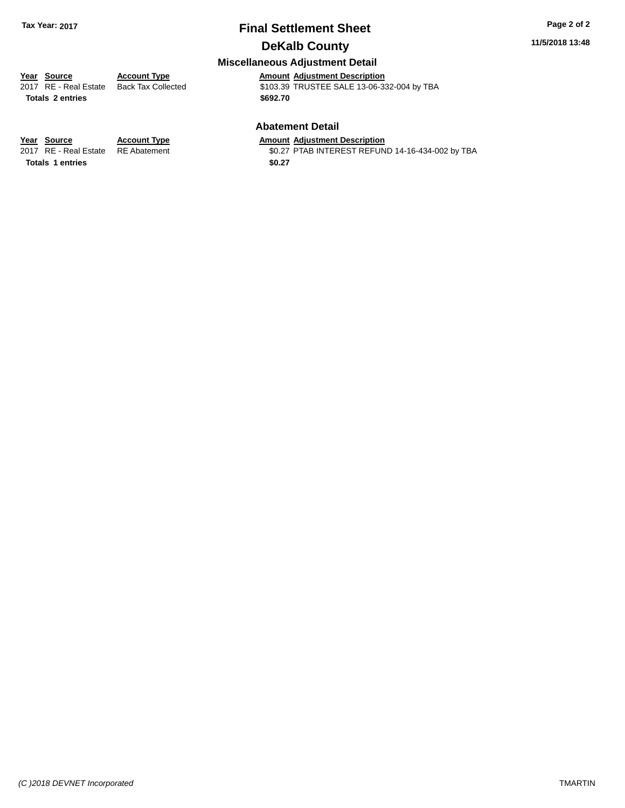### **11/5/2018 13:48**

## **Miscellaneous Adjustment Detail**

**Year Source Account Type Amount Adjustment Description** \$103.39 TRUSTEE SALE 13-06-332-004 by TBA **Totals \$692.70 2 entries**

### **Abatement Detail**

\$0.27 PTAB INTEREST REFUND 14-16-434-002 by TBA

**Year Source Account Type Amount Adjustment Description**<br>2017 RE - Real Estate RE Abatement \$0.27 PTAB INTEREST REFUN Totals 1 entries \$0.27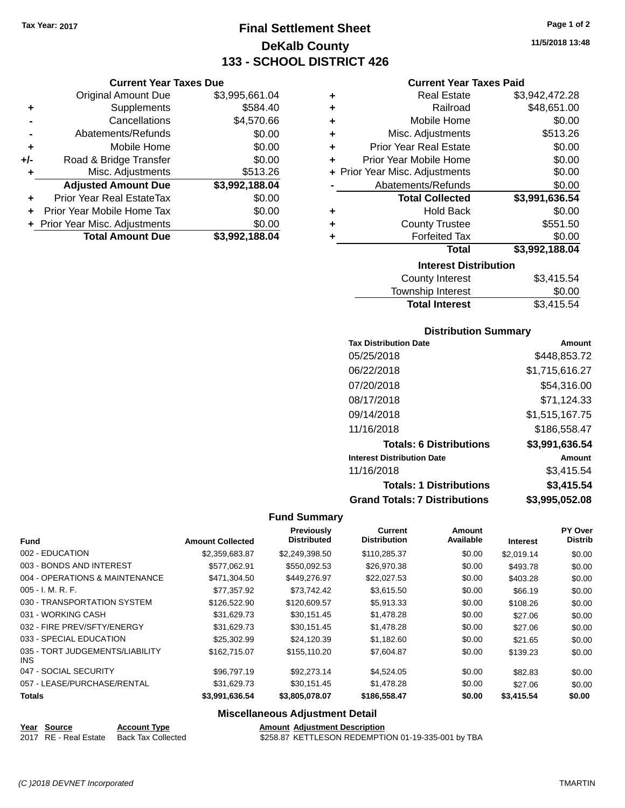## **Final Settlement Sheet Tax Year: 2017 Page 1 of 2 DeKalb County 133 - SCHOOL DISTRICT 426**

### **Current Year Taxes Due**

|       | <b>Original Amount Due</b>       | \$3,995,661.04 |
|-------|----------------------------------|----------------|
| ٠     | Supplements                      | \$584.40       |
|       | Cancellations                    | \$4,570.66     |
|       | Abatements/Refunds               | \$0.00         |
| ٠     | Mobile Home                      | \$0.00         |
| $+/-$ | Road & Bridge Transfer           | \$0.00         |
| ٠     | Misc. Adjustments                | \$513.26       |
|       | <b>Adjusted Amount Due</b>       | \$3,992,188.04 |
| ٠     | <b>Prior Year Real EstateTax</b> | \$0.00         |
|       | Prior Year Mobile Home Tax       | \$0.00         |
|       | + Prior Year Misc. Adjustments   | \$0.00         |
|       | <b>Total Amount Due</b>          | \$3,992,188.04 |

### **Current Year Taxes Paid**

| ٠ | <b>Real Estate</b>             | \$3,942,472.28 |  |  |  |
|---|--------------------------------|----------------|--|--|--|
| ٠ | Railroad                       | \$48,651.00    |  |  |  |
| ٠ | Mobile Home                    | \$0.00         |  |  |  |
| ٠ | Misc. Adjustments              | \$513.26       |  |  |  |
| ٠ | <b>Prior Year Real Estate</b>  | \$0.00         |  |  |  |
| ٠ | Prior Year Mobile Home         | \$0.00         |  |  |  |
|   | + Prior Year Misc. Adjustments | \$0.00         |  |  |  |
|   | Abatements/Refunds             | \$0.00         |  |  |  |
|   | <b>Total Collected</b>         | \$3,991,636.54 |  |  |  |
| ٠ | <b>Hold Back</b>               | \$0.00         |  |  |  |
| ٠ | <b>County Trustee</b>          | \$551.50       |  |  |  |
| ٠ | \$0.00<br><b>Forfeited Tax</b> |                |  |  |  |
|   | <b>Total</b>                   | \$3,992,188.04 |  |  |  |
|   | <b>Interest Distribution</b>   |                |  |  |  |
|   | County Interest                | S3 415 54      |  |  |  |

| <b>Total Interest</b>  | \$3,415.54 |
|------------------------|------------|
| Township Interest      | \$0.00     |
| <b>County Interest</b> | \$3,415.54 |

### **Distribution Summary**

| <b>Tax Distribution Date</b>         | Amount         |
|--------------------------------------|----------------|
| 05/25/2018                           | \$448.853.72   |
| 06/22/2018                           | \$1,715,616.27 |
| 07/20/2018                           | \$54.316.00    |
| 08/17/2018                           | \$71,124.33    |
| 09/14/2018                           | \$1,515,167.75 |
| 11/16/2018                           | \$186,558.47   |
| <b>Totals: 6 Distributions</b>       | \$3,991,636.54 |
| <b>Interest Distribution Date</b>    | Amount         |
| 11/16/2018                           | \$3,415.54     |
| <b>Totals: 1 Distributions</b>       | \$3,415.54     |
| <b>Grand Totals: 7 Distributions</b> | \$3,995,052.08 |

### **Fund Summary**

| <b>Fund</b>                                   | <b>Amount Collected</b> | Previously<br><b>Distributed</b> | <b>Current</b><br><b>Distribution</b> | Amount<br>Available | <b>Interest</b> | PY Over<br><b>Distrib</b> |
|-----------------------------------------------|-------------------------|----------------------------------|---------------------------------------|---------------------|-----------------|---------------------------|
| 002 - EDUCATION                               | \$2,359,683.87          | \$2,249,398.50                   | \$110,285.37                          | \$0.00              | \$2.019.14      | \$0.00                    |
| 003 - BONDS AND INTEREST                      | \$577.062.91            | \$550,092.53                     | \$26,970.38                           | \$0.00              | \$493.78        | \$0.00                    |
| 004 - OPERATIONS & MAINTENANCE                | \$471,304.50            | \$449,276.97                     | \$22,027.53                           | \$0.00              | \$403.28        | \$0.00                    |
| $005 - I. M. R. F.$                           | \$77.357.92             | \$73,742.42                      | \$3,615.50                            | \$0.00              | \$66.19         | \$0.00                    |
| 030 - TRANSPORTATION SYSTEM                   | \$126,522.90            | \$120,609.57                     | \$5,913.33                            | \$0.00              | \$108.26        | \$0.00                    |
| 031 - WORKING CASH                            | \$31.629.73             | \$30,151.45                      | \$1,478.28                            | \$0.00              | \$27.06         | \$0.00                    |
| 032 - FIRE PREV/SFTY/ENERGY                   | \$31.629.73             | \$30.151.45                      | \$1,478.28                            | \$0.00              | \$27.06         | \$0.00                    |
| 033 - SPECIAL EDUCATION                       | \$25,302.99             | \$24,120.39                      | \$1,182.60                            | \$0.00              | \$21.65         | \$0.00                    |
| 035 - TORT JUDGEMENTS/LIABILITY<br><b>INS</b> | \$162,715.07            | \$155,110.20                     | \$7,604.87                            | \$0.00              | \$139.23        | \$0.00                    |
| 047 - SOCIAL SECURITY                         | \$96,797.19             | \$92,273.14                      | \$4,524.05                            | \$0.00              | \$82.83         | \$0.00                    |
| 057 - LEASE/PURCHASE/RENTAL                   | \$31.629.73             | \$30.151.45                      | \$1,478.28                            | \$0.00              | \$27.06         | \$0.00                    |
| <b>Totals</b>                                 | \$3,991,636.54          | \$3,805,078.07                   | \$186,558.47                          | \$0.00              | \$3,415.54      | \$0.00                    |

### **Miscellaneous Adjustment Detail**

| Year Source |  |  | <b>Account Typ</b>               |
|-------------|--|--|----------------------------------|
|             |  |  | 2017 BE Bool Estate Book Tay Co. |

**PE** *Amount Adjustment Description* 2017 RE - Real Estate Back Tax Collected **\$258.87 KETTLESON REDEMPTION 01-19-335-001 by TBA**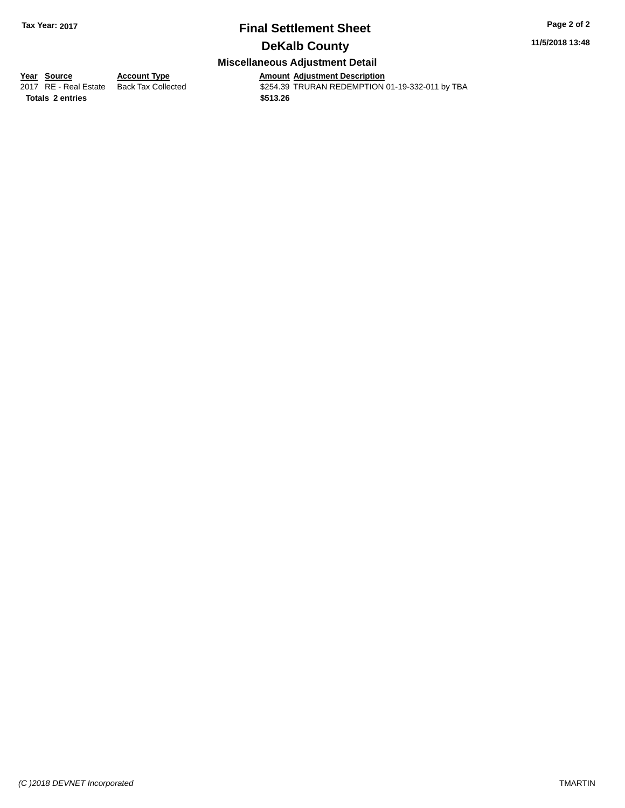### **11/5/2018 13:48**

### **Miscellaneous Adjustment Detail**

**Totals \$513.26 2 entries**

**<u>Year Source</u> Account Type<br>
2017 RE - Real Estate Back Tax Collected** 

Amount Adjustment Description<br>\$254.39 TRURAN REDEMPTION 01-19-332-011 by TBA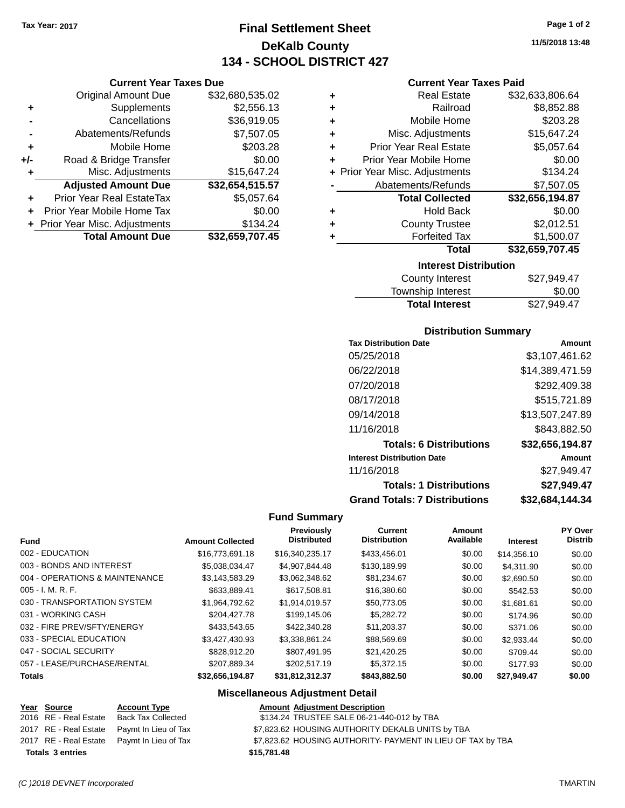## **Final Settlement Sheet Tax Year: 2017 Page 1 of 2 DeKalb County 134 - SCHOOL DISTRICT 427**

**Current Year Taxes Due**

|       | <b>Original Amount Due</b>     | \$32,680,535.02 |
|-------|--------------------------------|-----------------|
| ٠     | Supplements                    | \$2,556.13      |
|       | Cancellations                  | \$36,919.05     |
|       | Abatements/Refunds             | \$7,507.05      |
| ٠     | Mobile Home                    | \$203.28        |
| $+/-$ | Road & Bridge Transfer         | \$0.00          |
| ٠     | Misc. Adjustments              | \$15,647.24     |
|       | <b>Adjusted Amount Due</b>     | \$32,654,515.57 |
| ٠     | Prior Year Real EstateTax      | \$5,057.64      |
|       | Prior Year Mobile Home Tax     | \$0.00          |
|       | + Prior Year Misc. Adjustments | \$134.24        |
|       | <b>Total Amount Due</b>        | \$32,659,707.45 |

### **Current Year Taxes Paid**

|   | <b>Interest Distribution</b>                |                 |  |  |  |  |  |
|---|---------------------------------------------|-----------------|--|--|--|--|--|
|   | Total                                       | \$32,659,707.45 |  |  |  |  |  |
| ٠ | \$1,500.07<br><b>Forfeited Tax</b>          |                 |  |  |  |  |  |
| ٠ | <b>County Trustee</b>                       | \$2,012.51      |  |  |  |  |  |
| ٠ | <b>Hold Back</b>                            | \$0.00          |  |  |  |  |  |
|   | <b>Total Collected</b>                      | \$32,656,194.87 |  |  |  |  |  |
|   | Abatements/Refunds                          | \$7,507.05      |  |  |  |  |  |
|   | + Prior Year Misc. Adjustments              | \$134.24        |  |  |  |  |  |
| ٠ | \$0.00<br>Prior Year Mobile Home            |                 |  |  |  |  |  |
| ٠ | \$5,057.64<br><b>Prior Year Real Estate</b> |                 |  |  |  |  |  |
| ٠ | Misc. Adjustments                           | \$15,647.24     |  |  |  |  |  |
| ٠ | Mobile Home                                 | \$203.28        |  |  |  |  |  |
| ٠ | \$8,852.88<br>Railroad                      |                 |  |  |  |  |  |
| ٠ | <b>Real Estate</b>                          | \$32,633,806.64 |  |  |  |  |  |

| <b>County Interest</b> | \$27,949.47 |  |  |  |
|------------------------|-------------|--|--|--|
| Township Interest      | \$0.00      |  |  |  |
| <b>Total Interest</b>  | \$27,949.47 |  |  |  |

### **Distribution Summary**

| <b>Tax Distribution Date</b>         | Amount          |
|--------------------------------------|-----------------|
| 05/25/2018                           | \$3,107,461.62  |
| 06/22/2018                           | \$14,389,471.59 |
| 07/20/2018                           | \$292,409.38    |
| 08/17/2018                           | \$515,721.89    |
| 09/14/2018                           | \$13,507,247.89 |
| 11/16/2018                           | \$843,882.50    |
| <b>Totals: 6 Distributions</b>       | \$32,656,194.87 |
| <b>Interest Distribution Date</b>    | Amount          |
| 11/16/2018                           | \$27.949.47     |
| <b>Totals: 1 Distributions</b>       | \$27,949.47     |
| <b>Grand Totals: 7 Distributions</b> | \$32,684,144.34 |

### **Fund Summary**

| <b>Fund</b>                    | <b>Amount Collected</b> | <b>Previously</b><br><b>Distributed</b> | <b>Current</b><br><b>Distribution</b> | Amount<br>Available | <b>Interest</b> | <b>PY Over</b><br><b>Distrib</b> |
|--------------------------------|-------------------------|-----------------------------------------|---------------------------------------|---------------------|-----------------|----------------------------------|
| 002 - EDUCATION                | \$16,773,691.18         | \$16,340,235.17                         | \$433,456.01                          | \$0.00              | \$14,356.10     | \$0.00                           |
| 003 - BONDS AND INTEREST       | \$5.038.034.47          | \$4,907,844.48                          | \$130,189.99                          | \$0.00              | \$4.311.90      | \$0.00                           |
| 004 - OPERATIONS & MAINTENANCE | \$3,143,583.29          | \$3,062,348.62                          | \$81,234.67                           | \$0.00              | \$2,690.50      | \$0.00                           |
| $005 - I. M. R. F.$            | \$633,889.41            | \$617,508.81                            | \$16,380.60                           | \$0.00              | \$542.53        | \$0.00                           |
| 030 - TRANSPORTATION SYSTEM    | \$1.964.792.62          | \$1,914,019.57                          | \$50,773.05                           | \$0.00              | \$1.681.61      | \$0.00                           |
| 031 - WORKING CASH             | \$204.427.78            | \$199,145.06                            | \$5,282.72                            | \$0.00              | \$174.96        | \$0.00                           |
| 032 - FIRE PREV/SFTY/ENERGY    | \$433,543,65            | \$422,340.28                            | \$11.203.37                           | \$0.00              | \$371.06        | \$0.00                           |
| 033 - SPECIAL EDUCATION        | \$3.427.430.93          | \$3.338.861.24                          | \$88.569.69                           | \$0.00              | \$2.933.44      | \$0.00                           |
| 047 - SOCIAL SECURITY          | \$828,912.20            | \$807.491.95                            | \$21,420.25                           | \$0.00              | \$709.44        | \$0.00                           |
| 057 - LEASE/PURCHASE/RENTAL    | \$207.889.34            | \$202.517.19                            | \$5,372.15                            | \$0.00              | \$177.93        | \$0.00                           |
| <b>Totals</b>                  | \$32,656,194.87         | \$31,812,312.37                         | \$843,882.50                          | \$0.00              | \$27,949.47     | \$0.00                           |

### **Miscellaneous Adjustment Detail**

|                         | <u>Year Source</u>    | <b>Account Type</b>                        | <b>Amount Adjustment Description</b>                        |
|-------------------------|-----------------------|--------------------------------------------|-------------------------------------------------------------|
|                         | 2016 RE - Real Estate | Back Tax Collected                         | \$134.24 TRUSTEE SALE 06-21-440-012 by TBA                  |
|                         |                       | 2017 RE - Real Estate Paymt In Lieu of Tax | \$7,823.62 HOUSING AUTHORITY DEKALB UNITS by TBA            |
|                         |                       | 2017 RE - Real Estate Paymt In Lieu of Tax | \$7,823.62 HOUSING AUTHORITY- PAYMENT IN LIEU OF TAX by TBA |
| <b>Totals 3 entries</b> |                       |                                            | \$15,781.48                                                 |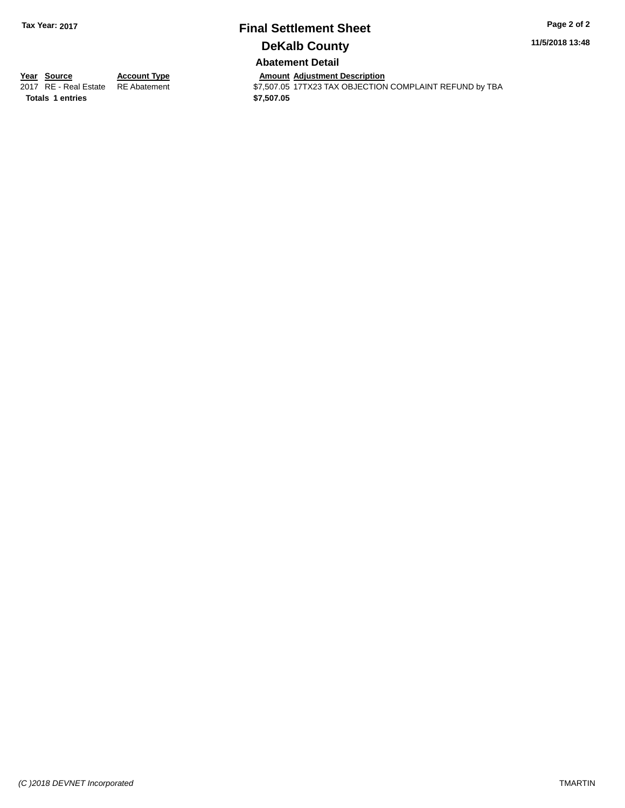**11/5/2018 13:48**

**Abatement Detail**

**Totals \$7,507.05 1 entries**

**Year Source Account Type Account Type Amount Adjustment Description**<br>2017 RE - Real Estate RE Abatement **Account 1997 ACCOUNT ACCOUNT ACCOUNT ACCOUNT** S7,507.05 17TX23 TAX OBJECTION  $$7,507.05$   $17T$ X23 TAX OBJECTION COMPLAINT REFUND by TBA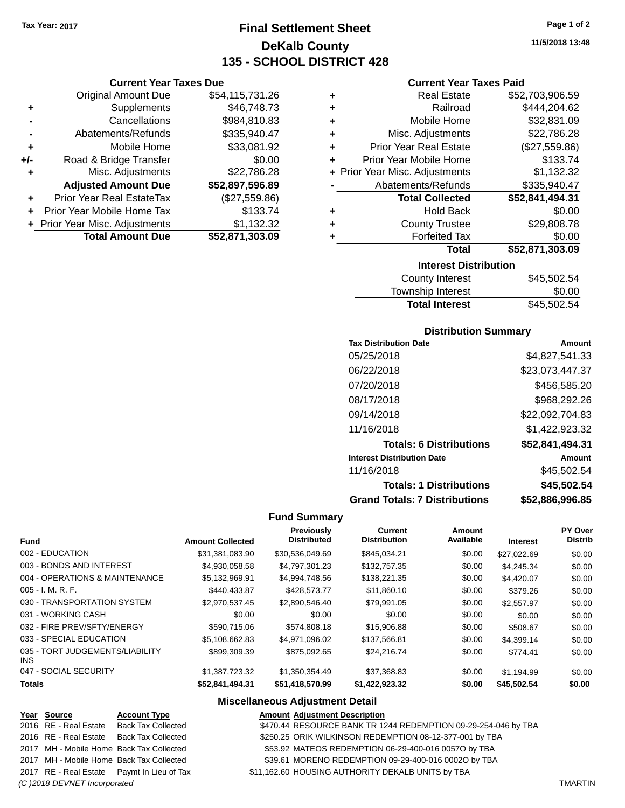## **Final Settlement Sheet Tax Year: 2017 Page 1 of 2 DeKalb County 135 - SCHOOL DISTRICT 428**

**Current Year Taxes Due**

| <b>Original Amount Due</b>       | \$54,115,731.26                |
|----------------------------------|--------------------------------|
| Supplements                      | \$46,748.73                    |
| Cancellations                    | \$984,810.83                   |
| Abatements/Refunds               | \$335,940.47                   |
| Mobile Home                      | \$33,081.92                    |
| Road & Bridge Transfer           | \$0.00                         |
| Misc. Adjustments                | \$22,786.28                    |
| <b>Adjusted Amount Due</b>       | \$52,897,596.89                |
| <b>Prior Year Real EstateTax</b> | (\$27,559.86)                  |
| Prior Year Mobile Home Tax       | \$133.74                       |
|                                  | \$1,132.32                     |
| <b>Total Amount Due</b>          | \$52,871,303.09                |
|                                  | + Prior Year Misc. Adjustments |

| ٠      | <b>Forfeited Tax</b><br><b>Total</b>      | \$0.00<br>\$52,871,303.09 |
|--------|-------------------------------------------|---------------------------|
| ٠<br>٠ | <b>Hold Back</b><br><b>County Trustee</b> | \$0.00<br>\$29,808.78     |
|        | <b>Total Collected</b>                    | \$52,841,494.31           |
|        | Abatements/Refunds                        | \$335,940.47              |
|        | + Prior Year Misc. Adjustments            | \$1,132.32                |
| ٠      | Prior Year Mobile Home                    | \$133.74                  |
| ٠      | <b>Prior Year Real Estate</b>             | (\$27,559.86)             |
| ٠      | Misc. Adjustments                         | \$22,786.28               |
| ٠      | Mobile Home                               | \$32,831.09               |
| ٠      | Railroad                                  | \$444,204.62              |
| ٠      | <b>Real Estate</b>                        | \$52,703,906.59           |

| \$45,502.54 |
|-------------|
| \$0.00      |
| \$45,502.54 |
|             |

### **Distribution Summary**

| <b>Tax Distribution Date</b>         | Amount          |
|--------------------------------------|-----------------|
| 05/25/2018                           | \$4.827.541.33  |
| 06/22/2018                           | \$23,073,447.37 |
| 07/20/2018                           | \$456.585.20    |
| 08/17/2018                           | \$968,292.26    |
| 09/14/2018                           | \$22,092,704.83 |
| 11/16/2018                           | \$1,422,923.32  |
| <b>Totals: 6 Distributions</b>       | \$52,841,494.31 |
| <b>Interest Distribution Date</b>    | Amount          |
| 11/16/2018                           | \$45.502.54     |
| <b>Totals: 1 Distributions</b>       | \$45,502.54     |
| <b>Grand Totals: 7 Distributions</b> | \$52,886,996.85 |

### **Fund Summary**

| Fund                                    | <b>Amount Collected</b> | <b>Previously</b><br><b>Distributed</b> | <b>Current</b><br><b>Distribution</b> | Amount<br>Available | <b>Interest</b> | PY Over<br><b>Distrib</b> |
|-----------------------------------------|-------------------------|-----------------------------------------|---------------------------------------|---------------------|-----------------|---------------------------|
| 002 - EDUCATION                         | \$31.381.083.90         | \$30,536,049.69                         | \$845.034.21                          | \$0.00              | \$27,022.69     | \$0.00                    |
| 003 - BONDS AND INTEREST                | \$4.930.058.58          | \$4,797,301.23                          | \$132,757.35                          | \$0.00              | \$4,245.34      | \$0.00                    |
| 004 - OPERATIONS & MAINTENANCE          | \$5.132.969.91          | \$4.994.748.56                          | \$138,221,35                          | \$0.00              | \$4.420.07      | \$0.00                    |
| $005 - I. M. R. F.$                     | \$440.433.87            | \$428,573,77                            | \$11,860.10                           | \$0.00              | \$379.26        | \$0.00                    |
| 030 - TRANSPORTATION SYSTEM             | \$2,970,537.45          | \$2,890,546.40                          | \$79,991.05                           | \$0.00              | \$2,557.97      | \$0.00                    |
| 031 - WORKING CASH                      | \$0.00                  | \$0.00                                  | \$0.00                                | \$0.00              | \$0.00          | \$0.00                    |
| 032 - FIRE PREV/SFTY/ENERGY             | \$590.715.06            | \$574,808.18                            | \$15,906.88                           | \$0.00              | \$508.67        | \$0.00                    |
| 033 - SPECIAL EDUCATION                 | \$5,108,662.83          | \$4,971,096.02                          | \$137,566.81                          | \$0.00              | \$4.399.14      | \$0.00                    |
| 035 - TORT JUDGEMENTS/LIABILITY<br>INS. | \$899,309.39            | \$875,092.65                            | \$24.216.74                           | \$0.00              | \$774.41        | \$0.00                    |
| 047 - SOCIAL SECURITY                   | \$1,387,723.32          | \$1,350,354.49                          | \$37,368.83                           | \$0.00              | \$1.194.99      | \$0.00                    |
| <b>Totals</b>                           | \$52,841,494.31         | \$51,418,570.99                         | \$1,422,923.32                        | \$0.00              | \$45,502.54     | \$0.00                    |

### **Miscellaneous Adjustment Detail**

| Year Source                  | <b>Account Type</b>                        | <b>Amount Adjustment Description</b>                           |                |
|------------------------------|--------------------------------------------|----------------------------------------------------------------|----------------|
| 2016 RE - Real Estate        | <b>Back Tax Collected</b>                  | \$470.44 RESOURCE BANK TR 1244 REDEMPTION 09-29-254-046 by TBA |                |
|                              | 2016 RE - Real Estate Back Tax Collected   | \$250.25 ORIK WILKINSON REDEMPTION 08-12-377-001 by TBA        |                |
|                              | 2017 MH - Mobile Home Back Tax Collected   | \$53.92 MATEOS REDEMPTION 06-29-400-016 0057O by TBA           |                |
|                              | 2017 MH - Mobile Home Back Tax Collected   | \$39.61 MORENO REDEMPTION 09-29-400-016 0002O by TBA           |                |
|                              | 2017 RE - Real Estate Paymt In Lieu of Tax | \$11,162.60 HOUSING AUTHORITY DEKALB UNITS by TBA              |                |
| (C) 2018 DEVNET Incorporated |                                            |                                                                | <b>TMARTIN</b> |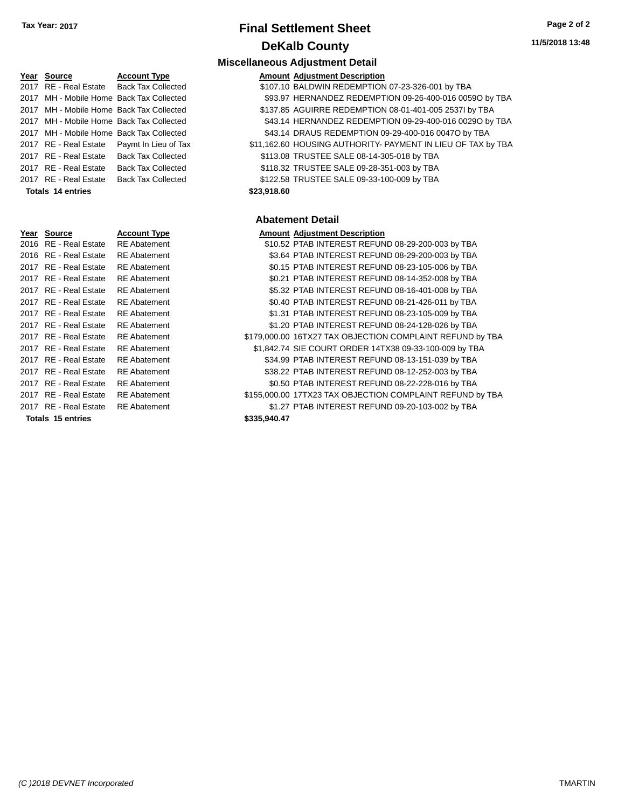| 11/5/2018 13:48 |
|-----------------|
|-----------------|

### **Miscellaneous Adjustment Detail**

| Year Source | <b>Account Type</b>                      | <b>Amount Adiustment Description</b> |
|-------------|------------------------------------------|--------------------------------------|
|             | 2017 RE - Real Estate Back Tax Collected | \$107.10 BALDWIN REDEMPTION 07       |

| 107.10 BALDWIN REDEMPTION 07-23-326-001 by TBA |  |
|------------------------------------------------|--|
|------------------------------------------------|--|

2017 MH - Mobile Home Back Tax Collected \$93.97 HERNANDEZ REDEMPTION 09-26-400-016 0059O by TBA

- 2017 MH Mobile Home Back Tax Collected \$137.85 AGUIRRE REDEMPTION 08-01-401-005 2537I by TBA
- 2017 MH Mobile Home Back Tax Collected \$43.14 HERNANDEZ REDEMPTION 09-29-400-016 0029O by TBA
- 2017 MH Mobile Home Back Tax Collected \$43.14 DRAUS REDEMPTION 09-29-400-016 0047O by TBA
- 2017 RE Real Estate Paymt In Lieu of Tax \$11,162.60 HOUSING AUTHORITY- PAYMENT IN LIEU OF TAX by TBA
- 2017 RE Real Estate Back Tax Collected \$113.08 TRUSTEE SALE 08-14-305-018 by TBA
- 2017 RE Real Estate Back Tax Collected \$118.32 TRUSTEE SALE 09-28-351-003 by TBA
- 2017 RE Real Estate Back Tax Collected \$122.58 TRUSTEE SALE 09-33-100-009 by TBA

### **Totals \$23,918.60 14 entries**

### **Abatement Detail**

| Year Source           | <b>Account Type</b> |                     | <b>Amount Adjustment Description</b>                      |
|-----------------------|---------------------|---------------------|-----------------------------------------------------------|
| 2016 RE - Real Estate | <b>RE</b> Abatement |                     | \$10.52 PTAB INTEREST REFUND 08-29-200-003 by TBA         |
| 2016 RE - Real Estate | <b>RE</b> Abatement |                     | \$3.64 PTAB INTEREST REFUND 08-29-200-003 by TBA          |
| 2017 RE - Real Estate | <b>RE</b> Abatement |                     | \$0.15 PTAB INTEREST REFUND 08-23-105-006 by TBA          |
| 2017 RE - Real Estate | <b>RE</b> Abatement |                     | \$0.21 PTAB INTEREST REFUND 08-14-352-008 by TBA          |
| 2017 RE - Real Estate | <b>RE</b> Abatement |                     | \$5.32 PTAB INTEREST REFUND 08-16-401-008 by TBA          |
| 2017 RE - Real Estate | <b>RE</b> Abatement |                     | \$0.40 PTAB INTEREST REFUND 08-21-426-011 by TBA          |
| 2017 RE - Real Estate | <b>RE</b> Abatement |                     | \$1.31 PTAB INTEREST REFUND 08-23-105-009 by TBA          |
| 2017 RE - Real Estate | <b>RE</b> Abatement |                     | \$1.20 PTAB INTEREST REFUND 08-24-128-026 by TBA          |
| 2017 RE - Real Estate | <b>RE</b> Abatement |                     | \$179,000.00 16TX27 TAX OBJECTION COMPLAINT REFUND by TBA |
| 2017 RE - Real Estate | <b>RE</b> Abatement |                     | \$1,842.74 SIE COURT ORDER 14TX38 09-33-100-009 by TBA    |
| 2017 RE - Real Estate | <b>RE</b> Abatement |                     | \$34.99 PTAB INTEREST REFUND 08-13-151-039 by TBA         |
| 2017 RE - Real Estate | <b>RE</b> Abatement |                     | \$38.22 PTAB INTEREST REFUND 08-12-252-003 by TBA         |
| 2017 RE - Real Estate | <b>RE</b> Abatement |                     | \$0.50 PTAB INTEREST REFUND 08-22-228-016 by TBA          |
| 2017 RE - Real Estate | <b>RE</b> Abatement |                     | \$155,000.00 17TX23 TAX OBJECTION COMPLAINT REFUND by TBA |
| 2017 RE - Real Estate | <b>RE</b> Abatement |                     | \$1.27 PTAB INTEREST REFUND 09-20-103-002 by TBA          |
| Tatala 15 antoina     |                     | <u> CASE NAN 17</u> |                                                           |

| Year | Source                  | <b>Account Type</b> |
|------|-------------------------|---------------------|
| 2016 | <b>RE</b> - Real Estate | <b>RE</b> Abatement |
| 2016 | <b>RE</b> - Real Estate | <b>RE</b> Abatement |
| 2017 | <b>RE</b> - Real Estate | <b>RE</b> Abatement |
| 2017 | <b>RE</b> - Real Estate | <b>RE</b> Abatement |
| 2017 | <b>RE</b> - Real Estate | <b>RE</b> Abatement |
| 2017 | <b>RE</b> - Real Estate | <b>RE</b> Abatement |
| 2017 | <b>RE</b> - Real Estate | RE Abatement        |
| 2017 | <b>RE</b> - Real Estate | <b>RE</b> Abatement |
| 2017 | RE - Real Estate        | <b>RE</b> Abatement |
| 2017 | RE - Real Estate        | <b>RE</b> Abatement |
| 2017 | <b>RE</b> - Real Estate | <b>RE</b> Abatement |
| 2017 | <b>RE</b> - Real Estate | <b>RE</b> Abatement |
| 2017 | <b>RE</b> - Real Estate | <b>RE</b> Abatement |
| 2017 | RE - Real Estate        | <b>RE</b> Abatement |
| 2017 | RE - Real Estate        | RE Abatement        |

**Totals \$335,940.47 15 entries**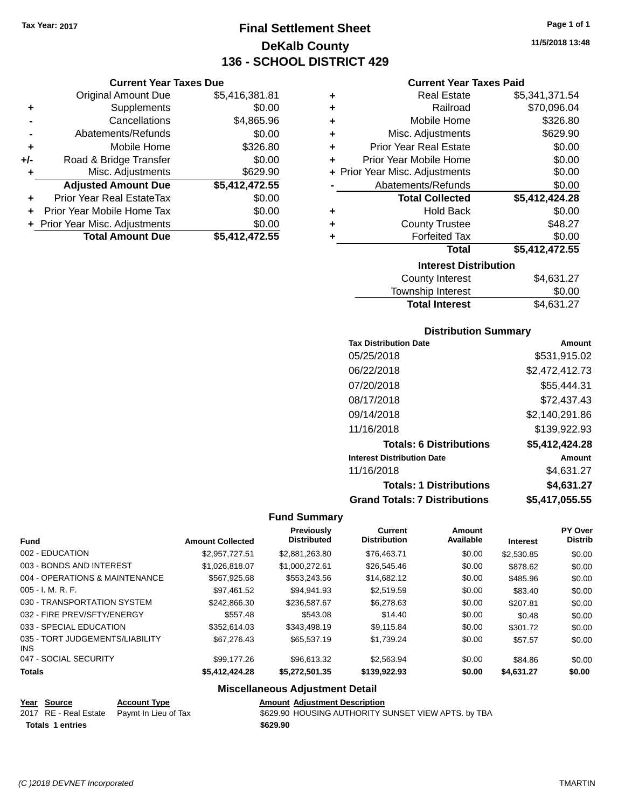**Current Year Taxes Due** Original Amount Due \$5,416,381.81

**Adjusted Amount Due \$5,412,472.55**

**+** Supplements \$0.00 **-** Cancellations \$4,865.96 **-** Abatements/Refunds \$0.00 **+** Mobile Home \$326.80 **+/-** Road & Bridge Transfer \$0.00 **+** Misc. Adjustments \$629.90

**+** Prior Year Real EstateTax \$0.00 **+** Prior Year Mobile Home Tax \$0.00 **+** Prior Year Misc. Adjustments \$0.00<br>Total Amount Due \$5,412,472.55

**Total Amount Due** 

## **Final Settlement Sheet Tax Year: 2017 Page 1 of 1 DeKalb County 136 - SCHOOL DISTRICT 429**

**11/5/2018 13:48**

### **Current Year Taxes Paid**

| ٠ | <b>Real Estate</b>             | \$5,341,371.54 |
|---|--------------------------------|----------------|
| ÷ | Railroad                       | \$70,096.04    |
| ÷ | Mobile Home                    | \$326.80       |
| ÷ | Misc. Adjustments              | \$629.90       |
| ÷ | <b>Prior Year Real Estate</b>  | \$0.00         |
| ÷ | Prior Year Mobile Home         | \$0.00         |
|   | + Prior Year Misc. Adjustments | \$0.00         |
|   | Abatements/Refunds             | \$0.00         |
|   | <b>Total Collected</b>         | \$5,412,424.28 |
| ٠ | <b>Hold Back</b>               | \$0.00         |
| ٠ | <b>County Trustee</b>          | \$48.27        |
| ٠ | <b>Forfeited Tax</b>           | \$0.00         |
|   | <b>Total</b>                   | \$5,412,472.55 |
|   | <b>Interest Distribution</b>   |                |
|   | <b>County Interest</b>         | \$4,631.27     |

| \$4,631.27 |
|------------|
| \$0.00     |
| \$4,631.27 |
|            |

### **Distribution Summary**

| <b>Tax Distribution Date</b>         | Amount         |
|--------------------------------------|----------------|
| 05/25/2018                           | \$531,915.02   |
| 06/22/2018                           | \$2,472,412.73 |
| 07/20/2018                           | \$55,444.31    |
| 08/17/2018                           | \$72,437.43    |
| 09/14/2018                           | \$2,140,291.86 |
| 11/16/2018                           | \$139,922.93   |
| <b>Totals: 6 Distributions</b>       | \$5,412,424.28 |
| <b>Interest Distribution Date</b>    | Amount         |
| 11/16/2018                           | \$4,631.27     |
| <b>Totals: 1 Distributions</b>       | \$4,631.27     |
| <b>Grand Totals: 7 Distributions</b> | \$5,417,055.55 |

### **Fund Summary**

| <b>Fund</b>                             | <b>Amount Collected</b> | Previously<br><b>Distributed</b> | <b>Current</b><br><b>Distribution</b> | Amount<br>Available | <b>Interest</b> | PY Over<br><b>Distrib</b> |
|-----------------------------------------|-------------------------|----------------------------------|---------------------------------------|---------------------|-----------------|---------------------------|
| 002 - EDUCATION                         | \$2,957,727.51          | \$2,881,263.80                   | \$76,463.71                           | \$0.00              | \$2,530.85      | \$0.00                    |
| 003 - BONDS AND INTEREST                | \$1.026.818.07          | \$1,000,272.61                   | \$26,545.46                           | \$0.00              | \$878.62        | \$0.00                    |
| 004 - OPERATIONS & MAINTENANCE          | \$567.925.68            | \$553,243.56                     | \$14,682.12                           | \$0.00              | \$485.96        | \$0.00                    |
| $005 - I. M. R. F.$                     | \$97.461.52             | \$94.941.93                      | \$2,519.59                            | \$0.00              | \$83.40         | \$0.00                    |
| 030 - TRANSPORTATION SYSTEM             | \$242,866,30            | \$236,587.67                     | \$6,278,63                            | \$0.00              | \$207.81        | \$0.00                    |
| 032 - FIRE PREV/SFTY/ENERGY             | \$557.48                | \$543.08                         | \$14.40                               | \$0.00              | \$0.48          | \$0.00                    |
| 033 - SPECIAL EDUCATION                 | \$352.614.03            | \$343,498.19                     | \$9.115.84                            | \$0.00              | \$301.72        | \$0.00                    |
| 035 - TORT JUDGEMENTS/LIABILITY<br>INS. | \$67,276,43             | \$65,537.19                      | \$1.739.24                            | \$0.00              | \$57.57         | \$0.00                    |
| 047 - SOCIAL SECURITY                   | \$99.177.26             | \$96,613.32                      | \$2,563.94                            | \$0.00              | \$84.86         | \$0.00                    |
| <b>Totals</b>                           | \$5,412,424.28          | \$5,272,501.35                   | \$139,922.93                          | \$0.00              | \$4,631.27      | \$0.00                    |

### **Miscellaneous Adjustment Detail**

| <u>Year Source</u>      | <b>Account Type</b>                        | <b>Amount Adjustment Description</b>                |
|-------------------------|--------------------------------------------|-----------------------------------------------------|
|                         | 2017 RE - Real Estate Paymt In Lieu of Tax | \$629.90 HOUSING AUTHORITY SUNSET VIEW APTS. by TBA |
| <b>Totals 1 entries</b> |                                            | \$629.90                                            |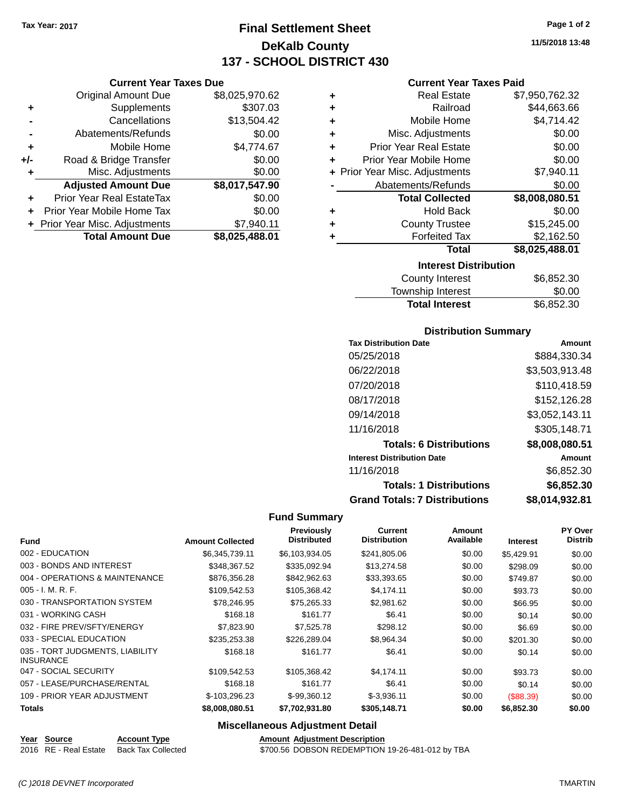**Current Year Taxes Due** Original Amount Due \$8,025,970.62

**Adjusted Amount Due \$8,017,547.90**

**Total Amount Due \$8,025,488.01**

**+** Supplements \$307.03 **-** Cancellations \$13,504.42 **-** Abatements/Refunds \$0.00 **+** Mobile Home \$4,774.67 **+/-** Road & Bridge Transfer \$0.00 **+** Misc. Adjustments \$0.00

**+** Prior Year Real EstateTax \$0.00 **+** Prior Year Mobile Home Tax \$0.00 **+** Prior Year Misc. Adjustments \$7,940.11

## **Final Settlement Sheet Tax Year: 2017 Page 1 of 2 DeKalb County 137 - SCHOOL DISTRICT 430**

**11/5/2018 13:48**

### **Current Year Taxes Paid**

| ٠ | <b>Real Estate</b>                 | \$7,950,762.32 |  |  |
|---|------------------------------------|----------------|--|--|
| ٠ | Railroad                           | \$44,663.66    |  |  |
| ٠ | Mobile Home                        | \$4,714.42     |  |  |
| ٠ | Misc. Adjustments                  | \$0.00         |  |  |
| ÷ | <b>Prior Year Real Estate</b>      | \$0.00         |  |  |
| ٠ | Prior Year Mobile Home             | \$0.00         |  |  |
|   | + Prior Year Misc. Adjustments     | \$7,940.11     |  |  |
|   | Abatements/Refunds                 | \$0.00         |  |  |
|   | <b>Total Collected</b>             | \$8,008,080.51 |  |  |
| ٠ | <b>Hold Back</b>                   | \$0.00         |  |  |
| ٠ | <b>County Trustee</b>              | \$15,245.00    |  |  |
| ٠ | <b>Forfeited Tax</b><br>\$2,162.50 |                |  |  |
|   | Total                              | \$8,025,488.01 |  |  |
|   | <b>Interest Distribution</b>       |                |  |  |
|   | County Interact                    | ድድ ወደኃ ኃስ      |  |  |

| County Interest       | \$6,852.30 |
|-----------------------|------------|
| Township Interest     | \$0.00     |
| <b>Total Interest</b> | \$6,852.30 |

### **Distribution Summary**

| <b>Tax Distribution Date</b>         | Amount         |
|--------------------------------------|----------------|
| 05/25/2018                           | \$884.330.34   |
| 06/22/2018                           | \$3,503,913.48 |
| 07/20/2018                           | \$110,418.59   |
| 08/17/2018                           | \$152,126.28   |
| 09/14/2018                           | \$3,052,143.11 |
| 11/16/2018                           | \$305,148.71   |
| <b>Totals: 6 Distributions</b>       | \$8,008,080.51 |
| <b>Interest Distribution Date</b>    | Amount         |
| 11/16/2018                           | \$6,852.30     |
| <b>Totals: 1 Distributions</b>       | \$6,852.30     |
| <b>Grand Totals: 7 Distributions</b> | \$8,014,932.81 |

### **Fund Summary**

| <b>Fund</b>                                         | <b>Amount Collected</b> | <b>Previously</b><br><b>Distributed</b> | <b>Current</b><br><b>Distribution</b> | Amount<br>Available | <b>Interest</b> | <b>PY Over</b><br><b>Distrib</b> |
|-----------------------------------------------------|-------------------------|-----------------------------------------|---------------------------------------|---------------------|-----------------|----------------------------------|
| 002 - EDUCATION                                     | \$6,345,739.11          | \$6,103,934.05                          | \$241,805.06                          | \$0.00              | \$5.429.91      | \$0.00                           |
| 003 - BONDS AND INTEREST                            | \$348,367.52            | \$335,092.94                            | \$13,274.58                           | \$0.00              | \$298.09        | \$0.00                           |
| 004 - OPERATIONS & MAINTENANCE                      | \$876,356.28            | \$842,962.63                            | \$33,393.65                           | \$0.00              | \$749.87        | \$0.00                           |
| $005 - I. M. R. F.$                                 | \$109,542.53            | \$105,368.42                            | \$4,174.11                            | \$0.00              | \$93.73         | \$0.00                           |
| 030 - TRANSPORTATION SYSTEM                         | \$78,246.95             | \$75,265.33                             | \$2,981.62                            | \$0.00              | \$66.95         | \$0.00                           |
| 031 - WORKING CASH                                  | \$168.18                | \$161.77                                | \$6.41                                | \$0.00              | \$0.14          | \$0.00                           |
| 032 - FIRE PREV/SFTY/ENERGY                         | \$7,823.90              | \$7,525.78                              | \$298.12                              | \$0.00              | \$6.69          | \$0.00                           |
| 033 - SPECIAL EDUCATION                             | \$235,253.38            | \$226,289.04                            | \$8,964.34                            | \$0.00              | \$201.30        | \$0.00                           |
| 035 - TORT JUDGMENTS, LIABILITY<br><b>INSURANCE</b> | \$168.18                | \$161.77                                | \$6.41                                | \$0.00              | \$0.14          | \$0.00                           |
| 047 - SOCIAL SECURITY                               | \$109,542.53            | \$105,368.42                            | \$4,174.11                            | \$0.00              | \$93.73         | \$0.00                           |
| 057 - LEASE/PURCHASE/RENTAL                         | \$168.18                | \$161.77                                | \$6.41                                | \$0.00              | \$0.14          | \$0.00                           |
| 109 - PRIOR YEAR ADJUSTMENT                         | \$-103,296.23           | \$-99,360.12                            | $$-3,936.11$                          | \$0.00              | (\$88.39)       | \$0.00                           |
| <b>Totals</b>                                       | \$8,008,080.51          | \$7,702,931.80                          | \$305,148.71                          | \$0.00              | \$6,852.30      | \$0.00                           |

### **Miscellaneous Adjustment Detail**

**Year** Source **Account Type Account Adjustment Description** 

2016 RE - Real Estate Back Tax Collected \$700.56 DOBSON REDEMPTION 19-26-481-012 by TBA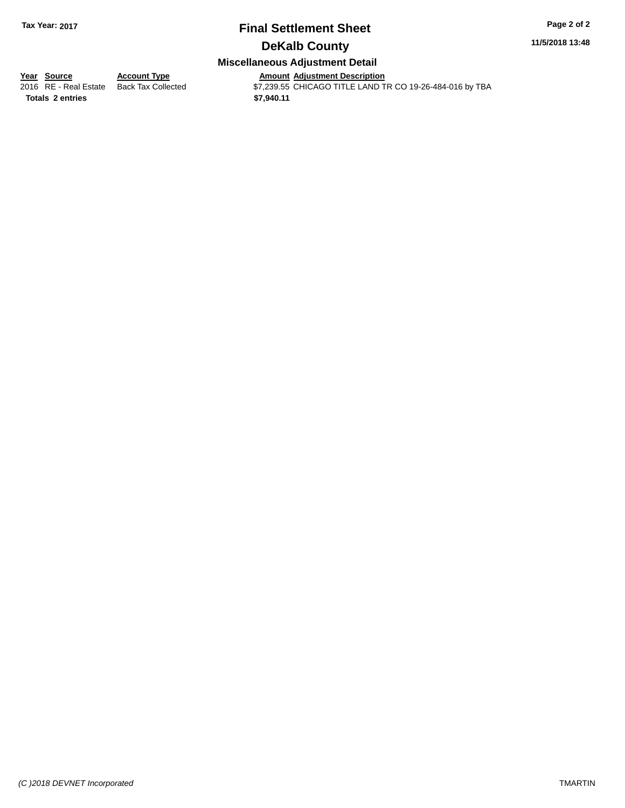### **11/5/2018 13:48**

### **Miscellaneous Adjustment Detail**

**Totals \$7,940.11 2 entries**

**Year Source Account Type Amount Adjustment Description**

2016 RE - Real Estate Back Tax Collected \$7,239.55 CHICAGO TITLE LAND TR CO 19-26-484-016 by TBA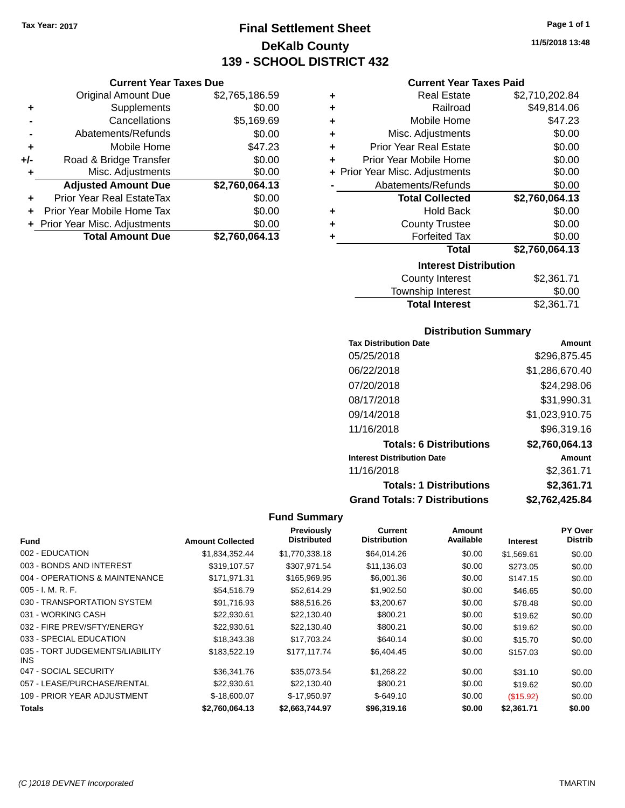**Current Year Taxes Due** Original Amount Due \$2,765,186.59

**Adjusted Amount Due \$2,760,064.13**

**Total Amount Due \$2,760,064.13**

**+** Supplements \$0.00 **-** Cancellations \$5,169.69 **-** Abatements/Refunds \$0.00 **+** Mobile Home \$47.23 **+/-** Road & Bridge Transfer \$0.00<br> **+** Misc. Adjustments \$0.00

**+** Prior Year Real EstateTax \$0.00 **+** Prior Year Mobile Home Tax \$0.00 **+ Prior Year Misc. Adjustments**  $$0.00$ 

**+** Misc. Adjustments

## **Final Settlement Sheet Tax Year: 2017 Page 1 of 1 DeKalb County 139 - SCHOOL DISTRICT 432**

**Current Year Taxes Paid**

| \$2,710,202.84 |
|----------------|
| \$49,814.06    |
| \$47.23        |
| \$0.00         |
| \$0.00         |
| \$0.00         |
| \$0.00         |
|                |
| \$0.00         |
| \$2,760,064.13 |
| \$0.00         |
| \$0.00         |
| \$0.00         |
| \$2,760,064.13 |
|                |
|                |

| <b>Total Interest</b>  | \$2,361.71 |
|------------------------|------------|
| Township Interest      | \$0.00     |
| <b>County Interest</b> | \$2,361.71 |

### **Distribution Summary**

| <b>Tax Distribution Date</b>         | Amount         |
|--------------------------------------|----------------|
| 05/25/2018                           | \$296.875.45   |
| 06/22/2018                           | \$1,286,670.40 |
| 07/20/2018                           | \$24,298.06    |
| 08/17/2018                           | \$31,990.31    |
| 09/14/2018                           | \$1,023,910.75 |
| 11/16/2018                           | \$96,319.16    |
| <b>Totals: 6 Distributions</b>       | \$2,760,064.13 |
| <b>Interest Distribution Date</b>    | Amount         |
| 11/16/2018                           | \$2,361.71     |
| <b>Totals: 1 Distributions</b>       | \$2,361.71     |
| <b>Grand Totals: 7 Distributions</b> | \$2.762.425.84 |

| Fund                                    | <b>Amount Collected</b> | Previously<br><b>Distributed</b> | <b>Current</b><br><b>Distribution</b> | Amount<br>Available | <b>Interest</b> | <b>PY Over</b><br><b>Distrib</b> |
|-----------------------------------------|-------------------------|----------------------------------|---------------------------------------|---------------------|-----------------|----------------------------------|
| 002 - EDUCATION                         | \$1.834.352.44          | \$1.770.338.18                   | \$64.014.26                           | \$0.00              | \$1,569.61      | \$0.00                           |
| 003 - BONDS AND INTEREST                | \$319,107.57            | \$307,971.54                     | \$11,136.03                           | \$0.00              | \$273.05        | \$0.00                           |
| 004 - OPERATIONS & MAINTENANCE          | \$171.971.31            | \$165,969.95                     | \$6,001.36                            | \$0.00              | \$147.15        | \$0.00                           |
| $005 - I. M. R. F.$                     | \$54,516.79             | \$52.614.29                      | \$1,902.50                            | \$0.00              | \$46.65         | \$0.00                           |
| 030 - TRANSPORTATION SYSTEM             | \$91,716.93             | \$88,516.26                      | \$3,200.67                            | \$0.00              | \$78.48         | \$0.00                           |
| 031 - WORKING CASH                      | \$22,930.61             | \$22,130.40                      | \$800.21                              | \$0.00              | \$19.62         | \$0.00                           |
| 032 - FIRE PREV/SFTY/ENERGY             | \$22,930.61             | \$22,130.40                      | \$800.21                              | \$0.00              | \$19.62         | \$0.00                           |
| 033 - SPECIAL EDUCATION                 | \$18,343,38             | \$17,703.24                      | \$640.14                              | \$0.00              | \$15.70         | \$0.00                           |
| 035 - TORT JUDGEMENTS/LIABILITY<br>INS. | \$183,522.19            | \$177,117.74                     | \$6,404.45                            | \$0.00              | \$157.03        | \$0.00                           |
| 047 - SOCIAL SECURITY                   | \$36,341.76             | \$35,073.54                      | \$1,268.22                            | \$0.00              | \$31.10         | \$0.00                           |
| 057 - LEASE/PURCHASE/RENTAL             | \$22.930.61             | \$22.130.40                      | \$800.21                              | \$0.00              | \$19.62         | \$0.00                           |
| 109 - PRIOR YEAR ADJUSTMENT             | \$-18,600.07            | \$-17,950.97                     | $$-649.10$                            | \$0.00              | (\$15.92)       | \$0.00                           |
| Totals                                  | \$2,760,064.13          | \$2,663,744.97                   | \$96,319.16                           | \$0.00              | \$2,361.71      | \$0.00                           |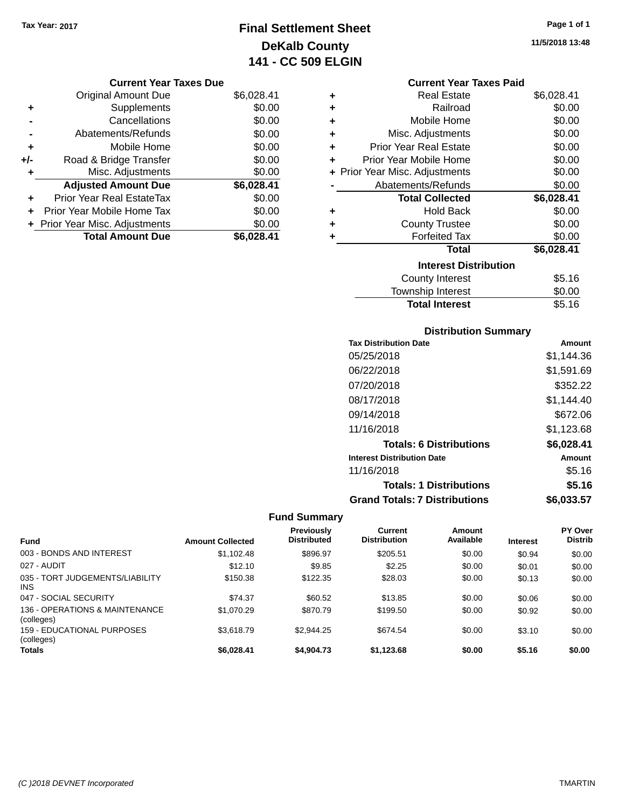## **Final Settlement Sheet Tax Year: 2017 Page 1 of 1 DeKalb County 141 - CC 509 ELGIN**

**11/5/2018 13:48**

| <b>Current Year Taxes Due</b> |  |
|-------------------------------|--|
|-------------------------------|--|

|       | <b>Original Amount Due</b>     | \$6,028.41 |
|-------|--------------------------------|------------|
| ٠     | Supplements                    | \$0.00     |
|       | Cancellations                  | \$0.00     |
|       | Abatements/Refunds             | \$0.00     |
| ٠     | Mobile Home                    | \$0.00     |
| $+/-$ | Road & Bridge Transfer         | \$0.00     |
| ٠     | Misc. Adjustments              | \$0.00     |
|       | <b>Adjusted Amount Due</b>     | \$6,028.41 |
|       | Prior Year Real EstateTax      | \$0.00     |
|       | Prior Year Mobile Home Tax     | \$0.00     |
|       | + Prior Year Misc. Adjustments | \$0.00     |
|       | <b>Total Amount Due</b>        | \$6.028.41 |

| ٠ | Real Estate                    | \$6,028.41 |
|---|--------------------------------|------------|
| ÷ | Railroad                       | \$0.00     |
| ÷ | Mobile Home                    | \$0.00     |
| ÷ | Misc. Adjustments              | \$0.00     |
| ÷ | <b>Prior Year Real Estate</b>  | \$0.00     |
| ٠ | Prior Year Mobile Home         | \$0.00     |
|   | + Prior Year Misc. Adjustments | \$0.00     |
|   | Abatements/Refunds             | \$0.00     |
|   | <b>Total Collected</b>         | \$6,028.41 |
| ٠ | Hold Back                      | \$0.00     |
| ÷ | <b>County Trustee</b>          | \$0.00     |
|   | <b>Forfeited Tax</b>           | \$0.00     |
|   | <b>Total</b>                   | \$6,028.41 |
|   | <b>Interest Distribution</b>   |            |
|   | County Interest                | \$5.16     |
|   | <b>Township Interest</b>       | \$0.00     |
|   | <b>Total Interest</b>          | \$5.16     |

| <b>Distribution Summary</b> |  |
|-----------------------------|--|

| <b>Tax Distribution Date</b>         | Amount     |
|--------------------------------------|------------|
| 05/25/2018                           | \$1,144.36 |
| 06/22/2018                           | \$1.591.69 |
| 07/20/2018                           | \$352.22   |
| 08/17/2018                           | \$1.144.40 |
| 09/14/2018                           | \$672.06   |
| 11/16/2018                           | \$1,123.68 |
| <b>Totals: 6 Distributions</b>       | \$6,028.41 |
| <b>Interest Distribution Date</b>    | Amount     |
| 11/16/2018                           | \$5.16     |
| <b>Totals: 1 Distributions</b>       | \$5.16     |
| <b>Grand Totals: 7 Distributions</b> | \$6.033.57 |

| <b>Fund</b>                                  | <b>Amount Collected</b> | <b>Previously</b><br><b>Distributed</b> | Current<br><b>Distribution</b> | Amount<br>Available | <b>Interest</b> | PY Over<br><b>Distrib</b> |
|----------------------------------------------|-------------------------|-----------------------------------------|--------------------------------|---------------------|-----------------|---------------------------|
| 003 - BONDS AND INTEREST                     | \$1,102.48              | \$896.97                                | \$205.51                       | \$0.00              | \$0.94          | \$0.00                    |
| 027 - AUDIT                                  | \$12.10                 | \$9.85                                  | \$2.25                         | \$0.00              | \$0.01          | \$0.00                    |
| 035 - TORT JUDGEMENTS/LIABILITY<br>INS.      | \$150.38                | \$122.35                                | \$28.03                        | \$0.00              | \$0.13          | \$0.00                    |
| 047 - SOCIAL SECURITY                        | \$74.37                 | \$60.52                                 | \$13.85                        | \$0.00              | \$0.06          | \$0.00                    |
| 136 - OPERATIONS & MAINTENANCE<br>(colleges) | \$1,070.29              | \$870.79                                | \$199.50                       | \$0.00              | \$0.92          | \$0.00                    |
| 159 - EDUCATIONAL PURPOSES<br>(colleges)     | \$3.618.79              | \$2.944.25                              | \$674.54                       | \$0.00              | \$3.10          | \$0.00                    |
| <b>Totals</b>                                | \$6.028.41              | \$4,904.73                              | \$1,123.68                     | \$0.00              | \$5.16          | \$0.00                    |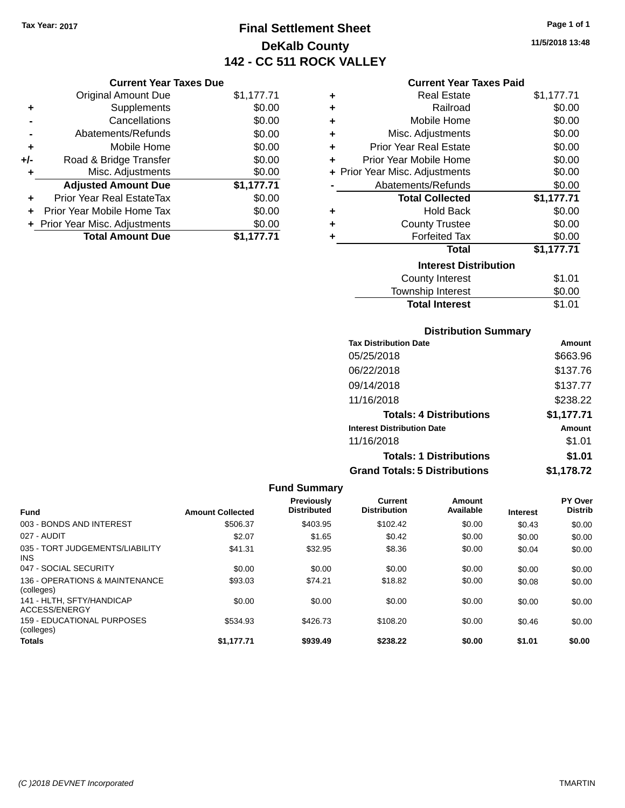## **Final Settlement Sheet Tax Year: 2017 Page 1 of 1 DeKalb County 142 - CC 511 ROCK VALLEY**

**11/5/2018 13:48**

### **Current Year Taxes Paid**

|     | <b>Current Year Taxes Due</b>  |            |  |
|-----|--------------------------------|------------|--|
|     | <b>Original Amount Due</b>     | \$1,177.71 |  |
| ٠   | Supplements                    | \$0.00     |  |
|     | Cancellations                  | \$0.00     |  |
|     | Abatements/Refunds             | \$0.00     |  |
|     | Mobile Home                    | \$0.00     |  |
| +/- | Road & Bridge Transfer         | \$0.00     |  |
| ٠   | Misc. Adjustments              | \$0.00     |  |
|     | <b>Adjusted Amount Due</b>     | \$1,177.71 |  |
| ÷   | Prior Year Real EstateTax      | \$0.00     |  |
|     | Prior Year Mobile Home Tax     | \$0.00     |  |
|     | + Prior Year Misc. Adjustments | \$0.00     |  |
|     | <b>Total Amount Due</b>        | \$1,177.71 |  |
|     |                                |            |  |

| ٠ | <b>Real Estate</b>             | \$1,177.71 |
|---|--------------------------------|------------|
| ٠ | Railroad                       | \$0.00     |
| ٠ | Mobile Home                    | \$0.00     |
| ٠ | Misc. Adjustments              | \$0.00     |
| ٠ | <b>Prior Year Real Estate</b>  | \$0.00     |
| ٠ | Prior Year Mobile Home         | \$0.00     |
|   | + Prior Year Misc. Adjustments | \$0.00     |
|   | Abatements/Refunds             | \$0.00     |
|   | <b>Total Collected</b>         | \$1,177.71 |
| ٠ | <b>Hold Back</b>               | \$0.00     |
| ÷ | <b>County Trustee</b>          | \$0.00     |
| ٠ | <b>Forfeited Tax</b>           | \$0.00     |
|   | Total                          | \$1,177.71 |
|   | <b>Interest Distribution</b>   |            |
|   | County Interest                | \$1.01     |
|   | <b>Township Interest</b>       | \$0.00     |
|   | <b>Total Interest</b>          | \$1.01     |

### **Distribution Summary**

| <b>Tax Distribution Date</b>         | Amount     |
|--------------------------------------|------------|
| 05/25/2018                           | \$663.96   |
| 06/22/2018                           | \$137.76   |
| 09/14/2018                           | \$137.77   |
| 11/16/2018                           | \$238.22   |
| <b>Totals: 4 Distributions</b>       | \$1,177.71 |
| <b>Interest Distribution Date</b>    | Amount     |
| 11/16/2018                           | \$1.01     |
| <b>Totals: 1 Distributions</b>       | \$1.01     |
| <b>Grand Totals: 5 Distributions</b> | \$1,178.72 |

### **Fund Summary Fund Interest Amount Collected Distributed PY Over Distrib Amount Available Current Distribution Previously** 003 - BONDS AND INTEREST 60.00 \$506.37 \$403.95 \$102.42 \$0.00 \$0.43 \$0.00 027 - AUDIT \$2.07 \$1.65 \$0.42 \$0.00 \$0.00 \$0.00 035 - TORT JUDGEMENTS/LIABILITY INS \$41.31 \$32.95 \$8.36 \$0.00 \$0.04 \$0.00 047 - SOCIAL SECURITY \$0.00 \$0.00 \$0.00 \$0.00 \$0.00 \$0.00 136 - OPERATIONS & MAINTENANCE (colleges) \$93.03 \$74.21 \$18.82 \$0.00 \$0.08 \$0.00 141 - HLTH, SFTY/HANDICAP ACCESS/ENERGY \$0.00 \$0.00 \$0.00 \$0.00 \$0.00 \$0.00 159 - EDUCATIONAL PURPOSES (colleges) \$534.93 \$426.73 \$108.20 \$0.00 \$0.46 \$0.00 **Totals \$1,177.71 \$939.49 \$238.22 \$0.00 \$1.01 \$0.00**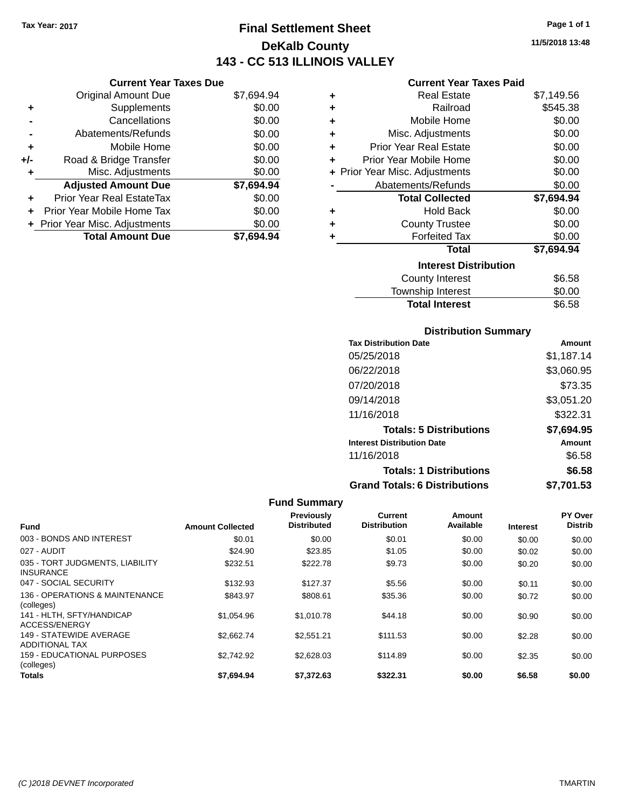**Current Year Taxes Due**

## **Final Settlement Sheet Tax Year: 2017 Page 1 of 1 DeKalb County 143 - CC 513 ILLINOIS VALLEY**

**11/5/2018 13:48**

### **Current Year Taxes Paid**

|     | <b>Original Amount Due</b>       | \$7,694.94 | ٠ | <b>Real Estate</b>             | \$7,149.56 |
|-----|----------------------------------|------------|---|--------------------------------|------------|
| ٠   | Supplements                      | \$0.00     | ٠ | Railroad                       | \$545.38   |
|     | Cancellations                    | \$0.00     | ٠ | Mobile Home                    | \$0.00     |
|     | Abatements/Refunds               | \$0.00     | ٠ | Misc. Adjustments              | \$0.00     |
| ٠   | Mobile Home                      | \$0.00     | ٠ | <b>Prior Year Real Estate</b>  | \$0.00     |
| +/- | Road & Bridge Transfer           | \$0.00     | ٠ | Prior Year Mobile Home         | \$0.00     |
|     | Misc. Adjustments                | \$0.00     |   | + Prior Year Misc. Adjustments | \$0.00     |
|     | <b>Adjusted Amount Due</b>       | \$7,694.94 |   | Abatements/Refunds             | \$0.00     |
| ÷.  | <b>Prior Year Real EstateTax</b> | \$0.00     |   | <b>Total Collected</b>         | \$7,694.94 |
|     | Prior Year Mobile Home Tax       | \$0.00     | ٠ | <b>Hold Back</b>               | \$0.00     |
|     | + Prior Year Misc. Adjustments   | \$0.00     | ÷ | <b>County Trustee</b>          | \$0.00     |
|     | <b>Total Amount Due</b>          | \$7,694.94 |   | <b>Forfeited Tax</b>           | \$0.00     |
|     |                                  |            |   | <b>Total</b>                   | \$7,694.94 |
|     |                                  |            |   | <b>Interest Distribution</b>   |            |
|     |                                  |            |   | <b>County Interest</b>         | \$6.58     |
|     |                                  |            |   | Townehin Interest              | ደስ ሰስ      |

## Township Interest \$0.00 Total Interest \$6.58

| <b>Distribution Summary</b> |  |
|-----------------------------|--|
|-----------------------------|--|

| <b>Tax Distribution Date</b>         | Amount     |
|--------------------------------------|------------|
| 05/25/2018                           | \$1,187.14 |
| 06/22/2018                           | \$3,060.95 |
| 07/20/2018                           | \$73.35    |
| 09/14/2018                           | \$3,051.20 |
| 11/16/2018                           | \$322.31   |
| <b>Totals: 5 Distributions</b>       | \$7.694.95 |
| <b>Interest Distribution Date</b>    | Amount     |
| 11/16/2018                           | \$6.58     |
| <b>Totals: 1 Distributions</b>       | \$6.58     |
| <b>Grand Totals: 6 Distributions</b> | \$7,701.53 |

| <b>Fund</b>                                         | <b>Amount Collected</b> | Previously<br><b>Distributed</b> | Current<br><b>Distribution</b> | Amount<br>Available | <b>Interest</b> | PY Over<br><b>Distrib</b> |
|-----------------------------------------------------|-------------------------|----------------------------------|--------------------------------|---------------------|-----------------|---------------------------|
| 003 - BONDS AND INTEREST                            | \$0.01                  |                                  | \$0.01                         |                     |                 |                           |
|                                                     |                         | \$0.00                           |                                | \$0.00              | \$0.00          | \$0.00                    |
| 027 - AUDIT                                         | \$24.90                 | \$23.85                          | \$1.05                         | \$0.00              | \$0.02          | \$0.00                    |
| 035 - TORT JUDGMENTS, LIABILITY<br><b>INSURANCE</b> | \$232.51                | \$222.78                         | \$9.73                         | \$0.00              | \$0.20          | \$0.00                    |
| 047 - SOCIAL SECURITY                               | \$132.93                | \$127.37                         | \$5.56                         | \$0.00              | \$0.11          | \$0.00                    |
| 136 - OPERATIONS & MAINTENANCE<br>(colleges)        | \$843.97                | \$808.61                         | \$35.36                        | \$0.00              | \$0.72          | \$0.00                    |
| 141 - HLTH, SFTY/HANDICAP<br>ACCESS/ENERGY          | \$1.054.96              | \$1,010.78                       | \$44.18                        | \$0.00              | \$0.90          | \$0.00                    |
| 149 - STATEWIDE AVERAGE<br><b>ADDITIONAL TAX</b>    | \$2,662.74              | \$2,551.21                       | \$111.53                       | \$0.00              | \$2.28          | \$0.00                    |
| <b>159 - EDUCATIONAL PURPOSES</b><br>(colleges)     | \$2,742.92              | \$2,628.03                       | \$114.89                       | \$0.00              | \$2.35          | \$0.00                    |
| <b>Totals</b>                                       | \$7.694.94              | \$7.372.63                       | \$322.31                       | \$0.00              | \$6.58          | \$0.00                    |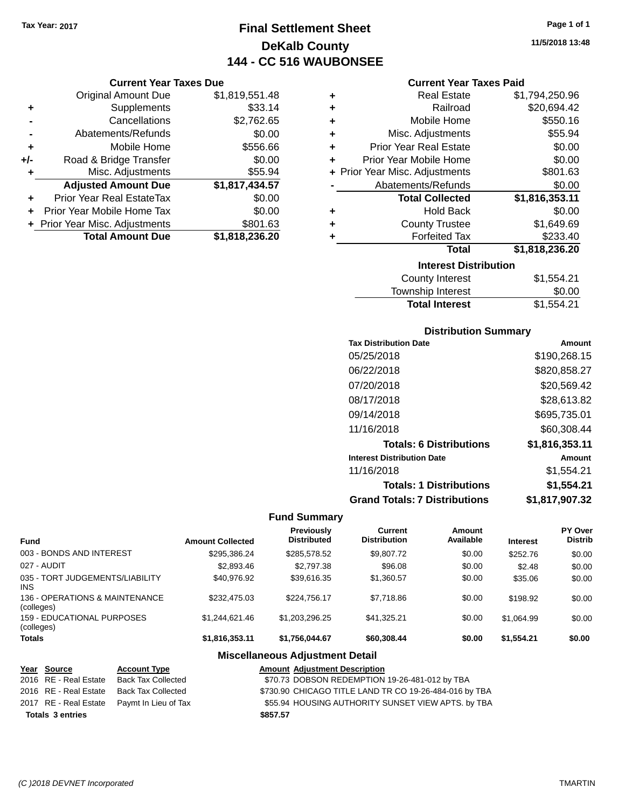**Current Year Taxes Due** Original Amount Due \$1,819,551.48

**Adjusted Amount Due \$1,817,434.57**

**Total Amount Due \$1,818,236.20**

**+** Supplements \$33.14 **-** Cancellations \$2,762.65 **-** Abatements/Refunds \$0.00 **+** Mobile Home \$556.66 **+/-** Road & Bridge Transfer \$0.00 **+** Misc. Adjustments \$55.94

**+** Prior Year Real EstateTax \$0.00 **+** Prior Year Mobile Home Tax \$0.00 **+** Prior Year Misc. Adjustments \$801.63

## **Final Settlement Sheet Tax Year: 2017 Page 1 of 1 DeKalb County 144 - CC 516 WAUBONSEE**

## **11/5/2018 13:48**

### **Current Year Taxes Paid**

| ٠ | <b>Real Estate</b>             | \$1,794,250.96   |
|---|--------------------------------|------------------|
| ٠ | Railroad                       | \$20,694.42      |
| ٠ | Mobile Home                    | \$550.16         |
| ٠ | Misc. Adjustments              | \$55.94          |
| ٠ | <b>Prior Year Real Estate</b>  | \$0.00           |
| ÷ | Prior Year Mobile Home         | \$0.00           |
|   | + Prior Year Misc. Adjustments | \$801.63         |
|   | Abatements/Refunds             | \$0.00           |
|   | <b>Total Collected</b>         | \$1,816,353.11   |
| ٠ | <b>Hold Back</b>               | \$0.00           |
| ٠ | <b>County Trustee</b>          | \$1,649.69       |
| ٠ | <b>Forfeited Tax</b>           | \$233.40         |
|   | <b>Total</b>                   | \$1,818,236.20   |
|   | <b>Interest Distribution</b>   |                  |
|   | County Interest                | <b>ዩ1 554 21</b> |

| County Interest       | \$1,554.21 |
|-----------------------|------------|
| Township Interest     | \$0.00     |
| <b>Total Interest</b> | \$1,554.21 |

### **Distribution Summary**

| <b>Tax Distribution Date</b>         | Amount         |
|--------------------------------------|----------------|
| 05/25/2018                           | \$190,268.15   |
| 06/22/2018                           | \$820,858.27   |
| 07/20/2018                           | \$20,569.42    |
| 08/17/2018                           | \$28,613.82    |
| 09/14/2018                           | \$695,735.01   |
| 11/16/2018                           | \$60,308,44    |
| <b>Totals: 6 Distributions</b>       | \$1,816,353.11 |
| <b>Interest Distribution Date</b>    | Amount         |
| 11/16/2018                           | \$1,554.21     |
| <b>Totals: 1 Distributions</b>       | \$1,554.21     |
| <b>Grand Totals: 7 Distributions</b> | \$1,817,907.32 |

### **Fund Summary**

| <b>Fund</b>                                   | <b>Amount Collected</b> | Previously<br><b>Distributed</b> | Current<br><b>Distribution</b> | Amount<br>Available | <b>Interest</b> | <b>PY Over</b><br><b>Distrib</b> |
|-----------------------------------------------|-------------------------|----------------------------------|--------------------------------|---------------------|-----------------|----------------------------------|
| 003 - BONDS AND INTEREST                      | \$295,386,24            | \$285,578.52                     | \$9,807.72                     | \$0.00              | \$252.76        | \$0.00                           |
| 027 - AUDIT                                   | \$2,893.46              | \$2,797.38                       | \$96.08                        | \$0.00              | \$2.48          | \$0.00                           |
| 035 - TORT JUDGEMENTS/LIABILITY<br><b>INS</b> | \$40.976.92             | \$39.616.35                      | \$1,360.57                     | \$0.00              | \$35.06         | \$0.00                           |
| 136 - OPERATIONS & MAINTENANCE<br>(colleges)  | \$232.475.03            | \$224.756.17                     | \$7.718.86                     | \$0.00              | \$198.92        | \$0.00                           |
| 159 - EDUCATIONAL PURPOSES<br>(colleges)      | \$1,244,621.46          | \$1.203.296.25                   | \$41,325,21                    | \$0.00              | \$1.064.99      | \$0.00                           |
| <b>Totals</b>                                 | \$1,816,353.11          | \$1,756,044.67                   | \$60,308,44                    | \$0.00              | \$1.554.21      | \$0.00                           |

### **Miscellaneous Adjustment Detail**

| Year Source                              | <b>Account Type</b>                        | <b>Amount Adjustment Description</b>                   |
|------------------------------------------|--------------------------------------------|--------------------------------------------------------|
| 2016 RE - Real Estate                    | Back Tax Collected                         | \$70.73 DOBSON REDEMPTION 19-26-481-012 by TBA         |
| 2016 RE - Real Estate Back Tax Collected |                                            | \$730.90 CHICAGO TITLE LAND TR CO 19-26-484-016 by TBA |
|                                          | 2017 RE - Real Estate Paymt In Lieu of Tax | \$55.94 HOUSING AUTHORITY SUNSET VIEW APTS. by TBA     |
| <b>Totals 3 entries</b>                  |                                            | \$857.57                                               |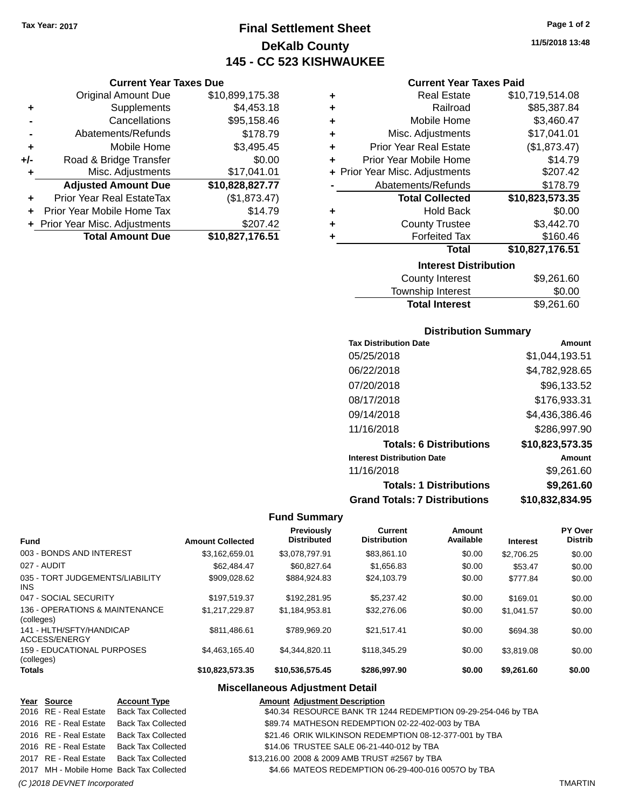**Current Year Taxes Due** Original Amount Due \$10,899,175.38

**Adjusted Amount Due \$10,828,827.77**

**Total Amount Due \$10,827,176.51**

**+** Supplements \$4,453.18 **-** Cancellations \$95,158.46 **-** Abatements/Refunds \$178.79 **+** Mobile Home \$3,495.45 **+/-** Road & Bridge Transfer \$0.00<br>**+** Misc. Adjustments \$17,041.01

**+** Prior Year Real EstateTax (\$1,873.47) **+** Prior Year Mobile Home Tax \$14.79 **+** Prior Year Misc. Adjustments \$207.42

**+** Misc. Adjustments

# **Final Settlement Sheet Tax Year: 2017 Page 1 of 2 DeKalb County 145 - CC 523 KISHWAUKEE**

**11/5/2018 13:48**

### **Current Year Taxes Paid**

| ٠ | <b>Real Estate</b>             | \$10,719,514.08 |  |  |
|---|--------------------------------|-----------------|--|--|
| ٠ | Railroad                       | \$85,387.84     |  |  |
| ٠ | Mobile Home                    | \$3,460.47      |  |  |
| ٠ | Misc. Adjustments              | \$17,041.01     |  |  |
| ٠ | <b>Prior Year Real Estate</b>  | (\$1,873.47)    |  |  |
| ÷ | Prior Year Mobile Home         | \$14.79         |  |  |
|   | + Prior Year Misc. Adjustments | \$207.42        |  |  |
|   | Abatements/Refunds             | \$178.79        |  |  |
|   | <b>Total Collected</b>         | \$10,823,573.35 |  |  |
| ٠ | <b>Hold Back</b>               | \$0.00          |  |  |
| ٠ | <b>County Trustee</b>          | \$3,442.70      |  |  |
| ٠ | <b>Forfeited Tax</b>           | \$160.46        |  |  |
|   | <b>Total</b>                   | \$10,827,176.51 |  |  |
|   | <b>Interest Distribution</b>   |                 |  |  |

| County Interest       | \$9,261.60 |
|-----------------------|------------|
| Township Interest     | \$0.00     |
| <b>Total Interest</b> | \$9,261.60 |
|                       |            |

#### **Distribution Summary**

| <b>Tax Distribution Date</b>         | Amount          |
|--------------------------------------|-----------------|
| 05/25/2018                           | \$1,044,193.51  |
| 06/22/2018                           | \$4,782,928.65  |
| 07/20/2018                           | \$96,133.52     |
| 08/17/2018                           | \$176,933.31    |
| 09/14/2018                           | \$4,436,386.46  |
| 11/16/2018                           | \$286,997.90    |
| <b>Totals: 6 Distributions</b>       | \$10,823,573.35 |
| <b>Interest Distribution Date</b>    | Amount          |
| 11/16/2018                           | \$9,261.60      |
| <b>Totals: 1 Distributions</b>       | \$9,261.60      |
| <b>Grand Totals: 7 Distributions</b> | \$10,832,834.95 |

#### **Fund Summary**

| <b>Fund</b>                                   | <b>Amount Collected</b> | <b>Previously</b><br><b>Distributed</b> | Current<br><b>Distribution</b> | Amount<br>Available | <b>Interest</b> | PY Over<br><b>Distrib</b> |
|-----------------------------------------------|-------------------------|-----------------------------------------|--------------------------------|---------------------|-----------------|---------------------------|
| 003 - BONDS AND INTEREST                      | \$3,162,659.01          | \$3,078,797.91                          | \$83,861.10                    | \$0.00              | \$2,706.25      | \$0.00                    |
| 027 - AUDIT                                   | \$62,484.47             | \$60.827.64                             | \$1,656.83                     | \$0.00              | \$53.47         | \$0.00                    |
| 035 - TORT JUDGEMENTS/LIABILITY<br><b>INS</b> | \$909.028.62            | \$884.924.83                            | \$24.103.79                    | \$0.00              | \$777.84        | \$0.00                    |
| 047 - SOCIAL SECURITY                         | \$197.519.37            | \$192.281.95                            | \$5,237.42                     | \$0.00              | \$169.01        | \$0.00                    |
| 136 - OPERATIONS & MAINTENANCE<br>(colleges)  | \$1,217,229.87          | \$1,184,953.81                          | \$32,276.06                    | \$0.00              | \$1.041.57      | \$0.00                    |
| 141 - HLTH/SFTY/HANDICAP<br>ACCESS/ENERGY     | \$811,486.61            | \$789.969.20                            | \$21.517.41                    | \$0.00              | \$694.38        | \$0.00                    |
| 159 - EDUCATIONAL PURPOSES<br>(colleges)      | \$4.463.165.40          | \$4.344.820.11                          | \$118,345.29                   | \$0.00              | \$3,819.08      | \$0.00                    |
| <b>Totals</b>                                 | \$10,823,573.35         | \$10,536,575.45                         | \$286,997.90                   | \$0.00              | \$9,261.60      | \$0.00                    |

### **Miscellaneous Adjustment Detail**

| Year Source           | <b>Account Type</b>                      | <b>Amount Adjustment Description</b>                          |
|-----------------------|------------------------------------------|---------------------------------------------------------------|
| 2016 RE - Real Estate | <b>Back Tax Collected</b>                | \$40.34 RESOURCE BANK TR 1244 REDEMPTION 09-29-254-046 by TBA |
| 2016 RE - Real Estate | <b>Back Tax Collected</b>                | \$89.74 MATHESON REDEMPTION 02-22-402-003 by TBA              |
| 2016 RE - Real Estate | <b>Back Tax Collected</b>                | \$21.46 ORIK WILKINSON REDEMPTION 08-12-377-001 by TBA        |
| 2016 RE - Real Estate | <b>Back Tax Collected</b>                | \$14.06 TRUSTEE SALE 06-21-440-012 by TBA                     |
|                       | 2017 RE - Real Estate Back Tax Collected | \$13,216.00 2008 & 2009 AMB TRUST #2567 by TBA                |
|                       | 2017 MH - Mobile Home Back Tax Collected | \$4.66 MATEOS REDEMPTION 06-29-400-016 00570 by TBA           |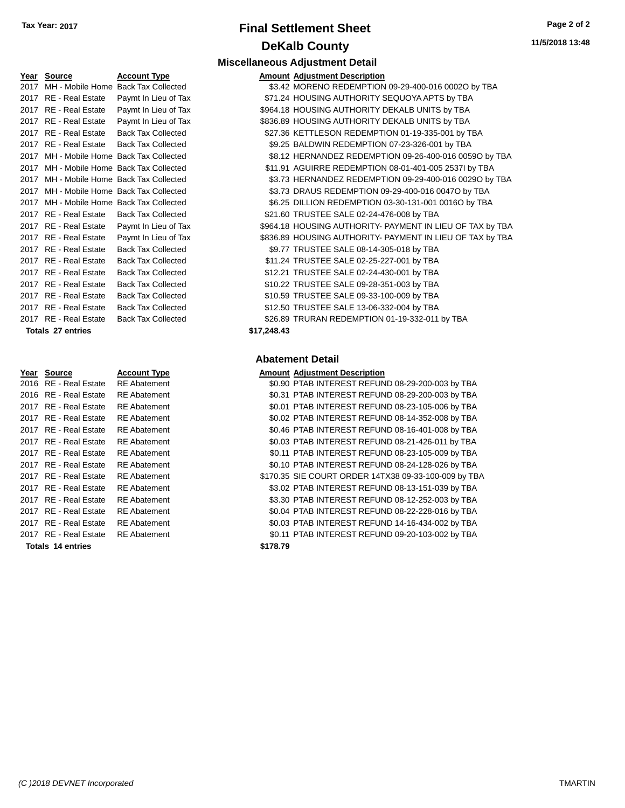### **Final Settlement Sheet Tax Year: 2017 Page 2 of 2 DeKalb County Miscellaneous Adjustment Detail**

|      | Year Source                              | <b>Account Type</b>                      |             | <b>Amount Adjustment Description</b>                  |
|------|------------------------------------------|------------------------------------------|-------------|-------------------------------------------------------|
| 2017 |                                          | MH - Mobile Home Back Tax Collected      |             | \$3.42 MORENO REDEMPTION 09-29-400-016 0002O by TBA   |
|      | 2017 RE - Real Estate                    | Paymt In Lieu of Tax                     |             | \$71.24 HOUSING AUTHORITY SEQUOYA APTS by TBA         |
|      | 2017 RE - Real Estate                    | Paymt In Lieu of Tax                     |             | \$964.18 HOUSING AUTHORITY DEKALB UNITS by TBA        |
|      | 2017 RE - Real Estate                    | Paymt In Lieu of Tax                     |             | \$836.89 HOUSING AUTHORITY DEKALB UNITS by TBA        |
|      | 2017 RE - Real Estate                    | <b>Back Tax Collected</b>                |             | \$27.36 KETTLESON REDEMPTION 01-19-335-001 by TBA     |
|      | 2017 RE - Real Estate                    | <b>Back Tax Collected</b>                |             | \$9.25 BALDWIN REDEMPTION 07-23-326-001 by TBA        |
| 2017 | MH - Mobile Home Back Tax Collected      |                                          |             | \$8.12 HERNANDEZ REDEMPTION 09-26-400-016 00590 by    |
|      | 2017 MH - Mobile Home Back Tax Collected |                                          |             | \$11.91 AGUIRRE REDEMPTION 08-01-401-005 2537l by TBA |
|      |                                          | 2017 MH - Mobile Home Back Tax Collected |             | \$3.73 HERNANDEZ REDEMPTION 09-29-400-016 0029O by 1  |
| 2017 | MH - Mobile Home Back Tax Collected      |                                          |             | \$3.73 DRAUS REDEMPTION 09-29-400-016 0047O by TBA    |
| 2017 | MH - Mobile Home Back Tax Collected      |                                          |             | \$6.25 DILLION REDEMPTION 03-30-131-001 0016O by TBA  |
|      | 2017 RE - Real Estate                    | <b>Back Tax Collected</b>                |             | \$21.60 TRUSTEE SALE 02-24-476-008 by TBA             |
|      | 2017 RE - Real Estate                    | Paymt In Lieu of Tax                     |             | \$964.18 HOUSING AUTHORITY- PAYMENT IN LIEU OF TAX by |
|      | 2017 RE - Real Estate                    | Paymt In Lieu of Tax                     |             | \$836.89 HOUSING AUTHORITY- PAYMENT IN LIEU OF TAX by |
|      | 2017 RE - Real Estate                    | <b>Back Tax Collected</b>                |             | \$9.77 TRUSTEE SALE 08-14-305-018 by TBA              |
|      | 2017 RE - Real Estate                    | <b>Back Tax Collected</b>                |             | \$11.24 TRUSTEE SALE 02-25-227-001 by TBA             |
|      | 2017 RE - Real Estate                    | <b>Back Tax Collected</b>                |             | \$12.21 TRUSTEE SALE 02-24-430-001 by TBA             |
|      | 2017 RE - Real Estate                    | <b>Back Tax Collected</b>                |             | \$10.22 TRUSTEE SALE 09-28-351-003 by TBA             |
|      | 2017 RE - Real Estate                    | <b>Back Tax Collected</b>                |             | \$10.59 TRUSTEE SALE 09-33-100-009 by TBA             |
|      | 2017 RE - Real Estate                    | <b>Back Tax Collected</b>                |             | \$12.50 TRUSTEE SALE 13-06-332-004 by TBA             |
|      | 2017 RE - Real Estate                    | <b>Back Tax Collected</b>                |             | \$26.89 TRURAN REDEMPTION 01-19-332-011 by TBA        |
|      | Totals 27 entries                        |                                          | \$17.248.43 |                                                       |

| Year | <b>Source</b>         | Account Type        | <u>A</u> |
|------|-----------------------|---------------------|----------|
|      | 2016 RE - Real Estate | <b>RE</b> Abatement |          |
|      | 2016 RE - Real Estate | <b>RE</b> Abatement |          |
|      | 2017 RF - Real Estate | <b>RE</b> Abatement |          |
|      | 2017 RE - Real Estate | <b>RE</b> Abatement |          |
|      | 2017 RE - Real Estate | RE Abatement        |          |
|      | 2017 RF - Real Estate | <b>RE</b> Abatement |          |
|      | 2017 RE - Real Estate | <b>RE</b> Abatement |          |
|      | 2017 RE - Real Estate | <b>RE</b> Abatement |          |
|      | 2017 RE - Real Estate | RE Abatement        | \$       |
|      | 2017 RE - Real Estate | <b>RE</b> Abatement |          |
|      | 2017 RF - Real Estate | <b>RE</b> Abatement |          |
|      | 2017 RE - Real Estate | RE Abatement        |          |
|      | 2017 RE - Real Estate | <b>RE</b> Abatement |          |
|      | 2017 RE - Real Estate | <b>RE</b> Abatement |          |
|      | Totals 14 entries     |                     | \$       |

#### of Tax **Estate STAL ESTATE SEQUOT ALL ESTATE AUTHORITY SEQUOYA APTS by TBA** 2017 bof Tax 6017 8964.18 HOUSING AUTHORITY DEKALB UNITS by TBA 2017 bof Tax 630000 8836.89 HOUSING AUTHORITY DEKALB UNITS by TBA cted **27.36 KETTLESON REDEMPTION 01-19-335-001 by TBA** cted 69.25 BALDWIN REDEMPTION 07-23-326-001 by TBA 2017 Cted \$8.12 HERNANDEZ REDEMPTION 09-26-400-016 00590 by TBA 2017 Cted \$11.91 AGUIRRE REDEMPTION 08-01-401-005 2537I by TBA 2017 Cted \$3.73 HERNANDEZ REDEMPTION 09-29-400-016 0029O by TBA 2017 Cted \$3.73 DRAUS REDEMPTION 09-29-400-016 0047O by TBA 2017 Cted \$6.25 DILLION REDEMPTION 03-30-131-001 0016O by TBA cted **\$21.60 TRUSTEE SALE 02-24-476-008 by TBA** 2017 BY Tax - Real ASS - Real Authority- PAYMENT IN LIEU OF TAX by TBA 2017 BE - Real AUTHORITY- PAYMENT IN LIEU OF TAX by TBA 2017 TRUSTEE SALE 08-14-305-018 by TBA

#### **Totals \$17,248.43 27 entries**

#### **Abatement Detail**

#### **Type Amount Adjustment Description**

| 2016 RE - Real Estate | <b>RE</b> Abatement | \$0.90 PTAB INTEREST REFUND 08-29-200-003 by TBA     |
|-----------------------|---------------------|------------------------------------------------------|
| 2016 RE - Real Estate | <b>RE</b> Abatement | \$0.31 PTAB INTEREST REFUND 08-29-200-003 by TBA     |
| 2017 RE - Real Estate | <b>RE</b> Abatement | \$0.01 PTAB INTEREST REFUND 08-23-105-006 by TBA     |
| 2017 RE - Real Estate | <b>RE</b> Abatement | \$0.02 PTAB INTEREST REFUND 08-14-352-008 by TBA     |
| 2017 RE - Real Estate | <b>RE</b> Abatement | \$0.46 PTAB INTEREST REFUND 08-16-401-008 by TBA     |
| 2017 RE - Real Estate | <b>RE</b> Abatement | \$0.03 PTAB INTEREST REFUND 08-21-426-011 by TBA     |
| 2017 RE - Real Estate | <b>RE</b> Abatement | \$0.11 PTAB INTEREST REFUND 08-23-105-009 by TBA     |
| 2017 RE - Real Estate | <b>RE</b> Abatement | \$0.10 PTAB INTEREST REFUND 08-24-128-026 by TBA     |
| 2017 RE - Real Estate | <b>RE</b> Abatement | \$170.35 SIE COURT ORDER 14TX38 09-33-100-009 by TBA |
| 2017 RE - Real Estate | <b>RE</b> Abatement | \$3.02 PTAB INTEREST REFUND 08-13-151-039 by TBA     |
| 2017 RE - Real Estate | <b>RE</b> Abatement | \$3.30 PTAB INTEREST REFUND 08-12-252-003 by TBA     |
| 2017 RE - Real Estate | <b>RE</b> Abatement | \$0.04 PTAB INTEREST REFUND 08-22-228-016 by TBA     |
| 2017 RE - Real Estate | <b>RE</b> Abatement | \$0.03 PTAB INTEREST REFUND 14-16-434-002 by TBA     |
| 2017 RE - Real Estate | <b>RE</b> Abatement | \$0.11 PTAB INTEREST REFUND 09-20-103-002 by TBA     |
| Totals 14 entries     |                     | \$178.79                                             |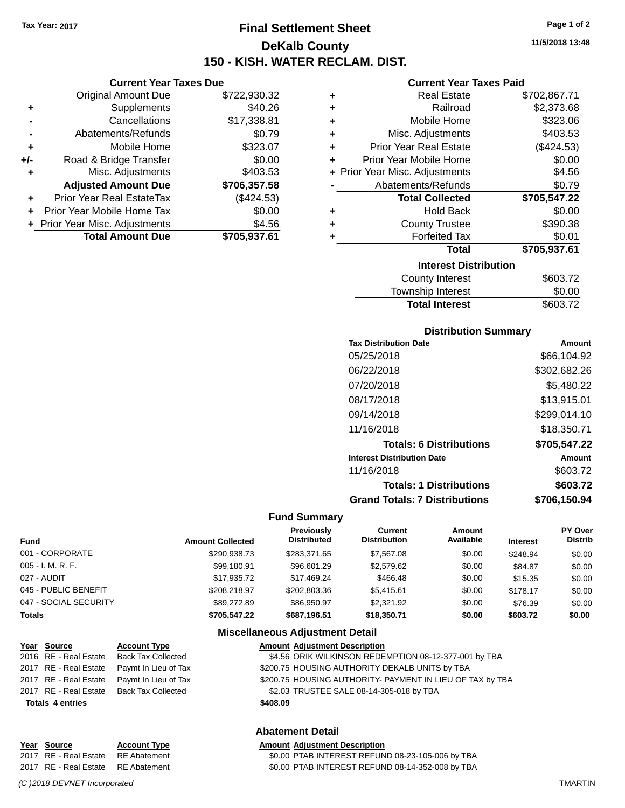**Current Year Taxes Due** Original Amount Due \$722,930.32

**Adjusted Amount Due \$706,357.58**

**Total Amount Due \$705,937.61**

**+** Supplements \$40.26 **-** Cancellations \$17,338.81 **-** Abatements/Refunds \$0.79 **+** Mobile Home \$323.07 **+/-** Road & Bridge Transfer \$0.00 **+** Misc. Adjustments \$403.53

**+** Prior Year Real EstateTax (\$424.53) **+** Prior Year Mobile Home Tax \$0.00 **+ Prior Year Misc. Adjustments**  $$4.56$ 

# **Final Settlement Sheet Tax Year: 2017 Page 1 of 2 DeKalb County 150 - KISH. WATER RECLAM. DIST.**

**11/5/2018 13:48**

#### **Current Year Taxes Paid**

| ٠ | <b>Real Estate</b>             | \$702,867.71 |  |  |  |  |
|---|--------------------------------|--------------|--|--|--|--|
| ٠ | Railroad                       | \$2,373.68   |  |  |  |  |
| ٠ | Mobile Home                    | \$323.06     |  |  |  |  |
| ٠ | Misc. Adjustments              | \$403.53     |  |  |  |  |
| ٠ | <b>Prior Year Real Estate</b>  | (\$424.53)   |  |  |  |  |
| ÷ | Prior Year Mobile Home         | \$0.00       |  |  |  |  |
|   | + Prior Year Misc. Adjustments | \$4.56       |  |  |  |  |
|   | Abatements/Refunds             | \$0.79       |  |  |  |  |
|   | <b>Total Collected</b>         | \$705,547.22 |  |  |  |  |
| ٠ | Hold Back                      | \$0.00       |  |  |  |  |
| ٠ | <b>County Trustee</b>          | \$390.38     |  |  |  |  |
| ٠ | <b>Forfeited Tax</b>           | \$0.01       |  |  |  |  |
|   | Total                          | \$705,937.61 |  |  |  |  |
|   | <b>Interest Distribution</b>   |              |  |  |  |  |
|   | <b>County Interest</b>         | \$603.72     |  |  |  |  |
|   | Townehin Interact              | ቁስ ሰስ        |  |  |  |  |

# Township Interest  $$0.00$ Total Interest \$603.72

#### **Distribution Summary**

| <b>Tax Distribution Date</b>         | Amount       |
|--------------------------------------|--------------|
| 05/25/2018                           | \$66,104.92  |
| 06/22/2018                           | \$302,682.26 |
| 07/20/2018                           | \$5,480.22   |
| 08/17/2018                           | \$13,915.01  |
| 09/14/2018                           | \$299,014.10 |
| 11/16/2018                           | \$18,350.71  |
| <b>Totals: 6 Distributions</b>       | \$705,547.22 |
| <b>Interest Distribution Date</b>    | Amount       |
| 11/16/2018                           | \$603.72     |
| <b>Totals: 1 Distributions</b>       | \$603.72     |
| <b>Grand Totals: 7 Distributions</b> | \$706,150.94 |

#### **Fund Summary**

| <b>Fund</b>           | <b>Amount Collected</b> | <b>Previously</b><br><b>Distributed</b> | <b>Current</b><br><b>Distribution</b> | Amount<br>Available | <b>Interest</b> | <b>PY Over</b><br><b>Distrib</b> |
|-----------------------|-------------------------|-----------------------------------------|---------------------------------------|---------------------|-----------------|----------------------------------|
| 001 - CORPORATE       | \$290.938.73            | \$283.371.65                            | \$7,567.08                            | \$0.00              | \$248.94        | \$0.00                           |
| $005 - I. M. R. F.$   | \$99,180.91             | \$96,601.29                             | \$2,579.62                            | \$0.00              | \$84.87         | \$0.00                           |
| 027 - AUDIT           | \$17.935.72             | \$17.469.24                             | \$466.48                              | \$0.00              | \$15.35         | \$0.00                           |
| 045 - PUBLIC BENEFIT  | \$208.218.97            | \$202.803.36                            | \$5.415.61                            | \$0.00              | \$178.17        | \$0.00                           |
| 047 - SOCIAL SECURITY | \$89,272.89             | \$86,950.97                             | \$2,321.92                            | \$0.00              | \$76.39         | \$0.00                           |
| <b>Totals</b>         | \$705,547.22            | \$687.196.51                            | \$18,350.71                           | \$0.00              | \$603.72        | \$0.00                           |

#### **Miscellaneous Adjustment Detail**

| Year Source             | <b>Account Type</b>                        | <b>Amount Adjustment Description</b>                      |
|-------------------------|--------------------------------------------|-----------------------------------------------------------|
|                         | 2016 RE - Real Estate Back Tax Collected   | \$4.56 ORIK WILKINSON REDEMPTION 08-12-377-001 by TBA     |
| 2017 RE - Real Estate   | Paymt In Lieu of Tax                       | \$200.75 HOUSING AUTHORITY DEKALB UNITS by TBA            |
|                         | 2017 RE - Real Estate Paymt In Lieu of Tax | \$200.75 HOUSING AUTHORITY- PAYMENT IN LIEU OF TAX by TBA |
|                         | 2017 RE - Real Estate Back Tax Collected   | \$2.03 TRUSTEE SALE 08-14-305-018 by TBA                  |
| <b>Totals 4 entries</b> |                                            | \$408.09                                                  |
|                         |                                            |                                                           |

### **Abatement Detail**

| Year Source                        | <b>Account Type</b> | <b>Amount Adiustment Description</b>             |
|------------------------------------|---------------------|--------------------------------------------------|
| 2017 RE - Real Estate RE Abatement |                     | \$0.00 PTAB INTEREST REFUND 08-23-105-006 by TBA |
| 2017 RE - Real Estate RE Abatement |                     | \$0.00 PTAB INTEREST REFUND 08-14-352-008 by TBA |

*(C )2018 DEVNET Incorporated* TMARTIN

Year Source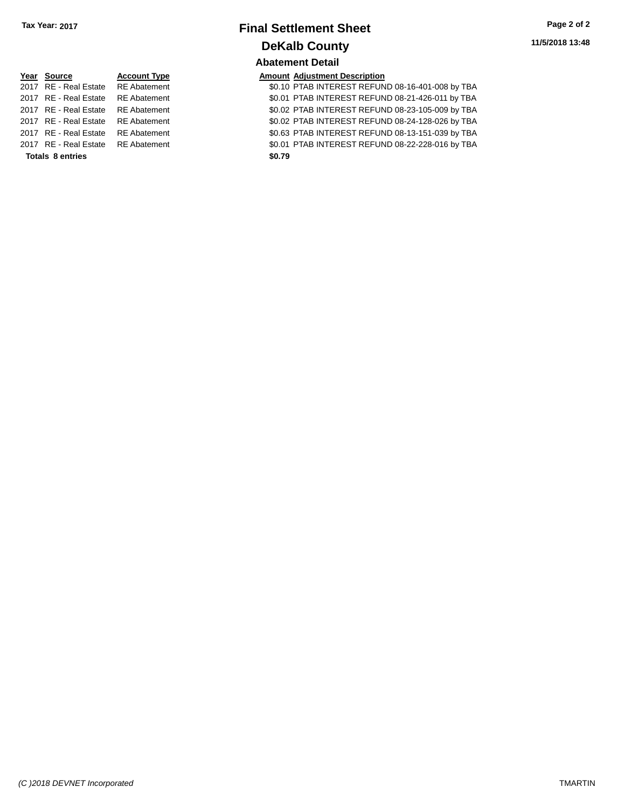### **Final Settlement Sheet Tax Year: 2017 Page 2 of 2 DeKalb County Abatement Detail**

| Year Source             | <b>Account Type</b> | <b>Amount</b> |
|-------------------------|---------------------|---------------|
| 2017 RE - Real Estate   | <b>RE</b> Abatement | \$0.10        |
| 2017 RE - Real Estate   | <b>RE</b> Abatement | \$0.01        |
| 2017 RE - Real Estate   | <b>RE</b> Abatement | \$0.02        |
| 2017 RE - Real Estate   | <b>RE</b> Abatement | \$0.02        |
| 2017 RE - Real Estate   | <b>RE</b> Abatement | \$0.63        |
| 2017 RE - Real Estate   | <b>RE</b> Abatement | \$0.01        |
| <b>Totals 8 entries</b> |                     | \$0.79        |

**<u>Amount Adjustment Description</u><br>**  $\frac{\text{Amount}}{\text{80.10} \text{ PTAB INTEREST REFUN}}$ \$0.10 PTAB INTEREST REFUND 08-16-401-008 by TBA 20.01 PTAB INTEREST REFUND 08-21-426-011 by TBA 20.02 PTAB INTEREST REFUND 08-23-105-009 by TBA 11 **2017 REAL ESTATE SO 2017 REAL ESTATE REFUND 08-24-128-026 by TBA** 20163 PTAB INTEREST REFUND 08-13-151-039 by TBA 20.01 PTAB INTEREST REFUND 08-22-228-016 by TBA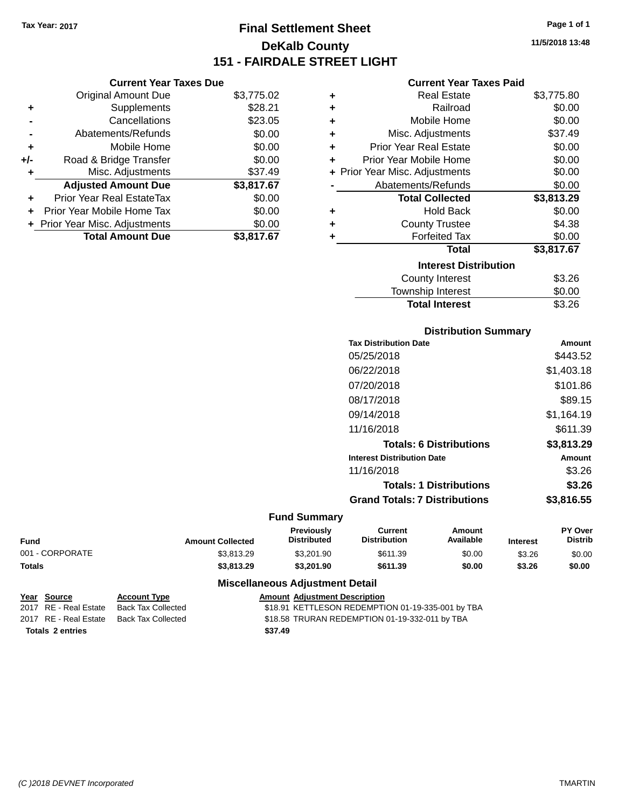**Current Year Taxes Due** Original Amount Due \$3,775.02

**Adjusted Amount Due \$3,817.67**

Total Amount Due \$3,817.67

**+** Supplements \$28.21 **-** Cancellations \$23.05 **-** Abatements/Refunds \$0.00 **+** Mobile Home \$0.00 **+/-** Road & Bridge Transfer \$0.00 **+** Misc. Adjustments \$37.49

**+** Prior Year Real EstateTax \$0.00 **+** Prior Year Mobile Home Tax \$0.00 **+ Prior Year Misc. Adjustments**  $$0.00$ 

# **Final Settlement Sheet Tax Year: 2017 Page 1 of 1 DeKalb County 151 - FAIRDALE STREET LIGHT**

### **11/5/2018 13:48**

| ٠ | <b>Real Estate</b>             | \$3,775.80 |  |  |  |
|---|--------------------------------|------------|--|--|--|
| ٠ | Railroad                       | \$0.00     |  |  |  |
| ÷ | Mobile Home                    | \$0.00     |  |  |  |
| ÷ | Misc. Adjustments              | \$37.49    |  |  |  |
| ÷ | <b>Prior Year Real Estate</b>  | \$0.00     |  |  |  |
| ٠ | Prior Year Mobile Home         | \$0.00     |  |  |  |
|   | + Prior Year Misc. Adjustments | \$0.00     |  |  |  |
|   | Abatements/Refunds             | \$0.00     |  |  |  |
|   | <b>Total Collected</b>         | \$3,813.29 |  |  |  |
| ٠ | <b>Hold Back</b>               | \$0.00     |  |  |  |
| ٠ | <b>County Trustee</b>          | \$4.38     |  |  |  |
| ٠ | <b>Forfeited Tax</b>           | \$0.00     |  |  |  |
|   | <b>Total</b>                   | \$3,817.67 |  |  |  |
|   | <b>Interest Distribution</b>   |            |  |  |  |
|   | <b>County Interest</b>         | \$3.26     |  |  |  |
|   |                                |            |  |  |  |

| <b>OVAIRY INVICTOR</b> | ש⊾. טש |
|------------------------|--------|
| Township Interest      | \$0.00 |
| <b>Total Interest</b>  | \$3.26 |
|                        |        |

| <b>Distribution Summary</b> |  |
|-----------------------------|--|
|                             |  |

| <b>Tax Distribution Date</b>         | Amount     |
|--------------------------------------|------------|
| 05/25/2018                           | \$443.52   |
| 06/22/2018                           | \$1,403.18 |
| 07/20/2018                           | \$101.86   |
| 08/17/2018                           | \$89.15    |
| 09/14/2018                           | \$1,164.19 |
| 11/16/2018                           | \$611.39   |
| <b>Totals: 6 Distributions</b>       | \$3,813.29 |
| <b>Interest Distribution Date</b>    | Amount     |
| 11/16/2018                           | \$3.26     |
| <b>Totals: 1 Distributions</b>       | \$3.26     |
| <b>Grand Totals: 7 Distributions</b> | \$3,816.55 |
|                                      |            |

#### **Fund Summary**

| <b>Fund</b>     | <b>Amount Collected</b> | <b>Previously</b><br><b>Distributed</b> | Current<br><b>Distribution</b> | Amount<br>Available | <b>Interest</b> | PY Over<br>Distrib |
|-----------------|-------------------------|-----------------------------------------|--------------------------------|---------------------|-----------------|--------------------|
| 001 - CORPORATE | \$3.813.29              | \$3,201.90                              | \$611.39                       | \$0.00              | \$3.26          | \$0.00             |
| <b>Totals</b>   | \$3,813,29              | \$3,201.90                              | \$611.39                       | \$0.00              | \$3.26          | \$0.00             |

#### **Miscellaneous Adjustment Detail**

|                         | Year Source           | <b>Account Type</b> |  | <b>Amount Adiustment Description</b>              |
|-------------------------|-----------------------|---------------------|--|---------------------------------------------------|
|                         | 2017 RE - Real Estate | Back Tax Collected  |  | \$18.91 KETTLESON REDEMPTION 01-19-335-001 by TBA |
|                         | 2017 RE - Real Estate | Back Tax Collected  |  | \$18.58 TRURAN REDEMPTION 01-19-332-011 by TBA    |
| <b>Totals 2 entries</b> |                       | \$37.49             |  |                                                   |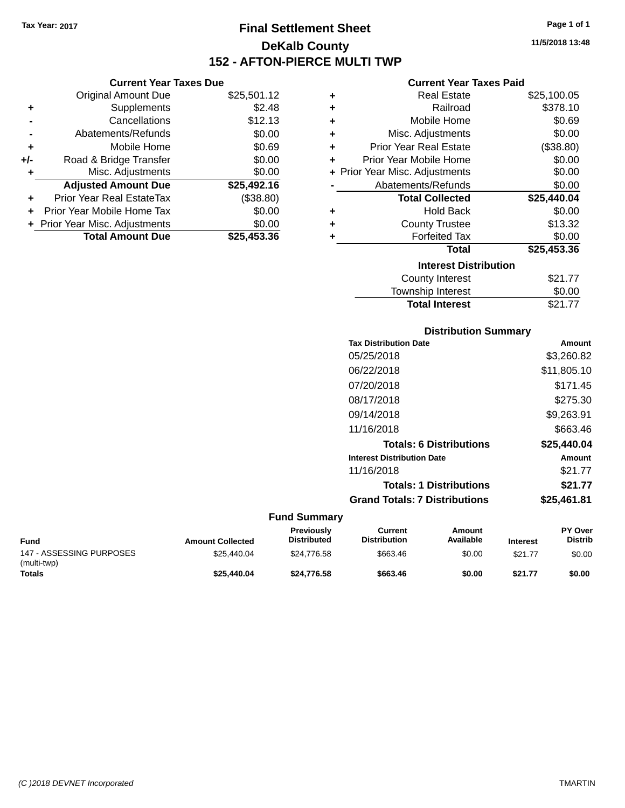# **Final Settlement Sheet Tax Year: 2017 Page 1 of 1 DeKalb County 152 - AFTON-PIERCE MULTI TWP**

**11/5/2018 13:48**

### **Current Year Taxes Paid**

| ٠ | <b>Real Estate</b>             | \$25,100.05 |
|---|--------------------------------|-------------|
| ÷ | Railroad                       | \$378.10    |
| ÷ | Mobile Home                    | \$0.69      |
| ÷ | Misc. Adjustments              | \$0.00      |
| ÷ | <b>Prior Year Real Estate</b>  | (\$38.80)   |
| ÷ | Prior Year Mobile Home         | \$0.00      |
|   | + Prior Year Misc. Adjustments | \$0.00      |
|   | Abatements/Refunds             | \$0.00      |
|   | <b>Total Collected</b>         | \$25,440.04 |
| ٠ | <b>Hold Back</b>               | \$0.00      |
| ٠ | <b>County Trustee</b>          | \$13.32     |
| ٠ | <b>Forfeited Tax</b>           | \$0.00      |
|   | Total                          | \$25,453.36 |
|   | <b>Interest Distribution</b>   |             |
|   | <b>County Interest</b>         | \$21.77     |
|   | <b>Township Interest</b>       | \$0.00      |
|   | <b>Total Interest</b>          | \$21.77     |

### **Distribution Summary Tax Distribution Date Amount** 05/25/2018 \$3,260.82 06/22/2018 \$11,805.10 07/20/2018 \$171.45

| 08/17/2018                           | \$275.30    |
|--------------------------------------|-------------|
| 09/14/2018                           | \$9,263.91  |
| 11/16/2018                           | \$663.46    |
| <b>Totals: 6 Distributions</b>       | \$25,440.04 |
| <b>Interest Distribution Date</b>    | Amount      |
| 11/16/2018                           | \$21.77     |
| <b>Totals: 1 Distributions</b>       | \$21.77     |
| <b>Grand Totals: 7 Distributions</b> | \$25,461.81 |

#### **Fund Summary**

| Fund                                    | <b>Amount Collected</b> | <b>Previously</b><br><b>Distributed</b> | Current<br><b>Distribution</b> | Amount<br>Available | <b>Interest</b> | <b>PY Over</b><br><b>Distrib</b> |
|-----------------------------------------|-------------------------|-----------------------------------------|--------------------------------|---------------------|-----------------|----------------------------------|
| 147 - ASSESSING PURPOSES<br>(multi-twp) | \$25,440.04             | \$24,776.58                             | \$663.46                       | \$0.00              | \$21.77         | \$0.00                           |
| Totals                                  | \$25,440.04             | \$24.776.58                             | \$663.46                       | \$0.00              | \$21.77         | \$0.00                           |

|                | <b>Current Year Taxes Due</b> |             |
|----------------|-------------------------------|-------------|
|                | <b>Original Amount Due</b>    | \$25,501.12 |
| ÷              | <b>Supplements</b>            | \$2.48      |
| $\blacksquare$ | Cancellations                 | \$12.13     |
|                |                               |             |

|                | <b>Total Amount Due</b>        | \$25,453.36 |
|----------------|--------------------------------|-------------|
|                | + Prior Year Misc. Adjustments | \$0.00      |
|                | Prior Year Mobile Home Tax     | \$0.00      |
|                | Prior Year Real EstateTax      | (\$38.80)   |
|                | <b>Adjusted Amount Due</b>     | \$25,492.16 |
| ÷              | Misc. Adjustments              | \$0.00      |
| +/-            | Road & Bridge Transfer         | \$0.00      |
| ÷              | Mobile Home                    | \$0.69      |
| $\blacksquare$ | Abatements/Refunds             | \$0.00      |

*(C )2018 DEVNET Incorporated* TMARTIN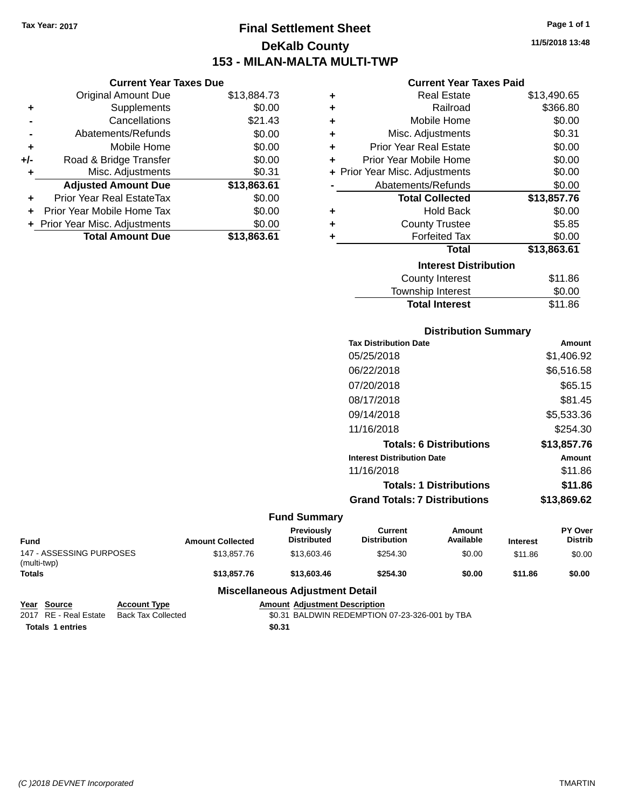**Current Year Taxes Due** Original Amount Due \$13,884.73

**Adjusted Amount Due \$13,863.61**

**Total Amount Due \$13,863.61**

**+** Supplements \$0.00 **-** Cancellations \$21.43 **-** Abatements/Refunds \$0.00 **+** Mobile Home \$0.00 **+/-** Road & Bridge Transfer \$0.00 **+** Misc. Adjustments \$0.31

**+** Prior Year Real EstateTax \$0.00 **+** Prior Year Mobile Home Tax \$0.00 **+ Prior Year Misc. Adjustments**  $$0.00$ 

# **Final Settlement Sheet Tax Year: 2017 Page 1 of 1 DeKalb County 153 - MILAN-MALTA MULTI-TWP**

**11/5/2018 13:48**

| <b>Current Year Taxes Paid</b> |  |  |
|--------------------------------|--|--|
|                                |  |  |

| ٠ | Real Estate                    | \$13,490.65 |
|---|--------------------------------|-------------|
| ÷ | Railroad                       | \$366.80    |
| ÷ | Mobile Home                    | \$0.00      |
| ÷ | Misc. Adjustments              | \$0.31      |
| ÷ | <b>Prior Year Real Estate</b>  | \$0.00      |
| ٠ | Prior Year Mobile Home         | \$0.00      |
|   | + Prior Year Misc. Adjustments | \$0.00      |
|   | Abatements/Refunds             | \$0.00      |
|   | <b>Total Collected</b>         | \$13,857.76 |
| ÷ | <b>Hold Back</b>               | \$0.00      |
| ÷ | <b>County Trustee</b>          | \$5.85      |
| ٠ | <b>Forfeited Tax</b>           | \$0.00      |
|   | <b>Total</b>                   | \$13,863.61 |
|   | <b>Interest Distribution</b>   |             |
|   | <b>County Interest</b>         | \$11.86     |
|   | <b>Township Interest</b>       | \$0.00      |

| <b>Distribution Summary</b>          |             |  |  |  |  |  |
|--------------------------------------|-------------|--|--|--|--|--|
| <b>Tax Distribution Date</b>         | Amount      |  |  |  |  |  |
| 05/25/2018                           | \$1,406.92  |  |  |  |  |  |
| 06/22/2018                           | \$6,516.58  |  |  |  |  |  |
| 07/20/2018                           | \$65.15     |  |  |  |  |  |
| 08/17/2018                           | \$81.45     |  |  |  |  |  |
| 09/14/2018                           | \$5,533.36  |  |  |  |  |  |
| 11/16/2018                           | \$254.30    |  |  |  |  |  |
| <b>Totals: 6 Distributions</b>       | \$13,857.76 |  |  |  |  |  |
| <b>Interest Distribution Date</b>    | Amount      |  |  |  |  |  |
| 11/16/2018                           | \$11.86     |  |  |  |  |  |
| <b>Totals: 1 Distributions</b>       | \$11.86     |  |  |  |  |  |
| <b>Grand Totals: 7 Distributions</b> | \$13.869.62 |  |  |  |  |  |

Total Interest \$11.86

#### **Fund Summary**

| <b>Fund</b>                             | <b>Amount Collected</b> | Previously<br><b>Distributed</b> | Current<br><b>Distribution</b> | Amount<br>Available | <b>Interest</b> | PY Over<br><b>Distrib</b> |
|-----------------------------------------|-------------------------|----------------------------------|--------------------------------|---------------------|-----------------|---------------------------|
| 147 - ASSESSING PURPOSES<br>(multi-twp) | \$13,857,76             | \$13,603.46                      | \$254.30                       | \$0.00              | \$11.86         | \$0.00                    |
| <b>Totals</b>                           | \$13,857,76             | \$13,603,46                      | \$254.30                       | \$0.00              | \$11.86         | \$0.00                    |
| <b>Miscellaneous Adjustment Detail</b>  |                         |                                  |                                |                     |                 |                           |

**Year Source Account Type Amount Adjustment Description** 2017 RE - Real Estate Back Tax Collected \$0.31 BALDWIN REDEMPTION 07-23-326-001 by TBA **Totals \$0.31 1 entries**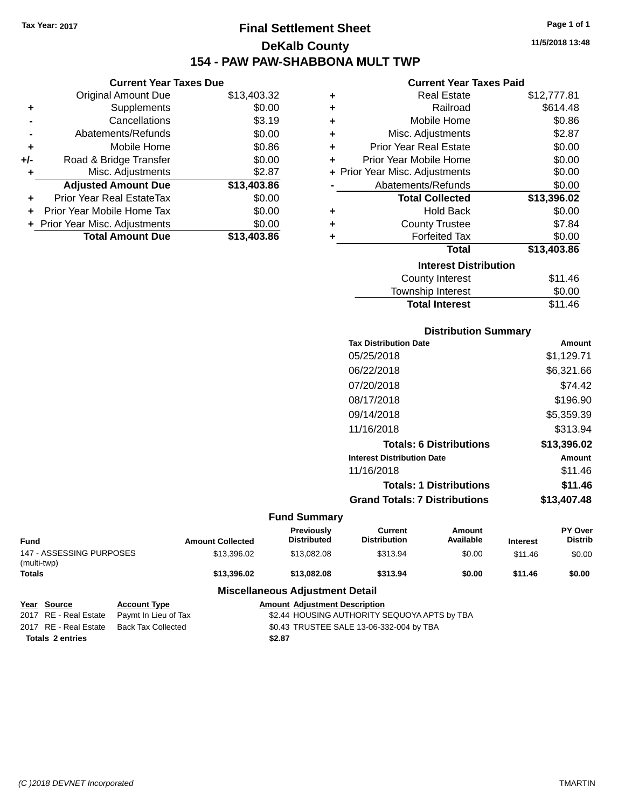# **Final Settlement Sheet Tax Year: 2017 Page 1 of 1 DeKalb County 154 - PAW PAW-SHABBONA MULT TWP**

#### **Current Year Taxes Due**

|       | <b>Original Amount Due</b>       | \$13,403.32 |
|-------|----------------------------------|-------------|
| ٠     | Supplements                      | \$0.00      |
|       | Cancellations                    | \$3.19      |
|       | Abatements/Refunds               | \$0.00      |
| ٠     | Mobile Home                      | \$0.86      |
| $+/-$ | Road & Bridge Transfer           | \$0.00      |
| ٠     | Misc. Adjustments                | \$2.87      |
|       | <b>Adjusted Amount Due</b>       | \$13,403.86 |
| ÷     | <b>Prior Year Real EstateTax</b> | \$0.00      |
|       | Prior Year Mobile Home Tax       | \$0.00      |
|       | + Prior Year Misc. Adjustments   | \$0.00      |
|       | <b>Total Amount Due</b>          | \$13,403.86 |

#### **Current Year Taxes Paid**

| ٠ | <b>Real Estate</b>             | \$12,777.81 |
|---|--------------------------------|-------------|
| ٠ | Railroad                       | \$614.48    |
| ٠ | Mobile Home                    | \$0.86      |
| ٠ | Misc. Adjustments              | \$2.87      |
| ٠ | Prior Year Real Estate         | \$0.00      |
| ٠ | Prior Year Mobile Home         | \$0.00      |
|   | + Prior Year Misc. Adjustments | \$0.00      |
|   | Abatements/Refunds             | \$0.00      |
|   | <b>Total Collected</b>         | \$13,396.02 |
| ٠ | Hold Back                      | \$0.00      |
| ÷ | <b>County Trustee</b>          | \$7.84      |
| ٠ | <b>Forfeited Tax</b>           | \$0.00      |
|   | <b>Total</b>                   | \$13,403.86 |
|   | <b>Interest Distribution</b>   |             |
|   | County Interest                | \$11.46     |
|   | <b>Township Interest</b>       | \$0.00      |
|   | <b>Total Interest</b>          | \$11.46     |

### **Distribution Summary Tax Distribution Date Amount** 05/25/2018 \$1,129.71 06/22/2018 \$6,321.66 07/20/2018 \$74.42 08/17/2018 \$196.90 09/14/2018 \$5,359.39 11/16/2018 \$313.94 **Totals: 6 Distributions \$13,396.02 Interest Distribution Date Amount** 11/16/2018 \$11.46 **Totals: 1 Distributions \$11.46 Grand Totals: 7 Distributions \$13,407.48**

#### **Fund Summary**

| <b>Fund</b>                             | <b>Amount Collected</b> | <b>Previously</b><br><b>Distributed</b> | Current<br><b>Distribution</b> | Amount<br>Available | <b>Interest</b> | <b>PY Over</b><br><b>Distrib</b> |
|-----------------------------------------|-------------------------|-----------------------------------------|--------------------------------|---------------------|-----------------|----------------------------------|
| 147 - ASSESSING PURPOSES<br>(multi-twp) | \$13.396.02             | \$13,082,08                             | \$313.94                       | \$0.00              | \$11.46         | \$0.00                           |
| <b>Totals</b>                           | \$13,396.02             | \$13,082,08                             | \$313.94                       | \$0.00              | \$11.46         | \$0.00                           |

### **Miscellaneous Adjustment Detail**

| Year Source             | <b>Account Type</b>                        |        | <b>Amount Adjustment Description</b>         |
|-------------------------|--------------------------------------------|--------|----------------------------------------------|
|                         | 2017 RE - Real Estate Paymt In Lieu of Tax |        | \$2.44 HOUSING AUTHORITY SEQUOYA APTS by TBA |
|                         | 2017 RE - Real Estate Back Tax Collected   |        | \$0.43 TRUSTEE SALE 13-06-332-004 by TBA     |
| <b>Totals 2 entries</b> |                                            | \$2.87 |                                              |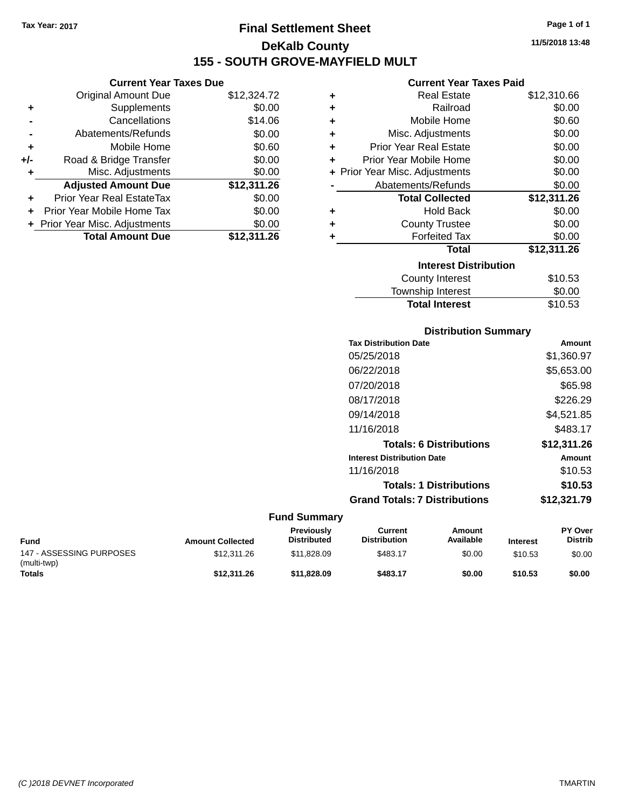**+** Supplements

**Current Year Taxes Due**

**-** Cancellations \$14.06 **-** Abatements/Refunds \$0.00 **+** Mobile Home \$0.60 **+/-** Road & Bridge Transfer \$0.00 **+** Misc. Adjustments \$0.00

**+** Prior Year Real EstateTax \$0.00 **+** Prior Year Mobile Home Tax \$0.00 **+** Prior Year Misc. Adjustments  $$0.00$ 

Original Amount Due \$12,324.72<br>Supplements \$0.00

**Adjusted Amount Due \$12,311.26**

**Total Amount Due \$12,311.26**

# **Final Settlement Sheet Tax Year: 2017 Page 1 of 1 DeKalb County 155 - SOUTH GROVE-MAYFIELD MULT**

**11/5/2018 13:48**

#### **Current Year Taxes Paid**

| ٠ | <b>Real Estate</b>             | \$12,310.66 |
|---|--------------------------------|-------------|
| ÷ | Railroad                       | \$0.00      |
| ÷ | Mobile Home                    | \$0.60      |
| ÷ | Misc. Adjustments              | \$0.00      |
| ÷ | <b>Prior Year Real Estate</b>  | \$0.00      |
| ٠ | Prior Year Mobile Home         | \$0.00      |
|   | + Prior Year Misc. Adjustments | \$0.00      |
|   | Abatements/Refunds             | \$0.00      |
|   |                                |             |
|   | <b>Total Collected</b>         | \$12,311.26 |
| ٠ | <b>Hold Back</b>               | \$0.00      |
| ٠ | <b>County Trustee</b>          | \$0.00      |
|   | <b>Forfeited Tax</b>           | \$0.00      |
|   | <b>Total</b>                   | \$12,311.26 |
|   | <b>Interest Distribution</b>   |             |
|   | <b>County Interest</b>         | \$10.53     |

### **Distribution Summary Tax Distribution Date Amount** 05/25/2018 \$1,360.97 06/22/2018 \$5,653.00 07/20/2018 \$65.98 08/17/2018 \$226.29 09/14/2018 \$4,521.85 11/16/2018 \$483.17 **Totals: 6 Distributions \$12,311.26 Interest Distribution Date Amount** 11/16/2018 \$10.53 **Totals: 1 Distributions \$10.53 Grand Totals: 7 Distributions \$12,321.79**

Total Interest \$10.53

| Fund                                    | <b>Amount Collected</b> | <b>Previously</b><br><b>Distributed</b> | Current<br><b>Distribution</b> | Amount<br>Available | <b>Interest</b> | <b>PY Over</b><br><b>Distrib</b> |
|-----------------------------------------|-------------------------|-----------------------------------------|--------------------------------|---------------------|-----------------|----------------------------------|
| 147 - ASSESSING PURPOSES<br>(multi-twp) | \$12,311,26             | \$11.828.09                             | \$483.17                       | \$0.00              | \$10.53         | \$0.00                           |
| <b>Totals</b>                           | \$12,311.26             | \$11,828,09                             | \$483.17                       | \$0.00              | \$10.53         | \$0.00                           |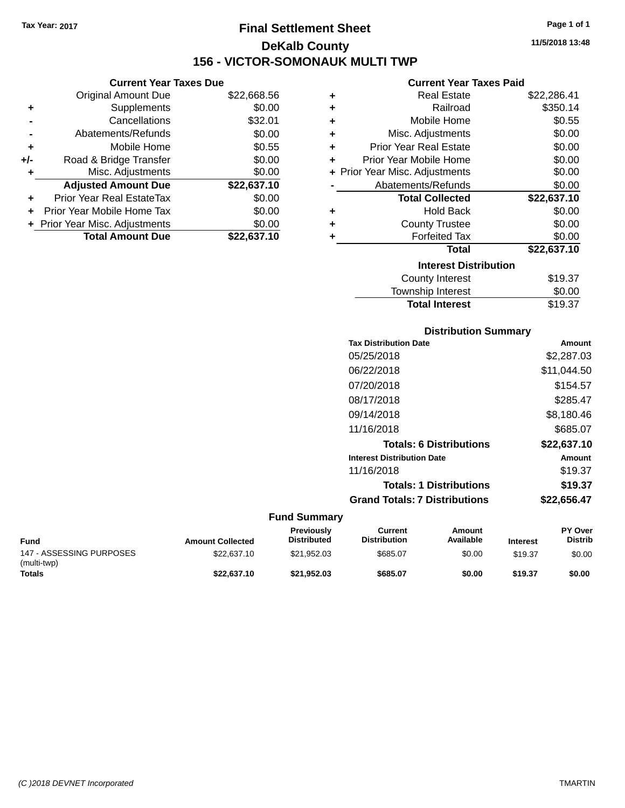# **Final Settlement Sheet Tax Year: 2017 Page 1 of 1 DeKalb County 156 - VICTOR-SOMONAUK MULTI TWP**

|       | <b>Current Year Taxes Due</b>  |             |  |  |
|-------|--------------------------------|-------------|--|--|
|       | <b>Original Amount Due</b>     | \$22,668.56 |  |  |
| ٠     | Supplements                    | \$0.00      |  |  |
|       | Cancellations                  | \$32.01     |  |  |
|       | Abatements/Refunds             | \$0.00      |  |  |
| ٠     | Mobile Home                    | \$0.55      |  |  |
| $+/-$ | Road & Bridge Transfer         | \$0.00      |  |  |
| ٠     | Misc. Adjustments              | \$0.00      |  |  |
|       | <b>Adjusted Amount Due</b>     | \$22,637.10 |  |  |
| ٠     | Prior Year Real EstateTax      | \$0.00      |  |  |
| ٠     | Prior Year Mobile Home Tax     | \$0.00      |  |  |
|       | + Prior Year Misc. Adjustments | \$0.00      |  |  |
|       | <b>Total Amount Due</b>        | \$22,637.10 |  |  |

|   | <b>Current Year Taxes Paid</b> |             |  |  |
|---|--------------------------------|-------------|--|--|
| ٠ | Real Estate                    | \$22,286.41 |  |  |
| ٠ | Railroad                       | \$350.14    |  |  |
| ٠ | Mobile Home                    | \$0.55      |  |  |
| ÷ | Misc. Adjustments              | \$0.00      |  |  |
| ÷ | <b>Prior Year Real Estate</b>  | \$0.00      |  |  |
| ÷ | Prior Year Mobile Home         | \$0.00      |  |  |
|   | + Prior Year Misc. Adjustments | \$0.00      |  |  |
|   | Abatements/Refunds             | \$0.00      |  |  |
|   | <b>Total Collected</b>         | \$22,637.10 |  |  |
| ٠ | <b>Hold Back</b>               | \$0.00      |  |  |
| ÷ | <b>County Trustee</b>          | \$0.00      |  |  |
| ٠ | <b>Forfeited Tax</b>           | \$0.00      |  |  |
|   | Total                          | \$22,637.10 |  |  |
|   |                                |             |  |  |
|   | <b>Interest Distribution</b>   |             |  |  |
|   | County Interest                | \$19.37     |  |  |
|   | <b>Township Interest</b>       | \$0.00      |  |  |

| <b>Distribution Summary</b>          |             |
|--------------------------------------|-------------|
| <b>Tax Distribution Date</b>         | Amount      |
| 05/25/2018                           | \$2,287.03  |
| 06/22/2018                           | \$11,044.50 |
| 07/20/2018                           | \$154.57    |
| 08/17/2018                           | \$285.47    |
| 09/14/2018                           | \$8,180.46  |
| 11/16/2018                           | \$685.07    |
| <b>Totals: 6 Distributions</b>       | \$22,637.10 |
| <b>Interest Distribution Date</b>    | Amount      |
| 11/16/2018                           | \$19.37     |
| <b>Totals: 1 Distributions</b>       | \$19.37     |
| <b>Grand Totals: 7 Distributions</b> | \$22,656.47 |

| <b>Fund</b>                             | <b>Amount Collected</b> | <b>Previously</b><br><b>Distributed</b> | Current<br><b>Distribution</b> | Amount<br>Available | <b>Interest</b> | <b>PY Over</b><br><b>Distrib</b> |
|-----------------------------------------|-------------------------|-----------------------------------------|--------------------------------|---------------------|-----------------|----------------------------------|
| 147 - ASSESSING PURPOSES<br>(multi-twp) | \$22,637.10             | \$21.952.03                             | \$685.07                       | \$0.00              | \$19.37         | \$0.00                           |
| <b>Totals</b>                           | \$22.637.10             | \$21.952.03                             | \$685.07                       | \$0.00              | \$19.37         | \$0.00                           |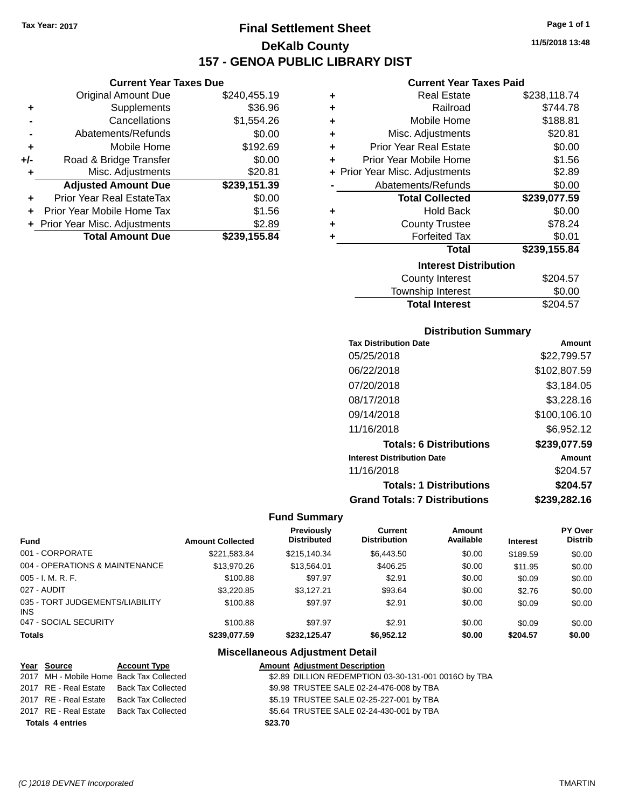# **Final Settlement Sheet Tax Year: 2017 Page 1 of 1 DeKalb County 157 - GENOA PUBLIC LIBRARY DIST**

### **Current Year Taxes Due**

|       | <b>Original Amount Due</b>     | \$240,455.19 |
|-------|--------------------------------|--------------|
| ٠     | Supplements                    | \$36.96      |
|       | Cancellations                  | \$1,554.26   |
|       | Abatements/Refunds             | \$0.00       |
| ٠     | Mobile Home                    | \$192.69     |
| $+/-$ | Road & Bridge Transfer         | \$0.00       |
| ٠     | Misc. Adjustments              | \$20.81      |
|       | <b>Adjusted Amount Due</b>     | \$239,151.39 |
| ٠     | Prior Year Real EstateTax      | \$0.00       |
|       | Prior Year Mobile Home Tax     | \$1.56       |
|       | + Prior Year Misc. Adjustments | \$2.89       |
|       | <b>Total Amount Due</b>        | \$239,155.84 |

#### **Current Year Taxes Paid**

| ٠ | <b>Real Estate</b>             | \$238,118.74 |
|---|--------------------------------|--------------|
| ٠ | Railroad                       | \$744.78     |
| ÷ | Mobile Home                    | \$188.81     |
| ٠ | Misc. Adjustments              | \$20.81      |
| ٠ | <b>Prior Year Real Estate</b>  | \$0.00       |
| ٠ | Prior Year Mobile Home         | \$1.56       |
|   | + Prior Year Misc. Adjustments | \$2.89       |
|   | Abatements/Refunds             | \$0.00       |
|   | <b>Total Collected</b>         | \$239,077.59 |
| ٠ | <b>Hold Back</b>               | \$0.00       |
| ٠ | <b>County Trustee</b>          | \$78.24      |
| ٠ | <b>Forfeited Tax</b>           | \$0.01       |
|   | <b>Total</b>                   | \$239,155.84 |
|   | <b>Interest Distribution</b>   |              |
|   | <b>County Interest</b>         | \$204.57     |
|   | Townshin Interest              | ፍስ ሰስ        |

| <b>Total Interest</b> | \$204.57 |
|-----------------------|----------|
| Township Interest     | \$0.00   |
| County Interest       | \$204.57 |

### **Distribution Summary**

| <b>Tax Distribution Date</b>         | Amount       |
|--------------------------------------|--------------|
| 05/25/2018                           | \$22,799.57  |
| 06/22/2018                           | \$102,807.59 |
| 07/20/2018                           | \$3.184.05   |
| 08/17/2018                           | \$3,228.16   |
| 09/14/2018                           | \$100,106.10 |
| 11/16/2018                           | \$6,952.12   |
| <b>Totals: 6 Distributions</b>       | \$239,077.59 |
| <b>Interest Distribution Date</b>    | Amount       |
| 11/16/2018                           | \$204.57     |
| <b>Totals: 1 Distributions</b>       | \$204.57     |
| <b>Grand Totals: 7 Distributions</b> | \$239,282.16 |

### **Fund Summary**

| <b>Fund</b>                             | <b>Amount Collected</b> | <b>Previously</b><br><b>Distributed</b> | <b>Current</b><br><b>Distribution</b> | Amount<br>Available | <b>Interest</b> | <b>PY Over</b><br><b>Distrib</b> |
|-----------------------------------------|-------------------------|-----------------------------------------|---------------------------------------|---------------------|-----------------|----------------------------------|
| 001 - CORPORATE                         | \$221.583.84            | \$215.140.34                            | \$6,443.50                            | \$0.00              | \$189.59        | \$0.00                           |
| 004 - OPERATIONS & MAINTENANCE          | \$13,970.26             | \$13,564.01                             | \$406.25                              | \$0.00              | \$11.95         | \$0.00                           |
| 005 - I. M. R. F.                       | \$100.88                | \$97.97                                 | \$2.91                                | \$0.00              | \$0.09          | \$0.00                           |
| 027 - AUDIT                             | \$3.220.85              | \$3.127.21                              | \$93.64                               | \$0.00              | \$2.76          | \$0.00                           |
| 035 - TORT JUDGEMENTS/LIABILITY<br>INS. | \$100.88                | \$97.97                                 | \$2.91                                | \$0.00              | \$0.09          | \$0.00                           |
| 047 - SOCIAL SECURITY                   | \$100.88                | \$97.97                                 | \$2.91                                | \$0.00              | \$0.09          | \$0.00                           |
| <b>Totals</b>                           | \$239.077.59            | \$232.125.47                            | \$6,952.12                            | \$0.00              | \$204.57        | \$0.00                           |

### **Miscellaneous Adjustment Detail**

|                         | Year Source                              | <b>Account Type</b>                      |         | <b>Amount Adjustment Description</b>                 |
|-------------------------|------------------------------------------|------------------------------------------|---------|------------------------------------------------------|
|                         |                                          | 2017 MH - Mobile Home Back Tax Collected |         | \$2.89 DILLION REDEMPTION 03-30-131-001 0016O by TBA |
|                         | 2017 RE - Real Estate Back Tax Collected |                                          |         | \$9.98 TRUSTEE SALE 02-24-476-008 by TBA             |
|                         | 2017 RE - Real Estate Back Tax Collected |                                          |         | \$5.19 TRUSTEE SALE 02-25-227-001 by TBA             |
|                         | 2017 RE - Real Estate Back Tax Collected |                                          |         | \$5.64 TRUSTEE SALE 02-24-430-001 by TBA             |
| <b>Totals 4 entries</b> |                                          |                                          | \$23.70 |                                                      |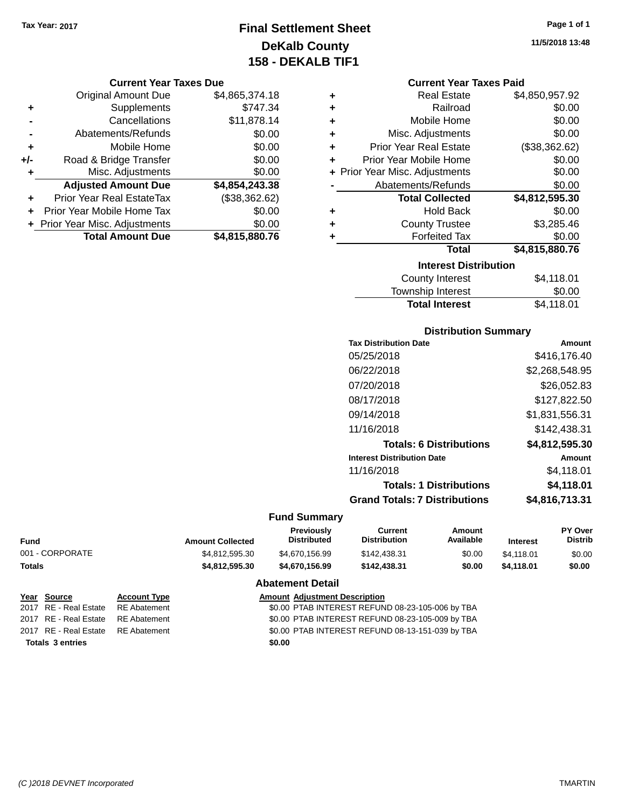# **Final Settlement Sheet Tax Year: 2017 Page 1 of 1 DeKalb County 158 - DEKALB TIF1**

#### **Current Year Taxes Due**

|       | <b>Original Amount Due</b>     | \$4,865,374.18 |
|-------|--------------------------------|----------------|
| ٠     | Supplements                    | \$747.34       |
|       | Cancellations                  | \$11,878.14    |
|       | Abatements/Refunds             | \$0.00         |
| ٠     | Mobile Home                    | \$0.00         |
| $+/-$ | Road & Bridge Transfer         | \$0.00         |
| ٠     | Misc. Adjustments              | \$0.00         |
|       | <b>Adjusted Amount Due</b>     | \$4,854,243.38 |
|       | Prior Year Real EstateTax      | (\$38,362.62)  |
|       | Prior Year Mobile Home Tax     | \$0.00         |
|       | + Prior Year Misc. Adjustments | \$0.00         |
|       | <b>Total Amount Due</b>        | \$4,815,880.76 |

#### **Current Year Taxes Paid**

| ٠ | <b>Real Estate</b>             | \$4,850,957.92 |  |  |
|---|--------------------------------|----------------|--|--|
| ٠ | Railroad                       | \$0.00         |  |  |
| ٠ | Mobile Home                    | \$0.00         |  |  |
| ٠ | Misc. Adjustments              | \$0.00         |  |  |
| ٠ | <b>Prior Year Real Estate</b>  | (\$38,362.62)  |  |  |
| ÷ | Prior Year Mobile Home         | \$0.00         |  |  |
|   | + Prior Year Misc. Adjustments | \$0.00         |  |  |
|   | Abatements/Refunds             | \$0.00         |  |  |
|   | <b>Total Collected</b>         | \$4,812,595.30 |  |  |
| ٠ | <b>Hold Back</b>               | \$0.00         |  |  |
| ٠ | <b>County Trustee</b>          | \$3,285.46     |  |  |
| ٠ | <b>Forfeited Tax</b>           | \$0.00         |  |  |
|   | <b>Total</b>                   | \$4,815,880.76 |  |  |
|   | <b>Interest Distribution</b>   |                |  |  |

| \$4,118.01 |
|------------|
| \$0.00     |
| \$4.118.01 |
|            |

### **Distribution Summary**

| <b>Tax Distribution Date</b>         | Amount         |
|--------------------------------------|----------------|
| 05/25/2018                           | \$416,176.40   |
| 06/22/2018                           | \$2,268,548.95 |
| 07/20/2018                           | \$26,052.83    |
| 08/17/2018                           | \$127,822.50   |
| 09/14/2018                           | \$1,831,556.31 |
| 11/16/2018                           | \$142,438.31   |
| <b>Totals: 6 Distributions</b>       | \$4,812,595.30 |
| <b>Interest Distribution Date</b>    | Amount         |
| 11/16/2018                           | \$4.118.01     |
| <b>Totals: 1 Distributions</b>       | \$4,118.01     |
| <b>Grand Totals: 7 Distributions</b> | \$4,816,713.31 |
|                                      |                |

### **Fund Summary**

| Fund            | <b>Amount Collected</b> | <b>Previously</b><br><b>Distributed</b> | Current<br><b>Distribution</b> | Amount<br>Available | <b>Interest</b> | <b>PY Over</b><br><b>Distrib</b> |
|-----------------|-------------------------|-----------------------------------------|--------------------------------|---------------------|-----------------|----------------------------------|
| 001 - CORPORATE | \$4.812.595.30          | \$4.670.156.99                          | \$142,438.31                   | \$0.00              | \$4.118.01      | \$0.00                           |
| Totals          | \$4.812.595.30          | \$4.670.156.99                          | \$142,438,31                   | \$0.00              | \$4.118.01      | \$0.00                           |
|                 |                         |                                         |                                |                     |                 |                                  |

#### **Abatement Detail**

| Year Source                        | <b>Account Type</b> | <b>Amount Adjustment Description</b>             |
|------------------------------------|---------------------|--------------------------------------------------|
| 2017 RE - Real Estate              | RE Abatement        | \$0.00 PTAB INTEREST REFUND 08-23-105-006 by TBA |
| 2017 RE - Real Estate RE Abatement |                     | \$0.00 PTAB INTEREST REFUND 08-23-105-009 by TBA |
| 2017 RE - Real Estate RE Abatement |                     | \$0.00 PTAB INTEREST REFUND 08-13-151-039 by TBA |
| <b>Totals 3 entries</b>            |                     | \$0.00                                           |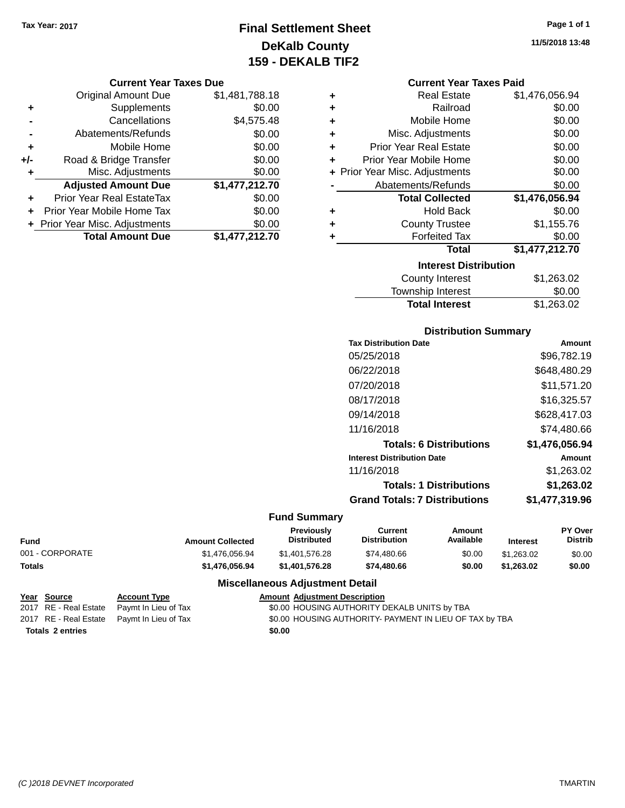# **Final Settlement Sheet Tax Year: 2017 Page 1 of 1 DeKalb County 159 - DEKALB TIF2**

#### **Current Year Taxes Due**

|       | <b>Original Amount Due</b>       | \$1,481,788.18 |
|-------|----------------------------------|----------------|
| ٠     | Supplements                      | \$0.00         |
|       | Cancellations                    | \$4,575.48     |
|       | Abatements/Refunds               | \$0.00         |
| ÷     | Mobile Home                      | \$0.00         |
| $+/-$ | Road & Bridge Transfer           | \$0.00         |
| ٠     | Misc. Adjustments                | \$0.00         |
|       | <b>Adjusted Amount Due</b>       | \$1,477,212.70 |
|       | <b>Prior Year Real EstateTax</b> | \$0.00         |
|       | Prior Year Mobile Home Tax       | \$0.00         |
|       | + Prior Year Misc. Adjustments   | \$0.00         |
|       | <b>Total Amount Due</b>          | \$1,477,212.70 |

#### **Current Year Taxes Paid**

| ٠ | <b>Real Estate</b>             | \$1,476,056.94 |
|---|--------------------------------|----------------|
| ٠ | Railroad                       | \$0.00         |
| ٠ | Mobile Home                    | \$0.00         |
| ٠ | Misc. Adjustments              | \$0.00         |
| ٠ | <b>Prior Year Real Estate</b>  | \$0.00         |
| ÷ | Prior Year Mobile Home         | \$0.00         |
|   | + Prior Year Misc. Adjustments | \$0.00         |
|   | Abatements/Refunds             | \$0.00         |
|   | <b>Total Collected</b>         | \$1,476,056.94 |
| ٠ | <b>Hold Back</b>               | \$0.00         |
| ٠ | <b>County Trustee</b>          | \$1,155.76     |
| ٠ | <b>Forfeited Tax</b>           | \$0.00         |
|   | <b>Total</b>                   | \$1,477,212.70 |
|   | <b>Interest Distribution</b>   |                |
|   | <b>County Interest</b>         | \$1.263.02     |

| <b>Total Interest</b> | \$1,263.02 |
|-----------------------|------------|
| Township Interest     | \$0.00     |
| County Interest       | \$1,263.02 |

### **Distribution Summary**

| <b>Tax Distribution Date</b>         | Amount         |
|--------------------------------------|----------------|
| 05/25/2018                           | \$96,782.19    |
| 06/22/2018                           | \$648,480.29   |
| 07/20/2018                           | \$11,571.20    |
| 08/17/2018                           | \$16,325.57    |
| 09/14/2018                           | \$628,417.03   |
| 11/16/2018                           | \$74.480.66    |
| <b>Totals: 6 Distributions</b>       | \$1.476.056.94 |
| <b>Interest Distribution Date</b>    | Amount         |
| 11/16/2018                           | \$1,263.02     |
| <b>Totals: 1 Distributions</b>       | \$1.263.02     |
| <b>Grand Totals: 7 Distributions</b> | \$1,477,319.96 |
|                                      |                |

### **Fund Summary**

| Fund            | <b>Amount Collected</b> | Previously<br>Distributed | Current<br><b>Distribution</b> | Amount<br>Available | <b>Interest</b> | <b>PY Over</b><br>Distrib |
|-----------------|-------------------------|---------------------------|--------------------------------|---------------------|-----------------|---------------------------|
| 001 - CORPORATE | \$1,476,056,94          | \$1,401,576,28            | \$74,480.66                    | \$0.00              | \$1,263,02      | \$0.00                    |
| Totals          | \$1.476.056.94          | \$1,401,576,28            | \$74,480,66                    | \$0.00              | \$1.263.02      | \$0.00                    |

#### **Miscellaneous Adjustment Detail**

| Year Source             | <b>Account Type</b>                        | <b>Amount Adiustment Description</b>                    |
|-------------------------|--------------------------------------------|---------------------------------------------------------|
|                         | 2017 RE - Real Estate Paymt In Lieu of Tax | \$0.00 HOUSING AUTHORITY DEKALB UNITS by TBA            |
|                         | 2017 RE - Real Estate Paymt In Lieu of Tax | \$0.00 HOUSING AUTHORITY- PAYMENT IN LIEU OF TAX by TBA |
| <b>Totals 2 entries</b> |                                            | \$0.00                                                  |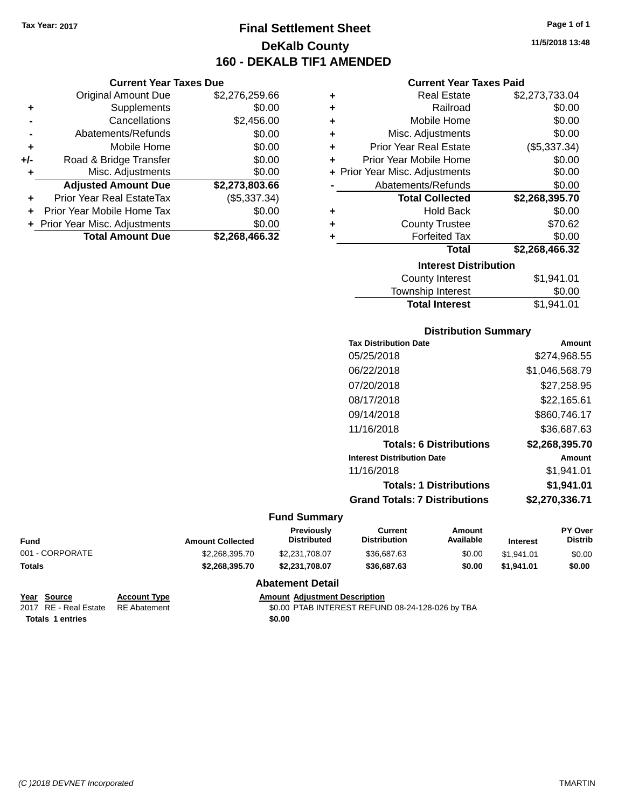**Current Year Taxes Due** Original Amount Due \$2,276,259.66

**Adjusted Amount Due \$2,273,803.66**

**+** Supplements \$0.00 **-** Cancellations \$2,456.00 **-** Abatements/Refunds \$0.00 **+** Mobile Home \$0.00 **+/-** Road & Bridge Transfer \$0.00 **+** Misc. Adjustments \$0.00

**+** Prior Year Real EstateTax (\$5,337.34) **+** Prior Year Mobile Home Tax \$0.00 **+** Prior Year Misc. Adjustments \$0.00<br> **Total Amount Due** \$2,268,466.32

**Total Amount Due** 

# **Final Settlement Sheet Tax Year: 2017 Page 1 of 1 DeKalb County 160 - DEKALB TIF1 AMENDED**

# **11/5/2018 13:48**

#### **Current Year Taxes Paid**

| ٠ | <b>Real Estate</b>             | \$2,273,733.04      |
|---|--------------------------------|---------------------|
| ÷ | Railroad                       | \$0.00              |
| ٠ | Mobile Home                    | \$0.00              |
| ÷ | Misc. Adjustments              | \$0.00              |
| ٠ | <b>Prior Year Real Estate</b>  | (\$5,337.34)        |
| ٠ | Prior Year Mobile Home         | \$0.00              |
|   | + Prior Year Misc. Adjustments | \$0.00              |
|   | Abatements/Refunds             | \$0.00              |
|   | <b>Total Collected</b>         | \$2,268,395.70      |
| ٠ | <b>Hold Back</b>               | \$0.00              |
| ٠ | <b>County Trustee</b>          | \$70.62             |
| ٠ | <b>Forfeited Tax</b>           | \$0.00              |
|   | <b>Total</b>                   | \$2,268,466.32      |
|   | <b>Interest Distribution</b>   |                     |
|   | County Interest                | <b>ፍ</b> 1  Q41  ∩1 |

| County Interest       | \$1,941.01 |
|-----------------------|------------|
| Township Interest     | \$0.00     |
| <b>Total Interest</b> | \$1,941.01 |

#### **Distribution Summary**

| <b>Tax Distribution Date</b>         | Amount         |
|--------------------------------------|----------------|
| 05/25/2018                           | \$274,968.55   |
| 06/22/2018                           | \$1,046,568.79 |
| 07/20/2018                           | \$27.258.95    |
| 08/17/2018                           | \$22.165.61    |
| 09/14/2018                           | \$860,746.17   |
| 11/16/2018                           | \$36,687.63    |
| <b>Totals: 6 Distributions</b>       | \$2,268,395.70 |
| <b>Interest Distribution Date</b>    | Amount         |
| 11/16/2018                           | \$1,941.01     |
| <b>Totals: 1 Distributions</b>       | \$1,941.01     |
| <b>Grand Totals: 7 Distributions</b> | \$2,270,336.71 |
|                                      |                |

#### **Fund Summary**

| <b>Amount Collected</b> | <b>Previously</b><br><b>Distributed</b> | Current<br><b>Distribution</b> | Amount<br>Available | <b>Interest</b> | <b>PY Over</b><br><b>Distrib</b> |
|-------------------------|-----------------------------------------|--------------------------------|---------------------|-----------------|----------------------------------|
| \$2,268,395.70          | \$2,231,708,07                          | \$36,687.63                    | \$0.00              | \$1.941.01      | \$0.00                           |
| \$2,268,395.70          | \$2,231,708,07                          | \$36,687,63                    | \$0.00              | \$1.941.01      | \$0.00                           |
|                         |                                         |                                |                     |                 |                                  |

#### **Abatement Detail**

| Year Source                        | <b>Account Type</b> | <b>Amount Adjustment Description</b>             |
|------------------------------------|---------------------|--------------------------------------------------|
| 2017 RE - Real Estate RE Abatement |                     | \$0.00 PTAB INTEREST REFUND 08-24-128-026 by TBA |
| <b>Totals 1 entries</b>            |                     | \$0.00                                           |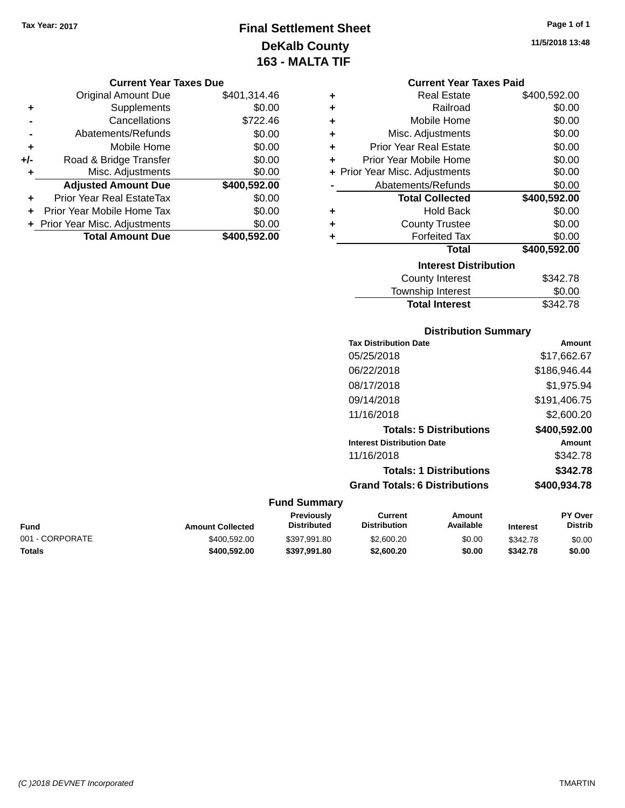# **Final Settlement Sheet Tax Year: 2017 Page 1 of 1 DeKalb County 163 - MALTA TIF**

**11/5/2018 13:48**

#### **Current Year Taxes Due**

|       | <b>Original Amount Due</b>       | \$401,314.46 |
|-------|----------------------------------|--------------|
| ٠     | Supplements                      | \$0.00       |
|       | Cancellations                    | \$722.46     |
|       | Abatements/Refunds               | \$0.00       |
| ٠     | Mobile Home                      | \$0.00       |
| $+/-$ | Road & Bridge Transfer           | \$0.00       |
| ٠     | Misc. Adjustments                | \$0.00       |
|       | <b>Adjusted Amount Due</b>       | \$400,592.00 |
| ÷     | <b>Prior Year Real EstateTax</b> | \$0.00       |
|       | Prior Year Mobile Home Tax       | \$0.00       |
|       | + Prior Year Misc. Adjustments   | \$0.00       |
|       | <b>Total Amount Due</b>          | \$400,592.00 |

|   | <b>Current Year Taxes Paid</b> |              |  |  |  |  |
|---|--------------------------------|--------------|--|--|--|--|
| ٠ | <b>Real Estate</b>             | \$400,592.00 |  |  |  |  |
| ٠ | Railroad                       | \$0.00       |  |  |  |  |
| ÷ | Mobile Home                    | \$0.00       |  |  |  |  |
| ÷ | Misc. Adjustments              | \$0.00       |  |  |  |  |
| ÷ | Prior Year Real Estate         | \$0.00       |  |  |  |  |
| ٠ | Prior Year Mobile Home         | \$0.00       |  |  |  |  |
|   | + Prior Year Misc. Adjustments | \$0.00       |  |  |  |  |
|   | Abatements/Refunds             | \$0.00       |  |  |  |  |
|   | <b>Total Collected</b>         | \$400,592.00 |  |  |  |  |
| ٠ | <b>Hold Back</b>               | \$0.00       |  |  |  |  |
| ٠ | <b>County Trustee</b>          | \$0.00       |  |  |  |  |
| ٠ | <b>Forfeited Tax</b>           | \$0.00       |  |  |  |  |
|   | <b>Total</b>                   | \$400,592.00 |  |  |  |  |
|   | <b>Interest Distribution</b>   |              |  |  |  |  |
|   | <b>County Interest</b>         | \$342.78     |  |  |  |  |
|   | Tauwalaha batawaat             | ድል ሰሰ        |  |  |  |  |

| <b>Total Interest</b> | \$342.78 |
|-----------------------|----------|
| Township Interest     | \$0.00   |
| County interest       | \$342.78 |

### **Distribution Summary**

| <b>Tax Distribution Date</b>         | Amount       |
|--------------------------------------|--------------|
| 05/25/2018                           | \$17,662.67  |
| 06/22/2018                           | \$186,946.44 |
| 08/17/2018                           | \$1,975.94   |
| 09/14/2018                           | \$191,406.75 |
| 11/16/2018                           | \$2,600.20   |
| <b>Totals: 5 Distributions</b>       | \$400,592.00 |
| <b>Interest Distribution Date</b>    | Amount       |
| 11/16/2018                           | \$342.78     |
| <b>Totals: 1 Distributions</b>       | \$342.78     |
| <b>Grand Totals: 6 Distributions</b> | \$400,934.78 |
|                                      |              |

| <b>Fund</b>     | <b>Amount Collected</b> | Previously<br><b>Distributed</b> | Current<br>Distribution | Amount<br>Available | <b>Interest</b> | <b>PY Over</b><br>Distrib |
|-----------------|-------------------------|----------------------------------|-------------------------|---------------------|-----------------|---------------------------|
| 001 - CORPORATE | \$400,592.00            | \$397.991.80                     | \$2,600.20              | \$0.00              | \$342.78        | \$0.00                    |
| <b>Totals</b>   | \$400,592.00            | \$397.991.80                     | \$2,600.20              | \$0.00              | \$342.78        | \$0.00                    |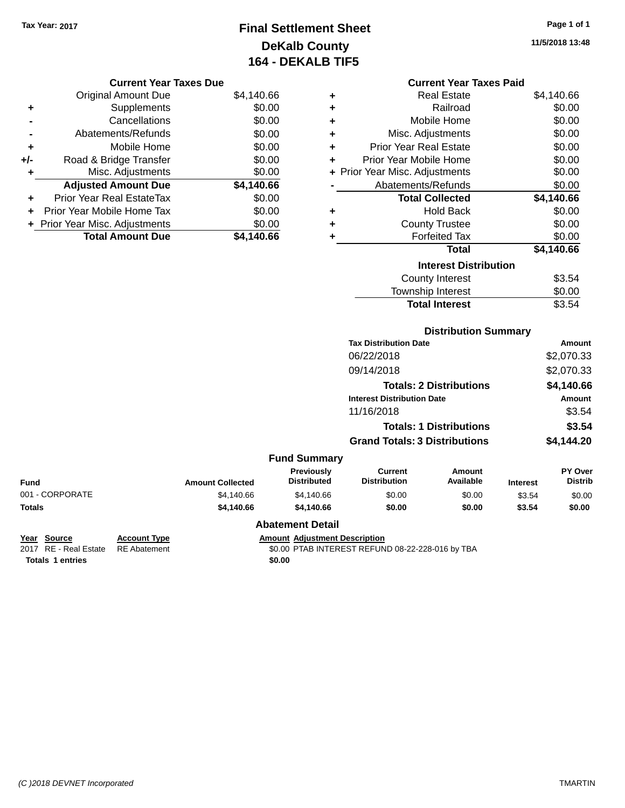# **Final Settlement Sheet Tax Year: 2017 Page 1 of 1 DeKalb County 164 - DEKALB TIF5**

**11/5/2018 13:48**

### **Current Year Taxes Due**

|       | <b>Original Amount Due</b>     | \$4,140.66 |
|-------|--------------------------------|------------|
| ٠     | Supplements                    | \$0.00     |
|       | Cancellations                  | \$0.00     |
|       | Abatements/Refunds             | \$0.00     |
| ÷     | Mobile Home                    | \$0.00     |
| $+/-$ | Road & Bridge Transfer         | \$0.00     |
| ٠     | Misc. Adjustments              | \$0.00     |
|       | <b>Adjusted Amount Due</b>     | \$4,140.66 |
| ٠     | Prior Year Real EstateTax      | \$0.00     |
|       | Prior Year Mobile Home Tax     | \$0.00     |
|       | + Prior Year Misc. Adjustments | \$0.00     |
|       | <b>Total Amount Due</b>        | \$4,140.66 |

#### **Current Year Taxes Paid**

| ٠ | <b>Real Estate</b>             | \$4,140.66 |
|---|--------------------------------|------------|
| ÷ | Railroad                       | \$0.00     |
| ÷ | Mobile Home                    | \$0.00     |
| ٠ | Misc. Adjustments              | \$0.00     |
| ٠ | <b>Prior Year Real Estate</b>  | \$0.00     |
| ٠ | Prior Year Mobile Home         | \$0.00     |
|   | + Prior Year Misc. Adjustments | \$0.00     |
|   | Abatements/Refunds             | \$0.00     |
|   | <b>Total Collected</b>         | \$4,140.66 |
| ٠ | <b>Hold Back</b>               | \$0.00     |
| ٠ | <b>County Trustee</b>          | \$0.00     |
| ٠ | <b>Forfeited Tax</b>           | \$0.00     |
|   | <b>Total</b>                   | \$4,140.66 |
|   | <b>Interest Distribution</b>   |            |
|   | <b>County Interest</b>         | \$3.54     |
|   | Townshin Interest              | ደበ በበ      |

### Township Interest Total Interest \$3.54

### **Distribution Summary**

| Amount     |
|------------|
| \$2,070.33 |
| \$2,070.33 |
| \$4,140.66 |
| Amount     |
| \$3.54     |
| \$3.54     |
| \$4,144.20 |
|            |

#### **Fund Summary**

| <b>Amount Collected</b> | <b>Previously</b><br>Distributed | Current<br><b>Distribution</b> | Amount<br>Available | <b>Interest</b> | <b>PY Over</b><br><b>Distrib</b> |
|-------------------------|----------------------------------|--------------------------------|---------------------|-----------------|----------------------------------|
| \$4.140.66              | \$4,140.66                       | \$0.00                         | \$0.00              | \$3.54          | \$0.00                           |
| \$4,140.66              | \$4,140.66                       | \$0.00                         | \$0.00              | \$3.54          | \$0.00                           |
|                         |                                  |                                |                     |                 |                                  |

#### **Abatement Detail**

**Year Source Account Type Account Type Amount Adjustment Description**<br>2017 RE - Real Estate RE Abatement **Amount Adjustment ACCOUNTEREST REFUN** \$0.00 PTAB INTEREST REFUND 08-22-228-016 by TBA **Totals 1 entries** \$0.00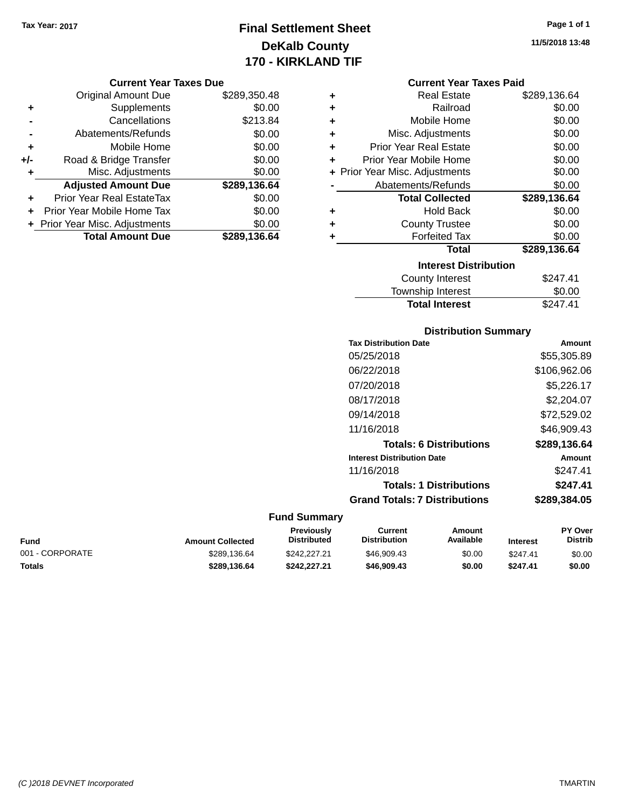# **Final Settlement Sheet Tax Year: 2017 Page 1 of 1 DeKalb County 170 - KIRKLAND TIF**

#### **Current Year Taxes Due**

| <b>Original Amount Due</b>       | \$289,350.48 |
|----------------------------------|--------------|
| Supplements                      | \$0.00       |
| Cancellations                    | \$213.84     |
| Abatements/Refunds               | \$0.00       |
| Mobile Home                      | \$0.00       |
| Road & Bridge Transfer           | \$0.00       |
| Misc. Adjustments                | \$0.00       |
| <b>Adjusted Amount Due</b>       | \$289,136.64 |
| <b>Prior Year Real EstateTax</b> | \$0.00       |
| Prior Year Mobile Home Tax       | \$0.00       |
| + Prior Year Misc. Adjustments   | \$0.00       |
| <b>Total Amount Due</b>          | \$289,136.64 |
|                                  |              |

#### **Current Year Taxes Paid**

| ٠ | <b>Real Estate</b>             | \$289,136.64 |
|---|--------------------------------|--------------|
| ٠ | Railroad                       | \$0.00       |
| ÷ | Mobile Home                    | \$0.00       |
| ٠ | Misc. Adjustments              | \$0.00       |
| ٠ | <b>Prior Year Real Estate</b>  | \$0.00       |
| ٠ | Prior Year Mobile Home         | \$0.00       |
|   | + Prior Year Misc. Adjustments | \$0.00       |
|   | Abatements/Refunds             | \$0.00       |
|   |                                |              |
|   | <b>Total Collected</b>         | \$289,136.64 |
| ٠ | <b>Hold Back</b>               | \$0.00       |
| ÷ | <b>County Trustee</b>          | \$0.00       |
| ٠ | <b>Forfeited Tax</b>           | \$0.00       |
|   | <b>Total</b>                   | \$289,136.64 |
|   | <b>Interest Distribution</b>   |              |
|   | County Interest                | \$247.41     |

### **Distribution Summary Tax Distribution Date Amount** 05/25/2018 \$55,305.89 06/22/2018 \$106,962.06 07/20/2018 \$5,226.17 08/17/2018 \$2,204.07 09/14/2018 \$72,529.02 11/16/2018 \$46,909.43 **Totals: 6 Distributions \$289,136.64 Interest Distribution Date Amount** 11/16/2018 \$247.41 **Totals: 1 Distributions \$247.41 Grand Totals: 7 Distributions \$289,384.05**

Total Interest \$247.41

#### **Fund Summary**

| Fund            | <b>Amount Collected</b> | Previously<br>Distributed | Current<br><b>Distribution</b> | Amount<br>Available | <b>Interest</b> | <b>PY Over</b><br><b>Distrib</b> |
|-----------------|-------------------------|---------------------------|--------------------------------|---------------------|-----------------|----------------------------------|
| 001 - CORPORATE | \$289.136.64            | \$242,227,21              | \$46.909.43                    | \$0.00              | \$247.41        | \$0.00                           |
| Totals          | \$289.136.64            | \$242,227.21              | \$46,909.43                    | \$0.00              | \$247.41        | \$0.00                           |

**11/5/2018 13:48**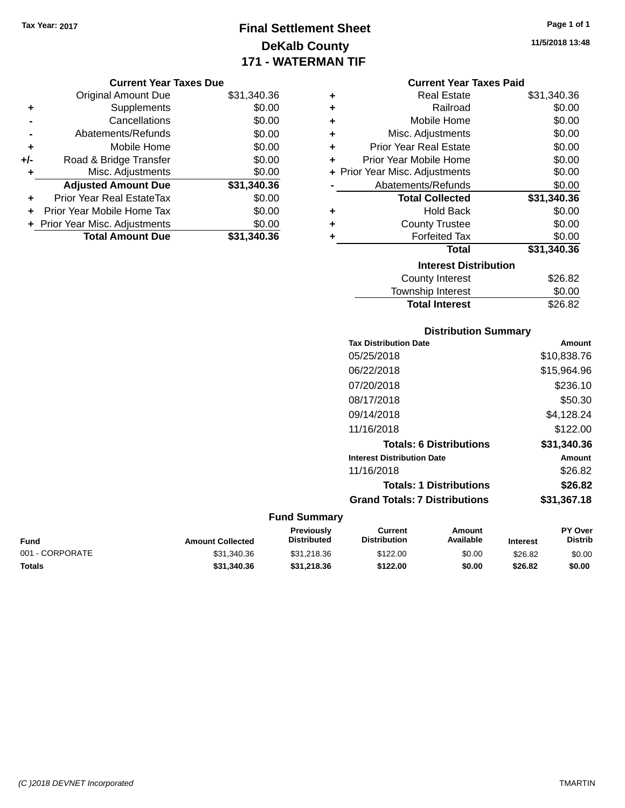# **Final Settlement Sheet Tax Year: 2017 Page 1 of 1 DeKalb County 171 - WATERMAN TIF**

**11/5/2018 13:48**

### **Current Year Taxes Due**

|       | <b>Original Amount Due</b>       | \$31,340.36 |
|-------|----------------------------------|-------------|
| ٠     | Supplements                      | \$0.00      |
|       | Cancellations                    | \$0.00      |
|       | Abatements/Refunds               | \$0.00      |
| ÷     | Mobile Home                      | \$0.00      |
| $+/-$ | Road & Bridge Transfer           | \$0.00      |
| ٠     | Misc. Adjustments                | \$0.00      |
|       | <b>Adjusted Amount Due</b>       | \$31,340.36 |
| ٠     | <b>Prior Year Real EstateTax</b> | \$0.00      |
|       | Prior Year Mobile Home Tax       | \$0.00      |
|       | + Prior Year Misc. Adjustments   | \$0.00      |
|       | <b>Total Amount Due</b>          | \$31,340.36 |

|   | <b>Current Year Taxes Paid</b> |             |
|---|--------------------------------|-------------|
| ٠ | <b>Real Estate</b>             | \$31,340.36 |
| ÷ | Railroad                       | \$0.00      |
| ٠ | Mobile Home                    | \$0.00      |
| ٠ | Misc. Adjustments              | \$0.00      |
| ÷ | <b>Prior Year Real Estate</b>  | \$0.00      |
| ٠ | Prior Year Mobile Home         | \$0.00      |
|   | + Prior Year Misc. Adjustments | \$0.00      |
|   | Abatements/Refunds             | \$0.00      |
|   | <b>Total Collected</b>         | \$31,340.36 |
| ٠ | <b>Hold Back</b>               | \$0.00      |
| ٠ | <b>County Trustee</b>          | \$0.00      |
| ٠ | <b>Forfeited Tax</b>           | \$0.00      |
|   | Total                          | \$31,340.36 |
|   | <b>Interest Distribution</b>   |             |
|   | <b>County Interest</b>         | \$26.82     |
|   | <b>Township Interest</b>       | \$0.00      |

### **Distribution Summary Tax Distribution Date Amount** 05/25/2018 \$10,838.76 06/22/2018 \$15,964.96 07/20/2018 \$236.10 08/17/2018 \$50.30 09/14/2018 \$4,128.24 11/16/2018 \$122.00 **Totals: 6 Distributions \$31,340.36 Interest Distribution Date Amount** 11/16/2018 \$26.82 **Totals: 1 Distributions \$26.82 Grand Totals: 7 Distributions \$31,367.18**

Total Interest \$26.82

| Fund            | <b>Amount Collected</b> | <b>Previously</b><br><b>Distributed</b> | Current<br><b>Distribution</b> | Amount<br>Available | <b>Interest</b> | <b>PY Over</b><br><b>Distrib</b> |
|-----------------|-------------------------|-----------------------------------------|--------------------------------|---------------------|-----------------|----------------------------------|
| 001 - CORPORATE | \$31.340.36             | \$31.218.36                             | \$122.00                       | \$0.00              | \$26.82         | \$0.00                           |
| Totals          | \$31,340.36             | \$31,218,36                             | \$122.00                       | \$0.00              | \$26.82         | \$0.00                           |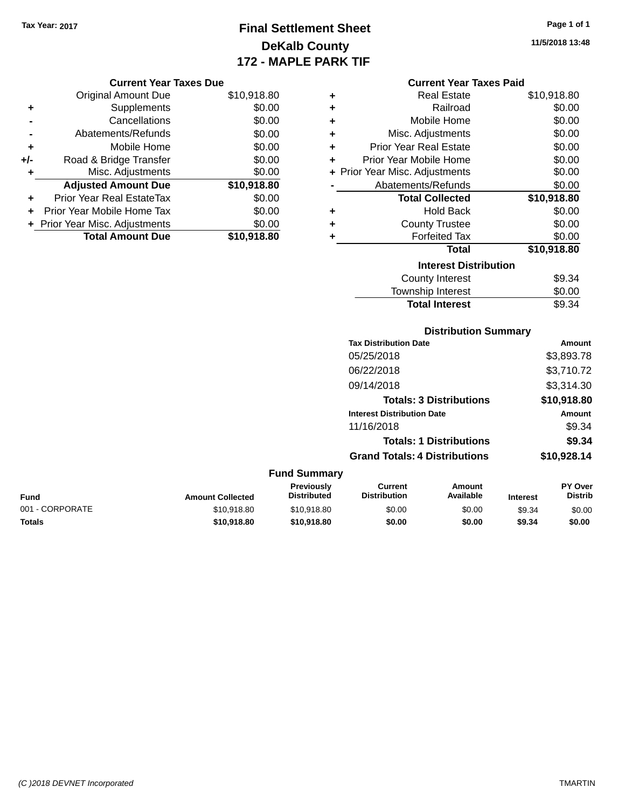**Current Year Taxes Due**

# **Final Settlement Sheet Tax Year: 2017 Page 1 of 1 DeKalb County 172 - MAPLE PARK TIF**

**11/5/2018 13:48**

#### **Current Year Taxes Paid**

|     | <b>Original Amount Due</b>       | \$10,918.80 | ٠ | <b>Real Estate</b>             | \$10,918.80 |
|-----|----------------------------------|-------------|---|--------------------------------|-------------|
|     |                                  |             |   |                                |             |
| ٠   | Supplements                      | \$0.00      | ٠ | Railroad                       | \$0.00      |
|     | Cancellations                    | \$0.00      | ٠ | Mobile Home                    | \$0.00      |
|     | Abatements/Refunds               | \$0.00      | ٠ | Misc. Adjustments              | \$0.00      |
| ٠   | Mobile Home                      | \$0.00      | ٠ | <b>Prior Year Real Estate</b>  | \$0.00      |
| +/- | Road & Bridge Transfer           | \$0.00      | ٠ | Prior Year Mobile Home         | \$0.00      |
|     | Misc. Adjustments                | \$0.00      |   | + Prior Year Misc. Adjustments | \$0.00      |
|     | <b>Adjusted Amount Due</b>       | \$10,918.80 |   | Abatements/Refunds             | \$0.00      |
| ÷.  | <b>Prior Year Real EstateTax</b> | \$0.00      |   | <b>Total Collected</b>         | \$10,918.80 |
|     | Prior Year Mobile Home Tax       | \$0.00      | ٠ | <b>Hold Back</b>               | \$0.00      |
|     | + Prior Year Misc. Adjustments   | \$0.00      | ٠ | <b>County Trustee</b>          | \$0.00      |
|     | <b>Total Amount Due</b>          | \$10,918.80 |   | <b>Forfeited Tax</b>           | \$0.00      |
|     |                                  |             |   | <b>Total</b>                   | \$10,918.80 |
|     |                                  |             |   | <b>Interest Distribution</b>   |             |
|     |                                  |             |   | <b>County Interest</b>         | \$9.34      |
|     |                                  |             |   | Townehin Interest              | ደስ ሰስ       |

|                 |                         |                                         |                                       | <b>County Interest</b>         |                 | \$9.34                    |
|-----------------|-------------------------|-----------------------------------------|---------------------------------------|--------------------------------|-----------------|---------------------------|
|                 |                         |                                         |                                       | Township Interest              |                 | \$0.00                    |
|                 |                         |                                         |                                       | <b>Total Interest</b>          |                 | \$9.34                    |
|                 |                         |                                         |                                       | <b>Distribution Summary</b>    |                 |                           |
|                 |                         |                                         | <b>Tax Distribution Date</b>          |                                |                 | Amount                    |
|                 |                         |                                         | 05/25/2018                            |                                |                 | \$3,893.78                |
|                 |                         |                                         | 06/22/2018                            |                                |                 | \$3,710.72                |
|                 |                         |                                         | 09/14/2018                            |                                |                 | \$3,314.30                |
|                 |                         |                                         |                                       | <b>Totals: 3 Distributions</b> |                 | \$10,918.80               |
|                 |                         |                                         | <b>Interest Distribution Date</b>     |                                |                 | Amount                    |
|                 |                         |                                         | 11/16/2018                            |                                |                 | \$9.34                    |
|                 |                         |                                         |                                       | <b>Totals: 1 Distributions</b> |                 | \$9.34                    |
|                 |                         |                                         | <b>Grand Totals: 4 Distributions</b>  |                                |                 | \$10,928.14               |
|                 |                         | <b>Fund Summary</b>                     |                                       |                                |                 |                           |
| <b>Fund</b>     | <b>Amount Collected</b> | <b>Previously</b><br><b>Distributed</b> | <b>Current</b><br><b>Distribution</b> | <b>Amount</b><br>Available     | <b>Interest</b> | PY Over<br><b>Distrib</b> |
| 001 - CORPORATE | \$10,918.80             | \$10,918.80                             | \$0.00                                | \$0.00                         | \$9.34          | \$0.00                    |

**Totals \$10,918.80 \$10,918.80 \$0.00 \$0.00 \$9.34 \$0.00**

*(C )2018 DEVNET Incorporated* TMARTIN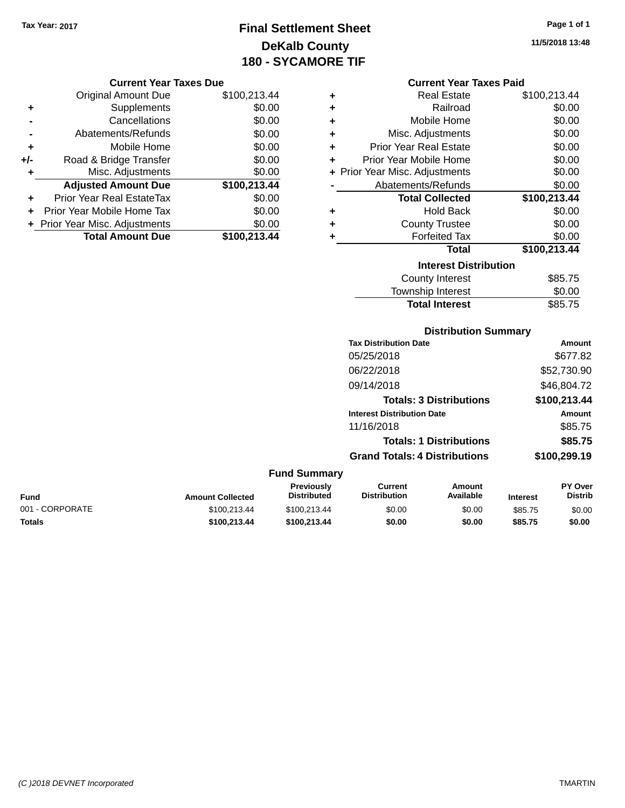# **Final Settlement Sheet Tax Year: 2017 Page 1 of 1 DeKalb County 180 - SYCAMORE TIF**

**11/5/2018 13:48**

#### **Current Year Taxes Due**

|       | <b>Original Amount Due</b>     | \$100,213.44 |
|-------|--------------------------------|--------------|
| ٠     | Supplements                    | \$0.00       |
|       | Cancellations                  | \$0.00       |
|       | Abatements/Refunds             | \$0.00       |
| ٠     | Mobile Home                    | \$0.00       |
| $+/-$ | Road & Bridge Transfer         | \$0.00       |
| ٠     | Misc. Adjustments              | \$0.00       |
|       | <b>Adjusted Amount Due</b>     | \$100,213.44 |
| ٠     | Prior Year Real EstateTax      | \$0.00       |
|       | Prior Year Mobile Home Tax     | \$0.00       |
|       | + Prior Year Misc. Adjustments | \$0.00       |
|       | <b>Total Amount Due</b>        | \$100,213.44 |

#### **Current Year Taxes Paid**

|   | <b>Real Estate</b>             | \$100,213.44 |
|---|--------------------------------|--------------|
| ÷ | Railroad                       | \$0.00       |
| ٠ | Mobile Home                    | \$0.00       |
| ٠ | Misc. Adjustments              | \$0.00       |
| ÷ | <b>Prior Year Real Estate</b>  | \$0.00       |
| ÷ | Prior Year Mobile Home         | \$0.00       |
|   | + Prior Year Misc. Adjustments | \$0.00       |
|   | Abatements/Refunds             | \$0.00       |
|   |                                |              |
|   | <b>Total Collected</b>         | \$100,213.44 |
| ٠ | <b>Hold Back</b>               | \$0.00       |
| ÷ | <b>County Trustee</b>          | \$0.00       |
| ٠ | <b>Forfeited Tax</b>           | \$0.00       |
|   | Total                          | \$100,213.44 |
|   | <b>Interest Distribution</b>   |              |
|   | County Interest                | \$85.75      |

### **Distribution Summary**

Total Interest \$85.75

| <b>Tax Distribution Date</b>         | Amount       |
|--------------------------------------|--------------|
| 05/25/2018                           | \$677.82     |
| 06/22/2018                           | \$52,730.90  |
| 09/14/2018                           | \$46,804.72  |
| <b>Totals: 3 Distributions</b>       | \$100,213.44 |
| <b>Interest Distribution Date</b>    | Amount       |
| 11/16/2018                           | \$85.75      |
| <b>Totals: 1 Distributions</b>       | \$85.75      |
| <b>Grand Totals: 4 Distributions</b> | \$100,299.19 |

#### **Fund Summary Fund Interest Amount Collected Distributed PY Over Distrib Amount Available Current Distribution Previously** 001 - CORPORATE \$100,213.44 \$100,213.44 \$100,213.44 \$0.00 \$0.00 \$85.75 \$0.00 **Totals \$100,213.44 \$100,213.44 \$0.00 \$0.00 \$85.75 \$0.00**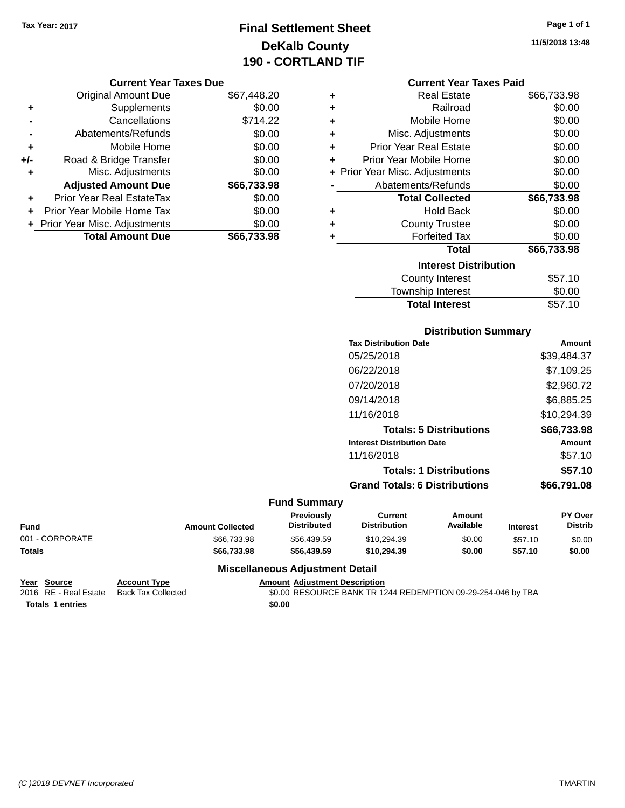# **Final Settlement Sheet Tax Year: 2017 Page 1 of 1 DeKalb County 190 - CORTLAND TIF**

#### **Current Year Taxes Due**

|     | <b>Original Amount Due</b>     | \$67,448.20 |
|-----|--------------------------------|-------------|
| ٠   | Supplements                    | \$0.00      |
|     | Cancellations                  | \$714.22    |
|     | Abatements/Refunds             | \$0.00      |
| ÷   | Mobile Home                    | \$0.00      |
| +/- | Road & Bridge Transfer         | \$0.00      |
| ٠   | Misc. Adjustments              | \$0.00      |
|     | <b>Adjusted Amount Due</b>     | \$66,733.98 |
|     | Prior Year Real EstateTax      | \$0.00      |
|     | Prior Year Mobile Home Tax     | \$0.00      |
|     | + Prior Year Misc. Adjustments | \$0.00      |
|     | <b>Total Amount Due</b>        | \$66,733.98 |
|     |                                |             |

|   | <b>Current Year Taxes Paid</b> |             |
|---|--------------------------------|-------------|
| ٠ | <b>Real Estate</b>             | \$66,733.98 |
| ÷ | Railroad                       | \$0.00      |
| ٠ | Mobile Home                    | \$0.00      |
| ٠ | Misc. Adjustments              | \$0.00      |
| ٠ | <b>Prior Year Real Estate</b>  | \$0.00      |
| ٠ | Prior Year Mobile Home         | \$0.00      |
|   | + Prior Year Misc. Adjustments | \$0.00      |
|   | Abatements/Refunds             | \$0.00      |
|   | <b>Total Collected</b>         | \$66,733.98 |
| ٠ | <b>Hold Back</b>               | \$0.00      |
| ÷ | <b>County Trustee</b>          | \$0.00      |
| ٠ | <b>Forfeited Tax</b>           | \$0.00      |
|   | <b>Total</b>                   | \$66,733.98 |
|   | <b>Interest Distribution</b>   |             |
|   | County Interest                | ፍ57 10      |

| County Interest       | \$57.10 |
|-----------------------|---------|
| Township Interest     | \$0.00  |
| <b>Total Interest</b> | \$57.10 |

### **Distribution Summary**

| 05/25/2018<br>06/22/2018<br>07/20/2018<br>09/14/2018<br>11/16/2018<br><b>Totals: 5 Distributions</b><br><b>Interest Distribution Date</b><br>11/16/2018<br><b>Totals: 1 Distributions</b> | <b>Tax Distribution Date</b>         | Amount      |
|-------------------------------------------------------------------------------------------------------------------------------------------------------------------------------------------|--------------------------------------|-------------|
|                                                                                                                                                                                           |                                      | \$39,484.37 |
|                                                                                                                                                                                           |                                      | \$7,109.25  |
|                                                                                                                                                                                           |                                      | \$2,960.72  |
|                                                                                                                                                                                           |                                      | \$6,885.25  |
|                                                                                                                                                                                           |                                      | \$10,294.39 |
|                                                                                                                                                                                           |                                      | \$66,733.98 |
|                                                                                                                                                                                           |                                      | Amount      |
|                                                                                                                                                                                           |                                      | \$57.10     |
|                                                                                                                                                                                           |                                      | \$57.10     |
|                                                                                                                                                                                           | <b>Grand Totals: 6 Distributions</b> | \$66,791.08 |

#### **Fund Summary**

| Fund            | <b>Amount Collected</b> | Previously<br>Distributed | Current<br><b>Distribution</b> | Amount<br>Available | <b>Interest</b> | <b>PY Over</b><br>Distrib |
|-----------------|-------------------------|---------------------------|--------------------------------|---------------------|-----------------|---------------------------|
| 001 - CORPORATE | \$66,733,98             | \$56.439.59               | \$10.294.39                    | \$0.00              | \$57.10         | \$0.00                    |
| Totals          | \$66,733,98             | \$56.439.59               | \$10.294.39                    | \$0.00              | \$57.10         | \$0.00                    |

### **Miscellaneous Adjustment Detail**

### Year Source **Account Type Account Adjustment Description**

**Totals 1 entries** \$0.00

2016 RE - Real Estate Back Tax Collected \$0.00 RESOURCE BANK TR 1244 REDEMPTION 09-29-254-046 by TBA

**11/5/2018 13:48**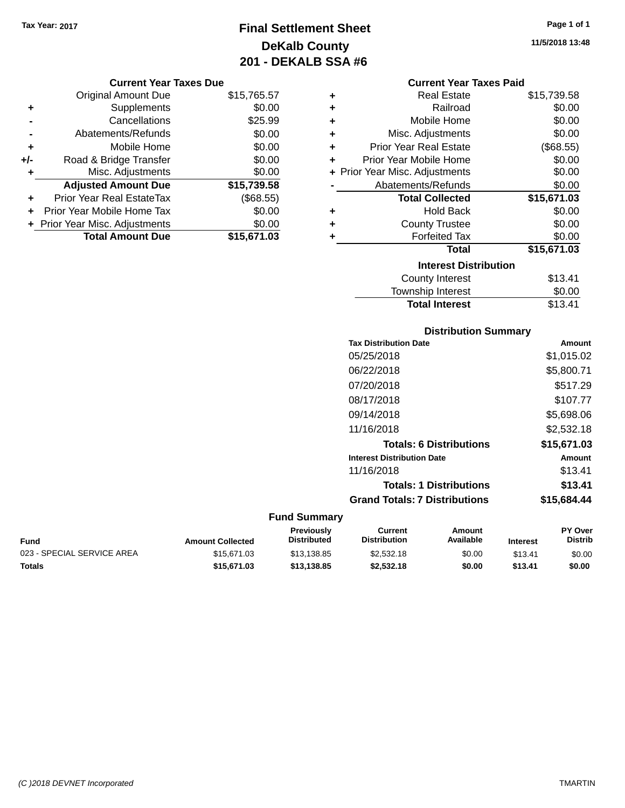# **Final Settlement Sheet Tax Year: 2017 Page 1 of 1 DeKalb County 201 - DEKALB SSA #6**

**11/5/2018 13:48**

#### **Current Year Taxes Due**

|       | <b>Original Amount Due</b>       | \$15,765.57 |
|-------|----------------------------------|-------------|
| ٠     | Supplements                      | \$0.00      |
|       | Cancellations                    | \$25.99     |
|       | Abatements/Refunds               | \$0.00      |
| ÷     | Mobile Home                      | \$0.00      |
| $+/-$ | Road & Bridge Transfer           | \$0.00      |
| ٠     | Misc. Adjustments                | \$0.00      |
|       | <b>Adjusted Amount Due</b>       | \$15,739.58 |
|       | <b>Prior Year Real EstateTax</b> | (\$68.55)   |
|       | Prior Year Mobile Home Tax       | \$0.00      |
|       | + Prior Year Misc. Adjustments   | \$0.00      |
|       | <b>Total Amount Due</b>          | \$15,671.03 |

|   | <b>Current Year Taxes Paid</b> |             |  |  |  |
|---|--------------------------------|-------------|--|--|--|
| ٠ | <b>Real Estate</b>             | \$15,739.58 |  |  |  |
| ÷ | Railroad                       | \$0.00      |  |  |  |
| ÷ | Mobile Home                    | \$0.00      |  |  |  |
| ٠ | Misc. Adjustments              | \$0.00      |  |  |  |
| ٠ | <b>Prior Year Real Estate</b>  | (\$68.55)   |  |  |  |
| ٠ | Prior Year Mobile Home         | \$0.00      |  |  |  |
|   | + Prior Year Misc. Adjustments | \$0.00      |  |  |  |
|   | Abatements/Refunds             | \$0.00      |  |  |  |
|   | <b>Total Collected</b>         | \$15,671.03 |  |  |  |
| ٠ | <b>Hold Back</b>               | \$0.00      |  |  |  |
| ٠ | <b>County Trustee</b>          | \$0.00      |  |  |  |
| ٠ | <b>Forfeited Tax</b>           | \$0.00      |  |  |  |
|   | <b>Total</b>                   | \$15,671.03 |  |  |  |
|   | <b>Interest Distribution</b>   |             |  |  |  |
|   | <b>County Interest</b>         | \$13.41     |  |  |  |
|   | <b>Township Interest</b>       | \$0.00      |  |  |  |
|   | <b>Total Interest</b>          | \$13.41     |  |  |  |

### **Distribution Summary Tax Distribution Date Amount** 05/25/2018 \$1,015.02 06/22/2018 \$5,800.71 07/20/2018 \$517.29 08/17/2018 \$107.77 09/14/2018 \$5,698.06 11/16/2018 \$2,532.18 **Totals: 6 Distributions \$15,671.03 Interest Distribution Date Amount** 11/16/2018 \$13.41 **Totals: 1 Distributions \$13.41 Grand Totals: 7 Distributions \$15,684.44**

| Fund                       | <b>Amount Collected</b> | <b>Previously</b><br><b>Distributed</b> | Current<br><b>Distribution</b> | Amount<br>Available | <b>Interest</b> | <b>PY Over</b><br><b>Distrib</b> |
|----------------------------|-------------------------|-----------------------------------------|--------------------------------|---------------------|-----------------|----------------------------------|
| 023 - SPECIAL SERVICE AREA | \$15,671,03             | \$13.138.85                             | \$2,532.18                     | \$0.00              | \$13.41         | \$0.00                           |
| Totals                     | \$15,671.03             | \$13,138,85                             | \$2,532.18                     | \$0.00              | \$13.41         | \$0.00                           |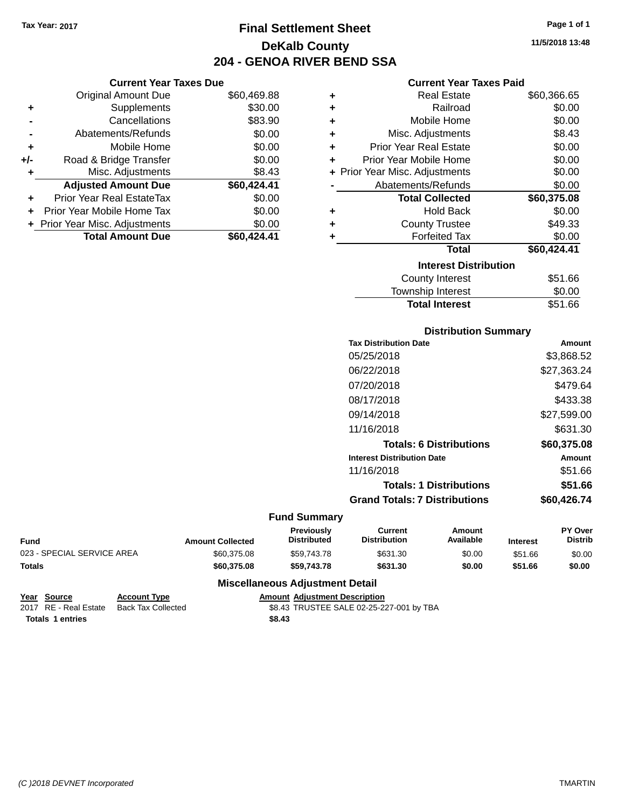**Current Year Taxes Due** Original Amount Due \$60,469.88

**Adjusted Amount Due \$60,424.41**

Total Amount Due \$60,424.41

**+** Supplements \$30.00 **-** Cancellations \$83.90 **-** Abatements/Refunds \$0.00 **+** Mobile Home \$0.00 **+/-** Road & Bridge Transfer \$0.00 **+** Misc. Adjustments \$8.43

**+** Prior Year Real EstateTax \$0.00 **+** Prior Year Mobile Home Tax \$0.00 **+ Prior Year Misc. Adjustments**  $$0.00$ 

# **Final Settlement Sheet Tax Year: 2017 Page 1 of 1 DeKalb County 204 - GENOA RIVER BEND SSA**

**11/5/2018 13:48**

#### **Current Year Taxes Paid**

| ٠ | <b>Real Estate</b>             | \$60,366.65 |
|---|--------------------------------|-------------|
| ٠ | Railroad                       | \$0.00      |
| ٠ | Mobile Home                    | \$0.00      |
| ÷ | Misc. Adjustments              | \$8.43      |
| ÷ | <b>Prior Year Real Estate</b>  | \$0.00      |
| ٠ | Prior Year Mobile Home         | \$0.00      |
|   | + Prior Year Misc. Adjustments | \$0.00      |
|   | Abatements/Refunds             | \$0.00      |
|   | <b>Total Collected</b>         | \$60,375.08 |
| ٠ | <b>Hold Back</b>               | \$0.00      |
| ٠ | <b>County Trustee</b>          | \$49.33     |
| ٠ | <b>Forfeited Tax</b>           | \$0.00      |
|   | <b>Total</b>                   | \$60,424.41 |
|   | <b>Interest Distribution</b>   |             |
|   | County Interest                | \$51.66     |
|   | <b>Township Interest</b>       | \$0.00      |

# **Distribution Summary** Township Interest  $$0.00$ Total Interest \$51.66

| <b>Tax Distribution Date</b>         | Amount        |
|--------------------------------------|---------------|
| 05/25/2018                           | \$3,868.52    |
| 06/22/2018                           | \$27,363.24   |
| 07/20/2018                           | \$479.64      |
| 08/17/2018                           | \$433.38      |
| 09/14/2018                           | \$27,599.00   |
| 11/16/2018                           | \$631.30      |
| <b>Totals: 6 Distributions</b>       | \$60,375.08   |
| <b>Interest Distribution Date</b>    | <b>Amount</b> |
| 11/16/2018                           | \$51.66       |
| <b>Totals: 1 Distributions</b>       | \$51.66       |
| <b>Grand Totals: 7 Distributions</b> | \$60,426.74   |

#### **Fund Summary**

|                            |                         | Previously         | Current             | Amount    |                 | <b>PY Over</b> |
|----------------------------|-------------------------|--------------------|---------------------|-----------|-----------------|----------------|
| <b>Fund</b>                | <b>Amount Collected</b> | <b>Distributed</b> | <b>Distribution</b> | Available | <b>Interest</b> | Distrib        |
| 023 - SPECIAL SERVICE AREA | \$60.375.08             | \$59.743.78        | \$631.30            | \$0.00    | \$51.66         | \$0.00         |
| <b>Totals</b>              | \$60.375.08             | \$59,743,78        | \$631.30            | \$0.00    | \$51.66         | \$0.00         |

### **Miscellaneous Adjustment Detail**

| Year Source           | <b>Account Type</b> |        | <b>Amount Adiustment Description</b>     |
|-----------------------|---------------------|--------|------------------------------------------|
| 2017 RE - Real Estate | Back Tax Collected  |        | \$8.43 TRUSTEE SALE 02-25-227-001 by TBA |
| Totals 1 entries      |                     | \$8.43 |                                          |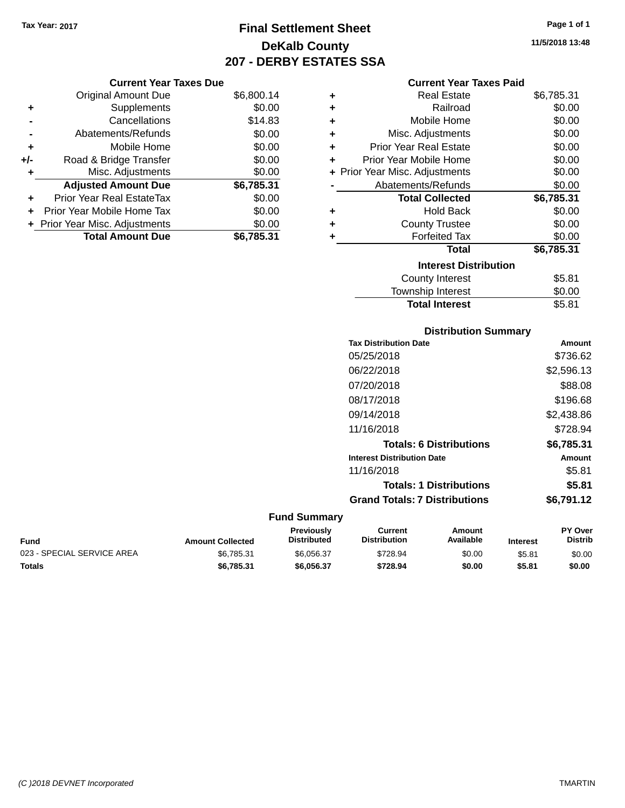# **Final Settlement Sheet Tax Year: 2017 Page 1 of 1 DeKalb County 207 - DERBY ESTATES SSA**

#### **Current Year Taxes Due**

|       | <b>Original Amount Due</b>     | \$6,800.14 |
|-------|--------------------------------|------------|
| ٠     | Supplements                    | \$0.00     |
|       | Cancellations                  | \$14.83    |
|       | Abatements/Refunds             | \$0.00     |
| ÷     | Mobile Home                    | \$0.00     |
| $+/-$ | Road & Bridge Transfer         | \$0.00     |
|       | Misc. Adjustments              | \$0.00     |
|       | <b>Adjusted Amount Due</b>     | \$6,785.31 |
| ÷     | Prior Year Real EstateTax      | \$0.00     |
|       | Prior Year Mobile Home Tax     | \$0.00     |
|       | + Prior Year Misc. Adjustments | \$0.00     |
|       | <b>Total Amount Due</b>        | \$6,785.31 |

#### **Current Year Taxes Paid**

| ٠ | <b>Real Estate</b>             | \$6,785.31 |
|---|--------------------------------|------------|
| ÷ | Railroad                       | \$0.00     |
| ÷ | Mobile Home                    | \$0.00     |
| ÷ | Misc. Adjustments              | \$0.00     |
| ÷ | <b>Prior Year Real Estate</b>  | \$0.00     |
| ٠ | Prior Year Mobile Home         | \$0.00     |
|   | + Prior Year Misc. Adjustments | \$0.00     |
|   | Abatements/Refunds             | \$0.00     |
|   | <b>Total Collected</b>         | \$6,785.31 |
| ٠ | <b>Hold Back</b>               | \$0.00     |
| ٠ | <b>County Trustee</b>          | \$0.00     |
| ٠ | <b>Forfeited Tax</b>           | \$0.00     |
|   | <b>Total</b>                   | \$6,785.31 |
|   | <b>Interest Distribution</b>   |            |
|   | County Interest                | \$5.81     |
|   | <b>Township Interest</b>       | \$0.00     |
|   | <b>Total Interest</b>          | \$5.81     |

### **Distribution Summary Tax Distribution Date Amount** 05/25/2018 \$736.62 06/22/2018 \$2,596.13 07/20/2018 \$88.08 08/17/2018 \$196.68 09/14/2018 \$2,438.86 11/16/2018 \$728.94 **Totals: 6 Distributions \$6,785.31 Interest Distribution Date Amount** 11/16/2018 \$5.81 **Totals: 1 Distributions \$5.81 Grand Totals: 7 Distributions \$6,791.12**

| Fund                       | <b>Amount Collected</b> | Previously<br>Distributed | Current<br><b>Distribution</b> | Amount<br>Available | <b>Interest</b> | <b>PY Over</b><br>Distrib |
|----------------------------|-------------------------|---------------------------|--------------------------------|---------------------|-----------------|---------------------------|
| 023 - SPECIAL SERVICE AREA | \$6.785.31              | \$6,056,37                | \$728.94                       | \$0.00              | \$5.81          | \$0.00                    |
| Totals                     | \$6,785,31              | \$6.056.37                | \$728.94                       | \$0.00              | \$5.81          | \$0.00                    |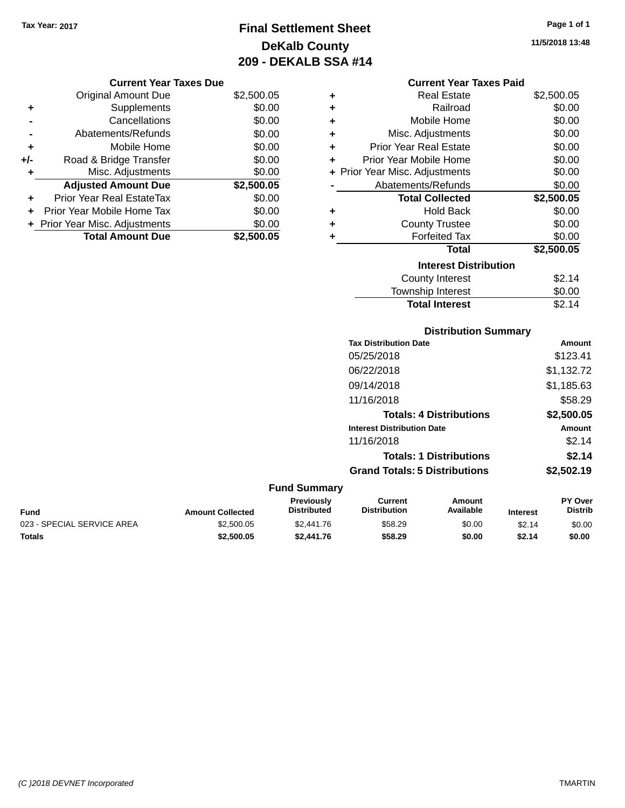# **Final Settlement Sheet Tax Year: 2017 Page 1 of 1 DeKalb County 209 - DEKALB SSA #14**

**11/5/2018 13:48**

#### **Current Year Taxes Paid**

| ٠ | <b>Real Estate</b>             | \$2,500.05 |
|---|--------------------------------|------------|
| ٠ | Railroad                       | \$0.00     |
| ٠ | Mobile Home                    | \$0.00     |
| ٠ | Misc. Adjustments              | \$0.00     |
| ٠ | <b>Prior Year Real Estate</b>  | \$0.00     |
| ٠ | Prior Year Mobile Home         | \$0.00     |
|   | + Prior Year Misc. Adjustments | \$0.00     |
|   | Abatements/Refunds             | \$0.00     |
|   |                                |            |
|   | <b>Total Collected</b>         | \$2,500.05 |
| ٠ | <b>Hold Back</b>               | \$0.00     |
| ٠ | <b>County Trustee</b>          | \$0.00     |
| ٠ | <b>Forfeited Tax</b>           | \$0.00     |
|   | <b>Total</b>                   | \$2,500.05 |
|   | <b>Interest Distribution</b>   |            |
|   | <b>County Interest</b>         | \$2.14     |

**Total Interest** \$2.14

#### **Distribution Summary Tax Distribution Date Amount** 05/25/2018 \$123.41 06/22/2018 \$1,132.72 09/14/2018 \$1,185.63 11/16/2018 \$58.29 **Totals: 4 Distributions \$2,500.05 Interest Distribution Date Amount** 11/16/2018 \$2.14 **Totals: 1 Distributions \$2.14 Grand Totals: 5 Distributions \$2,502.19 Fund Summary Fund Interest Amount Collected Distributed PY Over Distrib Amount Available Current Distribution Previously** 023 - SPECIAL SERVICE AREA  $$2,500.05$   $$2,441.76$   $$58.29$  \$0.00 \$2.14 \$0.00 **Totals \$2,500.05 \$2,441.76 \$58.29 \$0.00 \$2.14 \$0.00**

|     | <b>Current Year Taxes Due</b>    |            |
|-----|----------------------------------|------------|
|     | <b>Original Amount Due</b>       | \$2,500.05 |
| ٠   | Supplements                      | \$0.00     |
|     | Cancellations                    | \$0.00     |
|     | Abatements/Refunds               | \$0.00     |
| ٠   | Mobile Home                      | \$0.00     |
| +/- | Road & Bridge Transfer           | \$0.00     |
| ٠   | Misc. Adjustments                | \$0.00     |
|     | <b>Adjusted Amount Due</b>       | \$2,500.05 |
| ٠   | <b>Prior Year Real EstateTax</b> | \$0.00     |
|     | Prior Year Mobile Home Tax       | \$0.00     |
|     | + Prior Year Misc. Adjustments   | \$0.00     |
|     | <b>Total Amount Due</b>          | \$2,500.05 |
|     |                                  |            |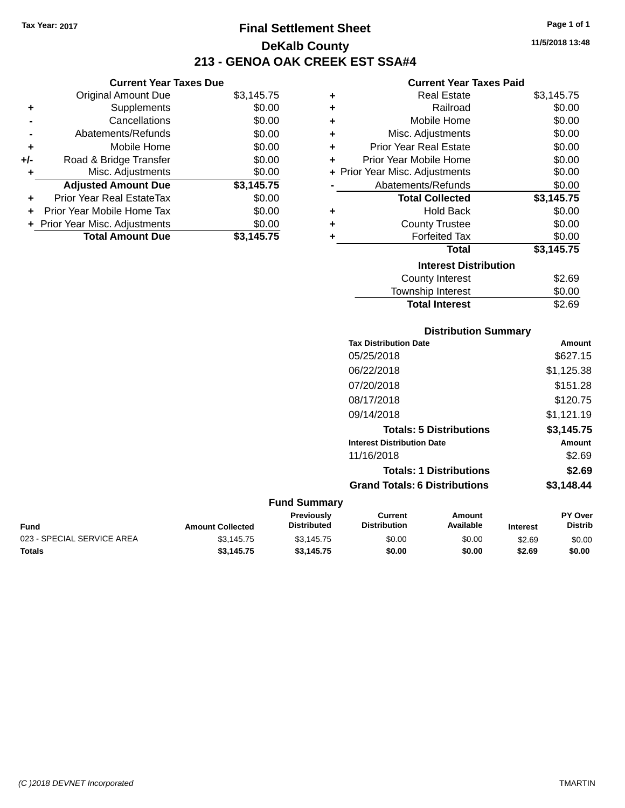# **Final Settlement Sheet Tax Year: 2017 Page 1 of 1 DeKalb County 213 - GENOA OAK CREEK EST SSA#4**

#### **Current Year Taxes Paid**

|     | <b>Current Year Taxes Due</b>  |            |
|-----|--------------------------------|------------|
|     | <b>Original Amount Due</b>     | \$3,145.75 |
| ٠   | Supplements                    | \$0.00     |
|     | Cancellations                  | \$0.00     |
|     | Abatements/Refunds             | \$0.00     |
| ٠   | Mobile Home                    | \$0.00     |
| +/- | Road & Bridge Transfer         | \$0.00     |
| ٠   | Misc. Adjustments              | \$0.00     |
|     | <b>Adjusted Amount Due</b>     | \$3,145.75 |
| ٠   | Prior Year Real EstateTax      | \$0.00     |
| ÷   | Prior Year Mobile Home Tax     | \$0.00     |
|     | + Prior Year Misc. Adjustments | \$0.00     |
|     | <b>Total Amount Due</b>        | \$3,145.75 |

| ٠ | <b>Real Estate</b>             | \$3,145.75 |
|---|--------------------------------|------------|
| ٠ | Railroad                       | \$0.00     |
| ٠ | Mobile Home                    | \$0.00     |
| ٠ | Misc. Adjustments              | \$0.00     |
| ٠ | <b>Prior Year Real Estate</b>  | \$0.00     |
| ٠ | Prior Year Mobile Home         | \$0.00     |
|   | + Prior Year Misc. Adjustments | \$0.00     |
|   | Abatements/Refunds             | \$0.00     |
|   | <b>Total Collected</b>         | \$3,145.75 |
| ٠ | Hold Back                      | \$0.00     |
| ÷ | <b>County Trustee</b>          | \$0.00     |
| ٠ | <b>Forfeited Tax</b>           | \$0.00     |
|   | <b>Total</b>                   | \$3,145.75 |
|   | <b>Interest Distribution</b>   |            |
|   | <b>County Interest</b>         | \$2.69     |
|   | Township Interest              | \$0.00     |
|   | <b>Total Interest</b>          | \$2.69     |

### **Distribution Summary**

| <b>Tax Distribution Date</b>         | Amount     |
|--------------------------------------|------------|
| 05/25/2018                           | \$627.15   |
| 06/22/2018                           | \$1,125.38 |
| 07/20/2018                           | \$151.28   |
| 08/17/2018                           | \$120.75   |
| 09/14/2018                           | \$1,121.19 |
| <b>Totals: 5 Distributions</b>       | \$3,145.75 |
| <b>Interest Distribution Date</b>    | Amount     |
| 11/16/2018                           | \$2.69     |
| <b>Totals: 1 Distributions</b>       | \$2.69     |
| <b>Grand Totals: 6 Distributions</b> | \$3,148.44 |

| Fund                       | <b>Amount Collected</b> | <b>Previously</b><br><b>Distributed</b> | Current<br><b>Distribution</b> | Amount<br>Available | <b>Interest</b> | <b>PY Over</b><br>Distrib |
|----------------------------|-------------------------|-----------------------------------------|--------------------------------|---------------------|-----------------|---------------------------|
| 023 - SPECIAL SERVICE AREA | \$3.145.75              | \$3.145.75                              | \$0.00                         | \$0.00              | \$2.69          | \$0.00                    |
| Totals                     | \$3.145.75              | \$3.145.75                              | \$0.00                         | \$0.00              | \$2.69          | \$0.00                    |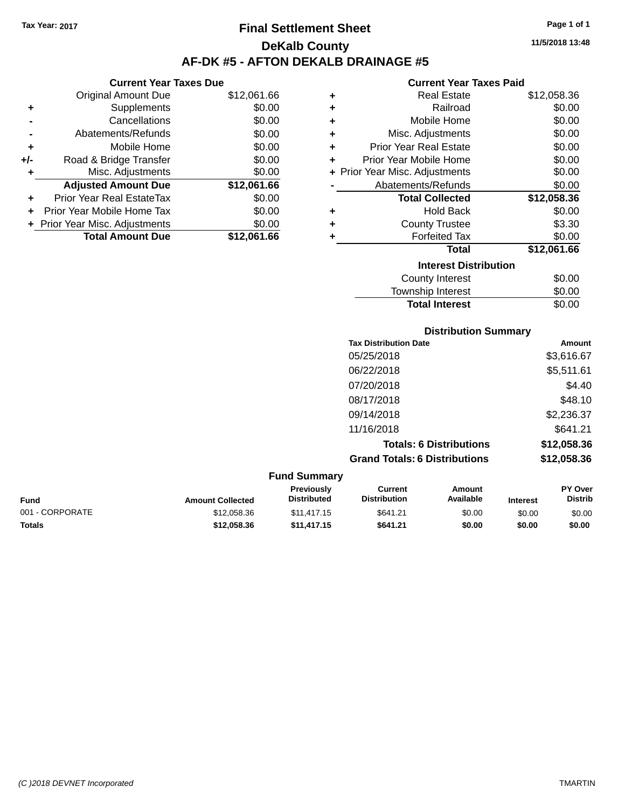# **Final Settlement Sheet Tax Year: 2017 Page 1 of 1 DeKalb County AF-DK #5 - AFTON DEKALB DRAINAGE #5**

**11/5/2018 13:48**

#### **Current Year Taxes Paid**

|     | <b>Current Year Taxes Due</b>  |             |  |  |
|-----|--------------------------------|-------------|--|--|
|     | <b>Original Amount Due</b>     | \$12,061.66 |  |  |
| ٠   | Supplements                    | \$0.00      |  |  |
|     | Cancellations                  | \$0.00      |  |  |
|     | Abatements/Refunds             | \$0.00      |  |  |
| ٠   | Mobile Home                    | \$0.00      |  |  |
| +/- | Road & Bridge Transfer         | \$0.00      |  |  |
| ٠   | Misc. Adjustments              | \$0.00      |  |  |
|     | <b>Adjusted Amount Due</b>     | \$12,061.66 |  |  |
| ٠   | Prior Year Real EstateTax      | \$0.00      |  |  |
| ÷   | Prior Year Mobile Home Tax     | \$0.00      |  |  |
|     | + Prior Year Misc. Adjustments | \$0.00      |  |  |
|     | <b>Total Amount Due</b>        | \$12.061.66 |  |  |

| ٠ | Real Estate                    | \$12,058.36 |
|---|--------------------------------|-------------|
| ÷ | Railroad                       | \$0.00      |
| ٠ | Mobile Home                    | \$0.00      |
| ÷ | Misc. Adjustments              | \$0.00      |
| ٠ | <b>Prior Year Real Estate</b>  | \$0.00      |
| ٠ | Prior Year Mobile Home         | \$0.00      |
|   | + Prior Year Misc. Adjustments | \$0.00      |
|   | Abatements/Refunds             | \$0.00      |
|   | <b>Total Collected</b>         | \$12,058.36 |
| ٠ | Hold Back                      | \$0.00      |
| ٠ | <b>County Trustee</b>          | \$3.30      |
| ٠ | <b>Forfeited Tax</b>           | \$0.00      |
|   | <b>Total</b>                   | \$12,061.66 |
|   | <b>Interest Distribution</b>   |             |
|   | County Interest                | \$0.00      |
|   | <b>Township Interest</b>       | \$0.00      |
|   | <b>Total Interest</b>          | \$0.00      |

|                 |                         |                                         | <b>Distribution Summary</b>          |                                |                 |                           |
|-----------------|-------------------------|-----------------------------------------|--------------------------------------|--------------------------------|-----------------|---------------------------|
|                 |                         |                                         | <b>Tax Distribution Date</b>         |                                |                 | <b>Amount</b>             |
|                 |                         |                                         | 05/25/2018                           |                                |                 | \$3,616.67                |
|                 |                         |                                         | 06/22/2018                           |                                |                 | \$5,511.61                |
|                 |                         |                                         | 07/20/2018                           |                                |                 | \$4.40                    |
|                 |                         |                                         | 08/17/2018                           |                                |                 | \$48.10                   |
|                 |                         |                                         | 09/14/2018                           |                                |                 | \$2,236.37                |
|                 |                         |                                         | 11/16/2018                           |                                |                 | \$641.21                  |
|                 |                         |                                         |                                      | <b>Totals: 6 Distributions</b> |                 | \$12,058.36               |
|                 |                         |                                         | <b>Grand Totals: 6 Distributions</b> |                                |                 | \$12,058.36               |
|                 |                         | <b>Fund Summary</b>                     |                                      |                                |                 |                           |
| <b>Fund</b>     | <b>Amount Collected</b> | <b>Previously</b><br><b>Distributed</b> | Current<br><b>Distribution</b>       | <b>Amount</b><br>Available     | <b>Interest</b> | PY Over<br><b>Distrib</b> |
| 001 - CORPORATE | \$12,058.36             | \$11,417.15                             | \$641.21                             | \$0.00                         | \$0.00          | \$0.00                    |

**Totals \$12,058.36 \$11,417.15 \$641.21 \$0.00 \$0.00 \$0.00**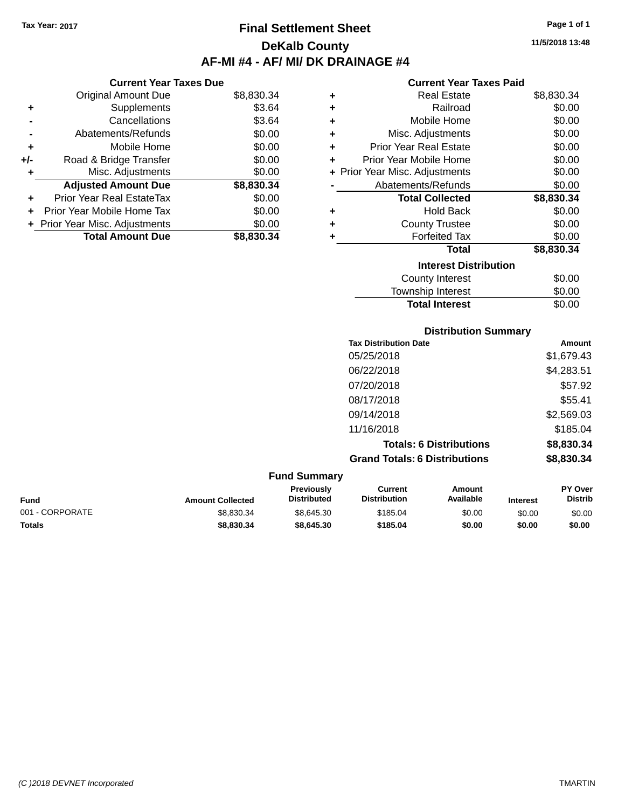**Current Year Taxes Due** Original Amount Due \$8,830.34

**Adjusted Amount Due \$8,830.34**

**Total Amount Due \$8,830.34**

**+** Supplements \$3.64 **-** Cancellations \$3.64 **-** Abatements/Refunds \$0.00 **+** Mobile Home \$0.00 **+/-** Road & Bridge Transfer \$0.00 **+** Misc. Adjustments \$0.00

**+** Prior Year Real EstateTax \$0.00 **+** Prior Year Mobile Home Tax \$0.00 **+ Prior Year Misc. Adjustments**  $$0.00$ 

# **Final Settlement Sheet Tax Year: 2017 Page 1 of 1 DeKalb County AF-MI #4 - AF/ MI/ DK DRAINAGE #4**

**11/5/2018 13:48**

#### **Current Year Taxes Paid**

**Total Interest** \$0.00

| ٠ | <b>Real Estate</b>             | \$8,830.34 |
|---|--------------------------------|------------|
| ٠ | Railroad                       | \$0.00     |
| ٠ | Mobile Home                    | \$0.00     |
| ٠ | Misc. Adjustments              | \$0.00     |
| ٠ | <b>Prior Year Real Estate</b>  | \$0.00     |
| ÷ | Prior Year Mobile Home         | \$0.00     |
|   | + Prior Year Misc. Adjustments | \$0.00     |
|   | Abatements/Refunds             | \$0.00     |
|   | <b>Total Collected</b>         | \$8,830.34 |
| ٠ | <b>Hold Back</b>               | \$0.00     |
| ٠ | <b>County Trustee</b>          | \$0.00     |
| ٠ | <b>Forfeited Tax</b>           | \$0.00     |
|   | <b>Total</b>                   | \$8,830.34 |
|   | <b>Interest Distribution</b>   |            |
|   | County Interest                | \$0.00     |
|   | <b>Township Interest</b>       | \$0.00     |

|                 |                         | <b>Distribution Summary</b>      |                                       |                                |                 |                           |
|-----------------|-------------------------|----------------------------------|---------------------------------------|--------------------------------|-----------------|---------------------------|
|                 |                         |                                  | <b>Tax Distribution Date</b>          |                                |                 | Amount                    |
|                 |                         |                                  | 05/25/2018                            |                                |                 | \$1,679.43                |
|                 |                         |                                  | 06/22/2018                            |                                |                 | \$4,283.51                |
|                 |                         |                                  | 07/20/2018                            |                                |                 | \$57.92                   |
|                 |                         |                                  | 08/17/2018                            |                                |                 | \$55.41                   |
|                 |                         |                                  | 09/14/2018                            |                                |                 | \$2,569.03                |
|                 |                         |                                  | 11/16/2018                            |                                |                 | \$185.04                  |
|                 |                         |                                  |                                       | <b>Totals: 6 Distributions</b> |                 | \$8,830.34                |
|                 |                         |                                  | <b>Grand Totals: 6 Distributions</b>  |                                |                 | \$8,830.34                |
|                 |                         | <b>Fund Summary</b>              |                                       |                                |                 |                           |
| <b>Fund</b>     | <b>Amount Collected</b> | Previously<br><b>Distributed</b> | <b>Current</b><br><b>Distribution</b> | <b>Amount</b><br>Available     | <b>Interest</b> | PY Over<br><b>Distrib</b> |
| 001 - CORPORATE | \$8,830.34              | \$8,645.30                       | \$185.04                              | \$0.00                         | \$0.00          | \$0.00                    |

**Totals \$8,830.34 \$8,645.30 \$185.04 \$0.00 \$0.00 \$0.00**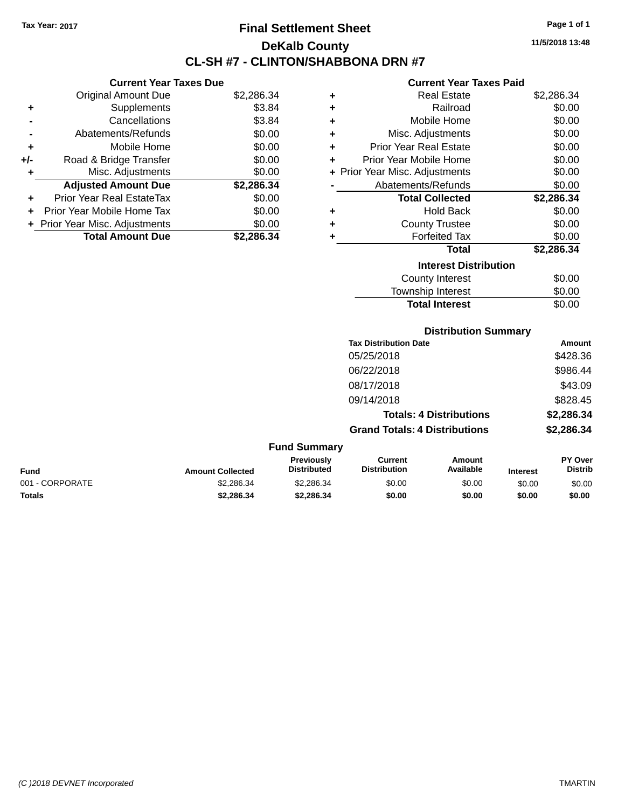# **Final Settlement Sheet Tax Year: 2017 Page 1 of 1 DeKalb County CL-SH #7 - CLINTON/SHABBONA DRN #7**

#### **Current Year Taxes Due**

|       | <b>Original Amount Due</b>     | \$2,286.34 |
|-------|--------------------------------|------------|
| ٠     | Supplements                    | \$3.84     |
|       | Cancellations                  | \$3.84     |
|       | Abatements/Refunds             | \$0.00     |
| ٠     | Mobile Home                    | \$0.00     |
| $+/-$ | Road & Bridge Transfer         | \$0.00     |
|       | Misc. Adjustments              | \$0.00     |
|       | <b>Adjusted Amount Due</b>     | \$2,286.34 |
| ÷     | Prior Year Real EstateTax      | \$0.00     |
|       | Prior Year Mobile Home Tax     | \$0.00     |
|       | + Prior Year Misc. Adjustments | \$0.00     |
|       | <b>Total Amount Due</b>        | \$2,286.34 |

#### **Current Year Taxes Paid**

| ٠ | Real Estate                    | \$2,286.34 |
|---|--------------------------------|------------|
| ÷ | Railroad                       | \$0.00     |
| ٠ | Mobile Home                    | \$0.00     |
| ٠ | Misc. Adjustments              | \$0.00     |
| ÷ | Prior Year Real Estate         | \$0.00     |
| ÷ | Prior Year Mobile Home         | \$0.00     |
|   | + Prior Year Misc. Adjustments | \$0.00     |
|   | Abatements/Refunds             | \$0.00     |
|   | <b>Total Collected</b>         | \$2,286.34 |
| ٠ | Hold Back                      | \$0.00     |
| ٠ | <b>County Trustee</b>          | \$0.00     |
| ٠ | <b>Forfeited Tax</b>           | \$0.00     |
|   | Total                          | \$2,286.34 |
|   | <b>Interest Distribution</b>   |            |
|   | County Interest                | \$0.00     |
|   | <b>Township Interest</b>       | \$0.00     |
|   | <b>Total Interest</b>          | \$0.00     |

#### **Distribution Summary**

| <b>Tax Distribution Date</b>         | Amount     |
|--------------------------------------|------------|
| 05/25/2018                           | \$428.36   |
| 06/22/2018                           | \$986.44   |
| 08/17/2018                           | \$43.09    |
| 09/14/2018                           | \$828.45   |
| <b>Totals: 4 Distributions</b>       | \$2,286.34 |
| <b>Grand Totals: 4 Distributions</b> | \$2,286.34 |

#### **Fund Summary Fund Interest Amount Collected Distributed PY Over Distrib Amount Available Current Distribution Previously** 001 - CORPORATE \$2,286.34 \$2,286.34 \$0.00 \$0.00 \$0.00 \$0.00 **Totals \$2,286.34 \$2,286.34 \$0.00 \$0.00 \$0.00 \$0.00**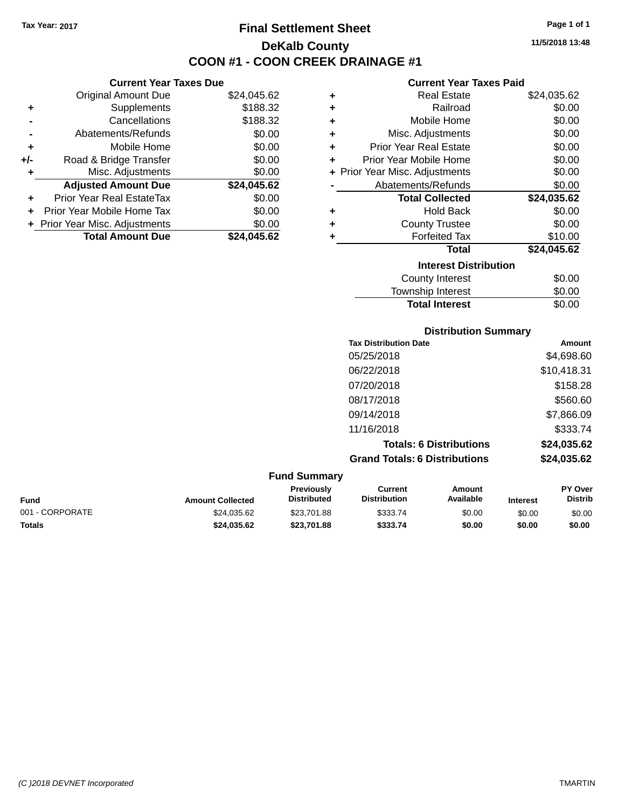**Current Year Taxes Due** Original Amount Due \$24,045.62

**Adjusted Amount Due \$24,045.62**

**Total Amount Due \$24,045.62**

**+** Supplements \$188.32 **-** Cancellations \$188.32 **-** Abatements/Refunds \$0.00 **+** Mobile Home \$0.00 **+/-** Road & Bridge Transfer \$0.00 **+** Misc. Adjustments \$0.00

**+** Prior Year Real EstateTax \$0.00 **+** Prior Year Mobile Home Tax \$0.00 **+ Prior Year Misc. Adjustments**  $$0.00$ 

# **Final Settlement Sheet Tax Year: 2017 Page 1 of 1 DeKalb County COON #1 - COON CREEK DRAINAGE #1**

**11/5/2018 13:48**

#### **Current Year Taxes Paid**

| ٠ | <b>Real Estate</b>             | \$24,035.62 |
|---|--------------------------------|-------------|
| ٠ | Railroad                       | \$0.00      |
| ÷ | Mobile Home                    | \$0.00      |
| ÷ | Misc. Adjustments              | \$0.00      |
| ٠ | <b>Prior Year Real Estate</b>  | \$0.00      |
| ÷ | Prior Year Mobile Home         | \$0.00      |
|   | + Prior Year Misc. Adjustments | \$0.00      |
|   | Abatements/Refunds             | \$0.00      |
|   | <b>Total Collected</b>         | \$24,035.62 |
| ٠ | Hold Back                      | \$0.00      |
| ٠ | <b>County Trustee</b>          | \$0.00      |
|   |                                |             |
| ٠ | <b>Forfeited Tax</b>           | \$10.00     |
|   | <b>Total</b>                   | \$24,045.62 |
|   | <b>Interest Distribution</b>   |             |
|   | <b>County Interest</b>         | \$0.00      |

**Total Interest** \$0.00

|                 |                         |                                  |                                       | <b>Distribution Summary</b>    |                 |                                  |  |
|-----------------|-------------------------|----------------------------------|---------------------------------------|--------------------------------|-----------------|----------------------------------|--|
|                 |                         |                                  | <b>Tax Distribution Date</b>          |                                |                 | Amount                           |  |
|                 |                         |                                  | 05/25/2018                            |                                |                 | \$4,698.60                       |  |
|                 |                         |                                  | 06/22/2018                            |                                |                 | \$10,418.31                      |  |
|                 |                         |                                  | 07/20/2018                            |                                |                 | \$158.28                         |  |
|                 |                         |                                  | 08/17/2018                            |                                |                 | \$560.60                         |  |
|                 |                         |                                  | 09/14/2018                            |                                |                 | \$7,866.09                       |  |
|                 |                         |                                  | 11/16/2018                            |                                |                 | \$333.74                         |  |
|                 |                         |                                  |                                       | <b>Totals: 6 Distributions</b> |                 | \$24,035.62                      |  |
|                 |                         |                                  | <b>Grand Totals: 6 Distributions</b>  |                                |                 | \$24,035.62                      |  |
|                 |                         | <b>Fund Summary</b>              |                                       |                                |                 |                                  |  |
| <b>Fund</b>     | <b>Amount Collected</b> | Previously<br><b>Distributed</b> | <b>Current</b><br><b>Distribution</b> | Amount<br>Available            | <b>Interest</b> | <b>PY Over</b><br><b>Distrib</b> |  |
| 001 - CORPORATE | \$24,035.62             | \$23,701.88                      | \$333.74                              | \$0.00                         | \$0.00          | \$0.00                           |  |

**Totals \$24,035.62 \$23,701.88 \$333.74 \$0.00 \$0.00 \$0.00**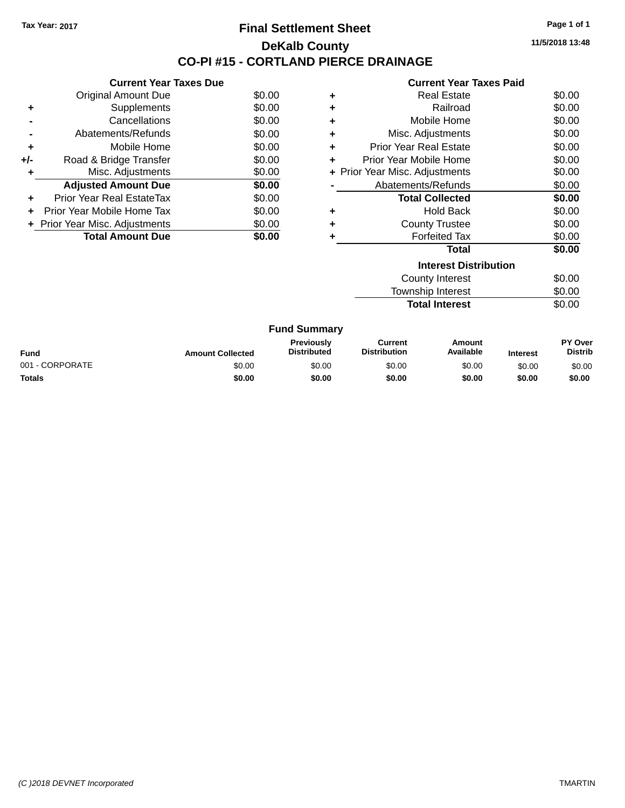## **Final Settlement Sheet Tax Year: 2017 Page 1 of 1 DeKalb County CO-PI #15 - CORTLAND PIERCE DRAINAGE**

**11/5/2018 13:48**

|     | <b>Current Year Taxes Due</b> |        |
|-----|-------------------------------|--------|
|     | <b>Original Amount Due</b>    | \$0.00 |
| ٠   | Supplements                   | \$0.00 |
|     | Cancellations                 | \$0.00 |
|     | Abatements/Refunds            | \$0.00 |
| ٠   | Mobile Home                   | \$0.00 |
| +/- | Road & Bridge Transfer        | \$0.00 |
| ٠   | Misc. Adjustments             | \$0.00 |
|     | <b>Adjusted Amount Due</b>    | \$0.00 |
| ٠   | Prior Year Real EstateTax     | \$0.00 |
|     | Prior Year Mobile Home Tax    | \$0.00 |
|     | Prior Year Misc. Adjustments  | \$0.00 |
|     | <b>Total Amount Due</b>       | \$0.00 |
|     |                               |        |

|   | <b>Current Year Taxes Paid</b> |        |
|---|--------------------------------|--------|
| ٠ | Real Estate                    | \$0.00 |
| ٠ | Railroad                       | \$0.00 |
| ٠ | Mobile Home                    | \$0.00 |
| ٠ | Misc. Adjustments              | \$0.00 |
| ٠ | <b>Prior Year Real Estate</b>  | \$0.00 |
| ÷ | Prior Year Mobile Home         | \$0.00 |
|   | + Prior Year Misc. Adjustments | \$0.00 |
|   | Abatements/Refunds             | \$0.00 |
|   | <b>Total Collected</b>         | \$0.00 |
| ٠ | Hold Back                      | \$0.00 |
| ÷ | <b>County Trustee</b>          | \$0.00 |
| ٠ | <b>Forfeited Tax</b>           | \$0.00 |
|   | Total                          | \$0.00 |
|   | Interest Distribution          |        |
|   | County Interest                | \$0.00 |
|   | <b>Township Interest</b>       | \$0.00 |

Total Interest \$0.00

| <b>Fund Summary</b> |                         |                                         |                                |                            |                 |                                  |
|---------------------|-------------------------|-----------------------------------------|--------------------------------|----------------------------|-----------------|----------------------------------|
| <b>Fund</b>         | <b>Amount Collected</b> | <b>Previously</b><br><b>Distributed</b> | Current<br><b>Distribution</b> | <b>Amount</b><br>Available | <b>Interest</b> | <b>PY Over</b><br><b>Distrib</b> |
| 001 - CORPORATE     | \$0.00                  | \$0.00                                  | \$0.00                         | \$0.00                     | \$0.00          | \$0.00                           |
| <b>Totals</b>       | \$0.00                  | \$0.00                                  | \$0.00                         | \$0.00                     | \$0.00          | \$0.00                           |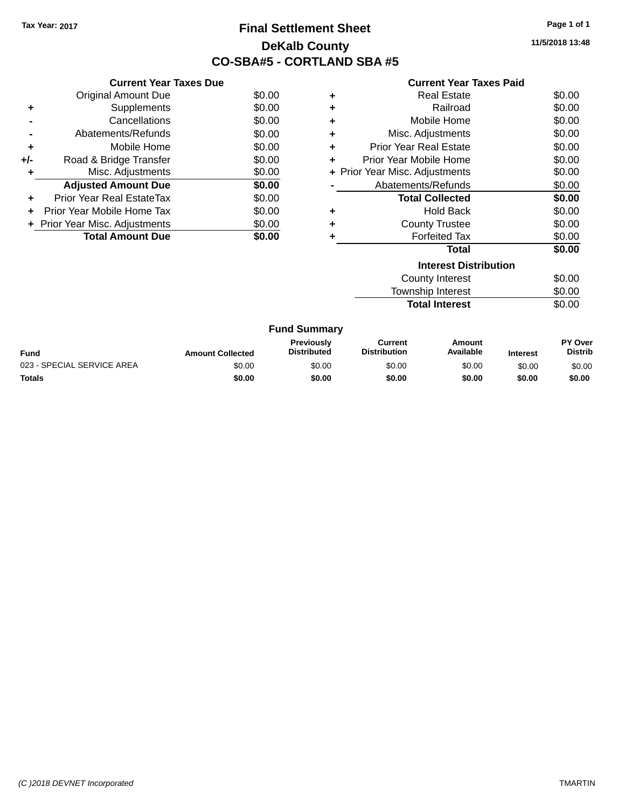# **Final Settlement Sheet Tax Year: 2017 Page 1 of 1 DeKalb County CO-SBA#5 - CORTLAND SBA #5**

**11/5/2018 13:48**

| <b>Current Year Taxes Paid</b> |  |  |  |
|--------------------------------|--|--|--|
|--------------------------------|--|--|--|

|     | <b>Current Year Taxes Due</b>  |        |
|-----|--------------------------------|--------|
|     | <b>Original Amount Due</b>     | \$0.00 |
| ٠   | Supplements                    | \$0.00 |
|     | Cancellations                  | \$0.00 |
|     | Abatements/Refunds             | \$0.00 |
| ٠   | Mobile Home                    | \$0.00 |
| +/- | Road & Bridge Transfer         | \$0.00 |
| ٠   | Misc. Adjustments              |        |
|     | <b>Adjusted Amount Due</b>     | \$0.00 |
| ÷   | Prior Year Real EstateTax      | \$0.00 |
| ÷   | Prior Year Mobile Home Tax     | \$0.00 |
|     | + Prior Year Misc. Adjustments | \$0.00 |
|     | <b>Total Amount Due</b>        | \$0.00 |

| ٠ | <b>Real Estate</b>             | \$0.00 |
|---|--------------------------------|--------|
| ٠ | Railroad                       | \$0.00 |
| ٠ | Mobile Home                    | \$0.00 |
| ٠ | Misc. Adjustments              | \$0.00 |
| ٠ | Prior Year Real Estate         | \$0.00 |
| ٠ | Prior Year Mobile Home         | \$0.00 |
|   | + Prior Year Misc. Adjustments | \$0.00 |
|   | Abatements/Refunds             | \$0.00 |
|   | <b>Total Collected</b>         | \$0.00 |
| ٠ | Hold Back                      | \$0.00 |
| ٠ | <b>County Trustee</b>          | \$0.00 |
| ÷ | <b>Forfeited Tax</b>           | \$0.00 |
|   | Total                          | \$0.00 |
|   | <b>Interest Distribution</b>   |        |
|   | <b>County Interest</b>         | \$0.00 |
|   | <b>Township Interest</b>       | \$0.00 |
|   | <b>Total Interest</b>          | \$0.00 |

|                            |                         | <b>Fund Summary</b>                     |                                |                     |                 |                                  |
|----------------------------|-------------------------|-----------------------------------------|--------------------------------|---------------------|-----------------|----------------------------------|
| Fund                       | <b>Amount Collected</b> | <b>Previously</b><br><b>Distributed</b> | Current<br><b>Distribution</b> | Amount<br>Available | <b>Interest</b> | <b>PY Over</b><br><b>Distrib</b> |
| 023 - SPECIAL SERVICE AREA | \$0.00                  | \$0.00                                  | \$0.00                         | \$0.00              | \$0.00          | \$0.00                           |
| <b>Totals</b>              | \$0.00                  | \$0.00                                  | \$0.00                         | \$0.00              | \$0.00          | \$0.00                           |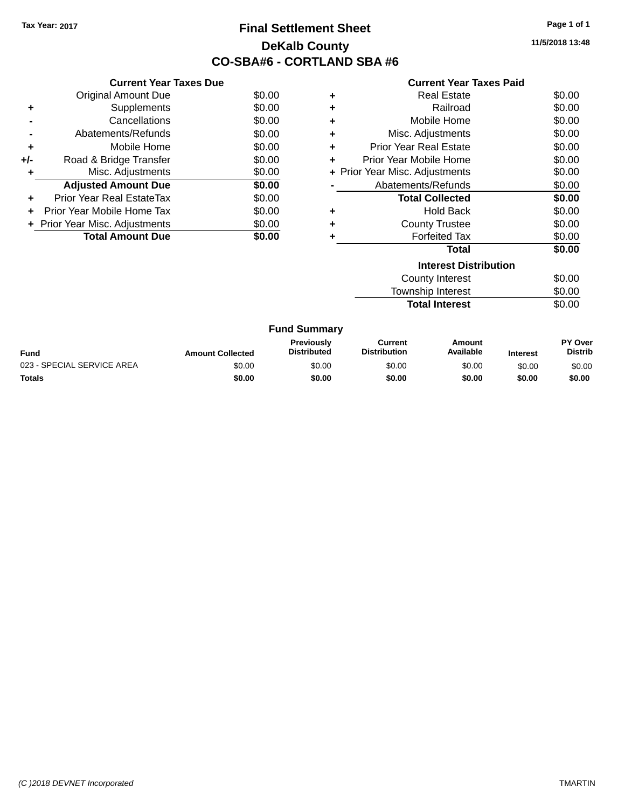# **Final Settlement Sheet Tax Year: 2017 Page 1 of 1 DeKalb County CO-SBA#6 - CORTLAND SBA #6**

**11/5/2018 13:48**

|     | <b>Current Year Taxes Due</b>  |        |
|-----|--------------------------------|--------|
|     | <b>Original Amount Due</b>     | \$0.00 |
| ٠   | Supplements                    | \$0.00 |
|     | Cancellations                  | \$0.00 |
|     | Abatements/Refunds             | \$0.00 |
| ٠   | Mobile Home                    | \$0.00 |
| +/- | Road & Bridge Transfer         | \$0.00 |
| ٠   | Misc. Adjustments              | \$0.00 |
|     | <b>Adjusted Amount Due</b>     | \$0.00 |
| ٠   | Prior Year Real EstateTax      | \$0.00 |
|     | Prior Year Mobile Home Tax     | \$0.00 |
|     | + Prior Year Misc. Adjustments | \$0.00 |
|     | <b>Total Amount Due</b>        | \$0.00 |
|     |                                |        |

|    | <b>Current Year Taxes Paid</b> |        |
|----|--------------------------------|--------|
| ÷. | <b>Real Estate</b>             | \$0.00 |
| ÷. | Railroad                       | \$0.00 |
| ÷. | Mobile Home                    | \$0.00 |
| ÷. | Misc. Adjustments              | \$0.00 |
| ÷. | <b>Prior Year Real Estate</b>  | \$0.00 |
| ÷  | Prior Year Mobile Home         | \$0.00 |
|    | + Prior Year Misc. Adjustments | \$0.00 |
|    | Abatements/Refunds             | \$0.00 |
|    | <b>Total Collected</b>         | ደበ በበ  |

|   | Total                                     | \$0.00 |
|---|-------------------------------------------|--------|
| ÷ | <b>Forfeited Tax</b>                      | \$0.00 |
| ÷ | <b>County Trustee</b>                     | \$0.00 |
| ٠ | <b>Hold Back</b>                          | \$0.00 |
|   | וטנמו טטוו <del>כ</del> טנ <del>כ</del> ע | vv.vv  |

| <b>Interest Distribution</b> |        |
|------------------------------|--------|
| County Interest              | \$0.00 |
| Township Interest            | \$0.00 |
| <b>Total Interest</b>        | \$0.00 |

|  | <b>Fund Summary</b> |
|--|---------------------|
|--|---------------------|

| <b>Fund</b>                | <b>Amount Collected</b> | <b>Previously</b><br><b>Distributed</b> | Current<br><b>Distribution</b> | Amount<br><b>Available</b> | <b>Interest</b> | <b>PY Over</b><br>Distrib |
|----------------------------|-------------------------|-----------------------------------------|--------------------------------|----------------------------|-----------------|---------------------------|
| 023 - SPECIAL SERVICE AREA | \$0.00                  | \$0.00                                  | \$0.00                         | \$0.00                     | \$0.00          | \$0.00                    |
| <b>Totals</b>              | \$0.00                  | \$0.00                                  | \$0.00                         | \$0.00                     | \$0.00          | \$0.00                    |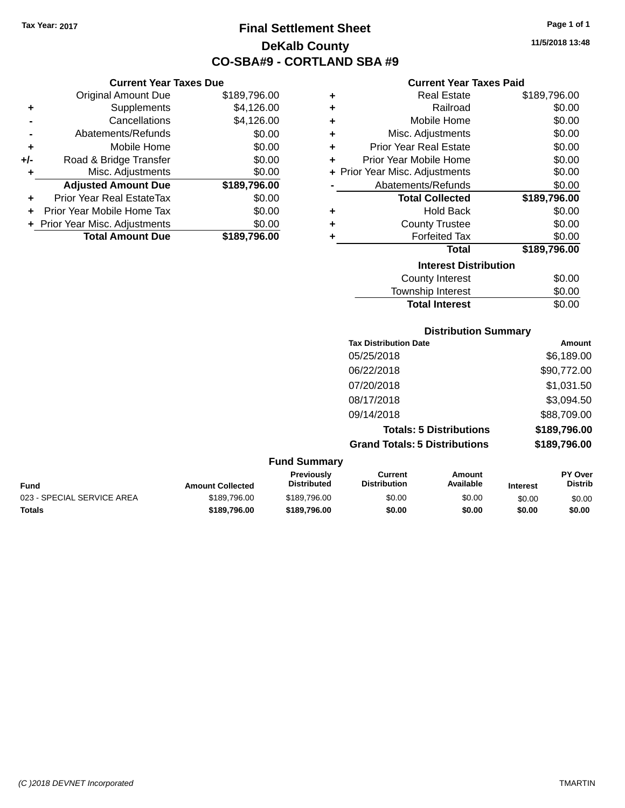**Original Amount Due** 

**Adjusted Amount Due** 

**Total Amount Due** 

**+** Supplements **-** Cancellations **-** Abatements/Refunds  $+$  Mobile Home **+/-** Road & Bridge Transfer **+** Misc. Adjustments

**+** Prior Year Real EstateTax \$0.00 **+** Prior Year Mobile Home Tax **+** Prior Year Misc. Adjustments

# **Final Settlement Sheet Tax Year: 2017 Page 1 of 1 DeKalb County CO-SBA#9 - CORTLAND SBA #9**

**11/5/2018 13:48**

### **Current Year Taxes Paid**

| <b>Current Year Taxes Due</b> |              |   | <b>Current Year Taxes Paid</b> |              |
|-------------------------------|--------------|---|--------------------------------|--------------|
| ่<br>เl Amount Due            | \$189,796.00 | ÷ | <b>Real Estate</b>             | \$189,796.00 |
| Supplements                   | \$4,126.00   | ÷ | Railroad                       | \$0.00       |
| Cancellations                 | \$4,126.00   | ٠ | Mobile Home                    | \$0.00       |
| าents/Refunds                 | \$0.00       | ÷ | Misc. Adjustments              | \$0.00       |
| Mobile Home                   | \$0.00       | ÷ | <b>Prior Year Real Estate</b>  | \$0.00       |
| ridge Transfer                | \$0.00       | ÷ | Prior Year Mobile Home         | \$0.00       |
| . Adjustments                 | \$0.00       |   | + Prior Year Misc. Adjustments | \$0.00       |
| <b>Amount Due</b>             | \$189,796.00 |   | Abatements/Refunds             | \$0.00       |
| leal EstateTax≀               | \$0.00       |   | <b>Total Collected</b>         | \$189,796.00 |
| bile Home Tax                 | \$0.00       | ÷ | <b>Hold Back</b>               | \$0.00       |
| . Adjustments                 | \$0.00       | ÷ | <b>County Trustee</b>          | \$0.00       |
| <b>Amount Due</b>             | \$189,796.00 |   | <b>Forfeited Tax</b>           | \$0.00       |
|                               |              |   | <b>Total</b>                   | \$189,796.00 |
|                               |              |   | <b>Interest Distribution</b>   |              |

| \$0.00 |
|--------|
| \$0.00 |
| \$0.00 |
|        |

### **Distribution Summary**

| <b>Tax Distribution Date</b>         | <b>Amount</b> |
|--------------------------------------|---------------|
| 05/25/2018                           | \$6,189.00    |
| 06/22/2018                           | \$90,772.00   |
| 07/20/2018                           | \$1,031.50    |
| 08/17/2018                           | \$3,094.50    |
| 09/14/2018                           | \$88,709.00   |
| <b>Totals: 5 Distributions</b>       | \$189,796.00  |
| <b>Grand Totals: 5 Distributions</b> | \$189,796.00  |
|                                      |               |

| Fund                       | <b>Amount Collected</b> | <b>Previously</b><br><b>Distributed</b> | Current<br><b>Distribution</b> | Amount<br>Available | <b>Interest</b> | <b>PY Over</b><br><b>Distrib</b> |
|----------------------------|-------------------------|-----------------------------------------|--------------------------------|---------------------|-----------------|----------------------------------|
| 023 - SPECIAL SERVICE AREA | \$189,796.00            | \$189.796.00                            | \$0.00                         | \$0.00              | \$0.00          | \$0.00                           |
| Totals                     | \$189.796.00            | \$189,796.00                            | \$0.00                         | \$0.00              | \$0.00          | \$0.00                           |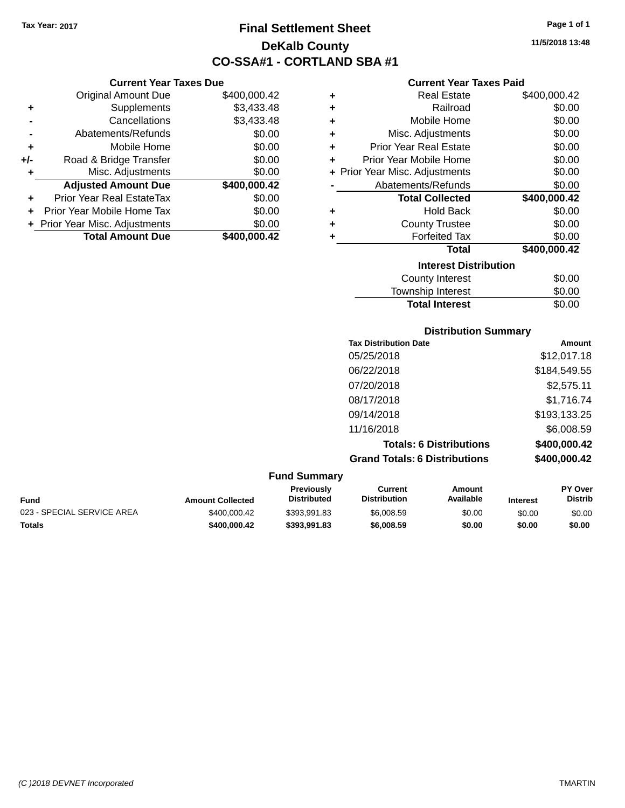# **Final Settlement Sheet Tax Year: 2017 Page 1 of 1 DeKalb County CO-SSA#1 - CORTLAND SBA #1**

**11/5/2018 13:48**

### **Current Year Taxes Paid**

| ٠ | <b>Real Estate</b>             | \$400,000.42 |
|---|--------------------------------|--------------|
| ÷ | Railroad                       | \$0.00       |
| ÷ | Mobile Home                    | \$0.00       |
| ÷ | Misc. Adjustments              | \$0.00       |
| ÷ | <b>Prior Year Real Estate</b>  | \$0.00       |
| ÷ | Prior Year Mobile Home         | \$0.00       |
|   | + Prior Year Misc. Adjustments | \$0.00       |
|   | Abatements/Refunds             | \$0.00       |
|   | <b>Total Collected</b>         | \$400,000.42 |
| ٠ | <b>Hold Back</b>               | \$0.00       |
| ٠ | <b>County Trustee</b>          | \$0.00       |
| ٠ | <b>Forfeited Tax</b>           | \$0.00       |
|   | Total                          | \$400,000.42 |
|   | <b>Interest Distribution</b>   |              |
|   | <b>County Interest</b>         | \$0.00       |
|   | Touraabin Interact             | ሮስ ሰሰ        |

# Township Interest  $$0.00$ Total Interest \$0.00

| <b>Distribution Summary</b>          |              |  |  |
|--------------------------------------|--------------|--|--|
| <b>Tax Distribution Date</b>         | Amount       |  |  |
| 05/25/2018                           | \$12,017.18  |  |  |
| 06/22/2018                           | \$184,549.55 |  |  |
| 07/20/2018                           | \$2,575.11   |  |  |
| 08/17/2018                           | \$1,716.74   |  |  |
| 09/14/2018                           | \$193,133.25 |  |  |
| 11/16/2018                           | \$6,008.59   |  |  |
| <b>Totals: 6 Distributions</b>       | \$400,000.42 |  |  |
| <b>Grand Totals: 6 Distributions</b> | \$400,000.42 |  |  |

| <b>Fund Summary</b>        |                         |                                         |                                |                     |                 |                                  |
|----------------------------|-------------------------|-----------------------------------------|--------------------------------|---------------------|-----------------|----------------------------------|
| Fund                       | <b>Amount Collected</b> | <b>Previously</b><br><b>Distributed</b> | Current<br><b>Distribution</b> | Amount<br>Available | <b>Interest</b> | <b>PY Over</b><br><b>Distrib</b> |
| 023 - SPECIAL SERVICE AREA | \$400,000.42            | \$393.991.83                            | \$6,008.59                     | \$0.00              | \$0.00          | \$0.00                           |
| Totals                     | \$400,000.42            | \$393.991.83                            | \$6,008.59                     | \$0.00              | \$0.00          | \$0.00                           |

|     | <b>Total Amount Due</b>          | \$400,000.42 |
|-----|----------------------------------|--------------|
|     | + Prior Year Misc. Adjustments   | \$0.00       |
| ٠   | Prior Year Mobile Home Tax       | \$0.00       |
| ٠   | <b>Prior Year Real EstateTax</b> | \$0.00       |
|     | <b>Adjusted Amount Due</b>       | \$400,000.42 |
| ÷   | Misc. Adjustments                | \$0.00       |
| +/- | Road & Bridge Transfer           | \$0.00       |
| ٠   | Mobile Home                      | \$0.00       |
|     | Abatements/Refunds               | \$0.00       |
|     | Cancellations                    | \$3,433.48   |
| T   | <b>OUPPICITION</b>               | งง.¬งง.¬ง    |

*(C )2018 DEVNET Incorporated* TMARTIN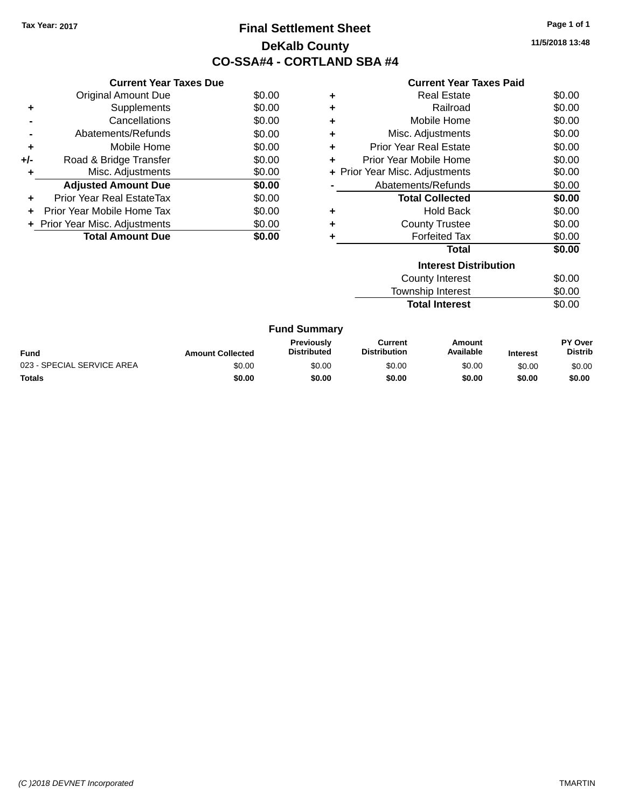# **Final Settlement Sheet Tax Year: 2017 Page 1 of 1 DeKalb County CO-SSA#4 - CORTLAND SBA #4**

**11/5/2018 13:48**

#### **Current Year Taxes Paid**

| <b>Current Year Taxes Due</b> |                                |
|-------------------------------|--------------------------------|
| <b>Original Amount Due</b>    | \$0.00                         |
| Supplements                   | \$0.00                         |
| Cancellations                 | \$0.00                         |
| Abatements/Refunds            | \$0.00                         |
| Mobile Home                   | \$0.00                         |
| Road & Bridge Transfer        | \$0.00                         |
| Misc. Adjustments             | \$0.00                         |
| <b>Adjusted Amount Due</b>    | \$0.00                         |
| Prior Year Real EstateTax     | \$0.00                         |
| Prior Year Mobile Home Tax    | \$0.00                         |
|                               | \$0.00                         |
| <b>Total Amount Due</b>       | \$0.00                         |
|                               | + Prior Year Misc. Adjustments |

| ٠ | Real Estate                    | \$0.00 |
|---|--------------------------------|--------|
| ٠ | Railroad                       | \$0.00 |
| ٠ | Mobile Home                    | \$0.00 |
| ٠ | Misc. Adjustments              | \$0.00 |
| ٠ | <b>Prior Year Real Estate</b>  | \$0.00 |
| ٠ | Prior Year Mobile Home         | \$0.00 |
|   | + Prior Year Misc. Adjustments | \$0.00 |
|   | Abatements/Refunds             | \$0.00 |
|   |                                |        |
|   | <b>Total Collected</b>         | \$0.00 |
| ٠ | Hold Back                      | \$0.00 |
| ٠ | <b>County Trustee</b>          | \$0.00 |
|   | <b>Forfeited Tax</b>           | \$0.00 |
|   | <b>Total</b>                   | \$0.00 |
|   | <b>Interest Distribution</b>   |        |
|   | <b>County Interest</b>         | \$0.00 |

**Total Interest** \$0.00

| <b>Fund Summary</b>        |                         |                                         |                                |                     |                 |                           |
|----------------------------|-------------------------|-----------------------------------------|--------------------------------|---------------------|-----------------|---------------------------|
| Fund                       | <b>Amount Collected</b> | <b>Previously</b><br><b>Distributed</b> | Current<br><b>Distribution</b> | Amount<br>Available | <b>Interest</b> | PY Over<br><b>Distrib</b> |
| 023 - SPECIAL SERVICE AREA | \$0.00                  | \$0.00                                  | \$0.00                         | \$0.00              | \$0.00          | \$0.00                    |
| <b>Totals</b>              | \$0.00                  | \$0.00                                  | \$0.00                         | \$0.00              | \$0.00          | \$0.00                    |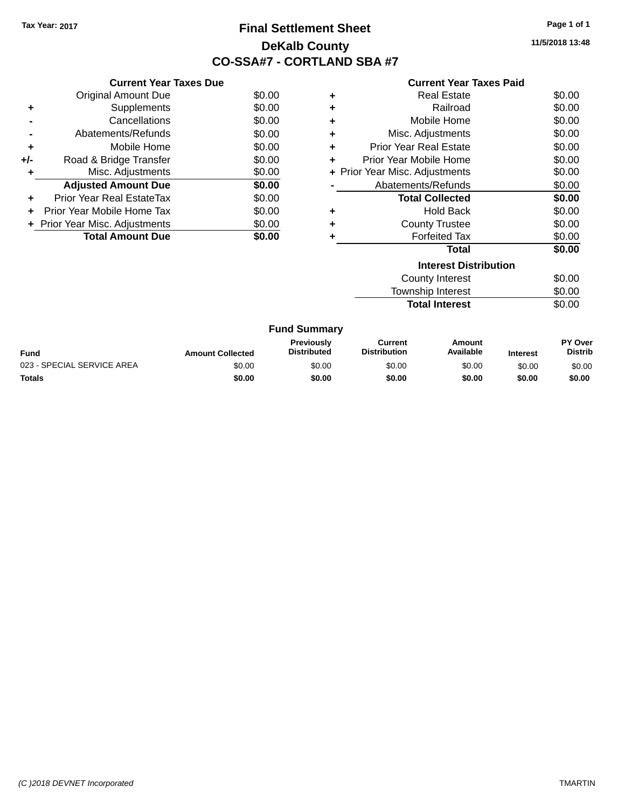# **Final Settlement Sheet Tax Year: 2017 Page 1 of 1 DeKalb County CO-SSA#7 - CORTLAND SBA #7**

**11/5/2018 13:48**

\$0.00

|     | <b>Current Year Taxes Due</b>  |        |
|-----|--------------------------------|--------|
|     | <b>Original Amount Due</b>     | \$0.00 |
|     | Supplements                    | \$0.00 |
|     | Cancellations                  | \$0.00 |
|     | Abatements/Refunds             | \$0.00 |
| ٠   | Mobile Home                    | \$0.00 |
| +/- | Road & Bridge Transfer         | \$0.00 |
| ÷   | Misc. Adjustments              | \$0.00 |
|     | <b>Adjusted Amount Due</b>     | \$0.00 |
| ÷   | Prior Year Real EstateTax      | \$0.00 |
|     | Prior Year Mobile Home Tax     | \$0.00 |
|     | + Prior Year Misc. Adjustments | \$0.00 |
|     | <b>Total Amount Due</b>        | \$0.00 |
|     |                                |        |

|           | <b>Current Year Taxes Paid</b> |        |
|-----------|--------------------------------|--------|
| ÷         | <b>Real Estate</b>             | \$0.00 |
| $\ddot{}$ | Railroad                       | \$0.00 |
| $\ddot{}$ | Mobile Home                    | \$0.00 |
| $\ddot{}$ | Misc. Adjustments              | \$0.00 |
| ÷         | <b>Prior Year Real Estate</b>  | \$0.00 |
| ÷         | Prior Year Mobile Home         | \$0.00 |
|           | + Prior Year Misc. Adjustments | \$0.00 |
|           | Abatements/Refunds             | \$0.00 |
|           | <b>Total Collected</b>         | \$0.00 |
|           | Hold Back                      | \$0.00 |

| \$0.00 | ٠ | <b>Forfeited Tax</b>         | \$0.00 |
|--------|---|------------------------------|--------|
|        |   | Total                        | \$0.00 |
|        |   | <b>Interest Distribution</b> |        |
|        |   | <b>County Interest</b>       | \$0.00 |
|        |   | <b>Township Interest</b>     | \$0.00 |
|        |   | <b>Total Interest</b>        | \$0.00 |

**+** County Trustee

| <b>Fund</b>                | <b>Amount Collected</b> | <b>Previously</b><br><b>Distributed</b> | Current<br><b>Distribution</b> | Amount<br>Available | <b>Interest</b> | <b>PY Over</b><br><b>Distrib</b> |
|----------------------------|-------------------------|-----------------------------------------|--------------------------------|---------------------|-----------------|----------------------------------|
| 023 - SPECIAL SERVICE AREA | \$0.00                  | \$0.00                                  | \$0.00                         | \$0.00              | \$0.00          | \$0.00                           |
| <b>Totals</b>              | \$0.00                  | \$0.00                                  | \$0.00                         | \$0.00              | \$0.00          | \$0.00                           |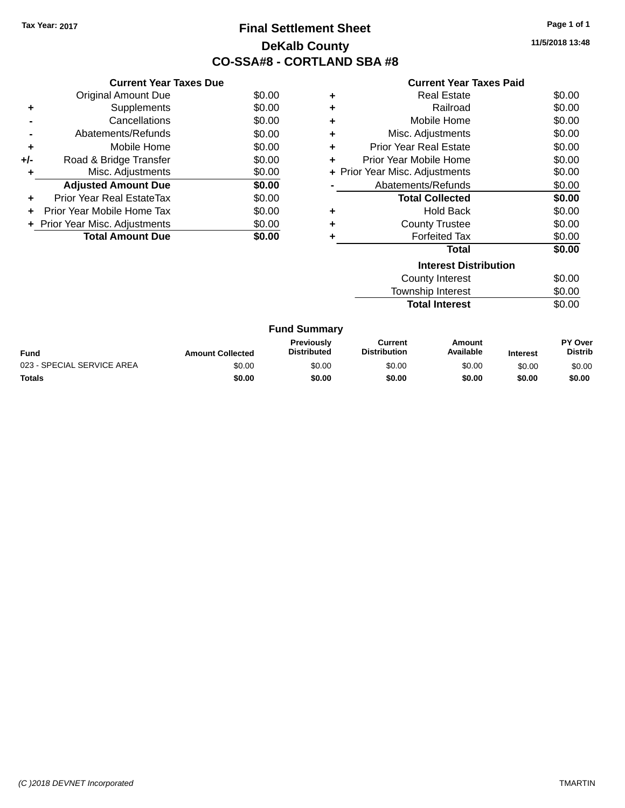# **Final Settlement Sheet Tax Year: 2017 Page 1 of 1 DeKalb County CO-SSA#8 - CORTLAND SBA #8**

**11/5/2018 13:48**

|     | <b>Current Year Taxes Due</b>  |        |
|-----|--------------------------------|--------|
|     | <b>Original Amount Due</b>     | \$0.00 |
| ٠   | Supplements                    | \$0.00 |
|     | Cancellations                  | \$0.00 |
|     | Abatements/Refunds             | \$0.00 |
| ٠   | Mobile Home                    | \$0.00 |
| +/- | Road & Bridge Transfer         | \$0.00 |
| ÷   | Misc. Adjustments              | \$0.00 |
|     | <b>Adjusted Amount Due</b>     | \$0.00 |
| ٠   | Prior Year Real EstateTax      | \$0.00 |
|     | Prior Year Mobile Home Tax     | \$0.00 |
|     | + Prior Year Misc. Adjustments | \$0.00 |
|     | <b>Total Amount Due</b>        | \$0.00 |
|     |                                |        |

| <b>Current Year Taxes Paid</b>     |        |  |  |  |  |  |
|------------------------------------|--------|--|--|--|--|--|
| Real Estate<br>٠                   | \$0.00 |  |  |  |  |  |
| Railroad<br>٠                      | \$0.00 |  |  |  |  |  |
| Mobile Home<br>÷                   | \$0.00 |  |  |  |  |  |
| Misc. Adjustments<br>÷             | \$0.00 |  |  |  |  |  |
| <b>Prior Year Real Estate</b><br>٠ | \$0.00 |  |  |  |  |  |
| Prior Year Mobile Home<br>÷        | \$0.00 |  |  |  |  |  |
| + Prior Year Misc. Adjustments     | \$0.00 |  |  |  |  |  |
| Abatements/Refunds                 | \$0.00 |  |  |  |  |  |
| <b>Total Collected</b>             | \$0.00 |  |  |  |  |  |
| Hold Back<br>٠                     | \$0.00 |  |  |  |  |  |
| <b>County Trustee</b><br>÷         | \$0.00 |  |  |  |  |  |
| <b>Forfeited Tax</b><br>٠          | \$0.00 |  |  |  |  |  |
| <b>Total</b>                       | \$0.00 |  |  |  |  |  |
| <b>Interest Distribution</b>       |        |  |  |  |  |  |
| County Interest                    | \$0.00 |  |  |  |  |  |
| <b>Township Interest</b>           | \$0.00 |  |  |  |  |  |

**Total Interest** \$0.00

|  | <b>Fund Summary</b> |
|--|---------------------|
|--|---------------------|

| <b>Fund</b>                | <b>Amount Collected</b> | Previouslv<br><b>Distributed</b> | Current<br><b>Distribution</b> | Amount<br>Available | <b>Interest</b> | <b>PY Over</b><br><b>Distrib</b> |
|----------------------------|-------------------------|----------------------------------|--------------------------------|---------------------|-----------------|----------------------------------|
| 023 - SPECIAL SERVICE AREA | \$0.00                  | \$0.00                           | \$0.00                         | \$0.00              | \$0.00          | \$0.00                           |
| <b>Totals</b>              | \$0.00                  | \$0.00                           | \$0.00                         | \$0.00              | \$0.00          | \$0.00                           |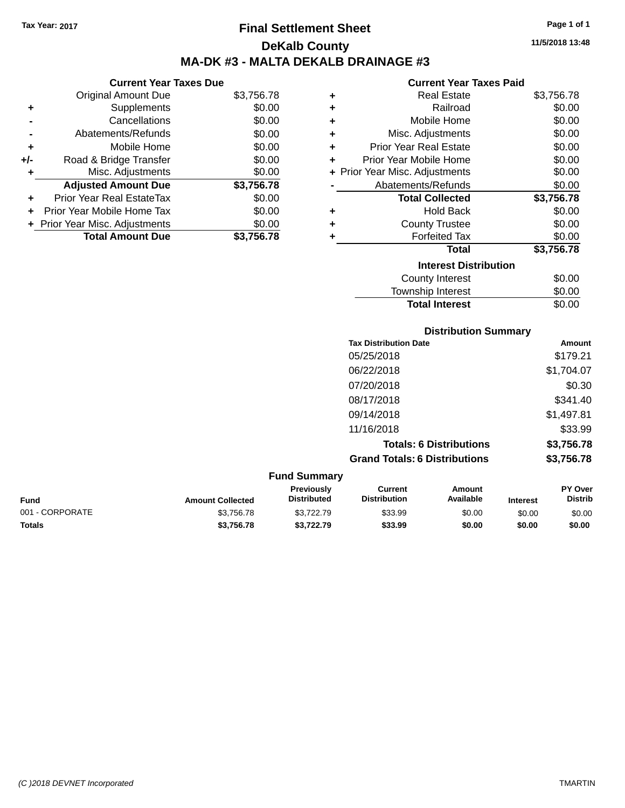# **Final Settlement Sheet Tax Year: 2017 Page 1 of 1 DeKalb County MA-DK #3 - MALTA DEKALB DRAINAGE #3**

### **Current Year Taxes Due**

|       | <b>Original Amount Due</b>     | \$3,756.78 |
|-------|--------------------------------|------------|
| ٠     | Supplements                    | \$0.00     |
|       | Cancellations                  | \$0.00     |
|       | Abatements/Refunds             | \$0.00     |
| ÷     | Mobile Home                    | \$0.00     |
| $+/-$ | Road & Bridge Transfer         | \$0.00     |
| ٠     | Misc. Adjustments              | \$0.00     |
|       | <b>Adjusted Amount Due</b>     | \$3,756.78 |
| ٠     | Prior Year Real EstateTax      | \$0.00     |
|       | Prior Year Mobile Home Tax     | \$0.00     |
|       | + Prior Year Misc. Adjustments | \$0.00     |
|       | <b>Total Amount Due</b>        | \$3.756.78 |

### **Current Year Taxes Paid**

| ٠ | Real Estate                    | \$3,756.78 |
|---|--------------------------------|------------|
| ٠ | Railroad                       | \$0.00     |
| ٠ | Mobile Home                    | \$0.00     |
| ٠ | Misc. Adjustments              | \$0.00     |
| ٠ | <b>Prior Year Real Estate</b>  | \$0.00     |
| ÷ | Prior Year Mobile Home         | \$0.00     |
|   | + Prior Year Misc. Adjustments | \$0.00     |
|   | Abatements/Refunds             | \$0.00     |
|   | <b>Total Collected</b>         | \$3,756.78 |
| ٠ | Hold Back                      | \$0.00     |
| ٠ | <b>County Trustee</b>          | \$0.00     |
| ٠ | <b>Forfeited Tax</b>           | \$0.00     |
|   | <b>Total</b>                   | \$3,756.78 |
|   | <b>Interest Distribution</b>   |            |
|   | <b>County Interest</b>         | \$0.00     |
|   | <b>Township Interest</b>       | \$0.00     |
|   | <b>Total Interest</b>          | \$0.00     |

|                 |                         | <b>Distribution Summary</b>      |                                      |                                |                 |                                  |
|-----------------|-------------------------|----------------------------------|--------------------------------------|--------------------------------|-----------------|----------------------------------|
|                 |                         |                                  | <b>Tax Distribution Date</b>         |                                |                 | <b>Amount</b>                    |
|                 |                         |                                  | 05/25/2018                           |                                |                 | \$179.21                         |
|                 |                         |                                  | 06/22/2018                           |                                |                 | \$1,704.07                       |
|                 |                         |                                  | 07/20/2018                           |                                |                 | \$0.30                           |
|                 |                         |                                  | 08/17/2018                           |                                |                 | \$341.40                         |
|                 |                         |                                  | 09/14/2018                           |                                |                 | \$1,497.81                       |
|                 |                         |                                  | 11/16/2018                           |                                |                 | \$33.99                          |
|                 |                         |                                  |                                      | <b>Totals: 6 Distributions</b> |                 | \$3,756.78                       |
|                 |                         |                                  | <b>Grand Totals: 6 Distributions</b> |                                |                 | \$3,756.78                       |
|                 |                         | <b>Fund Summary</b>              |                                      |                                |                 |                                  |
| <b>Fund</b>     | <b>Amount Collected</b> | Previously<br><b>Distributed</b> | Current<br><b>Distribution</b>       | Amount<br>Available            | <b>Interest</b> | <b>PY Over</b><br><b>Distrib</b> |
| 001 - CORPORATE | \$3,756.78              | \$3,722.79                       | \$33.99                              | \$0.00                         | \$0.00          | \$0.00                           |

**Totals \$3,756.78 \$3,722.79 \$33.99 \$0.00 \$0.00 \$0.00**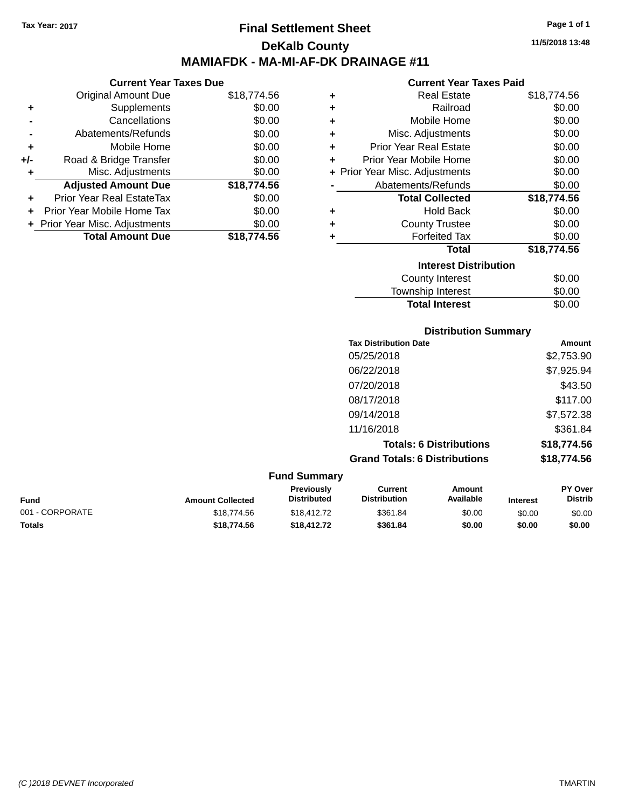# **Final Settlement Sheet Tax Year: 2017 Page 1 of 1 DeKalb County MAMIAFDK - MA-MI-AF-DK DRAINAGE #11**

### **Current Year Taxes Due** Original Amount Due \$18,774.56 **+** Supplements \$0.00 **-** Cancellations \$0.00 **-** Abatements/Refunds \$0.00 **+** Mobile Home \$0.00 **+/-** Road & Bridge Transfer \$0.00 **+** Misc. Adjustments \$0.00 **Adjusted Amount Due \$18,774.56 +** Prior Year Real EstateTax \$0.00 **+** Prior Year Mobile Home Tax \$0.00 **+** Prior Year Misc. Adjustments  $$0.00$ **Total Amount Due \$18,774.56**

### **Current Year Taxes Paid +** Real Estate \$18,774.56 **+** Railroad \$0.00 **+** Mobile Home \$0.00 **+** Misc. Adjustments \$0.00 **+** Prior Year Real Estate \$0.00 **+** Prior Year Mobile Home \$0.00 **+** Prior Year Misc. Adjustments  $$0.00$ Abatements/Refunds \$0.00 **Total Collected \$18,774.56 +** Hold Back \$0.00 **+** County Trustee **+** Forfeited Tax \$0.00 **Total \$18,774.56 Interest Distribution** County Interest  $$0.00$ \$0.00

| <b>County Interest</b> | \$0.00 |
|------------------------|--------|
| Township Interest      | \$0.00 |
| <b>Total Interest</b>  | \$0.00 |
|                        |        |

### **Tax Distribution Date Amount** 05/25/2018 \$2,753.90 06/22/2018 \$7,925.94 07/20/2018 \$43.50 08/17/2018 \$117.00 09/14/2018 \$7,572.38 11/16/2018 \$361.84 **Totals: 6 Distributions \$18,774.56**

**Grand Totals: 6 Distributions \$18,774.56**

| <b>Fund Summary</b> |                         |                                         |                                |                     |                 |                                  |
|---------------------|-------------------------|-----------------------------------------|--------------------------------|---------------------|-----------------|----------------------------------|
| Fund                | <b>Amount Collected</b> | <b>Previously</b><br><b>Distributed</b> | Current<br><b>Distribution</b> | Amount<br>Available | <b>Interest</b> | <b>PY Over</b><br><b>Distrib</b> |
| 001 - CORPORATE     | \$18,774.56             | \$18,412,72                             | \$361.84                       | \$0.00              | \$0.00          | \$0.00                           |
| Totals              | \$18,774.56             | \$18,412.72                             | \$361.84                       | \$0.00              | \$0.00          | \$0.00                           |

**Distribution Summary**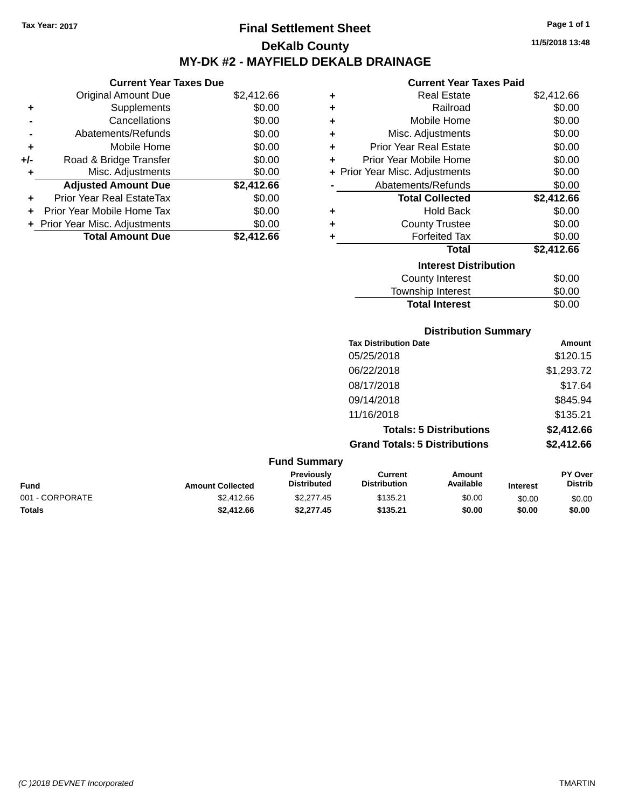# **Final Settlement Sheet Tax Year: 2017 Page 1 of 1 DeKalb County MY-DK #2 - MAYFIELD DEKALB DRAINAGE**

**Current Year Taxes Due**

|       | <b>Original Amount Due</b>     | \$2,412.66 |
|-------|--------------------------------|------------|
| ٠     | Supplements                    | \$0.00     |
|       | Cancellations                  | \$0.00     |
|       | Abatements/Refunds             | \$0.00     |
| ÷     | Mobile Home                    | \$0.00     |
| $+/-$ | Road & Bridge Transfer         | \$0.00     |
| ٠     | Misc. Adjustments              | \$0.00     |
|       | <b>Adjusted Amount Due</b>     | \$2,412.66 |
| ٠     | Prior Year Real EstateTax      | \$0.00     |
|       | Prior Year Mobile Home Tax     | \$0.00     |
|       | + Prior Year Misc. Adjustments | \$0.00     |
|       | <b>Total Amount Due</b>        | \$2.412.66 |

| <b>Current Year Taxes Paid</b> |  |  |  |
|--------------------------------|--|--|--|
|--------------------------------|--|--|--|

| ٠ | Real Estate                    | \$2,412.66 |
|---|--------------------------------|------------|
| ÷ | Railroad                       | \$0.00     |
| ٠ | Mobile Home                    | \$0.00     |
| ٠ | Misc. Adjustments              | \$0.00     |
| ÷ | <b>Prior Year Real Estate</b>  | \$0.00     |
| ٠ | Prior Year Mobile Home         | \$0.00     |
|   | + Prior Year Misc. Adjustments | \$0.00     |
|   | Abatements/Refunds             | \$0.00     |
|   | <b>Total Collected</b>         | \$2,412.66 |
| ٠ | Hold Back                      | \$0.00     |
| ٠ | <b>County Trustee</b>          | \$0.00     |
| ٠ | <b>Forfeited Tax</b>           | \$0.00     |
|   | Total                          | \$2,412.66 |
|   | <b>Interest Distribution</b>   |            |
|   | <b>County Interest</b>         | \$0.00     |
|   | <b>Township Interest</b>       | \$0.00     |
|   | <b>Total Interest</b>          | \$0.00     |

| <b>Distribution Summary</b>          |            |
|--------------------------------------|------------|
| <b>Tax Distribution Date</b>         | Amount     |
| 05/25/2018                           | \$120.15   |
| 06/22/2018                           | \$1,293.72 |
| 08/17/2018                           | \$17.64    |
| 09/14/2018                           | \$845.94   |
| 11/16/2018                           | \$135.21   |
| <b>Totals: 5 Distributions</b>       | \$2,412.66 |
| <b>Grand Totals: 5 Distributions</b> | \$2,412.66 |

| <b>Fund Summary</b>     |                                         |                                |                     |                 |                           |
|-------------------------|-----------------------------------------|--------------------------------|---------------------|-----------------|---------------------------|
| <b>Amount Collected</b> | <b>Previously</b><br><b>Distributed</b> | Current<br><b>Distribution</b> | Amount<br>Available | <b>Interest</b> | PY Over<br><b>Distrib</b> |
| \$2,412.66              | \$2,277.45                              | \$135.21                       | \$0.00              | \$0.00          | \$0.00                    |
| \$2,412.66              | \$2.277.45                              | \$135.21                       | \$0.00              | \$0.00          | \$0.00                    |
|                         |                                         |                                |                     |                 |                           |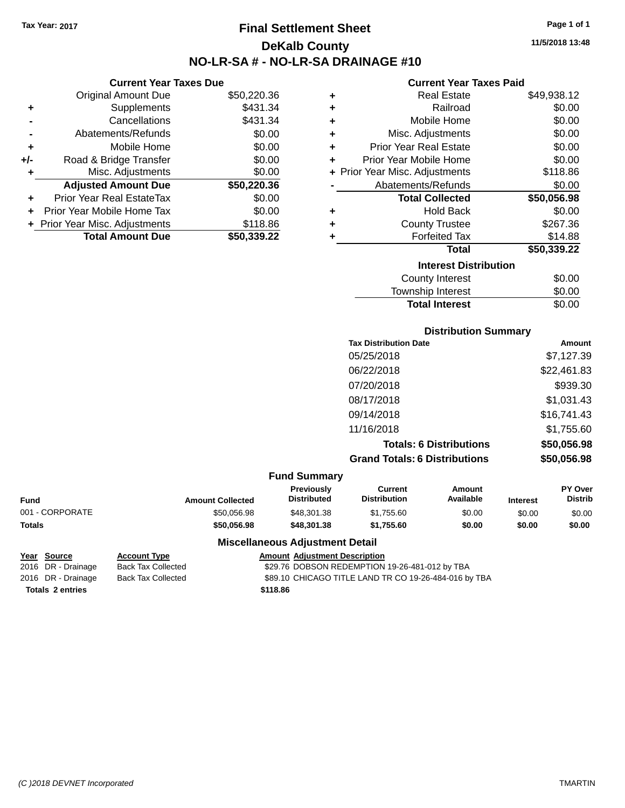# **Final Settlement Sheet Tax Year: 2017 Page 1 of 1 DeKalb County NO-LR-SA # - NO-LR-SA DRAINAGE #10**

**11/5/2018 13:48**

### **Current Year Taxes Paid**

| ٠ | <b>Real Estate</b>             | \$49,938.12 |
|---|--------------------------------|-------------|
| ÷ | Railroad                       | \$0.00      |
| ÷ | Mobile Home                    | \$0.00      |
| ٠ | Misc. Adjustments              | \$0.00      |
| ÷ | <b>Prior Year Real Estate</b>  | \$0.00      |
| ÷ | Prior Year Mobile Home         | \$0.00      |
|   | + Prior Year Misc. Adjustments | \$118.86    |
|   | Abatements/Refunds             | \$0.00      |
|   | <b>Total Collected</b>         | \$50,056.98 |
| ٠ | <b>Hold Back</b>               | \$0.00      |
| ٠ | <b>County Trustee</b>          | \$267.36    |
| ٠ | <b>Forfeited Tax</b>           | \$14.88     |
|   | Total                          | \$50,339.22 |
|   | <b>Interest Distribution</b>   |             |
|   | <b>County Interest</b>         | \$0.00      |
|   | <b>Township Interest</b>       | \$0.00      |
|   | <b>Total Interest</b>          | \$0.00      |

**Distribution Summary**

| <b>Tax Distribution Date</b>                                 | Amount                                                                 |
|--------------------------------------------------------------|------------------------------------------------------------------------|
| 05/25/2018                                                   | \$7,127.39                                                             |
| 06/22/2018                                                   | \$22,461.83                                                            |
| 07/20/2018                                                   | \$939.30                                                               |
| 08/17/2018                                                   | \$1,031.43                                                             |
| 09/14/2018                                                   | \$16,741.43                                                            |
| 11/16/2018                                                   | \$1,755.60                                                             |
| <b>Totals: 6 Distributions</b>                               | \$50,056.98                                                            |
| <b>Grand Totals: 6 Distributions</b>                         | \$50,056.98                                                            |
|                                                              |                                                                        |
| <b>Current</b><br>Amount<br>Available<br><b>Distribution</b> | PY Over<br><b>Distrib</b><br><b>Interest</b>                           |
| \$0.00<br>\$1,755.60                                         | \$0.00<br>\$0.00                                                       |
|                                                              | <b>Fund Summary</b><br>Previously<br><b>Distributed</b><br>\$48,301.38 |

**Totals \$50,056.98 \$48,301.38 \$1,755.60 \$0.00 \$0.00 \$0.00**

**Totals \$118.86 2 entries**

**Current Year Taxes Due** Original Amount Due \$50,220.36

**Adjusted Amount Due \$50,220.36**

**Total Amount Due \$50,339.22**

**+** Supplements \$431.34 **-** Cancellations **\$431.34 -** Abatements/Refunds \$0.00 **+** Mobile Home \$0.00 **+/-** Road & Bridge Transfer \$0.00 **+** Misc. Adjustments \$0.00

**+** Prior Year Real EstateTax \$0.00 **+** Prior Year Mobile Home Tax \$0.00 **+ Prior Year Misc. Adjustments \$118.86** 

### **Miscellaneous Adjustment Detail**

**Year Source Account Type Amount Adjustment Description**

2016 DR - Drainage Back Tax Collected **329.76 DOBSON REDEMPTION 19-26-481-012 by TBA** 

2016 DR - Drainage Back Tax Collected \$89.10 CHICAGO TITLE LAND TR CO 19-26-484-016 by TBA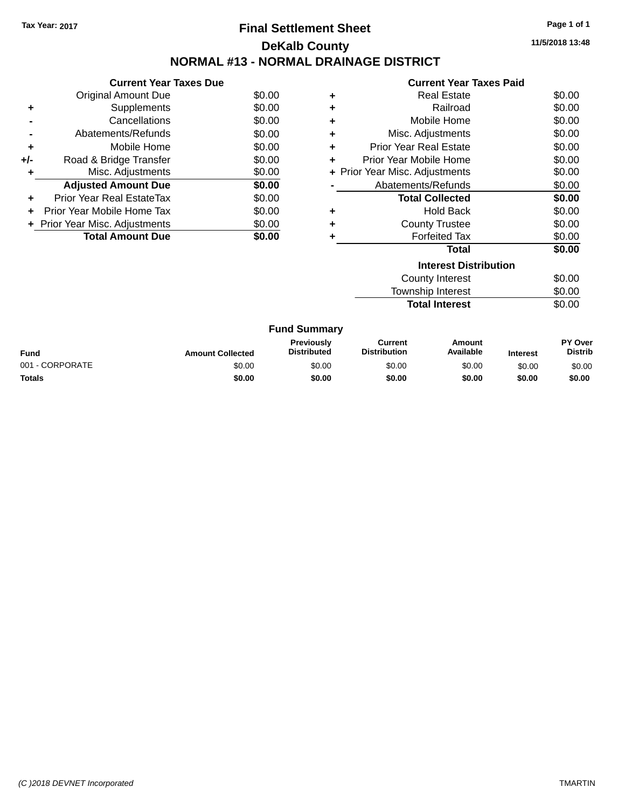# **Final Settlement Sheet Tax Year: 2017 Page 1 of 1 DeKalb County NORMAL #13 - NORMAL DRAINAGE DISTRICT**

**11/5/2018 13:48**

|     | <b>Current Year Taxes Due</b>  |        |  |  |
|-----|--------------------------------|--------|--|--|
|     | Original Amount Due            | \$0.00 |  |  |
|     | Supplements                    | \$0.00 |  |  |
|     | Cancellations                  | \$0.00 |  |  |
|     | Abatements/Refunds             | \$0.00 |  |  |
| ÷   | Mobile Home                    | \$0.00 |  |  |
| +/- | Road & Bridge Transfer         | \$0.00 |  |  |
|     | Misc. Adjustments              | \$0.00 |  |  |
|     | <b>Adjusted Amount Due</b>     | \$0.00 |  |  |
| ÷   | Prior Year Real EstateTax      | \$0.00 |  |  |
|     | Prior Year Mobile Home Tax     | \$0.00 |  |  |
|     | + Prior Year Misc. Adjustments | \$0.00 |  |  |
|     | <b>Total Amount Due</b>        | \$0.00 |  |  |
|     |                                |        |  |  |

|   | <b>Current Year Taxes Paid</b> |        |
|---|--------------------------------|--------|
| ٠ | Real Estate                    | \$0.00 |
| ٠ | Railroad                       | \$0.00 |
| ٠ | Mobile Home                    | \$0.00 |
| ÷ | Misc. Adjustments              | \$0.00 |
| ÷ | <b>Prior Year Real Estate</b>  | \$0.00 |
| ٠ | Prior Year Mobile Home         | \$0.00 |
|   | + Prior Year Misc. Adjustments | \$0.00 |
|   | Abatements/Refunds             | \$0.00 |
|   | <b>Total Collected</b>         | \$0.00 |
| ٠ | Hold Back                      | \$0.00 |
|   | <b>County Trustee</b>          | \$0.00 |
|   | <b>Forfeited Tax</b>           | \$0.00 |
|   | <b>Total</b>                   | \$0.00 |
|   | <b>Interest Distribution</b>   |        |
|   | <b>County Interest</b>         | \$0.00 |

**Total Interest** 

Township Interest \$0.00<br>
Total Interest \$0.00

| <b>Fund Summary</b> |                         |                                         |                                |                     |                 |                           |
|---------------------|-------------------------|-----------------------------------------|--------------------------------|---------------------|-----------------|---------------------------|
| <b>Fund</b>         | <b>Amount Collected</b> | <b>Previously</b><br><b>Distributed</b> | Current<br><b>Distribution</b> | Amount<br>Available | <b>Interest</b> | PY Over<br><b>Distrib</b> |
| 001 - CORPORATE     | \$0.00                  | \$0.00                                  | \$0.00                         | \$0.00              | \$0.00          | \$0.00                    |
| <b>Totals</b>       | \$0.00                  | \$0.00                                  | \$0.00                         | \$0.00              | \$0.00          | \$0.00                    |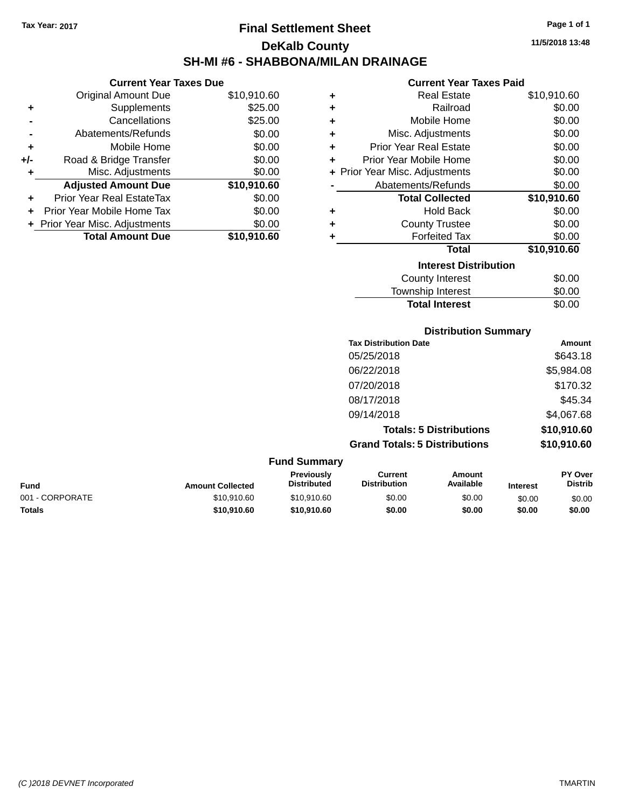# **Final Settlement Sheet Tax Year: 2017 Page 1 of 1 DeKalb County SH-MI #6 - SHABBONA/MILAN DRAINAGE**

**Current Year Taxes Due**

|       | <b>Original Amount Due</b>       | \$10,910.60 |
|-------|----------------------------------|-------------|
| ٠     | Supplements                      | \$25.00     |
|       | Cancellations                    | \$25.00     |
|       | Abatements/Refunds               | \$0.00      |
| ÷     | Mobile Home                      | \$0.00      |
| $+/-$ | Road & Bridge Transfer           | \$0.00      |
| ÷     | Misc. Adjustments                | \$0.00      |
|       | <b>Adjusted Amount Due</b>       | \$10,910.60 |
|       | <b>Prior Year Real EstateTax</b> | \$0.00      |
|       | Prior Year Mobile Home Tax       | \$0.00      |
|       | + Prior Year Misc. Adjustments   | \$0.00      |
|       | <b>Total Amount Due</b>          | \$10,910.60 |

| <b>Current Year Taxes Paid</b> |  |  |  |
|--------------------------------|--|--|--|
|--------------------------------|--|--|--|

| ٠ | <b>Real Estate</b>             | \$10,910.60 |
|---|--------------------------------|-------------|
| ٠ | Railroad                       | \$0.00      |
| ٠ | Mobile Home                    | \$0.00      |
| ٠ | Misc. Adjustments              | \$0.00      |
| ÷ | <b>Prior Year Real Estate</b>  | \$0.00      |
| ÷ | Prior Year Mobile Home         | \$0.00      |
|   | + Prior Year Misc. Adjustments | \$0.00      |
|   | Abatements/Refunds             | \$0.00      |
|   | <b>Total Collected</b>         | \$10,910.60 |
| ٠ | Hold Back                      | \$0.00      |
| ٠ | <b>County Trustee</b>          | \$0.00      |
| ٠ | <b>Forfeited Tax</b>           | \$0.00      |
|   | <b>Total</b>                   | \$10,910.60 |
|   | <b>Interest Distribution</b>   |             |
|   |                                |             |
|   | <b>County Interest</b>         | \$0.00      |

| <b>Distribution Summary</b> |        |
|-----------------------------|--------|
| <b>Total Interest</b>       | \$0.00 |
| Township Interest           | \$0.00 |
| <b>OVAIRY INCICOL</b>       | vv.vv  |

| <b>Tax Distribution Date</b>         | Amount      |
|--------------------------------------|-------------|
| 05/25/2018                           | \$643.18    |
| 06/22/2018                           | \$5,984.08  |
| 07/20/2018                           | \$170.32    |
| 08/17/2018                           | \$45.34     |
| 09/14/2018                           | \$4,067.68  |
| <b>Totals: 5 Distributions</b>       | \$10,910.60 |
| <b>Grand Totals: 5 Distributions</b> | \$10,910.60 |

| <b>Fund Summary</b> |                         |                                  |                                |                     |                 |                                  |
|---------------------|-------------------------|----------------------------------|--------------------------------|---------------------|-----------------|----------------------------------|
| Fund                | <b>Amount Collected</b> | Previously<br><b>Distributed</b> | Current<br><b>Distribution</b> | Amount<br>Available | <b>Interest</b> | <b>PY Over</b><br><b>Distrib</b> |
| 001 - CORPORATE     | \$10,910.60             | \$10,910.60                      | \$0.00                         | \$0.00              | \$0.00          | \$0.00                           |
| Totals              | \$10,910.60             | \$10.910.60                      | \$0.00                         | \$0.00              | \$0.00          | \$0.00                           |
|                     |                         |                                  |                                |                     |                 |                                  |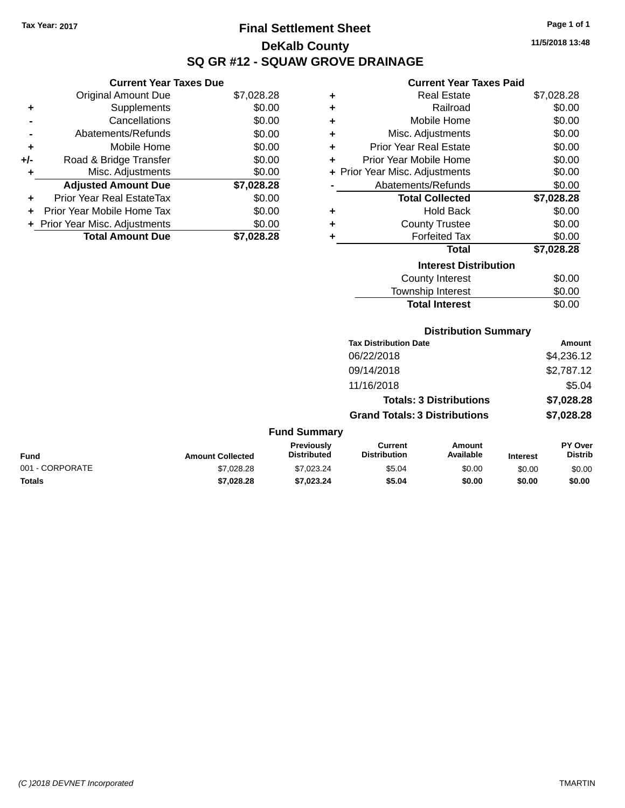# **Final Settlement Sheet Tax Year: 2017 Page 1 of 1 DeKalb County SQ GR #12 - SQUAW GROVE DRAINAGE**

**11/5/2018 13:48**

### **Current Year Taxes Paid**

|     | <b>Current Year Taxes Due</b>  |            |
|-----|--------------------------------|------------|
|     | <b>Original Amount Due</b>     | \$7,028.28 |
| ٠   | Supplements                    | \$0.00     |
|     | Cancellations                  | \$0.00     |
|     | Abatements/Refunds             | \$0.00     |
| ٠   | Mobile Home                    | \$0.00     |
| +/- | Road & Bridge Transfer         | \$0.00     |
| ٠   | Misc. Adjustments              | \$0.00     |
|     | <b>Adjusted Amount Due</b>     | \$7,028.28 |
|     | Prior Year Real EstateTax      | \$0.00     |
|     | Prior Year Mobile Home Tax     | \$0.00     |
|     | + Prior Year Misc. Adjustments | \$0.00     |
|     | <b>Total Amount Due</b>        | \$7.028.28 |

| ٠                            | <b>Real Estate</b>             | \$7,028.28 |  |  |  |
|------------------------------|--------------------------------|------------|--|--|--|
| ÷                            | Railroad                       | \$0.00     |  |  |  |
| ÷                            | Mobile Home                    | \$0.00     |  |  |  |
| ÷                            | Misc. Adjustments              | \$0.00     |  |  |  |
| ÷                            | <b>Prior Year Real Estate</b>  | \$0.00     |  |  |  |
| ٠                            | Prior Year Mobile Home         | \$0.00     |  |  |  |
|                              | + Prior Year Misc. Adjustments | \$0.00     |  |  |  |
|                              | Abatements/Refunds             | \$0.00     |  |  |  |
|                              | <b>Total Collected</b>         | \$7,028.28 |  |  |  |
| ٠                            | <b>Hold Back</b>               | \$0.00     |  |  |  |
| ٠                            | <b>County Trustee</b>          | \$0.00     |  |  |  |
| ٠                            | <b>Forfeited Tax</b>           | \$0.00     |  |  |  |
|                              | <b>Total</b>                   | \$7,028.28 |  |  |  |
| <b>Interest Distribution</b> |                                |            |  |  |  |
| \$0.00<br>County Interest    |                                |            |  |  |  |
|                              | <b>Township Interest</b>       | \$0.00     |  |  |  |
|                              | <b>Total Interest</b>          | \$0.00     |  |  |  |

| <b>Distribution Summary</b>  |        |
|------------------------------|--------|
| <b>Tax Distribution Date</b> | Amount |

| Tax Distribution Date                | AMOUNT     |
|--------------------------------------|------------|
| 06/22/2018                           | \$4,236.12 |
| 09/14/2018                           | \$2,787.12 |
| 11/16/2018                           | \$5.04     |
| <b>Totals: 3 Distributions</b>       | \$7,028.28 |
| <b>Grand Totals: 3 Distributions</b> | \$7,028.28 |
|                                      |            |

| <b>Fund Summary</b> |
|---------------------|
|---------------------|

| <b>Fund</b>     | <b>Amount Collected</b> | <b>Previously</b><br><b>Distributed</b> | Current<br><b>Distribution</b> | Amount<br>Available | <b>Interest</b> | PY Over<br><b>Distrib</b> |
|-----------------|-------------------------|-----------------------------------------|--------------------------------|---------------------|-----------------|---------------------------|
| 001 - CORPORATE | \$7,028,28              | \$7.023.24                              | \$5.04                         | \$0.00              | \$0.00          | \$0.00                    |
| Totals          | \$7.028.28              | \$7.023.24                              | \$5.04                         | \$0.00              | \$0.00          | \$0.00                    |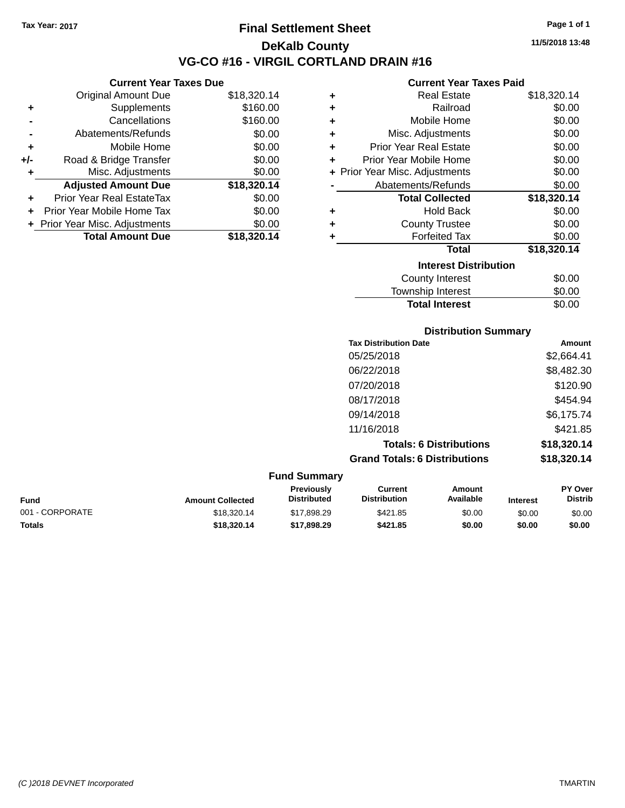**Current Year Taxes Due** Original Amount Due \$18,320.14

**Adjusted Amount Due \$18,320.14**

**+** Supplements \$160.00 **-** Cancellations \$160.00 **-** Abatements/Refunds \$0.00 **+** Mobile Home \$0.00 **+/-** Road & Bridge Transfer \$0.00 **+** Misc. Adjustments \$0.00

**+** Prior Year Real EstateTax \$0.00 **+** Prior Year Mobile Home Tax \$0.00 **+** Prior Year Misc. Adjustments \$0.00<br>**Total Amount Due** \$18,320.14

**Total Amount Due** 

## **Final Settlement Sheet Tax Year: 2017 Page 1 of 1 DeKalb County VG-CO #16 - VIRGIL CORTLAND DRAIN #16**

**11/5/2018 13:48**

### **Current Year Taxes Paid**

| ٠ | <b>Real Estate</b>             | \$18,320.14 |
|---|--------------------------------|-------------|
| ٠ | Railroad                       | \$0.00      |
| ÷ | Mobile Home                    | \$0.00      |
| ÷ | Misc. Adjustments              | \$0.00      |
| ٠ | <b>Prior Year Real Estate</b>  | \$0.00      |
| ÷ | Prior Year Mobile Home         | \$0.00      |
|   | + Prior Year Misc. Adjustments | \$0.00      |
|   | Abatements/Refunds             | \$0.00      |
|   | <b>Total Collected</b>         | \$18,320.14 |
| ٠ | <b>Hold Back</b>               | \$0.00      |
| ٠ | <b>County Trustee</b>          | \$0.00      |
| ٠ | <b>Forfeited Tax</b>           | \$0.00      |
|   | <b>Total</b>                   | \$18,320.14 |
|   | <b>Interest Distribution</b>   |             |
|   | <b>County Interest</b>         | \$0.00      |
|   | <b>Township Interest</b>       | \$0.00      |

|     |                         |                                  |                                       | <b>Total Interest</b>          |                 | \$0.00                    |
|-----|-------------------------|----------------------------------|---------------------------------------|--------------------------------|-----------------|---------------------------|
|     |                         |                                  |                                       | <b>Distribution Summary</b>    |                 |                           |
|     |                         |                                  | <b>Tax Distribution Date</b>          |                                |                 | Amount                    |
|     |                         |                                  | 05/25/2018                            |                                |                 | \$2,664.41                |
|     |                         |                                  | 06/22/2018                            |                                |                 | \$8,482.30                |
|     |                         |                                  | 07/20/2018                            |                                |                 | \$120.90                  |
|     |                         |                                  | 08/17/2018                            |                                |                 | \$454.94                  |
|     |                         |                                  | 09/14/2018                            |                                |                 | \$6,175.74                |
|     |                         |                                  | 11/16/2018                            |                                |                 | \$421.85                  |
|     |                         |                                  |                                       | <b>Totals: 6 Distributions</b> |                 | \$18,320.14               |
|     |                         |                                  | <b>Grand Totals: 6 Distributions</b>  |                                |                 | \$18,320.14               |
|     |                         | <b>Fund Summary</b>              |                                       |                                |                 |                           |
| und | <b>Amount Collected</b> | Previously<br><b>Distributed</b> | <b>Current</b><br><b>Distribution</b> | Amount<br>Available            | <b>Interest</b> | PY Over<br><b>Distrib</b> |

| Fund                 | <b>Amount Collected</b> | <b>I</b> IGVIUUSIV<br><b>Distributed</b> | <b>VUITEN</b><br><b>Distribution</b> | Allivulit<br>Available | <b>Interest</b> | וסע ו<br>Distrib |
|----------------------|-------------------------|------------------------------------------|--------------------------------------|------------------------|-----------------|------------------|
| 1 - CORPORATE<br>001 | \$18,320.14             | \$17,898.29                              | \$421.85                             | \$0.00                 | \$0.00          | \$0.00           |
| <b>Totals</b>        | \$18,320,14             | \$17,898,29                              | \$421.85                             | \$0.00                 | \$0.00          | \$0.00           |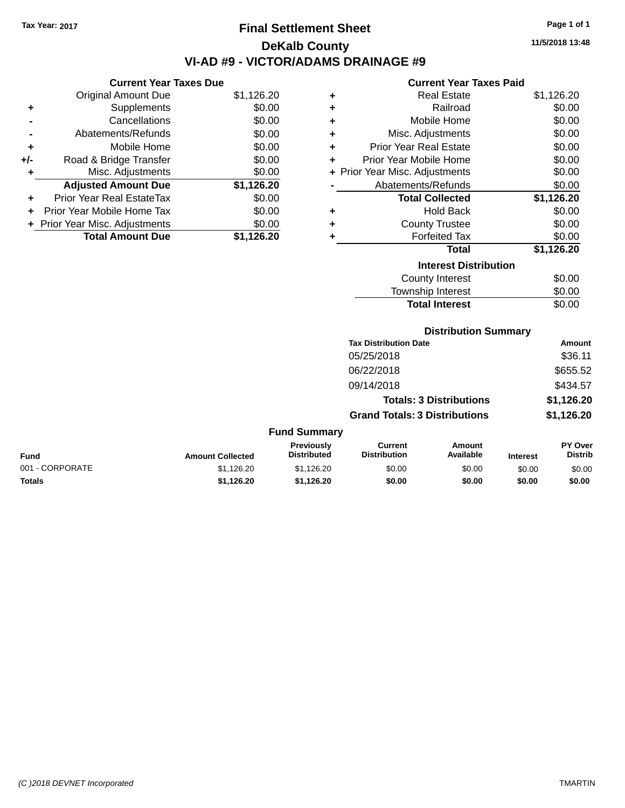# **Final Settlement Sheet Tax Year: 2017 Page 1 of 1 DeKalb County VI-AD #9 - VICTOR/ADAMS DRAINAGE #9**

**11/5/2018 13:48**

### **Current Year Taxes Paid**

|     | <b>Current Year Taxes Due</b>  |            |
|-----|--------------------------------|------------|
|     | <b>Original Amount Due</b>     | \$1,126.20 |
| ٠   | Supplements                    | \$0.00     |
|     | Cancellations                  | \$0.00     |
|     | Abatements/Refunds             | \$0.00     |
| ٠   | Mobile Home                    | \$0.00     |
| +/- | Road & Bridge Transfer         | \$0.00     |
| ٠   | Misc. Adjustments              | \$0.00     |
|     | <b>Adjusted Amount Due</b>     | \$1,126.20 |
| ٠   | Prior Year Real EstateTax      | \$0.00     |
| ÷   | Prior Year Mobile Home Tax     | \$0.00     |
|     | + Prior Year Misc. Adjustments | \$0.00     |
|     | <b>Total Amount Due</b>        | \$1.126.20 |

| ٠ | <b>Real Estate</b>             | \$1,126.20 |
|---|--------------------------------|------------|
| ٠ | Railroad                       | \$0.00     |
| ٠ | Mobile Home                    | \$0.00     |
| ٠ | Misc. Adjustments              | \$0.00     |
| ٠ | <b>Prior Year Real Estate</b>  | \$0.00     |
| ÷ | Prior Year Mobile Home         | \$0.00     |
|   | + Prior Year Misc. Adjustments | \$0.00     |
|   | Abatements/Refunds             | \$0.00     |
|   | <b>Total Collected</b>         | \$1,126.20 |
| ٠ | Hold Back                      | \$0.00     |
| ٠ | <b>County Trustee</b>          | \$0.00     |
| ٠ | <b>Forfeited Tax</b>           | \$0.00     |
|   | <b>Total</b>                   | \$1,126.20 |
|   | <b>Interest Distribution</b>   |            |
|   | County Interest                | \$0.00     |
|   | <b>Township Interest</b>       | \$0.00     |
|   | <b>Total Interest</b>          | \$0.00     |

| <b>Distribution Summary</b> |          |
|-----------------------------|----------|
| Tau Blatelle Han Bata       | $A = -1$ |

| <b>Fund Summary</b> |                                      |            |
|---------------------|--------------------------------------|------------|
|                     | <b>Grand Totals: 3 Distributions</b> | \$1,126.20 |
|                     | <b>Totals: 3 Distributions</b>       | \$1,126.20 |
|                     | 09/14/2018                           | \$434.57   |
|                     | 06/22/2018                           | \$655.52   |
|                     | 05/25/2018                           | \$36.11    |
|                     | Tax Distribution Date                | Amount     |

| <b>Fund</b>     | <b>Amount Collected</b> | <b>Previously</b><br><b>Distributed</b> | Current<br><b>Distribution</b> | Amount<br>Available | <b>Interest</b> | <b>PY Over</b><br>Distrib |
|-----------------|-------------------------|-----------------------------------------|--------------------------------|---------------------|-----------------|---------------------------|
| 001 - CORPORATE | \$1.126.20              | \$1.126.20                              | \$0.00                         | \$0.00              | \$0.00          | \$0.00                    |
| <b>Totals</b>   | \$1.126.20              | \$1.126.20                              | \$0.00                         | \$0.00              | \$0.00          | \$0.00                    |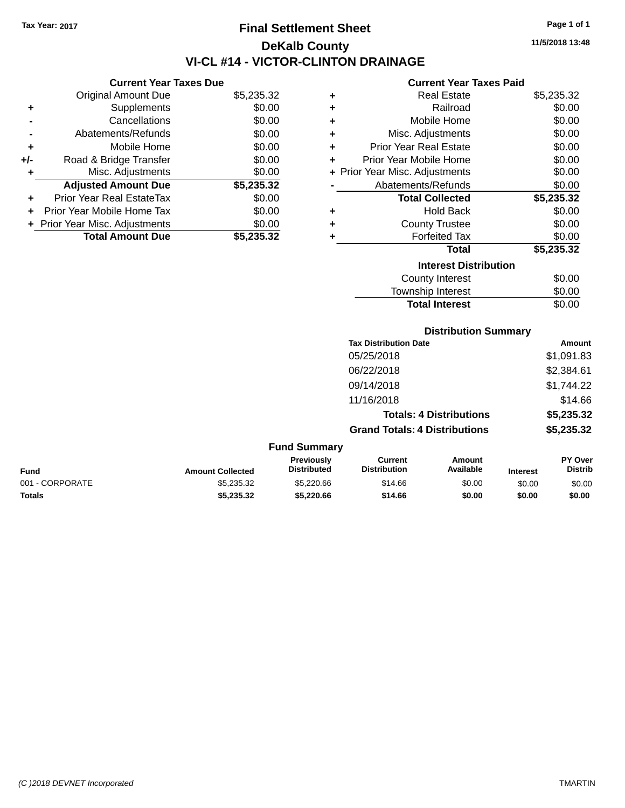# **Final Settlement Sheet Tax Year: 2017 Page 1 of 1 DeKalb County VI-CL #14 - VICTOR-CLINTON DRAINAGE**

**Current Year Taxes Due**

| <b>Original Amount Due</b> | \$5,235.32                     |
|----------------------------|--------------------------------|
| Supplements                | \$0.00                         |
| Cancellations              | \$0.00                         |
| Abatements/Refunds         | \$0.00                         |
| Mobile Home                | \$0.00                         |
| Road & Bridge Transfer     | \$0.00                         |
| Misc. Adjustments          | \$0.00                         |
| <b>Adjusted Amount Due</b> | \$5,235.32                     |
| Prior Year Real EstateTax  | \$0.00                         |
| Prior Year Mobile Home Tax | \$0.00                         |
|                            | \$0.00                         |
| <b>Total Amount Due</b>    | \$5,235.32                     |
|                            | + Prior Year Misc. Adjustments |

### **Current Year Taxes Paid**

| ٠ | Real Estate                  | \$5,235.32 |
|---|------------------------------|------------|
| ÷ | Railroad                     | \$0.00     |
| ÷ | Mobile Home                  | \$0.00     |
| ÷ | Misc. Adjustments            | \$0.00     |
| ٠ | Prior Year Real Estate       | \$0.00     |
| ٠ | Prior Year Mobile Home       | \$0.00     |
| ÷ | Prior Year Misc. Adjustments | \$0.00     |
|   | Abatements/Refunds           | \$0.00     |
|   | <b>Total Collected</b>       | \$5,235.32 |
| ٠ | Hold Back                    | \$0.00     |
| ÷ | <b>County Trustee</b>        | \$0.00     |
|   | <b>Forfeited Tax</b>         | \$0.00     |
|   | Total                        | \$5,235.32 |
|   | <b>Interest Distribution</b> |            |
|   | <b>County Interest</b>       | \$0.00     |
|   | Township Interest            | \$0.00     |
|   | <b>Total Interest</b>        | \$0.00     |

### **Distribution Summary**

| <b>Tax Distribution Date</b>         | Amount     |
|--------------------------------------|------------|
| 05/25/2018                           | \$1,091.83 |
| 06/22/2018                           | \$2,384.61 |
| 09/14/2018                           | \$1,744.22 |
| 11/16/2018                           | \$14.66    |
| <b>Totals: 4 Distributions</b>       | \$5,235.32 |
| <b>Grand Totals: 4 Distributions</b> | \$5,235.32 |

| <b>Fund Summary</b> |                         |                                         |                                |                     |                 |                           |
|---------------------|-------------------------|-----------------------------------------|--------------------------------|---------------------|-----------------|---------------------------|
| <b>Fund</b>         | <b>Amount Collected</b> | <b>Previously</b><br><b>Distributed</b> | Current<br><b>Distribution</b> | Amount<br>Available | <b>Interest</b> | PY Over<br><b>Distrib</b> |
| 001 - CORPORATE     | \$5,235.32              | \$5,220.66                              | \$14.66                        | \$0.00              | \$0.00          | \$0.00                    |
| <b>Totals</b>       | \$5,235.32              | \$5,220,66                              | \$14.66                        | \$0.00              | \$0.00          | \$0.00                    |